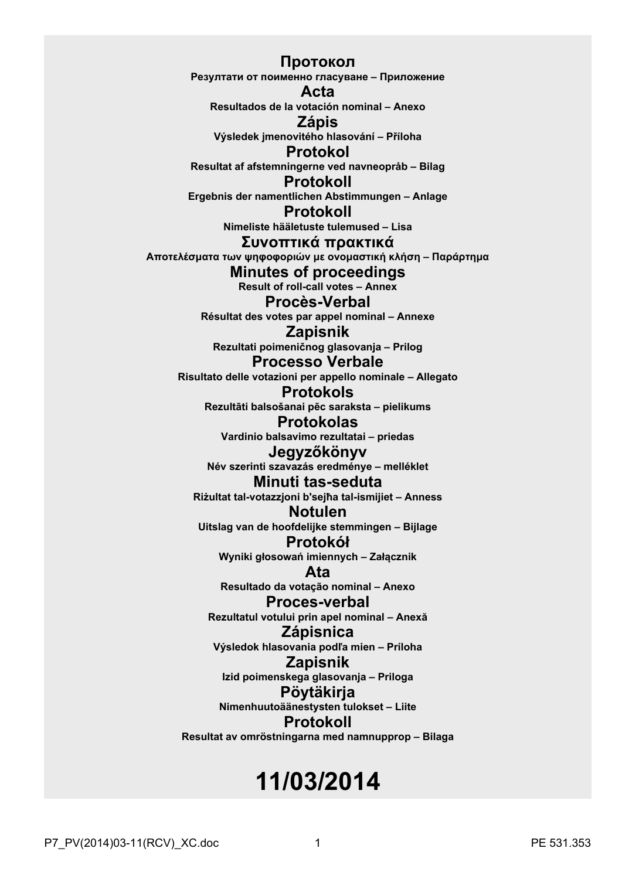**Протокол Резултати от поименно гласуване – Приложение Acta Resultados de la votación nominal – Anexo Zápis Výsledek jmenovitého hlasování – Příloha Protokol Resultat af afstemningerne ved navneopråb – Bilag Protokoll Ergebnis der namentlichen Abstimmungen – Anlage Protokoll Nimeliste hääletuste tulemused – Lisa Συvoπτικά πρακτικά Απoτελέσματα τωv ψηφoφoριώv με ovoμαστική κλήση – Παράρτημα Minutes of proceedings Result of roll-call votes – Annex Procès-Verbal Résultat des votes par appel nominal – Annexe Zapisnik Rezultati poimeničnog glasovanja – Prilog Processo Verbale Risultato delle votazioni per appello nominale – Allegato Protokols Rezultāti balsošanai pēc saraksta – pielikums Protokolas Vardinio balsavimo rezultatai – priedas Jegyzőkönyv Név szerinti szavazás eredménye – melléklet Minuti tas-seduta Riżultat tal-votazzjoni b'sejħa tal-ismijiet – Anness Notulen Uitslag van de hoofdelijke stemmingen – Bijlage Protokół Wyniki głosowań imiennych – Załącznik Ata Resultado da votação nominal – Anexo Proces-verbal Rezultatul votului prin apel nominal – Anexă Zápisnica Výsledok hlasovania podľa mien – Príloha Zapisnik Izid poimenskega glasovanja – Priloga Pöytäkirja Nimenhuutoäänestysten tulokset – Liite Protokoll Resultat av omröstningarna med namnupprop – Bilaga**

# **11/03/2014**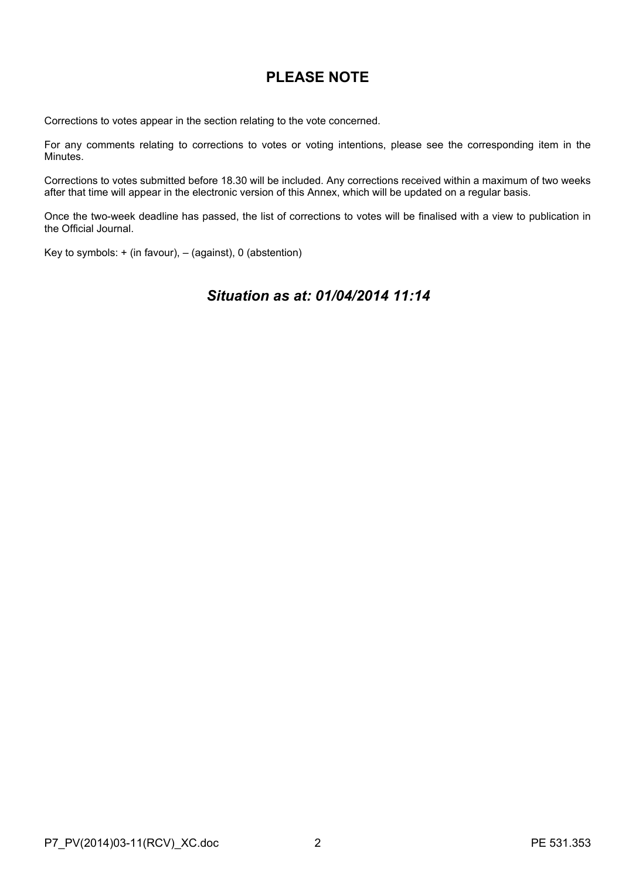## **PLEASE NOTE**

Corrections to votes appear in the section relating to the vote concerned.

For any comments relating to corrections to votes or voting intentions, please see the corresponding item in the Minutes.

Corrections to votes submitted before 18.30 will be included. Any corrections received within a maximum of two weeks after that time will appear in the electronic version of this Annex, which will be updated on a regular basis.

Once the two-week deadline has passed, the list of corrections to votes will be finalised with a view to publication in the Official Journal.

Key to symbols: + (in favour), – (against), 0 (abstention)

### *Situation as at: 01/04/2014 11:14*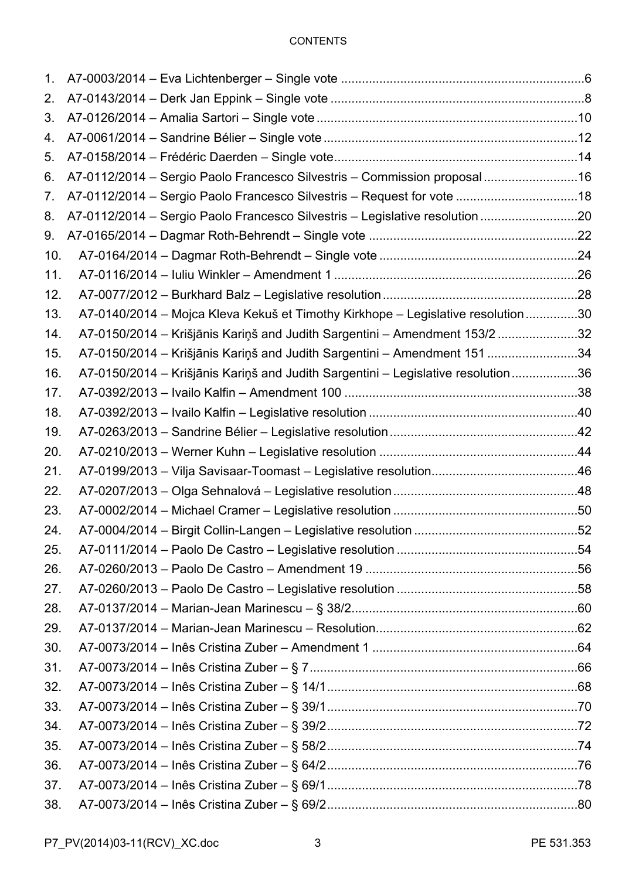### **CONTENTS**

| 1.  |                                                                                  |  |
|-----|----------------------------------------------------------------------------------|--|
| 2.  |                                                                                  |  |
| 3.  |                                                                                  |  |
| 4.  |                                                                                  |  |
| 5.  |                                                                                  |  |
| 6.  | A7-0112/2014 - Sergio Paolo Francesco Silvestris - Commission proposal 16        |  |
| 7.  |                                                                                  |  |
| 8.  | A7-0112/2014 - Sergio Paolo Francesco Silvestris - Legislative resolution 20     |  |
| 9.  |                                                                                  |  |
| 10. |                                                                                  |  |
| 11. |                                                                                  |  |
| 12. |                                                                                  |  |
| 13. | A7-0140/2014 – Mojca Kleva Kekuš et Timothy Kirkhope – Legislative resolution 30 |  |
| 14. | A7-0150/2014 - Krišjānis Kariņš and Judith Sargentini - Amendment 153/2 32       |  |
| 15. | A7-0150/2014 - Krišjānis Kariņš and Judith Sargentini - Amendment 151 34         |  |
| 16. | A7-0150/2014 - Krišjānis Kariņš and Judith Sargentini - Legislative resolution36 |  |
| 17. |                                                                                  |  |
| 18. |                                                                                  |  |
| 19. |                                                                                  |  |
| 20. |                                                                                  |  |
| 21. |                                                                                  |  |
| 22. |                                                                                  |  |
| 23. |                                                                                  |  |
| 24. |                                                                                  |  |
| 25. |                                                                                  |  |
| 26. |                                                                                  |  |
| 27. |                                                                                  |  |
| 28. |                                                                                  |  |
| 29. |                                                                                  |  |
| 30. |                                                                                  |  |
| 31. |                                                                                  |  |
| 32. |                                                                                  |  |
| 33. |                                                                                  |  |
| 34. |                                                                                  |  |
| 35. |                                                                                  |  |
| 36. |                                                                                  |  |
| 37. |                                                                                  |  |
| 38. |                                                                                  |  |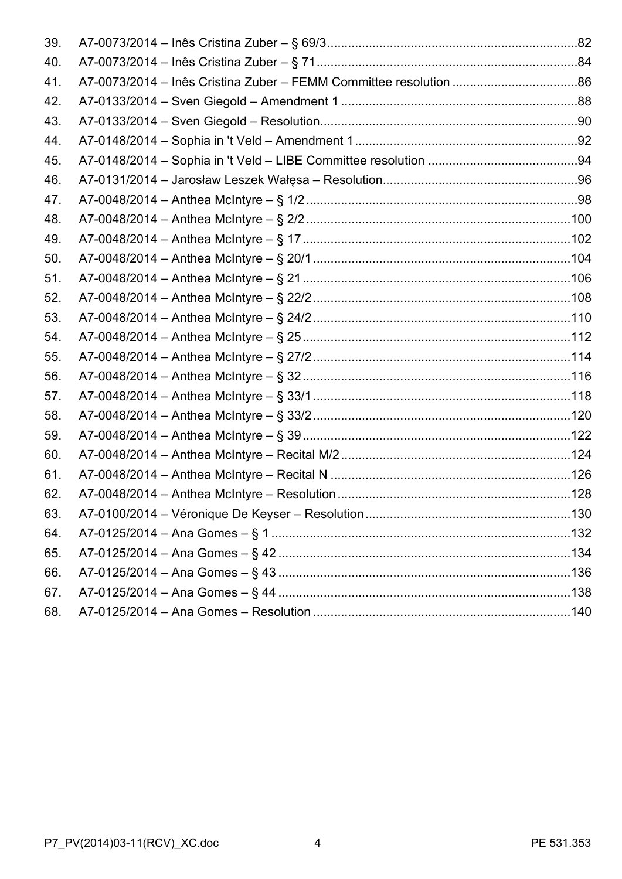| 39. |  |
|-----|--|
| 40. |  |
| 41. |  |
| 42. |  |
| 43. |  |
| 44. |  |
| 45. |  |
| 46. |  |
| 47. |  |
| 48. |  |
| 49. |  |
| 50. |  |
| 51. |  |
| 52. |  |
| 53. |  |
| 54. |  |
| 55. |  |
| 56. |  |
| 57. |  |
| 58. |  |
| 59. |  |
| 60. |  |
| 61. |  |
| 62. |  |
| 63. |  |
| 64. |  |
| 65. |  |
| 66. |  |
| 67. |  |
| 68. |  |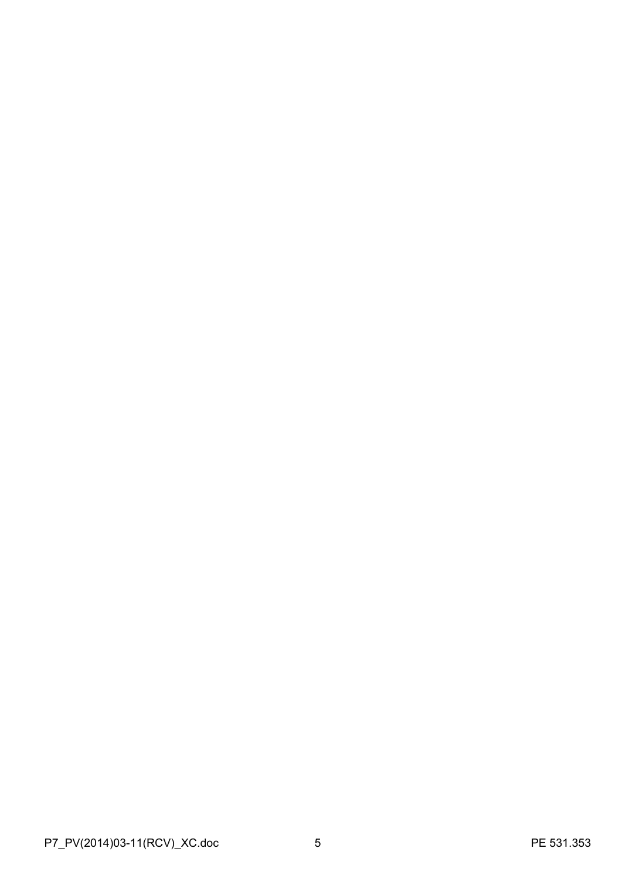# P7\_PV(2014)03-11(RCV)\_XC.doc 5 5 PE 531.353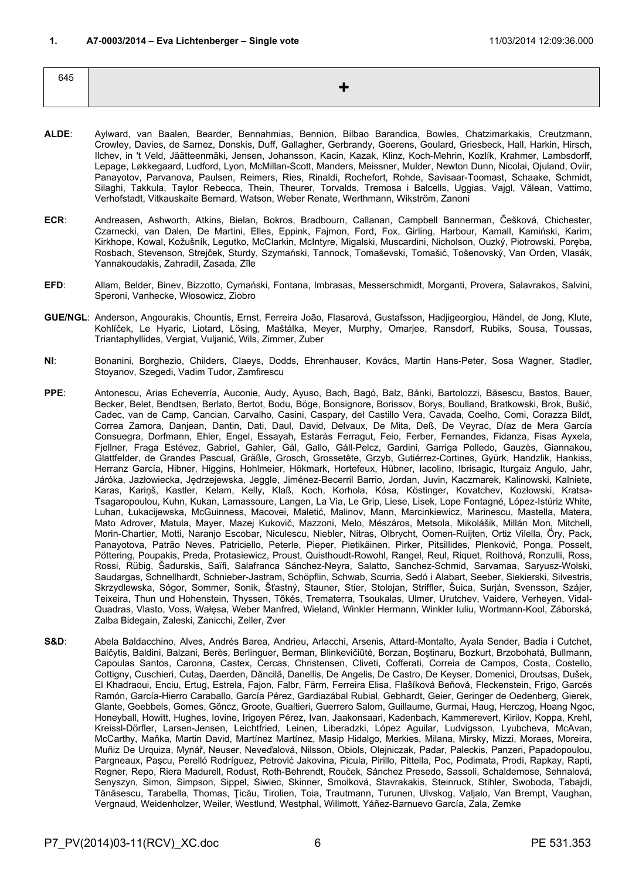- <span id="page-5-0"></span>**ALDE**: Aylward, van Baalen, Bearder, Bennahmias, Bennion, Bilbao Barandica, Bowles, Chatzimarkakis, Creutzmann, Crowley, Davies, de Sarnez, Donskis, Duff, Gallagher, Gerbrandy, Goerens, Goulard, Griesbeck, Hall, Harkin, Hirsch, Ilchev, in 't Veld, Jäätteenmäki, Jensen, Johansson, Kacin, Kazak, Klinz, Koch-Mehrin, Kozlík, Krahmer, Lambsdorff, Lepage, Løkkegaard, Ludford, Lyon, McMillan-Scott, Manders, Meissner, Mulder, Newton Dunn, Nicolai, Ojuland, Oviir, Panayotov, Parvanova, Paulsen, Reimers, Ries, Rinaldi, Rochefort, Rohde, Savisaar-Toomast, Schaake, Schmidt, Silaghi, Takkula, Taylor Rebecca, Thein, Theurer, Torvalds, Tremosa i Balcells, Uggias, Vajgl, Vălean, Vattimo, Verhofstadt, Vitkauskaite Bernard, Watson, Weber Renate, Werthmann, Wikström, Zanoni
- **ECR**: Andreasen, Ashworth, Atkins, Bielan, Bokros, Bradbourn, Callanan, Campbell Bannerman, Češková, Chichester, Czarnecki, van Dalen, De Martini, Elles, Eppink, Fajmon, Ford, Fox, Girling, Harbour, Kamall, Kamiński, Karim, Kirkhope, Kowal, Kožušník, Legutko, McClarkin, McIntyre, Migalski, Muscardini, Nicholson, Ouzký, Piotrowski, Poręba, Rosbach, Stevenson, Strejček, Sturdy, Szymański, Tannock, Tomaševski, Tomašić, Tošenovský, Van Orden, Vlasák, Yannakoudakis, Zahradil, Zasada, Zīle
- **EFD**: Allam, Belder, Binev, Bizzotto, Cymański, Fontana, Imbrasas, Messerschmidt, Morganti, Provera, Salavrakos, Salvini, Speroni, Vanhecke, Włosowicz, Ziobro
- **GUE/NGL**: Anderson, Angourakis, Chountis, Ernst, Ferreira João, Flasarová, Gustafsson, Hadjigeorgiou, Händel, de Jong, Klute, Kohlíček, Le Hyaric, Liotard, Lösing, Maštálka, Meyer, Murphy, Omarjee, Ransdorf, Rubiks, Sousa, Toussas, Triantaphyllides, Vergiat, Vuljanić, Wils, Zimmer, Zuber
- **NI**: Bonanini, Borghezio, Childers, Claeys, Dodds, Ehrenhauser, Kovács, Martin Hans-Peter, Sosa Wagner, Stadler, Stoyanov, Szegedi, Vadim Tudor, Zamfirescu
- **PPE**: Antonescu, Arias Echeverría, Auconie, Audy, Ayuso, Bach, Bagó, Balz, Bánki, Bartolozzi, Băsescu, Bastos, Bauer, Becker, Belet, Bendtsen, Berlato, Bertot, Bodu, Böge, Bonsignore, Borissov, Borys, Boulland, Bratkowski, Brok, Bušić, Cadec, van de Camp, Cancian, Carvalho, Casini, Caspary, del Castillo Vera, Cavada, Coelho, Comi, Corazza Bildt, Correa Zamora, Danjean, Dantin, Dati, Daul, David, Delvaux, De Mita, Deß, De Veyrac, Díaz de Mera García Consuegra, Dorfmann, Ehler, Engel, Essayah, Estaràs Ferragut, Feio, Ferber, Fernandes, Fidanza, Fisas Ayxela, Fjellner, Fraga Estévez, Gabriel, Gahler, Gál, Gallo, Gáll-Pelcz, Gardini, Garriga Polledo, Gauzès, Giannakou, Glattfelder, de Grandes Pascual, Gräßle, Grosch, Grossetête, Grzyb, Gutiérrez-Cortines, Gyürk, Handzlik, Hankiss, Herranz García, Hibner, Higgins, Hohlmeier, Hökmark, Hortefeux, Hübner, Iacolino, Ibrisagic, Iturgaiz Angulo, Jahr, Járóka, Jazłowiecka, Jędrzejewska, Jeggle, Jiménez-Becerril Barrio, Jordan, Juvin, Kaczmarek, Kalinowski, Kalniete, Karas, Kariņš, Kastler, Kelam, Kelly, Klaß, Koch, Korhola, Kósa, Köstinger, Kovatchev, Kozłowski, Kratsa-Tsagaropoulou, Kuhn, Kukan, Lamassoure, Langen, La Via, Le Grip, Liese, Lisek, Lope Fontagné, López-Istúriz White, Luhan, Łukacijewska, McGuinness, Macovei, Maletić, Malinov, Mann, Marcinkiewicz, Marinescu, Mastella, Matera, Mato Adrover, Matula, Mayer, Mazej Kukovič, Mazzoni, Melo, Mészáros, Metsola, Mikolášik, Millán Mon, Mitchell, Morin-Chartier, Motti, Naranjo Escobar, Niculescu, Niebler, Nitras, Olbrycht, Oomen-Ruijten, Ortiz Vilella, Őry, Pack, Panayotova, Patrão Neves, Patriciello, Peterle, Pieper, Pietikäinen, Pirker, Pitsillides, Plenković, Ponga, Posselt, Pöttering, Poupakis, Preda, Protasiewicz, Proust, Quisthoudt-Rowohl, Rangel, Reul, Riquet, Roithová, Ronzulli, Ross, Rossi, Rübig, Šadurskis, Saïfi, Salafranca Sánchez-Neyra, Salatto, Sanchez-Schmid, Sarvamaa, Saryusz-Wolski, Saudargas, Schnellhardt, Schnieber-Jastram, Schöpflin, Schwab, Scurria, Sedó i Alabart, Seeber, Siekierski, Silvestris, Skrzydlewska, Sógor, Sommer, Sonik, Šťastný, Stauner, Stier, Stolojan, Striffler, Šuica, Surján, Svensson, Szájer, Teixeira, Thun und Hohenstein, Thyssen, Tőkés, Trematerra, Tsoukalas, Ulmer, Urutchev, Vaidere, Verheyen, Vidal-Quadras, Vlasto, Voss, Wałęsa, Weber Manfred, Wieland, Winkler Hermann, Winkler Iuliu, Wortmann-Kool, Záborská, Zalba Bidegain, Zaleski, Zanicchi, Zeller, Zver
- **S&D**: Abela Baldacchino, Alves, Andrés Barea, Andrieu, Arlacchi, Arsenis, Attard-Montalto, Ayala Sender, Badia i Cutchet, Balčytis, Baldini, Balzani, Berès, Berlinguer, Berman, Blinkevičiūtė, Borzan, Boştinaru, Bozkurt, Brzobohatá, Bullmann, Capoulas Santos, Caronna, Castex, Cercas, Christensen, Cliveti, Cofferati, Correia de Campos, Costa, Costello, Cottigny, Cuschieri, Cutaş, Daerden, Dăncilă, Danellis, De Angelis, De Castro, De Keyser, Domenici, Droutsas, Dušek, El Khadraoui, Enciu, Ertug, Estrela, Fajon, Falbr, Färm, Ferreira Elisa, Flašíková Beňová, Fleckenstein, Frigo, Garcés Ramón, García-Hierro Caraballo, García Pérez, Gardiazábal Rubial, Gebhardt, Geier, Geringer de Oedenberg, Gierek, Glante, Goebbels, Gomes, Göncz, Groote, Gualtieri, Guerrero Salom, Guillaume, Gurmai, Haug, Herczog, Hoang Ngoc, Honeyball, Howitt, Hughes, Iovine, Irigoyen Pérez, Ivan, Jaakonsaari, Kadenbach, Kammerevert, Kirilov, Koppa, Krehl, Kreissl-Dörfler, Larsen-Jensen, Leichtfried, Leinen, Liberadzki, López Aguilar, Ludvigsson, Lyubcheva, McAvan, McCarthy, Maňka, Martin David, Martínez Martínez, Masip Hidalgo, Merkies, Milana, Mirsky, Mizzi, Moraes, Moreira, Muñiz De Urquiza, Mynář, Neuser, Neveďalová, Nilsson, Obiols, Olejniczak, Padar, Paleckis, Panzeri, Papadopoulou, Pargneaux, Paşcu, Perelló Rodríguez, Petrović Jakovina, Picula, Pirillo, Pittella, Poc, Podimata, Prodi, Rapkay, Rapti, Regner, Repo, Riera Madurell, Rodust, Roth-Behrendt, Rouček, Sánchez Presedo, Sassoli, Schaldemose, Sehnalová, Senyszyn, Simon, Simpson, Sippel, Siwiec, Skinner, Smolková, Stavrakakis, Steinruck, Stihler, Swoboda, Tabajdi, Tănăsescu, Tarabella, Thomas, Ţicău, Tirolien, Toia, Trautmann, Turunen, Ulvskog, Valjalo, Van Brempt, Vaughan, Vergnaud, Weidenholzer, Weiler, Westlund, Westphal, Willmott, Yáñez-Barnuevo García, Zala, Zemke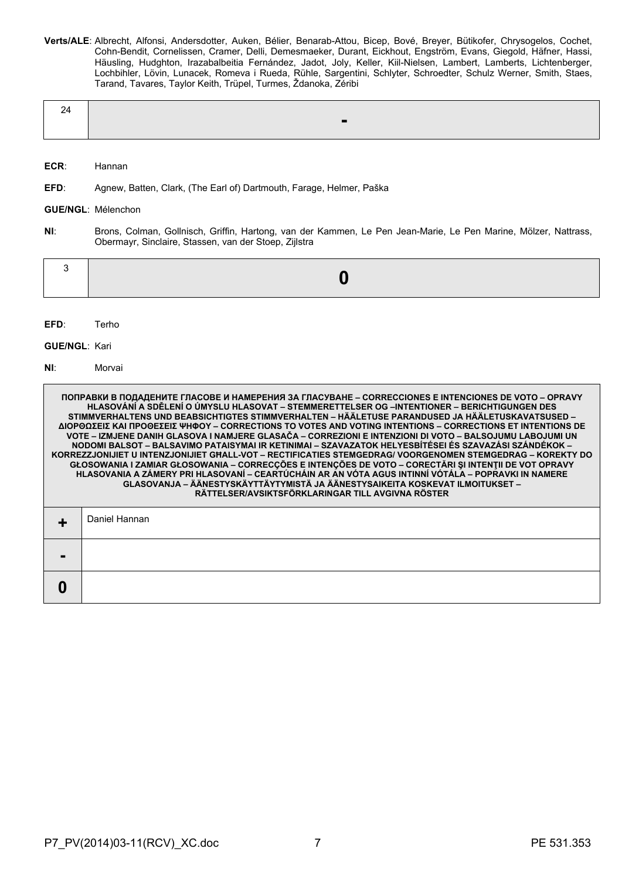**Verts/ALE**: Albrecht, Alfonsi, Andersdotter, Auken, Bélier, Benarab-Attou, Bicep, Bové, Breyer, Bütikofer, Chrysogelos, Cochet, Cohn-Bendit, Cornelissen, Cramer, Delli, Demesmaeker, Durant, Eickhout, Engström, Evans, Giegold, Häfner, Hassi, Häusling, Hudghton, Irazabalbeitia Fernández, Jadot, Joly, Keller, Kiil-Nielsen, Lambert, Lamberts, Lichtenberger, Lochbihler, Lövin, Lunacek, Romeva i Rueda, Rühle, Sargentini, Schlyter, Schroedter, Schulz Werner, Smith, Staes, Tarand, Tavares, Taylor Keith, Trüpel, Turmes, Ždanoka, Zéribi

| $\begin{array}{ c c c c c }\n\hline\n24 & & \\\hline\n\end{array}$ |  |
|--------------------------------------------------------------------|--|
|                                                                    |  |
|                                                                    |  |

**ECR**: Hannan

**EFD**: Agnew, Batten, Clark, (The Earl of) Dartmouth, Farage, Helmer, Paška

**GUE/NGL**: Mélenchon

**NI**: Brons, Colman, Gollnisch, Griffin, Hartong, van der Kammen, Le Pen Jean-Marie, Le Pen Marine, Mölzer, Nattrass, Obermayr, Sinclaire, Stassen, van der Stoep, Zijlstra

|--|

**EFD**: Terho

**GUE/NGL**: Kari

#### **NI**: Morvai

| ПОПРАВКИ В ПОДАДЕНИТЕ ГЛАСОВЕ И НАМЕРЕНИЯ ЗА ГЛАСУВАНЕ – CORRECCIONES E INTENCIONES DE VOTO – OPRAVY<br>HLASOVÁNÍ A SDĚLENÍ O ÚMYSLU HLASOVAT – STEMMERETTELSER OG –INTENTIONER – BERICHTIGUNGEN DES<br>STIMMVERHALTENS UND BEABSICHTIGTES STIMMVERHALTEN – HÄÄLETUSE PARANDUSED JA HÄÄLETUSKAVATSUSED –<br>ΔΙΟΡΘΩΣΕΙΣ ΚΑΙ ΠΡΟΘΕΣΕΙΣ ΨΗΦΟΥ – CORRECTIONS TO VOTES AND VOTING INTENTIONS – CORRECTIONS ET INTENTIONS DE<br>VOTE - IZMJENE DANIH GLASOVA I NAMJERE GLASAČA - CORREZIONI E INTENZIONI DI VOTO - BALSOJUMU LABOJUMI UN<br>NODOMI BALSOT – BALSAVIMO PATAISYMAI IR KETINIMAI – SZAVAZATOK HELYESBÍTÉSEI ÉS SZAVAZÁSI SZÁNDÉKOK –<br>KORREZZJONIJIET U INTENZJONIJIET GHALL-VOT – RECTIFICATIES STEMGEDRAG/ VOORGENOMEN STEMGEDRAG – KOREKTY DO<br>GŁOSOWANIA I ZAMIAR GŁOSOWANIA – CORRECÇÕES E INTENÇÕES DE VOTO – CORECTĂRI ȘI INTENȚII DE VOT OPRAVY<br>HLASOVANIA A ZÁMERY PRI HLASOVANÍ – CEARTÚCHÁIN AR AN VÓTA AGUS INTINNÍ VÓTÁLA – POPRAVKI IN NAMERE<br>GLASOVANJA – ÄÄNESTYSKÄYTTÄYTYMISTÄ JA ÄÄNESTYSAIKEITA KOSKEVAT ILMOITUKSET –<br>RÄTTELSER/AVSIKTSFÖRKLARINGAR TILL AVGIVNA RÖSTER |  |
|-----------------------------------------------------------------------------------------------------------------------------------------------------------------------------------------------------------------------------------------------------------------------------------------------------------------------------------------------------------------------------------------------------------------------------------------------------------------------------------------------------------------------------------------------------------------------------------------------------------------------------------------------------------------------------------------------------------------------------------------------------------------------------------------------------------------------------------------------------------------------------------------------------------------------------------------------------------------------------------------------------------------------------------------------------------------------------------------------------------------|--|
| Daniel Hannan                                                                                                                                                                                                                                                                                                                                                                                                                                                                                                                                                                                                                                                                                                                                                                                                                                                                                                                                                                                                                                                                                                   |  |
|                                                                                                                                                                                                                                                                                                                                                                                                                                                                                                                                                                                                                                                                                                                                                                                                                                                                                                                                                                                                                                                                                                                 |  |
|                                                                                                                                                                                                                                                                                                                                                                                                                                                                                                                                                                                                                                                                                                                                                                                                                                                                                                                                                                                                                                                                                                                 |  |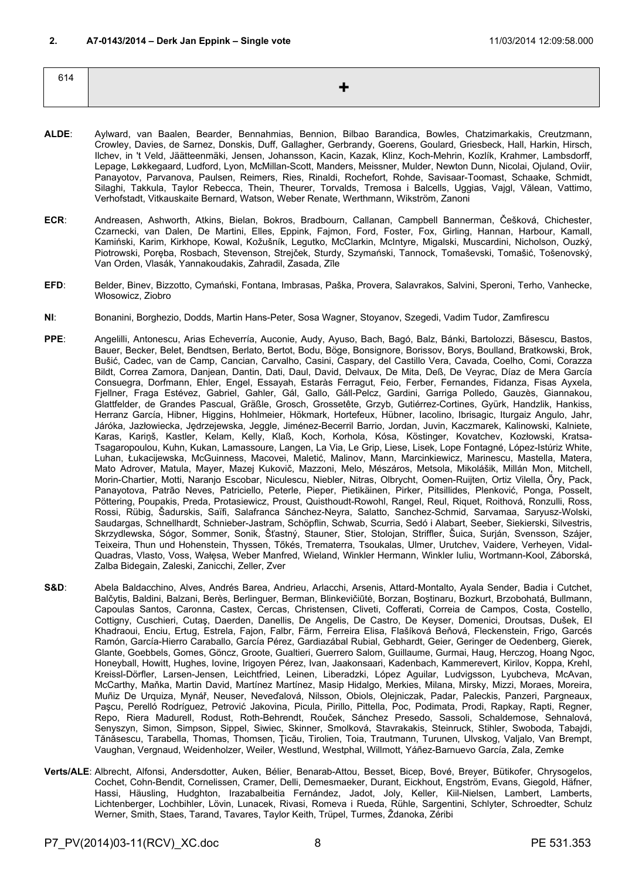- <span id="page-7-0"></span>**ALDE**: Aylward, van Baalen, Bearder, Bennahmias, Bennion, Bilbao Barandica, Bowles, Chatzimarkakis, Creutzmann, Crowley, Davies, de Sarnez, Donskis, Duff, Gallagher, Gerbrandy, Goerens, Goulard, Griesbeck, Hall, Harkin, Hirsch, Ilchev, in 't Veld, Jäätteenmäki, Jensen, Johansson, Kacin, Kazak, Klinz, Koch-Mehrin, Kozlík, Krahmer, Lambsdorff, Lepage, Løkkegaard, Ludford, Lyon, McMillan-Scott, Manders, Meissner, Mulder, Newton Dunn, Nicolai, Ojuland, Oviir, Panayotov, Parvanova, Paulsen, Reimers, Ries, Rinaldi, Rochefort, Rohde, Savisaar-Toomast, Schaake, Schmidt, Silaghi, Takkula, Taylor Rebecca, Thein, Theurer, Torvalds, Tremosa i Balcells, Uggias, Vajgl, Vălean, Vattimo, Verhofstadt, Vitkauskaite Bernard, Watson, Weber Renate, Werthmann, Wikström, Zanoni
- **ECR**: Andreasen, Ashworth, Atkins, Bielan, Bokros, Bradbourn, Callanan, Campbell Bannerman, Češková, Chichester, Czarnecki, van Dalen, De Martini, Elles, Eppink, Fajmon, Ford, Foster, Fox, Girling, Hannan, Harbour, Kamall, Kamiński, Karim, Kirkhope, Kowal, Kožušník, Legutko, McClarkin, McIntyre, Migalski, Muscardini, Nicholson, Ouzký, Piotrowski, Poręba, Rosbach, Stevenson, Strejček, Sturdy, Szymański, Tannock, Tomaševski, Tomašić, Tošenovský, Van Orden, Vlasák, Yannakoudakis, Zahradil, Zasada, Zīle
- **EFD**: Belder, Binev, Bizzotto, Cymański, Fontana, Imbrasas, Paška, Provera, Salavrakos, Salvini, Speroni, Terho, Vanhecke, Włosowicz, Ziobro
- **NI**: Bonanini, Borghezio, Dodds, Martin Hans-Peter, Sosa Wagner, Stoyanov, Szegedi, Vadim Tudor, Zamfirescu
- **PPE**: Angelilli, Antonescu, Arias Echeverría, Auconie, Audy, Ayuso, Bach, Bagó, Balz, Bánki, Bartolozzi, Băsescu, Bastos, Bauer, Becker, Belet, Bendtsen, Berlato, Bertot, Bodu, Böge, Bonsignore, Borissov, Borys, Boulland, Bratkowski, Brok, Bušić, Cadec, van de Camp, Cancian, Carvalho, Casini, Caspary, del Castillo Vera, Cavada, Coelho, Comi, Corazza Bildt, Correa Zamora, Danjean, Dantin, Dati, Daul, David, Delvaux, De Mita, Deß, De Veyrac, Díaz de Mera García Consuegra, Dorfmann, Ehler, Engel, Essayah, Estaràs Ferragut, Feio, Ferber, Fernandes, Fidanza, Fisas Ayxela, Fjellner, Fraga Estévez, Gabriel, Gahler, Gál, Gallo, Gáll-Pelcz, Gardini, Garriga Polledo, Gauzès, Giannakou, Glattfelder, de Grandes Pascual, Gräßle, Grosch, Grossetête, Grzyb, Gutiérrez-Cortines, Gyürk, Handzlik, Hankiss, Herranz García, Hibner, Higgins, Hohlmeier, Hökmark, Hortefeux, Hübner, Iacolino, Ibrisagic, Iturgaiz Angulo, Jahr, Járóka, Jazłowiecka, Jędrzejewska, Jeggle, Jiménez-Becerril Barrio, Jordan, Juvin, Kaczmarek, Kalinowski, Kalniete, Karas, Kariņš, Kastler, Kelam, Kelly, Klaß, Koch, Korhola, Kósa, Köstinger, Kovatchev, Kozłowski, Kratsa-Tsagaropoulou, Kuhn, Kukan, Lamassoure, Langen, La Via, Le Grip, Liese, Lisek, Lope Fontagné, López-Istúriz White, Luhan, Łukacijewska, McGuinness, Macovei, Maletić, Malinov, Mann, Marcinkiewicz, Marinescu, Mastella, Matera, Mato Adrover, Matula, Mayer, Mazej Kukovič, Mazzoni, Melo, Mészáros, Metsola, Mikolášik, Millán Mon, Mitchell, Morin-Chartier, Motti, Naranjo Escobar, Niculescu, Niebler, Nitras, Olbrycht, Oomen-Ruijten, Ortiz Vilella, Őry, Pack, Panayotova, Patrão Neves, Patriciello, Peterle, Pieper, Pietikäinen, Pirker, Pitsillides, Plenković, Ponga, Posselt, Pöttering, Poupakis, Preda, Protasiewicz, Proust, Quisthoudt-Rowohl, Rangel, Reul, Riquet, Roithová, Ronzulli, Ross, Rossi, Rübig, Šadurskis, Saïfi, Salafranca Sánchez-Neyra, Salatto, Sanchez-Schmid, Sarvamaa, Saryusz-Wolski, Saudargas, Schnellhardt, Schnieber-Jastram, Schöpflin, Schwab, Scurria, Sedó i Alabart, Seeber, Siekierski, Silvestris, Skrzydlewska, Sógor, Sommer, Sonik, Šťastný, Stauner, Stier, Stolojan, Striffler, Šuica, Surján, Svensson, Szájer, Teixeira, Thun und Hohenstein, Thyssen, Tőkés, Trematerra, Tsoukalas, Ulmer, Urutchev, Vaidere, Verheyen, Vidal-Quadras, Vlasto, Voss, Wałęsa, Weber Manfred, Wieland, Winkler Hermann, Winkler Iuliu, Wortmann-Kool, Záborská, Zalba Bidegain, Zaleski, Zanicchi, Zeller, Zver
- **S&D**: Abela Baldacchino, Alves, Andrés Barea, Andrieu, Arlacchi, Arsenis, Attard-Montalto, Ayala Sender, Badia i Cutchet, Balčytis, Baldini, Balzani, Berès, Berlinguer, Berman, Blinkevičiūtė, Borzan, Boştinaru, Bozkurt, Brzobohatá, Bullmann, Capoulas Santos, Caronna, Castex, Cercas, Christensen, Cliveti, Cofferati, Correia de Campos, Costa, Costello, Cottigny, Cuschieri, Cutaş, Daerden, Danellis, De Angelis, De Castro, De Keyser, Domenici, Droutsas, Dušek, El Khadraoui, Enciu, Ertug, Estrela, Fajon, Falbr, Färm, Ferreira Elisa, Flašíková Beňová, Fleckenstein, Frigo, Garcés Ramón, García-Hierro Caraballo, García Pérez, Gardiazábal Rubial, Gebhardt, Geier, Geringer de Oedenberg, Gierek, Glante, Goebbels, Gomes, Göncz, Groote, Gualtieri, Guerrero Salom, Guillaume, Gurmai, Haug, Herczog, Hoang Ngoc, Honeyball, Howitt, Hughes, Iovine, Irigoyen Pérez, Ivan, Jaakonsaari, Kadenbach, Kammerevert, Kirilov, Koppa, Krehl, Kreissl-Dörfler, Larsen-Jensen, Leichtfried, Leinen, Liberadzki, López Aguilar, Ludvigsson, Lyubcheva, McAvan, McCarthy, Maňka, Martin David, Martínez Martínez, Masip Hidalgo, Merkies, Milana, Mirsky, Mizzi, Moraes, Moreira, Muñiz De Urquiza, Mynář, Neuser, Neveďalová, Nilsson, Obiols, Olejniczak, Padar, Paleckis, Panzeri, Pargneaux, Pascu, Perelló Rodríguez, Petrović Jakovina, Picula, Pirillo, Pittella, Poc, Podimata, Prodi, Rapkay, Rapti, Regner, Repo, Riera Madurell, Rodust, Roth-Behrendt, Rouček, Sánchez Presedo, Sassoli, Schaldemose, Sehnalová, Senyszyn, Simon, Simpson, Sippel, Siwiec, Skinner, Smolková, Stavrakakis, Steinruck, Stihler, Swoboda, Tabajdi, Tănăsescu, Tarabella, Thomas, Thomsen, Ţicău, Tirolien, Toia, Trautmann, Turunen, Ulvskog, Valjalo, Van Brempt, Vaughan, Vergnaud, Weidenholzer, Weiler, Westlund, Westphal, Willmott, Yáñez-Barnuevo García, Zala, Zemke
- **Verts/ALE**: Albrecht, Alfonsi, Andersdotter, Auken, Bélier, Benarab-Attou, Besset, Bicep, Bové, Breyer, Bütikofer, Chrysogelos, Cochet, Cohn-Bendit, Cornelissen, Cramer, Delli, Demesmaeker, Durant, Eickhout, Engström, Evans, Giegold, Häfner, Hassi, Häusling, Hudghton, Irazabalbeitia Fernández, Jadot, Joly, Keller, Kiil-Nielsen, Lambert, Lamberts, Lichtenberger, Lochbihler, Lövin, Lunacek, Rivasi, Romeva i Rueda, Rühle, Sargentini, Schlyter, Schroedter, Schulz Werner, Smith, Staes, Tarand, Tavares, Taylor Keith, Trüpel, Turmes, Ždanoka, Zéribi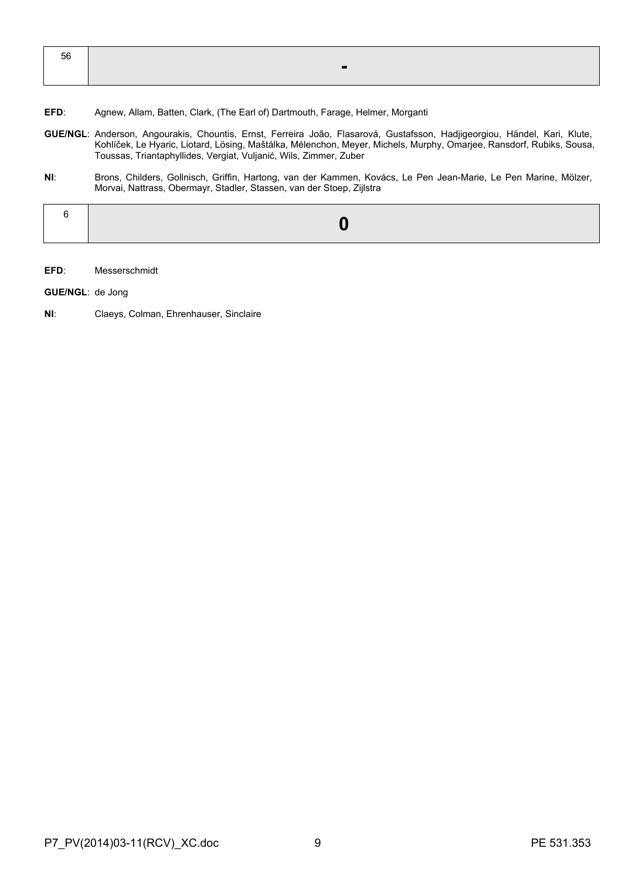| $\sim$<br>56 |        |
|--------------|--------|
|              | $\sim$ |

- **EFD**: Agnew, Allam, Batten, Clark, (The Earl of) Dartmouth, Farage, Helmer, Morganti
- **GUE/NGL**: Anderson, Angourakis, Chountis, Ernst, Ferreira João, Flasarová, Gustafsson, Hadjigeorgiou, Händel, Kari, Klute, Kohlíček, Le Hyaric, Liotard, Lösing, Maštálka, Mélenchon, Meyer, Michels, Murphy, Omarjee, Ransdorf, Rubiks, Sousa, Toussas, Triantaphyllides, Vergiat, Vuljanić, Wils, Zimmer, Zuber
- **NI**: Brons, Childers, Gollnisch, Griffin, Hartong, van der Kammen, Kovács, Le Pen Jean-Marie, Le Pen Marine, Mölzer, Morvai, Nattrass, Obermayr, Stadler, Stassen, van der Stoep, Zijlstra

- **EFD**: Messerschmidt
- **GUE/NGL**: de Jong
- **NI**: Claeys, Colman, Ehrenhauser, Sinclaire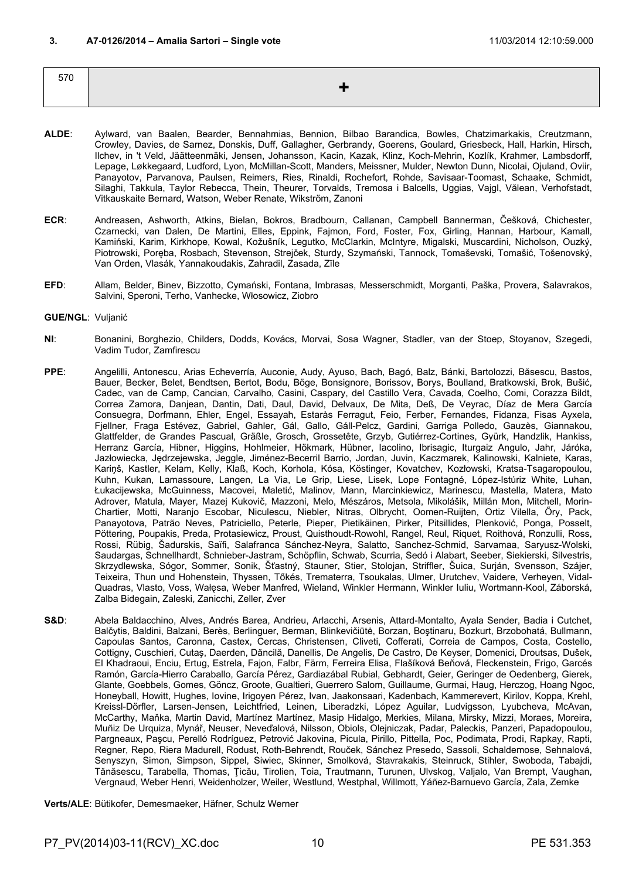- <span id="page-9-0"></span>**ALDE**: Aylward, van Baalen, Bearder, Bennahmias, Bennion, Bilbao Barandica, Bowles, Chatzimarkakis, Creutzmann, Crowley, Davies, de Sarnez, Donskis, Duff, Gallagher, Gerbrandy, Goerens, Goulard, Griesbeck, Hall, Harkin, Hirsch, Ilchev, in 't Veld, Jäätteenmäki, Jensen, Johansson, Kacin, Kazak, Klinz, Koch-Mehrin, Kozlík, Krahmer, Lambsdorff, Lepage, Løkkegaard, Ludford, Lyon, McMillan-Scott, Manders, Meissner, Mulder, Newton Dunn, Nicolai, Ojuland, Oviir, Panayotov, Parvanova, Paulsen, Reimers, Ries, Rinaldi, Rochefort, Rohde, Savisaar-Toomast, Schaake, Schmidt, Silaghi, Takkula, Taylor Rebecca, Thein, Theurer, Torvalds, Tremosa i Balcells, Uggias, Vajgl, Vălean, Verhofstadt, Vitkauskaite Bernard, Watson, Weber Renate, Wikström, Zanoni
- **ECR**: Andreasen, Ashworth, Atkins, Bielan, Bokros, Bradbourn, Callanan, Campbell Bannerman, Češková, Chichester, Czarnecki, van Dalen, De Martini, Elles, Eppink, Fajmon, Ford, Foster, Fox, Girling, Hannan, Harbour, Kamall, Kamiński, Karim, Kirkhope, Kowal, Kožušník, Legutko, McClarkin, McIntyre, Migalski, Muscardini, Nicholson, Ouzký, Piotrowski, Poręba, Rosbach, Stevenson, Strejček, Sturdy, Szymański, Tannock, Tomaševski, Tomašić, Tošenovský, Van Orden, Vlasák, Yannakoudakis, Zahradil, Zasada, Zīle
- **EFD**: Allam, Belder, Binev, Bizzotto, Cymański, Fontana, Imbrasas, Messerschmidt, Morganti, Paška, Provera, Salavrakos, Salvini, Speroni, Terho, Vanhecke, Włosowicz, Ziobro

#### **GUE/NGL**: Vuljanić

- **NI**: Bonanini, Borghezio, Childers, Dodds, Kovács, Morvai, Sosa Wagner, Stadler, van der Stoep, Stoyanov, Szegedi, Vadim Tudor, Zamfirescu
- PPE: Angelilli, Antonescu, Arias Echeverría, Auconie, Audy, Ayuso, Bach, Bagó, Balz, Bánki, Bartolozzi, Băsescu, Bastos, Bauer, Becker, Belet, Bendtsen, Bertot, Bodu, Böge, Bonsignore, Borissov, Borys, Boulland, Bratkowski, Brok, Bušić, Cadec, van de Camp, Cancian, Carvalho, Casini, Caspary, del Castillo Vera, Cavada, Coelho, Comi, Corazza Bildt, Correa Zamora, Danjean, Dantin, Dati, Daul, David, Delvaux, De Mita, Deß, De Veyrac, Díaz de Mera García Consuegra, Dorfmann, Ehler, Engel, Essayah, Estaràs Ferragut, Feio, Ferber, Fernandes, Fidanza, Fisas Ayxela, Fjellner, Fraga Estévez, Gabriel, Gahler, Gál, Gallo, Gáll-Pelcz, Gardini, Garriga Polledo, Gauzès, Giannakou, Glattfelder, de Grandes Pascual, Gräßle, Grosch, Grossetête, Grzyb, Gutiérrez-Cortines, Gyürk, Handzlik, Hankiss, Herranz García, Hibner, Higgins, Hohlmeier, Hökmark, Hübner, Iacolino, Ibrisagic, Iturgaiz Angulo, Jahr, Járóka, Jazłowiecka, Jędrzejewska, Jeggle, Jiménez-Becerril Barrio, Jordan, Juvin, Kaczmarek, Kalinowski, Kalniete, Karas, Kariņš, Kastler, Kelam, Kelly, Klaß, Koch, Korhola, Kósa, Köstinger, Kovatchev, Kozłowski, Kratsa-Tsagaropoulou, Kuhn, Kukan, Lamassoure, Langen, La Via, Le Grip, Liese, Lisek, Lope Fontagné, López-Istúriz White, Luhan, Łukacijewska, McGuinness, Macovei, Maletić, Malinov, Mann, Marcinkiewicz, Marinescu, Mastella, Matera, Mato Adrover, Matula, Mayer, Mazej Kukovič, Mazzoni, Melo, Mészáros, Metsola, Mikolášik, Millán Mon, Mitchell, Morin-Chartier, Motti, Naranjo Escobar, Niculescu, Niebler, Nitras, Olbrycht, Oomen-Ruijten, Ortiz Vilella, Őry, Pack, Panayotova, Patrão Neves, Patriciello, Peterle, Pieper, Pietikäinen, Pirker, Pitsillides, Plenković, Ponga, Posselt, Pöttering, Poupakis, Preda, Protasiewicz, Proust, Quisthoudt-Rowohl, Rangel, Reul, Riquet, Roithová, Ronzulli, Ross, Rossi, Rübig, Šadurskis, Saïfi, Salafranca Sánchez-Neyra, Salatto, Sanchez-Schmid, Sarvamaa, Saryusz-Wolski, Saudargas, Schnellhardt, Schnieber-Jastram, Schöpflin, Schwab, Scurria, Sedó i Alabart, Seeber, Siekierski, Silvestris, Skrzydlewska, Sógor, Sommer, Sonik, Šťastný, Stauner, Stier, Stolojan, Striffler, Šuica, Surján, Svensson, Szájer, Teixeira, Thun und Hohenstein, Thyssen, Tőkés, Trematerra, Tsoukalas, Ulmer, Urutchev, Vaidere, Verheyen, Vidal-Quadras, Vlasto, Voss, Wałęsa, Weber Manfred, Wieland, Winkler Hermann, Winkler Iuliu, Wortmann-Kool, Záborská, Zalba Bidegain, Zaleski, Zanicchi, Zeller, Zver
- **S&D**: Abela Baldacchino, Alves, Andrés Barea, Andrieu, Arlacchi, Arsenis, Attard-Montalto, Ayala Sender, Badia i Cutchet, Balčytis, Baldini, Balzani, Berès, Berlinguer, Berman, Blinkevičiūtė, Borzan, Boştinaru, Bozkurt, Brzobohatá, Bullmann, Capoulas Santos, Caronna, Castex, Cercas, Christensen, Cliveti, Cofferati, Correia de Campos, Costa, Costello, Cottigny, Cuschieri, Cutaş, Daerden, Dăncilă, Danellis, De Angelis, De Castro, De Keyser, Domenici, Droutsas, Dušek, El Khadraoui, Enciu, Ertug, Estrela, Fajon, Falbr, Färm, Ferreira Elisa, Flašíková Beňová, Fleckenstein, Frigo, Garcés Ramón, García-Hierro Caraballo, García Pérez, Gardiazábal Rubial, Gebhardt, Geier, Geringer de Oedenberg, Gierek, Glante, Goebbels, Gomes, Göncz, Groote, Gualtieri, Guerrero Salom, Guillaume, Gurmai, Haug, Herczog, Hoang Ngoc, Honeyball, Howitt, Hughes, Iovine, Irigoyen Pérez, Ivan, Jaakonsaari, Kadenbach, Kammerevert, Kirilov, Koppa, Krehl, Kreissl-Dörfler, Larsen-Jensen, Leichtfried, Leinen, Liberadzki, López Aguilar, Ludvigsson, Lyubcheva, McAvan, McCarthy, Maňka, Martin David, Martínez Martínez, Masip Hidalgo, Merkies, Milana, Mirsky, Mizzi, Moraes, Moreira, Muñiz De Urquiza, Mynář, Neuser, Neveďalová, Nilsson, Obiols, Olejniczak, Padar, Paleckis, Panzeri, Papadopoulou, Pargneaux, Paşcu, Perelló Rodríguez, Petrović Jakovina, Picula, Pirillo, Pittella, Poc, Podimata, Prodi, Rapkay, Rapti, Regner, Repo, Riera Madurell, Rodust, Roth-Behrendt, Rouček, Sánchez Presedo, Sassoli, Schaldemose, Sehnalová, Senyszyn, Simon, Simpson, Sippel, Siwiec, Skinner, Smolková, Stavrakakis, Steinruck, Stihler, Swoboda, Tabajdi, Tănăsescu, Tarabella, Thomas, Ţicău, Tirolien, Toia, Trautmann, Turunen, Ulvskog, Valjalo, Van Brempt, Vaughan, Vergnaud, Weber Henri, Weidenholzer, Weiler, Westlund, Westphal, Willmott, Yáñez-Barnuevo García, Zala, Zemke

**Verts/ALE**: Bütikofer, Demesmaeker, Häfner, Schulz Werner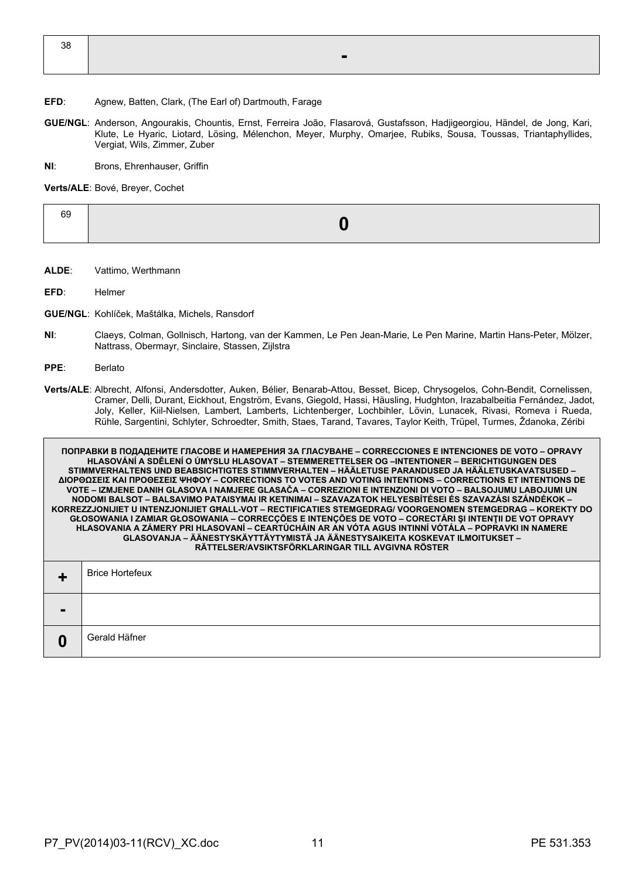38

- **EFD**: Agnew, Batten, Clark, (The Earl of) Dartmouth, Farage
- **GUE/NGL**: Anderson, Angourakis, Chountis, Ernst, Ferreira João, Flasarová, Gustafsson, Hadjigeorgiou, Händel, de Jong, Kari, Klute, Le Hyaric, Liotard, Lösing, Mélenchon, Meyer, Murphy, Omarjee, Rubiks, Sousa, Toussas, Triantaphyllides, Vergiat, Wils, Zimmer, Zuber

**-**

**NI**: Brons, Ehrenhauser, Griffin

**Verts/ALE**: Bové, Breyer, Cochet

| $\sim$ |  |
|--------|--|
|        |  |

- **ALDE**: Vattimo, Werthmann
- **EFD**: Helmer
- **GUE/NGL**: Kohlíček, Maštálka, Michels, Ransdorf
- **NI**: Claeys, Colman, Gollnisch, Hartong, van der Kammen, Le Pen Jean-Marie, Le Pen Marine, Martin Hans-Peter, Mölzer, Nattrass, Obermayr, Sinclaire, Stassen, Zijlstra
- **PPE**: Berlato
- **Verts/ALE**: Albrecht, Alfonsi, Andersdotter, Auken, Bélier, Benarab-Attou, Besset, Bicep, Chrysogelos, Cohn-Bendit, Cornelissen, Cramer, Delli, Durant, Eickhout, Engström, Evans, Giegold, Hassi, Häusling, Hudghton, Irazabalbeitia Fernández, Jadot, Joly, Keller, Kiil-Nielsen, Lambert, Lamberts, Lichtenberger, Lochbihler, Lövin, Lunacek, Rivasi, Romeva i Rueda, Rühle, Sargentini, Schlyter, Schroedter, Smith, Staes, Tarand, Tavares, Taylor Keith, Trüpel, Turmes, Ždanoka, Zéribi

**ПОПРАВКИ В ПОДАДЕНИТЕ ГЛАСОВЕ И НАМЕРЕНИЯ ЗА ГЛАСУВАНЕ – CORRECCIONES E INTENCIONES DE VOTO – OPRAVY HLASOVÁNÍ A SDĚLENÍ O ÚMYSLU HLASOVAT – STEMMERETTELSER OG –INTENTIONER – BERICHTIGUNGEN DES STIMMVERHALTENS UND BEABSICHTIGTES STIMMVERHALTEN – HÄÄLETUSE PARANDUSED JA HÄÄLETUSKAVATSUSED – ΔΙΟΡΘΩΣΕΙΣ ΚΑΙ ΠΡΟΘΕΣΕΙΣ ΨΗΦΟΥ – CORRECTIONS TO VOTES AND VOTING INTENTIONS – CORRECTIONS ET INTENTIONS DE VOTE – IZMJENE DANIH GLASOVA I NAMJERE GLASAČA – CORREZIONI E INTENZIONI DI VOTO – BALSOJUMU LABOJUMI UN NODOMI BALSOT – BALSAVIMO PATAISYMAI IR KETINIMAI – SZAVAZATOK HELYESBÍTÉSEI ÉS SZAVAZÁSI SZÁNDÉKOK – KORREZZJONIJIET U INTENZJONIJIET GĦALL-VOT – RECTIFICATIES STEMGEDRAG/ VOORGENOMEN STEMGEDRAG – KOREKTY DO GŁOSOWANIA I ZAMIAR GŁOSOWANIA – CORRECÇÕES E INTENÇÕES DE VOTO – CORECTĂRI ŞI INTENŢII DE VOT OPRAVY HLASOVANIA A ZÁMERY PRI HLASOVANÍ – CEARTÚCHÁIN AR AN VÓTA AGUS INTINNÍ VÓTÁLA – POPRAVKI IN NAMERE GLASOVANJA – ÄÄNESTYSKÄYTTÄYTYMISTÄ JA ÄÄNESTYSAIKEITA KOSKEVAT ILMOITUKSET – RÄTTELSER/AVSIKTSFÖRKLARINGAR TILL AVGIVNA RÖSTER**

|                | <b>Brice Hortefeux</b> |
|----------------|------------------------|
| $\blacksquare$ |                        |
| 0              | Gerald Häfner          |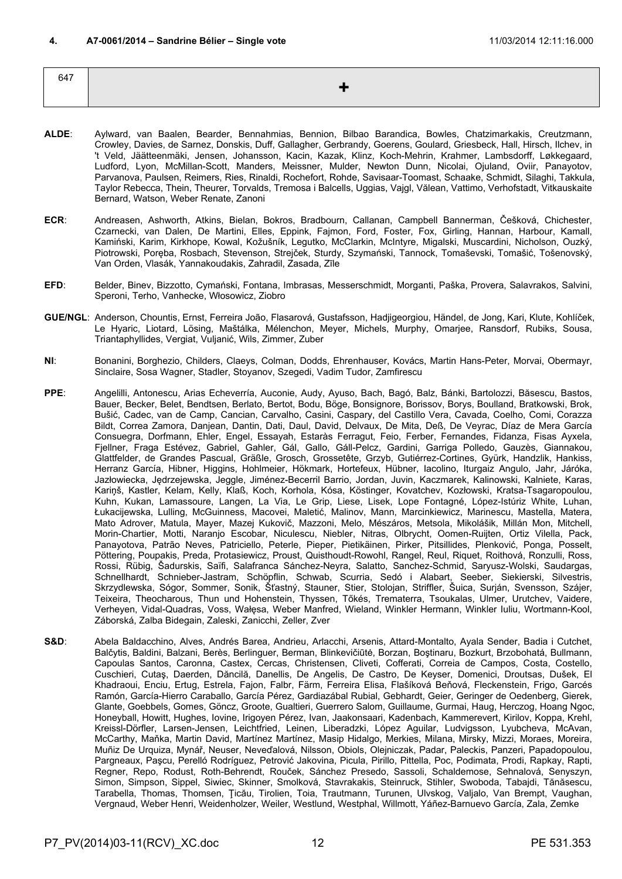- <span id="page-11-0"></span>**ALDE**: Aylward, van Baalen, Bearder, Bennahmias, Bennion, Bilbao Barandica, Bowles, Chatzimarkakis, Creutzmann, Crowley, Davies, de Sarnez, Donskis, Duff, Gallagher, Gerbrandy, Goerens, Goulard, Griesbeck, Hall, Hirsch, Ilchev, in 't Veld, Jäätteenmäki, Jensen, Johansson, Kacin, Kazak, Klinz, Koch-Mehrin, Krahmer, Lambsdorff, Løkkegaard, Ludford, Lyon, McMillan-Scott, Manders, Meissner, Mulder, Newton Dunn, Nicolai, Ojuland, Oviir, Panayotov, Parvanova, Paulsen, Reimers, Ries, Rinaldi, Rochefort, Rohde, Savisaar-Toomast, Schaake, Schmidt, Silaghi, Takkula, Taylor Rebecca, Thein, Theurer, Torvalds, Tremosa i Balcells, Uggias, Vajgl, Vălean, Vattimo, Verhofstadt, Vitkauskaite Bernard, Watson, Weber Renate, Zanoni
- **ECR**: Andreasen, Ashworth, Atkins, Bielan, Bokros, Bradbourn, Callanan, Campbell Bannerman, Češková, Chichester, Czarnecki, van Dalen, De Martini, Elles, Eppink, Fajmon, Ford, Foster, Fox, Girling, Hannan, Harbour, Kamall, Kamiński, Karim, Kirkhope, Kowal, Kožušník, Legutko, McClarkin, McIntyre, Migalski, Muscardini, Nicholson, Ouzký, Piotrowski, Poręba, Rosbach, Stevenson, Strejček, Sturdy, Szymański, Tannock, Tomaševski, Tomašić, Tošenovský, Van Orden, Vlasák, Yannakoudakis, Zahradil, Zasada, Zīle
- **EFD**: Belder, Binev, Bizzotto, Cymański, Fontana, Imbrasas, Messerschmidt, Morganti, Paška, Provera, Salavrakos, Salvini, Speroni, Terho, Vanhecke, Włosowicz, Ziobro
- **GUE/NGL**: Anderson, Chountis, Ernst, Ferreira João, Flasarová, Gustafsson, Hadjigeorgiou, Händel, de Jong, Kari, Klute, Kohlíček, Le Hyaric, Liotard, Lösing, Maštálka, Mélenchon, Meyer, Michels, Murphy, Omarjee, Ransdorf, Rubiks, Sousa, Triantaphyllides, Vergiat, Vuljanić, Wils, Zimmer, Zuber
- **NI**: Bonanini, Borghezio, Childers, Claeys, Colman, Dodds, Ehrenhauser, Kovács, Martin Hans-Peter, Morvai, Obermayr, Sinclaire, Sosa Wagner, Stadler, Stoyanov, Szegedi, Vadim Tudor, Zamfirescu
- **PPE**: Angelilli, Antonescu, Arias Echeverría, Auconie, Audy, Ayuso, Bach, Bagó, Balz, Bánki, Bartolozzi, Băsescu, Bastos, Bauer, Becker, Belet, Bendtsen, Berlato, Bertot, Bodu, Böge, Bonsignore, Borissov, Borys, Boulland, Bratkowski, Brok, Bušić, Cadec, van de Camp, Cancian, Carvalho, Casini, Caspary, del Castillo Vera, Cavada, Coelho, Comi, Corazza Bildt, Correa Zamora, Danjean, Dantin, Dati, Daul, David, Delvaux, De Mita, Deß, De Veyrac, Díaz de Mera García Consuegra, Dorfmann, Ehler, Engel, Essayah, Estaràs Ferragut, Feio, Ferber, Fernandes, Fidanza, Fisas Ayxela, Fjellner, Fraga Estévez, Gabriel, Gahler, Gál, Gallo, Gáll-Pelcz, Gardini, Garriga Polledo, Gauzès, Giannakou, Glattfelder, de Grandes Pascual, Gräßle, Grosch, Grossetête, Grzyb, Gutiérrez-Cortines, Gyürk, Handzlik, Hankiss, Herranz García, Hibner, Higgins, Hohlmeier, Hökmark, Hortefeux, Hübner, Iacolino, Iturgaiz Angulo, Jahr, Járóka, Jazłowiecka, Jędrzejewska, Jeggle, Jiménez-Becerril Barrio, Jordan, Juvin, Kaczmarek, Kalinowski, Kalniete, Karas, Kariņš, Kastler, Kelam, Kelly, Klaß, Koch, Korhola, Kósa, Köstinger, Kovatchev, Kozłowski, Kratsa-Tsagaropoulou, Kuhn, Kukan, Lamassoure, Langen, La Via, Le Grip, Liese, Lisek, Lope Fontagné, López-Istúriz White, Luhan, Łukacijewska, Lulling, McGuinness, Macovei, Maletić, Malinov, Mann, Marcinkiewicz, Marinescu, Mastella, Matera, Mato Adrover, Matula, Mayer, Mazej Kukovič, Mazzoni, Melo, Mészáros, Metsola, Mikolášik, Millán Mon, Mitchell, Morin-Chartier, Motti, Naranjo Escobar, Niculescu, Niebler, Nitras, Olbrycht, Oomen-Ruijten, Ortiz Vilella, Pack, Panayotova, Patrão Neves, Patriciello, Peterle, Pieper, Pietikäinen, Pirker, Pitsillides, Plenković, Ponga, Posselt, Pöttering, Poupakis, Preda, Protasiewicz, Proust, Quisthoudt-Rowohl, Rangel, Reul, Riquet, Roithová, Ronzulli, Ross, Rossi, Rübig, Šadurskis, Saïfi, Salafranca Sánchez-Neyra, Salatto, Sanchez-Schmid, Saryusz-Wolski, Saudargas, Schnellhardt, Schnieber-Jastram, Schöpflin, Schwab, Scurria, Sedó i Alabart, Seeber, Siekierski, Silvestris, Skrzydlewska, Sógor, Sommer, Sonik, Šťastný, Stauner, Stier, Stolojan, Striffler, Šuica, Surján, Svensson, Szájer, Teixeira, Theocharous, Thun und Hohenstein, Thyssen, Tőkés, Trematerra, Tsoukalas, Ulmer, Urutchev, Vaidere, Verheyen, Vidal-Quadras, Voss, Wałęsa, Weber Manfred, Wieland, Winkler Hermann, Winkler Iuliu, Wortmann-Kool, Záborská, Zalba Bidegain, Zaleski, Zanicchi, Zeller, Zver
- **S&D**: Abela Baldacchino, Alves, Andrés Barea, Andrieu, Arlacchi, Arsenis, Attard-Montalto, Ayala Sender, Badia i Cutchet, Balčytis, Baldini, Balzani, Berès, Berlinguer, Berman, Blinkevičiūtė, Borzan, Boştinaru, Bozkurt, Brzobohatá, Bullmann, Capoulas Santos, Caronna, Castex, Cercas, Christensen, Cliveti, Cofferati, Correia de Campos, Costa, Costello, Cuschieri, Cutaş, Daerden, Dăncilă, Danellis, De Angelis, De Castro, De Keyser, Domenici, Droutsas, Dušek, El Khadraoui, Enciu, Ertug, Estrela, Fajon, Falbr, Färm, Ferreira Elisa, Flašíková Beňová, Fleckenstein, Frigo, Garcés Ramón, García-Hierro Caraballo, García Pérez, Gardiazábal Rubial, Gebhardt, Geier, Geringer de Oedenberg, Gierek, Glante, Goebbels, Gomes, Göncz, Groote, Gualtieri, Guerrero Salom, Guillaume, Gurmai, Haug, Herczog, Hoang Ngoc, Honeyball, Howitt, Hughes, Iovine, Irigoyen Pérez, Ivan, Jaakonsaari, Kadenbach, Kammerevert, Kirilov, Koppa, Krehl, Kreissl-Dörfler, Larsen-Jensen, Leichtfried, Leinen, Liberadzki, López Aguilar, Ludvigsson, Lyubcheva, McAvan, McCarthy, Maňka, Martin David, Martínez Martínez, Masip Hidalgo, Merkies, Milana, Mirsky, Mizzi, Moraes, Moreira, Muñiz De Urquiza, Mynář, Neuser, Neveďalová, Nilsson, Obiols, Olejniczak, Padar, Paleckis, Panzeri, Papadopoulou, Pargneaux, Paşcu, Perelló Rodríguez, Petrović Jakovina, Picula, Pirillo, Pittella, Poc, Podimata, Prodi, Rapkay, Rapti, Regner, Repo, Rodust, Roth-Behrendt, Rouček, Sánchez Presedo, Sassoli, Schaldemose, Sehnalová, Senyszyn, Simon, Simpson, Sippel, Siwiec, Skinner, Smolková, Stavrakakis, Steinruck, Stihler, Swoboda, Tabajdi, Tănăsescu, Tarabella, Thomas, Thomsen, Ţicău, Tirolien, Toia, Trautmann, Turunen, Ulvskog, Valjalo, Van Brempt, Vaughan, Vergnaud, Weber Henri, Weidenholzer, Weiler, Westlund, Westphal, Willmott, Yáñez-Barnuevo García, Zala, Zemke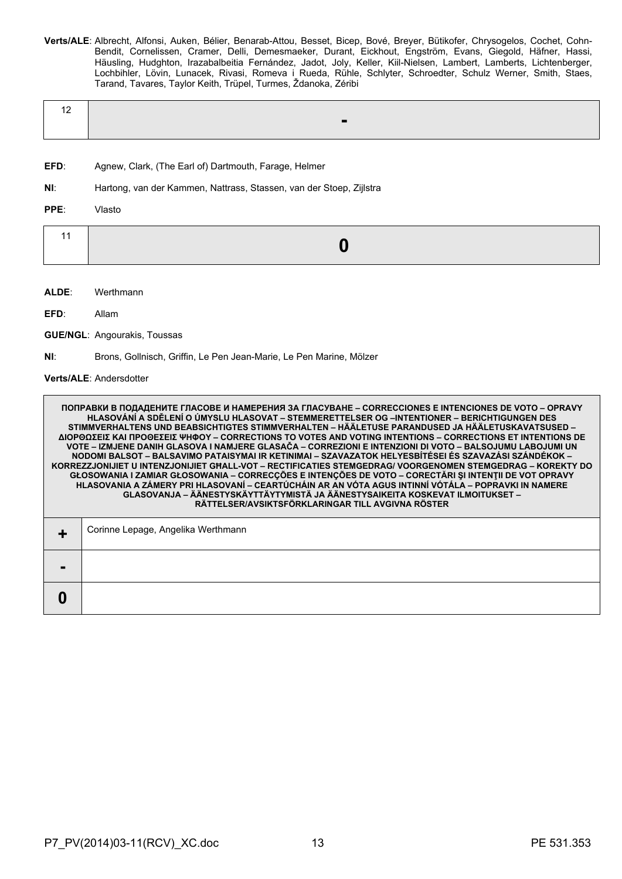**Verts/ALE**: Albrecht, Alfonsi, Auken, Bélier, Benarab-Attou, Besset, Bicep, Bové, Breyer, Bütikofer, Chrysogelos, Cochet, Cohn-Bendit, Cornelissen, Cramer, Delli, Demesmaeker, Durant, Eickhout, Engström, Evans, Giegold, Häfner, Hassi, Häusling, Hudghton, Irazabalbeitia Fernández, Jadot, Joly, Keller, Kiil-Nielsen, Lambert, Lamberts, Lichtenberger, Lochbihler, Lövin, Lunacek, Rivasi, Romeva i Rueda, Rühle, Schlyter, Schroedter, Schulz Werner, Smith, Staes, Tarand, Tavares, Taylor Keith, Trüpel, Turmes, Ždanoka, Zéribi

- **EFD**: Agnew, Clark, (The Earl of) Dartmouth, Farage, Helmer
- **NI**: Hartong, van der Kammen, Nattrass, Stassen, van der Stoep, Zijlstra

#### **PPE**: Vlasto

- **ALDE**: Werthmann
- **EFD**: Allam

**0**

- **GUE/NGL**: Angourakis, Toussas
- **NI**: Brons, Gollnisch, Griffin, Le Pen Jean-Marie, Le Pen Marine, Mölzer

#### **Verts/ALE**: Andersdotter

**ПОПРАВКИ В ПОДАДЕНИТЕ ГЛАСОВЕ И НАМЕРЕНИЯ ЗА ГЛАСУВАНЕ – CORRECCIONES E INTENCIONES DE VOTO – OPRAVY HLASOVÁNÍ A SDĚLENÍ O ÚMYSLU HLASOVAT – STEMMERETTELSER OG –INTENTIONER – BERICHTIGUNGEN DES STIMMVERHALTENS UND BEABSICHTIGTES STIMMVERHALTEN – HÄÄLETUSE PARANDUSED JA HÄÄLETUSKAVATSUSED – ΔΙΟΡΘΩΣΕΙΣ ΚΑΙ ΠΡΟΘΕΣΕΙΣ ΨΗΦΟΥ – CORRECTIONS TO VOTES AND VOTING INTENTIONS – CORRECTIONS ET INTENTIONS DE VOTE – IZMJENE DANIH GLASOVA I NAMJERE GLASAČA – CORREZIONI E INTENZIONI DI VOTO – BALSOJUMU LABOJUMI UN NODOMI BALSOT – BALSAVIMO PATAISYMAI IR KETINIMAI – SZAVAZATOK HELYESBÍTÉSEI ÉS SZAVAZÁSI SZÁNDÉKOK – KORREZZJONIJIET U INTENZJONIJIET GĦALL-VOT – RECTIFICATIES STEMGEDRAG/ VOORGENOMEN STEMGEDRAG – KOREKTY DO GŁOSOWANIA I ZAMIAR GŁOSOWANIA – CORRECÇÕES E INTENÇÕES DE VOTO – CORECTĂRI ŞI INTENŢII DE VOT OPRAVY HLASOVANIA A ZÁMERY PRI HLASOVANÍ – CEARTÚCHÁIN AR AN VÓTA AGUS INTINNÍ VÓTÁLA – POPRAVKI IN NAMERE GLASOVANJA – ÄÄNESTYSKÄYTTÄYTYMISTÄ JA ÄÄNESTYSAIKEITA KOSKEVAT ILMOITUKSET – RÄTTELSER/AVSIKTSFÖRKLARINGAR TILL AVGIVNA RÖSTER +** Corinne Lepage, Angelika Werthmann **-**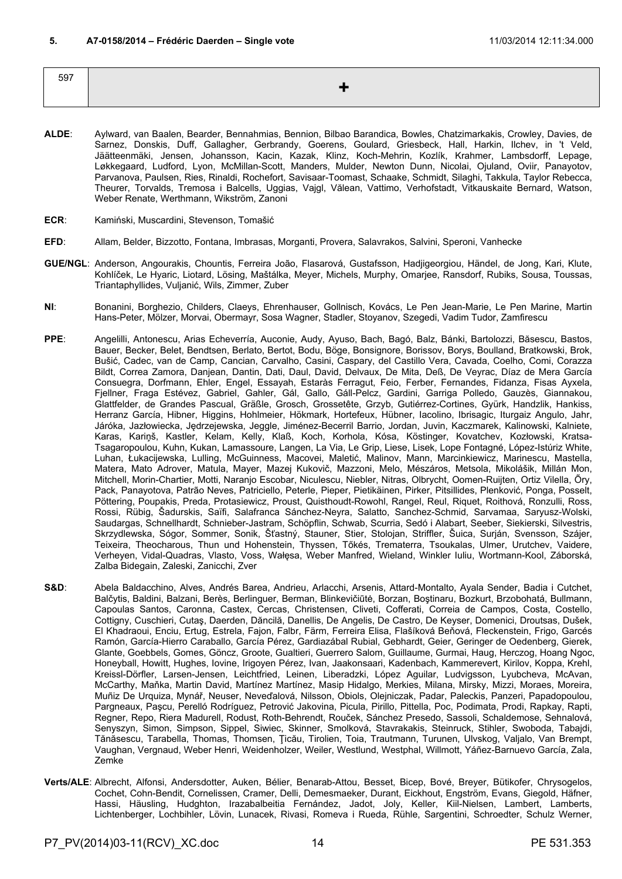- <span id="page-13-0"></span>**ALDE**: Aylward, van Baalen, Bearder, Bennahmias, Bennion, Bilbao Barandica, Bowles, Chatzimarkakis, Crowley, Davies, de Sarnez, Donskis, Duff, Gallagher, Gerbrandy, Goerens, Goulard, Griesbeck, Hall, Harkin, Ilchev, in 't Veld, Jäätteenmäki, Jensen, Johansson, Kacin, Kazak, Klinz, Koch-Mehrin, Kozlík, Krahmer, Lambsdorff, Lepage, Løkkegaard, Ludford, Lyon, McMillan-Scott, Manders, Mulder, Newton Dunn, Nicolai, Ojuland, Oviir, Panayotov, Parvanova, Paulsen, Ries, Rinaldi, Rochefort, Savisaar-Toomast, Schaake, Schmidt, Silaghi, Takkula, Taylor Rebecca, Theurer, Torvalds, Tremosa i Balcells, Uggias, Vajgl, Vălean, Vattimo, Verhofstadt, Vitkauskaite Bernard, Watson, Weber Renate, Werthmann, Wikström, Zanoni
- **ECR**: Kamiński, Muscardini, Stevenson, Tomašić
- **EFD**: Allam, Belder, Bizzotto, Fontana, Imbrasas, Morganti, Provera, Salavrakos, Salvini, Speroni, Vanhecke
- **GUE/NGL**: Anderson, Angourakis, Chountis, Ferreira João, Flasarová, Gustafsson, Hadjigeorgiou, Händel, de Jong, Kari, Klute, Kohlíček, Le Hyaric, Liotard, Lösing, Maštálka, Meyer, Michels, Murphy, Omarjee, Ransdorf, Rubiks, Sousa, Toussas, Triantaphyllides, Vuljanić, Wils, Zimmer, Zuber
- **NI**: Bonanini, Borghezio, Childers, Claeys, Ehrenhauser, Gollnisch, Kovács, Le Pen Jean-Marie, Le Pen Marine, Martin Hans-Peter, Mölzer, Morvai, Obermayr, Sosa Wagner, Stadler, Stoyanov, Szegedi, Vadim Tudor, Zamfirescu
- **PPE**: Angelilli, Antonescu, Arias Echeverría, Auconie, Audy, Ayuso, Bach, Bagó, Balz, Bánki, Bartolozzi, Băsescu, Bastos, Bauer, Becker, Belet, Bendtsen, Berlato, Bertot, Bodu, Böge, Bonsignore, Borissov, Borys, Boulland, Bratkowski, Brok, Bušić, Cadec, van de Camp, Cancian, Carvalho, Casini, Caspary, del Castillo Vera, Cavada, Coelho, Comi, Corazza Bildt, Correa Zamora, Danjean, Dantin, Dati, Daul, David, Delvaux, De Mita, Deß, De Veyrac, Díaz de Mera García Consuegra, Dorfmann, Ehler, Engel, Essayah, Estaràs Ferragut, Feio, Ferber, Fernandes, Fidanza, Fisas Ayxela, Fjellner, Fraga Estévez, Gabriel, Gahler, Gál, Gallo, Gáll-Pelcz, Gardini, Garriga Polledo, Gauzès, Giannakou, Glattfelder, de Grandes Pascual, Gräßle, Grosch, Grossetête, Grzyb, Gutiérrez-Cortines, Gyürk, Handzlik, Hankiss, Herranz García, Hibner, Higgins, Hohlmeier, Hökmark, Hortefeux, Hübner, Iacolino, Ibrisagic, Iturgaiz Angulo, Jahr, Járóka, Jazłowiecka, Jędrzejewska, Jeggle, Jiménez-Becerril Barrio, Jordan, Juvin, Kaczmarek, Kalinowski, Kalniete, Karas, Kariņš, Kastler, Kelam, Kelly, Klaß, Koch, Korhola, Kósa, Köstinger, Kovatchev, Kozłowski, Kratsa-Tsagaropoulou, Kuhn, Kukan, Lamassoure, Langen, La Via, Le Grip, Liese, Lisek, Lope Fontagné, López-Istúriz White, Luhan, Łukacijewska, Lulling, McGuinness, Macovei, Maletić, Malinov, Mann, Marcinkiewicz, Marinescu, Mastella, Matera, Mato Adrover, Matula, Mayer, Mazej Kukovič, Mazzoni, Melo, Mészáros, Metsola, Mikolášik, Millán Mon, Mitchell, Morin-Chartier, Motti, Naranjo Escobar, Niculescu, Niebler, Nitras, Olbrycht, Oomen-Ruijten, Ortiz Vilella, Őry, Pack, Panayotova, Patrão Neves, Patriciello, Peterle, Pieper, Pietikäinen, Pirker, Pitsillides, Plenković, Ponga, Posselt, Pöttering, Poupakis, Preda, Protasiewicz, Proust, Quisthoudt-Rowohl, Rangel, Reul, Riquet, Roithová, Ronzulli, Ross, Rossi, Rübig, Šadurskis, Saïfi, Salafranca Sánchez-Neyra, Salatto, Sanchez-Schmid, Sarvamaa, Saryusz-Wolski, Saudargas, Schnellhardt, Schnieber-Jastram, Schöpflin, Schwab, Scurria, Sedó i Alabart, Seeber, Siekierski, Silvestris, Skrzydlewska, Sógor, Sommer, Sonik, Šťastný, Stauner, Stier, Stolojan, Striffler, Šuica, Surján, Svensson, Szájer, Teixeira, Theocharous, Thun und Hohenstein, Thyssen, Tőkés, Trematerra, Tsoukalas, Ulmer, Urutchev, Vaidere, Verheyen, Vidal-Quadras, Vlasto, Voss, Wałęsa, Weber Manfred, Wieland, Winkler Iuliu, Wortmann-Kool, Záborská, Zalba Bidegain, Zaleski, Zanicchi, Zver
- **S&D**: Abela Baldacchino, Alves, Andrés Barea, Andrieu, Arlacchi, Arsenis, Attard-Montalto, Ayala Sender, Badia i Cutchet, Balčytis, Baldini, Balzani, Berès, Berlinguer, Berman, Blinkevičiūtė, Borzan, Boştinaru, Bozkurt, Brzobohatá, Bullmann, Capoulas Santos, Caronna, Castex, Cercas, Christensen, Cliveti, Cofferati, Correia de Campos, Costa, Costello, Cottigny, Cuschieri, Cutaş, Daerden, Dăncilă, Danellis, De Angelis, De Castro, De Keyser, Domenici, Droutsas, Dušek, El Khadraoui, Enciu, Ertug, Estrela, Fajon, Falbr, Färm, Ferreira Elisa, Flašíková Beňová, Fleckenstein, Frigo, Garcés Ramón, García-Hierro Caraballo, García Pérez, Gardiazábal Rubial, Gebhardt, Geier, Geringer de Oedenberg, Gierek, Glante, Goebbels, Gomes, Göncz, Groote, Gualtieri, Guerrero Salom, Guillaume, Gurmai, Haug, Herczog, Hoang Ngoc, Honeyball, Howitt, Hughes, Iovine, Irigoyen Pérez, Ivan, Jaakonsaari, Kadenbach, Kammerevert, Kirilov, Koppa, Krehl, Kreissl-Dörfler, Larsen-Jensen, Leichtfried, Leinen, Liberadzki, López Aguilar, Ludvigsson, Lyubcheva, McAvan, McCarthy, Maňka, Martin David, Martínez Martínez, Masip Hidalgo, Merkies, Milana, Mirsky, Mizzi, Moraes, Moreira, Muñiz De Urquiza, Mynář, Neuser, Neveďalová, Nilsson, Obiols, Olejniczak, Padar, Paleckis, Panzeri, Papadopoulou, Pargneaux, Paşcu, Perelló Rodríguez, Petrović Jakovina, Picula, Pirillo, Pittella, Poc, Podimata, Prodi, Rapkay, Rapti, Regner, Repo, Riera Madurell, Rodust, Roth-Behrendt, Rouček, Sánchez Presedo, Sassoli, Schaldemose, Sehnalová, Senyszyn, Simon, Simpson, Sippel, Siwiec, Skinner, Smolková, Stavrakakis, Steinruck, Stihler, Swoboda, Tabajdi, Tănăsescu, Tarabella, Thomas, Thomsen, Ţicău, Tirolien, Toia, Trautmann, Turunen, Ulvskog, Valjalo, Van Brempt, Vaughan, Vergnaud, Weber Henri, Weidenholzer, Weiler, Westlund, Westphal, Willmott, Yáñez-Barnuevo García, Zala, Zemke
- **Verts/ALE**: Albrecht, Alfonsi, Andersdotter, Auken, Bélier, Benarab-Attou, Besset, Bicep, Bové, Breyer, Bütikofer, Chrysogelos, Cochet, Cohn-Bendit, Cornelissen, Cramer, Delli, Demesmaeker, Durant, Eickhout, Engström, Evans, Giegold, Häfner, Hassi, Häusling, Hudghton, Irazabalbeitia Fernández, Jadot, Joly, Keller, Kiil-Nielsen, Lambert, Lamberts, Lichtenberger, Lochbihler, Lövin, Lunacek, Rivasi, Romeva i Rueda, Rühle, Sargentini, Schroedter, Schulz Werner,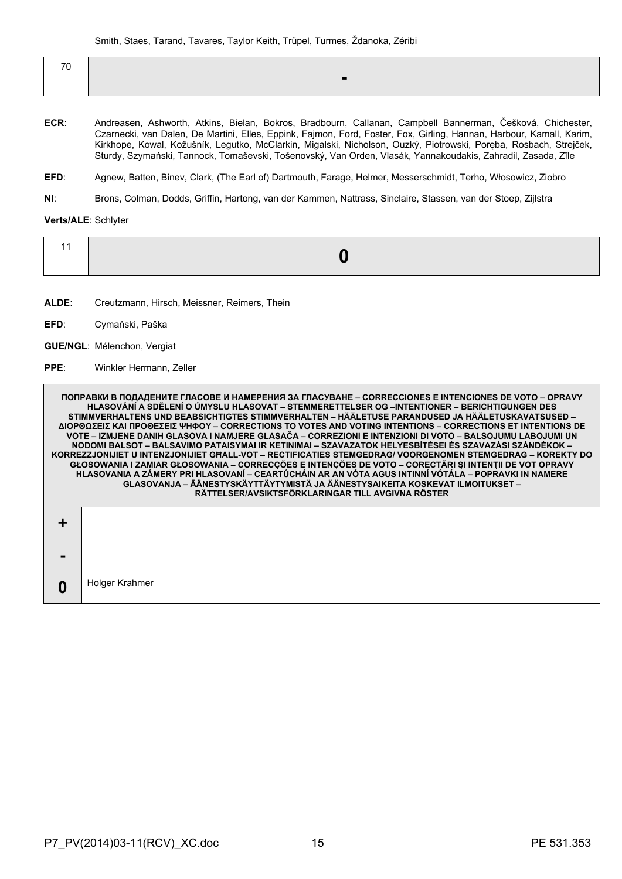| 70 |     |
|----|-----|
|    | . . |
|    |     |

- **ECR**: Andreasen, Ashworth, Atkins, Bielan, Bokros, Bradbourn, Callanan, Campbell Bannerman, Češková, Chichester, Czarnecki, van Dalen, De Martini, Elles, Eppink, Fajmon, Ford, Foster, Fox, Girling, Hannan, Harbour, Kamall, Karim, Kirkhope, Kowal, Kožušník, Legutko, McClarkin, Migalski, Nicholson, Ouzký, Piotrowski, Poręba, Rosbach, Strejček, Sturdy, Szymański, Tannock, Tomaševski, Tošenovský, Van Orden, Vlasák, Yannakoudakis, Zahradil, Zasada, Zīle
- **EFD**: Agnew, Batten, Binev, Clark, (The Earl of) Dartmouth, Farage, Helmer, Messerschmidt, Terho, Włosowicz, Ziobro
- **NI**: Brons, Colman, Dodds, Griffin, Hartong, van der Kammen, Nattrass, Sinclaire, Stassen, van der Stoep, Zijlstra

**Verts/ALE**: Schlyter

|--|

- **ALDE**: Creutzmann, Hirsch, Meissner, Reimers, Thein
- **EFD**: Cymański, Paška
- **GUE/NGL**: Mélenchon, Vergiat
- **PPE**: Winkler Hermann, Zeller

**ПОПРАВКИ В ПОДАДЕНИТЕ ГЛАСОВЕ И НАМЕРЕНИЯ ЗА ГЛАСУВАНЕ – CORRECCIONES E INTENCIONES DE VOTO – OPRAVY HLASOVÁNÍ A SDĚLENÍ O ÚMYSLU HLASOVAT – STEMMERETTELSER OG –INTENTIONER – BERICHTIGUNGEN DES STIMMVERHALTENS UND BEABSICHTIGTES STIMMVERHALTEN – HÄÄLETUSE PARANDUSED JA HÄÄLETUSKAVATSUSED – ΔΙΟΡΘΩΣΕΙΣ ΚΑΙ ΠΡΟΘΕΣΕΙΣ ΨΗΦΟΥ – CORRECTIONS TO VOTES AND VOTING INTENTIONS – CORRECTIONS ET INTENTIONS DE VOTE – IZMJENE DANIH GLASOVA I NAMJERE GLASAČA – CORREZIONI E INTENZIONI DI VOTO – BALSOJUMU LABOJUMI UN NODOMI BALSOT – BALSAVIMO PATAISYMAI IR KETINIMAI – SZAVAZATOK HELYESBÍTÉSEI ÉS SZAVAZÁSI SZÁNDÉKOK – KORREZZJONIJIET U INTENZJONIJIET GĦALL-VOT – RECTIFICATIES STEMGEDRAG/ VOORGENOMEN STEMGEDRAG – KOREKTY DO GŁOSOWANIA I ZAMIAR GŁOSOWANIA – CORRECÇÕES E INTENÇÕES DE VOTO – CORECTĂRI ŞI INTENŢII DE VOT OPRAVY HLASOVANIA A ZÁMERY PRI HLASOVANÍ – CEARTÚCHÁIN AR AN VÓTA AGUS INTINNÍ VÓTÁLA – POPRAVKI IN NAMERE GLASOVANJA – ÄÄNESTYSKÄYTTÄYTYMISTÄ JA ÄÄNESTYSAIKEITA KOSKEVAT ILMOITUKSET – RÄTTELSER/AVSIKTSFÖRKLARINGAR TILL AVGIVNA RÖSTER + - 0** Holger Krahmer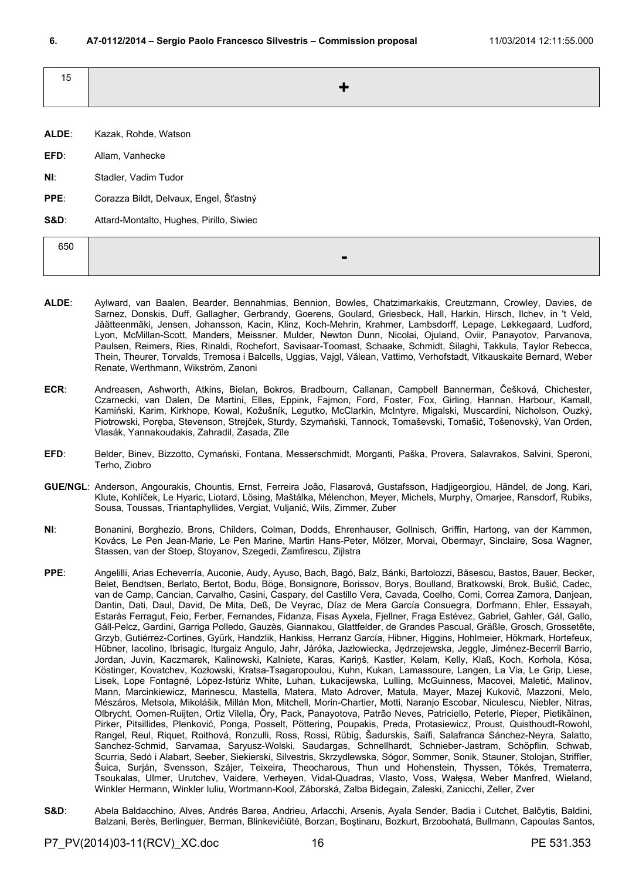<span id="page-15-0"></span>

| 15 |       |
|----|-------|
|    | $\pm$ |
|    |       |

- **ALDE**: Kazak, Rohde, Watson
- **EFD**: Allam, Vanhecke
- **NI**: Stadler, Vadim Tudor
- **PPE**: Corazza Bildt, Delvaux, Engel, Šťastný
- **S&D**: Attard-Montalto, Hughes, Pirillo, Siwiec

| 650 |  |
|-----|--|
|     |  |

- **ALDE**: Aylward, van Baalen, Bearder, Bennahmias, Bennion, Bowles, Chatzimarkakis, Creutzmann, Crowley, Davies, de Sarnez, Donskis, Duff, Gallagher, Gerbrandy, Goerens, Goulard, Griesbeck, Hall, Harkin, Hirsch, Ilchev, in 't Veld, Jäätteenmäki, Jensen, Johansson, Kacin, Klinz, Koch-Mehrin, Krahmer, Lambsdorff, Lepage, Løkkegaard, Ludford, Lyon, McMillan-Scott, Manders, Meissner, Mulder, Newton Dunn, Nicolai, Ojuland, Oviir, Panayotov, Parvanova, Paulsen, Reimers, Ries, Rinaldi, Rochefort, Savisaar-Toomast, Schaake, Schmidt, Silaghi, Takkula, Taylor Rebecca, Thein, Theurer, Torvalds, Tremosa i Balcells, Uggias, Vajgl, Vălean, Vattimo, Verhofstadt, Vitkauskaite Bernard, Weber Renate, Werthmann, Wikström, Zanoni
- **ECR**: Andreasen, Ashworth, Atkins, Bielan, Bokros, Bradbourn, Callanan, Campbell Bannerman, Češková, Chichester, Czarnecki, van Dalen, De Martini, Elles, Eppink, Fajmon, Ford, Foster, Fox, Girling, Hannan, Harbour, Kamall, Kamiński, Karim, Kirkhope, Kowal, Kožušník, Legutko, McClarkin, McIntyre, Migalski, Muscardini, Nicholson, Ouzký, Piotrowski, Poręba, Stevenson, Strejček, Sturdy, Szymański, Tannock, Tomaševski, Tomašić, Tošenovský, Van Orden, Vlasák, Yannakoudakis, Zahradil, Zasada, Zīle
- **EFD**: Belder, Binev, Bizzotto, Cymański, Fontana, Messerschmidt, Morganti, Paška, Provera, Salavrakos, Salvini, Speroni, Terho, Ziobro
- **GUE/NGL**: Anderson, Angourakis, Chountis, Ernst, Ferreira João, Flasarová, Gustafsson, Hadjigeorgiou, Händel, de Jong, Kari, Klute, Kohlíček, Le Hyaric, Liotard, Lösing, Maštálka, Mélenchon, Meyer, Michels, Murphy, Omarjee, Ransdorf, Rubiks, Sousa, Toussas, Triantaphyllides, Vergiat, Vuljanić, Wils, Zimmer, Zuber
- **NI**: Bonanini, Borghezio, Brons, Childers, Colman, Dodds, Ehrenhauser, Gollnisch, Griffin, Hartong, van der Kammen, Kovács, Le Pen Jean-Marie, Le Pen Marine, Martin Hans-Peter, Mölzer, Morvai, Obermayr, Sinclaire, Sosa Wagner, Stassen, van der Stoep, Stoyanov, Szegedi, Zamfirescu, Zijlstra
- **PPE**: Angelilli, Arias Echeverría, Auconie, Audy, Ayuso, Bach, Bagó, Balz, Bánki, Bartolozzi, Băsescu, Bastos, Bauer, Becker, Belet, Bendtsen, Berlato, Bertot, Bodu, Böge, Bonsignore, Borissov, Borys, Boulland, Bratkowski, Brok, Bušić, Cadec, van de Camp, Cancian, Carvalho, Casini, Caspary, del Castillo Vera, Cavada, Coelho, Comi, Correa Zamora, Danjean, Dantin, Dati, Daul, David, De Mita, Deß, De Veyrac, Díaz de Mera García Consuegra, Dorfmann, Ehler, Essayah, Estaràs Ferragut, Feio, Ferber, Fernandes, Fidanza, Fisas Ayxela, Fjellner, Fraga Estévez, Gabriel, Gahler, Gál, Gallo, Gáll-Pelcz, Gardini, Garriga Polledo, Gauzès, Giannakou, Glattfelder, de Grandes Pascual, Gräßle, Grosch, Grossetête, Grzyb, Gutiérrez-Cortines, Gyürk, Handzlik, Hankiss, Herranz García, Hibner, Higgins, Hohlmeier, Hökmark, Hortefeux, Hübner, Iacolino, Ibrisagic, Iturgaiz Angulo, Jahr, Járóka, Jazłowiecka, Jędrzejewska, Jeggle, Jiménez-Becerril Barrio, Jordan, Juvin, Kaczmarek, Kalinowski, Kalniete, Karas, Kariņš, Kastler, Kelam, Kelly, Klaß, Koch, Korhola, Kósa, Köstinger, Kovatchev, Kozłowski, Kratsa-Tsagaropoulou, Kuhn, Kukan, Lamassoure, Langen, La Via, Le Grip, Liese, Lisek, Lope Fontagné, López-Istúriz White, Luhan, Łukacijewska, Lulling, McGuinness, Macovei, Maletić, Malinov, Mann, Marcinkiewicz, Marinescu, Mastella, Matera, Mato Adrover, Matula, Mayer, Mazej Kukovič, Mazzoni, Melo, Mészáros, Metsola, Mikolášik, Millán Mon, Mitchell, Morin-Chartier, Motti, Naranjo Escobar, Niculescu, Niebler, Nitras, Olbrycht, Oomen-Ruijten, Ortiz Vilella, Őry, Pack, Panayotova, Patrão Neves, Patriciello, Peterle, Pieper, Pietikäinen, Pirker, Pitsillides, Plenković, Ponga, Posselt, Pöttering, Poupakis, Preda, Protasiewicz, Proust, Quisthoudt-Rowohl, Rangel, Reul, Riquet, Roithová, Ronzulli, Ross, Rossi, Rübig, Šadurskis, Saïfi, Salafranca Sánchez-Neyra, Salatto, Sanchez-Schmid, Sarvamaa, Saryusz-Wolski, Saudargas, Schnellhardt, Schnieber-Jastram, Schöpflin, Schwab, Scurria, Sedó i Alabart, Seeber, Siekierski, Silvestris, Skrzydlewska, Sógor, Sommer, Sonik, Stauner, Stolojan, Striffler, Šuica, Surján, Svensson, Szájer, Teixeira, Theocharous, Thun und Hohenstein, Thyssen, Tőkés, Trematerra, Tsoukalas, Ulmer, Urutchev, Vaidere, Verheyen, Vidal-Quadras, Vlasto, Voss, Wałęsa, Weber Manfred, Wieland, Winkler Hermann, Winkler Iuliu, Wortmann-Kool, Záborská, Zalba Bidegain, Zaleski, Zanicchi, Zeller, Zver
- **S&D**: Abela Baldacchino, Alves, Andrés Barea, Andrieu, Arlacchi, Arsenis, Ayala Sender, Badia i Cutchet, Balčytis, Baldini, Balzani, Berès, Berlinguer, Berman, Blinkevičiūtė, Borzan, Boştinaru, Bozkurt, Brzobohatá, Bullmann, Capoulas Santos,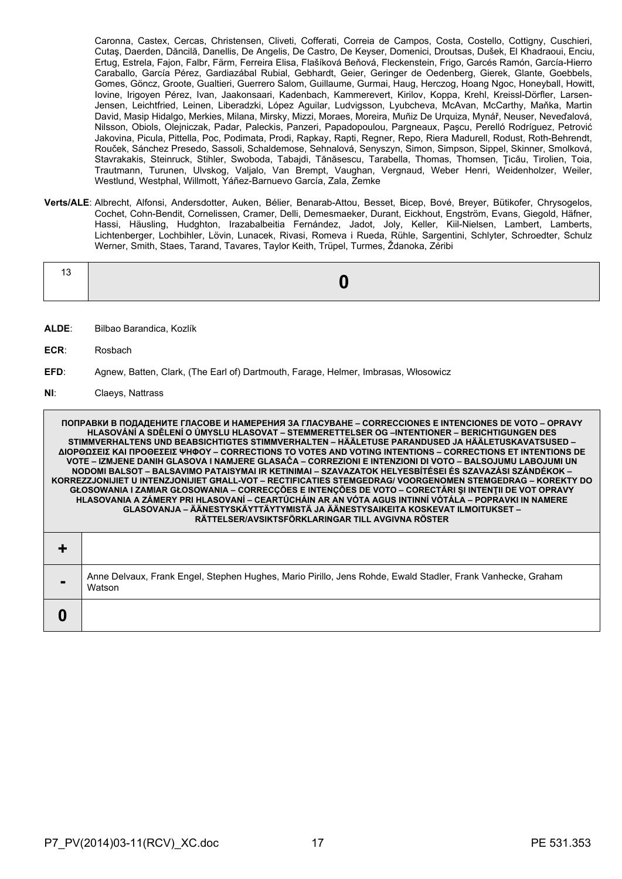Caronna, Castex, Cercas, Christensen, Cliveti, Cofferati, Correia de Campos, Costa, Costello, Cottigny, Cuschieri, Cutaş, Daerden, Dăncilă, Danellis, De Angelis, De Castro, De Keyser, Domenici, Droutsas, Dušek, El Khadraoui, Enciu, Ertug, Estrela, Fajon, Falbr, Färm, Ferreira Elisa, Flašíková Beňová, Fleckenstein, Frigo, Garcés Ramón, García-Hierro Caraballo, García Pérez, Gardiazábal Rubial, Gebhardt, Geier, Geringer de Oedenberg, Gierek, Glante, Goebbels, Gomes, Göncz, Groote, Gualtieri, Guerrero Salom, Guillaume, Gurmai, Haug, Herczog, Hoang Ngoc, Honeyball, Howitt, Iovine, Irigoyen Pérez, Ivan, Jaakonsaari, Kadenbach, Kammerevert, Kirilov, Koppa, Krehl, Kreissl-Dörfler, Larsen-Jensen, Leichtfried, Leinen, Liberadzki, López Aguilar, Ludvigsson, Lyubcheva, McAvan, McCarthy, Maňka, Martin David, Masip Hidalgo, Merkies, Milana, Mirsky, Mizzi, Moraes, Moreira, Muñiz De Urquiza, Mynář, Neuser, Neveďalová, Nilsson, Obiols, Olejniczak, Padar, Paleckis, Panzeri, Papadopoulou, Pargneaux, Paşcu, Perelló Rodríguez, Petrović Jakovina, Picula, Pittella, Poc, Podimata, Prodi, Rapkay, Rapti, Regner, Repo, Riera Madurell, Rodust, Roth-Behrendt, Rouček, Sánchez Presedo, Sassoli, Schaldemose, Sehnalová, Senyszyn, Simon, Simpson, Sippel, Skinner, Smolková, Stavrakakis, Steinruck, Stihler, Swoboda, Tabajdi, Tănăsescu, Tarabella, Thomas, Thomsen, Ţicău, Tirolien, Toia, Trautmann, Turunen, Ulvskog, Valjalo, Van Brempt, Vaughan, Vergnaud, Weber Henri, Weidenholzer, Weiler, Westlund, Westphal, Willmott, Yáñez-Barnuevo García, Zala, Zemke

**Verts/ALE**: Albrecht, Alfonsi, Andersdotter, Auken, Bélier, Benarab-Attou, Besset, Bicep, Bové, Breyer, Bütikofer, Chrysogelos, Cochet, Cohn-Bendit, Cornelissen, Cramer, Delli, Demesmaeker, Durant, Eickhout, Engström, Evans, Giegold, Häfner, Hassi, Häusling, Hudghton, Irazabalbeitia Fernández, Jadot, Joly, Keller, Kiil-Nielsen, Lambert, Lamberts, Lichtenberger, Lochbihler, Lövin, Lunacek, Rivasi, Romeva i Rueda, Rühle, Sargentini, Schlyter, Schroedter, Schulz Werner, Smith, Staes, Tarand, Tavares, Taylor Keith, Trüpel, Turmes, Ždanoka, Zéribi

- **ALDE**: Bilbao Barandica, Kozlík
- **ECR**: Rosbach
- **EFD**: Agnew, Batten, Clark, (The Earl of) Dartmouth, Farage, Helmer, Imbrasas, Włosowicz
- **NI**: Claeys, Nattrass

**ПОПРАВКИ В ПОДАДЕНИТЕ ГЛАСОВЕ И НАМЕРЕНИЯ ЗА ГЛАСУВАНЕ – CORRECCIONES E INTENCIONES DE VOTO – OPRAVY HLASOVÁNÍ A SDĚLENÍ O ÚMYSLU HLASOVAT – STEMMERETTELSER OG –INTENTIONER – BERICHTIGUNGEN DES STIMMVERHALTENS UND BEABSICHTIGTES STIMMVERHALTEN – HÄÄLETUSE PARANDUSED JA HÄÄLETUSKAVATSUSED – ΔΙΟΡΘΩΣΕΙΣ ΚΑΙ ΠΡΟΘΕΣΕΙΣ ΨΗΦΟΥ – CORRECTIONS TO VOTES AND VOTING INTENTIONS – CORRECTIONS ET INTENTIONS DE VOTE – IZMJENE DANIH GLASOVA I NAMJERE GLASAČA – CORREZIONI E INTENZIONI DI VOTO – BALSOJUMU LABOJUMI UN NODOMI BALSOT – BALSAVIMO PATAISYMAI IR KETINIMAI – SZAVAZATOK HELYESBÍTÉSEI ÉS SZAVAZÁSI SZÁNDÉKOK – KORREZZJONIJIET U INTENZJONIJIET GĦALL-VOT – RECTIFICATIES STEMGEDRAG/ VOORGENOMEN STEMGEDRAG – KOREKTY DO GŁOSOWANIA I ZAMIAR GŁOSOWANIA – CORRECÇÕES E INTENÇÕES DE VOTO – CORECTĂRI ŞI INTENŢII DE VOT OPRAVY HLASOVANIA A ZÁMERY PRI HLASOVANÍ – CEARTÚCHÁIN AR AN VÓTA AGUS INTINNÍ VÓTÁLA – POPRAVKI IN NAMERE GLASOVANJA – ÄÄNESTYSKÄYTTÄYTYMISTÄ JA ÄÄNESTYSAIKEITA KOSKEVAT ILMOITUKSET – RÄTTELSER/AVSIKTSFÖRKLARINGAR TILL AVGIVNA RÖSTER**

| Anne Delvaux, Frank Engel, Stephen Hughes, Mario Pirillo, Jens Rohde, Ewald Stadler, Frank Vanhecke, Graham<br>Watson |
|-----------------------------------------------------------------------------------------------------------------------|
|                                                                                                                       |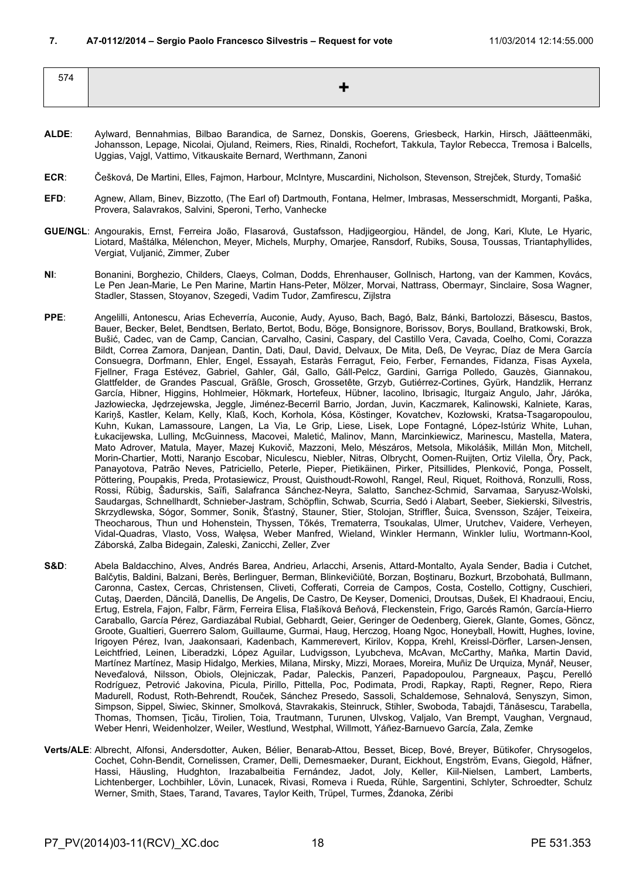<span id="page-17-0"></span>

| 574 |  |  |  |
|-----|--|--|--|
|-----|--|--|--|

- **ALDE**: Aylward, Bennahmias, Bilbao Barandica, de Sarnez, Donskis, Goerens, Griesbeck, Harkin, Hirsch, Jäätteenmäki, Johansson, Lepage, Nicolai, Ojuland, Reimers, Ries, Rinaldi, Rochefort, Takkula, Taylor Rebecca, Tremosa i Balcells, Uggias, Vajgl, Vattimo, Vitkauskaite Bernard, Werthmann, Zanoni
- **ECR**: Češková, De Martini, Elles, Fajmon, Harbour, McIntyre, Muscardini, Nicholson, Stevenson, Strejček, Sturdy, Tomašić
- **EFD**: Agnew, Allam, Binev, Bizzotto, (The Earl of) Dartmouth, Fontana, Helmer, Imbrasas, Messerschmidt, Morganti, Paška, Provera, Salavrakos, Salvini, Speroni, Terho, Vanhecke
- **GUE/NGL**: Angourakis, Ernst, Ferreira João, Flasarová, Gustafsson, Hadjigeorgiou, Händel, de Jong, Kari, Klute, Le Hyaric, Liotard, Maštálka, Mélenchon, Meyer, Michels, Murphy, Omarjee, Ransdorf, Rubiks, Sousa, Toussas, Triantaphyllides, Vergiat, Vuljanić, Zimmer, Zuber
- **NI**: Bonanini, Borghezio, Childers, Claeys, Colman, Dodds, Ehrenhauser, Gollnisch, Hartong, van der Kammen, Kovács, Le Pen Jean-Marie, Le Pen Marine, Martin Hans-Peter, Mölzer, Morvai, Nattrass, Obermayr, Sinclaire, Sosa Wagner, Stadler, Stassen, Stoyanov, Szegedi, Vadim Tudor, Zamfirescu, Zijlstra
- **PPE**: Angelilli, Antonescu, Arias Echeverría, Auconie, Audy, Ayuso, Bach, Bagó, Balz, Bánki, Bartolozzi, Băsescu, Bastos, Bauer, Becker, Belet, Bendtsen, Berlato, Bertot, Bodu, Böge, Bonsignore, Borissov, Borys, Boulland, Bratkowski, Brok, Bušić, Cadec, van de Camp, Cancian, Carvalho, Casini, Caspary, del Castillo Vera, Cavada, Coelho, Comi, Corazza Bildt, Correa Zamora, Danjean, Dantin, Dati, Daul, David, Delvaux, De Mita, Deß, De Veyrac, Díaz de Mera García Consuegra, Dorfmann, Ehler, Engel, Essayah, Estaràs Ferragut, Feio, Ferber, Fernandes, Fidanza, Fisas Ayxela, Fjellner, Fraga Estévez, Gabriel, Gahler, Gál, Gallo, Gáll-Pelcz, Gardini, Garriga Polledo, Gauzès, Giannakou, Glattfelder, de Grandes Pascual, Gräßle, Grosch, Grossetête, Grzyb, Gutiérrez-Cortines, Gyürk, Handzlik, Herranz García, Hibner, Higgins, Hohlmeier, Hökmark, Hortefeux, Hübner, Iacolino, Ibrisagic, Iturgaiz Angulo, Jahr, Járóka, Jazłowiecka, Jędrzejewska, Jeggle, Jiménez-Becerril Barrio, Jordan, Juvin, Kaczmarek, Kalinowski, Kalniete, Karas, Kariņš, Kastler, Kelam, Kelly, Klaß, Koch, Korhola, Kósa, Köstinger, Kovatchev, Kozłowski, Kratsa-Tsagaropoulou, Kuhn, Kukan, Lamassoure, Langen, La Via, Le Grip, Liese, Lisek, Lope Fontagné, López-Istúriz White, Luhan, Łukacijewska, Lulling, McGuinness, Macovei, Maletić, Malinov, Mann, Marcinkiewicz, Marinescu, Mastella, Matera, Mato Adrover, Matula, Mayer, Mazej Kukovič, Mazzoni, Melo, Mészáros, Metsola, Mikolášik, Millán Mon, Mitchell, Morin-Chartier, Motti, Naranjo Escobar, Niculescu, Niebler, Nitras, Olbrycht, Oomen-Ruijten, Ortiz Vilella, Őry, Pack, Panayotova, Patrão Neves, Patriciello, Peterle, Pieper, Pietikäinen, Pirker, Pitsillides, Plenković, Ponga, Posselt, Pöttering, Poupakis, Preda, Protasiewicz, Proust, Quisthoudt-Rowohl, Rangel, Reul, Riquet, Roithová, Ronzulli, Ross, Rossi, Rübig, Šadurskis, Saïfi, Salafranca Sánchez-Neyra, Salatto, Sanchez-Schmid, Sarvamaa, Saryusz-Wolski, Saudargas, Schnellhardt, Schnieber-Jastram, Schöpflin, Schwab, Scurria, Sedó i Alabart, Seeber, Siekierski, Silvestris, Skrzydlewska, Sógor, Sommer, Sonik, Šťastný, Stauner, Stier, Stolojan, Striffler, Šuica, Svensson, Szájer, Teixeira, Theocharous, Thun und Hohenstein, Thyssen, Tőkés, Trematerra, Tsoukalas, Ulmer, Urutchev, Vaidere, Verheyen, Vidal-Quadras, Vlasto, Voss, Wałęsa, Weber Manfred, Wieland, Winkler Hermann, Winkler Iuliu, Wortmann-Kool, Záborská, Zalba Bidegain, Zaleski, Zanicchi, Zeller, Zver
- **S&D**: Abela Baldacchino, Alves, Andrés Barea, Andrieu, Arlacchi, Arsenis, Attard-Montalto, Ayala Sender, Badia i Cutchet, Balčytis, Baldini, Balzani, Berès, Berlinguer, Berman, Blinkevičiūtė, Borzan, Boştinaru, Bozkurt, Brzobohatá, Bullmann, Caronna, Castex, Cercas, Christensen, Cliveti, Cofferati, Correia de Campos, Costa, Costello, Cottigny, Cuschieri, Cutaş, Daerden, Dăncilă, Danellis, De Angelis, De Castro, De Keyser, Domenici, Droutsas, Dušek, El Khadraoui, Enciu, Ertug, Estrela, Fajon, Falbr, Färm, Ferreira Elisa, Flašíková Beňová, Fleckenstein, Frigo, Garcés Ramón, García-Hierro Caraballo, García Pérez, Gardiazábal Rubial, Gebhardt, Geier, Geringer de Oedenberg, Gierek, Glante, Gomes, Göncz, Groote, Gualtieri, Guerrero Salom, Guillaume, Gurmai, Haug, Herczog, Hoang Ngoc, Honeyball, Howitt, Hughes, Iovine, Irigoyen Pérez, Ivan, Jaakonsaari, Kadenbach, Kammerevert, Kirilov, Koppa, Krehl, Kreissl-Dörfler, Larsen-Jensen, Leichtfried, Leinen, Liberadzki, López Aguilar, Ludvigsson, Lyubcheva, McAvan, McCarthy, Maňka, Martin David, Martínez Martínez, Masip Hidalgo, Merkies, Milana, Mirsky, Mizzi, Moraes, Moreira, Muñiz De Urquiza, Mynář, Neuser, Neveďalová, Nilsson, Obiols, Olejniczak, Padar, Paleckis, Panzeri, Papadopoulou, Pargneaux, Paşcu, Perelló Rodríguez, Petrović Jakovina, Picula, Pirillo, Pittella, Poc, Podimata, Prodi, Rapkay, Rapti, Regner, Repo, Riera Madurell, Rodust, Roth-Behrendt, Rouček, Sánchez Presedo, Sassoli, Schaldemose, Sehnalová, Senyszyn, Simon, Simpson, Sippel, Siwiec, Skinner, Smolková, Stavrakakis, Steinruck, Stihler, Swoboda, Tabajdi, Tănăsescu, Tarabella, Thomas, Thomsen, Ţicău, Tirolien, Toia, Trautmann, Turunen, Ulvskog, Valjalo, Van Brempt, Vaughan, Vergnaud, Weber Henri, Weidenholzer, Weiler, Westlund, Westphal, Willmott, Yáñez-Barnuevo García, Zala, Zemke
- **Verts/ALE**: Albrecht, Alfonsi, Andersdotter, Auken, Bélier, Benarab-Attou, Besset, Bicep, Bové, Breyer, Bütikofer, Chrysogelos, Cochet, Cohn-Bendit, Cornelissen, Cramer, Delli, Demesmaeker, Durant, Eickhout, Engström, Evans, Giegold, Häfner, Hassi, Häusling, Hudghton, Irazabalbeitia Fernández, Jadot, Joly, Keller, Kiil-Nielsen, Lambert, Lamberts, Lichtenberger, Lochbihler, Lövin, Lunacek, Rivasi, Romeva i Rueda, Rühle, Sargentini, Schlyter, Schroedter, Schulz Werner, Smith, Staes, Tarand, Tavares, Taylor Keith, Trüpel, Turmes, Ždanoka, Zéribi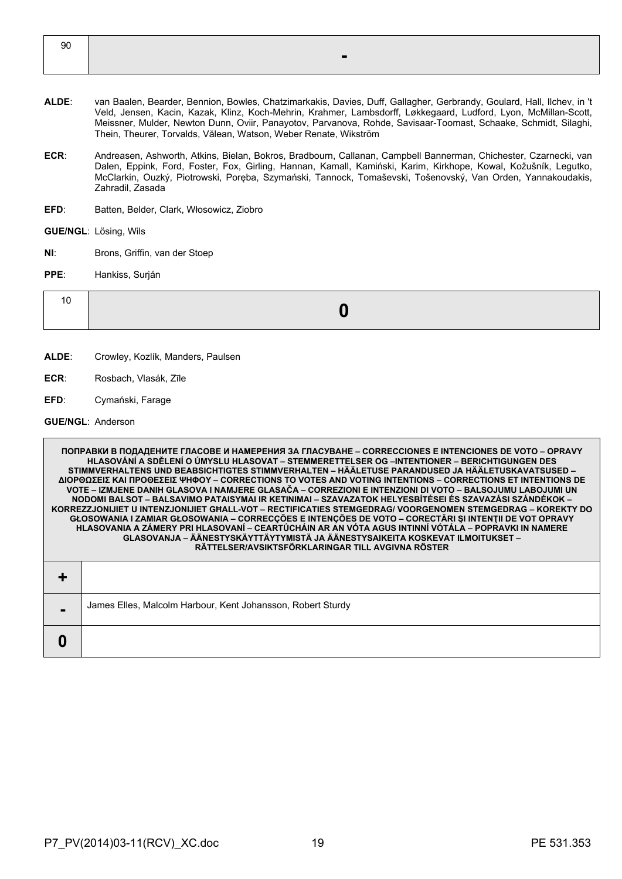90 **-**

- **ALDE**: van Baalen, Bearder, Bennion, Bowles, Chatzimarkakis, Davies, Duff, Gallagher, Gerbrandy, Goulard, Hall, Ilchev, in 't Veld, Jensen, Kacin, Kazak, Klinz, Koch-Mehrin, Krahmer, Lambsdorff, Løkkegaard, Ludford, Lyon, McMillan-Scott, Meissner, Mulder, Newton Dunn, Oviir, Panayotov, Parvanova, Rohde, Savisaar-Toomast, Schaake, Schmidt, Silaghi, Thein, Theurer, Torvalds, Vălean, Watson, Weber Renate, Wikström
- **ECR**: Andreasen, Ashworth, Atkins, Bielan, Bokros, Bradbourn, Callanan, Campbell Bannerman, Chichester, Czarnecki, van Dalen, Eppink, Ford, Foster, Fox, Girling, Hannan, Kamall, Kamiński, Karim, Kirkhope, Kowal, Kožušník, Legutko, McClarkin, Ouzký, Piotrowski, Poręba, Szymański, Tannock, Tomaševski, Tošenovský, Van Orden, Yannakoudakis, Zahradil, Zasada
- **EFD**: Batten, Belder, Clark, Włosowicz, Ziobro
- **GUE/NGL**: Lösing, Wils
- **NI**: Brons, Griffin, van der Stoep
- **PPE**: Hankiss, Surján

- **ALDE**: Crowley, Kozlík, Manders, Paulsen
- **ECR**: Rosbach, Vlasák, Zīle
- **EFD**: Cymański, Farage
- **GUE/NGL**: Anderson

| ПОПРАВКИ В ПОДАДЕНИТЕ ГЛАСОВЕ И НАМЕРЕНИЯ ЗА ГЛАСУВАНЕ – CORRECCIONES E INTENCIONES DE VOTO – OPRAVY<br>HLASOVÁNÍ A SDĚLENÍ O ÚMYSLU HLASOVAT – STEMMERETTELSER OG –INTENTIONER – BERICHTIGUNGEN DES<br>STIMMVERHALTENS UND BEABSICHTIGTES STIMMVERHALTEN – HÄÄLETUSE PARANDUSED JA HÄÄLETUSKAVATSUSED –<br>ΔΙΟΡΘΩΣΕΙΣ ΚΑΙ ΠΡΟΘΕΣΕΙΣ ΨΗΦΟΥ – CORRECTIONS TO VOTES AND VOTING INTENTIONS – CORRECTIONS ET INTENTIONS DE<br>VOTE - IZMJENE DANIH GLASOVA I NAMJERE GLASAČA - CORREZIONI E INTENZIONI DI VOTO - BALSOJUMU LABOJUMI UN<br>NODOMI BALSOT – BALSAVIMO PATAISYMAI IR KETINIMAI – SZAVAZATOK HELYESBÍTÉSEI ÉS SZAVAZÁSI SZÁNDÉKOK –<br>KORREZZJONIJIET U INTENZJONIJIET GHALL-VOT – RECTIFICATIES STEMGEDRAG/ VOORGENOMEN STEMGEDRAG – KOREKTY DO<br>GŁOSOWANIA I ZAMIAR GŁOSOWANIA – CORRECÇÕES E INTENÇÕES DE VOTO – CORECTĂRI ȘI INTENȚII DE VOT OPRAVY<br>HLASOVANIA A ZÁMERY PRI HLASOVANÍ – CEARTÚCHÁIN AR AN VÓTA AGUS INTINNÍ VÓTÁLA – POPRAVKI IN NAMERE<br>GLASOVANJA – ÄÄNESTYSKÄYTTÄYTYMISTÄ JA ÄÄNESTYSAIKEITA KOSKEVAT ILMOITUKSET –<br>RÄTTELSER/AVSIKTSFÖRKLARINGAR TILL AVGIVNA RÖSTER |
|-----------------------------------------------------------------------------------------------------------------------------------------------------------------------------------------------------------------------------------------------------------------------------------------------------------------------------------------------------------------------------------------------------------------------------------------------------------------------------------------------------------------------------------------------------------------------------------------------------------------------------------------------------------------------------------------------------------------------------------------------------------------------------------------------------------------------------------------------------------------------------------------------------------------------------------------------------------------------------------------------------------------------------------------------------------------------------------------------------------------|
|                                                                                                                                                                                                                                                                                                                                                                                                                                                                                                                                                                                                                                                                                                                                                                                                                                                                                                                                                                                                                                                                                                                 |
| James Elles, Malcolm Harbour, Kent Johansson, Robert Sturdy                                                                                                                                                                                                                                                                                                                                                                                                                                                                                                                                                                                                                                                                                                                                                                                                                                                                                                                                                                                                                                                     |
|                                                                                                                                                                                                                                                                                                                                                                                                                                                                                                                                                                                                                                                                                                                                                                                                                                                                                                                                                                                                                                                                                                                 |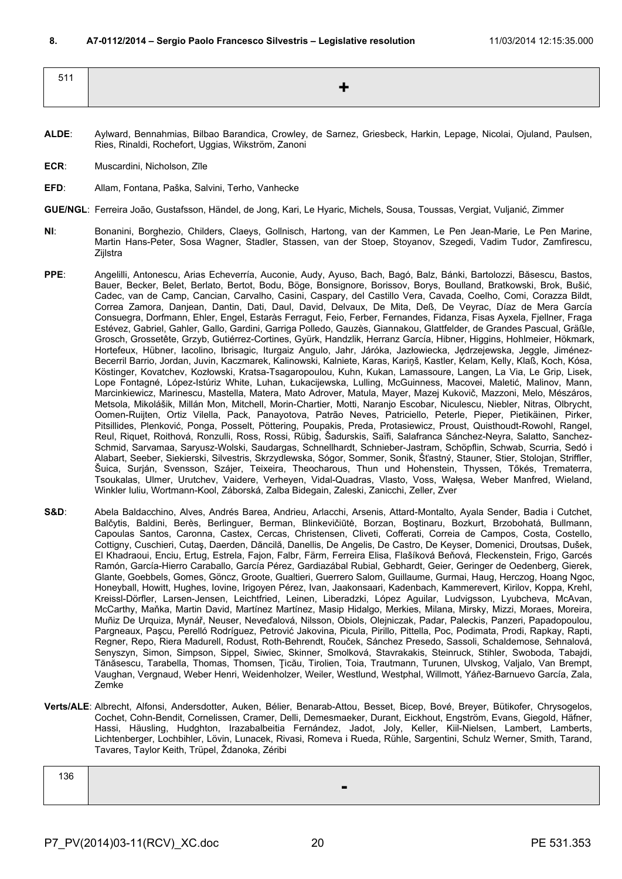<span id="page-19-0"></span>

| 51<br>ັບເ<br>$\sim$ $\sim$ |  |  |
|----------------------------|--|--|
|----------------------------|--|--|

- **ALDE**: Aylward, Bennahmias, Bilbao Barandica, Crowley, de Sarnez, Griesbeck, Harkin, Lepage, Nicolai, Ojuland, Paulsen, Ries, Rinaldi, Rochefort, Uggias, Wikström, Zanoni
- **ECR**: Muscardini, Nicholson, Zīle
- **EFD**: Allam, Fontana, Paška, Salvini, Terho, Vanhecke
- **GUE/NGL**: Ferreira João, Gustafsson, Händel, de Jong, Kari, Le Hyaric, Michels, Sousa, Toussas, Vergiat, Vuljanić, Zimmer
- **NI**: Bonanini, Borghezio, Childers, Claeys, Gollnisch, Hartong, van der Kammen, Le Pen Jean-Marie, Le Pen Marine, Martin Hans-Peter, Sosa Wagner, Stadler, Stassen, van der Stoep, Stoyanov, Szegedi, Vadim Tudor, Zamfirescu, **Ziilstra**
- **PPE**: Angelilli, Antonescu, Arias Echeverría, Auconie, Audy, Ayuso, Bach, Bagó, Balz, Bánki, Bartolozzi, Băsescu, Bastos, Bauer, Becker, Belet, Berlato, Bertot, Bodu, Böge, Bonsignore, Borissov, Borys, Boulland, Bratkowski, Brok, Bušić, Cadec, van de Camp, Cancian, Carvalho, Casini, Caspary, del Castillo Vera, Cavada, Coelho, Comi, Corazza Bildt, Correa Zamora, Danjean, Dantin, Dati, Daul, David, Delvaux, De Mita, Deß, De Veyrac, Díaz de Mera García Consuegra, Dorfmann, Ehler, Engel, Estaràs Ferragut, Feio, Ferber, Fernandes, Fidanza, Fisas Ayxela, Fjellner, Fraga Estévez, Gabriel, Gahler, Gallo, Gardini, Garriga Polledo, Gauzès, Giannakou, Glattfelder, de Grandes Pascual, Gräßle, Grosch, Grossetête, Grzyb, Gutiérrez-Cortines, Gyürk, Handzlik, Herranz García, Hibner, Higgins, Hohlmeier, Hökmark, Hortefeux, Hübner, Iacolino, Ibrisagic, Iturgaiz Angulo, Jahr, Járóka, Jazłowiecka, Jędrzejewska, Jeggle, Jiménez-Becerril Barrio, Jordan, Juvin, Kaczmarek, Kalinowski, Kalniete, Karas, Kariņš, Kastler, Kelam, Kelly, Klaß, Koch, Kósa, Köstinger, Kovatchev, Kozłowski, Kratsa-Tsagaropoulou, Kuhn, Kukan, Lamassoure, Langen, La Via, Le Grip, Lisek, Lope Fontagné, López-Istúriz White, Luhan, Łukacijewska, Lulling, McGuinness, Macovei, Maletić, Malinov, Mann, Marcinkiewicz, Marinescu, Mastella, Matera, Mato Adrover, Matula, Mayer, Mazej Kukovič, Mazzoni, Melo, Mészáros, Metsola, Mikolášik, Millán Mon, Mitchell, Morin-Chartier, Motti, Naranjo Escobar, Niculescu, Niebler, Nitras, Olbrycht, Oomen-Ruijten, Ortiz Vilella, Pack, Panayotova, Patrão Neves, Patriciello, Peterle, Pieper, Pietikäinen, Pirker, Pitsillides, Plenković, Ponga, Posselt, Pöttering, Poupakis, Preda, Protasiewicz, Proust, Quisthoudt-Rowohl, Rangel, Reul, Riquet, Roithová, Ronzulli, Ross, Rossi, Rübig, Šadurskis, Saïfi, Salafranca Sánchez-Neyra, Salatto, Sanchez-Schmid, Sarvamaa, Saryusz-Wolski, Saudargas, Schnellhardt, Schnieber-Jastram, Schöpflin, Schwab, Scurria, Sedó i Alabart, Seeber, Siekierski, Silvestris, Skrzydlewska, Sógor, Sommer, Sonik, Šťastný, Stauner, Stier, Stolojan, Striffler, Šuica, Surján, Svensson, Szájer, Teixeira, Theocharous, Thun und Hohenstein, Thyssen, Tőkés, Trematerra, Tsoukalas, Ulmer, Urutchev, Vaidere, Verheyen, Vidal-Quadras, Vlasto, Voss, Wałęsa, Weber Manfred, Wieland, Winkler Iuliu, Wortmann-Kool, Záborská, Zalba Bidegain, Zaleski, Zanicchi, Zeller, Zver
- **S&D**: Abela Baldacchino, Alves, Andrés Barea, Andrieu, Arlacchi, Arsenis, Attard-Montalto, Ayala Sender, Badia i Cutchet, Balčytis, Baldini, Berès, Berlinguer, Berman, Blinkevičiūtė, Borzan, Boştinaru, Bozkurt, Brzobohatá, Bullmann, Capoulas Santos, Caronna, Castex, Cercas, Christensen, Cliveti, Cofferati, Correia de Campos, Costa, Costello, Cottigny, Cuschieri, Cutaş, Daerden, Dăncilă, Danellis, De Angelis, De Castro, De Keyser, Domenici, Droutsas, Dušek, El Khadraoui, Enciu, Ertug, Estrela, Fajon, Falbr, Färm, Ferreira Elisa, Flašíková Beňová, Fleckenstein, Frigo, Garcés Ramón, García-Hierro Caraballo, García Pérez, Gardiazábal Rubial, Gebhardt, Geier, Geringer de Oedenberg, Gierek, Glante, Goebbels, Gomes, Göncz, Groote, Gualtieri, Guerrero Salom, Guillaume, Gurmai, Haug, Herczog, Hoang Ngoc, Honeyball, Howitt, Hughes, Iovine, Irigoyen Pérez, Ivan, Jaakonsaari, Kadenbach, Kammerevert, Kirilov, Koppa, Krehl, Kreissl-Dörfler, Larsen-Jensen, Leichtfried, Leinen, Liberadzki, López Aguilar, Ludvigsson, Lyubcheva, McAvan, McCarthy, Maňka, Martin David, Martínez Martínez, Masip Hidalgo, Merkies, Milana, Mirsky, Mizzi, Moraes, Moreira, Muñiz De Urquiza, Mynář, Neuser, Neveďalová, Nilsson, Obiols, Olejniczak, Padar, Paleckis, Panzeri, Papadopoulou, Pargneaux, Paşcu, Perelló Rodríguez, Petrović Jakovina, Picula, Pirillo, Pittella, Poc, Podimata, Prodi, Rapkay, Rapti, Regner, Repo, Riera Madurell, Rodust, Roth-Behrendt, Rouček, Sánchez Presedo, Sassoli, Schaldemose, Sehnalová, Senyszyn, Simon, Simpson, Sippel, Siwiec, Skinner, Smolková, Stavrakakis, Steinruck, Stihler, Swoboda, Tabajdi, Tănăsescu, Tarabella, Thomas, Thomsen, Ţicău, Tirolien, Toia, Trautmann, Turunen, Ulvskog, Valjalo, Van Brempt, Vaughan, Vergnaud, Weber Henri, Weidenholzer, Weiler, Westlund, Westphal, Willmott, Yáñez-Barnuevo García, Zala, Zemke
- **Verts/ALE**: Albrecht, Alfonsi, Andersdotter, Auken, Bélier, Benarab-Attou, Besset, Bicep, Bové, Breyer, Bütikofer, Chrysogelos, Cochet, Cohn-Bendit, Cornelissen, Cramer, Delli, Demesmaeker, Durant, Eickhout, Engström, Evans, Giegold, Häfner, Hassi, Häusling, Hudghton, Irazabalbeitia Fernández, Jadot, Joly, Keller, Kiil-Nielsen, Lambert, Lamberts, Lichtenberger, Lochbihler, Lövin, Lunacek, Rivasi, Romeva i Rueda, Rühle, Sargentini, Schulz Werner, Smith, Tarand, Tavares, Taylor Keith, Trüpel, Ždanoka, Zéribi

| 136 |  |  |
|-----|--|--|
|     |  |  |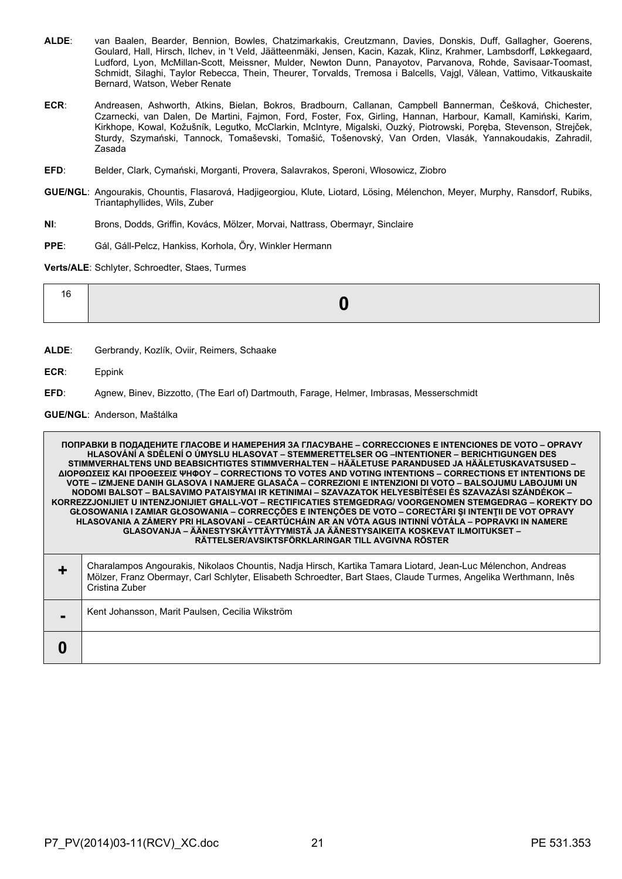- **ALDE**: van Baalen, Bearder, Bennion, Bowles, Chatzimarkakis, Creutzmann, Davies, Donskis, Duff, Gallagher, Goerens, Goulard, Hall, Hirsch, Ilchev, in 't Veld, Jäätteenmäki, Jensen, Kacin, Kazak, Klinz, Krahmer, Lambsdorff, Løkkegaard, Ludford, Lyon, McMillan-Scott, Meissner, Mulder, Newton Dunn, Panayotov, Parvanova, Rohde, Savisaar-Toomast, Schmidt, Silaghi, Taylor Rebecca, Thein, Theurer, Torvalds, Tremosa i Balcells, Vajgl, Vălean, Vattimo, Vitkauskaite Bernard, Watson, Weber Renate
- **ECR**: Andreasen, Ashworth, Atkins, Bielan, Bokros, Bradbourn, Callanan, Campbell Bannerman, Češková, Chichester, Czarnecki, van Dalen, De Martini, Fajmon, Ford, Foster, Fox, Girling, Hannan, Harbour, Kamall, Kamiński, Karim, Kirkhope, Kowal, Kožušník, Legutko, McClarkin, McIntyre, Migalski, Ouzký, Piotrowski, Poręba, Stevenson, Strejček, Sturdy, Szymański, Tannock, Tomaševski, Tomašić, Tošenovský, Van Orden, Vlasák, Yannakoudakis, Zahradil, Zasada
- **EFD**: Belder, Clark, Cymański, Morganti, Provera, Salavrakos, Speroni, Włosowicz, Ziobro
- **GUE/NGL**: Angourakis, Chountis, Flasarová, Hadjigeorgiou, Klute, Liotard, Lösing, Mélenchon, Meyer, Murphy, Ransdorf, Rubiks, Triantaphyllides, Wils, Zuber
- **NI**: Brons, Dodds, Griffin, Kovács, Mölzer, Morvai, Nattrass, Obermayr, Sinclaire
- **PPE**: Gál, Gáll-Pelcz, Hankiss, Korhola, Őry, Winkler Hermann

#### **Verts/ALE**: Schlyter, Schroedter, Staes, Turmes

- **ALDE**: Gerbrandy, Kozlík, Oviir, Reimers, Schaake
- **ECR**: Eppink
- **EFD**: Agnew, Binev, Bizzotto, (The Earl of) Dartmouth, Farage, Helmer, Imbrasas, Messerschmidt

#### **GUE/NGL**: Anderson, Maštálka

| ПОПРАВКИ В ПОДАДЕНИТЕ ГЛАСОВЕ И НАМЕРЕНИЯ ЗА ГЛАСУВАНЕ – CORRECCIONES Е INTENCIONES DE VOTO – OPRAVY<br>HLASOVÁNÍ A SDĚLENÍ O ÚMYSLU HLASOVAT – STEMMERETTELSER OG –INTENTIONER – BERICHTIGUNGEN DES<br>STIMMVERHALTENS UND BEABSICHTIGTES STIMMVERHALTEN – HÄÄLETUSE PARANDUSED JA HÄÄLETUSKAVATSUSED –<br>ΔΙΟΡΘΩΣΕΙΣ ΚΑΙ ΠΡΟΘΕΣΕΙΣ ΨΗΦΟΥ – CORRECTIONS TO VOTES AND VOTING INTENTIONS – CORRECTIONS ET INTENTIONS DE<br>VOTE – IZMJENE DANIH GLASOVA I NAMJERE GLASAČA – CORREZIONI E INTENZIONI DI VOTO – BALSOJUMU LABOJUMI UN<br>NODOMI BALSOT – BALSAVIMO PATAISYMAI IR KETINIMAI – SZAVAZATOK HELYESBÍTÉSEI ÉS SZAVAZÁSI SZÁNDÉKOK –<br>KORREZZJONIJIET U INTENZJONIJIET GHALL-VOT – RECTIFICATIES STEMGEDRAG/ VOORGENOMEN STEMGEDRAG – KOREKTY DO<br>GŁOSOWANIA I ZAMIAR GŁOSOWANIA – CORRECÇÕES E INTENÇÕES DE VOTO – CORECTĂRI ȘI INTENȚII DE VOT OPRAVY<br>HLASOVANIA A ZÁMERY PRI HLASOVANÍ – CEARTÚCHÁIN AR AN VÓTA AGUS INTINNÍ VÓTÁLA – POPRAVKI IN NAMERE<br>GLASOVANJA – ÄÄNESTYSKÄYTTÄYTYMISTÄ JA ÄÄNESTYSAIKEITA KOSKEVAT ILMOITUKSET –<br>RÄTTELSER/AVSIKTSFÖRKLARINGAR TILL AVGIVNA RÖSTER |                                                                                                                                                                                                                                                    |  |
|-----------------------------------------------------------------------------------------------------------------------------------------------------------------------------------------------------------------------------------------------------------------------------------------------------------------------------------------------------------------------------------------------------------------------------------------------------------------------------------------------------------------------------------------------------------------------------------------------------------------------------------------------------------------------------------------------------------------------------------------------------------------------------------------------------------------------------------------------------------------------------------------------------------------------------------------------------------------------------------------------------------------------------------------------------------------------------------------------------------------|----------------------------------------------------------------------------------------------------------------------------------------------------------------------------------------------------------------------------------------------------|--|
|                                                                                                                                                                                                                                                                                                                                                                                                                                                                                                                                                                                                                                                                                                                                                                                                                                                                                                                                                                                                                                                                                                                 | Charalampos Angourakis, Nikolaos Chountis, Nadja Hirsch, Kartika Tamara Liotard, Jean-Luc Mélenchon, Andreas<br>Mölzer, Franz Obermayr, Carl Schlyter, Elisabeth Schroedter, Bart Staes, Claude Turmes, Angelika Werthmann, Inês<br>Cristina Zuber |  |
|                                                                                                                                                                                                                                                                                                                                                                                                                                                                                                                                                                                                                                                                                                                                                                                                                                                                                                                                                                                                                                                                                                                 | Kent Johansson, Marit Paulsen, Cecilia Wikström                                                                                                                                                                                                    |  |
|                                                                                                                                                                                                                                                                                                                                                                                                                                                                                                                                                                                                                                                                                                                                                                                                                                                                                                                                                                                                                                                                                                                 |                                                                                                                                                                                                                                                    |  |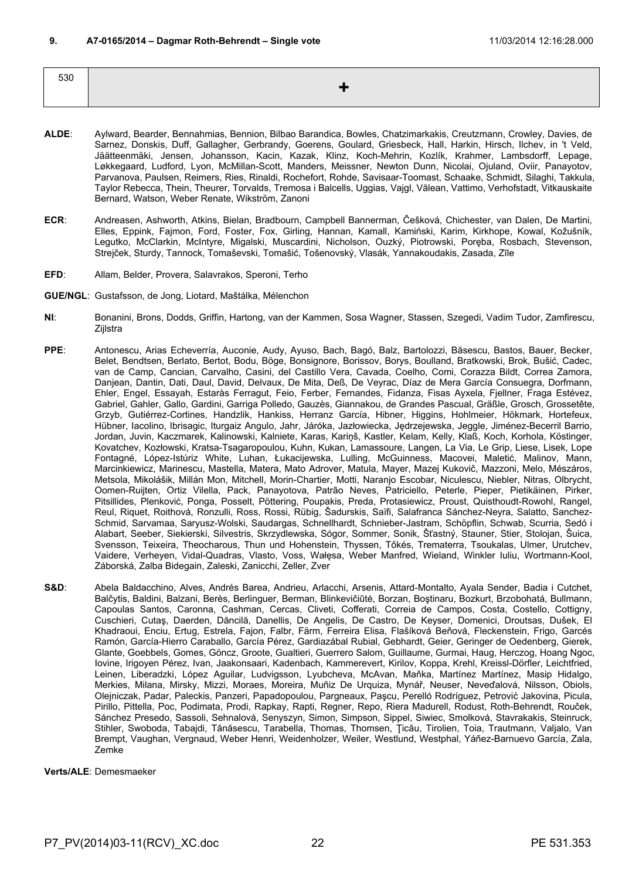- <span id="page-21-0"></span>**ALDE**: Aylward, Bearder, Bennahmias, Bennion, Bilbao Barandica, Bowles, Chatzimarkakis, Creutzmann, Crowley, Davies, de Sarnez, Donskis, Duff, Gallagher, Gerbrandy, Goerens, Goulard, Griesbeck, Hall, Harkin, Hirsch, Ilchev, in 't Veld, Jäätteenmäki, Jensen, Johansson, Kacin, Kazak, Klinz, Koch-Mehrin, Kozlík, Krahmer, Lambsdorff, Lepage, Løkkegaard, Ludford, Lyon, McMillan-Scott, Manders, Meissner, Newton Dunn, Nicolai, Ojuland, Oviir, Panayotov, Parvanova, Paulsen, Reimers, Ries, Rinaldi, Rochefort, Rohde, Savisaar-Toomast, Schaake, Schmidt, Silaghi, Takkula, Taylor Rebecca, Thein, Theurer, Torvalds, Tremosa i Balcells, Uggias, Vajgl, Vălean, Vattimo, Verhofstadt, Vitkauskaite Bernard, Watson, Weber Renate, Wikström, Zanoni
- **ECR**: Andreasen, Ashworth, Atkins, Bielan, Bradbourn, Campbell Bannerman, Češková, Chichester, van Dalen, De Martini, Elles, Eppink, Fajmon, Ford, Foster, Fox, Girling, Hannan, Kamall, Kamiński, Karim, Kirkhope, Kowal, Kožušník, Legutko, McClarkin, McIntyre, Migalski, Muscardini, Nicholson, Ouzký, Piotrowski, Poręba, Rosbach, Stevenson, Strejček, Sturdy, Tannock, Tomaševski, Tomašić, Tošenovský, Vlasák, Yannakoudakis, Zasada, Zīle
- **EFD**: Allam, Belder, Provera, Salavrakos, Speroni, Terho
- **GUE/NGL**: Gustafsson, de Jong, Liotard, Maštálka, Mélenchon
- **NI**: Bonanini, Brons, Dodds, Griffin, Hartong, van der Kammen, Sosa Wagner, Stassen, Szegedi, Vadim Tudor, Zamfirescu, **Ziilstra**
- **PPE**: Antonescu, Arias Echeverría, Auconie, Audy, Ayuso, Bach, Bagó, Balz, Bartolozzi, Băsescu, Bastos, Bauer, Becker, Belet, Bendtsen, Berlato, Bertot, Bodu, Böge, Bonsignore, Borissov, Borys, Boulland, Bratkowski, Brok, Bušić, Cadec, van de Camp, Cancian, Carvalho, Casini, del Castillo Vera, Cavada, Coelho, Comi, Corazza Bildt, Correa Zamora, Danjean, Dantin, Dati, Daul, David, Delvaux, De Mita, Deß, De Veyrac, Díaz de Mera García Consuegra, Dorfmann, Ehler, Engel, Essayah, Estaràs Ferragut, Feio, Ferber, Fernandes, Fidanza, Fisas Ayxela, Fjellner, Fraga Estévez, Gabriel, Gahler, Gallo, Gardini, Garriga Polledo, Gauzès, Giannakou, de Grandes Pascual, Gräßle, Grosch, Grossetête, Grzyb, Gutiérrez-Cortines, Handzlik, Hankiss, Herranz García, Hibner, Higgins, Hohlmeier, Hökmark, Hortefeux, Hübner, Iacolino, Ibrisagic, Iturgaiz Angulo, Jahr, Járóka, Jazłowiecka, Jędrzejewska, Jeggle, Jiménez-Becerril Barrio, Jordan, Juvin, Kaczmarek, Kalinowski, Kalniete, Karas, Kariņš, Kastler, Kelam, Kelly, Klaß, Koch, Korhola, Köstinger, Kovatchev, Kozłowski, Kratsa-Tsagaropoulou, Kuhn, Kukan, Lamassoure, Langen, La Via, Le Grip, Liese, Lisek, Lope Fontagné, López-Istúriz White, Luhan, Łukacijewska, Lulling, McGuinness, Macovei, Maletić, Malinov, Mann, Marcinkiewicz, Marinescu, Mastella, Matera, Mato Adrover, Matula, Mayer, Mazej Kukovič, Mazzoni, Melo, Mészáros, Metsola, Mikolášik, Millán Mon, Mitchell, Morin-Chartier, Motti, Naranjo Escobar, Niculescu, Niebler, Nitras, Olbrycht, Oomen-Ruijten, Ortiz Vilella, Pack, Panayotova, Patrão Neves, Patriciello, Peterle, Pieper, Pietikäinen, Pirker, Pitsillides, Plenković, Ponga, Posselt, Pöttering, Poupakis, Preda, Protasiewicz, Proust, Quisthoudt-Rowohl, Rangel, Reul, Riquet, Roithová, Ronzulli, Ross, Rossi, Rübig, Šadurskis, Saïfi, Salafranca Sánchez-Neyra, Salatto, Sanchez-Schmid, Sarvamaa, Saryusz-Wolski, Saudargas, Schnellhardt, Schnieber-Jastram, Schöpflin, Schwab, Scurria, Sedó i Alabart, Seeber, Siekierski, Silvestris, Skrzydlewska, Sógor, Sommer, Sonik, Šťastný, Stauner, Stier, Stolojan, Šuica, Svensson, Teixeira, Theocharous, Thun und Hohenstein, Thyssen, Tőkés, Trematerra, Tsoukalas, Ulmer, Urutchev, Vaidere, Verheyen, Vidal-Quadras, Vlasto, Voss, Wałęsa, Weber Manfred, Wieland, Winkler Iuliu, Wortmann-Kool, Záborská, Zalba Bidegain, Zaleski, Zanicchi, Zeller, Zver
- **S&D**: Abela Baldacchino, Alves, Andrés Barea, Andrieu, Arlacchi, Arsenis, Attard-Montalto, Ayala Sender, Badia i Cutchet, Balčytis, Baldini, Balzani, Berès, Berlinguer, Berman, Blinkevičiūtė, Borzan, Boştinaru, Bozkurt, Brzobohatá, Bullmann, Capoulas Santos, Caronna, Cashman, Cercas, Cliveti, Cofferati, Correia de Campos, Costa, Costello, Cottigny, Cuschieri, Cutaş, Daerden, Dăncilă, Danellis, De Angelis, De Castro, De Keyser, Domenici, Droutsas, Dušek, El Khadraoui, Enciu, Ertug, Estrela, Fajon, Falbr, Färm, Ferreira Elisa, Flašíková Beňová, Fleckenstein, Frigo, Garcés Ramón, García-Hierro Caraballo, García Pérez, Gardiazábal Rubial, Gebhardt, Geier, Geringer de Oedenberg, Gierek, Glante, Goebbels, Gomes, Göncz, Groote, Gualtieri, Guerrero Salom, Guillaume, Gurmai, Haug, Herczog, Hoang Ngoc, Iovine, Irigoyen Pérez, Ivan, Jaakonsaari, Kadenbach, Kammerevert, Kirilov, Koppa, Krehl, Kreissl-Dörfler, Leichtfried, Leinen, Liberadzki, López Aguilar, Ludvigsson, Lyubcheva, McAvan, Maňka, Martínez Martínez, Masip Hidalgo, Merkies, Milana, Mirsky, Mizzi, Moraes, Moreira, Muñiz De Urquiza, Mynář, Neuser, Neveďalová, Nilsson, Obiols, Olejniczak, Padar, Paleckis, Panzeri, Papadopoulou, Pargneaux, Paşcu, Perelló Rodríguez, Petrović Jakovina, Picula, Pirillo, Pittella, Poc, Podimata, Prodi, Rapkay, Rapti, Regner, Repo, Riera Madurell, Rodust, Roth-Behrendt, Rouček, Sánchez Presedo, Sassoli, Sehnalová, Senyszyn, Simon, Simpson, Sippel, Siwiec, Smolková, Stavrakakis, Steinruck, Stihler, Swoboda, Tabajdi, Tănăsescu, Tarabella, Thomas, Thomsen, Ţicău, Tirolien, Toia, Trautmann, Valjalo, Van Brempt, Vaughan, Vergnaud, Weber Henri, Weidenholzer, Weiler, Westlund, Westphal, Yáñez-Barnuevo García, Zala, Zemke

**Verts/ALE**: Demesmaeker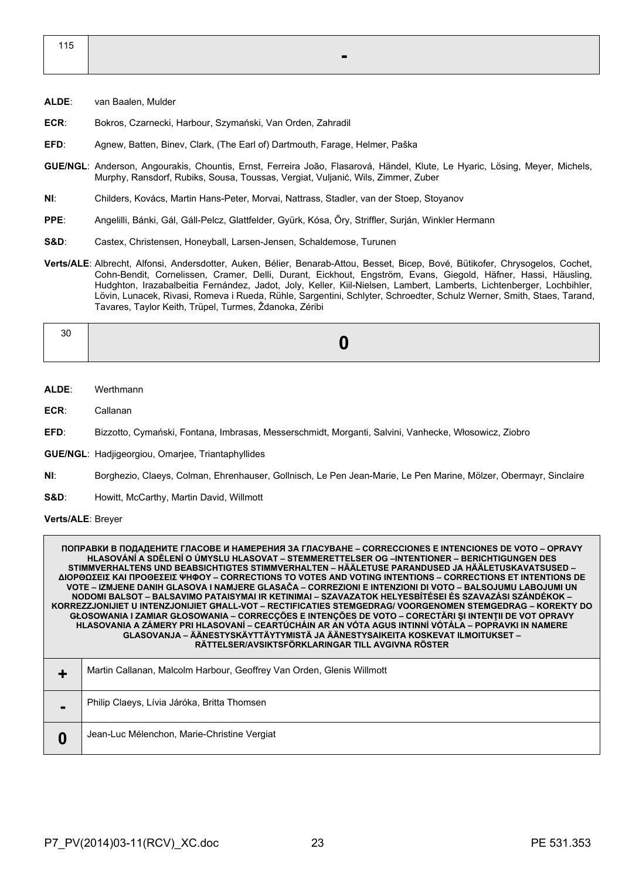- **ALDE**: van Baalen, Mulder
- **ECR**: Bokros, Czarnecki, Harbour, Szymański, Van Orden, Zahradil
- **EFD**: Agnew, Batten, Binev, Clark, (The Earl of) Dartmouth, Farage, Helmer, Paška
- **GUE/NGL**: Anderson, Angourakis, Chountis, Ernst, Ferreira João, Flasarová, Händel, Klute, Le Hyaric, Lösing, Meyer, Michels, Murphy, Ransdorf, Rubiks, Sousa, Toussas, Vergiat, Vuljanić, Wils, Zimmer, Zuber

**-**

- **NI**: Childers, Kovács, Martin Hans-Peter, Morvai, Nattrass, Stadler, van der Stoep, Stoyanov
- **PPE**: Angelilli, Bánki, Gál, Gáll-Pelcz, Glattfelder, Gyürk, Kósa, Őry, Striffler, Surján, Winkler Hermann
- **S&D**: Castex, Christensen, Honeyball, Larsen-Jensen, Schaldemose, Turunen
- **Verts/ALE**: Albrecht, Alfonsi, Andersdotter, Auken, Bélier, Benarab-Attou, Besset, Bicep, Bové, Bütikofer, Chrysogelos, Cochet, Cohn-Bendit, Cornelissen, Cramer, Delli, Durant, Eickhout, Engström, Evans, Giegold, Häfner, Hassi, Häusling, Hudghton, Irazabalbeitia Fernández, Jadot, Joly, Keller, Kiil-Nielsen, Lambert, Lamberts, Lichtenberger, Lochbihler, Lövin, Lunacek, Rivasi, Romeva i Rueda, Rühle, Sargentini, Schlyter, Schroedter, Schulz Werner, Smith, Staes, Tarand, Tavares, Taylor Keith, Trüpel, Turmes, Ždanoka, Zéribi

| 30 |  |
|----|--|
|    |  |

- **ALDE**: Werthmann
- **ECR**: Callanan
- **EFD**: Bizzotto, Cymański, Fontana, Imbrasas, Messerschmidt, Morganti, Salvini, Vanhecke, Włosowicz, Ziobro
- **GUE/NGL**: Hadjigeorgiou, Omarjee, Triantaphyllides
- **NI**: Borghezio, Claeys, Colman, Ehrenhauser, Gollnisch, Le Pen Jean-Marie, Le Pen Marine, Mölzer, Obermayr, Sinclaire
- **S&D**: Howitt, McCarthy, Martin David, Willmott

**Verts/ALE**: Breyer

|   | ПОПРАВКИ В ПОДАДЕНИТЕ ГЛАСОВЕ И НАМЕРЕНИЯ ЗА ГЛАСУВАНЕ – CORRECCIONES E INTENCIONES DE VOTO – OPRAVY<br><u> HLASOVÁNÍ A SDĚLENÍ O ÚMYSLU HLASOVAT – STEMMERETTELSER OG –INTENTIONER – BERICHTIGUNGEN DES</u><br>STIMMVERHALTENS UND BEABSICHTIGTES STIMMVERHALTEN - HÄÄLETUSE PARANDUSED JA HÄÄLETUSKAVATSUSED -<br>ΔΙΟΡΘΩΣΕΙΣ ΚΑΙ ΠΡΟΘΕΣΕΙΣ ΨΗΦΟΥ – CORRECTIONS TO VOTES AND VOTING INTENTIONS – CORRECTIONS ET INTENTIONS DE<br>VOTE – IZMJENE DANIH GLASOVA I NAMJERE GLASAČA – CORREZIONI E INTENZIONI DI VOTO – BALSOJUMU LABOJUMI UN<br>NODOMI BALSOT – BALSAVIMO PATAISYMAI IR KETINIMAI – SZAVAZATOK HELYESBÍTÉSEI ÉS SZAVAZÁSI SZÁNDÉKOK –<br>KORREZZJONIJIET U INTENZJONIJIET GHALL-VOT – RECTIFICATIES STEMGEDRAG/ VOORGENOMEN STEMGEDRAG – KOREKTY DO<br>GŁOSOWANIA I ZAMIAR GŁOSOWANIA – CORRECÇÕES E INTENÇÕES DE VOTO – CORECTĂRI ȘI INTENȚII DE VOT OPRAVY<br>HLASOVANIA A ZÁMERY PRI HLASOVANÍ – CEARTÚCHÁIN AR AN VÓTA AGUS INTINNÍ VÓTÁLA – POPRAVKI IN NAMERE<br>GLASOVANJA – ÄÄNESTYSKÄYTTÄYTYMISTÄ JA ÄÄNESTYSAIKEITA KOSKEVAT ILMOITUKSET –<br>RÄTTELSER/AVSIKTSFÖRKLARINGAR TILL AVGIVNA RÖSTER |
|---|-------------------------------------------------------------------------------------------------------------------------------------------------------------------------------------------------------------------------------------------------------------------------------------------------------------------------------------------------------------------------------------------------------------------------------------------------------------------------------------------------------------------------------------------------------------------------------------------------------------------------------------------------------------------------------------------------------------------------------------------------------------------------------------------------------------------------------------------------------------------------------------------------------------------------------------------------------------------------------------------------------------------------------------------------------------------------------------------------------------------------|
|   | Martin Callanan, Malcolm Harbour, Geoffrey Van Orden, Glenis Willmott                                                                                                                                                                                                                                                                                                                                                                                                                                                                                                                                                                                                                                                                                                                                                                                                                                                                                                                                                                                                                                                   |
|   | Philip Claeys, Lívia Járóka, Britta Thomsen                                                                                                                                                                                                                                                                                                                                                                                                                                                                                                                                                                                                                                                                                                                                                                                                                                                                                                                                                                                                                                                                             |
| 0 | Jean-Luc Mélenchon, Marie-Christine Vergiat                                                                                                                                                                                                                                                                                                                                                                                                                                                                                                                                                                                                                                                                                                                                                                                                                                                                                                                                                                                                                                                                             |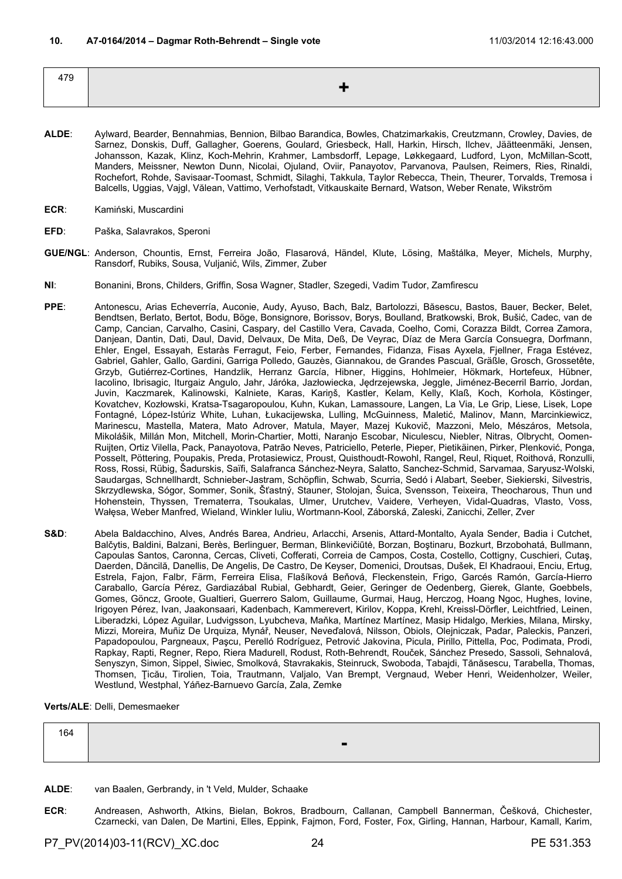<span id="page-23-0"></span>

| 479 | ╲╋╲ |
|-----|-----|
|     |     |

- **ALDE**: Aylward, Bearder, Bennahmias, Bennion, Bilbao Barandica, Bowles, Chatzimarkakis, Creutzmann, Crowley, Davies, de Sarnez, Donskis, Duff, Gallagher, Goerens, Goulard, Griesbeck, Hall, Harkin, Hirsch, Ilchev, Jäätteenmäki, Jensen, Johansson, Kazak, Klinz, Koch-Mehrin, Krahmer, Lambsdorff, Lepage, Løkkegaard, Ludford, Lyon, McMillan-Scott, Manders, Meissner, Newton Dunn, Nicolai, Ojuland, Oviir, Panayotov, Parvanova, Paulsen, Reimers, Ries, Rinaldi, Rochefort, Rohde, Savisaar-Toomast, Schmidt, Silaghi, Takkula, Taylor Rebecca, Thein, Theurer, Torvalds, Tremosa i Balcells, Uggias, Vajgl, Vălean, Vattimo, Verhofstadt, Vitkauskaite Bernard, Watson, Weber Renate, Wikström
- **ECR**: Kamiński, Muscardini
- **EFD**: Paška, Salavrakos, Speroni
- **GUE/NGL**: Anderson, Chountis, Ernst, Ferreira João, Flasarová, Händel, Klute, Lösing, Maštálka, Meyer, Michels, Murphy, Ransdorf, Rubiks, Sousa, Vuljanić, Wils, Zimmer, Zuber
- **NI**: Bonanini, Brons, Childers, Griffin, Sosa Wagner, Stadler, Szegedi, Vadim Tudor, Zamfirescu
- **PPE**: Antonescu, Arias Echeverría, Auconie, Audy, Ayuso, Bach, Balz, Bartolozzi, Băsescu, Bastos, Bauer, Becker, Belet, Bendtsen, Berlato, Bertot, Bodu, Böge, Bonsignore, Borissov, Borys, Boulland, Bratkowski, Brok, Bušić, Cadec, van de Camp, Cancian, Carvalho, Casini, Caspary, del Castillo Vera, Cavada, Coelho, Comi, Corazza Bildt, Correa Zamora, Danjean, Dantin, Dati, Daul, David, Delvaux, De Mita, Deß, De Veyrac, Díaz de Mera García Consuegra, Dorfmann, Ehler, Engel, Essayah, Estaràs Ferragut, Feio, Ferber, Fernandes, Fidanza, Fisas Ayxela, Fjellner, Fraga Estévez, Gabriel, Gahler, Gallo, Gardini, Garriga Polledo, Gauzès, Giannakou, de Grandes Pascual, Gräßle, Grosch, Grossetête, Grzyb, Gutiérrez-Cortines, Handzlik, Herranz García, Hibner, Higgins, Hohlmeier, Hökmark, Hortefeux, Hübner, Iacolino, Ibrisagic, Iturgaiz Angulo, Jahr, Járóka, Jazłowiecka, Jędrzejewska, Jeggle, Jiménez-Becerril Barrio, Jordan, Juvin, Kaczmarek, Kalinowski, Kalniete, Karas, Kariņš, Kastler, Kelam, Kelly, Klaß, Koch, Korhola, Köstinger, Kovatchev, Kozłowski, Kratsa-Tsagaropoulou, Kuhn, Kukan, Lamassoure, Langen, La Via, Le Grip, Liese, Lisek, Lope Fontagné, López-Istúriz White, Luhan, Łukacijewska, Lulling, McGuinness, Maletić, Malinov, Mann, Marcinkiewicz, Marinescu, Mastella, Matera, Mato Adrover, Matula, Mayer, Mazej Kukovič, Mazzoni, Melo, Mészáros, Metsola, Mikolášik, Millán Mon, Mitchell, Morin-Chartier, Motti, Naranjo Escobar, Niculescu, Niebler, Nitras, Olbrycht, Oomen-Ruijten, Ortiz Vilella, Pack, Panayotova, Patrão Neves, Patriciello, Peterle, Pieper, Pietikäinen, Pirker, Plenković, Ponga, Posselt, Pöttering, Poupakis, Preda, Protasiewicz, Proust, Quisthoudt-Rowohl, Rangel, Reul, Riquet, Roithová, Ronzulli, Ross, Rossi, Rübig, Šadurskis, Saïfi, Salafranca Sánchez-Neyra, Salatto, Sanchez-Schmid, Sarvamaa, Saryusz-Wolski, Saudargas, Schnellhardt, Schnieber-Jastram, Schöpflin, Schwab, Scurria, Sedó i Alabart, Seeber, Siekierski, Silvestris, Skrzydlewska, Sógor, Sommer, Sonik, Šťastný, Stauner, Stolojan, Šuica, Svensson, Teixeira, Theocharous, Thun und Hohenstein, Thyssen, Trematerra, Tsoukalas, Ulmer, Urutchev, Vaidere, Verheyen, Vidal-Quadras, Vlasto, Voss, Wałęsa, Weber Manfred, Wieland, Winkler Iuliu, Wortmann-Kool, Záborská, Zaleski, Zanicchi, Zeller, Zver
- **S&D**: Abela Baldacchino, Alves, Andrés Barea, Andrieu, Arlacchi, Arsenis, Attard-Montalto, Ayala Sender, Badia i Cutchet, Balčytis, Baldini, Balzani, Berès, Berlinguer, Berman, Blinkevičiūtė, Borzan, Boştinaru, Bozkurt, Brzobohatá, Bullmann, Capoulas Santos, Caronna, Cercas, Cliveti, Cofferati, Correia de Campos, Costa, Costello, Cottigny, Cuschieri, Cutaş, Daerden, Dăncilă, Danellis, De Angelis, De Castro, De Keyser, Domenici, Droutsas, Dušek, El Khadraoui, Enciu, Ertug, Estrela, Fajon, Falbr, Färm, Ferreira Elisa, Flašíková Beňová, Fleckenstein, Frigo, Garcés Ramón, García-Hierro Caraballo, García Pérez, Gardiazábal Rubial, Gebhardt, Geier, Geringer de Oedenberg, Gierek, Glante, Goebbels, Gomes, Göncz, Groote, Gualtieri, Guerrero Salom, Guillaume, Gurmai, Haug, Herczog, Hoang Ngoc, Hughes, Iovine, Irigoyen Pérez, Ivan, Jaakonsaari, Kadenbach, Kammerevert, Kirilov, Koppa, Krehl, Kreissl-Dörfler, Leichtfried, Leinen, Liberadzki, López Aguilar, Ludvigsson, Lyubcheva, Maňka, Martínez Martínez, Masip Hidalgo, Merkies, Milana, Mirsky, Mizzi, Moreira, Muñiz De Urquiza, Mynář, Neuser, Neveďalová, Nilsson, Obiols, Olejniczak, Padar, Paleckis, Panzeri, Papadopoulou, Pargneaux, Paşcu, Perelló Rodríguez, Petrović Jakovina, Picula, Pirillo, Pittella, Poc, Podimata, Prodi, Rapkay, Rapti, Regner, Repo, Riera Madurell, Rodust, Roth-Behrendt, Rouček, Sánchez Presedo, Sassoli, Sehnalová, Senyszyn, Simon, Sippel, Siwiec, Smolková, Stavrakakis, Steinruck, Swoboda, Tabajdi, Tănăsescu, Tarabella, Thomas, Thomsen, Ţicău, Tirolien, Toia, Trautmann, Valjalo, Van Brempt, Vergnaud, Weber Henri, Weidenholzer, Weiler, Westlund, Westphal, Yáñez-Barnuevo García, Zala, Zemke

#### **Verts/ALE**: Delli, Demesmaeker

| 164 |                   |
|-----|-------------------|
|     | $\qquad \qquad =$ |

- **ALDE**: van Baalen, Gerbrandy, in 't Veld, Mulder, Schaake
- **ECR**: Andreasen, Ashworth, Atkins, Bielan, Bokros, Bradbourn, Callanan, Campbell Bannerman, Češková, Chichester, Czarnecki, van Dalen, De Martini, Elles, Eppink, Fajmon, Ford, Foster, Fox, Girling, Hannan, Harbour, Kamall, Karim,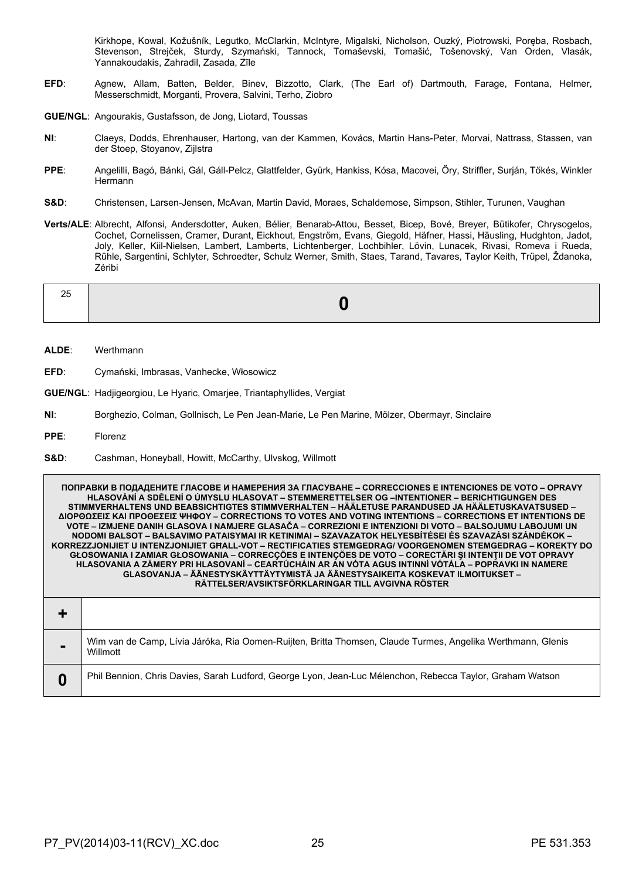Kirkhope, Kowal, Kožušník, Legutko, McClarkin, McIntyre, Migalski, Nicholson, Ouzký, Piotrowski, Poręba, Rosbach, Stevenson, Strejček, Sturdy, Szymański, Tannock, Tomaševski, Tomašić, Tošenovský, Van Orden, Vlasák, Yannakoudakis, Zahradil, Zasada, Zīle

- **EFD**: Agnew, Allam, Batten, Belder, Binev, Bizzotto, Clark, (The Earl of) Dartmouth, Farage, Fontana, Helmer, Messerschmidt, Morganti, Provera, Salvini, Terho, Ziobro
- **GUE/NGL**: Angourakis, Gustafsson, de Jong, Liotard, Toussas
- **NI**: Claeys, Dodds, Ehrenhauser, Hartong, van der Kammen, Kovács, Martin Hans-Peter, Morvai, Nattrass, Stassen, van der Stoep, Stoyanov, Zijlstra
- **PPE**: Angelilli, Bagó, Bánki, Gál, Gáll-Pelcz, Glattfelder, Gyürk, Hankiss, Kósa, Macovei, Őry, Striffler, Surján, Tőkés, Winkler **Hermann**
- **S&D**: Christensen, Larsen-Jensen, McAvan, Martin David, Moraes, Schaldemose, Simpson, Stihler, Turunen, Vaughan
- **Verts/ALE**: Albrecht, Alfonsi, Andersdotter, Auken, Bélier, Benarab-Attou, Besset, Bicep, Bové, Breyer, Bütikofer, Chrysogelos, Cochet, Cornelissen, Cramer, Durant, Eickhout, Engström, Evans, Giegold, Häfner, Hassi, Häusling, Hudghton, Jadot, Joly, Keller, Kiil-Nielsen, Lambert, Lamberts, Lichtenberger, Lochbihler, Lövin, Lunacek, Rivasi, Romeva i Rueda, Rühle, Sargentini, Schlyter, Schroedter, Schulz Werner, Smith, Staes, Tarand, Tavares, Taylor Keith, Trüpel, Ždanoka, Zéribi

- **ALDE**: Werthmann
- **EFD**: Cymański, Imbrasas, Vanhecke, Włosowicz
- **GUE/NGL**: Hadjigeorgiou, Le Hyaric, Omarjee, Triantaphyllides, Vergiat
- **NI**: Borghezio, Colman, Gollnisch, Le Pen Jean-Marie, Le Pen Marine, Mölzer, Obermayr, Sinclaire
- **PPE**: Florenz
- **S&D**: Cashman, Honeyball, Howitt, McCarthy, Ulvskog, Willmott

**ПОПРАВКИ В ПОДАДЕНИТЕ ГЛАСОВЕ И НАМЕРЕНИЯ ЗА ГЛАСУВАНЕ – CORRECCIONES E INTENCIONES DE VOTO – OPRAVY HLASOVÁNÍ A SDĚLENÍ O ÚMYSLU HLASOVAT – STEMMERETTELSER OG –INTENTIONER – BERICHTIGUNGEN DES STIMMVERHALTENS UND BEABSICHTIGTES STIMMVERHALTEN – HÄÄLETUSE PARANDUSED JA HÄÄLETUSKAVATSUSED – ΔΙΟΡΘΩΣΕΙΣ ΚΑΙ ΠΡΟΘΕΣΕΙΣ ΨΗΦΟΥ – CORRECTIONS TO VOTES AND VOTING INTENTIONS – CORRECTIONS ET INTENTIONS DE VOTE – IZMJENE DANIH GLASOVA I NAMJERE GLASAČA – CORREZIONI E INTENZIONI DI VOTO – BALSOJUMU LABOJUMI UN NODOMI BALSOT – BALSAVIMO PATAISYMAI IR KETINIMAI – SZAVAZATOK HELYESBÍTÉSEI ÉS SZAVAZÁSI SZÁNDÉKOK – KORREZZJONIJIET U INTENZJONIJIET GĦALL-VOT – RECTIFICATIES STEMGEDRAG/ VOORGENOMEN STEMGEDRAG – KOREKTY DO GŁOSOWANIA I ZAMIAR GŁOSOWANIA – CORRECÇÕES E INTENÇÕES DE VOTO – CORECTĂRI ŞI INTENŢII DE VOT OPRAVY HLASOVANIA A ZÁMERY PRI HLASOVANÍ – CEARTÚCHÁIN AR AN VÓTA AGUS INTINNÍ VÓTÁLA – POPRAVKI IN NAMERE GLASOVANJA – ÄÄNESTYSKÄYTTÄYTYMISTÄ JA ÄÄNESTYSAIKEITA KOSKEVAT ILMOITUKSET – RÄTTELSER/AVSIKTSFÖRKLARINGAR TILL AVGIVNA RÖSTER**

| Wim van de Camp, Lívia Járóka, Ria Oomen-Ruijten, Britta Thomsen, Claude Turmes, Angelika Werthmann, Glenis<br>Willmott |
|-------------------------------------------------------------------------------------------------------------------------|
| Phil Bennion, Chris Davies, Sarah Ludford, George Lyon, Jean-Luc Mélenchon, Rebecca Taylor, Graham Watson               |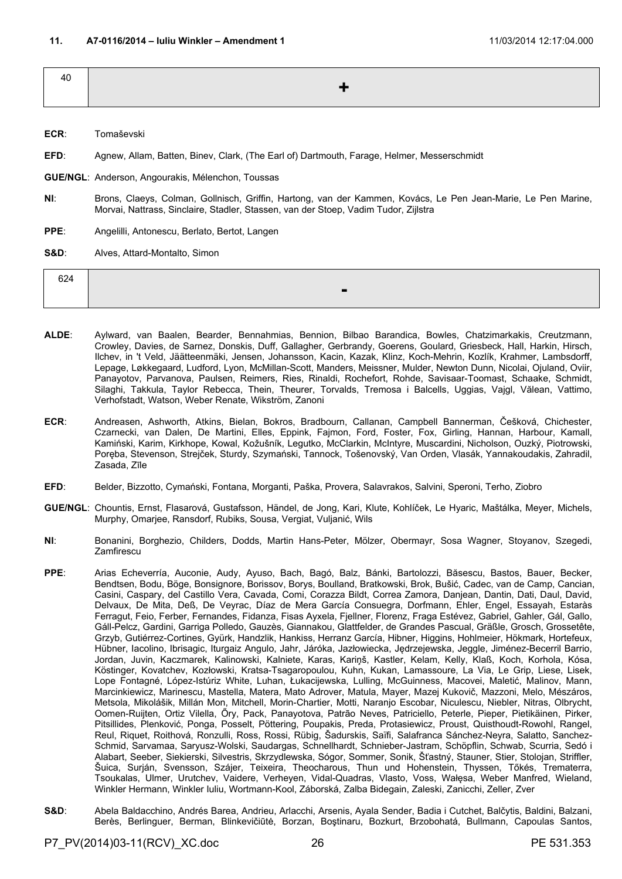<span id="page-25-0"></span>

| 40 |               |
|----|---------------|
|    | <u>. на п</u> |
|    |               |

- **ECR**: Tomaševski
- **EFD**: Agnew, Allam, Batten, Binev, Clark, (The Earl of) Dartmouth, Farage, Helmer, Messerschmidt

**GUE/NGL**: Anderson, Angourakis, Mélenchon, Toussas

- **NI**: Brons, Claeys, Colman, Gollnisch, Griffin, Hartong, van der Kammen, Kovács, Le Pen Jean-Marie, Le Pen Marine, Morvai, Nattrass, Sinclaire, Stadler, Stassen, van der Stoep, Vadim Tudor, Zijlstra
- **PPE**: Angelilli, Antonescu, Berlato, Bertot, Langen
- **S&D:** Alves, Attard-Montalto, Simon

| 624 |                          |
|-----|--------------------------|
|     | $\overline{\phantom{0}}$ |

- **ALDE**: Aylward, van Baalen, Bearder, Bennahmias, Bennion, Bilbao Barandica, Bowles, Chatzimarkakis, Creutzmann, Crowley, Davies, de Sarnez, Donskis, Duff, Gallagher, Gerbrandy, Goerens, Goulard, Griesbeck, Hall, Harkin, Hirsch, Ilchev, in 't Veld, Jäätteenmäki, Jensen, Johansson, Kacin, Kazak, Klinz, Koch-Mehrin, Kozlík, Krahmer, Lambsdorff, Lepage, Løkkegaard, Ludford, Lyon, McMillan-Scott, Manders, Meissner, Mulder, Newton Dunn, Nicolai, Ojuland, Oviir, Panayotov, Parvanova, Paulsen, Reimers, Ries, Rinaldi, Rochefort, Rohde, Savisaar-Toomast, Schaake, Schmidt, Silaghi, Takkula, Taylor Rebecca, Thein, Theurer, Torvalds, Tremosa i Balcells, Uggias, Vajgl, Vălean, Vattimo, Verhofstadt, Watson, Weber Renate, Wikström, Zanoni
- **ECR**: Andreasen, Ashworth, Atkins, Bielan, Bokros, Bradbourn, Callanan, Campbell Bannerman, Češková, Chichester, Czarnecki, van Dalen, De Martini, Elles, Eppink, Fajmon, Ford, Foster, Fox, Girling, Hannan, Harbour, Kamall, Kamiński, Karim, Kirkhope, Kowal, Kožušník, Legutko, McClarkin, McIntyre, Muscardini, Nicholson, Ouzký, Piotrowski, Poręba, Stevenson, Strejček, Sturdy, Szymański, Tannock, Tošenovský, Van Orden, Vlasák, Yannakoudakis, Zahradil, Zasada, Zīle
- **EFD**: Belder, Bizzotto, Cymański, Fontana, Morganti, Paška, Provera, Salavrakos, Salvini, Speroni, Terho, Ziobro
- **GUE/NGL**: Chountis, Ernst, Flasarová, Gustafsson, Händel, de Jong, Kari, Klute, Kohlíček, Le Hyaric, Maštálka, Meyer, Michels, Murphy, Omarjee, Ransdorf, Rubiks, Sousa, Vergiat, Vuljanić, Wils
- **NI**: Bonanini, Borghezio, Childers, Dodds, Martin Hans-Peter, Mölzer, Obermayr, Sosa Wagner, Stoyanov, Szegedi, Zamfirescu
- **PPE**: Arias Echeverría, Auconie, Audy, Ayuso, Bach, Bagó, Balz, Bánki, Bartolozzi, Băsescu, Bastos, Bauer, Becker, Bendtsen, Bodu, Böge, Bonsignore, Borissov, Borys, Boulland, Bratkowski, Brok, Bušić, Cadec, van de Camp, Cancian, Casini, Caspary, del Castillo Vera, Cavada, Comi, Corazza Bildt, Correa Zamora, Danjean, Dantin, Dati, Daul, David, Delvaux, De Mita, Deß, De Veyrac, Díaz de Mera García Consuegra, Dorfmann, Ehler, Engel, Essayah, Estaràs Ferragut, Feio, Ferber, Fernandes, Fidanza, Fisas Ayxela, Fjellner, Florenz, Fraga Estévez, Gabriel, Gahler, Gál, Gallo, Gáll-Pelcz, Gardini, Garriga Polledo, Gauzès, Giannakou, Glattfelder, de Grandes Pascual, Gräßle, Grosch, Grossetête, Grzyb, Gutiérrez-Cortines, Gyürk, Handzlik, Hankiss, Herranz García, Hibner, Higgins, Hohlmeier, Hökmark, Hortefeux, Hübner, Iacolino, Ibrisagic, Iturgaiz Angulo, Jahr, Járóka, Jazłowiecka, Jędrzejewska, Jeggle, Jiménez-Becerril Barrio, Jordan, Juvin, Kaczmarek, Kalinowski, Kalniete, Karas, Kariņš, Kastler, Kelam, Kelly, Klaß, Koch, Korhola, Kósa, Köstinger, Kovatchev, Kozłowski, Kratsa-Tsagaropoulou, Kuhn, Kukan, Lamassoure, La Via, Le Grip, Liese, Lisek, Lope Fontagné, López-Istúriz White, Luhan, Łukacijewska, Lulling, McGuinness, Macovei, Maletić, Malinov, Mann, Marcinkiewicz, Marinescu, Mastella, Matera, Mato Adrover, Matula, Mayer, Mazej Kukovič, Mazzoni, Melo, Mészáros, Metsola, Mikolášik, Millán Mon, Mitchell, Morin-Chartier, Motti, Naranjo Escobar, Niculescu, Niebler, Nitras, Olbrycht, Oomen-Ruijten, Ortiz Vilella, Őry, Pack, Panayotova, Patrão Neves, Patriciello, Peterle, Pieper, Pietikäinen, Pirker, Pitsillides, Plenković, Ponga, Posselt, Pöttering, Poupakis, Preda, Protasiewicz, Proust, Quisthoudt-Rowohl, Rangel, Reul, Riquet, Roithová, Ronzulli, Ross, Rossi, Rübig, Šadurskis, Saïfi, Salafranca Sánchez-Neyra, Salatto, Sanchez-Schmid, Sarvamaa, Saryusz-Wolski, Saudargas, Schnellhardt, Schnieber-Jastram, Schöpflin, Schwab, Scurria, Sedó i Alabart, Seeber, Siekierski, Silvestris, Skrzydlewska, Sógor, Sommer, Sonik, Šťastný, Stauner, Stier, Stolojan, Striffler, Šuica, Surján, Svensson, Szájer, Teixeira, Theocharous, Thun und Hohenstein, Thyssen, Tőkés, Trematerra, Tsoukalas, Ulmer, Urutchev, Vaidere, Verheyen, Vidal-Quadras, Vlasto, Voss, Wałęsa, Weber Manfred, Wieland, Winkler Hermann, Winkler Iuliu, Wortmann-Kool, Záborská, Zalba Bidegain, Zaleski, Zanicchi, Zeller, Zver
- **S&D**: Abela Baldacchino, Andrés Barea, Andrieu, Arlacchi, Arsenis, Ayala Sender, Badia i Cutchet, Balčytis, Baldini, Balzani, Berès, Berlinguer, Berman, Blinkevičiūtė, Borzan, Boştinaru, Bozkurt, Brzobohatá, Bullmann, Capoulas Santos,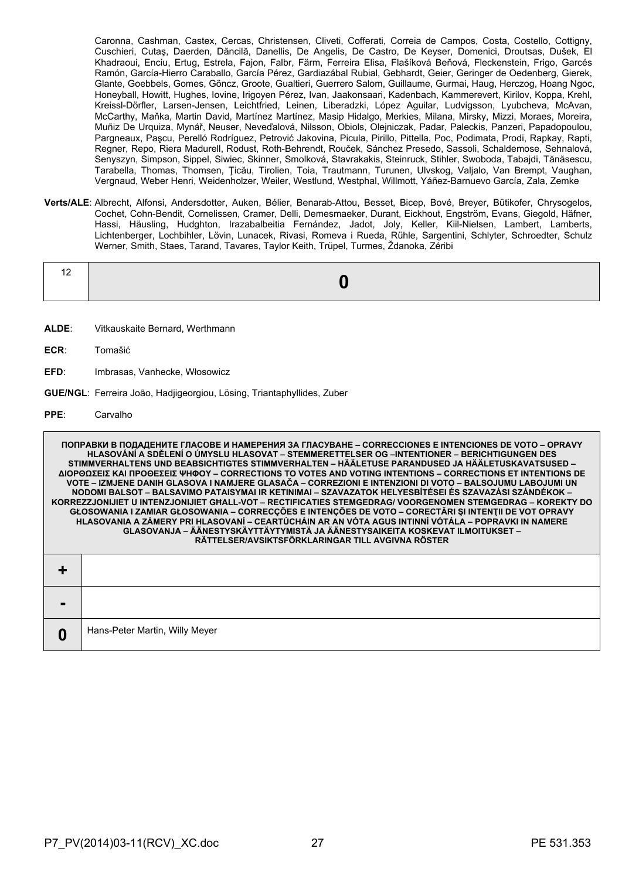Caronna, Cashman, Castex, Cercas, Christensen, Cliveti, Cofferati, Correia de Campos, Costa, Costello, Cottigny, Cuschieri, Cutaş, Daerden, Dăncilă, Danellis, De Angelis, De Castro, De Keyser, Domenici, Droutsas, Dušek, El Khadraoui, Enciu, Ertug, Estrela, Fajon, Falbr, Färm, Ferreira Elisa, Flašíková Beňová, Fleckenstein, Frigo, Garcés Ramón, García-Hierro Caraballo, García Pérez, Gardiazábal Rubial, Gebhardt, Geier, Geringer de Oedenberg, Gierek, Glante, Goebbels, Gomes, Göncz, Groote, Gualtieri, Guerrero Salom, Guillaume, Gurmai, Haug, Herczog, Hoang Ngoc, Honeyball, Howitt, Hughes, Iovine, Irigoyen Pérez, Ivan, Jaakonsaari, Kadenbach, Kammerevert, Kirilov, Koppa, Krehl, Kreissl-Dörfler, Larsen-Jensen, Leichtfried, Leinen, Liberadzki, López Aguilar, Ludvigsson, Lyubcheva, McAvan, McCarthy, Maňka, Martin David, Martínez Martínez, Masip Hidalgo, Merkies, Milana, Mirsky, Mizzi, Moraes, Moreira, Muñiz De Urquiza, Mynář, Neuser, Neveďalová, Nilsson, Obiols, Olejniczak, Padar, Paleckis, Panzeri, Papadopoulou, Pargneaux, Paşcu, Perelló Rodríguez, Petrović Jakovina, Picula, Pirillo, Pittella, Poc, Podimata, Prodi, Rapkay, Rapti, Regner, Repo, Riera Madurell, Rodust, Roth-Behrendt, Rouček, Sánchez Presedo, Sassoli, Schaldemose, Sehnalová, Senyszyn, Simpson, Sippel, Siwiec, Skinner, Smolková, Stavrakakis, Steinruck, Stihler, Swoboda, Tabajdi, Tănăsescu, Tarabella, Thomas, Thomsen, Ţicău, Tirolien, Toia, Trautmann, Turunen, Ulvskog, Valjalo, Van Brempt, Vaughan, Vergnaud, Weber Henri, Weidenholzer, Weiler, Westlund, Westphal, Willmott, Yáñez-Barnuevo García, Zala, Zemke

**Verts/ALE**: Albrecht, Alfonsi, Andersdotter, Auken, Bélier, Benarab-Attou, Besset, Bicep, Bové, Breyer, Bütikofer, Chrysogelos, Cochet, Cohn-Bendit, Cornelissen, Cramer, Delli, Demesmaeker, Durant, Eickhout, Engström, Evans, Giegold, Häfner, Hassi, Häusling, Hudghton, Irazabalbeitia Fernández, Jadot, Joly, Keller, Kiil-Nielsen, Lambert, Lamberts, Lichtenberger, Lochbihler, Lövin, Lunacek, Rivasi, Romeva i Rueda, Rühle, Sargentini, Schlyter, Schroedter, Schulz Werner, Smith, Staes, Tarand, Tavares, Taylor Keith, Trüpel, Turmes, Ždanoka, Zéribi

| $\overline{\phantom{a}}$ |  |
|--------------------------|--|
|                          |  |

- **ALDE**: Vitkauskaite Bernard, Werthmann
- **ECR**: Tomašić
- **EFD:** Imbrasas, Vanhecke, Włosowicz
- **GUE/NGL**: Ferreira João, Hadjigeorgiou, Lösing, Triantaphyllides, Zuber
- **PPE**: Carvalho

**ПОПРАВКИ В ПОДАДЕНИТЕ ГЛАСОВЕ И НАМЕРЕНИЯ ЗА ГЛАСУВАНЕ – CORRECCIONES E INTENCIONES DE VOTO – OPRAVY HLASOVÁNÍ A SDĚLENÍ O ÚMYSLU HLASOVAT – STEMMERETTELSER OG –INTENTIONER – BERICHTIGUNGEN DES STIMMVERHALTENS UND BEABSICHTIGTES STIMMVERHALTEN – HÄÄLETUSE PARANDUSED JA HÄÄLETUSKAVATSUSED – ΔΙΟΡΘΩΣΕΙΣ ΚΑΙ ΠΡΟΘΕΣΕΙΣ ΨΗΦΟΥ – CORRECTIONS TO VOTES AND VOTING INTENTIONS – CORRECTIONS ET INTENTIONS DE VOTE – IZMJENE DANIH GLASOVA I NAMJERE GLASAČA – CORREZIONI E INTENZIONI DI VOTO – BALSOJUMU LABOJUMI UN NODOMI BALSOT – BALSAVIMO PATAISYMAI IR KETINIMAI – SZAVAZATOK HELYESBÍTÉSEI ÉS SZAVAZÁSI SZÁNDÉKOK – KORREZZJONIJIET U INTENZJONIJIET GĦALL-VOT – RECTIFICATIES STEMGEDRAG/ VOORGENOMEN STEMGEDRAG – KOREKTY DO GŁOSOWANIA I ZAMIAR GŁOSOWANIA – CORRECÇÕES E INTENÇÕES DE VOTO – CORECTĂRI ŞI INTENŢII DE VOT OPRAVY HLASOVANIA A ZÁMERY PRI HLASOVANÍ – CEARTÚCHÁIN AR AN VÓTA AGUS INTINNÍ VÓTÁLA – POPRAVKI IN NAMERE GLASOVANJA – ÄÄNESTYSKÄYTTÄYTYMISTÄ JA ÄÄNESTYSAIKEITA KOSKEVAT ILMOITUKSET – RÄTTELSER/AVSIKTSFÖRKLARINGAR TILL AVGIVNA RÖSTER + - 0** Hans-Peter Martin, Willy Meyer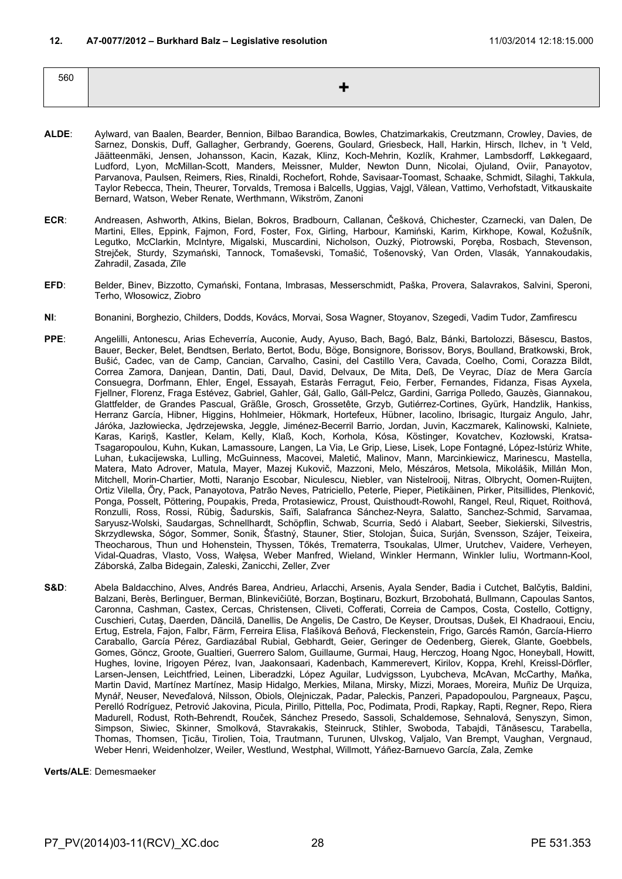<span id="page-27-0"></span>

| 560 | $-$ |
|-----|-----|
|     |     |

- **ALDE**: Aylward, van Baalen, Bearder, Bennion, Bilbao Barandica, Bowles, Chatzimarkakis, Creutzmann, Crowley, Davies, de Sarnez, Donskis, Duff, Gallagher, Gerbrandy, Goerens, Goulard, Griesbeck, Hall, Harkin, Hirsch, Ilchev, in 't Veld, Jäätteenmäki, Jensen, Johansson, Kacin, Kazak, Klinz, Koch-Mehrin, Kozlík, Krahmer, Lambsdorff, Løkkegaard, Ludford, Lyon, McMillan-Scott, Manders, Meissner, Mulder, Newton Dunn, Nicolai, Ojuland, Oviir, Panayotov, Parvanova, Paulsen, Reimers, Ries, Rinaldi, Rochefort, Rohde, Savisaar-Toomast, Schaake, Schmidt, Silaghi, Takkula, Taylor Rebecca, Thein, Theurer, Torvalds, Tremosa i Balcells, Uggias, Vajgl, Vălean, Vattimo, Verhofstadt, Vitkauskaite Bernard, Watson, Weber Renate, Werthmann, Wikström, Zanoni
- **ECR**: Andreasen, Ashworth, Atkins, Bielan, Bokros, Bradbourn, Callanan, Češková, Chichester, Czarnecki, van Dalen, De Martini, Elles, Eppink, Fajmon, Ford, Foster, Fox, Girling, Harbour, Kamiński, Karim, Kirkhope, Kowal, Kožušník, Legutko, McClarkin, McIntyre, Migalski, Muscardini, Nicholson, Ouzký, Piotrowski, Poręba, Rosbach, Stevenson, Strejček, Sturdy, Szymański, Tannock, Tomaševski, Tomašić, Tošenovský, Van Orden, Vlasák, Yannakoudakis, Zahradil, Zasada, Zīle
- **EFD**: Belder, Binev, Bizzotto, Cymański, Fontana, Imbrasas, Messerschmidt, Paška, Provera, Salavrakos, Salvini, Speroni, Terho, Włosowicz, Ziobro
- **NI**: Bonanini, Borghezio, Childers, Dodds, Kovács, Morvai, Sosa Wagner, Stoyanov, Szegedi, Vadim Tudor, Zamfirescu
- **PPE**: Angelilli, Antonescu, Arias Echeverría, Auconie, Audy, Ayuso, Bach, Bagó, Balz, Bánki, Bartolozzi, Băsescu, Bastos, Bauer, Becker, Belet, Bendtsen, Berlato, Bertot, Bodu, Böge, Bonsignore, Borissov, Borys, Boulland, Bratkowski, Brok, Bušić, Cadec, van de Camp, Cancian, Carvalho, Casini, del Castillo Vera, Cavada, Coelho, Comi, Corazza Bildt, Correa Zamora, Danjean, Dantin, Dati, Daul, David, Delvaux, De Mita, Deß, De Veyrac, Díaz de Mera García Consuegra, Dorfmann, Ehler, Engel, Essayah, Estaràs Ferragut, Feio, Ferber, Fernandes, Fidanza, Fisas Ayxela, Fjellner, Florenz, Fraga Estévez, Gabriel, Gahler, Gál, Gallo, Gáll-Pelcz, Gardini, Garriga Polledo, Gauzès, Giannakou, Glattfelder, de Grandes Pascual, Gräßle, Grosch, Grossetête, Grzyb, Gutiérrez-Cortines, Gyürk, Handzlik, Hankiss, Herranz García, Hibner, Higgins, Hohlmeier, Hökmark, Hortefeux, Hübner, Iacolino, Ibrisagic, Iturgaiz Angulo, Jahr, Járóka, Jazłowiecka, Jędrzejewska, Jeggle, Jiménez-Becerril Barrio, Jordan, Juvin, Kaczmarek, Kalinowski, Kalniete, Karas, Kariņš, Kastler, Kelam, Kelly, Klaß, Koch, Korhola, Kósa, Köstinger, Kovatchev, Kozłowski, Kratsa-Tsagaropoulou, Kuhn, Kukan, Lamassoure, Langen, La Via, Le Grip, Liese, Lisek, Lope Fontagné, López-Istúriz White, Luhan, Łukacijewska, Lulling, McGuinness, Macovei, Maletić, Malinov, Mann, Marcinkiewicz, Marinescu, Mastella, Matera, Mato Adrover, Matula, Mayer, Mazej Kukovič, Mazzoni, Melo, Mészáros, Metsola, Mikolášik, Millán Mon, Mitchell, Morin-Chartier, Motti, Naranjo Escobar, Niculescu, Niebler, van Nistelrooij, Nitras, Olbrycht, Oomen-Ruijten, Ortiz Vilella, Őry, Pack, Panayotova, Patrão Neves, Patriciello, Peterle, Pieper, Pietikäinen, Pirker, Pitsillides, Plenković, Ponga, Posselt, Pöttering, Poupakis, Preda, Protasiewicz, Proust, Quisthoudt-Rowohl, Rangel, Reul, Riquet, Roithová, Ronzulli, Ross, Rossi, Rübig, Šadurskis, Saïfi, Salafranca Sánchez-Neyra, Salatto, Sanchez-Schmid, Sarvamaa, Saryusz-Wolski, Saudargas, Schnellhardt, Schöpflin, Schwab, Scurria, Sedó i Alabart, Seeber, Siekierski, Silvestris, Skrzydlewska, Sógor, Sommer, Sonik, Šťastný, Stauner, Stier, Stolojan, Šuica, Surján, Svensson, Szájer, Teixeira, Theocharous, Thun und Hohenstein, Thyssen, Tőkés, Trematerra, Tsoukalas, Ulmer, Urutchev, Vaidere, Verheyen, Vidal-Quadras, Vlasto, Voss, Wałęsa, Weber Manfred, Wieland, Winkler Hermann, Winkler Iuliu, Wortmann-Kool, Záborská, Zalba Bidegain, Zaleski, Zanicchi, Zeller, Zver
- **S&D**: Abela Baldacchino, Alves, Andrés Barea, Andrieu, Arlacchi, Arsenis, Ayala Sender, Badia i Cutchet, Balčytis, Baldini, Balzani, Berès, Berlinguer, Berman, Blinkevičiūtė, Borzan, Boştinaru, Bozkurt, Brzobohatá, Bullmann, Capoulas Santos, Caronna, Cashman, Castex, Cercas, Christensen, Cliveti, Cofferati, Correia de Campos, Costa, Costello, Cottigny, Cuschieri, Cutaş, Daerden, Dăncilă, Danellis, De Angelis, De Castro, De Keyser, Droutsas, Dušek, El Khadraoui, Enciu, Ertug, Estrela, Fajon, Falbr, Färm, Ferreira Elisa, Flašíková Beňová, Fleckenstein, Frigo, Garcés Ramón, García-Hierro Caraballo, García Pérez, Gardiazábal Rubial, Gebhardt, Geier, Geringer de Oedenberg, Gierek, Glante, Goebbels, Gomes, Göncz, Groote, Gualtieri, Guerrero Salom, Guillaume, Gurmai, Haug, Herczog, Hoang Ngoc, Honeyball, Howitt, Hughes, Iovine, Irigoyen Pérez, Ivan, Jaakonsaari, Kadenbach, Kammerevert, Kirilov, Koppa, Krehl, Kreissl-Dörfler, Larsen-Jensen, Leichtfried, Leinen, Liberadzki, López Aguilar, Ludvigsson, Lyubcheva, McAvan, McCarthy, Maňka, Martin David, Martínez Martínez, Masip Hidalgo, Merkies, Milana, Mirsky, Mizzi, Moraes, Moreira, Muñiz De Urquiza, Mynář, Neuser, Neveďalová, Nilsson, Obiols, Olejniczak, Padar, Paleckis, Panzeri, Papadopoulou, Pargneaux, Paşcu, Perelló Rodríguez, Petrović Jakovina, Picula, Pirillo, Pittella, Poc, Podimata, Prodi, Rapkay, Rapti, Regner, Repo, Riera Madurell, Rodust, Roth-Behrendt, Rouček, Sánchez Presedo, Sassoli, Schaldemose, Sehnalová, Senyszyn, Simon, Simpson, Siwiec, Skinner, Smolková, Stavrakakis, Steinruck, Stihler, Swoboda, Tabajdi, Tănăsescu, Tarabella, Thomas, Thomsen, Ţicău, Tirolien, Toia, Trautmann, Turunen, Ulvskog, Valjalo, Van Brempt, Vaughan, Vergnaud, Weber Henri, Weidenholzer, Weiler, Westlund, Westphal, Willmott, Yáñez-Barnuevo García, Zala, Zemke

#### **Verts/ALE**: Demesmaeker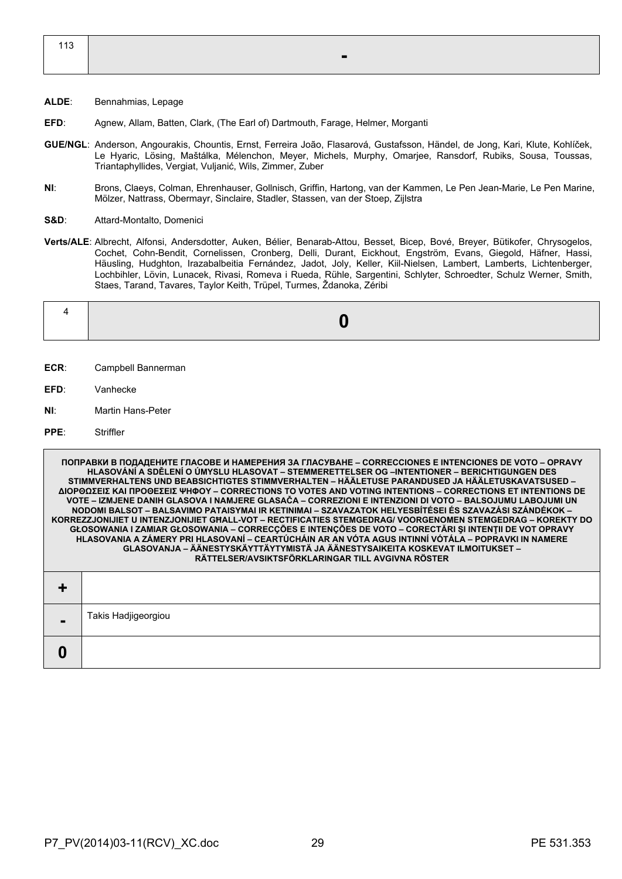113 **-**

- **ALDE**: Bennahmias, Lepage
- **EFD**: Agnew, Allam, Batten, Clark, (The Earl of) Dartmouth, Farage, Helmer, Morganti
- **GUE/NGL**: Anderson, Angourakis, Chountis, Ernst, Ferreira João, Flasarová, Gustafsson, Händel, de Jong, Kari, Klute, Kohlíček, Le Hyaric, Lösing, Maštálka, Mélenchon, Meyer, Michels, Murphy, Omarjee, Ransdorf, Rubiks, Sousa, Toussas, Triantaphyllides, Vergiat, Vuljanić, Wils, Zimmer, Zuber
- **NI**: Brons, Claeys, Colman, Ehrenhauser, Gollnisch, Griffin, Hartong, van der Kammen, Le Pen Jean-Marie, Le Pen Marine, Mölzer, Nattrass, Obermayr, Sinclaire, Stadler, Stassen, van der Stoep, Zijlstra
- **S&D**: Attard-Montalto, Domenici
- **Verts/ALE**: Albrecht, Alfonsi, Andersdotter, Auken, Bélier, Benarab-Attou, Besset, Bicep, Bové, Breyer, Bütikofer, Chrysogelos, Cochet, Cohn-Bendit, Cornelissen, Cronberg, Delli, Durant, Eickhout, Engström, Evans, Giegold, Häfner, Hassi, Häusling, Hudghton, Irazabalbeitia Fernández, Jadot, Joly, Keller, Kiil-Nielsen, Lambert, Lamberts, Lichtenberger, Lochbihler, Lövin, Lunacek, Rivasi, Romeva i Rueda, Rühle, Sargentini, Schlyter, Schroedter, Schulz Werner, Smith, Staes, Tarand, Tavares, Taylor Keith, Trüpel, Turmes, Ždanoka, Zéribi

- **ECR**: Campbell Bannerman
- **EFD**: Vanhecke
- **NI**: Martin Hans-Peter
- **PPE**: Striffler

**ПОПРАВКИ В ПОДАДЕНИТЕ ГЛАСОВЕ И НАМЕРЕНИЯ ЗА ГЛАСУВАНЕ – CORRECCIONES E INTENCIONES DE VOTO – OPRAVY HLASOVÁNÍ A SDĚLENÍ O ÚMYSLU HLASOVAT – STEMMERETTELSER OG –INTENTIONER – BERICHTIGUNGEN DES STIMMVERHALTENS UND BEABSICHTIGTES STIMMVERHALTEN – HÄÄLETUSE PARANDUSED JA HÄÄLETUSKAVATSUSED – ΔΙΟΡΘΩΣΕΙΣ ΚΑΙ ΠΡΟΘΕΣΕΙΣ ΨΗΦΟΥ – CORRECTIONS TO VOTES AND VOTING INTENTIONS – CORRECTIONS ET INTENTIONS DE VOTE – IZMJENE DANIH GLASOVA I NAMJERE GLASAČA – CORREZIONI E INTENZIONI DI VOTO – BALSOJUMU LABOJUMI UN NODOMI BALSOT – BALSAVIMO PATAISYMAI IR KETINIMAI – SZAVAZATOK HELYESBÍTÉSEI ÉS SZAVAZÁSI SZÁNDÉKOK – KORREZZJONIJIET U INTENZJONIJIET GĦALL-VOT – RECTIFICATIES STEMGEDRAG/ VOORGENOMEN STEMGEDRAG – KOREKTY DO GŁOSOWANIA I ZAMIAR GŁOSOWANIA – CORRECÇÕES E INTENÇÕES DE VOTO – CORECTĂRI ŞI INTENŢII DE VOT OPRAVY HLASOVANIA A ZÁMERY PRI HLASOVANÍ – CEARTÚCHÁIN AR AN VÓTA AGUS INTINNÍ VÓTÁLA – POPRAVKI IN NAMERE GLASOVANJA – ÄÄNESTYSKÄYTTÄYTYMISTÄ JA ÄÄNESTYSAIKEITA KOSKEVAT ILMOITUKSET – RÄTTELSER/AVSIKTSFÖRKLARINGAR TILL AVGIVNA RÖSTER +**

| $\sim$ | Takis Hadjigeorgiou |
|--------|---------------------|
|        |                     |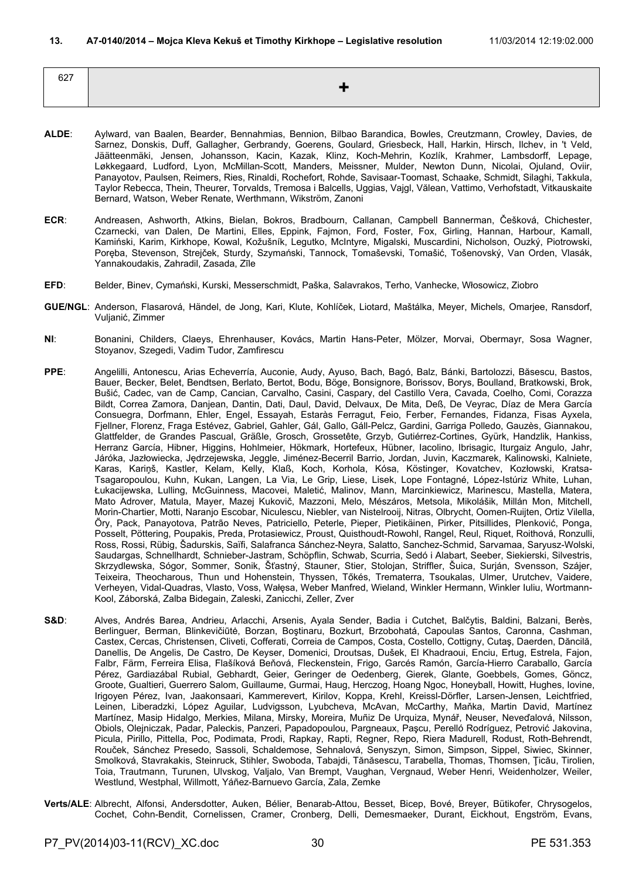<span id="page-29-0"></span>

| ---<br>. .<br><b>U4</b> |  |
|-------------------------|--|
|                         |  |
|                         |  |

- **ALDE**: Aylward, van Baalen, Bearder, Bennahmias, Bennion, Bilbao Barandica, Bowles, Creutzmann, Crowley, Davies, de Sarnez, Donskis, Duff, Gallagher, Gerbrandy, Goerens, Goulard, Griesbeck, Hall, Harkin, Hirsch, Ilchev, in 't Veld, Jäätteenmäki, Jensen, Johansson, Kacin, Kazak, Klinz, Koch-Mehrin, Kozlík, Krahmer, Lambsdorff, Lepage, Løkkegaard, Ludford, Lyon, McMillan-Scott, Manders, Meissner, Mulder, Newton Dunn, Nicolai, Ojuland, Oviir, Panayotov, Paulsen, Reimers, Ries, Rinaldi, Rochefort, Rohde, Savisaar-Toomast, Schaake, Schmidt, Silaghi, Takkula, Taylor Rebecca, Thein, Theurer, Torvalds, Tremosa i Balcells, Uggias, Vajgl, Vălean, Vattimo, Verhofstadt, Vitkauskaite Bernard, Watson, Weber Renate, Werthmann, Wikström, Zanoni
- **ECR**: Andreasen, Ashworth, Atkins, Bielan, Bokros, Bradbourn, Callanan, Campbell Bannerman, Češková, Chichester, Czarnecki, van Dalen, De Martini, Elles, Eppink, Fajmon, Ford, Foster, Fox, Girling, Hannan, Harbour, Kamall, Kamiński, Karim, Kirkhope, Kowal, Kožušník, Legutko, McIntyre, Migalski, Muscardini, Nicholson, Ouzký, Piotrowski, Poręba, Stevenson, Strejček, Sturdy, Szymański, Tannock, Tomaševski, Tomašić, Tošenovský, Van Orden, Vlasák, Yannakoudakis, Zahradil, Zasada, Zīle
- **EFD**: Belder, Binev, Cymański, Kurski, Messerschmidt, Paška, Salavrakos, Terho, Vanhecke, Włosowicz, Ziobro
- **GUE/NGL**: Anderson, Flasarová, Händel, de Jong, Kari, Klute, Kohlíček, Liotard, Maštálka, Meyer, Michels, Omarjee, Ransdorf, Vuljanić, Zimmer
- **NI**: Bonanini, Childers, Claeys, Ehrenhauser, Kovács, Martin Hans-Peter, Mölzer, Morvai, Obermayr, Sosa Wagner, Stoyanov, Szegedi, Vadim Tudor, Zamfirescu
- **PPE**: Angelilli, Antonescu, Arias Echeverría, Auconie, Audy, Ayuso, Bach, Bagó, Balz, Bánki, Bartolozzi, Băsescu, Bastos, Bauer, Becker, Belet, Bendtsen, Berlato, Bertot, Bodu, Böge, Bonsignore, Borissov, Borys, Boulland, Bratkowski, Brok, Bušić, Cadec, van de Camp, Cancian, Carvalho, Casini, Caspary, del Castillo Vera, Cavada, Coelho, Comi, Corazza Bildt, Correa Zamora, Danjean, Dantin, Dati, Daul, David, Delvaux, De Mita, Deß, De Veyrac, Díaz de Mera García Consuegra, Dorfmann, Ehler, Engel, Essayah, Estaràs Ferragut, Feio, Ferber, Fernandes, Fidanza, Fisas Ayxela, Fjellner, Florenz, Fraga Estévez, Gabriel, Gahler, Gál, Gallo, Gáll-Pelcz, Gardini, Garriga Polledo, Gauzès, Giannakou, Glattfelder, de Grandes Pascual, Gräßle, Grosch, Grossetête, Grzyb, Gutiérrez-Cortines, Gyürk, Handzlik, Hankiss, Herranz García, Hibner, Higgins, Hohlmeier, Hökmark, Hortefeux, Hübner, Iacolino, Ibrisagic, Iturgaiz Angulo, Jahr, Járóka, Jazłowiecka, Jędrzejewska, Jeggle, Jiménez-Becerril Barrio, Jordan, Juvin, Kaczmarek, Kalinowski, Kalniete, Karas, Kariņš, Kastler, Kelam, Kelly, Klaß, Koch, Korhola, Kósa, Köstinger, Kovatchev, Kozłowski, Kratsa-Tsagaropoulou, Kuhn, Kukan, Langen, La Via, Le Grip, Liese, Lisek, Lope Fontagné, López-Istúriz White, Luhan, Łukacijewska, Lulling, McGuinness, Macovei, Maletić, Malinov, Mann, Marcinkiewicz, Marinescu, Mastella, Matera, Mato Adrover, Matula, Mayer, Mazej Kukovič, Mazzoni, Melo, Mészáros, Metsola, Mikolášik, Millán Mon, Mitchell, Morin-Chartier, Motti, Naranjo Escobar, Niculescu, Niebler, van Nistelrooij, Nitras, Olbrycht, Oomen-Ruijten, Ortiz Vilella, Őry, Pack, Panayotova, Patrão Neves, Patriciello, Peterle, Pieper, Pietikäinen, Pirker, Pitsillides, Plenković, Ponga, Posselt, Pöttering, Poupakis, Preda, Protasiewicz, Proust, Quisthoudt-Rowohl, Rangel, Reul, Riquet, Roithová, Ronzulli, Ross, Rossi, Rübig, Šadurskis, Saïfi, Salafranca Sánchez-Neyra, Salatto, Sanchez-Schmid, Sarvamaa, Saryusz-Wolski, Saudargas, Schnellhardt, Schnieber-Jastram, Schöpflin, Schwab, Scurria, Sedó i Alabart, Seeber, Siekierski, Silvestris, Skrzydlewska, Sógor, Sommer, Sonik, Šťastný, Stauner, Stier, Stolojan, Striffler, Šuica, Surján, Svensson, Szájer, Teixeira, Theocharous, Thun und Hohenstein, Thyssen, Tőkés, Trematerra, Tsoukalas, Ulmer, Urutchev, Vaidere, Verheyen, Vidal-Quadras, Vlasto, Voss, Wałęsa, Weber Manfred, Wieland, Winkler Hermann, Winkler Iuliu, Wortmann-Kool, Záborská, Zalba Bidegain, Zaleski, Zanicchi, Zeller, Zver
- **S&D**: Alves, Andrés Barea, Andrieu, Arlacchi, Arsenis, Ayala Sender, Badia i Cutchet, Balčytis, Baldini, Balzani, Berès, Berlinguer, Berman, Blinkevičiūtė, Borzan, Boştinaru, Bozkurt, Brzobohatá, Capoulas Santos, Caronna, Cashman, Castex, Cercas, Christensen, Cliveti, Cofferati, Correia de Campos, Costa, Costello, Cottigny, Cutaş, Daerden, Dăncilă, Danellis, De Angelis, De Castro, De Keyser, Domenici, Droutsas, Dušek, El Khadraoui, Enciu, Ertug, Estrela, Fajon, Falbr, Färm, Ferreira Elisa, Flašíková Beňová, Fleckenstein, Frigo, Garcés Ramón, García-Hierro Caraballo, García Pérez, Gardiazábal Rubial, Gebhardt, Geier, Geringer de Oedenberg, Gierek, Glante, Goebbels, Gomes, Göncz, Groote, Gualtieri, Guerrero Salom, Guillaume, Gurmai, Haug, Herczog, Hoang Ngoc, Honeyball, Howitt, Hughes, Iovine, Irigoyen Pérez, Ivan, Jaakonsaari, Kammerevert, Kirilov, Koppa, Krehl, Kreissl-Dörfler, Larsen-Jensen, Leichtfried, Leinen, Liberadzki, López Aguilar, Ludvigsson, Lyubcheva, McAvan, McCarthy, Maňka, Martin David, Martínez Martínez, Masip Hidalgo, Merkies, Milana, Mirsky, Moreira, Muñiz De Urquiza, Mynář, Neuser, Neveďalová, Nilsson, Obiols, Olejniczak, Padar, Paleckis, Panzeri, Papadopoulou, Pargneaux, Paşcu, Perelló Rodríguez, Petrović Jakovina, Picula, Pirillo, Pittella, Poc, Podimata, Prodi, Rapkay, Rapti, Regner, Repo, Riera Madurell, Rodust, Roth-Behrendt, Rouček, Sánchez Presedo, Sassoli, Schaldemose, Sehnalová, Senyszyn, Simon, Simpson, Sippel, Siwiec, Skinner, Smolková, Stavrakakis, Steinruck, Stihler, Swoboda, Tabajdi, Tănăsescu, Tarabella, Thomas, Thomsen, Ţicău, Tirolien, Toia, Trautmann, Turunen, Ulvskog, Valjalo, Van Brempt, Vaughan, Vergnaud, Weber Henri, Weidenholzer, Weiler, Westlund, Westphal, Willmott, Yáñez-Barnuevo García, Zala, Zemke
- **Verts/ALE**: Albrecht, Alfonsi, Andersdotter, Auken, Bélier, Benarab-Attou, Besset, Bicep, Bové, Breyer, Bütikofer, Chrysogelos, Cochet, Cohn-Bendit, Cornelissen, Cramer, Cronberg, Delli, Demesmaeker, Durant, Eickhout, Engström, Evans,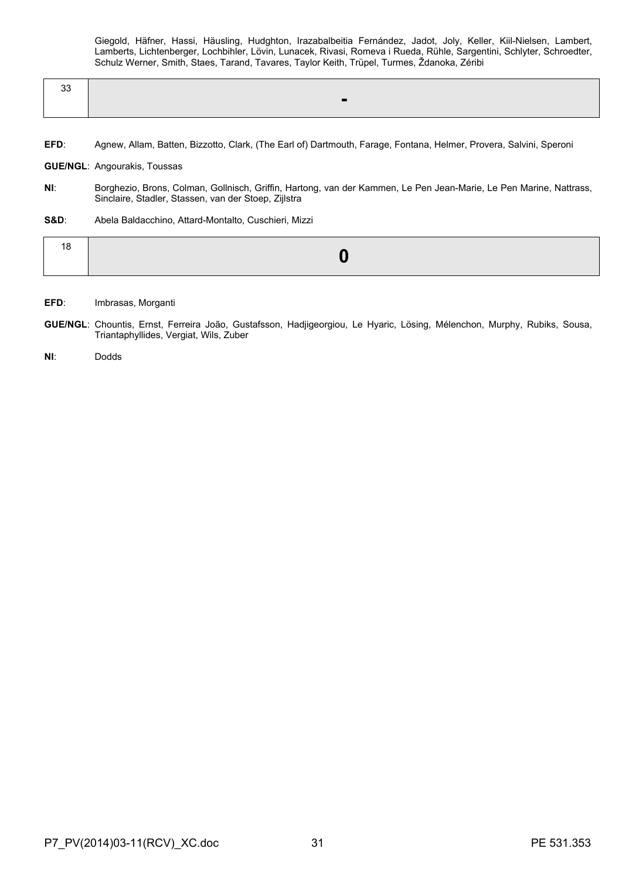Giegold, Häfner, Hassi, Häusling, Hudghton, Irazabalbeitia Fernández, Jadot, Joly, Keller, Kiil-Nielsen, Lambert, Lamberts, Lichtenberger, Lochbihler, Lövin, Lunacek, Rivasi, Romeva i Rueda, Rühle, Sargentini, Schlyter, Schroedter, Schulz Werner, Smith, Staes, Tarand, Tavares, Taylor Keith, Trüpel, Turmes, Ždanoka, Zéribi

| $\sim$<br>ັບປ<br>$-$ |  |
|----------------------|--|
|                      |  |
|                      |  |

**EFD**: Agnew, Allam, Batten, Bizzotto, Clark, (The Earl of) Dartmouth, Farage, Fontana, Helmer, Provera, Salvini, Speroni

#### **GUE/NGL**: Angourakis, Toussas

- **NI**: Borghezio, Brons, Colman, Gollnisch, Griffin, Hartong, van der Kammen, Le Pen Jean-Marie, Le Pen Marine, Nattrass, Sinclaire, Stadler, Stassen, van der Stoep, Zijlstra
- **S&D**: Abela Baldacchino, Attard-Montalto, Cuschieri, Mizzi

**EFD**: Imbrasas, Morganti

**GUE/NGL**: Chountis, Ernst, Ferreira João, Gustafsson, Hadjigeorgiou, Le Hyaric, Lösing, Mélenchon, Murphy, Rubiks, Sousa, Triantaphyllides, Vergiat, Wils, Zuber

**NI**: Dodds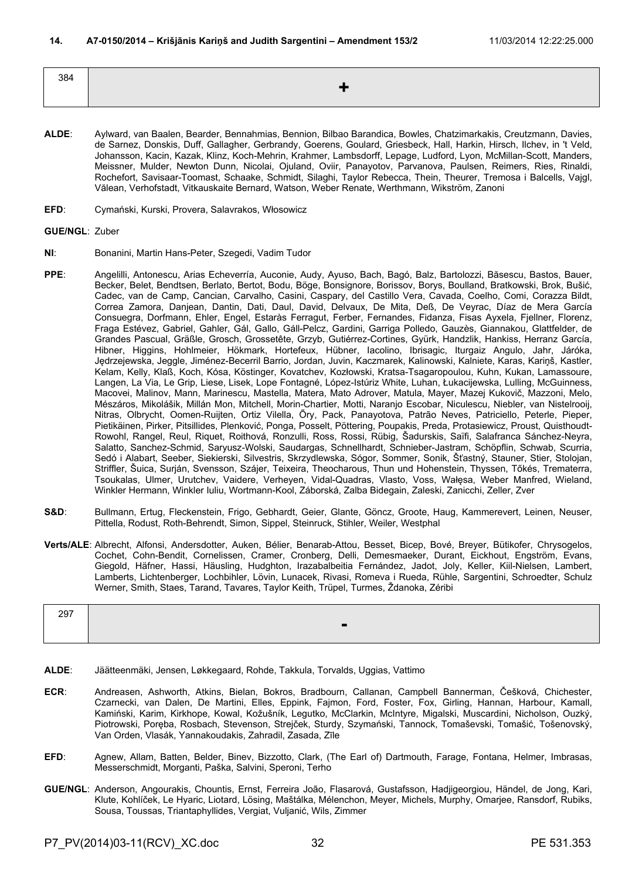<span id="page-31-0"></span>

| 384 |  |
|-----|--|
|-----|--|

- **ALDE**: Aylward, van Baalen, Bearder, Bennahmias, Bennion, Bilbao Barandica, Bowles, Chatzimarkakis, Creutzmann, Davies, de Sarnez, Donskis, Duff, Gallagher, Gerbrandy, Goerens, Goulard, Griesbeck, Hall, Harkin, Hirsch, Ilchev, in 't Veld, Johansson, Kacin, Kazak, Klinz, Koch-Mehrin, Krahmer, Lambsdorff, Lepage, Ludford, Lyon, McMillan-Scott, Manders, Meissner, Mulder, Newton Dunn, Nicolai, Ojuland, Oviir, Panayotov, Parvanova, Paulsen, Reimers, Ries, Rinaldi, Rochefort, Savisaar-Toomast, Schaake, Schmidt, Silaghi, Taylor Rebecca, Thein, Theurer, Tremosa i Balcells, Vajgl, Vălean, Verhofstadt, Vitkauskaite Bernard, Watson, Weber Renate, Werthmann, Wikström, Zanoni
- **EFD**: Cymański, Kurski, Provera, Salavrakos, Włosowicz

#### **GUE/NGL**: Zuber

- **NI**: Bonanini, Martin Hans-Peter, Szegedi, Vadim Tudor
- **PPE**: Angelilli, Antonescu, Arias Echeverría, Auconie, Audy, Ayuso, Bach, Bagó, Balz, Bartolozzi, Băsescu, Bastos, Bauer, Becker, Belet, Bendtsen, Berlato, Bertot, Bodu, Böge, Bonsignore, Borissov, Borys, Boulland, Bratkowski, Brok, Bušić, Cadec, van de Camp, Cancian, Carvalho, Casini, Caspary, del Castillo Vera, Cavada, Coelho, Comi, Corazza Bildt, Correa Zamora, Danjean, Dantin, Dati, Daul, David, Delvaux, De Mita, Deß, De Veyrac, Díaz de Mera García Consuegra, Dorfmann, Ehler, Engel, Estaràs Ferragut, Ferber, Fernandes, Fidanza, Fisas Ayxela, Fjellner, Florenz, Fraga Estévez, Gabriel, Gahler, Gál, Gallo, Gáll-Pelcz, Gardini, Garriga Polledo, Gauzès, Giannakou, Glattfelder, de Grandes Pascual, Gräßle, Grosch, Grossetête, Grzyb, Gutiérrez-Cortines, Gyürk, Handzlik, Hankiss, Herranz García, Hibner, Higgins, Hohlmeier, Hökmark, Hortefeux, Hübner, Iacolino, Ibrisagic, Iturgaiz Angulo, Jahr, Járóka, Jędrzejewska, Jeggle, Jiménez-Becerril Barrio, Jordan, Juvin, Kaczmarek, Kalinowski, Kalniete, Karas, Kariņš, Kastler, Kelam, Kelly, Klaß, Koch, Kósa, Köstinger, Kovatchev, Kozłowski, Kratsa-Tsagaropoulou, Kuhn, Kukan, Lamassoure, Langen, La Via, Le Grip, Liese, Lisek, Lope Fontagné, López-Istúriz White, Luhan, Łukacijewska, Lulling, McGuinness, Macovei, Malinov, Mann, Marinescu, Mastella, Matera, Mato Adrover, Matula, Mayer, Mazej Kukovič, Mazzoni, Melo, Mészáros, Mikolášik, Millán Mon, Mitchell, Morin-Chartier, Motti, Naranjo Escobar, Niculescu, Niebler, van Nistelrooij, Nitras, Olbrycht, Oomen-Ruijten, Ortiz Vilella, Őry, Pack, Panayotova, Patrão Neves, Patriciello, Peterle, Pieper, Pietikäinen, Pirker, Pitsillides, Plenković, Ponga, Posselt, Pöttering, Poupakis, Preda, Protasiewicz, Proust, Quisthoudt-Rowohl, Rangel, Reul, Riquet, Roithová, Ronzulli, Ross, Rossi, Rübig, Šadurskis, Saïfi, Salafranca Sánchez-Neyra, Salatto, Sanchez-Schmid, Saryusz-Wolski, Saudargas, Schnellhardt, Schnieber-Jastram, Schöpflin, Schwab, Scurria, Sedó i Alabart, Seeber, Siekierski, Silvestris, Skrzydlewska, Sógor, Sommer, Sonik, Šťastný, Stauner, Stier, Stolojan, Striffler, Šuica, Surján, Svensson, Szájer, Teixeira, Theocharous, Thun und Hohenstein, Thyssen, Tőkés, Trematerra, Tsoukalas, Ulmer, Urutchev, Vaidere, Verheyen, Vidal-Quadras, Vlasto, Voss, Wałęsa, Weber Manfred, Wieland, Winkler Hermann, Winkler Iuliu, Wortmann-Kool, Záborská, Zalba Bidegain, Zaleski, Zanicchi, Zeller, Zver
- **S&D**: Bullmann, Ertug, Fleckenstein, Frigo, Gebhardt, Geier, Glante, Göncz, Groote, Haug, Kammerevert, Leinen, Neuser, Pittella, Rodust, Roth-Behrendt, Simon, Sippel, Steinruck, Stihler, Weiler, Westphal
- **Verts/ALE**: Albrecht, Alfonsi, Andersdotter, Auken, Bélier, Benarab-Attou, Besset, Bicep, Bové, Breyer, Bütikofer, Chrysogelos, Cochet, Cohn-Bendit, Cornelissen, Cramer, Cronberg, Delli, Demesmaeker, Durant, Eickhout, Engström, Evans, Giegold, Häfner, Hassi, Häusling, Hudghton, Irazabalbeitia Fernández, Jadot, Joly, Keller, Kiil-Nielsen, Lambert, Lamberts, Lichtenberger, Lochbihler, Lövin, Lunacek, Rivasi, Romeva i Rueda, Rühle, Sargentini, Schroedter, Schulz Werner, Smith, Staes, Tarand, Tavares, Taylor Keith, Trüpel, Turmes, Ždanoka, Zéribi

| $\sim$<br>297 |            |
|---------------|------------|
|               | $-$<br>. . |

- **ALDE**: Jäätteenmäki, Jensen, Løkkegaard, Rohde, Takkula, Torvalds, Uggias, Vattimo
- **ECR**: Andreasen, Ashworth, Atkins, Bielan, Bokros, Bradbourn, Callanan, Campbell Bannerman, Češková, Chichester, Czarnecki, van Dalen, De Martini, Elles, Eppink, Fajmon, Ford, Foster, Fox, Girling, Hannan, Harbour, Kamall, Kamiński, Karim, Kirkhope, Kowal, Kožušník, Legutko, McClarkin, McIntyre, Migalski, Muscardini, Nicholson, Ouzký, Piotrowski, Poręba, Rosbach, Stevenson, Strejček, Sturdy, Szymański, Tannock, Tomaševski, Tomašić, Tošenovský, Van Orden, Vlasák, Yannakoudakis, Zahradil, Zasada, Zīle
- **EFD**: Agnew, Allam, Batten, Belder, Binev, Bizzotto, Clark, (The Earl of) Dartmouth, Farage, Fontana, Helmer, Imbrasas, Messerschmidt, Morganti, Paška, Salvini, Speroni, Terho
- **GUE/NGL**: Anderson, Angourakis, Chountis, Ernst, Ferreira João, Flasarová, Gustafsson, Hadjigeorgiou, Händel, de Jong, Kari, Klute, Kohlíček, Le Hyaric, Liotard, Lösing, Maštálka, Mélenchon, Meyer, Michels, Murphy, Omarjee, Ransdorf, Rubiks, Sousa, Toussas, Triantaphyllides, Vergiat, Vuljanić, Wils, Zimmer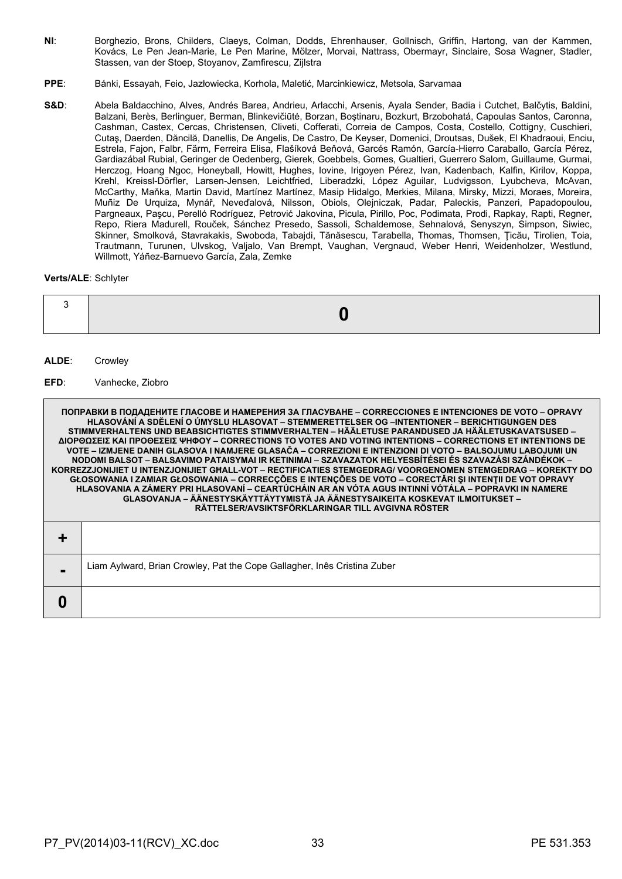- **NI**: Borghezio, Brons, Childers, Claeys, Colman, Dodds, Ehrenhauser, Gollnisch, Griffin, Hartong, van der Kammen, Kovács, Le Pen Jean-Marie, Le Pen Marine, Mölzer, Morvai, Nattrass, Obermayr, Sinclaire, Sosa Wagner, Stadler, Stassen, van der Stoep, Stoyanov, Zamfirescu, Zijlstra
- **PPE**: Bánki, Essayah, Feio, Jazłowiecka, Korhola, Maletić, Marcinkiewicz, Metsola, Sarvamaa
- **S&D**: Abela Baldacchino, Alves, Andrés Barea, Andrieu, Arlacchi, Arsenis, Ayala Sender, Badia i Cutchet, Balčytis, Baldini, Balzani, Berès, Berlinguer, Berman, Blinkevičiūtė, Borzan, Boştinaru, Bozkurt, Brzobohatá, Capoulas Santos, Caronna, Cashman, Castex, Cercas, Christensen, Cliveti, Cofferati, Correia de Campos, Costa, Costello, Cottigny, Cuschieri, Cutaş, Daerden, Dăncilă, Danellis, De Angelis, De Castro, De Keyser, Domenici, Droutsas, Dušek, El Khadraoui, Enciu, Estrela, Fajon, Falbr, Färm, Ferreira Elisa, Flašíková Beňová, Garcés Ramón, García-Hierro Caraballo, García Pérez, Gardiazábal Rubial, Geringer de Oedenberg, Gierek, Goebbels, Gomes, Gualtieri, Guerrero Salom, Guillaume, Gurmai, Herczog, Hoang Ngoc, Honeyball, Howitt, Hughes, Iovine, Irigoyen Pérez, Ivan, Kadenbach, Kalfin, Kirilov, Koppa, Krehl, Kreissl-Dörfler, Larsen-Jensen, Leichtfried, Liberadzki, López Aguilar, Ludvigsson, Lyubcheva, McAvan, McCarthy, Maňka, Martin David, Martínez Martínez, Masip Hidalgo, Merkies, Milana, Mirsky, Mizzi, Moraes, Moreira, Muñiz De Urquiza, Mynář, Neveďalová, Nilsson, Obiols, Olejniczak, Padar, Paleckis, Panzeri, Papadopoulou, Pargneaux, Paşcu, Perelló Rodríguez, Petrović Jakovina, Picula, Pirillo, Poc, Podimata, Prodi, Rapkay, Rapti, Regner, Repo, Riera Madurell, Rouček, Sánchez Presedo, Sassoli, Schaldemose, Sehnalová, Senyszyn, Simpson, Siwiec, Skinner, Smolková, Stavrakakis, Swoboda, Tabajdi, Tănăsescu, Tarabella, Thomas, Thomsen, Ţicău, Tirolien, Toia, Trautmann, Turunen, Ulvskog, Valjalo, Van Brempt, Vaughan, Vergnaud, Weber Henri, Weidenholzer, Westlund, Willmott, Yáñez-Barnuevo García, Zala, Zemke

#### **Verts/ALE**: Schlyter

#### **ALDE**: Crowley

#### **EFD**: Vanhecke, Ziobro

**ПОПРАВКИ В ПОДАДЕНИТЕ ГЛАСОВЕ И НАМЕРЕНИЯ ЗА ГЛАСУВАНЕ – CORRECCIONES E INTENCIONES DE VOTO – OPRAVY HLASOVÁNÍ A SDĚLENÍ O ÚMYSLU HLASOVAT – STEMMERETTELSER OG –INTENTIONER – BERICHTIGUNGEN DES STIMMVERHALTENS UND BEABSICHTIGTES STIMMVERHALTEN – HÄÄLETUSE PARANDUSED JA HÄÄLETUSKAVATSUSED – ΔΙΟΡΘΩΣΕΙΣ ΚΑΙ ΠΡΟΘΕΣΕΙΣ ΨΗΦΟΥ – CORRECTIONS TO VOTES AND VOTING INTENTIONS – CORRECTIONS ET INTENTIONS DE VOTE – IZMJENE DANIH GLASOVA I NAMJERE GLASAČA – CORREZIONI E INTENZIONI DI VOTO – BALSOJUMU LABOJUMI UN NODOMI BALSOT – BALSAVIMO PATAISYMAI IR KETINIMAI – SZAVAZATOK HELYESBÍTÉSEI ÉS SZAVAZÁSI SZÁNDÉKOK – KORREZZJONIJIET U INTENZJONIJIET GĦALL-VOT – RECTIFICATIES STEMGEDRAG/ VOORGENOMEN STEMGEDRAG – KOREKTY DO GŁOSOWANIA I ZAMIAR GŁOSOWANIA – CORRECÇÕES E INTENÇÕES DE VOTO – CORECTĂRI ŞI INTENŢII DE VOT OPRAVY HLASOVANIA A ZÁMERY PRI HLASOVANÍ – CEARTÚCHÁIN AR AN VÓTA AGUS INTINNÍ VÓTÁLA – POPRAVKI IN NAMERE GLASOVANJA – ÄÄNESTYSKÄYTTÄYTYMISTÄ JA ÄÄNESTYSAIKEITA KOSKEVAT ILMOITUKSET – RÄTTELSER/AVSIKTSFÖRKLARINGAR TILL AVGIVNA RÖSTER**

| Liam Aylward, Brian Crowley, Pat the Cope Gallagher, Inês Cristina Zuber |
|--------------------------------------------------------------------------|
|                                                                          |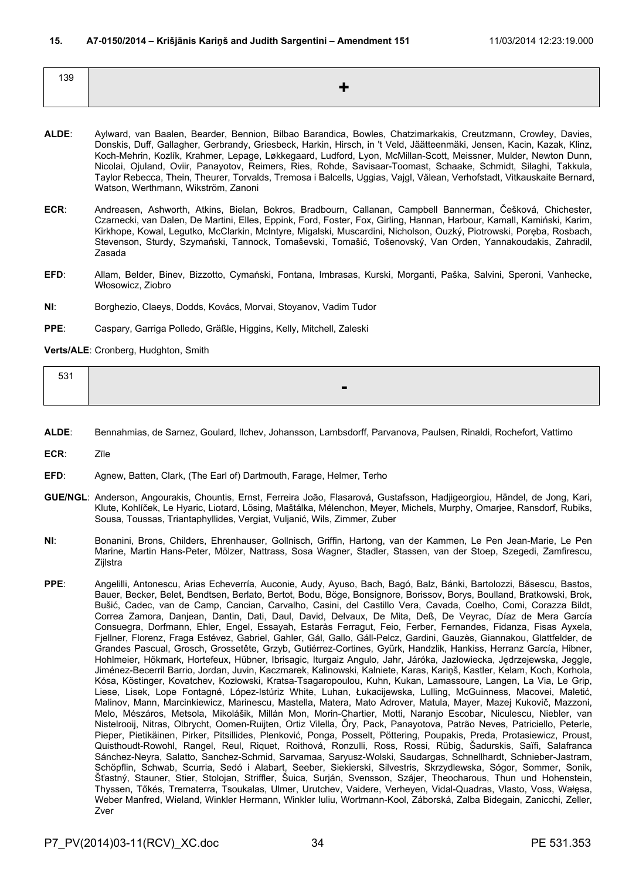<span id="page-33-0"></span>

| 139 |    |
|-----|----|
|     | __ |
|     |    |

- **ALDE**: Aylward, van Baalen, Bearder, Bennion, Bilbao Barandica, Bowles, Chatzimarkakis, Creutzmann, Crowley, Davies, Donskis, Duff, Gallagher, Gerbrandy, Griesbeck, Harkin, Hirsch, in 't Veld, Jäätteenmäki, Jensen, Kacin, Kazak, Klinz, Koch-Mehrin, Kozlík, Krahmer, Lepage, Løkkegaard, Ludford, Lyon, McMillan-Scott, Meissner, Mulder, Newton Dunn, Nicolai, Ojuland, Oviir, Panayotov, Reimers, Ries, Rohde, Savisaar-Toomast, Schaake, Schmidt, Silaghi, Takkula, Taylor Rebecca, Thein, Theurer, Torvalds, Tremosa i Balcells, Uggias, Vajgl, Vălean, Verhofstadt, Vitkauskaite Bernard, Watson, Werthmann, Wikström, Zanoni
- **ECR**: Andreasen, Ashworth, Atkins, Bielan, Bokros, Bradbourn, Callanan, Campbell Bannerman, Češková, Chichester, Czarnecki, van Dalen, De Martini, Elles, Eppink, Ford, Foster, Fox, Girling, Hannan, Harbour, Kamall, Kamiński, Karim, Kirkhope, Kowal, Legutko, McClarkin, McIntyre, Migalski, Muscardini, Nicholson, Ouzký, Piotrowski, Poręba, Rosbach, Stevenson, Sturdy, Szymański, Tannock, Tomaševski, Tomašić, Tošenovský, Van Orden, Yannakoudakis, Zahradil, Zasada
- **EFD**: Allam, Belder, Binev, Bizzotto, Cymański, Fontana, Imbrasas, Kurski, Morganti, Paška, Salvini, Speroni, Vanhecke, Włosowicz, Ziobro
- **NI**: Borghezio, Claeys, Dodds, Kovács, Morvai, Stoyanov, Vadim Tudor
- **PPE**: Caspary, Garriga Polledo, Gräßle, Higgins, Kelly, Mitchell, Zaleski

**Verts/ALE**: Cronberg, Hudghton, Smith

| $\overline{r}$<br>ັບ<br>$ -$ |     |
|------------------------------|-----|
|                              | . . |

**ALDE**: Bennahmias, de Sarnez, Goulard, Ilchev, Johansson, Lambsdorff, Parvanova, Paulsen, Rinaldi, Rochefort, Vattimo

**ECR**: Zīle

- **EFD**: Agnew, Batten, Clark, (The Earl of) Dartmouth, Farage, Helmer, Terho
- **GUE/NGL**: Anderson, Angourakis, Chountis, Ernst, Ferreira João, Flasarová, Gustafsson, Hadjigeorgiou, Händel, de Jong, Kari, Klute, Kohlíček, Le Hyaric, Liotard, Lösing, Maštálka, Mélenchon, Meyer, Michels, Murphy, Omarjee, Ransdorf, Rubiks, Sousa, Toussas, Triantaphyllides, Vergiat, Vuljanić, Wils, Zimmer, Zuber
- **NI**: Bonanini, Brons, Childers, Ehrenhauser, Gollnisch, Griffin, Hartong, van der Kammen, Le Pen Jean-Marie, Le Pen Marine, Martin Hans-Peter, Mölzer, Nattrass, Sosa Wagner, Stadler, Stassen, van der Stoep, Szegedi, Zamfirescu, Zijlstra
- **PPE**: Angelilli, Antonescu, Arias Echeverría, Auconie, Audy, Ayuso, Bach, Bagó, Balz, Bánki, Bartolozzi, Băsescu, Bastos, Bauer, Becker, Belet, Bendtsen, Berlato, Bertot, Bodu, Böge, Bonsignore, Borissov, Borys, Boulland, Bratkowski, Brok, Bušić, Cadec, van de Camp, Cancian, Carvalho, Casini, del Castillo Vera, Cavada, Coelho, Comi, Corazza Bildt, Correa Zamora, Danjean, Dantin, Dati, Daul, David, Delvaux, De Mita, Deß, De Veyrac, Díaz de Mera García Consuegra, Dorfmann, Ehler, Engel, Essayah, Estaràs Ferragut, Feio, Ferber, Fernandes, Fidanza, Fisas Ayxela, Fjellner, Florenz, Fraga Estévez, Gabriel, Gahler, Gál, Gallo, Gáll-Pelcz, Gardini, Gauzès, Giannakou, Glattfelder, de Grandes Pascual, Grosch, Grossetête, Grzyb, Gutiérrez-Cortines, Gyürk, Handzlik, Hankiss, Herranz García, Hibner, Hohlmeier, Hökmark, Hortefeux, Hübner, Ibrisagic, Iturgaiz Angulo, Jahr, Járóka, Jazłowiecka, Jędrzejewska, Jeggle, Jiménez-Becerril Barrio, Jordan, Juvin, Kaczmarek, Kalinowski, Kalniete, Karas, Kariņš, Kastler, Kelam, Koch, Korhola, Kósa, Köstinger, Kovatchev, Kozłowski, Kratsa-Tsagaropoulou, Kuhn, Kukan, Lamassoure, Langen, La Via, Le Grip, Liese, Lisek, Lope Fontagné, López-Istúriz White, Luhan, Łukacijewska, Lulling, McGuinness, Macovei, Maletić, Malinov, Mann, Marcinkiewicz, Marinescu, Mastella, Matera, Mato Adrover, Matula, Mayer, Mazej Kukovič, Mazzoni, Melo, Mészáros, Metsola, Mikolášik, Millán Mon, Morin-Chartier, Motti, Naranjo Escobar, Niculescu, Niebler, van Nistelrooij, Nitras, Olbrycht, Oomen-Ruijten, Ortiz Vilella, Őry, Pack, Panayotova, Patrão Neves, Patriciello, Peterle, Pieper, Pietikäinen, Pirker, Pitsillides, Plenković, Ponga, Posselt, Pöttering, Poupakis, Preda, Protasiewicz, Proust, Quisthoudt-Rowohl, Rangel, Reul, Riquet, Roithová, Ronzulli, Ross, Rossi, Rübig, Šadurskis, Saïfi, Salafranca Sánchez-Neyra, Salatto, Sanchez-Schmid, Sarvamaa, Saryusz-Wolski, Saudargas, Schnellhardt, Schnieber-Jastram, Schöpflin, Schwab, Scurria, Sedó i Alabart, Seeber, Siekierski, Silvestris, Skrzydlewska, Sógor, Sommer, Sonik, Šťastný, Stauner, Stier, Stolojan, Striffler, Šuica, Surján, Svensson, Szájer, Theocharous, Thun und Hohenstein, Thyssen, Tőkés, Trematerra, Tsoukalas, Ulmer, Urutchev, Vaidere, Verheyen, Vidal-Quadras, Vlasto, Voss, Wałęsa, Weber Manfred, Wieland, Winkler Hermann, Winkler Iuliu, Wortmann-Kool, Záborská, Zalba Bidegain, Zanicchi, Zeller, Zver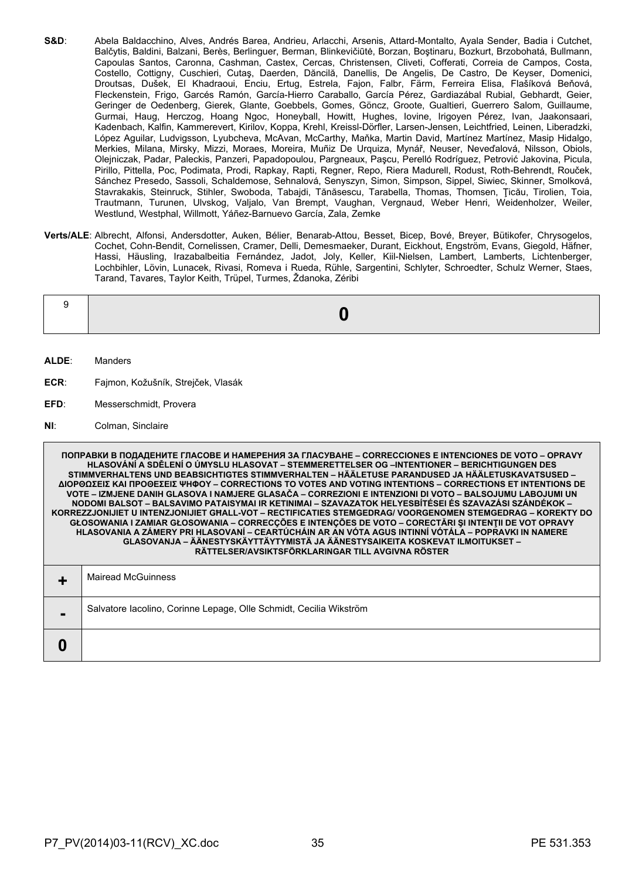- **S&D**: Abela Baldacchino, Alves, Andrés Barea, Andrieu, Arlacchi, Arsenis, Attard-Montalto, Ayala Sender, Badia i Cutchet, Balčytis, Baldini, Balzani, Berès, Berlinguer, Berman, Blinkevičiūtė, Borzan, Boştinaru, Bozkurt, Brzobohatá, Bullmann, Capoulas Santos, Caronna, Cashman, Castex, Cercas, Christensen, Cliveti, Cofferati, Correia de Campos, Costa, Costello, Cottigny, Cuschieri, Cutaş, Daerden, Dăncilă, Danellis, De Angelis, De Castro, De Keyser, Domenici, Droutsas, Dušek, El Khadraoui, Enciu, Ertug, Estrela, Fajon, Falbr, Färm, Ferreira Elisa, Flašíková Beňová, Fleckenstein, Frigo, Garcés Ramón, García-Hierro Caraballo, García Pérez, Gardiazábal Rubial, Gebhardt, Geier, Geringer de Oedenberg, Gierek, Glante, Goebbels, Gomes, Göncz, Groote, Gualtieri, Guerrero Salom, Guillaume, Gurmai, Haug, Herczog, Hoang Ngoc, Honeyball, Howitt, Hughes, Iovine, Irigoyen Pérez, Ivan, Jaakonsaari, Kadenbach, Kalfin, Kammerevert, Kirilov, Koppa, Krehl, Kreissl-Dörfler, Larsen-Jensen, Leichtfried, Leinen, Liberadzki, López Aguilar, Ludvigsson, Lyubcheva, McAvan, McCarthy, Maňka, Martin David, Martínez Martínez, Masip Hidalgo, Merkies, Milana, Mirsky, Mizzi, Moraes, Moreira, Muñiz De Urquiza, Mynář, Neuser, Neveďalová, Nilsson, Obiols, Olejniczak, Padar, Paleckis, Panzeri, Papadopoulou, Pargneaux, Paşcu, Perelló Rodríguez, Petrović Jakovina, Picula, Pirillo, Pittella, Poc, Podimata, Prodi, Rapkay, Rapti, Regner, Repo, Riera Madurell, Rodust, Roth-Behrendt, Rouček, Sánchez Presedo, Sassoli, Schaldemose, Sehnalová, Senyszyn, Simon, Simpson, Sippel, Siwiec, Skinner, Smolková, Stavrakakis, Steinruck, Stihler, Swoboda, Tabajdi, Tănăsescu, Tarabella, Thomas, Thomsen, Țicău, Tirolien, Toia, Trautmann, Turunen, Ulvskog, Valjalo, Van Brempt, Vaughan, Vergnaud, Weber Henri, Weidenholzer, Weiler, Westlund, Westphal, Willmott, Yáñez-Barnuevo García, Zala, Zemke
- **Verts/ALE**: Albrecht, Alfonsi, Andersdotter, Auken, Bélier, Benarab-Attou, Besset, Bicep, Bové, Breyer, Bütikofer, Chrysogelos, Cochet, Cohn-Bendit, Cornelissen, Cramer, Delli, Demesmaeker, Durant, Eickhout, Engström, Evans, Giegold, Häfner, Hassi, Häusling, Irazabalbeitia Fernández, Jadot, Joly, Keller, Kiil-Nielsen, Lambert, Lamberts, Lichtenberger, Lochbihler, Lövin, Lunacek, Rivasi, Romeva i Rueda, Rühle, Sargentini, Schlyter, Schroedter, Schulz Werner, Staes, Tarand, Tavares, Taylor Keith, Trüpel, Turmes, Ždanoka, Zéribi

**ALDE**: Manders

- **ECR**: Fajmon, Kožušník, Strejček, Vlasák
- **EFD**: Messerschmidt, Provera
- **NI**: Colman, Sinclaire

**ПОПРАВКИ В ПОДАДЕНИТЕ ГЛАСОВЕ И НАМЕРЕНИЯ ЗА ГЛАСУВАНЕ – CORRECCIONES E INTENCIONES DE VOTO – OPRAVY HLASOVÁNÍ A SDĚLENÍ O ÚMYSLU HLASOVAT – STEMMERETTELSER OG –INTENTIONER – BERICHTIGUNGEN DES STIMMVERHALTENS UND BEABSICHTIGTES STIMMVERHALTEN – HÄÄLETUSE PARANDUSED JA HÄÄLETUSKAVATSUSED – ΔΙΟΡΘΩΣΕΙΣ ΚΑΙ ΠΡΟΘΕΣΕΙΣ ΨΗΦΟΥ – CORRECTIONS TO VOTES AND VOTING INTENTIONS – CORRECTIONS ET INTENTIONS DE VOTE – IZMJENE DANIH GLASOVA I NAMJERE GLASAČA – CORREZIONI E INTENZIONI DI VOTO – BALSOJUMU LABOJUMI UN NODOMI BALSOT – BALSAVIMO PATAISYMAI IR KETINIMAI – SZAVAZATOK HELYESBÍTÉSEI ÉS SZAVAZÁSI SZÁNDÉKOK – KORREZZJONIJIET U INTENZJONIJIET GĦALL-VOT – RECTIFICATIES STEMGEDRAG/ VOORGENOMEN STEMGEDRAG – KOREKTY DO GŁOSOWANIA I ZAMIAR GŁOSOWANIA – CORRECÇÕES E INTENÇÕES DE VOTO – CORECTĂRI ŞI INTENŢII DE VOT OPRAVY HLASOVANIA A ZÁMERY PRI HLASOVANÍ – CEARTÚCHÁIN AR AN VÓTA AGUS INTINNÍ VÓTÁLA – POPRAVKI IN NAMERE GLASOVANJA – ÄÄNESTYSKÄYTTÄYTYMISTÄ JA ÄÄNESTYSAIKEITA KOSKEVAT ILMOITUKSET – RÄTTELSER/AVSIKTSFÖRKLARINGAR TILL AVGIVNA RÖSTER**

|                | <b>Mairead McGuinness</b>                                          |
|----------------|--------------------------------------------------------------------|
| $\blacksquare$ | Salvatore Iacolino, Corinne Lepage, Olle Schmidt, Cecilia Wikström |
| U              |                                                                    |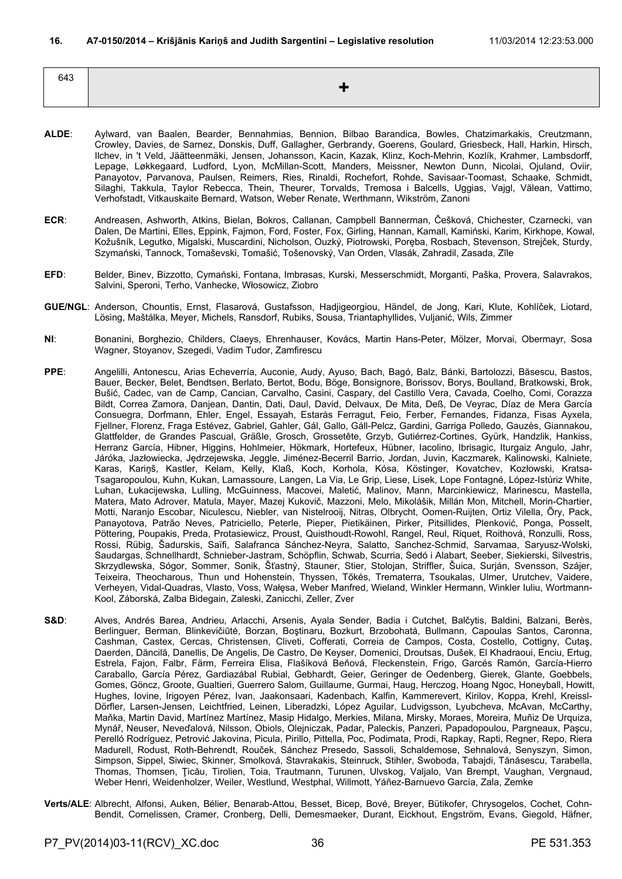<span id="page-35-0"></span>

| 643 |  |
|-----|--|
|     |  |

- **ALDE**: Aylward, van Baalen, Bearder, Bennahmias, Bennion, Bilbao Barandica, Bowles, Chatzimarkakis, Creutzmann, Crowley, Davies, de Sarnez, Donskis, Duff, Gallagher, Gerbrandy, Goerens, Goulard, Griesbeck, Hall, Harkin, Hirsch, Ilchev, in 't Veld, Jäätteenmäki, Jensen, Johansson, Kacin, Kazak, Klinz, Koch-Mehrin, Kozlík, Krahmer, Lambsdorff, Lepage, Løkkegaard, Ludford, Lyon, McMillan-Scott, Manders, Meissner, Newton Dunn, Nicolai, Ojuland, Oviir, Panayotov, Parvanova, Paulsen, Reimers, Ries, Rinaldi, Rochefort, Rohde, Savisaar-Toomast, Schaake, Schmidt, Silaghi, Takkula, Taylor Rebecca, Thein, Theurer, Torvalds, Tremosa i Balcells, Uggias, Vajgl, Vălean, Vattimo, Verhofstadt, Vitkauskaite Bernard, Watson, Weber Renate, Werthmann, Wikström, Zanoni
- **ECR**: Andreasen, Ashworth, Atkins, Bielan, Bokros, Callanan, Campbell Bannerman, Češková, Chichester, Czarnecki, van Dalen, De Martini, Elles, Eppink, Fajmon, Ford, Foster, Fox, Girling, Hannan, Kamall, Kamiński, Karim, Kirkhope, Kowal, Kožušník, Legutko, Migalski, Muscardini, Nicholson, Ouzký, Piotrowski, Poręba, Rosbach, Stevenson, Strejček, Sturdy, Szymański, Tannock, Tomaševski, Tomašić, Tošenovský, Van Orden, Vlasák, Zahradil, Zasada, Zīle
- **EFD**: Belder, Binev, Bizzotto, Cymański, Fontana, Imbrasas, Kurski, Messerschmidt, Morganti, Paška, Provera, Salavrakos, Salvini, Speroni, Terho, Vanhecke, Włosowicz, Ziobro
- **GUE/NGL**: Anderson, Chountis, Ernst, Flasarová, Gustafsson, Hadjigeorgiou, Händel, de Jong, Kari, Klute, Kohlíček, Liotard, Lösing, Maštálka, Meyer, Michels, Ransdorf, Rubiks, Sousa, Triantaphyllides, Vuljanić, Wils, Zimmer
- **NI**: Bonanini, Borghezio, Childers, Claeys, Ehrenhauser, Kovács, Martin Hans-Peter, Mölzer, Morvai, Obermayr, Sosa Wagner, Stoyanov, Szegedi, Vadim Tudor, Zamfirescu
- PPE: Angelilli, Antonescu, Arias Echeverría, Auconie, Audy, Ayuso, Bach, Bagó, Balz, Bánki, Bartolozzi, Băsescu, Bastos, Bauer, Becker, Belet, Bendtsen, Berlato, Bertot, Bodu, Böge, Bonsignore, Borissov, Borys, Boulland, Bratkowski, Brok, Bušić, Cadec, van de Camp, Cancian, Carvalho, Casini, Caspary, del Castillo Vera, Cavada, Coelho, Comi, Corazza Bildt, Correa Zamora, Danjean, Dantin, Dati, Daul, David, Delvaux, De Mita, Deß, De Veyrac, Díaz de Mera García Consuegra, Dorfmann, Ehler, Engel, Essayah, Estaràs Ferragut, Feio, Ferber, Fernandes, Fidanza, Fisas Ayxela, Fjellner, Florenz, Fraga Estévez, Gabriel, Gahler, Gál, Gallo, Gáll-Pelcz, Gardini, Garriga Polledo, Gauzès, Giannakou, Glattfelder, de Grandes Pascual, Gräßle, Grosch, Grossetête, Grzyb, Gutiérrez-Cortines, Gyürk, Handzlik, Hankiss, Herranz García, Hibner, Higgins, Hohlmeier, Hökmark, Hortefeux, Hübner, Iacolino, Ibrisagic, Iturgaiz Angulo, Jahr, Járóka, Jazłowiecka, Jędrzejewska, Jeggle, Jiménez-Becerril Barrio, Jordan, Juvin, Kaczmarek, Kalinowski, Kalniete, Karas, Kariņš, Kastler, Kelam, Kelly, Klaß, Koch, Korhola, Kósa, Köstinger, Kovatchev, Kozłowski, Kratsa-Tsagaropoulou, Kuhn, Kukan, Lamassoure, Langen, La Via, Le Grip, Liese, Lisek, Lope Fontagné, López-Istúriz White, Luhan, Łukacijewska, Lulling, McGuinness, Macovei, Maletić, Malinov, Mann, Marcinkiewicz, Marinescu, Mastella, Matera, Mato Adrover, Matula, Mayer, Mazej Kukovič, Mazzoni, Melo, Mikolášik, Millán Mon, Mitchell, Morin-Chartier, Motti, Naranjo Escobar, Niculescu, Niebler, van Nistelrooij, Nitras, Olbrycht, Oomen-Ruijten, Ortiz Vilella, Őry, Pack, Panayotova, Patrão Neves, Patriciello, Peterle, Pieper, Pietikäinen, Pirker, Pitsillides, Plenković, Ponga, Posselt, Pöttering, Poupakis, Preda, Protasiewicz, Proust, Quisthoudt-Rowohl, Rangel, Reul, Riquet, Roithová, Ronzulli, Ross, Rossi, Rübig, Šadurskis, Saïfi, Salafranca Sánchez-Neyra, Salatto, Sanchez-Schmid, Sarvamaa, Saryusz-Wolski, Saudargas, Schnellhardt, Schnieber-Jastram, Schöpflin, Schwab, Scurria, Sedó i Alabart, Seeber, Siekierski, Silvestris, Skrzydlewska, Sógor, Sommer, Sonik, Šťastný, Stauner, Stier, Stolojan, Striffler, Šuica, Surján, Svensson, Szájer, Teixeira, Theocharous, Thun und Hohenstein, Thyssen, Tőkés, Trematerra, Tsoukalas, Ulmer, Urutchev, Vaidere, Verheyen, Vidal-Quadras, Vlasto, Voss, Wałęsa, Weber Manfred, Wieland, Winkler Hermann, Winkler Iuliu, Wortmann-Kool, Záborská, Zalba Bidegain, Zaleski, Zanicchi, Zeller, Zver
- **S&D**: Alves, Andrés Barea, Andrieu, Arlacchi, Arsenis, Ayala Sender, Badia i Cutchet, Balčytis, Baldini, Balzani, Berès, Berlinguer, Berman, Blinkevičiūtė, Borzan, Boştinaru, Bozkurt, Brzobohatá, Bullmann, Capoulas Santos, Caronna, Cashman, Castex, Cercas, Christensen, Cliveti, Cofferati, Correia de Campos, Costa, Costello, Cottigny, Cutaş, Daerden, Dăncilă, Danellis, De Angelis, De Castro, De Keyser, Domenici, Droutsas, Dušek, El Khadraoui, Enciu, Ertug, Estrela, Fajon, Falbr, Färm, Ferreira Elisa, Flašíková Beňová, Fleckenstein, Frigo, Garcés Ramón, García-Hierro Caraballo, García Pérez, Gardiazábal Rubial, Gebhardt, Geier, Geringer de Oedenberg, Gierek, Glante, Goebbels, Gomes, Göncz, Groote, Gualtieri, Guerrero Salom, Guillaume, Gurmai, Haug, Herczog, Hoang Ngoc, Honeyball, Howitt, Hughes, Iovine, Irigoyen Pérez, Ivan, Jaakonsaari, Kadenbach, Kalfin, Kammerevert, Kirilov, Koppa, Krehl, Kreissl-Dörfler, Larsen-Jensen, Leichtfried, Leinen, Liberadzki, López Aguilar, Ludvigsson, Lyubcheva, McAvan, McCarthy, Maňka, Martin David, Martínez Martínez, Masip Hidalgo, Merkies, Milana, Mirsky, Moraes, Moreira, Muñiz De Urquiza, Mynář, Neuser, Neveďalová, Nilsson, Obiols, Olejniczak, Padar, Paleckis, Panzeri, Papadopoulou, Pargneaux, Paşcu, Perelló Rodríguez, Petrović Jakovina, Picula, Pirillo, Pittella, Poc, Podimata, Prodi, Rapkay, Rapti, Regner, Repo, Riera Madurell, Rodust, Roth-Behrendt, Rouček, Sánchez Presedo, Sassoli, Schaldemose, Sehnalová, Senyszyn, Simon, Simpson, Sippel, Siwiec, Skinner, Smolková, Stavrakakis, Steinruck, Stihler, Swoboda, Tabajdi, Tănăsescu, Tarabella, Thomas, Thomsen, Ţicău, Tirolien, Toia, Trautmann, Turunen, Ulvskog, Valjalo, Van Brempt, Vaughan, Vergnaud, Weber Henri, Weidenholzer, Weiler, Westlund, Westphal, Willmott, Yáñez-Barnuevo García, Zala, Zemke
- **Verts/ALE**: Albrecht, Alfonsi, Auken, Bélier, Benarab-Attou, Besset, Bicep, Bové, Breyer, Bütikofer, Chrysogelos, Cochet, Cohn-Bendit, Cornelissen, Cramer, Cronberg, Delli, Demesmaeker, Durant, Eickhout, Engström, Evans, Giegold, Häfner,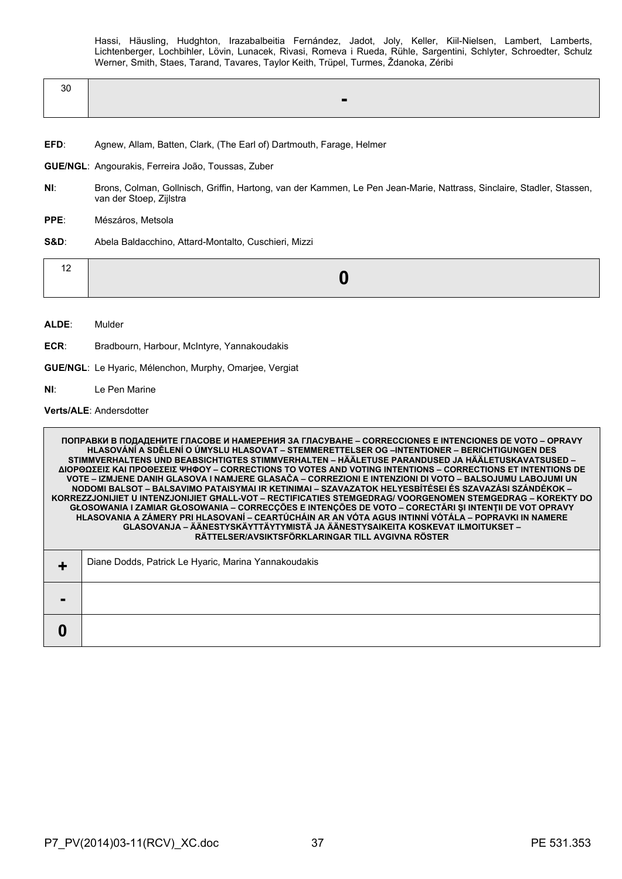Hassi, Häusling, Hudghton, Irazabalbeitia Fernández, Jadot, Joly, Keller, Kiil-Nielsen, Lambert, Lamberts, Lichtenberger, Lochbihler, Lövin, Lunacek, Rivasi, Romeva i Rueda, Rühle, Sargentini, Schlyter, Schroedter, Schulz Werner, Smith, Staes, Tarand, Tavares, Taylor Keith, Trüpel, Turmes, Ždanoka, Zéribi

| $\sim$<br>30 |  |
|--------------|--|
|              |  |

**EFD**: Agnew, Allam, Batten, Clark, (The Earl of) Dartmouth, Farage, Helmer

**GUE/NGL**: Angourakis, Ferreira João, Toussas, Zuber

- **NI**: Brons, Colman, Gollnisch, Griffin, Hartong, van der Kammen, Le Pen Jean-Marie, Nattrass, Sinclaire, Stadler, Stassen, van der Stoep, Zijlstra
- **PPE**: Mészáros, Metsola
- **S&D**: Abela Baldacchino, Attard-Montalto, Cuschieri, Mizzi

**ALDE**: Mulder

**ECR**: Bradbourn, Harbour, McIntyre, Yannakoudakis

**GUE/NGL**: Le Hyaric, Mélenchon, Murphy, Omarjee, Vergiat

**NI**: Le Pen Marine

**Verts/ALE**: Andersdotter

| ПОПРАВКИ В ПОДАДЕНИТЕ ГЛАСОВЕ И НАМЕРЕНИЯ ЗА ГЛАСУВАНЕ – CORRECCIONES E INTENCIONES DE VOTO – OPRAVY<br>HLASOVÁNÍ A SDĚLENÍ O ÚMYSLU HLASOVAT – STEMMERETTELSER OG –INTENTIONER – BERICHTIGUNGEN DES<br>STIMMVERHALTENS UND BEABSICHTIGTES STIMMVERHALTEN – HÄÄLETUSE PARANDUSED JA HÄÄLETUSKAVATSUSED –<br>ΔΙΟΡΘΩΣΕΙΣ ΚΑΙ ΠΡΟΘΕΣΕΙΣ ΨΗΦΟΥ – CORRECTIONS TO VOTES AND VOTING INTENTIONS – CORRECTIONS ET INTENTIONS DE<br>VOTE – IZMJENE DANIH GLASOVA I NAMJERE GLASAČA – CORREZIONI E INTENZIONI DI VOTO – BALSOJUMU LABOJUMI UN<br>NODOMI BALSOT – BALSAVIMO PATAISYMAI IR KETINIMAI – SZAVAZATOK HELYESBÍTÉSEI ÉS SZAVAZÁSI SZÁNDÉKOK –<br>KORREZZJONIJIET U INTENZJONIJIET GHALL-VOT – RECTIFICATIES STEMGEDRAG/ VOORGENOMEN STEMGEDRAG – KOREKTY DO<br>GŁOSOWANIA I ZAMIAR GŁOSOWANIA – CORRECÇÕES E INTENÇÕES DE VOTO – CORECTĂRI ȘI INTENȚII DE VOT OPRAVY<br>HLASOVANIA A ZÁMERY PRI HLASOVANÍ – CEARTÚCHÁIN AR AN VÓTA AGUS INTINNÍ VÓTÁLA – POPRAVKI IN NAMERE<br>GLASOVANJA – ÄÄNESTYSKÄYTTÄYTYMISTÄ JA ÄÄNESTYSAIKEITA KOSKEVAT ILMOITUKSET –<br>RÄTTELSER/AVSIKTSFÖRKLARINGAR TILL AVGIVNA RÖSTER |
|-----------------------------------------------------------------------------------------------------------------------------------------------------------------------------------------------------------------------------------------------------------------------------------------------------------------------------------------------------------------------------------------------------------------------------------------------------------------------------------------------------------------------------------------------------------------------------------------------------------------------------------------------------------------------------------------------------------------------------------------------------------------------------------------------------------------------------------------------------------------------------------------------------------------------------------------------------------------------------------------------------------------------------------------------------------------------------------------------------------------|
| Diane Dodds, Patrick Le Hyaric, Marina Yannakoudakis                                                                                                                                                                                                                                                                                                                                                                                                                                                                                                                                                                                                                                                                                                                                                                                                                                                                                                                                                                                                                                                            |
|                                                                                                                                                                                                                                                                                                                                                                                                                                                                                                                                                                                                                                                                                                                                                                                                                                                                                                                                                                                                                                                                                                                 |
|                                                                                                                                                                                                                                                                                                                                                                                                                                                                                                                                                                                                                                                                                                                                                                                                                                                                                                                                                                                                                                                                                                                 |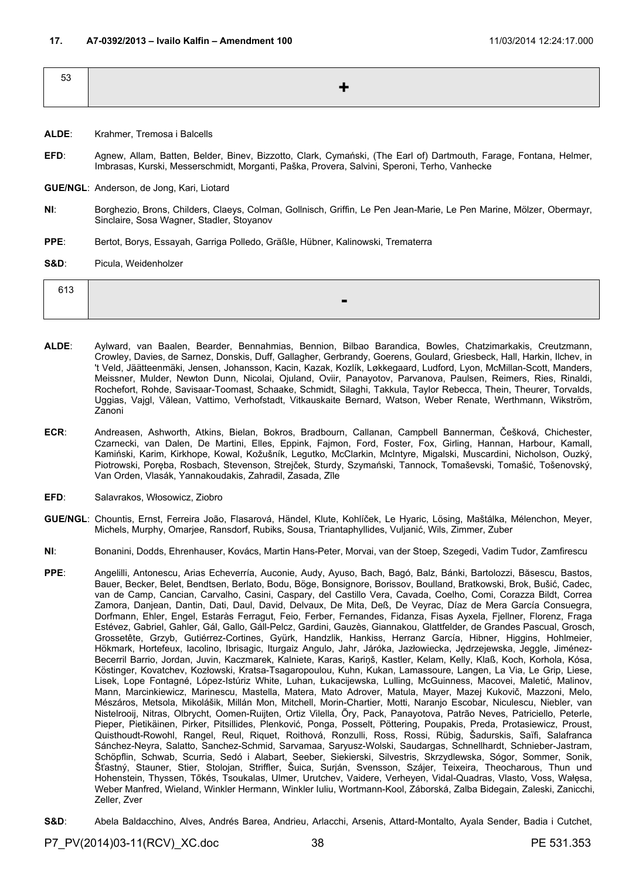| 53 |  |
|----|--|
|    |  |
|    |  |

- **ALDE**: Krahmer, Tremosa i Balcells
- **EFD**: Agnew, Allam, Batten, Belder, Binev, Bizzotto, Clark, Cymański, (The Earl of) Dartmouth, Farage, Fontana, Helmer, Imbrasas, Kurski, Messerschmidt, Morganti, Paška, Provera, Salvini, Speroni, Terho, Vanhecke
- **GUE/NGL**: Anderson, de Jong, Kari, Liotard
- **NI**: Borghezio, Brons, Childers, Claeys, Colman, Gollnisch, Griffin, Le Pen Jean-Marie, Le Pen Marine, Mölzer, Obermayr, Sinclaire, Sosa Wagner, Stadler, Stoyanov
- **PPE**: Bertot, Borys, Essayah, Garriga Polledo, Gräßle, Hübner, Kalinowski, Trematerra
- **S&D**: Picula, Weidenholzer

| 0.4c<br>່ເປ |   |
|-------------|---|
|             | - |

- **ALDE**: Aylward, van Baalen, Bearder, Bennahmias, Bennion, Bilbao Barandica, Bowles, Chatzimarkakis, Creutzmann, Crowley, Davies, de Sarnez, Donskis, Duff, Gallagher, Gerbrandy, Goerens, Goulard, Griesbeck, Hall, Harkin, Ilchev, in 't Veld, Jäätteenmäki, Jensen, Johansson, Kacin, Kazak, Kozlík, Løkkegaard, Ludford, Lyon, McMillan-Scott, Manders, Meissner, Mulder, Newton Dunn, Nicolai, Ojuland, Oviir, Panayotov, Parvanova, Paulsen, Reimers, Ries, Rinaldi, Rochefort, Rohde, Savisaar-Toomast, Schaake, Schmidt, Silaghi, Takkula, Taylor Rebecca, Thein, Theurer, Torvalds, Uggias, Vajgl, Vălean, Vattimo, Verhofstadt, Vitkauskaite Bernard, Watson, Weber Renate, Werthmann, Wikström, Zanoni
- **ECR**: Andreasen, Ashworth, Atkins, Bielan, Bokros, Bradbourn, Callanan, Campbell Bannerman, Češková, Chichester, Czarnecki, van Dalen, De Martini, Elles, Eppink, Fajmon, Ford, Foster, Fox, Girling, Hannan, Harbour, Kamall, Kamiński, Karim, Kirkhope, Kowal, Kožušník, Legutko, McClarkin, McIntyre, Migalski, Muscardini, Nicholson, Ouzký, Piotrowski, Poręba, Rosbach, Stevenson, Strejček, Sturdy, Szymański, Tannock, Tomaševski, Tomašić, Tošenovský, Van Orden, Vlasák, Yannakoudakis, Zahradil, Zasada, Zīle
- **EFD**: Salavrakos, Włosowicz, Ziobro
- **GUE/NGL**: Chountis, Ernst, Ferreira João, Flasarová, Händel, Klute, Kohlíček, Le Hyaric, Lösing, Maštálka, Mélenchon, Meyer, Michels, Murphy, Omarjee, Ransdorf, Rubiks, Sousa, Triantaphyllides, Vuljanić, Wils, Zimmer, Zuber
- **NI**: Bonanini, Dodds, Ehrenhauser, Kovács, Martin Hans-Peter, Morvai, van der Stoep, Szegedi, Vadim Tudor, Zamfirescu
- PPE: Angelilli, Antonescu, Arias Echeverría, Auconie, Audy, Ayuso, Bach, Bagó, Balz, Bánki, Bartolozzi, Băsescu, Bastos, Bauer, Becker, Belet, Bendtsen, Berlato, Bodu, Böge, Bonsignore, Borissov, Boulland, Bratkowski, Brok, Bušić, Cadec, van de Camp, Cancian, Carvalho, Casini, Caspary, del Castillo Vera, Cavada, Coelho, Comi, Corazza Bildt, Correa Zamora, Danjean, Dantin, Dati, Daul, David, Delvaux, De Mita, Deß, De Veyrac, Díaz de Mera García Consuegra, Dorfmann, Ehler, Engel, Estaràs Ferragut, Feio, Ferber, Fernandes, Fidanza, Fisas Ayxela, Fjellner, Florenz, Fraga Estévez, Gabriel, Gahler, Gál, Gallo, Gáll-Pelcz, Gardini, Gauzès, Giannakou, Glattfelder, de Grandes Pascual, Grosch, Grossetête, Grzyb, Gutiérrez-Cortines, Gyürk, Handzlik, Hankiss, Herranz García, Hibner, Higgins, Hohlmeier, Hökmark, Hortefeux, Iacolino, Ibrisagic, Iturgaiz Angulo, Jahr, Járóka, Jazłowiecka, Jędrzejewska, Jeggle, Jiménez-Becerril Barrio, Jordan, Juvin, Kaczmarek, Kalniete, Karas, Kariņš, Kastler, Kelam, Kelly, Klaß, Koch, Korhola, Kósa, Köstinger, Kovatchev, Kozłowski, Kratsa-Tsagaropoulou, Kuhn, Kukan, Lamassoure, Langen, La Via, Le Grip, Liese, Lisek, Lope Fontagné, López-Istúriz White, Luhan, Łukacijewska, Lulling, McGuinness, Macovei, Maletić, Malinov, Mann, Marcinkiewicz, Marinescu, Mastella, Matera, Mato Adrover, Matula, Mayer, Mazej Kukovič, Mazzoni, Melo, Mészáros, Metsola, Mikolášik, Millán Mon, Mitchell, Morin-Chartier, Motti, Naranjo Escobar, Niculescu, Niebler, van Nistelrooij, Nitras, Olbrycht, Oomen-Ruijten, Ortiz Vilella, Őry, Pack, Panayotova, Patrão Neves, Patriciello, Peterle, Pieper, Pietikäinen, Pirker, Pitsillides, Plenković, Ponga, Posselt, Pöttering, Poupakis, Preda, Protasiewicz, Proust, Quisthoudt-Rowohl, Rangel, Reul, Riquet, Roithová, Ronzulli, Ross, Rossi, Rübig, Šadurskis, Saïfi, Salafranca Sánchez-Neyra, Salatto, Sanchez-Schmid, Sarvamaa, Saryusz-Wolski, Saudargas, Schnellhardt, Schnieber-Jastram, Schöpflin, Schwab, Scurria, Sedó i Alabart, Seeber, Siekierski, Silvestris, Skrzydlewska, Sógor, Sommer, Sonik, Šťastný, Stauner, Stier, Stolojan, Striffler, Šuica, Surján, Svensson, Szájer, Teixeira, Theocharous, Thun und Hohenstein, Thyssen, Tőkés, Tsoukalas, Ulmer, Urutchev, Vaidere, Verheyen, Vidal-Quadras, Vlasto, Voss, Wałęsa, Weber Manfred, Wieland, Winkler Hermann, Winkler Iuliu, Wortmann-Kool, Záborská, Zalba Bidegain, Zaleski, Zanicchi, Zeller, Zver
- **S&D**: Abela Baldacchino, Alves, Andrés Barea, Andrieu, Arlacchi, Arsenis, Attard-Montalto, Ayala Sender, Badia i Cutchet,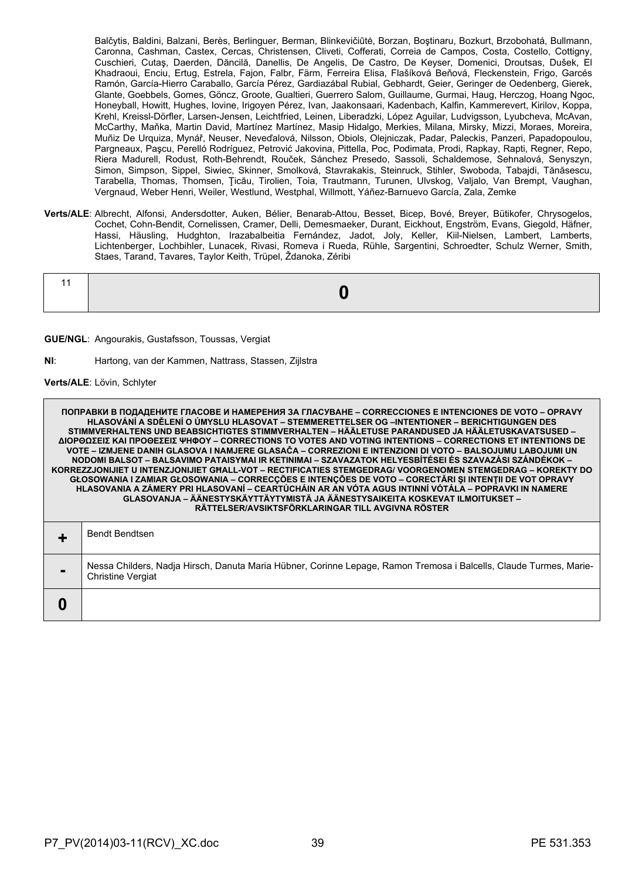Balčytis, Baldini, Balzani, Berès, Berlinguer, Berman, Blinkevičiūtė, Borzan, Boştinaru, Bozkurt, Brzobohatá, Bullmann, Caronna, Cashman, Castex, Cercas, Christensen, Cliveti, Cofferati, Correia de Campos, Costa, Costello, Cottigny, Cuschieri, Cutaş, Daerden, Dăncilă, Danellis, De Angelis, De Castro, De Keyser, Domenici, Droutsas, Dušek, El Khadraoui, Enciu, Ertug, Estrela, Fajon, Falbr, Färm, Ferreira Elisa, Flašíková Beňová, Fleckenstein, Frigo, Garcés Ramón, García-Hierro Caraballo, García Pérez, Gardiazábal Rubial, Gebhardt, Geier, Geringer de Oedenberg, Gierek, Glante, Goebbels, Gomes, Göncz, Groote, Gualtieri, Guerrero Salom, Guillaume, Gurmai, Haug, Herczog, Hoang Ngoc, Honeyball, Howitt, Hughes, Iovine, Irigoyen Pérez, Ivan, Jaakonsaari, Kadenbach, Kalfin, Kammerevert, Kirilov, Koppa, Krehl, Kreissl-Dörfler, Larsen-Jensen, Leichtfried, Leinen, Liberadzki, López Aguilar, Ludvigsson, Lyubcheva, McAvan, McCarthy, Maňka, Martin David, Martínez Martínez, Masip Hidalgo, Merkies, Milana, Mirsky, Mizzi, Moraes, Moreira, Muñiz De Urquiza, Mynář, Neuser, Neveďalová, Nilsson, Obiols, Olejniczak, Padar, Paleckis, Panzeri, Papadopoulou, Pargneaux, Paşcu, Perelló Rodríguez, Petrović Jakovina, Pittella, Poc, Podimata, Prodi, Rapkay, Rapti, Regner, Repo, Riera Madurell, Rodust, Roth-Behrendt, Rouček, Sánchez Presedo, Sassoli, Schaldemose, Sehnalová, Senyszyn, Simon, Simpson, Sippel, Siwiec, Skinner, Smolková, Stavrakakis, Steinruck, Stihler, Swoboda, Tabajdi, Tănăsescu, Tarabella, Thomas, Thomsen, Ţicău, Tirolien, Toia, Trautmann, Turunen, Ulvskog, Valjalo, Van Brempt, Vaughan, Vergnaud, Weber Henri, Weiler, Westlund, Westphal, Willmott, Yáñez-Barnuevo García, Zala, Zemke

**Verts/ALE**: Albrecht, Alfonsi, Andersdotter, Auken, Bélier, Benarab-Attou, Besset, Bicep, Bové, Breyer, Bütikofer, Chrysogelos, Cochet, Cohn-Bendit, Cornelissen, Cramer, Delli, Demesmaeker, Durant, Eickhout, Engström, Evans, Giegold, Häfner, Hassi, Häusling, Hudghton, Irazabalbeitia Fernández, Jadot, Joly, Keller, Kiil-Nielsen, Lambert, Lamberts, Lichtenberger, Lochbihler, Lunacek, Rivasi, Romeva i Rueda, Rühle, Sargentini, Schroedter, Schulz Werner, Smith, Staes, Tarand, Tavares, Taylor Keith, Trüpel, Ždanoka, Zéribi

**GUE/NGL**: Angourakis, Gustafsson, Toussas, Vergiat

**NI**: Hartong, van der Kammen, Nattrass, Stassen, Zijlstra

## **Verts/ALE**: Lövin, Schlyter

**ПОПРАВКИ В ПОДАДЕНИТЕ ГЛАСОВЕ И НАМЕРЕНИЯ ЗА ГЛАСУВАНЕ – CORRECCIONES E INTENCIONES DE VOTO – OPRAVY HLASOVÁNÍ A SDĚLENÍ O ÚMYSLU HLASOVAT – STEMMERETTELSER OG –INTENTIONER – BERICHTIGUNGEN DES STIMMVERHALTENS UND BEABSICHTIGTES STIMMVERHALTEN – HÄÄLETUSE PARANDUSED JA HÄÄLETUSKAVATSUSED – ΔΙΟΡΘΩΣΕΙΣ ΚΑΙ ΠΡΟΘΕΣΕΙΣ ΨΗΦΟΥ – CORRECTIONS TO VOTES AND VOTING INTENTIONS – CORRECTIONS ET INTENTIONS DE VOTE – IZMJENE DANIH GLASOVA I NAMJERE GLASAČA – CORREZIONI E INTENZIONI DI VOTO – BALSOJUMU LABOJUMI UN NODOMI BALSOT – BALSAVIMO PATAISYMAI IR KETINIMAI – SZAVAZATOK HELYESBÍTÉSEI ÉS SZAVAZÁSI SZÁNDÉKOK – KORREZZJONIJIET U INTENZJONIJIET GĦALL-VOT – RECTIFICATIES STEMGEDRAG/ VOORGENOMEN STEMGEDRAG – KOREKTY DO GŁOSOWANIA I ZAMIAR GŁOSOWANIA – CORRECÇÕES E INTENÇÕES DE VOTO – CORECTĂRI ŞI INTENŢII DE VOT OPRAVY HLASOVANIA A ZÁMERY PRI HLASOVANÍ – CEARTÚCHÁIN AR AN VÓTA AGUS INTINNÍ VÓTÁLA – POPRAVKI IN NAMERE GLASOVANJA – ÄÄNESTYSKÄYTTÄYTYMISTÄ JA ÄÄNESTYSAIKEITA KOSKEVAT ILMOITUKSET – RÄTTELSER/AVSIKTSFÖRKLARINGAR TILL AVGIVNA RÖSTER**

|                | <b>Bendt Bendtsen</b>                                                                                                                          |
|----------------|------------------------------------------------------------------------------------------------------------------------------------------------|
| $\blacksquare$ | Nessa Childers, Nadja Hirsch, Danuta Maria Hübner, Corinne Lepage, Ramon Tremosa i Balcells, Claude Turmes, Marie-<br><b>Christine Vergiat</b> |
|                |                                                                                                                                                |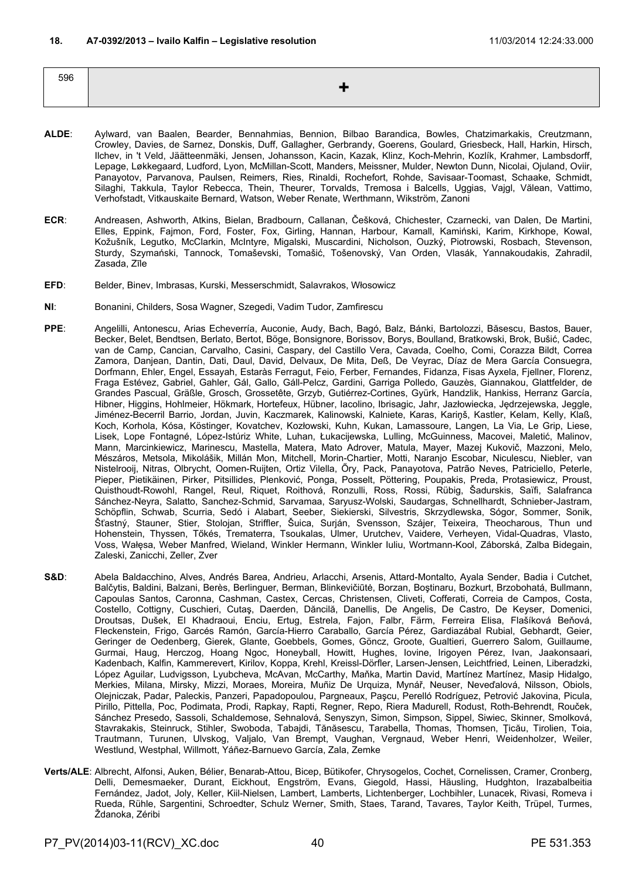596 **+**

- **ALDE**: Aylward, van Baalen, Bearder, Bennahmias, Bennion, Bilbao Barandica, Bowles, Chatzimarkakis, Creutzmann, Crowley, Davies, de Sarnez, Donskis, Duff, Gallagher, Gerbrandy, Goerens, Goulard, Griesbeck, Hall, Harkin, Hirsch, Ilchev, in 't Veld, Jäätteenmäki, Jensen, Johansson, Kacin, Kazak, Klinz, Koch-Mehrin, Kozlík, Krahmer, Lambsdorff, Lepage, Løkkegaard, Ludford, Lyon, McMillan-Scott, Manders, Meissner, Mulder, Newton Dunn, Nicolai, Ojuland, Oviir, Panayotov, Parvanova, Paulsen, Reimers, Ries, Rinaldi, Rochefort, Rohde, Savisaar-Toomast, Schaake, Schmidt, Silaghi, Takkula, Taylor Rebecca, Thein, Theurer, Torvalds, Tremosa i Balcells, Uggias, Vajgl, Vălean, Vattimo, Verhofstadt, Vitkauskaite Bernard, Watson, Weber Renate, Werthmann, Wikström, Zanoni
- **ECR**: Andreasen, Ashworth, Atkins, Bielan, Bradbourn, Callanan, Češková, Chichester, Czarnecki, van Dalen, De Martini, Elles, Eppink, Fajmon, Ford, Foster, Fox, Girling, Hannan, Harbour, Kamall, Kamiński, Karim, Kirkhope, Kowal, Kožušník, Legutko, McClarkin, McIntyre, Migalski, Muscardini, Nicholson, Ouzký, Piotrowski, Rosbach, Stevenson, Sturdy, Szymański, Tannock, Tomaševski, Tomašić, Tošenovský, Van Orden, Vlasák, Yannakoudakis, Zahradil, Zasada, Zīle
- **EFD**: Belder, Binev, Imbrasas, Kurski, Messerschmidt, Salavrakos, Włosowicz
- **NI**: Bonanini, Childers, Sosa Wagner, Szegedi, Vadim Tudor, Zamfirescu
- **PPE**: Angelilli, Antonescu, Arias Echeverría, Auconie, Audy, Bach, Bagó, Balz, Bánki, Bartolozzi, Băsescu, Bastos, Bauer, Becker, Belet, Bendtsen, Berlato, Bertot, Böge, Bonsignore, Borissov, Borys, Boulland, Bratkowski, Brok, Bušić, Cadec, van de Camp, Cancian, Carvalho, Casini, Caspary, del Castillo Vera, Cavada, Coelho, Comi, Corazza Bildt, Correa Zamora, Danjean, Dantin, Dati, Daul, David, Delvaux, De Mita, Deß, De Veyrac, Díaz de Mera García Consuegra, Dorfmann, Ehler, Engel, Essayah, Estaràs Ferragut, Feio, Ferber, Fernandes, Fidanza, Fisas Ayxela, Fjellner, Florenz, Fraga Estévez, Gabriel, Gahler, Gál, Gallo, Gáll-Pelcz, Gardini, Garriga Polledo, Gauzès, Giannakou, Glattfelder, de Grandes Pascual, Gräßle, Grosch, Grossetête, Grzyb, Gutiérrez-Cortines, Gyürk, Handzlik, Hankiss, Herranz García, Hibner, Higgins, Hohlmeier, Hökmark, Hortefeux, Hübner, Iacolino, Ibrisagic, Jahr, Jazłowiecka, Jędrzejewska, Jeggle, Jiménez-Becerril Barrio, Jordan, Juvin, Kaczmarek, Kalinowski, Kalniete, Karas, Kariņš, Kastler, Kelam, Kelly, Klaß, Koch, Korhola, Kósa, Köstinger, Kovatchev, Kozłowski, Kuhn, Kukan, Lamassoure, Langen, La Via, Le Grip, Liese, Lisek, Lope Fontagné, López-Istúriz White, Luhan, Łukacijewska, Lulling, McGuinness, Macovei, Maletić, Malinov, Mann, Marcinkiewicz, Marinescu, Mastella, Matera, Mato Adrover, Matula, Mayer, Mazej Kukovič, Mazzoni, Melo, Mészáros, Metsola, Mikolášik, Millán Mon, Mitchell, Morin-Chartier, Motti, Naranjo Escobar, Niculescu, Niebler, van Nistelrooij, Nitras, Olbrycht, Oomen-Ruijten, Ortiz Vilella, Őry, Pack, Panayotova, Patrão Neves, Patriciello, Peterle, Pieper, Pietikäinen, Pirker, Pitsillides, Plenković, Ponga, Posselt, Pöttering, Poupakis, Preda, Protasiewicz, Proust, Quisthoudt-Rowohl, Rangel, Reul, Riquet, Roithová, Ronzulli, Ross, Rossi, Rübig, Šadurskis, Saïfi, Salafranca Sánchez-Neyra, Salatto, Sanchez-Schmid, Sarvamaa, Saryusz-Wolski, Saudargas, Schnellhardt, Schnieber-Jastram, Schöpflin, Schwab, Scurria, Sedó i Alabart, Seeber, Siekierski, Silvestris, Skrzydlewska, Sógor, Sommer, Sonik, Šťastný, Stauner, Stier, Stolojan, Striffler, Šuica, Surján, Svensson, Szájer, Teixeira, Theocharous, Thun und Hohenstein, Thyssen, Tőkés, Trematerra, Tsoukalas, Ulmer, Urutchev, Vaidere, Verheyen, Vidal-Quadras, Vlasto, Voss, Wałęsa, Weber Manfred, Wieland, Winkler Hermann, Winkler Iuliu, Wortmann-Kool, Záborská, Zalba Bidegain, Zaleski, Zanicchi, Zeller, Zver
- **S&D**: Abela Baldacchino, Alves, Andrés Barea, Andrieu, Arlacchi, Arsenis, Attard-Montalto, Ayala Sender, Badia i Cutchet, Balčytis, Baldini, Balzani, Berès, Berlinguer, Berman, Blinkevičiūtė, Borzan, Boştinaru, Bozkurt, Brzobohatá, Bullmann, Capoulas Santos, Caronna, Cashman, Castex, Cercas, Christensen, Cliveti, Cofferati, Correia de Campos, Costa, Costello, Cottigny, Cuschieri, Cutaş, Daerden, Dăncilă, Danellis, De Angelis, De Castro, De Keyser, Domenici, Droutsas, Dušek, El Khadraoui, Enciu, Ertug, Estrela, Fajon, Falbr, Färm, Ferreira Elisa, Flašíková Beňová, Fleckenstein, Frigo, Garcés Ramón, García-Hierro Caraballo, García Pérez, Gardiazábal Rubial, Gebhardt, Geier, Geringer de Oedenberg, Gierek, Glante, Goebbels, Gomes, Göncz, Groote, Gualtieri, Guerrero Salom, Guillaume, Gurmai, Haug, Herczog, Hoang Ngoc, Honeyball, Howitt, Hughes, Iovine, Irigoyen Pérez, Ivan, Jaakonsaari, Kadenbach, Kalfin, Kammerevert, Kirilov, Koppa, Krehl, Kreissl-Dörfler, Larsen-Jensen, Leichtfried, Leinen, Liberadzki, López Aguilar, Ludvigsson, Lyubcheva, McAvan, McCarthy, Maňka, Martin David, Martínez Martínez, Masip Hidalgo, Merkies, Milana, Mirsky, Mizzi, Moraes, Moreira, Muñiz De Urquiza, Mynář, Neuser, Neveďalová, Nilsson, Obiols, Olejniczak, Padar, Paleckis, Panzeri, Papadopoulou, Pargneaux, Paşcu, Perelló Rodríguez, Petrović Jakovina, Picula, Pirillo, Pittella, Poc, Podimata, Prodi, Rapkay, Rapti, Regner, Repo, Riera Madurell, Rodust, Roth-Behrendt, Rouček, Sánchez Presedo, Sassoli, Schaldemose, Sehnalová, Senyszyn, Simon, Simpson, Sippel, Siwiec, Skinner, Smolková, Stavrakakis, Steinruck, Stihler, Swoboda, Tabajdi, Tănăsescu, Tarabella, Thomas, Thomsen, Ţicău, Tirolien, Toia, Trautmann, Turunen, Ulvskog, Valjalo, Van Brempt, Vaughan, Vergnaud, Weber Henri, Weidenholzer, Weiler, Westlund, Westphal, Willmott, Yáñez-Barnuevo García, Zala, Zemke
- **Verts/ALE**: Albrecht, Alfonsi, Auken, Bélier, Benarab-Attou, Bicep, Bütikofer, Chrysogelos, Cochet, Cornelissen, Cramer, Cronberg, Delli, Demesmaeker, Durant, Eickhout, Engström, Evans, Giegold, Hassi, Häusling, Hudghton, Irazabalbeitia Fernández, Jadot, Joly, Keller, Kiil-Nielsen, Lambert, Lamberts, Lichtenberger, Lochbihler, Lunacek, Rivasi, Romeva i Rueda, Rühle, Sargentini, Schroedter, Schulz Werner, Smith, Staes, Tarand, Tavares, Taylor Keith, Trüpel, Turmes, Ždanoka, Zéribi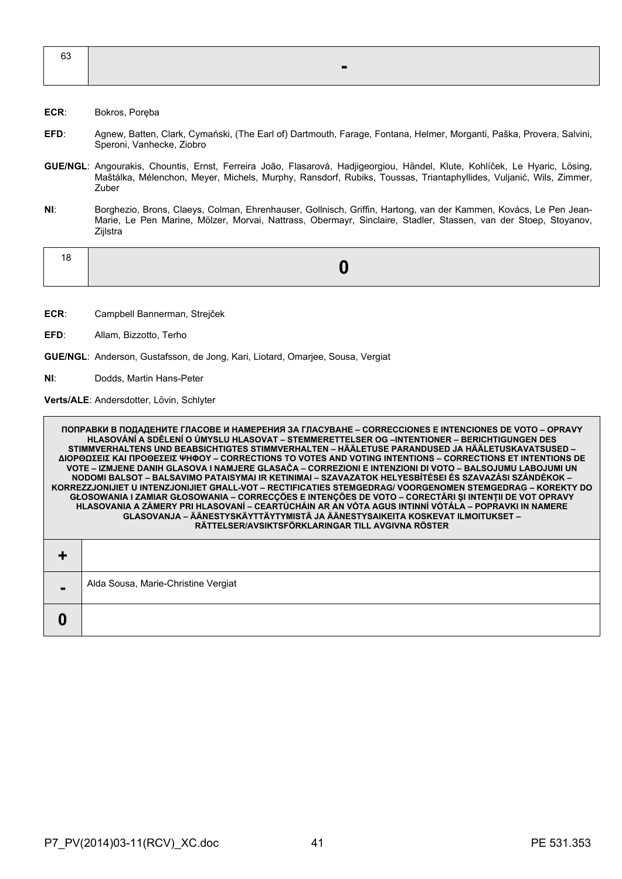| r.<br>υu |  |
|----------|--|
|          |  |

- ECR: Bokros, Poręba
- EFD: Agnew, Batten, Clark, Cymański, (The Earl of) Dartmouth, Farage, Fontana, Helmer, Morganti, Paška, Provera, Salvini, Speroni, Vanhecke, Ziobro
- GUE/NGL: Angourakis, Chountis, Ernst, Ferreira João, Flasarová, Hadjigeorgiou, Händel, Klute, Kohlíček, Le Hyaric, Lösing, Maštálka, Mélenchon, Meyer, Michels, Murphy, Ransdorf, Rubiks, Toussas, Triantaphyllides, Vuljanić, Wils, Zimmer, Zuber
- $NI:$ Borghezio, Brons, Claeys, Colman, Ehrenhauser, Gollnisch, Griffin, Hartong, van der Kammen, Kovács, Le Pen Jean-Marie, Le Pen Marine, Mölzer, Morvai, Nattrass, Obermayr, Sinclaire, Stadler, Stassen, van der Stoep, Stoyanov, Zijlstra

- ECR: Campbell Bannerman, Strejček
- EFD: Allam, Bizzotto, Terho
- GUE/NGL: Anderson, Gustafsson, de Jong, Kari, Liotard, Omarjee, Sousa, Vergiat
- $NI:$ Dodds, Martin Hans-Peter

Verts/ALE: Andersdotter, Lövin, Schlyter

| ПОПРАВКИ В ПОДАДЕНИТЕ ГЛАСОВЕ И НАМЕРЕНИЯ ЗА ГЛАСУВАНЕ – CORRECCIONES E INTENCIONES DE VOTO – OPRAVY<br>HLASOVÁNÍ A SDĚLENÍ O ÚMYSLU HLASOVAT – STEMMERETTELSER OG –INTENTIONER – BERICHTIGUNGEN DES<br>STIMMVERHALTENS UND BEABSICHTIGTES STIMMVERHALTEN – HÄÄLETUSE PARANDUSED JA HÄÄLETUSKAVATSUSED –<br>ΔΙΟΡΘΩΣΕΙΣ ΚΑΙ ΠΡΟΘΕΣΕΙΣ ΨΗΦΟΥ – CORRECTIONS TO VOTES AND VOTING INTENTIONS – CORRECTIONS ET INTENTIONS DE<br>VOTE – IZMJENE DANIH GLASOVA I NAMJERE GLASAČA – CORREZIONI E INTENZIONI DI VOTO – BALSOJUMU LABOJUMI UN<br>NODOMI BALSOT – BALSAVIMO PATAISYMAI IR KETINIMAI – SZAVAZATOK HELYESBÍTÉSEI ÉS SZAVAZÁSI SZÁNDÉKOK –<br>KORREZZJONIJIET U INTENZJONIJIET GHALL-VOT – RECTIFICATIES STEMGEDRAG/ VOORGENOMEN STEMGEDRAG – KOREKTY DO<br>GŁOSOWANIA I ZAMIAR GŁOSOWANIA – CORRECÇÕES E INTENÇÕES DE VOTO – CORECTĂRI ȘI INTENȚII DE VOT OPRAVY<br>HLASOVANIA A ZÁMERY PRI HLASOVANÍ – CEARTÚCHÁIN AR AN VÓTA AGUS INTINNÍ VÓTÁLA – POPRAVKI IN NAMERE<br>GLASOVANJA – ÄÄNESTYSKÄYTTÄYTYMISTÄ JA ÄÄNESTYSAIKEITA KOSKEVAT ILMOITUKSET –<br>RÄTTELSER/AVSIKTSFÖRKLARINGAR TILL AVGIVNA RÖSTER |  |
|-----------------------------------------------------------------------------------------------------------------------------------------------------------------------------------------------------------------------------------------------------------------------------------------------------------------------------------------------------------------------------------------------------------------------------------------------------------------------------------------------------------------------------------------------------------------------------------------------------------------------------------------------------------------------------------------------------------------------------------------------------------------------------------------------------------------------------------------------------------------------------------------------------------------------------------------------------------------------------------------------------------------------------------------------------------------------------------------------------------------|--|
|                                                                                                                                                                                                                                                                                                                                                                                                                                                                                                                                                                                                                                                                                                                                                                                                                                                                                                                                                                                                                                                                                                                 |  |
| Alda Sousa, Marie-Christine Vergiat                                                                                                                                                                                                                                                                                                                                                                                                                                                                                                                                                                                                                                                                                                                                                                                                                                                                                                                                                                                                                                                                             |  |
|                                                                                                                                                                                                                                                                                                                                                                                                                                                                                                                                                                                                                                                                                                                                                                                                                                                                                                                                                                                                                                                                                                                 |  |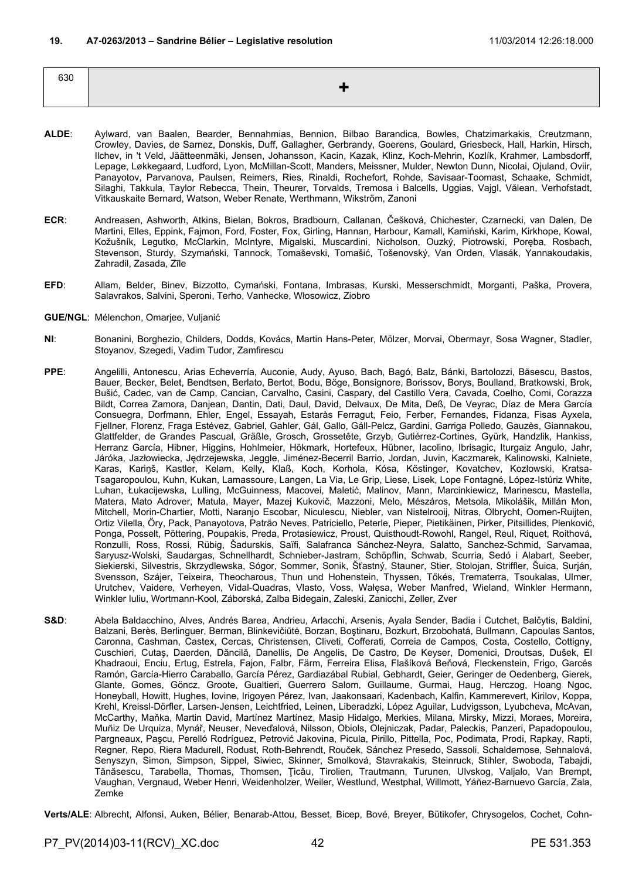| 0.20<br>ხას |  |
|-------------|--|
|             |  |

- **ALDE**: Aylward, van Baalen, Bearder, Bennahmias, Bennion, Bilbao Barandica, Bowles, Chatzimarkakis, Creutzmann, Crowley, Davies, de Sarnez, Donskis, Duff, Gallagher, Gerbrandy, Goerens, Goulard, Griesbeck, Hall, Harkin, Hirsch, Ilchev, in 't Veld, Jäätteenmäki, Jensen, Johansson, Kacin, Kazak, Klinz, Koch-Mehrin, Kozlík, Krahmer, Lambsdorff, Lepage, Løkkegaard, Ludford, Lyon, McMillan-Scott, Manders, Meissner, Mulder, Newton Dunn, Nicolai, Ojuland, Oviir, Panayotov, Parvanova, Paulsen, Reimers, Ries, Rinaldi, Rochefort, Rohde, Savisaar-Toomast, Schaake, Schmidt, Silaghi, Takkula, Taylor Rebecca, Thein, Theurer, Torvalds, Tremosa i Balcells, Uggias, Vajgl, Vălean, Verhofstadt, Vitkauskaite Bernard, Watson, Weber Renate, Werthmann, Wikström, Zanoni
- **ECR**: Andreasen, Ashworth, Atkins, Bielan, Bokros, Bradbourn, Callanan, Češková, Chichester, Czarnecki, van Dalen, De Martini, Elles, Eppink, Fajmon, Ford, Foster, Fox, Girling, Hannan, Harbour, Kamall, Kamiński, Karim, Kirkhope, Kowal, Kožušník, Legutko, McClarkin, McIntyre, Migalski, Muscardini, Nicholson, Ouzký, Piotrowski, Poręba, Rosbach, Stevenson, Sturdy, Szymański, Tannock, Tomaševski, Tomašić, Tošenovský, Van Orden, Vlasák, Yannakoudakis, Zahradil, Zasada, Zīle
- **EFD**: Allam, Belder, Binev, Bizzotto, Cymański, Fontana, Imbrasas, Kurski, Messerschmidt, Morganti, Paška, Provera, Salavrakos, Salvini, Speroni, Terho, Vanhecke, Włosowicz, Ziobro
- **GUE/NGL**: Mélenchon, Omarjee, Vuljanić
- **NI**: Bonanini, Borghezio, Childers, Dodds, Kovács, Martin Hans-Peter, Mölzer, Morvai, Obermayr, Sosa Wagner, Stadler, Stoyanov, Szegedi, Vadim Tudor, Zamfirescu
- **PPE**: Angelilli, Antonescu, Arias Echeverría, Auconie, Audy, Ayuso, Bach, Bagó, Balz, Bánki, Bartolozzi, Băsescu, Bastos, Bauer, Becker, Belet, Bendtsen, Berlato, Bertot, Bodu, Böge, Bonsignore, Borissov, Borys, Boulland, Bratkowski, Brok, Bušić, Cadec, van de Camp, Cancian, Carvalho, Casini, Caspary, del Castillo Vera, Cavada, Coelho, Comi, Corazza Bildt, Correa Zamora, Danjean, Dantin, Dati, Daul, David, Delvaux, De Mita, Deß, De Veyrac, Díaz de Mera García Consuegra, Dorfmann, Ehler, Engel, Essayah, Estaràs Ferragut, Feio, Ferber, Fernandes, Fidanza, Fisas Ayxela, Fjellner, Florenz, Fraga Estévez, Gabriel, Gahler, Gál, Gallo, Gáll-Pelcz, Gardini, Garriga Polledo, Gauzès, Giannakou, Glattfelder, de Grandes Pascual, Gräßle, Grosch, Grossetête, Grzyb, Gutiérrez-Cortines, Gyürk, Handzlik, Hankiss, Herranz García, Hibner, Higgins, Hohlmeier, Hökmark, Hortefeux, Hübner, Iacolino, Ibrisagic, Iturgaiz Angulo, Jahr, Járóka, Jazłowiecka, Jędrzejewska, Jeggle, Jiménez-Becerril Barrio, Jordan, Juvin, Kaczmarek, Kalinowski, Kalniete, Karas, Kariņš, Kastler, Kelam, Kelly, Klaß, Koch, Korhola, Kósa, Köstinger, Kovatchev, Kozłowski, Kratsa-Tsagaropoulou, Kuhn, Kukan, Lamassoure, Langen, La Via, Le Grip, Liese, Lisek, Lope Fontagné, López-Istúriz White, Luhan, Łukacijewska, Lulling, McGuinness, Macovei, Maletić, Malinov, Mann, Marcinkiewicz, Marinescu, Mastella, Matera, Mato Adrover, Matula, Mayer, Mazej Kukovič, Mazzoni, Melo, Mészáros, Metsola, Mikolášik, Millán Mon, Mitchell, Morin-Chartier, Motti, Naranjo Escobar, Niculescu, Niebler, van Nistelrooij, Nitras, Olbrycht, Oomen-Ruijten, Ortiz Vilella, Őry, Pack, Panayotova, Patrão Neves, Patriciello, Peterle, Pieper, Pietikäinen, Pirker, Pitsillides, Plenković, Ponga, Posselt, Pöttering, Poupakis, Preda, Protasiewicz, Proust, Quisthoudt-Rowohl, Rangel, Reul, Riquet, Roithová, Ronzulli, Ross, Rossi, Rübig, Šadurskis, Saïfi, Salafranca Sánchez-Neyra, Salatto, Sanchez-Schmid, Sarvamaa, Saryusz-Wolski, Saudargas, Schnellhardt, Schnieber-Jastram, Schöpflin, Schwab, Scurria, Sedó i Alabart, Seeber, Siekierski, Silvestris, Skrzydlewska, Sógor, Sommer, Sonik, Šťastný, Stauner, Stier, Stolojan, Striffler, Šuica, Surján, Svensson, Szájer, Teixeira, Theocharous, Thun und Hohenstein, Thyssen, Tőkés, Trematerra, Tsoukalas, Ulmer, Urutchev, Vaidere, Verheyen, Vidal-Quadras, Vlasto, Voss, Wałęsa, Weber Manfred, Wieland, Winkler Hermann, Winkler Iuliu, Wortmann-Kool, Záborská, Zalba Bidegain, Zaleski, Zanicchi, Zeller, Zver
- **S&D**: Abela Baldacchino, Alves, Andrés Barea, Andrieu, Arlacchi, Arsenis, Ayala Sender, Badia i Cutchet, Balčytis, Baldini, Balzani, Berès, Berlinguer, Berman, Blinkevičiūtė, Borzan, Boştinaru, Bozkurt, Brzobohatá, Bullmann, Capoulas Santos, Caronna, Cashman, Castex, Cercas, Christensen, Cliveti, Cofferati, Correia de Campos, Costa, Costello, Cottigny, Cuschieri, Cutaş, Daerden, Dăncilă, Danellis, De Angelis, De Castro, De Keyser, Domenici, Droutsas, Dušek, El Khadraoui, Enciu, Ertug, Estrela, Fajon, Falbr, Färm, Ferreira Elisa, Flašíková Beňová, Fleckenstein, Frigo, Garcés Ramón, García-Hierro Caraballo, García Pérez, Gardiazábal Rubial, Gebhardt, Geier, Geringer de Oedenberg, Gierek, Glante, Gomes, Göncz, Groote, Gualtieri, Guerrero Salom, Guillaume, Gurmai, Haug, Herczog, Hoang Ngoc, Honeyball, Howitt, Hughes, Iovine, Irigoyen Pérez, Ivan, Jaakonsaari, Kadenbach, Kalfin, Kammerevert, Kirilov, Koppa, Krehl, Kreissl-Dörfler, Larsen-Jensen, Leichtfried, Leinen, Liberadzki, López Aguilar, Ludvigsson, Lyubcheva, McAvan, McCarthy, Maňka, Martin David, Martínez Martínez, Masip Hidalgo, Merkies, Milana, Mirsky, Mizzi, Moraes, Moreira, Muñiz De Urquiza, Mynář, Neuser, Neveďalová, Nilsson, Obiols, Olejniczak, Padar, Paleckis, Panzeri, Papadopoulou, Pargneaux, Paşcu, Perelló Rodríguez, Petrović Jakovina, Picula, Pirillo, Pittella, Poc, Podimata, Prodi, Rapkay, Rapti, Regner, Repo, Riera Madurell, Rodust, Roth-Behrendt, Rouček, Sánchez Presedo, Sassoli, Schaldemose, Sehnalová, Senyszyn, Simon, Simpson, Sippel, Siwiec, Skinner, Smolková, Stavrakakis, Steinruck, Stihler, Swoboda, Tabajdi, Tănăsescu, Tarabella, Thomas, Thomsen, Ţicău, Tirolien, Trautmann, Turunen, Ulvskog, Valjalo, Van Brempt, Vaughan, Vergnaud, Weber Henri, Weidenholzer, Weiler, Westlund, Westphal, Willmott, Yáñez-Barnuevo García, Zala, Zemke

**Verts/ALE**: Albrecht, Alfonsi, Auken, Bélier, Benarab-Attou, Besset, Bicep, Bové, Breyer, Bütikofer, Chrysogelos, Cochet, Cohn-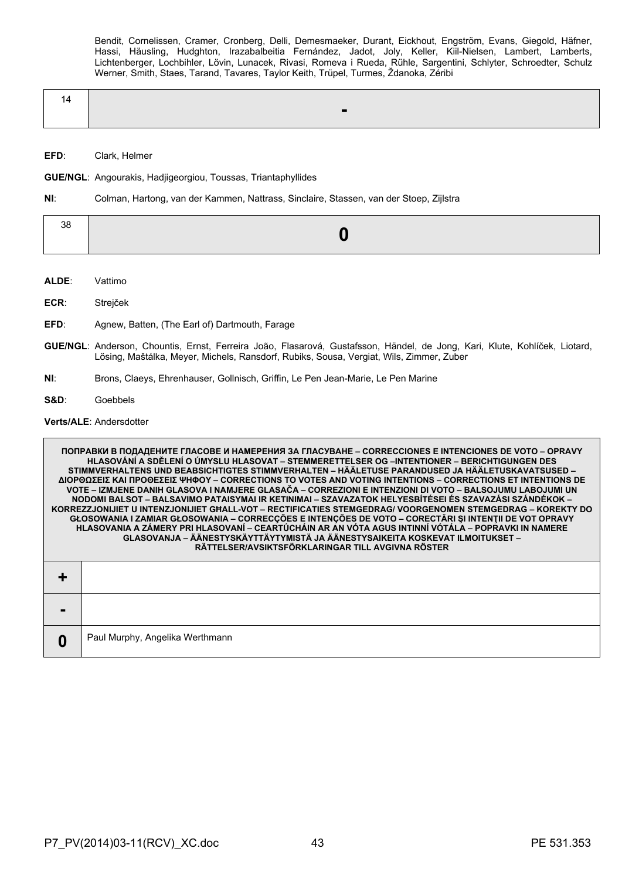Bendit, Cornelissen, Cramer, Cronberg, Delli, Demesmaeker, Durant, Eickhout, Engström, Evans, Giegold, Häfner, Hassi, Häusling, Hudghton, Irazabalbeitia Fernández, Jadot, Joly, Keller, Kiil-Nielsen, Lambert, Lamberts, Lichtenberger, Lochbihler, Lövin, Lunacek, Rivasi, Romeva i Rueda, Rühle, Sargentini, Schlyter, Schroedter, Schulz Werner, Smith, Staes, Tarand, Tavares, Taylor Keith, Trüpel, Turmes, Ždanoka, Zeribi

| 14 |  |
|----|--|
|    |  |

#### EFD: Clark, Helmer

GUE/NGL: Angourakis, Hadjigeorgiou, Toussas, Triantaphyllides

Colman, Hartong, van der Kammen, Nattrass, Sinclaire, Stassen, van der Stoep, Zijlstra  $NI:$ 

| JГ. |  |
|-----|--|
|     |  |

- ALDE: Vattimo
- ECR: Strejček
- EFD: Agnew, Batten, (The Earl of) Dartmouth, Farage
- GUE/NGL: Anderson, Chountis, Ernst, Ferreira João, Flasarová, Gustafsson, Händel, de Jong, Kari, Klute, Kohlíček, Liotard, Lösing, Maštálka, Meyer, Michels, Ransdorf, Rubiks, Sousa, Vergiat, Wils, Zimmer, Zuber
- $NI:$ Brons, Claeys, Ehrenhauser, Gollnisch, Griffin, Le Pen Jean-Marie, Le Pen Marine
- **S&D:** Goebbels

Verts/ALE: Andersdotter

|   | ПОПРАВКИ В ПОДАДЕНИТЕ ГЛАСОВЕ И НАМЕРЕНИЯ ЗА ГЛАСУВАНЕ – CORRECCIONES E INTENCIONES DE VOTO – OPRAVY<br><u> HLASOVÁNÍ A SDĚLENÍ O ÚMYSLU HLASOVAT – STEMMERETTELSER OG –INTENTIONER – BERICHTIGUNGEN DES</u><br>STIMMVERHALTENS UND BEABSICHTIGTES STIMMVERHALTEN – HÄÄLETUSE PARANDUSED JA HÄÄLETUSKAVATSUSED –<br>ΔΙΟΡΘΩΣΕΙΣ ΚΑΙ ΠΡΟΘΕΣΕΙΣ ΨΗΦΟΥ – CORRECTIONS TO VOTES AND VOTING INTENTIONS – CORRECTIONS ET INTENTIONS DE<br>VOTE – IZMJENE DANIH GLASOVA I NAMJERE GLASAČA – CORREZIONI E INTENZIONI DI VOTO – BALSOJUMU LABOJUMI UN<br>NODOMI BALSOT – BALSAVIMO PATAISYMAI IR KETINIMAI – SZAVAZATOK HELYESBÍTÉSEI ÉS SZAVAZÁSI SZÁNDÉKOK –<br>KORREZZJONIJIET U INTENZJONIJIET GHALL-VOT – RECTIFICATIES STEMGEDRAG/ VOORGENOMEN STEMGEDRAG – KOREKTY DO<br>GŁOSOWANIA I ZAMIAR GŁOSOWANIA – CORRECÇÕES E INTENÇÕES DE VOTO – CORECTĂRI ȘI INTENȚII DE VOT OPRAVY<br>HLASOVANIA A ZÁMERY PRI HLASOVANÍ – CEARTÚCHÁIN AR AN VÓTA AGUS INTINNÍ VÓTÁLA – POPRAVKI IN NAMERE<br>GLASOVANJA – ÄÄNESTYSKÄYTTÄYTYMISTÄ JA ÄÄNESTYSAIKEITA KOSKEVAT ILMOITUKSET –<br>RÄTTELSER/AVSIKTSFÖRKLARINGAR TILL AVGIVNA RÖSTER |  |  |  |  |
|---|-------------------------------------------------------------------------------------------------------------------------------------------------------------------------------------------------------------------------------------------------------------------------------------------------------------------------------------------------------------------------------------------------------------------------------------------------------------------------------------------------------------------------------------------------------------------------------------------------------------------------------------------------------------------------------------------------------------------------------------------------------------------------------------------------------------------------------------------------------------------------------------------------------------------------------------------------------------------------------------------------------------------------------------------------------------------------------------------------------------------------|--|--|--|--|
|   |                                                                                                                                                                                                                                                                                                                                                                                                                                                                                                                                                                                                                                                                                                                                                                                                                                                                                                                                                                                                                                                                                                                         |  |  |  |  |
|   |                                                                                                                                                                                                                                                                                                                                                                                                                                                                                                                                                                                                                                                                                                                                                                                                                                                                                                                                                                                                                                                                                                                         |  |  |  |  |
| 0 | Paul Murphy, Angelika Werthmann                                                                                                                                                                                                                                                                                                                                                                                                                                                                                                                                                                                                                                                                                                                                                                                                                                                                                                                                                                                                                                                                                         |  |  |  |  |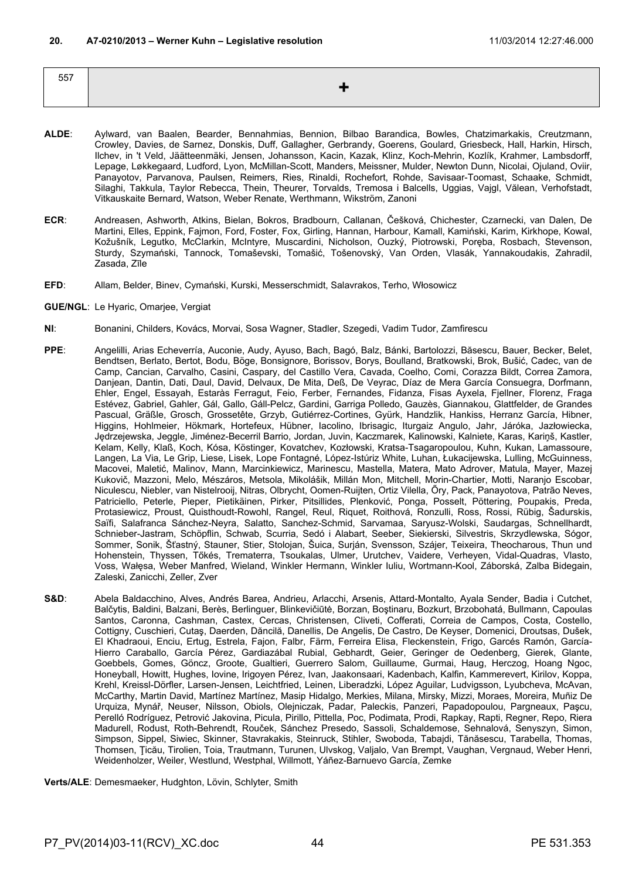557 **+**

- **ALDE**: Aylward, van Baalen, Bearder, Bennahmias, Bennion, Bilbao Barandica, Bowles, Chatzimarkakis, Creutzmann, Crowley, Davies, de Sarnez, Donskis, Duff, Gallagher, Gerbrandy, Goerens, Goulard, Griesbeck, Hall, Harkin, Hirsch, Ilchev, in 't Veld, Jäätteenmäki, Jensen, Johansson, Kacin, Kazak, Klinz, Koch-Mehrin, Kozlík, Krahmer, Lambsdorff, Lepage, Løkkegaard, Ludford, Lyon, McMillan-Scott, Manders, Meissner, Mulder, Newton Dunn, Nicolai, Ojuland, Oviir, Panayotov, Parvanova, Paulsen, Reimers, Ries, Rinaldi, Rochefort, Rohde, Savisaar-Toomast, Schaake, Schmidt, Silaghi, Takkula, Taylor Rebecca, Thein, Theurer, Torvalds, Tremosa i Balcells, Uggias, Vajgl, Vălean, Verhofstadt, Vitkauskaite Bernard, Watson, Weber Renate, Werthmann, Wikström, Zanoni
- **ECR**: Andreasen, Ashworth, Atkins, Bielan, Bokros, Bradbourn, Callanan, Češková, Chichester, Czarnecki, van Dalen, De Martini, Elles, Eppink, Fajmon, Ford, Foster, Fox, Girling, Hannan, Harbour, Kamall, Kamiński, Karim, Kirkhope, Kowal, Kožušník, Legutko, McClarkin, McIntyre, Muscardini, Nicholson, Ouzký, Piotrowski, Poręba, Rosbach, Stevenson, Sturdy, Szymański, Tannock, Tomaševski, Tomašić, Tošenovský, Van Orden, Vlasák, Yannakoudakis, Zahradil, Zasada, Zīle
- **EFD**: Allam, Belder, Binev, Cymański, Kurski, Messerschmidt, Salavrakos, Terho, Włosowicz
- **GUE/NGL**: Le Hyaric, Omarjee, Vergiat
- **NI**: Bonanini, Childers, Kovács, Morvai, Sosa Wagner, Stadler, Szegedi, Vadim Tudor, Zamfirescu
- **PPE**: Angelilli, Arias Echeverría, Auconie, Audy, Ayuso, Bach, Bagó, Balz, Bánki, Bartolozzi, Băsescu, Bauer, Becker, Belet, Bendtsen, Berlato, Bertot, Bodu, Böge, Bonsignore, Borissov, Borys, Boulland, Bratkowski, Brok, Bušić, Cadec, van de Camp, Cancian, Carvalho, Casini, Caspary, del Castillo Vera, Cavada, Coelho, Comi, Corazza Bildt, Correa Zamora, Danjean, Dantin, Dati, Daul, David, Delvaux, De Mita, Deß, De Veyrac, Díaz de Mera García Consuegra, Dorfmann, Ehler, Engel, Essayah, Estaràs Ferragut, Feio, Ferber, Fernandes, Fidanza, Fisas Ayxela, Fjellner, Florenz, Fraga Estévez, Gabriel, Gahler, Gál, Gallo, Gáll-Pelcz, Gardini, Garriga Polledo, Gauzès, Giannakou, Glattfelder, de Grandes Pascual, Gräßle, Grosch, Grossetête, Grzyb, Gutiérrez-Cortines, Gyürk, Handzlik, Hankiss, Herranz García, Hibner, Higgins, Hohlmeier, Hökmark, Hortefeux, Hübner, Iacolino, Ibrisagic, Iturgaiz Angulo, Jahr, Járóka, Jazłowiecka, Jędrzejewska, Jeggle, Jiménez-Becerril Barrio, Jordan, Juvin, Kaczmarek, Kalinowski, Kalniete, Karas, Kariņš, Kastler, Kelam, Kelly, Klaß, Koch, Kósa, Köstinger, Kovatchev, Kozłowski, Kratsa-Tsagaropoulou, Kuhn, Kukan, Lamassoure, Langen, La Via, Le Grip, Liese, Lisek, Lope Fontagné, López-Istúriz White, Luhan, Łukacijewska, Lulling, McGuinness, Macovei, Maletić, Malinov, Mann, Marcinkiewicz, Marinescu, Mastella, Matera, Mato Adrover, Matula, Mayer, Mazej Kukovič, Mazzoni, Melo, Mészáros, Metsola, Mikolášik, Millán Mon, Mitchell, Morin-Chartier, Motti, Naranjo Escobar, Niculescu, Niebler, van Nistelrooij, Nitras, Olbrycht, Oomen-Ruijten, Ortiz Vilella, Őry, Pack, Panayotova, Patrão Neves, Patriciello, Peterle, Pieper, Pietikäinen, Pirker, Pitsillides, Plenković, Ponga, Posselt, Pöttering, Poupakis, Preda, Protasiewicz, Proust, Quisthoudt-Rowohl, Rangel, Reul, Riquet, Roithová, Ronzulli, Ross, Rossi, Rübig, Šadurskis, Saïfi, Salafranca Sánchez-Neyra, Salatto, Sanchez-Schmid, Sarvamaa, Saryusz-Wolski, Saudargas, Schnellhardt, Schnieber-Jastram, Schöpflin, Schwab, Scurria, Sedó i Alabart, Seeber, Siekierski, Silvestris, Skrzydlewska, Sógor, Sommer, Sonik, Šťastný, Stauner, Stier, Stolojan, Šuica, Surján, Svensson, Szájer, Teixeira, Theocharous, Thun und Hohenstein, Thyssen, Tőkés, Trematerra, Tsoukalas, Ulmer, Urutchev, Vaidere, Verheyen, Vidal-Quadras, Vlasto, Voss, Wałęsa, Weber Manfred, Wieland, Winkler Hermann, Winkler Iuliu, Wortmann-Kool, Záborská, Zalba Bidegain, Zaleski, Zanicchi, Zeller, Zver
- **S&D**: Abela Baldacchino, Alves, Andrés Barea, Andrieu, Arlacchi, Arsenis, Attard-Montalto, Ayala Sender, Badia i Cutchet, Balčytis, Baldini, Balzani, Berès, Berlinguer, Blinkevičiūtė, Borzan, Boştinaru, Bozkurt, Brzobohatá, Bullmann, Capoulas Santos, Caronna, Cashman, Castex, Cercas, Christensen, Cliveti, Cofferati, Correia de Campos, Costa, Costello, Cottigny, Cuschieri, Cutaş, Daerden, Dăncilă, Danellis, De Angelis, De Castro, De Keyser, Domenici, Droutsas, Dušek, El Khadraoui, Enciu, Ertug, Estrela, Fajon, Falbr, Färm, Ferreira Elisa, Fleckenstein, Frigo, Garcés Ramón, García-Hierro Caraballo, García Pérez, Gardiazábal Rubial, Gebhardt, Geier, Geringer de Oedenberg, Gierek, Glante, Goebbels, Gomes, Göncz, Groote, Gualtieri, Guerrero Salom, Guillaume, Gurmai, Haug, Herczog, Hoang Ngoc, Honeyball, Howitt, Hughes, Iovine, Irigoyen Pérez, Ivan, Jaakonsaari, Kadenbach, Kalfin, Kammerevert, Kirilov, Koppa, Krehl, Kreissl-Dörfler, Larsen-Jensen, Leichtfried, Leinen, Liberadzki, López Aguilar, Ludvigsson, Lyubcheva, McAvan, McCarthy, Martin David, Martínez Martínez, Masip Hidalgo, Merkies, Milana, Mirsky, Mizzi, Moraes, Moreira, Muñiz De Urquiza, Mynář, Neuser, Nilsson, Obiols, Olejniczak, Padar, Paleckis, Panzeri, Papadopoulou, Pargneaux, Paşcu, Perelló Rodríguez, Petrović Jakovina, Picula, Pirillo, Pittella, Poc, Podimata, Prodi, Rapkay, Rapti, Regner, Repo, Riera Madurell, Rodust, Roth-Behrendt, Rouček, Sánchez Presedo, Sassoli, Schaldemose, Sehnalová, Senyszyn, Simon, Simpson, Sippel, Siwiec, Skinner, Stavrakakis, Steinruck, Stihler, Swoboda, Tabajdi, Tănăsescu, Tarabella, Thomas, Thomsen, Ţicău, Tirolien, Toia, Trautmann, Turunen, Ulvskog, Valjalo, Van Brempt, Vaughan, Vergnaud, Weber Henri, Weidenholzer, Weiler, Westlund, Westphal, Willmott, Yáñez-Barnuevo García, Zemke

**Verts/ALE**: Demesmaeker, Hudghton, Lövin, Schlyter, Smith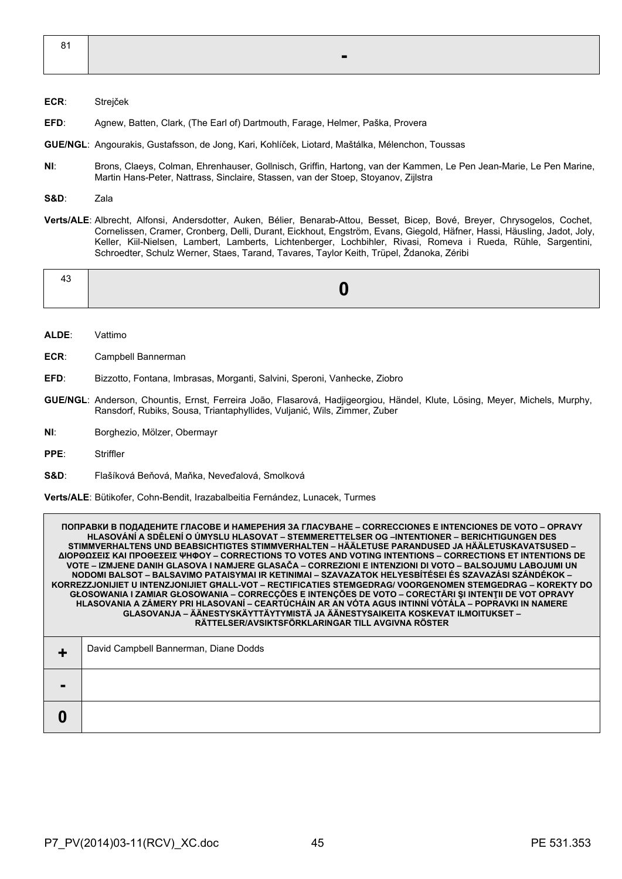81 **-**

- **ECR**: Strejček
- **EFD**: Agnew, Batten, Clark, (The Earl of) Dartmouth, Farage, Helmer, Paška, Provera
- **GUE/NGL**: Angourakis, Gustafsson, de Jong, Kari, Kohlíček, Liotard, Maštálka, Mélenchon, Toussas
- **NI**: Brons, Claeys, Colman, Ehrenhauser, Gollnisch, Griffin, Hartong, van der Kammen, Le Pen Jean-Marie, Le Pen Marine, Martin Hans-Peter, Nattrass, Sinclaire, Stassen, van der Stoep, Stoyanov, Zijlstra
- **S&D**: Zala
- **Verts/ALE**: Albrecht, Alfonsi, Andersdotter, Auken, Bélier, Benarab-Attou, Besset, Bicep, Bové, Breyer, Chrysogelos, Cochet, Cornelissen, Cramer, Cronberg, Delli, Durant, Eickhout, Engström, Evans, Giegold, Häfner, Hassi, Häusling, Jadot, Joly, Keller, Kiil-Nielsen, Lambert, Lamberts, Lichtenberger, Lochbihler, Rivasi, Romeva i Rueda, Rühle, Sargentini, Schroedter, Schulz Werner, Staes, Tarand, Tavares, Taylor Keith, Trüpel, Ždanoka, Zéribi

- **ALDE**: Vattimo
- **ECR**: Campbell Bannerman
- **EFD**: Bizzotto, Fontana, Imbrasas, Morganti, Salvini, Speroni, Vanhecke, Ziobro
- **GUE/NGL**: Anderson, Chountis, Ernst, Ferreira João, Flasarová, Hadjigeorgiou, Händel, Klute, Lösing, Meyer, Michels, Murphy, Ransdorf, Rubiks, Sousa, Triantaphyllides, Vuljanić, Wils, Zimmer, Zuber
- **NI**: Borghezio, Mölzer, Obermayr
- **PPE**: Striffler

Г

**S&D**: Flašíková Beňová, Maňka, Neveďalová, Smolková

**Verts/ALE**: Bütikofer, Cohn-Bendit, Irazabalbeitia Fernández, Lunacek, Turmes

| ПОПРАВКИ В ПОДАДЕНИТЕ ГЛАСОВЕ И НАМЕРЕНИЯ ЗА ГЛАСУВАНЕ – CORRECCIONES Е INTENCIONES DE VOTO – OPRAVY<br>HLASOVÁNÍ A SDĚLENÍ O ÚMYSLU HLASOVAT – STEMMERETTELSER OG –INTENTIONER – BERICHTIGUNGEN DES<br>STIMMVERHALTENS UND BEABSICHTIGTES STIMMVERHALTEN – HÄÄLETUSE PARANDUSED JA HÄÄLETUSKAVATSUSED –<br>ΔΙΟΡΘΩΣΕΙΣ ΚΑΙ ΠΡΟΘΕΣΕΙΣ ΨΗΦΟΥ – CORRECTIONS TO VOTES AND VOTING INTENTIONS – CORRECTIONS ET INTENTIONS DE<br>VOTE – IZMJENE DANIH GLASOVA I NAMJERE GLASAČA – CORREZIONI E INTENZIONI DI VOTO – BALSOJUMU LABOJUMI UN<br><u>NODOMI BALSOT – BALSAVIMO PATAISYMAI IR KETINIMAI – SZAVAZATOK HELYESBÍTÉSEI ÉS SZAVAZÁSI SZÁNDÉKOK –</u><br>KORREZZJONIJIET U INTENZJONIJIET GHALL-VOT – RECTIFICATIES STEMGEDRAG/ VOORGENOMEN STEMGEDRAG – KOREKTY DO<br>GŁOSOWANIA I ZAMIAR GŁOSOWANIA – CORRECÇÕES E INTENÇÕES DE VOTO – CORECTĂRI ȘI INTENȚII DE VOT OPRAVY<br>HLASOVANIA A ZÁMERY PRI HLASOVANÍ – CEARTÚCHÁIN AR AN VÓTA AGUS INTINNÍ VÓTÁLA – POPRAVKI IN NAMERE<br>GLASOVANJA – ÄÄNESTYSKÄYTTÄYTYMISTÄ JA ÄÄNESTYSAIKEITA KOSKEVAT ILMOITUKSET –<br>RÄTTELSER/AVSIKTSFÖRKLARINGAR TILL AVGIVNA RÖSTER |  |  |  |  |
|------------------------------------------------------------------------------------------------------------------------------------------------------------------------------------------------------------------------------------------------------------------------------------------------------------------------------------------------------------------------------------------------------------------------------------------------------------------------------------------------------------------------------------------------------------------------------------------------------------------------------------------------------------------------------------------------------------------------------------------------------------------------------------------------------------------------------------------------------------------------------------------------------------------------------------------------------------------------------------------------------------------------------------------------------------------------------------------------------------------------|--|--|--|--|
| David Campbell Bannerman, Diane Dodds                                                                                                                                                                                                                                                                                                                                                                                                                                                                                                                                                                                                                                                                                                                                                                                                                                                                                                                                                                                                                                                                                  |  |  |  |  |
|                                                                                                                                                                                                                                                                                                                                                                                                                                                                                                                                                                                                                                                                                                                                                                                                                                                                                                                                                                                                                                                                                                                        |  |  |  |  |
|                                                                                                                                                                                                                                                                                                                                                                                                                                                                                                                                                                                                                                                                                                                                                                                                                                                                                                                                                                                                                                                                                                                        |  |  |  |  |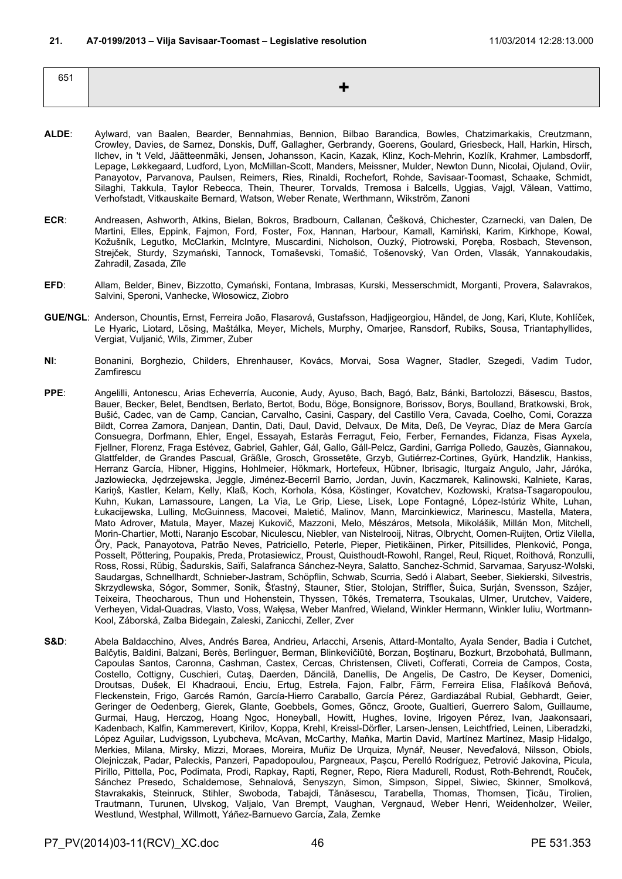| 651 |  |
|-----|--|
|     |  |

- **ALDE**: Aylward, van Baalen, Bearder, Bennahmias, Bennion, Bilbao Barandica, Bowles, Chatzimarkakis, Creutzmann, Crowley, Davies, de Sarnez, Donskis, Duff, Gallagher, Gerbrandy, Goerens, Goulard, Griesbeck, Hall, Harkin, Hirsch, Ilchev, in 't Veld, Jäätteenmäki, Jensen, Johansson, Kacin, Kazak, Klinz, Koch-Mehrin, Kozlík, Krahmer, Lambsdorff, Lepage, Løkkegaard, Ludford, Lyon, McMillan-Scott, Manders, Meissner, Mulder, Newton Dunn, Nicolai, Ojuland, Oviir, Panayotov, Parvanova, Paulsen, Reimers, Ries, Rinaldi, Rochefort, Rohde, Savisaar-Toomast, Schaake, Schmidt, Silaghi, Takkula, Taylor Rebecca, Thein, Theurer, Torvalds, Tremosa i Balcells, Uggias, Vajgl, Vălean, Vattimo, Verhofstadt, Vitkauskaite Bernard, Watson, Weber Renate, Werthmann, Wikström, Zanoni
- **ECR**: Andreasen, Ashworth, Atkins, Bielan, Bokros, Bradbourn, Callanan, Češková, Chichester, Czarnecki, van Dalen, De Martini, Elles, Eppink, Fajmon, Ford, Foster, Fox, Hannan, Harbour, Kamall, Kamiński, Karim, Kirkhope, Kowal, Kožušník, Legutko, McClarkin, McIntyre, Muscardini, Nicholson, Ouzký, Piotrowski, Poręba, Rosbach, Stevenson, Strejček, Sturdy, Szymański, Tannock, Tomaševski, Tomašić, Tošenovský, Van Orden, Vlasák, Yannakoudakis, Zahradil, Zasada, Zīle
- **EFD**: Allam, Belder, Binev, Bizzotto, Cymański, Fontana, Imbrasas, Kurski, Messerschmidt, Morganti, Provera, Salavrakos, Salvini, Speroni, Vanhecke, Włosowicz, Ziobro
- **GUE/NGL**: Anderson, Chountis, Ernst, Ferreira João, Flasarová, Gustafsson, Hadjigeorgiou, Händel, de Jong, Kari, Klute, Kohlíček, Le Hyaric, Liotard, Lösing, Maštálka, Meyer, Michels, Murphy, Omarjee, Ransdorf, Rubiks, Sousa, Triantaphyllides, Vergiat, Vuljanić, Wils, Zimmer, Zuber
- **NI**: Bonanini, Borghezio, Childers, Ehrenhauser, Kovács, Morvai, Sosa Wagner, Stadler, Szegedi, Vadim Tudor, Zamfirescu
- **PPE**: Angelilli, Antonescu, Arias Echeverría, Auconie, Audy, Ayuso, Bach, Bagó, Balz, Bánki, Bartolozzi, Băsescu, Bastos, Bauer, Becker, Belet, Bendtsen, Berlato, Bertot, Bodu, Böge, Bonsignore, Borissov, Borys, Boulland, Bratkowski, Brok, Bušić, Cadec, van de Camp, Cancian, Carvalho, Casini, Caspary, del Castillo Vera, Cavada, Coelho, Comi, Corazza Bildt, Correa Zamora, Danjean, Dantin, Dati, Daul, David, Delvaux, De Mita, Deß, De Veyrac, Díaz de Mera García Consuegra, Dorfmann, Ehler, Engel, Essayah, Estaràs Ferragut, Feio, Ferber, Fernandes, Fidanza, Fisas Ayxela, Fjellner, Florenz, Fraga Estévez, Gabriel, Gahler, Gál, Gallo, Gáll-Pelcz, Gardini, Garriga Polledo, Gauzès, Giannakou, Glattfelder, de Grandes Pascual, Gräßle, Grosch, Grossetête, Grzyb, Gutiérrez-Cortines, Gyürk, Handzlik, Hankiss, Herranz García, Hibner, Higgins, Hohlmeier, Hökmark, Hortefeux, Hübner, Ibrisagic, Iturgaiz Angulo, Jahr, Járóka, Jazłowiecka, Jędrzejewska, Jeggle, Jiménez-Becerril Barrio, Jordan, Juvin, Kaczmarek, Kalinowski, Kalniete, Karas, Kariņš, Kastler, Kelam, Kelly, Klaß, Koch, Korhola, Kósa, Köstinger, Kovatchev, Kozłowski, Kratsa-Tsagaropoulou, Kuhn, Kukan, Lamassoure, Langen, La Via, Le Grip, Liese, Lisek, Lope Fontagné, López-Istúriz White, Luhan, Łukacijewska, Lulling, McGuinness, Macovei, Maletić, Malinov, Mann, Marcinkiewicz, Marinescu, Mastella, Matera, Mato Adrover, Matula, Mayer, Mazej Kukovič, Mazzoni, Melo, Mészáros, Metsola, Mikolášik, Millán Mon, Mitchell, Morin-Chartier, Motti, Naranjo Escobar, Niculescu, Niebler, van Nistelrooij, Nitras, Olbrycht, Oomen-Ruijten, Ortiz Vilella, Őry, Pack, Panayotova, Patrão Neves, Patriciello, Peterle, Pieper, Pietikäinen, Pirker, Pitsillides, Plenković, Ponga, Posselt, Pöttering, Poupakis, Preda, Protasiewicz, Proust, Quisthoudt-Rowohl, Rangel, Reul, Riquet, Roithová, Ronzulli, Ross, Rossi, Rübig, Šadurskis, Saïfi, Salafranca Sánchez-Neyra, Salatto, Sanchez-Schmid, Sarvamaa, Saryusz-Wolski, Saudargas, Schnellhardt, Schnieber-Jastram, Schöpflin, Schwab, Scurria, Sedó i Alabart, Seeber, Siekierski, Silvestris, Skrzydlewska, Sógor, Sommer, Sonik, Šťastný, Stauner, Stier, Stolojan, Striffler, Šuica, Surján, Svensson, Szájer, Teixeira, Theocharous, Thun und Hohenstein, Thyssen, Tőkés, Trematerra, Tsoukalas, Ulmer, Urutchev, Vaidere, Verheyen, Vidal-Quadras, Vlasto, Voss, Wałęsa, Weber Manfred, Wieland, Winkler Hermann, Winkler Iuliu, Wortmann-Kool, Záborská, Zalba Bidegain, Zaleski, Zanicchi, Zeller, Zver
- **S&D**: Abela Baldacchino, Alves, Andrés Barea, Andrieu, Arlacchi, Arsenis, Attard-Montalto, Ayala Sender, Badia i Cutchet, Balčytis, Baldini, Balzani, Berès, Berlinguer, Berman, Blinkevičiūtė, Borzan, Boştinaru, Bozkurt, Brzobohatá, Bullmann, Capoulas Santos, Caronna, Cashman, Castex, Cercas, Christensen, Cliveti, Cofferati, Correia de Campos, Costa, Costello, Cottigny, Cuschieri, Cutaş, Daerden, Dăncilă, Danellis, De Angelis, De Castro, De Keyser, Domenici, Droutsas, Dušek, El Khadraoui, Enciu, Ertug, Estrela, Fajon, Falbr, Färm, Ferreira Elisa, Flašíková Beňová, Fleckenstein, Frigo, Garcés Ramón, García-Hierro Caraballo, García Pérez, Gardiazábal Rubial, Gebhardt, Geier, Geringer de Oedenberg, Gierek, Glante, Goebbels, Gomes, Göncz, Groote, Gualtieri, Guerrero Salom, Guillaume, Gurmai, Haug, Herczog, Hoang Ngoc, Honeyball, Howitt, Hughes, Iovine, Irigoyen Pérez, Ivan, Jaakonsaari, Kadenbach, Kalfin, Kammerevert, Kirilov, Koppa, Krehl, Kreissl-Dörfler, Larsen-Jensen, Leichtfried, Leinen, Liberadzki, López Aguilar, Ludvigsson, Lyubcheva, McAvan, McCarthy, Maňka, Martin David, Martínez Martínez, Masip Hidalgo, Merkies, Milana, Mirsky, Mizzi, Moraes, Moreira, Muñiz De Urquiza, Mynář, Neuser, Neveďalová, Nilsson, Obiols, Olejniczak, Padar, Paleckis, Panzeri, Papadopoulou, Pargneaux, Paşcu, Perelló Rodríguez, Petrović Jakovina, Picula, Pirillo, Pittella, Poc, Podimata, Prodi, Rapkay, Rapti, Regner, Repo, Riera Madurell, Rodust, Roth-Behrendt, Rouček, Sánchez Presedo, Schaldemose, Sehnalová, Senyszyn, Simon, Simpson, Sippel, Siwiec, Skinner, Smolková, Stavrakakis, Steinruck, Stihler, Swoboda, Tabajdi, Tănăsescu, Tarabella, Thomas, Thomsen, Ţicău, Tirolien, Trautmann, Turunen, Ulvskog, Valjalo, Van Brempt, Vaughan, Vergnaud, Weber Henri, Weidenholzer, Weiler, Westlund, Westphal, Willmott, Yáñez-Barnuevo García, Zala, Zemke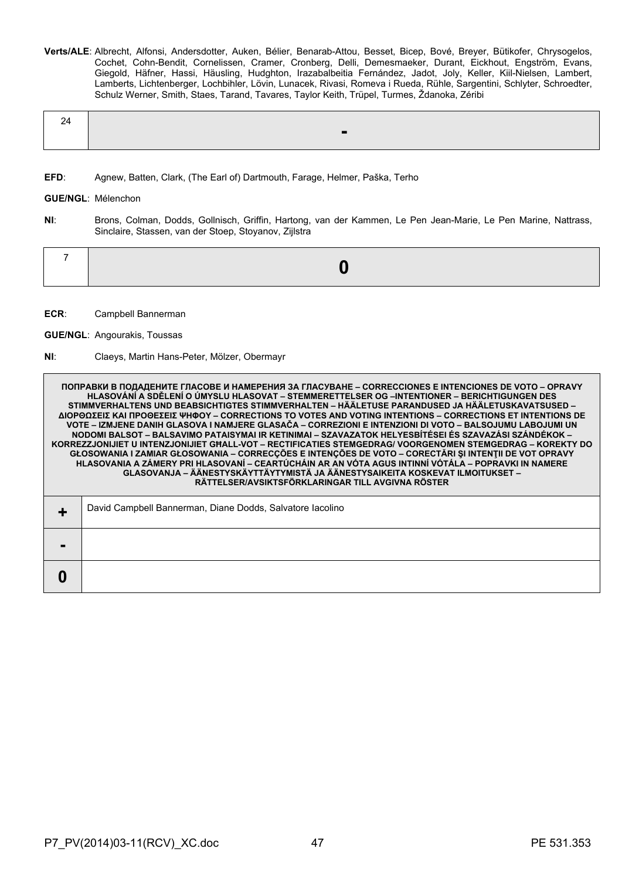Verts/ALE: Albrecht, Alfonsi, Andersdotter, Auken, Bélier, Benarab-Attou, Besset, Bicep, Bové, Breyer, Bütikofer, Chrysogelos, Cochet, Cohn-Bendit, Cornelissen, Cramer, Cronberg, Delli, Demesmaeker, Durant, Eickhout, Engström, Evans, Giegold, Häfner, Hassi, Häusling, Hudghton, Irazabalbeitia Fernández, Jadot, Joly, Keller, Kiil-Nielsen, Lambert, Lamberts, Lichtenberger, Lochbihler, Lövin, Lunacek, Rivasi, Romeva i Rueda, Rühle, Sargentini, Schlyter, Schroedter, Schulz Werner, Smith, Staes, Tarand, Tavares, Taylor Keith, Trüpel, Turmes, Ždanoka, Zéribi

| $\sim$ |  |
|--------|--|
|        |  |

#### EFD: Agnew, Batten, Clark, (The Earl of) Dartmouth, Farage, Helmer, Paška, Terho

# **GUE/NGL: Mélenchon**

 $NI:$ Brons, Colman, Dodds, Gollnisch, Griffin, Hartong, van der Kammen, Le Pen Jean-Marie, Le Pen Marine, Nattrass, Sinclaire, Stassen, van der Stoep, Stoyanov, Zijlstra

#### ECR: Campbell Bannerman

## **GUE/NGL: Angourakis, Toussas**

NI: Claeys, Martin Hans-Peter, Mölzer, Obermayr

ПОПРАВКИ В ПОДАДЕНИТЕ ГЛАСОВЕ И НАМЕРЕНИЯ ЗА ГЛАСУВАНЕ - CORRECCIONES E INTENCIONES DE VOTO - OPRAVY HLASOVÁNÍ A SDĚLENÍ O ÚMYSLU HLASOVAT – STEMMERETTELSER OG –INTENTIONER – BERICHTIGUNGEN DES STIMMVERHALTENS UND BEABSICHTIGTES STIMMVERHALTEN - HÄÄLETUSE PARANDUSED JA HÄÄLETUSKAVATSUSED -ΔΙΟΡΘΩΣΕΙΣ ΚΑΙ ΠΡΟΘΕΣΕΙΣ ΨΗΦΟΥ - CORRECTIONS TO VOTES AND VOTING INTENTIONS - CORRECTIONS ET INTENTIONS DE VOTE - IZMJENE DANIH GLASOVA I NAMJERE GLASAČA - CORREZIONI E INTENZIONI DI VOTO - BALSOJUMU LABOJUMI UN NODOMI BALSOT – BALSAVIMO PATAISYMAI IR KETINIMAI – SZAVAZATOK HELYESBÍTÉSEI ÉS SZAVAZÁSI SZÁNDÉKOK – KORREZZJONIJIET U INTENZJONIJIET GHALL-VOT – RECTIFICATIES STEMGEDRAG/ VOORGENOMEN STEMGEDRAG – KOREKTY DO GŁOSOWANIA I ZAMIAR GŁOSOWANIA – CORRECÇÕES E INTENÇÕES DE VOTO – CORECTĂRI ȘI INTENȚII DE VOT OPRAVY HLASOVANIA A ZÁMERY PRI HLASOVANÍ – CEARTÚCHÁIN AR AN VÓTA AGUS INTINNÍ VÓTÁLA – POPRAVKI IN NAMERE GLASOVANJA – ÄÄNESTYSKÄYTTÄYTYMISTÄ JA ÄÄNESTYSAIKEITA KOSKEVAT ILMOITUKSET – RÄTTELSER/AVSIKTSFÖRKLARINGAR TILL AVGIVNA RÖSTER

|   | David Campbell Bannerman, Diane Dodds, Salvatore lacolino |
|---|-----------------------------------------------------------|
| - |                                                           |
|   |                                                           |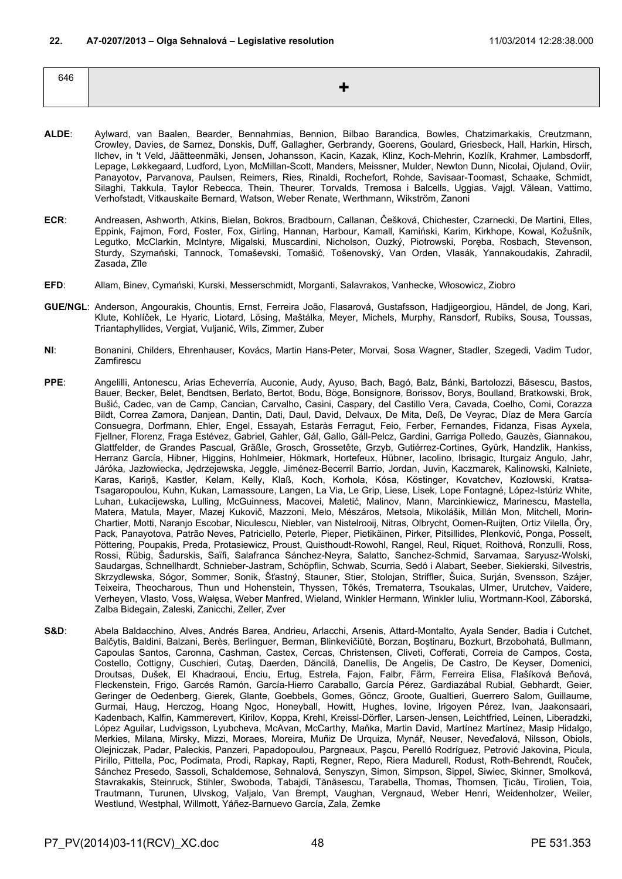| 646 |  |
|-----|--|
|     |  |
|     |  |

- **ALDE**: Aylward, van Baalen, Bearder, Bennahmias, Bennion, Bilbao Barandica, Bowles, Chatzimarkakis, Creutzmann, Crowley, Davies, de Sarnez, Donskis, Duff, Gallagher, Gerbrandy, Goerens, Goulard, Griesbeck, Hall, Harkin, Hirsch, Ilchev, in 't Veld, Jäätteenmäki, Jensen, Johansson, Kacin, Kazak, Klinz, Koch-Mehrin, Kozlík, Krahmer, Lambsdorff, Lepage, Løkkegaard, Ludford, Lyon, McMillan-Scott, Manders, Meissner, Mulder, Newton Dunn, Nicolai, Ojuland, Oviir, Panayotov, Parvanova, Paulsen, Reimers, Ries, Rinaldi, Rochefort, Rohde, Savisaar-Toomast, Schaake, Schmidt, Silaghi, Takkula, Taylor Rebecca, Thein, Theurer, Torvalds, Tremosa i Balcells, Uggias, Vajgl, Vălean, Vattimo, Verhofstadt, Vitkauskaite Bernard, Watson, Weber Renate, Werthmann, Wikström, Zanoni
- **ECR**: Andreasen, Ashworth, Atkins, Bielan, Bokros, Bradbourn, Callanan, Češková, Chichester, Czarnecki, De Martini, Elles, Eppink, Fajmon, Ford, Foster, Fox, Girling, Hannan, Harbour, Kamall, Kamiński, Karim, Kirkhope, Kowal, Kožušník, Legutko, McClarkin, McIntyre, Migalski, Muscardini, Nicholson, Ouzký, Piotrowski, Poręba, Rosbach, Stevenson, Sturdy, Szymański, Tannock, Tomaševski, Tomašić, Tošenovský, Van Orden, Vlasák, Yannakoudakis, Zahradil, Zasada, Zīle
- **EFD**: Allam, Binev, Cymański, Kurski, Messerschmidt, Morganti, Salavrakos, Vanhecke, Włosowicz, Ziobro
- **GUE/NGL**: Anderson, Angourakis, Chountis, Ernst, Ferreira João, Flasarová, Gustafsson, Hadjigeorgiou, Händel, de Jong, Kari, Klute, Kohlíček, Le Hyaric, Liotard, Lösing, Maštálka, Meyer, Michels, Murphy, Ransdorf, Rubiks, Sousa, Toussas, Triantaphyllides, Vergiat, Vuljanić, Wils, Zimmer, Zuber
- **NI**: Bonanini, Childers, Ehrenhauser, Kovács, Martin Hans-Peter, Morvai, Sosa Wagner, Stadler, Szegedi, Vadim Tudor, Zamfirescu
- **PPE**: Angelilli, Antonescu, Arias Echeverría, Auconie, Audy, Ayuso, Bach, Bagó, Balz, Bánki, Bartolozzi, Băsescu, Bastos, Bauer, Becker, Belet, Bendtsen, Berlato, Bertot, Bodu, Böge, Bonsignore, Borissov, Borys, Boulland, Bratkowski, Brok, Bušić, Cadec, van de Camp, Cancian, Carvalho, Casini, Caspary, del Castillo Vera, Cavada, Coelho, Comi, Corazza Bildt, Correa Zamora, Danjean, Dantin, Dati, Daul, David, Delvaux, De Mita, Deß, De Veyrac, Díaz de Mera García Consuegra, Dorfmann, Ehler, Engel, Essayah, Estaràs Ferragut, Feio, Ferber, Fernandes, Fidanza, Fisas Ayxela, Fjellner, Florenz, Fraga Estévez, Gabriel, Gahler, Gál, Gallo, Gáll-Pelcz, Gardini, Garriga Polledo, Gauzès, Giannakou, Glattfelder, de Grandes Pascual, Gräßle, Grosch, Grossetête, Grzyb, Gutiérrez-Cortines, Gyürk, Handzlik, Hankiss, Herranz García, Hibner, Higgins, Hohlmeier, Hökmark, Hortefeux, Hübner, Iacolino, Ibrisagic, Iturgaiz Angulo, Jahr, Járóka, Jazłowiecka, Jędrzejewska, Jeggle, Jiménez-Becerril Barrio, Jordan, Juvin, Kaczmarek, Kalinowski, Kalniete, Karas, Kariņš, Kastler, Kelam, Kelly, Klaß, Koch, Korhola, Kósa, Köstinger, Kovatchev, Kozłowski, Kratsa-Tsagaropoulou, Kuhn, Kukan, Lamassoure, Langen, La Via, Le Grip, Liese, Lisek, Lope Fontagné, López-Istúriz White, Luhan, Łukacijewska, Lulling, McGuinness, Macovei, Maletić, Malinov, Mann, Marcinkiewicz, Marinescu, Mastella, Matera, Matula, Mayer, Mazej Kukovič, Mazzoni, Melo, Mészáros, Metsola, Mikolášik, Millán Mon, Mitchell, Morin-Chartier, Motti, Naranjo Escobar, Niculescu, Niebler, van Nistelrooij, Nitras, Olbrycht, Oomen-Ruijten, Ortiz Vilella, Őry, Pack, Panayotova, Patrão Neves, Patriciello, Peterle, Pieper, Pietikäinen, Pirker, Pitsillides, Plenković, Ponga, Posselt, Pöttering, Poupakis, Preda, Protasiewicz, Proust, Quisthoudt-Rowohl, Rangel, Reul, Riquet, Roithová, Ronzulli, Ross, Rossi, Rübig, Šadurskis, Saïfi, Salafranca Sánchez-Neyra, Salatto, Sanchez-Schmid, Sarvamaa, Saryusz-Wolski, Saudargas, Schnellhardt, Schnieber-Jastram, Schöpflin, Schwab, Scurria, Sedó i Alabart, Seeber, Siekierski, Silvestris, Skrzydlewska, Sógor, Sommer, Sonik, Šťastný, Stauner, Stier, Stolojan, Striffler, Šuica, Surján, Svensson, Szájer, Teixeira, Theocharous, Thun und Hohenstein, Thyssen, Tőkés, Trematerra, Tsoukalas, Ulmer, Urutchev, Vaidere, Verheyen, Vlasto, Voss, Wałęsa, Weber Manfred, Wieland, Winkler Hermann, Winkler Iuliu, Wortmann-Kool, Záborská, Zalba Bidegain, Zaleski, Zanicchi, Zeller, Zver
- **S&D**: Abela Baldacchino, Alves, Andrés Barea, Andrieu, Arlacchi, Arsenis, Attard-Montalto, Ayala Sender, Badia i Cutchet, Balčytis, Baldini, Balzani, Berès, Berlinguer, Berman, Blinkevičiūtė, Borzan, Boştinaru, Bozkurt, Brzobohatá, Bullmann, Capoulas Santos, Caronna, Cashman, Castex, Cercas, Christensen, Cliveti, Cofferati, Correia de Campos, Costa, Costello, Cottigny, Cuschieri, Cutaş, Daerden, Dăncilă, Danellis, De Angelis, De Castro, De Keyser, Domenici, Droutsas, Dušek, El Khadraoui, Enciu, Ertug, Estrela, Fajon, Falbr, Färm, Ferreira Elisa, Flašíková Beňová, Fleckenstein, Frigo, Garcés Ramón, García-Hierro Caraballo, García Pérez, Gardiazábal Rubial, Gebhardt, Geier, Geringer de Oedenberg, Gierek, Glante, Goebbels, Gomes, Göncz, Groote, Gualtieri, Guerrero Salom, Guillaume, Gurmai, Haug, Herczog, Hoang Ngoc, Honeyball, Howitt, Hughes, Iovine, Irigoyen Pérez, Ivan, Jaakonsaari, Kadenbach, Kalfin, Kammerevert, Kirilov, Koppa, Krehl, Kreissl-Dörfler, Larsen-Jensen, Leichtfried, Leinen, Liberadzki, López Aguilar, Ludvigsson, Lyubcheva, McAvan, McCarthy, Maňka, Martin David, Martínez Martínez, Masip Hidalgo, Merkies, Milana, Mirsky, Mizzi, Moraes, Moreira, Muñiz De Urquiza, Mynář, Neuser, Neveďalová, Nilsson, Obiols, Olejniczak, Padar, Paleckis, Panzeri, Papadopoulou, Pargneaux, Paşcu, Perelló Rodríguez, Petrović Jakovina, Picula, Pirillo, Pittella, Poc, Podimata, Prodi, Rapkay, Rapti, Regner, Repo, Riera Madurell, Rodust, Roth-Behrendt, Rouček, Sánchez Presedo, Sassoli, Schaldemose, Sehnalová, Senyszyn, Simon, Simpson, Sippel, Siwiec, Skinner, Smolková, Stavrakakis, Steinruck, Stihler, Swoboda, Tabajdi, Tănăsescu, Tarabella, Thomas, Thomsen, Ţicău, Tirolien, Toia, Trautmann, Turunen, Ulvskog, Valjalo, Van Brempt, Vaughan, Vergnaud, Weber Henri, Weidenholzer, Weiler, Westlund, Westphal, Willmott, Yáñez-Barnuevo García, Zala, Zemke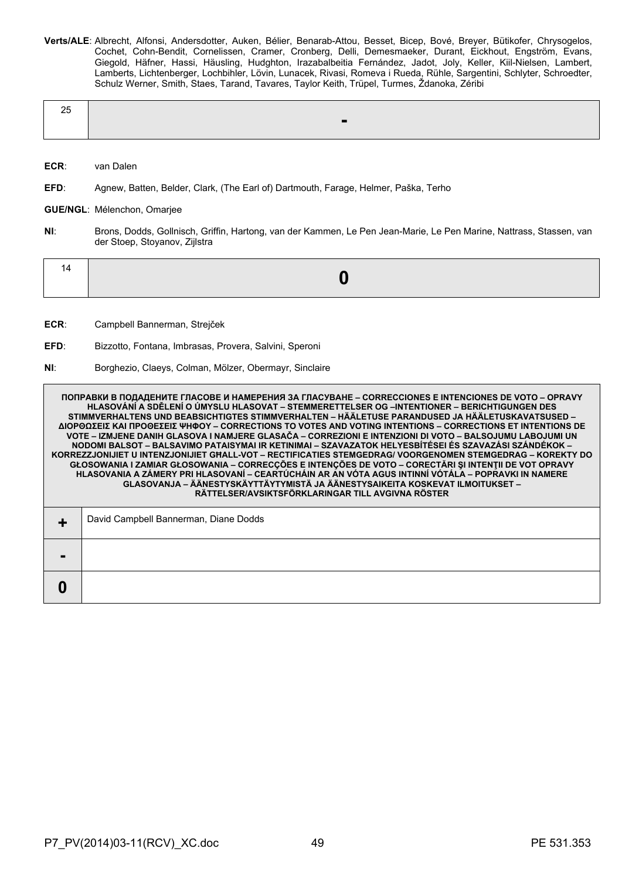Verts/ALE: Albrecht, Alfonsi, Andersdotter, Auken, Bélier, Benarab-Attou, Besset, Bicep, Bové, Breyer, Bütikofer, Chrysogelos, Cochet, Cohn-Bendit, Cornelissen, Cramer, Cronberg, Delli, Demesmaeker, Durant, Eickhout, Engström, Evans, Giegold, Häfner, Hassi, Häusling, Hudghton, Irazabalbeitia Fernández, Jadot, Joly, Keller, Kiil-Nielsen, Lambert, Lamberts, Lichtenberger, Lochbihler, Lövin, Lunacek, Rivasi, Romeva i Rueda, Rühle, Sargentini, Schlyter, Schroedter, Schulz Werner, Smith, Staes, Tarand, Tavares, Taylor Keith, Trüpel, Turmes, Ždanoka, Zéribi

| 25 |     |
|----|-----|
|    | . . |
|    |     |

ECR: van Dalen

0

EFD: Agnew, Batten, Belder, Clark, (The Earl of) Dartmouth, Farage, Helmer, Paška, Terho

### GUE/NGL: Mélenchon, Omarjee

Brons, Dodds, Gollnisch, Griffin, Hartong, van der Kammen, Le Pen Jean-Marie, Le Pen Marine, Nattrass, Stassen, van  $N$ der Stoep, Stoyanov, Zijlstra

- ECR: Campbell Bannerman, Strejček
- EFD: Bizzotto, Fontana, Imbrasas, Provera, Salvini, Speroni
- $NI:$ Borghezio, Claeys, Colman, Mölzer, Obermayr, Sinclaire

ПОПРАВКИ В ПОДАДЕНИТЕ ГЛАСОВЕ И НАМЕРЕНИЯ ЗА ГЛАСУВАНЕ - CORRECCIONES E INTENCIONES DE VOTO - OPRAVY HLASOVÁNÍ A SDĚLENÍ O ÚMYSLU HLASOVAT – STEMMERETTELSER OG –INTENTIONER – BERICHTIGUNGEN DES STIMMVERHALTENS UND BEABSICHTIGTES STIMMVERHALTEN – HÄÄLETUSE PARANDUSED JA HÄÄLETUSKAVATSUSED · ΔΙΟΡΘΩΣΕΙΣ ΚΑΙ ΠΡΟΘΕΣΕΙΣ ΨΗΦΟΥ - CORRECTIONS TO VOTES AND VOTING INTENTIONS - CORRECTIONS ET INTENTIONS DE VOTE – IZMJENE DANIH GLASOVA I NAMJERE GLASAČA – CORREZIONI E INTENZIONI DI VOTO – BALSOJUMU LABOJUMI UN NODOMI BALSOT – BALSAVIMO PATAISYMAI IR KETINIMAI – SZAVAZATOK HELYESBÍTÉSEI ÉS SZAVAZÁSI SZÁNDÉKOK -KORREZZJONIJIET U INTENZJONIJIET GHALL-VOT – RECTIFICATIES STEMGEDRAG/ VOORGENOMEN STEMGEDRAG – KOREKTY DO GŁOSOWANIA I ZAMIAR GŁOSOWANIA – CORRECÇÕES E INTENÇÕES DE VOTO – CORECTĂRI ȘI INTENȚII DE VOT OPRAVY HLASOVANIA A ZÁMERY PRI HLASOVANÍ – CEARTÚCHÁIN AR AN VÓTA AGUS INTINNÍ VÓTÁLA – POPRAVKI IN NAMERE GLASOVANJA – ÄÄNESTYSKÄYTTÄYTYMISTÄ JA ÄÄNESTYSAIKEITA KOSKEVAT ILMOITUKSET – RÄTTELSER/AVSIKTSFÖRKLARINGAR TILL AVGIVNA RÖSTER David Campbell Bannerman, Diane Dodds  $\div$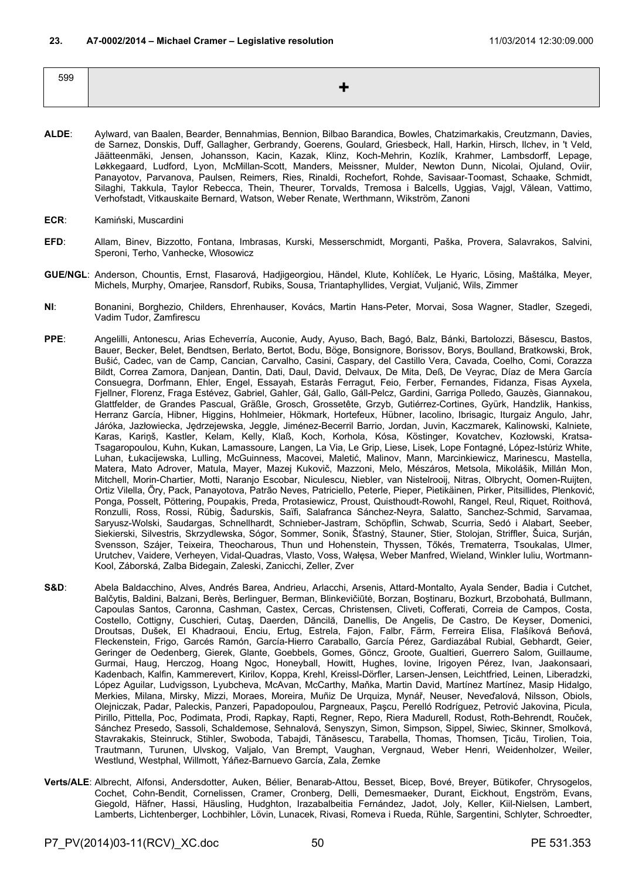| 599 |  |
|-----|--|
|     |  |
|     |  |

- **ALDE**: Aylward, van Baalen, Bearder, Bennahmias, Bennion, Bilbao Barandica, Bowles, Chatzimarkakis, Creutzmann, Davies, de Sarnez, Donskis, Duff, Gallagher, Gerbrandy, Goerens, Goulard, Griesbeck, Hall, Harkin, Hirsch, Ilchev, in 't Veld, Jäätteenmäki, Jensen, Johansson, Kacin, Kazak, Klinz, Koch-Mehrin, Kozlík, Krahmer, Lambsdorff, Lepage, Løkkegaard, Ludford, Lyon, McMillan-Scott, Manders, Meissner, Mulder, Newton Dunn, Nicolai, Ojuland, Oviir, Panayotov, Parvanova, Paulsen, Reimers, Ries, Rinaldi, Rochefort, Rohde, Savisaar-Toomast, Schaake, Schmidt, Silaghi, Takkula, Taylor Rebecca, Thein, Theurer, Torvalds, Tremosa i Balcells, Uggias, Vajgl, Vălean, Vattimo, Verhofstadt, Vitkauskaite Bernard, Watson, Weber Renate, Werthmann, Wikström, Zanoni
- **ECR**: Kamiński, Muscardini
- **EFD**: Allam, Binev, Bizzotto, Fontana, Imbrasas, Kurski, Messerschmidt, Morganti, Paška, Provera, Salavrakos, Salvini, Speroni, Terho, Vanhecke, Włosowicz
- **GUE/NGL**: Anderson, Chountis, Ernst, Flasarová, Hadjigeorgiou, Händel, Klute, Kohlíček, Le Hyaric, Lösing, Maštálka, Meyer, Michels, Murphy, Omarjee, Ransdorf, Rubiks, Sousa, Triantaphyllides, Vergiat, Vuljanić, Wils, Zimmer
- **NI**: Bonanini, Borghezio, Childers, Ehrenhauser, Kovács, Martin Hans-Peter, Morvai, Sosa Wagner, Stadler, Szegedi, Vadim Tudor, Zamfirescu
- **PPE**: Angelilli, Antonescu, Arias Echeverría, Auconie, Audy, Ayuso, Bach, Bagó, Balz, Bánki, Bartolozzi, Băsescu, Bastos, Bauer, Becker, Belet, Bendtsen, Berlato, Bertot, Bodu, Böge, Bonsignore, Borissov, Borys, Boulland, Bratkowski, Brok, Bušić, Cadec, van de Camp, Cancian, Carvalho, Casini, Caspary, del Castillo Vera, Cavada, Coelho, Comi, Corazza Bildt, Correa Zamora, Danjean, Dantin, Dati, Daul, David, Delvaux, De Mita, Deß, De Veyrac, Díaz de Mera García Consuegra, Dorfmann, Ehler, Engel, Essayah, Estaràs Ferragut, Feio, Ferber, Fernandes, Fidanza, Fisas Ayxela, Fjellner, Florenz, Fraga Estévez, Gabriel, Gahler, Gál, Gallo, Gáll-Pelcz, Gardini, Garriga Polledo, Gauzès, Giannakou, Glattfelder, de Grandes Pascual, Gräßle, Grosch, Grossetête, Grzyb, Gutiérrez-Cortines, Gyürk, Handzlik, Hankiss, Herranz García, Hibner, Higgins, Hohlmeier, Hökmark, Hortefeux, Hübner, Iacolino, Ibrisagic, Iturgaiz Angulo, Jahr, Járóka, Jazłowiecka, Jędrzejewska, Jeggle, Jiménez-Becerril Barrio, Jordan, Juvin, Kaczmarek, Kalinowski, Kalniete, Karas, Kariņš, Kastler, Kelam, Kelly, Klaß, Koch, Korhola, Kósa, Köstinger, Kovatchev, Kozłowski, Kratsa-Tsagaropoulou, Kuhn, Kukan, Lamassoure, Langen, La Via, Le Grip, Liese, Lisek, Lope Fontagné, López-Istúriz White, Luhan, Łukacijewska, Lulling, McGuinness, Macovei, Maletić, Malinov, Mann, Marcinkiewicz, Marinescu, Mastella, Matera, Mato Adrover, Matula, Mayer, Mazej Kukovič, Mazzoni, Melo, Mészáros, Metsola, Mikolášik, Millán Mon, Mitchell, Morin-Chartier, Motti, Naranjo Escobar, Niculescu, Niebler, van Nistelrooij, Nitras, Olbrycht, Oomen-Ruijten, Ortiz Vilella, Őry, Pack, Panayotova, Patrão Neves, Patriciello, Peterle, Pieper, Pietikäinen, Pirker, Pitsillides, Plenković, Ponga, Posselt, Pöttering, Poupakis, Preda, Protasiewicz, Proust, Quisthoudt-Rowohl, Rangel, Reul, Riquet, Roithová, Ronzulli, Ross, Rossi, Rübig, Šadurskis, Saïfi, Salafranca Sánchez-Neyra, Salatto, Sanchez-Schmid, Sarvamaa, Saryusz-Wolski, Saudargas, Schnellhardt, Schnieber-Jastram, Schöpflin, Schwab, Scurria, Sedó i Alabart, Seeber, Siekierski, Silvestris, Skrzydlewska, Sógor, Sommer, Sonik, Šťastný, Stauner, Stier, Stolojan, Striffler, Šuica, Surján, Svensson, Szájer, Teixeira, Theocharous, Thun und Hohenstein, Thyssen, Tőkés, Trematerra, Tsoukalas, Ulmer, Urutchev, Vaidere, Verheyen, Vidal-Quadras, Vlasto, Voss, Wałęsa, Weber Manfred, Wieland, Winkler Iuliu, Wortmann-Kool, Záborská, Zalba Bidegain, Zaleski, Zanicchi, Zeller, Zver
- **S&D**: Abela Baldacchino, Alves, Andrés Barea, Andrieu, Arlacchi, Arsenis, Attard-Montalto, Ayala Sender, Badia i Cutchet, Balčytis, Baldini, Balzani, Berès, Berlinguer, Berman, Blinkevičiūtė, Borzan, Boştinaru, Bozkurt, Brzobohatá, Bullmann, Capoulas Santos, Caronna, Cashman, Castex, Cercas, Christensen, Cliveti, Cofferati, Correia de Campos, Costa, Costello, Cottigny, Cuschieri, Cutaş, Daerden, Dăncilă, Danellis, De Angelis, De Castro, De Keyser, Domenici, Droutsas, Dušek, El Khadraoui, Enciu, Ertug, Estrela, Fajon, Falbr, Färm, Ferreira Elisa, Flašíková Beňová, Fleckenstein, Frigo, Garcés Ramón, García-Hierro Caraballo, García Pérez, Gardiazábal Rubial, Gebhardt, Geier, Geringer de Oedenberg, Gierek, Glante, Goebbels, Gomes, Göncz, Groote, Gualtieri, Guerrero Salom, Guillaume, Gurmai, Haug, Herczog, Hoang Ngoc, Honeyball, Howitt, Hughes, Iovine, Irigoyen Pérez, Ivan, Jaakonsaari, Kadenbach, Kalfin, Kammerevert, Kirilov, Koppa, Krehl, Kreissl-Dörfler, Larsen-Jensen, Leichtfried, Leinen, Liberadzki, López Aguilar, Ludvigsson, Lyubcheva, McAvan, McCarthy, Maňka, Martin David, Martínez Martínez, Masip Hidalgo, Merkies, Milana, Mirsky, Mizzi, Moraes, Moreira, Muñiz De Urquiza, Mynář, Neuser, Neveďalová, Nilsson, Obiols, Olejniczak, Padar, Paleckis, Panzeri, Papadopoulou, Pargneaux, Paşcu, Perelló Rodríguez, Petrović Jakovina, Picula, Pirillo, Pittella, Poc, Podimata, Prodi, Rapkay, Rapti, Regner, Repo, Riera Madurell, Rodust, Roth-Behrendt, Rouček, Sánchez Presedo, Sassoli, Schaldemose, Sehnalová, Senyszyn, Simon, Simpson, Sippel, Siwiec, Skinner, Smolková, Stavrakakis, Steinruck, Stihler, Swoboda, Tabajdi, Tănăsescu, Tarabella, Thomas, Thomsen, Ţicău, Tirolien, Toia, Trautmann, Turunen, Ulvskog, Valjalo, Van Brempt, Vaughan, Vergnaud, Weber Henri, Weidenholzer, Weiler, Westlund, Westphal, Willmott, Yáñez-Barnuevo García, Zala, Zemke
- **Verts/ALE**: Albrecht, Alfonsi, Andersdotter, Auken, Bélier, Benarab-Attou, Besset, Bicep, Bové, Breyer, Bütikofer, Chrysogelos, Cochet, Cohn-Bendit, Cornelissen, Cramer, Cronberg, Delli, Demesmaeker, Durant, Eickhout, Engström, Evans, Giegold, Häfner, Hassi, Häusling, Hudghton, Irazabalbeitia Fernández, Jadot, Joly, Keller, Kiil-Nielsen, Lambert, Lamberts, Lichtenberger, Lochbihler, Lövin, Lunacek, Rivasi, Romeva i Rueda, Rühle, Sargentini, Schlyter, Schroedter,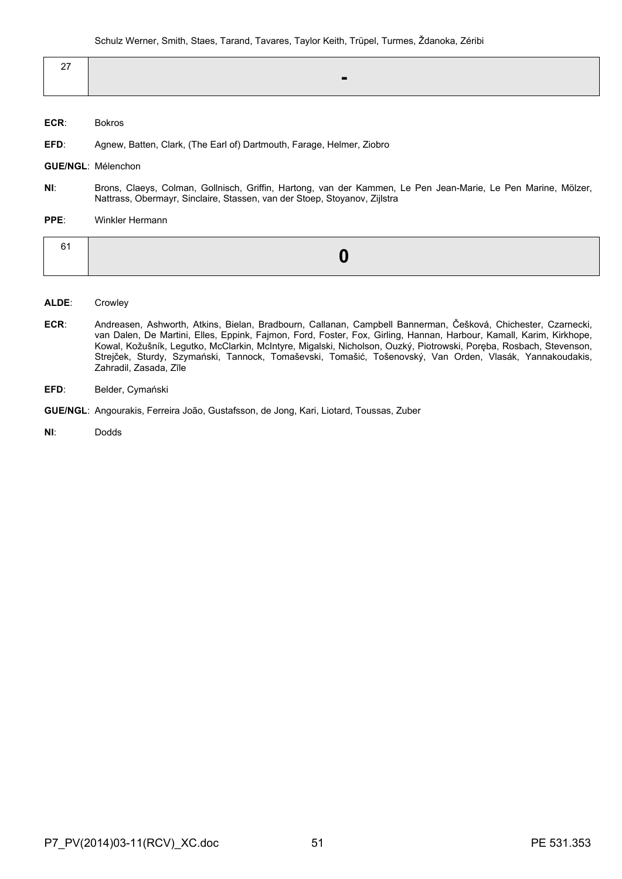| - 27<br>$\sim$ |                   |
|----------------|-------------------|
|                | $\sim$ 000 $\sim$ |
|                |                   |

# **ECR**: Bokros

**EFD**: Agnew, Batten, Clark, (The Earl of) Dartmouth, Farage, Helmer, Ziobro

**GUE/NGL**: Mélenchon

- **NI**: Brons, Claeys, Colman, Gollnisch, Griffin, Hartong, van der Kammen, Le Pen Jean-Marie, Le Pen Marine, Mölzer, Nattrass, Obermayr, Sinclaire, Stassen, van der Stoep, Stoyanov, Zijlstra
- **PPE**: Winkler Hermann

## **ALDE**: Crowley

- **ECR**: Andreasen, Ashworth, Atkins, Bielan, Bradbourn, Callanan, Campbell Bannerman, Češková, Chichester, Czarnecki, van Dalen, De Martini, Elles, Eppink, Fajmon, Ford, Foster, Fox, Girling, Hannan, Harbour, Kamall, Karim, Kirkhope, Kowal, Kožušník, Legutko, McClarkin, McIntyre, Migalski, Nicholson, Ouzký, Piotrowski, Poręba, Rosbach, Stevenson, Strejček, Sturdy, Szymański, Tannock, Tomaševski, Tomašić, Tošenovský, Van Orden, Vlasák, Yannakoudakis, Zahradil, Zasada, Zīle
- **EFD**: Belder, Cymański
- **GUE/NGL**: Angourakis, Ferreira João, Gustafsson, de Jong, Kari, Liotard, Toussas, Zuber
- **NI**: Dodds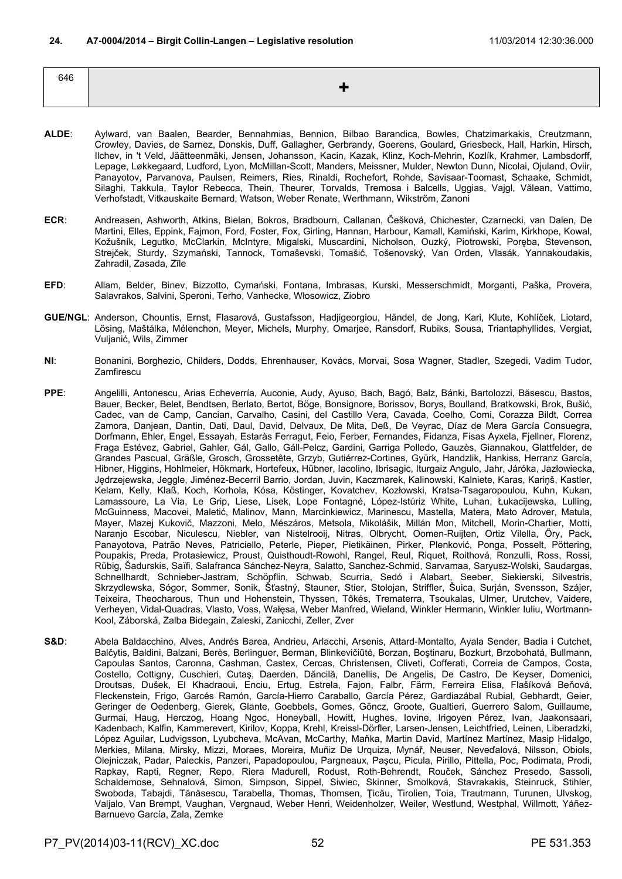| 646<br>- - - |  |
|--------------|--|
|              |  |

- **ALDE**: Aylward, van Baalen, Bearder, Bennahmias, Bennion, Bilbao Barandica, Bowles, Chatzimarkakis, Creutzmann, Crowley, Davies, de Sarnez, Donskis, Duff, Gallagher, Gerbrandy, Goerens, Goulard, Griesbeck, Hall, Harkin, Hirsch, Ilchev, in 't Veld, Jäätteenmäki, Jensen, Johansson, Kacin, Kazak, Klinz, Koch-Mehrin, Kozlík, Krahmer, Lambsdorff, Lepage, Løkkegaard, Ludford, Lyon, McMillan-Scott, Manders, Meissner, Mulder, Newton Dunn, Nicolai, Ojuland, Oviir, Panayotov, Parvanova, Paulsen, Reimers, Ries, Rinaldi, Rochefort, Rohde, Savisaar-Toomast, Schaake, Schmidt, Silaghi, Takkula, Taylor Rebecca, Thein, Theurer, Torvalds, Tremosa i Balcells, Uggias, Vajgl, Vălean, Vattimo, Verhofstadt, Vitkauskaite Bernard, Watson, Weber Renate, Werthmann, Wikström, Zanoni
- **ECR**: Andreasen, Ashworth, Atkins, Bielan, Bokros, Bradbourn, Callanan, Češková, Chichester, Czarnecki, van Dalen, De Martini, Elles, Eppink, Fajmon, Ford, Foster, Fox, Girling, Hannan, Harbour, Kamall, Kamiński, Karim, Kirkhope, Kowal, Kožušník, Legutko, McClarkin, McIntyre, Migalski, Muscardini, Nicholson, Ouzký, Piotrowski, Poręba, Stevenson, Strejček, Sturdy, Szymański, Tannock, Tomaševski, Tomašić, Tošenovský, Van Orden, Vlasák, Yannakoudakis, Zahradil, Zasada, Zīle
- **EFD**: Allam, Belder, Binev, Bizzotto, Cymański, Fontana, Imbrasas, Kurski, Messerschmidt, Morganti, Paška, Provera, Salavrakos, Salvini, Speroni, Terho, Vanhecke, Włosowicz, Ziobro
- **GUE/NGL**: Anderson, Chountis, Ernst, Flasarová, Gustafsson, Hadjigeorgiou, Händel, de Jong, Kari, Klute, Kohlíček, Liotard, Lösing, Maštálka, Mélenchon, Meyer, Michels, Murphy, Omarjee, Ransdorf, Rubiks, Sousa, Triantaphyllides, Vergiat, Vuljanić, Wils, Zimmer
- **NI**: Bonanini, Borghezio, Childers, Dodds, Ehrenhauser, Kovács, Morvai, Sosa Wagner, Stadler, Szegedi, Vadim Tudor, Zamfirescu
- **PPE**: Angelilli, Antonescu, Arias Echeverría, Auconie, Audy, Ayuso, Bach, Bagó, Balz, Bánki, Bartolozzi, Băsescu, Bastos, Bauer, Becker, Belet, Bendtsen, Berlato, Bertot, Böge, Bonsignore, Borissov, Borys, Boulland, Bratkowski, Brok, Bušić, Cadec, van de Camp, Cancian, Carvalho, Casini, del Castillo Vera, Cavada, Coelho, Comi, Corazza Bildt, Correa Zamora, Danjean, Dantin, Dati, Daul, David, Delvaux, De Mita, Deß, De Veyrac, Díaz de Mera García Consuegra, Dorfmann, Ehler, Engel, Essayah, Estaràs Ferragut, Feio, Ferber, Fernandes, Fidanza, Fisas Ayxela, Fjellner, Florenz, Fraga Estévez, Gabriel, Gahler, Gál, Gallo, Gáll-Pelcz, Gardini, Garriga Polledo, Gauzès, Giannakou, Glattfelder, de Grandes Pascual, Gräßle, Grosch, Grossetête, Grzyb, Gutiérrez-Cortines, Gyürk, Handzlik, Hankiss, Herranz García, Hibner, Higgins, Hohlmeier, Hökmark, Hortefeux, Hübner, Iacolino, Ibrisagic, Iturgaiz Angulo, Jahr, Járóka, Jazłowiecka, Jędrzejewska, Jeggle, Jiménez-Becerril Barrio, Jordan, Juvin, Kaczmarek, Kalinowski, Kalniete, Karas, Kariņš, Kastler, Kelam, Kelly, Klaß, Koch, Korhola, Kósa, Köstinger, Kovatchev, Kozłowski, Kratsa-Tsagaropoulou, Kuhn, Kukan, Lamassoure, La Via, Le Grip, Liese, Lisek, Lope Fontagné, López-Istúriz White, Luhan, Łukacijewska, Lulling, McGuinness, Macovei, Maletić, Malinov, Mann, Marcinkiewicz, Marinescu, Mastella, Matera, Mato Adrover, Matula, Mayer, Mazej Kukovič, Mazzoni, Melo, Mészáros, Metsola, Mikolášik, Millán Mon, Mitchell, Morin-Chartier, Motti, Naranjo Escobar, Niculescu, Niebler, van Nistelrooij, Nitras, Olbrycht, Oomen-Ruijten, Ortiz Vilella, Őry, Pack, Panayotova, Patrão Neves, Patriciello, Peterle, Pieper, Pietikäinen, Pirker, Plenković, Ponga, Posselt, Pöttering, Poupakis, Preda, Protasiewicz, Proust, Quisthoudt-Rowohl, Rangel, Reul, Riquet, Roithová, Ronzulli, Ross, Rossi, Rübig, Šadurskis, Saïfi, Salafranca Sánchez-Neyra, Salatto, Sanchez-Schmid, Sarvamaa, Saryusz-Wolski, Saudargas, Schnellhardt, Schnieber-Jastram, Schöpflin, Schwab, Scurria, Sedó i Alabart, Seeber, Siekierski, Silvestris, Skrzydlewska, Sógor, Sommer, Sonik, Šťastný, Stauner, Stier, Stolojan, Striffler, Šuica, Surján, Svensson, Szájer, Teixeira, Theocharous, Thun und Hohenstein, Thyssen, Tőkés, Trematerra, Tsoukalas, Ulmer, Urutchev, Vaidere, Verheyen, Vidal-Quadras, Vlasto, Voss, Wałęsa, Weber Manfred, Wieland, Winkler Hermann, Winkler Iuliu, Wortmann-Kool, Záborská, Zalba Bidegain, Zaleski, Zanicchi, Zeller, Zver
- **S&D**: Abela Baldacchino, Alves, Andrés Barea, Andrieu, Arlacchi, Arsenis, Attard-Montalto, Ayala Sender, Badia i Cutchet, Balčytis, Baldini, Balzani, Berès, Berlinguer, Berman, Blinkevičiūtė, Borzan, Boştinaru, Bozkurt, Brzobohatá, Bullmann, Capoulas Santos, Caronna, Cashman, Castex, Cercas, Christensen, Cliveti, Cofferati, Correia de Campos, Costa, Costello, Cottigny, Cuschieri, Cutaş, Daerden, Dăncilă, Danellis, De Angelis, De Castro, De Keyser, Domenici, Droutsas, Dušek, El Khadraoui, Enciu, Ertug, Estrela, Fajon, Falbr, Färm, Ferreira Elisa, Flašíková Beňová, Fleckenstein, Frigo, Garcés Ramón, García-Hierro Caraballo, García Pérez, Gardiazábal Rubial, Gebhardt, Geier, Geringer de Oedenberg, Gierek, Glante, Goebbels, Gomes, Göncz, Groote, Gualtieri, Guerrero Salom, Guillaume, Gurmai, Haug, Herczog, Hoang Ngoc, Honeyball, Howitt, Hughes, Iovine, Irigoyen Pérez, Ivan, Jaakonsaari, Kadenbach, Kalfin, Kammerevert, Kirilov, Koppa, Krehl, Kreissl-Dörfler, Larsen-Jensen, Leichtfried, Leinen, Liberadzki, López Aguilar, Ludvigsson, Lyubcheva, McAvan, McCarthy, Maňka, Martin David, Martínez Martínez, Masip Hidalgo, Merkies, Milana, Mirsky, Mizzi, Moraes, Moreira, Muñiz De Urquiza, Mynář, Neuser, Neveďalová, Nilsson, Obiols, Olejniczak, Padar, Paleckis, Panzeri, Papadopoulou, Pargneaux, Paşcu, Picula, Pirillo, Pittella, Poc, Podimata, Prodi, Rapkay, Rapti, Regner, Repo, Riera Madurell, Rodust, Roth-Behrendt, Rouček, Sánchez Presedo, Sassoli, Schaldemose, Sehnalová, Simon, Simpson, Sippel, Siwiec, Skinner, Smolková, Stavrakakis, Steinruck, Stihler, Swoboda, Tabajdi, Tănăsescu, Tarabella, Thomas, Thomsen, Ţicău, Tirolien, Toia, Trautmann, Turunen, Ulvskog, Valjalo, Van Brempt, Vaughan, Vergnaud, Weber Henri, Weidenholzer, Weiler, Westlund, Westphal, Willmott, Yáñez-Barnuevo García, Zala, Zemke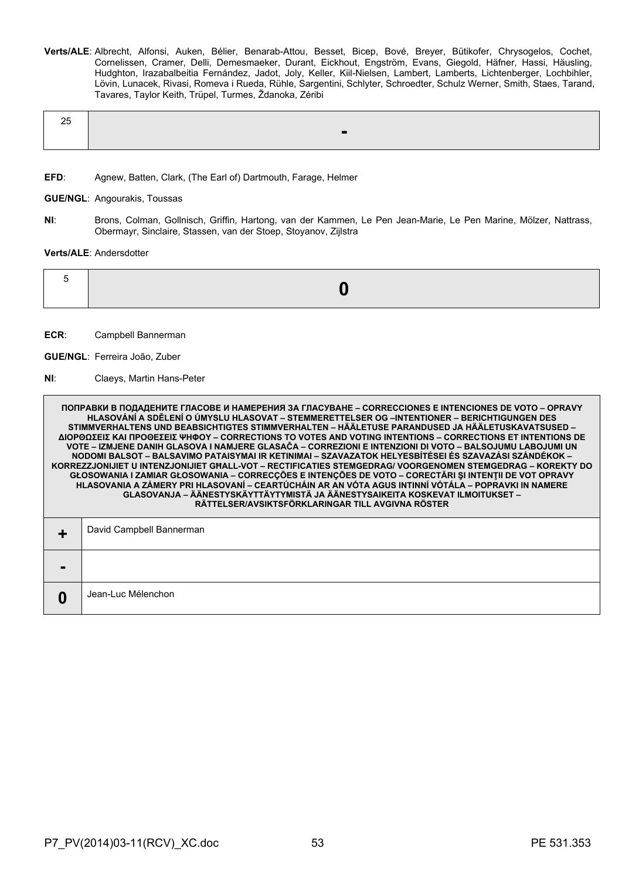**Verts/ALE**: Albrecht, Alfonsi, Auken, Bélier, Benarab-Attou, Besset, Bicep, Bové, Breyer, Bütikofer, Chrysogelos, Cochet, Cornelissen, Cramer, Delli, Demesmaeker, Durant, Eickhout, Engström, Evans, Giegold, Häfner, Hassi, Häusling, Hudghton, Irazabalbeitia Fernández, Jadot, Joly, Keller, Kiil-Nielsen, Lambert, Lamberts, Lichtenberger, Lochbihler, Lövin, Lunacek, Rivasi, Romeva i Rueda, Rühle, Sargentini, Schlyter, Schroedter, Schulz Werner, Smith, Staes, Tarand, Tavares, Taylor Keith, Trüpel, Turmes, Ždanoka, Zéribi

| ∠◡ |  |
|----|--|
|    |  |

**EFD**: Agnew, Batten, Clark, (The Earl of) Dartmouth, Farage, Helmer

## **GUE/NGL**: Angourakis, Toussas

**NI**: Brons, Colman, Gollnisch, Griffin, Hartong, van der Kammen, Le Pen Jean-Marie, Le Pen Marine, Mölzer, Nattrass, Obermayr, Sinclaire, Stassen, van der Stoep, Stoyanov, Zijlstra

### **Verts/ALE**: Andersdotter

|--|

## **ECR**: Campbell Bannerman

**GUE/NGL**: Ferreira João, Zuber

## **NI**: Claeys, Martin Hans-Peter

**ПОПРАВКИ В ПОДАДЕНИТЕ ГЛАСОВЕ И НАМЕРЕНИЯ ЗА ГЛАСУВАНЕ – CORRECCIONES E INTENCIONES DE VOTO – OPRAVY HLASOVÁNÍ A SDĚLENÍ O ÚMYSLU HLASOVAT – STEMMERETTELSER OG –INTENTIONER – BERICHTIGUNGEN DES STIMMVERHALTENS UND BEABSICHTIGTES STIMMVERHALTEN – HÄÄLETUSE PARANDUSED JA HÄÄLETUSKAVATSUSED – ΔΙΟΡΘΩΣΕΙΣ ΚΑΙ ΠΡΟΘΕΣΕΙΣ ΨΗΦΟΥ – CORRECTIONS TO VOTES AND VOTING INTENTIONS – CORRECTIONS ET INTENTIONS DE VOTE – IZMJENE DANIH GLASOVA I NAMJERE GLASAČA – CORREZIONI E INTENZIONI DI VOTO – BALSOJUMU LABOJUMI UN NODOMI BALSOT – BALSAVIMO PATAISYMAI IR KETINIMAI – SZAVAZATOK HELYESBÍTÉSEI ÉS SZAVAZÁSI SZÁNDÉKOK – KORREZZJONIJIET U INTENZJONIJIET GĦALL-VOT – RECTIFICATIES STEMGEDRAG/ VOORGENOMEN STEMGEDRAG – KOREKTY DO GŁOSOWANIA I ZAMIAR GŁOSOWANIA – CORRECÇÕES E INTENÇÕES DE VOTO – CORECTĂRI ŞI INTENŢII DE VOT OPRAVY HLASOVANIA A ZÁMERY PRI HLASOVANÍ – CEARTÚCHÁIN AR AN VÓTA AGUS INTINNÍ VÓTÁLA – POPRAVKI IN NAMERE GLASOVANJA – ÄÄNESTYSKÄYTTÄYTYMISTÄ JA ÄÄNESTYSAIKEITA KOSKEVAT ILMOITUKSET – RÄTTELSER/AVSIKTSFÖRKLARINGAR TILL AVGIVNA RÖSTER**

|                | David Campbell Bannerman |
|----------------|--------------------------|
| $\blacksquare$ |                          |
| 0              | Jean-Luc Mélenchon       |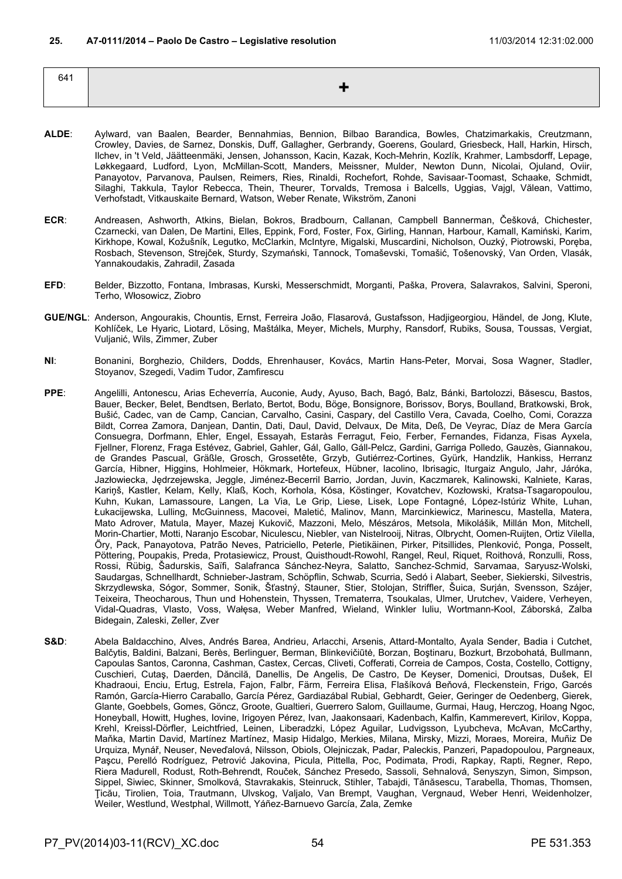| 641 |     |
|-----|-----|
|     | ___ |
|     |     |

- **ALDE**: Aylward, van Baalen, Bearder, Bennahmias, Bennion, Bilbao Barandica, Bowles, Chatzimarkakis, Creutzmann, Crowley, Davies, de Sarnez, Donskis, Duff, Gallagher, Gerbrandy, Goerens, Goulard, Griesbeck, Hall, Harkin, Hirsch, Ilchev, in 't Veld, Jäätteenmäki, Jensen, Johansson, Kacin, Kazak, Koch-Mehrin, Kozlík, Krahmer, Lambsdorff, Lepage, Løkkegaard, Ludford, Lyon, McMillan-Scott, Manders, Meissner, Mulder, Newton Dunn, Nicolai, Ojuland, Oviir, Panayotov, Parvanova, Paulsen, Reimers, Ries, Rinaldi, Rochefort, Rohde, Savisaar-Toomast, Schaake, Schmidt, Silaghi, Takkula, Taylor Rebecca, Thein, Theurer, Torvalds, Tremosa i Balcells, Uggias, Vajgl, Vălean, Vattimo, Verhofstadt, Vitkauskaite Bernard, Watson, Weber Renate, Wikström, Zanoni
- **ECR**: Andreasen, Ashworth, Atkins, Bielan, Bokros, Bradbourn, Callanan, Campbell Bannerman, Češková, Chichester, Czarnecki, van Dalen, De Martini, Elles, Eppink, Ford, Foster, Fox, Girling, Hannan, Harbour, Kamall, Kamiński, Karim, Kirkhope, Kowal, Kožušník, Legutko, McClarkin, McIntyre, Migalski, Muscardini, Nicholson, Ouzký, Piotrowski, Poręba, Rosbach, Stevenson, Strejček, Sturdy, Szymański, Tannock, Tomaševski, Tomašić, Tošenovský, Van Orden, Vlasák, Yannakoudakis, Zahradil, Zasada
- **EFD**: Belder, Bizzotto, Fontana, Imbrasas, Kurski, Messerschmidt, Morganti, Paška, Provera, Salavrakos, Salvini, Speroni, Terho, Włosowicz, Ziobro
- **GUE/NGL**: Anderson, Angourakis, Chountis, Ernst, Ferreira João, Flasarová, Gustafsson, Hadjigeorgiou, Händel, de Jong, Klute, Kohlíček, Le Hyaric, Liotard, Lösing, Maštálka, Meyer, Michels, Murphy, Ransdorf, Rubiks, Sousa, Toussas, Vergiat, Vuljanić, Wils, Zimmer, Zuber
- **NI**: Bonanini, Borghezio, Childers, Dodds, Ehrenhauser, Kovács, Martin Hans-Peter, Morvai, Sosa Wagner, Stadler, Stoyanov, Szegedi, Vadim Tudor, Zamfirescu
- **PPE**: Angelilli, Antonescu, Arias Echeverría, Auconie, Audy, Ayuso, Bach, Bagó, Balz, Bánki, Bartolozzi, Băsescu, Bastos, Bauer, Becker, Belet, Bendtsen, Berlato, Bertot, Bodu, Böge, Bonsignore, Borissov, Borys, Boulland, Bratkowski, Brok, Bušić, Cadec, van de Camp, Cancian, Carvalho, Casini, Caspary, del Castillo Vera, Cavada, Coelho, Comi, Corazza Bildt, Correa Zamora, Danjean, Dantin, Dati, Daul, David, Delvaux, De Mita, Deß, De Veyrac, Díaz de Mera García Consuegra, Dorfmann, Ehler, Engel, Essayah, Estaràs Ferragut, Feio, Ferber, Fernandes, Fidanza, Fisas Ayxela, Fjellner, Florenz, Fraga Estévez, Gabriel, Gahler, Gál, Gallo, Gáll-Pelcz, Gardini, Garriga Polledo, Gauzès, Giannakou, de Grandes Pascual, Gräßle, Grosch, Grossetête, Grzyb, Gutiérrez-Cortines, Gyürk, Handzlik, Hankiss, Herranz García, Hibner, Higgins, Hohlmeier, Hökmark, Hortefeux, Hübner, Iacolino, Ibrisagic, Iturgaiz Angulo, Jahr, Járóka, Jazłowiecka, Jędrzejewska, Jeggle, Jiménez-Becerril Barrio, Jordan, Juvin, Kaczmarek, Kalinowski, Kalniete, Karas, Kariņš, Kastler, Kelam, Kelly, Klaß, Koch, Korhola, Kósa, Köstinger, Kovatchev, Kozłowski, Kratsa-Tsagaropoulou, Kuhn, Kukan, Lamassoure, Langen, La Via, Le Grip, Liese, Lisek, Lope Fontagné, López-Istúriz White, Luhan, Łukacijewska, Lulling, McGuinness, Macovei, Maletić, Malinov, Mann, Marcinkiewicz, Marinescu, Mastella, Matera, Mato Adrover, Matula, Mayer, Mazej Kukovič, Mazzoni, Melo, Mészáros, Metsola, Mikolášik, Millán Mon, Mitchell, Morin-Chartier, Motti, Naranjo Escobar, Niculescu, Niebler, van Nistelrooij, Nitras, Olbrycht, Oomen-Ruijten, Ortiz Vilella, Őry, Pack, Panayotova, Patrão Neves, Patriciello, Peterle, Pietikäinen, Pirker, Pitsillides, Plenković, Ponga, Posselt, Pöttering, Poupakis, Preda, Protasiewicz, Proust, Quisthoudt-Rowohl, Rangel, Reul, Riquet, Roithová, Ronzulli, Ross, Rossi, Rübig, Šadurskis, Saïfi, Salafranca Sánchez-Neyra, Salatto, Sanchez-Schmid, Sarvamaa, Saryusz-Wolski, Saudargas, Schnellhardt, Schnieber-Jastram, Schöpflin, Schwab, Scurria, Sedó i Alabart, Seeber, Siekierski, Silvestris, Skrzydlewska, Sógor, Sommer, Sonik, Šťastný, Stauner, Stier, Stolojan, Striffler, Šuica, Surján, Svensson, Szájer, Teixeira, Theocharous, Thun und Hohenstein, Thyssen, Trematerra, Tsoukalas, Ulmer, Urutchev, Vaidere, Verheyen, Vidal-Quadras, Vlasto, Voss, Wałęsa, Weber Manfred, Wieland, Winkler Iuliu, Wortmann-Kool, Záborská, Zalba Bidegain, Zaleski, Zeller, Zver
- **S&D**: Abela Baldacchino, Alves, Andrés Barea, Andrieu, Arlacchi, Arsenis, Attard-Montalto, Ayala Sender, Badia i Cutchet, Balčytis, Baldini, Balzani, Berès, Berlinguer, Berman, Blinkevičiūtė, Borzan, Boştinaru, Bozkurt, Brzobohatá, Bullmann, Capoulas Santos, Caronna, Cashman, Castex, Cercas, Cliveti, Cofferati, Correia de Campos, Costa, Costello, Cottigny, Cuschieri, Cutaş, Daerden, Dăncilă, Danellis, De Angelis, De Castro, De Keyser, Domenici, Droutsas, Dušek, El Khadraoui, Enciu, Ertug, Estrela, Fajon, Falbr, Färm, Ferreira Elisa, Flašíková Beňová, Fleckenstein, Frigo, Garcés Ramón, García-Hierro Caraballo, García Pérez, Gardiazábal Rubial, Gebhardt, Geier, Geringer de Oedenberg, Gierek, Glante, Goebbels, Gomes, Göncz, Groote, Gualtieri, Guerrero Salom, Guillaume, Gurmai, Haug, Herczog, Hoang Ngoc, Honeyball, Howitt, Hughes, Iovine, Irigoyen Pérez, Ivan, Jaakonsaari, Kadenbach, Kalfin, Kammerevert, Kirilov, Koppa, Krehl, Kreissl-Dörfler, Leichtfried, Leinen, Liberadzki, López Aguilar, Ludvigsson, Lyubcheva, McAvan, McCarthy, Maňka, Martin David, Martínez Martínez, Masip Hidalgo, Merkies, Milana, Mirsky, Mizzi, Moraes, Moreira, Muñiz De Urquiza, Mynář, Neuser, Neveďalová, Nilsson, Obiols, Olejniczak, Padar, Paleckis, Panzeri, Papadopoulou, Pargneaux, Paşcu, Perelló Rodríguez, Petrović Jakovina, Picula, Pittella, Poc, Podimata, Prodi, Rapkay, Rapti, Regner, Repo, Riera Madurell, Rodust, Roth-Behrendt, Rouček, Sánchez Presedo, Sassoli, Sehnalová, Senyszyn, Simon, Simpson, Sippel, Siwiec, Skinner, Smolková, Stavrakakis, Steinruck, Stihler, Tabajdi, Tănăsescu, Tarabella, Thomas, Thomsen, Ţicău, Tirolien, Toia, Trautmann, Ulvskog, Valjalo, Van Brempt, Vaughan, Vergnaud, Weber Henri, Weidenholzer, Weiler, Westlund, Westphal, Willmott, Yáñez-Barnuevo García, Zala, Zemke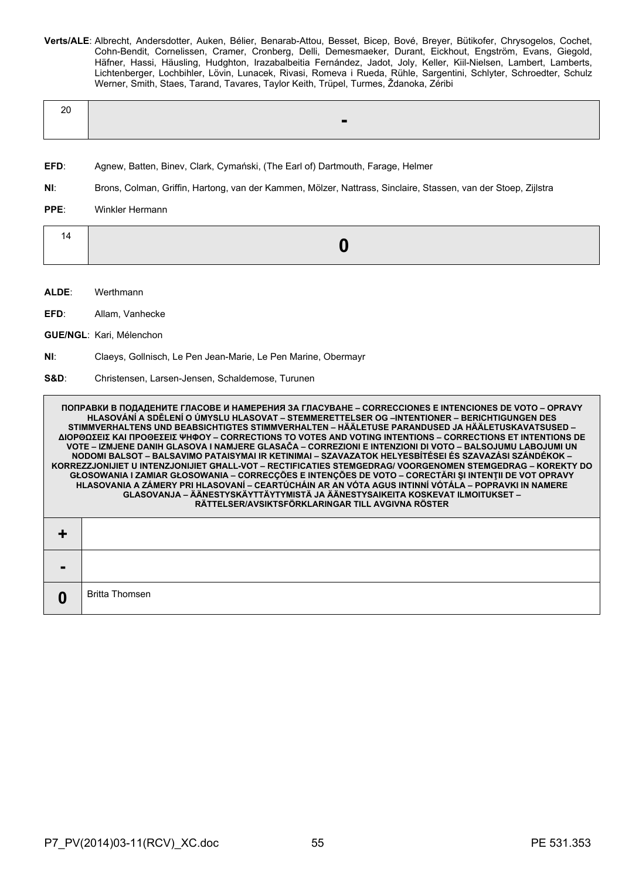Verts/ALE: Albrecht, Andersdotter, Auken, Bélier, Benarab-Attou, Besset, Bicep, Bové, Breyer, Bütikofer, Chrysogelos, Cochet, Cohn-Bendit, Cornelissen, Cramer, Cronberg, Delli, Demesmaeker, Durant, Eickhout, Engström, Evans, Giegold, Häfner, Hassi, Häusling, Hudghton, Irazabalbeitia Fernández, Jadot, Joly, Keller, Kiil-Nielsen, Lambert, Lamberts, Lichtenberger, Lochbihler, Lövin, Lunacek, Rivasi, Romeva i Rueda, Rühle, Sargentini, Schlyter, Schroedter, Schulz Werner, Smith, Staes, Tarand, Tavares, Taylor Keith, Trüpel, Turmes, Ždanoka, Zéribi

| 20 |  |
|----|--|
|    |  |
|    |  |

- EFD: Agnew, Batten, Binev, Clark, Cymański, (The Earl of) Dartmouth, Farage, Helmer
- $NI:$ Brons, Colman, Griffin, Hartong, van der Kammen, Mölzer, Nattrass, Sinclaire, Stassen, van der Stoep, Zijlstra

#### PPE: Winkler Hermann

ALDE: Werthmann

0

- EFD: Allam, Vanhecke
- GUE/NGL: Kari, Mélenchon
- $NI:$ Claeys, Gollnisch, Le Pen Jean-Marie, Le Pen Marine, Obermayr
- **S&D:** Christensen, Larsen-Jensen, Schaldemose, Turunen

ПОПРАВКИ В ПОДАДЕНИТЕ ГЛАСОВЕ И НАМЕРЕНИЯ ЗА ГЛАСУВАНЕ - CORRECCIONES E INTENCIONES DE VOTO - OPRAVY HLASOVÁNÍ A SDĚLENÍ O ÚMYSLU HLASOVAT – STEMMERETTELSER OG –INTENTIONER – BERICHTIGUNGEN DES STIMMVERHALTENS UND BEABSICHTIGTES STIMMVERHALTEN - HÄÄLETUSE PARANDUSED JA HÄÄLETUSKAVATSUSED -ΔΙΟΡΘΩΣΕΙΣ ΚΑΙ ΠΡΟΘΕΣΕΙΣ ΨΗΦΟΥ – CORRECTIONS TO VOTES AND VOTING INTENTIONS – CORRECTIONS ET INTENTIONS DE VOTE - IZMJENE DANIH GLASOVA I NAMJERE GLASAČA - CORREZIONI E INTENZIONI DI VOTO - BALSOJUMU LABOJUMI UN NODOMI BALSOT – BALSAVIMO PATAISYMAI IR KETINIMAI – SZAVAZATOK HELYESBÍTÉSEI ÉS SZAVAZÁSI SZÁNDÉKOK – KORREZZJONIJIET U INTENZJONIJIET GHALL-VOT - RECTIFICATIES STEMGEDRAG/ VOORGENOMEN STEMGEDRAG - KOREKTY DO GŁOSOWANIA I ZAMIAR GŁOSOWANIA – CORRECCÕES E INTENCÕES DE VOTO – CORECTĂRI SI INTENTII DE VOT OPRAVY HLASOVANIA A ZÁMERY PRI HLASOVANÍ – CEARTÚCHÁIN AR AN VÓTA AGUS INTINNÍ VÓTÁLA – POPRAVKI IN NAMERE GLASOVANJA – ÄÄNESTYSKÄYTTÄYTYMISTÄ JA ÄÄNESTYSAIKEITA KOSKEVAT ILMOITUKSET – RÄTTELSER/AVSIKTSFÖRKLARINGAR TILL AVGIVNA RÖSTER  $\div$ **Britta Thomsen**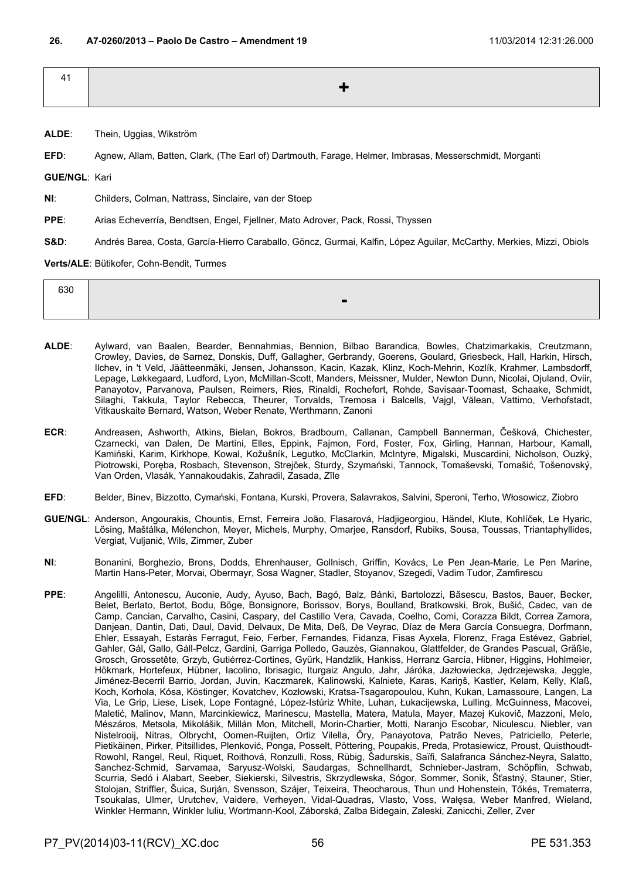| 41 |  |
|----|--|
|    |  |
|    |  |

- **ALDE**: Thein, Uggias, Wikström
- **EFD**: Agnew, Allam, Batten, Clark, (The Earl of) Dartmouth, Farage, Helmer, Imbrasas, Messerschmidt, Morganti

### **GUE/NGL**: Kari

- **NI**: Childers, Colman, Nattrass, Sinclaire, van der Stoep
- **PPE**: Arias Echeverría, Bendtsen, Engel, Fjellner, Mato Adrover, Pack, Rossi, Thyssen
- **S&D**: Andrés Barea, Costa, García-Hierro Caraballo, Göncz, Gurmai, Kalfin, López Aguilar, McCarthy, Merkies, Mizzi, Obiols

#### **Verts/ALE**: Bütikofer, Cohn-Bendit, Turmes

| $\sim$<br>h<br>osu |          |
|--------------------|----------|
|                    | <u>—</u> |

- **ALDE**: Aylward, van Baalen, Bearder, Bennahmias, Bennion, Bilbao Barandica, Bowles, Chatzimarkakis, Creutzmann, Crowley, Davies, de Sarnez, Donskis, Duff, Gallagher, Gerbrandy, Goerens, Goulard, Griesbeck, Hall, Harkin, Hirsch, Ilchev, in 't Veld, Jäätteenmäki, Jensen, Johansson, Kacin, Kazak, Klinz, Koch-Mehrin, Kozlík, Krahmer, Lambsdorff, Lepage, Løkkegaard, Ludford, Lyon, McMillan-Scott, Manders, Meissner, Mulder, Newton Dunn, Nicolai, Ojuland, Oviir, Panayotov, Parvanova, Paulsen, Reimers, Ries, Rinaldi, Rochefort, Rohde, Savisaar-Toomast, Schaake, Schmidt, Silaghi, Takkula, Taylor Rebecca, Theurer, Torvalds, Tremosa i Balcells, Vajgl, Vălean, Vattimo, Verhofstadt, Vitkauskaite Bernard, Watson, Weber Renate, Werthmann, Zanoni
- **ECR**: Andreasen, Ashworth, Atkins, Bielan, Bokros, Bradbourn, Callanan, Campbell Bannerman, Češková, Chichester, Czarnecki, van Dalen, De Martini, Elles, Eppink, Fajmon, Ford, Foster, Fox, Girling, Hannan, Harbour, Kamall, Kamiński, Karim, Kirkhope, Kowal, Kožušník, Legutko, McClarkin, McIntyre, Migalski, Muscardini, Nicholson, Ouzký, Piotrowski, Poręba, Rosbach, Stevenson, Strejček, Sturdy, Szymański, Tannock, Tomaševski, Tomašić, Tošenovský, Van Orden, Vlasák, Yannakoudakis, Zahradil, Zasada, Zīle
- **EFD**: Belder, Binev, Bizzotto, Cymański, Fontana, Kurski, Provera, Salavrakos, Salvini, Speroni, Terho, Włosowicz, Ziobro
- **GUE/NGL**: Anderson, Angourakis, Chountis, Ernst, Ferreira João, Flasarová, Hadjigeorgiou, Händel, Klute, Kohlíček, Le Hyaric, Lösing, Maštálka, Mélenchon, Meyer, Michels, Murphy, Omarjee, Ransdorf, Rubiks, Sousa, Toussas, Triantaphyllides, Vergiat, Vuljanić, Wils, Zimmer, Zuber
- **NI**: Bonanini, Borghezio, Brons, Dodds, Ehrenhauser, Gollnisch, Griffin, Kovács, Le Pen Jean-Marie, Le Pen Marine, Martin Hans-Peter, Morvai, Obermayr, Sosa Wagner, Stadler, Stoyanov, Szegedi, Vadim Tudor, Zamfirescu
- **PPE**: Angelilli, Antonescu, Auconie, Audy, Ayuso, Bach, Bagó, Balz, Bánki, Bartolozzi, Băsescu, Bastos, Bauer, Becker, Belet, Berlato, Bertot, Bodu, Böge, Bonsignore, Borissov, Borys, Boulland, Bratkowski, Brok, Bušić, Cadec, van de Camp, Cancian, Carvalho, Casini, Caspary, del Castillo Vera, Cavada, Coelho, Comi, Corazza Bildt, Correa Zamora, Danjean, Dantin, Dati, Daul, David, Delvaux, De Mita, Deß, De Veyrac, Díaz de Mera García Consuegra, Dorfmann, Ehler, Essayah, Estaràs Ferragut, Feio, Ferber, Fernandes, Fidanza, Fisas Ayxela, Florenz, Fraga Estévez, Gabriel, Gahler, Gál, Gallo, Gáll-Pelcz, Gardini, Garriga Polledo, Gauzès, Giannakou, Glattfelder, de Grandes Pascual, Gräßle, Grosch, Grossetête, Grzyb, Gutiérrez-Cortines, Gyürk, Handzlik, Hankiss, Herranz García, Hibner, Higgins, Hohlmeier, Hökmark, Hortefeux, Hübner, Iacolino, Ibrisagic, Iturgaiz Angulo, Jahr, Járóka, Jazłowiecka, Jędrzejewska, Jeggle, Jiménez-Becerril Barrio, Jordan, Juvin, Kaczmarek, Kalinowski, Kalniete, Karas, Kariņš, Kastler, Kelam, Kelly, Klaß, Koch, Korhola, Kósa, Köstinger, Kovatchev, Kozłowski, Kratsa-Tsagaropoulou, Kuhn, Kukan, Lamassoure, Langen, La Via, Le Grip, Liese, Lisek, Lope Fontagné, López-Istúriz White, Luhan, Łukacijewska, Lulling, McGuinness, Macovei, Maletić, Malinov, Mann, Marcinkiewicz, Marinescu, Mastella, Matera, Matula, Mayer, Mazej Kukovič, Mazzoni, Melo, Mészáros, Metsola, Mikolášik, Millán Mon, Mitchell, Morin-Chartier, Motti, Naranjo Escobar, Niculescu, Niebler, van Nistelrooij, Nitras, Olbrycht, Oomen-Ruijten, Ortiz Vilella, Őry, Panayotova, Patrão Neves, Patriciello, Peterle, Pietikäinen, Pirker, Pitsillides, Plenković, Ponga, Posselt, Pöttering, Poupakis, Preda, Protasiewicz, Proust, Quisthoudt-Rowohl, Rangel, Reul, Riquet, Roithová, Ronzulli, Ross, Rübig, Šadurskis, Saïfi, Salafranca Sánchez-Neyra, Salatto, Sanchez-Schmid, Sarvamaa, Saryusz-Wolski, Saudargas, Schnellhardt, Schnieber-Jastram, Schöpflin, Schwab, Scurria, Sedó i Alabart, Seeber, Siekierski, Silvestris, Skrzydlewska, Sógor, Sommer, Sonik, Šťastný, Stauner, Stier, Stolojan, Striffler, Šuica, Surján, Svensson, Szájer, Teixeira, Theocharous, Thun und Hohenstein, Tőkés, Trematerra, Tsoukalas, Ulmer, Urutchev, Vaidere, Verheyen, Vidal-Quadras, Vlasto, Voss, Wałęsa, Weber Manfred, Wieland, Winkler Hermann, Winkler Iuliu, Wortmann-Kool, Záborská, Zalba Bidegain, Zaleski, Zanicchi, Zeller, Zver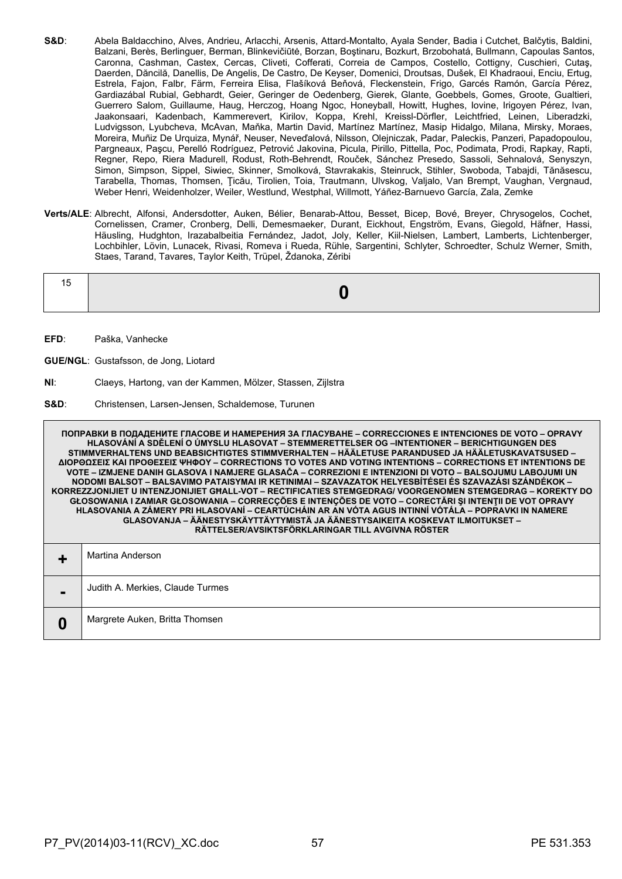- **S&D**: Abela Baldacchino, Alves, Andrieu, Arlacchi, Arsenis, Attard-Montalto, Ayala Sender, Badia i Cutchet, Balčytis, Baldini, Balzani, Berès, Berlinguer, Berman, Blinkevičiūtė, Borzan, Boştinaru, Bozkurt, Brzobohatá, Bullmann, Capoulas Santos, Caronna, Cashman, Castex, Cercas, Cliveti, Cofferati, Correia de Campos, Costello, Cottigny, Cuschieri, Cutaş, Daerden, Dăncilă, Danellis, De Angelis, De Castro, De Keyser, Domenici, Droutsas, Dušek, El Khadraoui, Enciu, Ertug, Estrela, Fajon, Falbr, Färm, Ferreira Elisa, Flašíková Beňová, Fleckenstein, Frigo, Garcés Ramón, García Pérez, Gardiazábal Rubial, Gebhardt, Geier, Geringer de Oedenberg, Gierek, Glante, Goebbels, Gomes, Groote, Gualtieri, Guerrero Salom, Guillaume, Haug, Herczog, Hoang Ngoc, Honeyball, Howitt, Hughes, Iovine, Irigoyen Pérez, Ivan, Jaakonsaari, Kadenbach, Kammerevert, Kirilov, Koppa, Krehl, Kreissl-Dörfler, Leichtfried, Leinen, Liberadzki, Ludvigsson, Lyubcheva, McAvan, Maňka, Martin David, Martínez Martínez, Masip Hidalgo, Milana, Mirsky, Moraes, Moreira, Muñiz De Urquiza, Mynář, Neuser, Neveďalová, Nilsson, Olejniczak, Padar, Paleckis, Panzeri, Papadopoulou, Pargneaux, Paşcu, Perelló Rodríguez, Petrović Jakovina, Picula, Pirillo, Pittella, Poc, Podimata, Prodi, Rapkay, Rapti, Regner, Repo, Riera Madurell, Rodust, Roth-Behrendt, Rouček, Sánchez Presedo, Sassoli, Sehnalová, Senyszyn, Simon, Simpson, Sippel, Siwiec, Skinner, Smolková, Stavrakakis, Steinruck, Stihler, Swoboda, Tabajdi, Tănăsescu, Tarabella, Thomas, Thomsen, Ţicău, Tirolien, Toia, Trautmann, Ulvskog, Valjalo, Van Brempt, Vaughan, Vergnaud, Weber Henri, Weidenholzer, Weiler, Westlund, Westphal, Willmott, Yáñez-Barnuevo García, Zala, Zemke
- **Verts/ALE**: Albrecht, Alfonsi, Andersdotter, Auken, Bélier, Benarab-Attou, Besset, Bicep, Bové, Breyer, Chrysogelos, Cochet, Cornelissen, Cramer, Cronberg, Delli, Demesmaeker, Durant, Eickhout, Engström, Evans, Giegold, Häfner, Hassi, Häusling, Hudghton, Irazabalbeitia Fernández, Jadot, Joly, Keller, Kiil-Nielsen, Lambert, Lamberts, Lichtenberger, Lochbihler, Lövin, Lunacek, Rivasi, Romeva i Rueda, Rühle, Sargentini, Schlyter, Schroedter, Schulz Werner, Smith, Staes, Tarand, Tavares, Taylor Keith, Trüpel, Ždanoka, Zéribi

| . |  |
|---|--|
|   |  |

**EFD**: Paška, Vanhecke

**GUE/NGL**: Gustafsson, de Jong, Liotard

- **NI**: Claeys, Hartong, van der Kammen, Mölzer, Stassen, Zijlstra
- **S&D**: Christensen, Larsen-Jensen, Schaldemose, Turunen

**ПОПРАВКИ В ПОДАДЕНИТЕ ГЛАСОВЕ И НАМЕРЕНИЯ ЗА ГЛАСУВАНЕ – CORRECCIONES E INTENCIONES DE VOTO – OPRAVY HLASOVÁNÍ A SDĚLENÍ O ÚMYSLU HLASOVAT – STEMMERETTELSER OG –INTENTIONER – BERICHTIGUNGEN DES STIMMVERHALTENS UND BEABSICHTIGTES STIMMVERHALTEN – HÄÄLETUSE PARANDUSED JA HÄÄLETUSKAVATSUSED – ΔΙΟΡΘΩΣΕΙΣ ΚΑΙ ΠΡΟΘΕΣΕΙΣ ΨΗΦΟΥ – CORRECTIONS TO VOTES AND VOTING INTENTIONS – CORRECTIONS ET INTENTIONS DE VOTE – IZMJENE DANIH GLASOVA I NAMJERE GLASAČA – CORREZIONI E INTENZIONI DI VOTO – BALSOJUMU LABOJUMI UN NODOMI BALSOT – BALSAVIMO PATAISYMAI IR KETINIMAI – SZAVAZATOK HELYESBÍTÉSEI ÉS SZAVAZÁSI SZÁNDÉKOK – KORREZZJONIJIET U INTENZJONIJIET GĦALL-VOT – RECTIFICATIES STEMGEDRAG/ VOORGENOMEN STEMGEDRAG – KOREKTY DO GŁOSOWANIA I ZAMIAR GŁOSOWANIA – CORRECÇÕES E INTENÇÕES DE VOTO – CORECTĂRI ŞI INTENŢII DE VOT OPRAVY HLASOVANIA A ZÁMERY PRI HLASOVANÍ – CEARTÚCHÁIN AR AN VÓTA AGUS INTINNÍ VÓTÁLA – POPRAVKI IN NAMERE GLASOVANJA – ÄÄNESTYSKÄYTTÄYTYMISTÄ JA ÄÄNESTYSAIKEITA KOSKEVAT ILMOITUKSET – RÄTTELSER/AVSIKTSFÖRKLARINGAR TILL AVGIVNA RÖSTER**

|   | Martina Anderson                 |
|---|----------------------------------|
|   | Judith A. Merkies, Claude Turmes |
| 0 | Margrete Auken, Britta Thomsen   |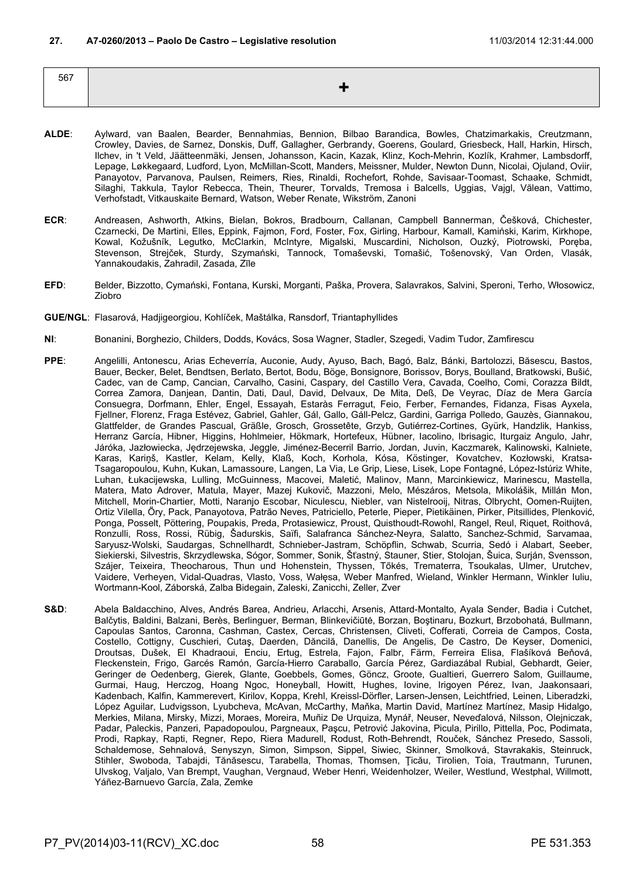| 567 |  |
|-----|--|
|     |  |

- **ALDE**: Aylward, van Baalen, Bearder, Bennahmias, Bennion, Bilbao Barandica, Bowles, Chatzimarkakis, Creutzmann, Crowley, Davies, de Sarnez, Donskis, Duff, Gallagher, Gerbrandy, Goerens, Goulard, Griesbeck, Hall, Harkin, Hirsch, Ilchev, in 't Veld, Jäätteenmäki, Jensen, Johansson, Kacin, Kazak, Klinz, Koch-Mehrin, Kozlík, Krahmer, Lambsdorff, Lepage, Løkkegaard, Ludford, Lyon, McMillan-Scott, Manders, Meissner, Mulder, Newton Dunn, Nicolai, Ojuland, Oviir, Panayotov, Parvanova, Paulsen, Reimers, Ries, Rinaldi, Rochefort, Rohde, Savisaar-Toomast, Schaake, Schmidt, Silaghi, Takkula, Taylor Rebecca, Thein, Theurer, Torvalds, Tremosa i Balcells, Uggias, Vajgl, Vălean, Vattimo, Verhofstadt, Vitkauskaite Bernard, Watson, Weber Renate, Wikström, Zanoni
- **ECR**: Andreasen, Ashworth, Atkins, Bielan, Bokros, Bradbourn, Callanan, Campbell Bannerman, Češková, Chichester, Czarnecki, De Martini, Elles, Eppink, Fajmon, Ford, Foster, Fox, Girling, Harbour, Kamall, Kamiński, Karim, Kirkhope, Kowal, Kožušník, Legutko, McClarkin, McIntyre, Migalski, Muscardini, Nicholson, Ouzký, Piotrowski, Poręba, Stevenson, Strejček, Sturdy, Szymański, Tannock, Tomaševski, Tomašić, Tošenovský, Van Orden, Vlasák, Yannakoudakis, Zahradil, Zasada, Zīle
- **EFD**: Belder, Bizzotto, Cymański, Fontana, Kurski, Morganti, Paška, Provera, Salavrakos, Salvini, Speroni, Terho, Włosowicz, Ziobro
- **GUE/NGL**: Flasarová, Hadjigeorgiou, Kohlíček, Maštálka, Ransdorf, Triantaphyllides
- **NI**: Bonanini, Borghezio, Childers, Dodds, Kovács, Sosa Wagner, Stadler, Szegedi, Vadim Tudor, Zamfirescu
- **PPE**: Angelilli, Antonescu, Arias Echeverría, Auconie, Audy, Ayuso, Bach, Bagó, Balz, Bánki, Bartolozzi, Băsescu, Bastos, Bauer, Becker, Belet, Bendtsen, Berlato, Bertot, Bodu, Böge, Bonsignore, Borissov, Borys, Boulland, Bratkowski, Bušić, Cadec, van de Camp, Cancian, Carvalho, Casini, Caspary, del Castillo Vera, Cavada, Coelho, Comi, Corazza Bildt, Correa Zamora, Danjean, Dantin, Dati, Daul, David, Delvaux, De Mita, Deß, De Veyrac, Díaz de Mera García Consuegra, Dorfmann, Ehler, Engel, Essayah, Estaràs Ferragut, Feio, Ferber, Fernandes, Fidanza, Fisas Ayxela, Fjellner, Florenz, Fraga Estévez, Gabriel, Gahler, Gál, Gallo, Gáll-Pelcz, Gardini, Garriga Polledo, Gauzès, Giannakou, Glattfelder, de Grandes Pascual, Gräßle, Grosch, Grossetête, Grzyb, Gutiérrez-Cortines, Gyürk, Handzlik, Hankiss, Herranz García, Hibner, Higgins, Hohlmeier, Hökmark, Hortefeux, Hübner, Iacolino, Ibrisagic, Iturgaiz Angulo, Jahr, Járóka, Jazłowiecka, Jędrzejewska, Jeggle, Jiménez-Becerril Barrio, Jordan, Juvin, Kaczmarek, Kalinowski, Kalniete, Karas, Kariņš, Kastler, Kelam, Kelly, Klaß, Koch, Korhola, Kósa, Köstinger, Kovatchev, Kozłowski, Kratsa-Tsagaropoulou, Kuhn, Kukan, Lamassoure, Langen, La Via, Le Grip, Liese, Lisek, Lope Fontagné, López-Istúriz White, Luhan, Łukacijewska, Lulling, McGuinness, Macovei, Maletić, Malinov, Mann, Marcinkiewicz, Marinescu, Mastella, Matera, Mato Adrover, Matula, Mayer, Mazej Kukovič, Mazzoni, Melo, Mészáros, Metsola, Mikolášik, Millán Mon, Mitchell, Morin-Chartier, Motti, Naranjo Escobar, Niculescu, Niebler, van Nistelrooij, Nitras, Olbrycht, Oomen-Ruijten, Ortiz Vilella, Őry, Pack, Panayotova, Patrão Neves, Patriciello, Peterle, Pieper, Pietikäinen, Pirker, Pitsillides, Plenković, Ponga, Posselt, Pöttering, Poupakis, Preda, Protasiewicz, Proust, Quisthoudt-Rowohl, Rangel, Reul, Riquet, Roithová, Ronzulli, Ross, Rossi, Rübig, Šadurskis, Saïfi, Salafranca Sánchez-Neyra, Salatto, Sanchez-Schmid, Sarvamaa, Saryusz-Wolski, Saudargas, Schnellhardt, Schnieber-Jastram, Schöpflin, Schwab, Scurria, Sedó i Alabart, Seeber, Siekierski, Silvestris, Skrzydlewska, Sógor, Sommer, Sonik, Šťastný, Stauner, Stier, Stolojan, Šuica, Surján, Svensson, Szájer, Teixeira, Theocharous, Thun und Hohenstein, Thyssen, Tőkés, Trematerra, Tsoukalas, Ulmer, Urutchev, Vaidere, Verheyen, Vidal-Quadras, Vlasto, Voss, Wałęsa, Weber Manfred, Wieland, Winkler Hermann, Winkler Iuliu, Wortmann-Kool, Záborská, Zalba Bidegain, Zaleski, Zanicchi, Zeller, Zver
- **S&D**: Abela Baldacchino, Alves, Andrés Barea, Andrieu, Arlacchi, Arsenis, Attard-Montalto, Ayala Sender, Badia i Cutchet, Balčytis, Baldini, Balzani, Berès, Berlinguer, Berman, Blinkevičiūtė, Borzan, Boştinaru, Bozkurt, Brzobohatá, Bullmann, Capoulas Santos, Caronna, Cashman, Castex, Cercas, Christensen, Cliveti, Cofferati, Correia de Campos, Costa, Costello, Cottigny, Cuschieri, Cutaş, Daerden, Dăncilă, Danellis, De Angelis, De Castro, De Keyser, Domenici, Droutsas, Dušek, El Khadraoui, Enciu, Ertug, Estrela, Fajon, Falbr, Färm, Ferreira Elisa, Flašíková Beňová, Fleckenstein, Frigo, Garcés Ramón, García-Hierro Caraballo, García Pérez, Gardiazábal Rubial, Gebhardt, Geier, Geringer de Oedenberg, Gierek, Glante, Goebbels, Gomes, Göncz, Groote, Gualtieri, Guerrero Salom, Guillaume, Gurmai, Haug, Herczog, Hoang Ngoc, Honeyball, Howitt, Hughes, Iovine, Irigoyen Pérez, Ivan, Jaakonsaari, Kadenbach, Kalfin, Kammerevert, Kirilov, Koppa, Krehl, Kreissl-Dörfler, Larsen-Jensen, Leichtfried, Leinen, Liberadzki, López Aguilar, Ludvigsson, Lyubcheva, McAvan, McCarthy, Maňka, Martin David, Martínez Martínez, Masip Hidalgo, Merkies, Milana, Mirsky, Mizzi, Moraes, Moreira, Muñiz De Urquiza, Mynář, Neuser, Neveďalová, Nilsson, Olejniczak, Padar, Paleckis, Panzeri, Papadopoulou, Pargneaux, Paşcu, Petrović Jakovina, Picula, Pirillo, Pittella, Poc, Podimata, Prodi, Rapkay, Rapti, Regner, Repo, Riera Madurell, Rodust, Roth-Behrendt, Rouček, Sánchez Presedo, Sassoli, Schaldemose, Sehnalová, Senyszyn, Simon, Simpson, Sippel, Siwiec, Skinner, Smolková, Stavrakakis, Steinruck, Stihler, Swoboda, Tabajdi, Tănăsescu, Tarabella, Thomas, Thomsen, Ţicău, Tirolien, Toia, Trautmann, Turunen, Ulvskog, Valjalo, Van Brempt, Vaughan, Vergnaud, Weber Henri, Weidenholzer, Weiler, Westlund, Westphal, Willmott, Yáñez-Barnuevo García, Zala, Zemke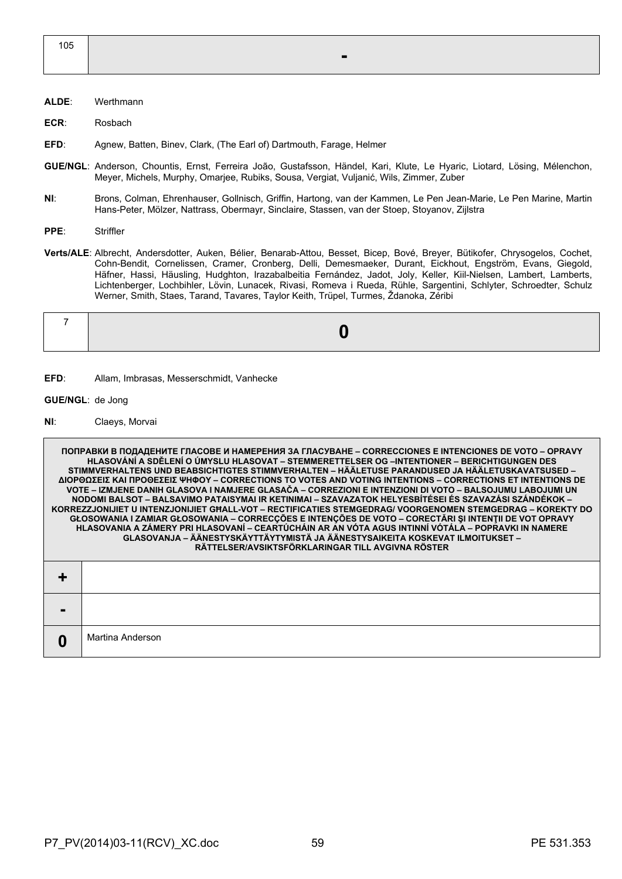- **ALDE**: Werthmann
- **ECR**: Rosbach
- **EFD**: Agnew, Batten, Binev, Clark, (The Earl of) Dartmouth, Farage, Helmer
- **GUE/NGL**: Anderson, Chountis, Ernst, Ferreira João, Gustafsson, Händel, Kari, Klute, Le Hyaric, Liotard, Lösing, Mélenchon, Meyer, Michels, Murphy, Omarjee, Rubiks, Sousa, Vergiat, Vuljanić, Wils, Zimmer, Zuber

**-**

- **NI**: Brons, Colman, Ehrenhauser, Gollnisch, Griffin, Hartong, van der Kammen, Le Pen Jean-Marie, Le Pen Marine, Martin Hans-Peter, Mölzer, Nattrass, Obermayr, Sinclaire, Stassen, van der Stoep, Stoyanov, Zijlstra
- **PPE**: Striffler
- **Verts/ALE**: Albrecht, Andersdotter, Auken, Bélier, Benarab-Attou, Besset, Bicep, Bové, Breyer, Bütikofer, Chrysogelos, Cochet, Cohn-Bendit, Cornelissen, Cramer, Cronberg, Delli, Demesmaeker, Durant, Eickhout, Engström, Evans, Giegold, Häfner, Hassi, Häusling, Hudghton, Irazabalbeitia Fernández, Jadot, Joly, Keller, Kiil-Nielsen, Lambert, Lamberts, Lichtenberger, Lochbihler, Lövin, Lunacek, Rivasi, Romeva i Rueda, Rühle, Sargentini, Schlyter, Schroedter, Schulz Werner, Smith, Staes, Tarand, Tavares, Taylor Keith, Trüpel, Turmes, Ždanoka, Zéribi

**EFD**: Allam, Imbrasas, Messerschmidt, Vanhecke

#### **GUE/NGL**: de Jong

**NI**: Claeys, Morvai

**ПОПРАВКИ В ПОДАДЕНИТЕ ГЛАСОВЕ И НАМЕРЕНИЯ ЗА ГЛАСУВАНЕ – CORRECCIONES E INTENCIONES DE VOTO – OPRAVY HLASOVÁNÍ A SDĚLENÍ O ÚMYSLU HLASOVAT – STEMMERETTELSER OG –INTENTIONER – BERICHTIGUNGEN DES STIMMVERHALTENS UND BEABSICHTIGTES STIMMVERHALTEN – HÄÄLETUSE PARANDUSED JA HÄÄLETUSKAVATSUSED – ΔΙΟΡΘΩΣΕΙΣ ΚΑΙ ΠΡΟΘΕΣΕΙΣ ΨΗΦΟΥ – CORRECTIONS TO VOTES AND VOTING INTENTIONS – CORRECTIONS ET INTENTIONS DE VOTE – IZMJENE DANIH GLASOVA I NAMJERE GLASAČA – CORREZIONI E INTENZIONI DI VOTO – BALSOJUMU LABOJUMI UN NODOMI BALSOT – BALSAVIMO PATAISYMAI IR KETINIMAI – SZAVAZATOK HELYESBÍTÉSEI ÉS SZAVAZÁSI SZÁNDÉKOK – KORREZZJONIJIET U INTENZJONIJIET GĦALL-VOT – RECTIFICATIES STEMGEDRAG/ VOORGENOMEN STEMGEDRAG – KOREKTY DO GŁOSOWANIA I ZAMIAR GŁOSOWANIA – CORRECÇÕES E INTENÇÕES DE VOTO – CORECTĂRI ŞI INTENŢII DE VOT OPRAVY HLASOVANIA A ZÁMERY PRI HLASOVANÍ – CEARTÚCHÁIN AR AN VÓTA AGUS INTINNÍ VÓTÁLA – POPRAVKI IN NAMERE GLASOVANJA – ÄÄNESTYSKÄYTTÄYTYMISTÄ JA ÄÄNESTYSAIKEITA KOSKEVAT ILMOITUKSET – RÄTTELSER/AVSIKTSFÖRKLARINGAR TILL AVGIVNA RÖSTER + - 0** Martina Anderson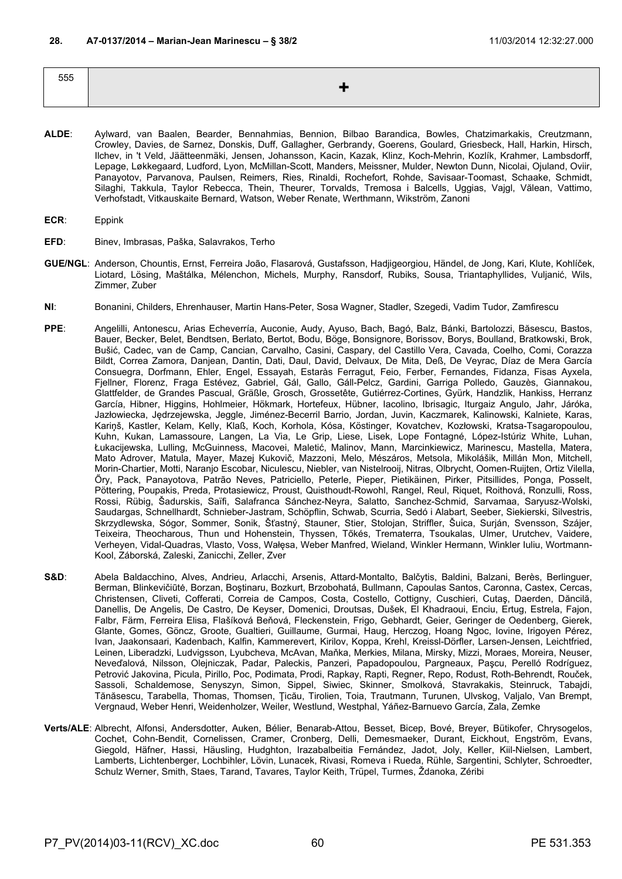| 555 |  |
|-----|--|
|     |  |

- **ALDE**: Aylward, van Baalen, Bearder, Bennahmias, Bennion, Bilbao Barandica, Bowles, Chatzimarkakis, Creutzmann, Crowley, Davies, de Sarnez, Donskis, Duff, Gallagher, Gerbrandy, Goerens, Goulard, Griesbeck, Hall, Harkin, Hirsch, Ilchev, in 't Veld, Jäätteenmäki, Jensen, Johansson, Kacin, Kazak, Klinz, Koch-Mehrin, Kozlík, Krahmer, Lambsdorff, Lepage, Løkkegaard, Ludford, Lyon, McMillan-Scott, Manders, Meissner, Mulder, Newton Dunn, Nicolai, Ojuland, Oviir, Panayotov, Parvanova, Paulsen, Reimers, Ries, Rinaldi, Rochefort, Rohde, Savisaar-Toomast, Schaake, Schmidt, Silaghi, Takkula, Taylor Rebecca, Thein, Theurer, Torvalds, Tremosa i Balcells, Uggias, Vajgl, Vălean, Vattimo, Verhofstadt, Vitkauskaite Bernard, Watson, Weber Renate, Werthmann, Wikström, Zanoni
- **ECR**: Eppink
- **EFD**: Binev, Imbrasas, Paška, Salavrakos, Terho
- **GUE/NGL**: Anderson, Chountis, Ernst, Ferreira João, Flasarová, Gustafsson, Hadjigeorgiou, Händel, de Jong, Kari, Klute, Kohlíček, Liotard, Lösing, Maštálka, Mélenchon, Michels, Murphy, Ransdorf, Rubiks, Sousa, Triantaphyllides, Vuljanić, Wils, Zimmer, Zuber
- **NI**: Bonanini, Childers, Ehrenhauser, Martin Hans-Peter, Sosa Wagner, Stadler, Szegedi, Vadim Tudor, Zamfirescu
- **PPE**: Angelilli, Antonescu, Arias Echeverría, Auconie, Audy, Ayuso, Bach, Bagó, Balz, Bánki, Bartolozzi, Băsescu, Bastos, Bauer, Becker, Belet, Bendtsen, Berlato, Bertot, Bodu, Böge, Bonsignore, Borissov, Borys, Boulland, Bratkowski, Brok, Bušić, Cadec, van de Camp, Cancian, Carvalho, Casini, Caspary, del Castillo Vera, Cavada, Coelho, Comi, Corazza Bildt, Correa Zamora, Danjean, Dantin, Dati, Daul, David, Delvaux, De Mita, Deß, De Veyrac, Díaz de Mera García Consuegra, Dorfmann, Ehler, Engel, Essayah, Estaràs Ferragut, Feio, Ferber, Fernandes, Fidanza, Fisas Ayxela, Fjellner, Florenz, Fraga Estévez, Gabriel, Gál, Gallo, Gáll-Pelcz, Gardini, Garriga Polledo, Gauzès, Giannakou, Glattfelder, de Grandes Pascual, Gräßle, Grosch, Grossetête, Gutiérrez-Cortines, Gyürk, Handzlik, Hankiss, Herranz García, Hibner, Higgins, Hohlmeier, Hökmark, Hortefeux, Hübner, Iacolino, Ibrisagic, Iturgaiz Angulo, Jahr, Járóka, Jazłowiecka, Jędrzejewska, Jeggle, Jiménez-Becerril Barrio, Jordan, Juvin, Kaczmarek, Kalinowski, Kalniete, Karas, Kariņš, Kastler, Kelam, Kelly, Klaß, Koch, Korhola, Kósa, Köstinger, Kovatchev, Kozłowski, Kratsa-Tsagaropoulou, Kuhn, Kukan, Lamassoure, Langen, La Via, Le Grip, Liese, Lisek, Lope Fontagné, López-Istúriz White, Luhan, Łukacijewska, Lulling, McGuinness, Macovei, Maletić, Malinov, Mann, Marcinkiewicz, Marinescu, Mastella, Matera, Mato Adrover, Matula, Mayer, Mazej Kukovič, Mazzoni, Melo, Mészáros, Metsola, Mikolášik, Millán Mon, Mitchell, Morin-Chartier, Motti, Naranjo Escobar, Niculescu, Niebler, van Nistelrooij, Nitras, Olbrycht, Oomen-Ruijten, Ortiz Vilella, Őry, Pack, Panayotova, Patrão Neves, Patriciello, Peterle, Pieper, Pietikäinen, Pirker, Pitsillides, Ponga, Posselt, Pöttering, Poupakis, Preda, Protasiewicz, Proust, Quisthoudt-Rowohl, Rangel, Reul, Riquet, Roithová, Ronzulli, Ross, Rossi, Rübig, Šadurskis, Saïfi, Salafranca Sánchez-Neyra, Salatto, Sanchez-Schmid, Sarvamaa, Saryusz-Wolski, Saudargas, Schnellhardt, Schnieber-Jastram, Schöpflin, Schwab, Scurria, Sedó i Alabart, Seeber, Siekierski, Silvestris, Skrzydlewska, Sógor, Sommer, Sonik, Šťastný, Stauner, Stier, Stolojan, Striffler, Šuica, Surján, Svensson, Szájer, Teixeira, Theocharous, Thun und Hohenstein, Thyssen, Tőkés, Trematerra, Tsoukalas, Ulmer, Urutchev, Vaidere, Verheyen, Vidal-Quadras, Vlasto, Voss, Wałęsa, Weber Manfred, Wieland, Winkler Hermann, Winkler Iuliu, Wortmann-Kool, Záborská, Zaleski, Zanicchi, Zeller, Zver
- **S&D**: Abela Baldacchino, Alves, Andrieu, Arlacchi, Arsenis, Attard-Montalto, Balčytis, Baldini, Balzani, Berès, Berlinguer, Berman, Blinkevičiūtė, Borzan, Boştinaru, Bozkurt, Brzobohatá, Bullmann, Capoulas Santos, Caronna, Castex, Cercas, Christensen, Cliveti, Cofferati, Correia de Campos, Costa, Costello, Cottigny, Cuschieri, Cutaş, Daerden, Dăncilă, Danellis, De Angelis, De Castro, De Keyser, Domenici, Droutsas, Dušek, El Khadraoui, Enciu, Ertug, Estrela, Fajon, Falbr, Färm, Ferreira Elisa, Flašíková Beňová, Fleckenstein, Frigo, Gebhardt, Geier, Geringer de Oedenberg, Gierek, Glante, Gomes, Göncz, Groote, Gualtieri, Guillaume, Gurmai, Haug, Herczog, Hoang Ngoc, Iovine, Irigoyen Pérez, Ivan, Jaakonsaari, Kadenbach, Kalfin, Kammerevert, Kirilov, Koppa, Krehl, Kreissl-Dörfler, Larsen-Jensen, Leichtfried, Leinen, Liberadzki, Ludvigsson, Lyubcheva, McAvan, Maňka, Merkies, Milana, Mirsky, Mizzi, Moraes, Moreira, Neuser, Neveďalová, Nilsson, Olejniczak, Padar, Paleckis, Panzeri, Papadopoulou, Pargneaux, Paşcu, Perelló Rodríguez, Petrović Jakovina, Picula, Pirillo, Poc, Podimata, Prodi, Rapkay, Rapti, Regner, Repo, Rodust, Roth-Behrendt, Rouček, Sassoli, Schaldemose, Senyszyn, Simon, Sippel, Siwiec, Skinner, Smolková, Stavrakakis, Steinruck, Tabajdi, Tănăsescu, Tarabella, Thomas, Thomsen, Ţicău, Tirolien, Toia, Trautmann, Turunen, Ulvskog, Valjalo, Van Brempt, Vergnaud, Weber Henri, Weidenholzer, Weiler, Westlund, Westphal, Yáñez-Barnuevo García, Zala, Zemke
- **Verts/ALE**: Albrecht, Alfonsi, Andersdotter, Auken, Bélier, Benarab-Attou, Besset, Bicep, Bové, Breyer, Bütikofer, Chrysogelos, Cochet, Cohn-Bendit, Cornelissen, Cramer, Cronberg, Delli, Demesmaeker, Durant, Eickhout, Engström, Evans, Giegold, Häfner, Hassi, Häusling, Hudghton, Irazabalbeitia Fernández, Jadot, Joly, Keller, Kiil-Nielsen, Lambert, Lamberts, Lichtenberger, Lochbihler, Lövin, Lunacek, Rivasi, Romeva i Rueda, Rühle, Sargentini, Schlyter, Schroedter, Schulz Werner, Smith, Staes, Tarand, Tavares, Taylor Keith, Trüpel, Turmes, Ždanoka, Zéribi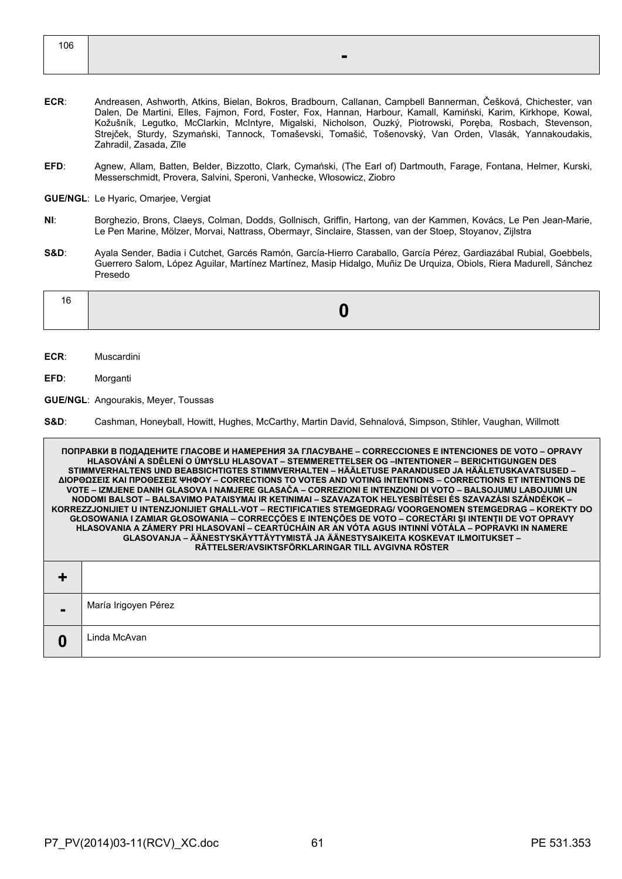| 106 |                |
|-----|----------------|
|     | $\blacksquare$ |

- **ECR**: Andreasen, Ashworth, Atkins, Bielan, Bokros, Bradbourn, Callanan, Campbell Bannerman, Češková, Chichester, van Dalen, De Martini, Elles, Fajmon, Ford, Foster, Fox, Hannan, Harbour, Kamall, Kamiński, Karim, Kirkhope, Kowal, Kožušník, Legutko, McClarkin, McIntyre, Migalski, Nicholson, Ouzký, Piotrowski, Poręba, Rosbach, Stevenson, Strejček, Sturdy, Szymański, Tannock, Tomaševski, Tomašić, Tošenovský, Van Orden, Vlasák, Yannakoudakis, Zahradil, Zasada, Zīle
- **EFD**: Agnew, Allam, Batten, Belder, Bizzotto, Clark, Cymański, (The Earl of) Dartmouth, Farage, Fontana, Helmer, Kurski, Messerschmidt, Provera, Salvini, Speroni, Vanhecke, Włosowicz, Ziobro
- **GUE/NGL**: Le Hyaric, Omarjee, Vergiat
- **NI**: Borghezio, Brons, Claeys, Colman, Dodds, Gollnisch, Griffin, Hartong, van der Kammen, Kovács, Le Pen Jean-Marie, Le Pen Marine, Mölzer, Morvai, Nattrass, Obermayr, Sinclaire, Stassen, van der Stoep, Stoyanov, Zijlstra
- **S&D**: Ayala Sender, Badia i Cutchet, Garcés Ramón, García-Hierro Caraballo, García Pérez, Gardiazábal Rubial, Goebbels, Guerrero Salom, López Aguilar, Martínez Martínez, Masip Hidalgo, Muñiz De Urquiza, Obiols, Riera Madurell, Sánchez Presedo

- **ECR**: Muscardini
- **EFD**: Morganti
- **GUE/NGL**: Angourakis, Meyer, Toussas

**S&D**: Cashman, Honeyball, Howitt, Hughes, McCarthy, Martin David, Sehnalová, Simpson, Stihler, Vaughan, Willmott

**ПОПРАВКИ В ПОДАДЕНИТЕ ГЛАСОВЕ И НАМЕРЕНИЯ ЗА ГЛАСУВАНЕ – CORRECCIONES E INTENCIONES DE VOTO – OPRAVY HLASOVÁNÍ A SDĚLENÍ O ÚMYSLU HLASOVAT – STEMMERETTELSER OG –INTENTIONER – BERICHTIGUNGEN DES STIMMVERHALTENS UND BEABSICHTIGTES STIMMVERHALTEN – HÄÄLETUSE PARANDUSED JA HÄÄLETUSKAVATSUSED – ΔΙΟΡΘΩΣΕΙΣ ΚΑΙ ΠΡΟΘΕΣΕΙΣ ΨΗΦΟΥ – CORRECTIONS TO VOTES AND VOTING INTENTIONS – CORRECTIONS ET INTENTIONS DE VOTE – IZMJENE DANIH GLASOVA I NAMJERE GLASAČA – CORREZIONI E INTENZIONI DI VOTO – BALSOJUMU LABOJUMI UN NODOMI BALSOT – BALSAVIMO PATAISYMAI IR KETINIMAI – SZAVAZATOK HELYESBÍTÉSEI ÉS SZAVAZÁSI SZÁNDÉKOK – KORREZZJONIJIET U INTENZJONIJIET GĦALL-VOT – RECTIFICATIES STEMGEDRAG/ VOORGENOMEN STEMGEDRAG – KOREKTY DO GŁOSOWANIA I ZAMIAR GŁOSOWANIA – CORRECÇÕES E INTENÇÕES DE VOTO – CORECTĂRI ŞI INTENŢII DE VOT OPRAVY HLASOVANIA A ZÁMERY PRI HLASOVANÍ – CEARTÚCHÁIN AR AN VÓTA AGUS INTINNÍ VÓTÁLA – POPRAVKI IN NAMERE GLASOVANJA – ÄÄNESTYSKÄYTTÄYTYMISTÄ JA ÄÄNESTYSAIKEITA KOSKEVAT ILMOITUKSET – RÄTTELSER/AVSIKTSFÖRKLARINGAR TILL AVGIVNA RÖSTER + -** María Irigoyen Pérez **0** Linda McAvan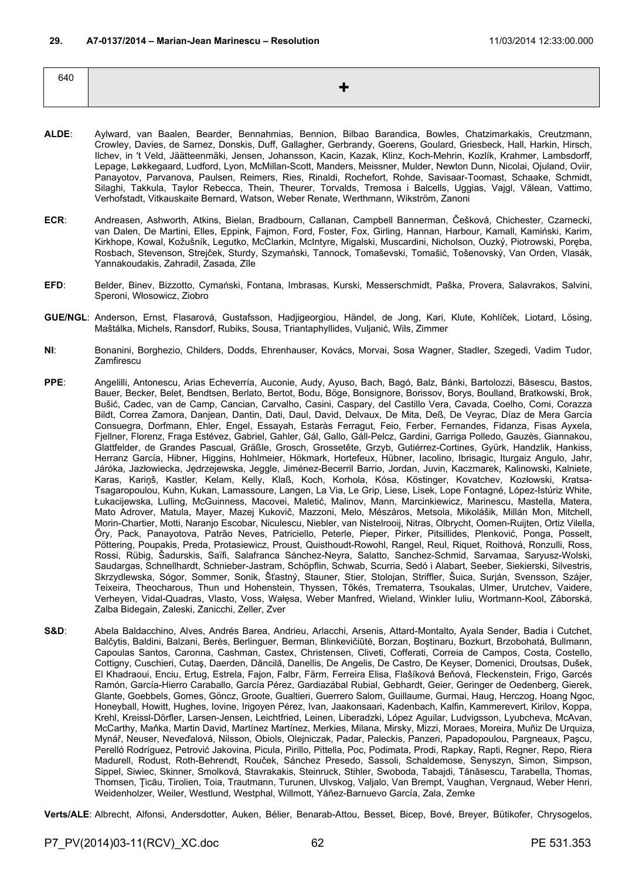640 **+**

- **ALDE**: Aylward, van Baalen, Bearder, Bennahmias, Bennion, Bilbao Barandica, Bowles, Chatzimarkakis, Creutzmann, Crowley, Davies, de Sarnez, Donskis, Duff, Gallagher, Gerbrandy, Goerens, Goulard, Griesbeck, Hall, Harkin, Hirsch, Ilchev, in 't Veld, Jäätteenmäki, Jensen, Johansson, Kacin, Kazak, Klinz, Koch-Mehrin, Kozlík, Krahmer, Lambsdorff, Lepage, Løkkegaard, Ludford, Lyon, McMillan-Scott, Manders, Meissner, Mulder, Newton Dunn, Nicolai, Ojuland, Oviir, Panayotov, Parvanova, Paulsen, Reimers, Ries, Rinaldi, Rochefort, Rohde, Savisaar-Toomast, Schaake, Schmidt, Silaghi, Takkula, Taylor Rebecca, Thein, Theurer, Torvalds, Tremosa i Balcells, Uggias, Vajgl, Vălean, Vattimo, Verhofstadt, Vitkauskaite Bernard, Watson, Weber Renate, Werthmann, Wikström, Zanoni
- **ECR**: Andreasen, Ashworth, Atkins, Bielan, Bradbourn, Callanan, Campbell Bannerman, Češková, Chichester, Czarnecki, van Dalen, De Martini, Elles, Eppink, Fajmon, Ford, Foster, Fox, Girling, Hannan, Harbour, Kamall, Kamiński, Karim, Kirkhope, Kowal, Kožušník, Legutko, McClarkin, McIntyre, Migalski, Muscardini, Nicholson, Ouzký, Piotrowski, Poręba, Rosbach, Stevenson, Strejček, Sturdy, Szymański, Tannock, Tomaševski, Tomašić, Tošenovský, Van Orden, Vlasák, Yannakoudakis, Zahradil, Zasada, Zīle
- **EFD**: Belder, Binev, Bizzotto, Cymański, Fontana, Imbrasas, Kurski, Messerschmidt, Paška, Provera, Salavrakos, Salvini, Speroni, Włosowicz, Ziobro
- **GUE/NGL**: Anderson, Ernst, Flasarová, Gustafsson, Hadjigeorgiou, Händel, de Jong, Kari, Klute, Kohlíček, Liotard, Lösing, Maštálka, Michels, Ransdorf, Rubiks, Sousa, Triantaphyllides, Vuljanić, Wils, Zimmer
- **NI**: Bonanini, Borghezio, Childers, Dodds, Ehrenhauser, Kovács, Morvai, Sosa Wagner, Stadler, Szegedi, Vadim Tudor, Zamfirescu
- **PPE**: Angelilli, Antonescu, Arias Echeverría, Auconie, Audy, Ayuso, Bach, Bagó, Balz, Bánki, Bartolozzi, Băsescu, Bastos, Bauer, Becker, Belet, Bendtsen, Berlato, Bertot, Bodu, Böge, Bonsignore, Borissov, Borys, Boulland, Bratkowski, Brok, Bušić, Cadec, van de Camp, Cancian, Carvalho, Casini, Caspary, del Castillo Vera, Cavada, Coelho, Comi, Corazza Bildt, Correa Zamora, Danjean, Dantin, Dati, Daul, David, Delvaux, De Mita, Deß, De Veyrac, Díaz de Mera García Consuegra, Dorfmann, Ehler, Engel, Essayah, Estaràs Ferragut, Feio, Ferber, Fernandes, Fidanza, Fisas Ayxela, Fjellner, Florenz, Fraga Estévez, Gabriel, Gahler, Gál, Gallo, Gáll-Pelcz, Gardini, Garriga Polledo, Gauzès, Giannakou, Glattfelder, de Grandes Pascual, Gräßle, Grosch, Grossetête, Grzyb, Gutiérrez-Cortines, Gyürk, Handzlik, Hankiss, Herranz García, Hibner, Higgins, Hohlmeier, Hökmark, Hortefeux, Hübner, Iacolino, Ibrisagic, Iturgaiz Angulo, Jahr, Járóka, Jazłowiecka, Jędrzejewska, Jeggle, Jiménez-Becerril Barrio, Jordan, Juvin, Kaczmarek, Kalinowski, Kalniete, Karas, Kariņš, Kastler, Kelam, Kelly, Klaß, Koch, Korhola, Kósa, Köstinger, Kovatchev, Kozłowski, Kratsa-Tsagaropoulou, Kuhn, Kukan, Lamassoure, Langen, La Via, Le Grip, Liese, Lisek, Lope Fontagné, López-Istúriz White, Łukacijewska, Lulling, McGuinness, Macovei, Maletić, Malinov, Mann, Marcinkiewicz, Marinescu, Mastella, Matera, Mato Adrover, Matula, Mayer, Mazej Kukovič, Mazzoni, Melo, Mészáros, Metsola, Mikolášik, Millán Mon, Mitchell, Morin-Chartier, Motti, Naranjo Escobar, Niculescu, Niebler, van Nistelrooij, Nitras, Olbrycht, Oomen-Ruijten, Ortiz Vilella, Őry, Pack, Panayotova, Patrão Neves, Patriciello, Peterle, Pieper, Pirker, Pitsillides, Plenković, Ponga, Posselt, Pöttering, Poupakis, Preda, Protasiewicz, Proust, Quisthoudt-Rowohl, Rangel, Reul, Riquet, Roithová, Ronzulli, Ross, Rossi, Rübig, Šadurskis, Saïfi, Salafranca Sánchez-Neyra, Salatto, Sanchez-Schmid, Sarvamaa, Saryusz-Wolski, Saudargas, Schnellhardt, Schnieber-Jastram, Schöpflin, Schwab, Scurria, Sedó i Alabart, Seeber, Siekierski, Silvestris, Skrzydlewska, Sógor, Sommer, Sonik, Šťastný, Stauner, Stier, Stolojan, Striffler, Šuica, Surján, Svensson, Szájer, Teixeira, Theocharous, Thun und Hohenstein, Thyssen, Tőkés, Trematerra, Tsoukalas, Ulmer, Urutchev, Vaidere, Verheyen, Vidal-Quadras, Vlasto, Voss, Wałęsa, Weber Manfred, Wieland, Winkler Iuliu, Wortmann-Kool, Záborská, Zalba Bidegain, Zaleski, Zanicchi, Zeller, Zver
- **S&D**: Abela Baldacchino, Alves, Andrés Barea, Andrieu, Arlacchi, Arsenis, Attard-Montalto, Ayala Sender, Badia i Cutchet, Balčytis, Baldini, Balzani, Berès, Berlinguer, Berman, Blinkevičiūtė, Borzan, Boştinaru, Bozkurt, Brzobohatá, Bullmann, Capoulas Santos, Caronna, Cashman, Castex, Christensen, Cliveti, Cofferati, Correia de Campos, Costa, Costello, Cottigny, Cuschieri, Cutaş, Daerden, Dăncilă, Danellis, De Angelis, De Castro, De Keyser, Domenici, Droutsas, Dušek, El Khadraoui, Enciu, Ertug, Estrela, Fajon, Falbr, Färm, Ferreira Elisa, Flašíková Beňová, Fleckenstein, Frigo, Garcés Ramón, García-Hierro Caraballo, García Pérez, Gardiazábal Rubial, Gebhardt, Geier, Geringer de Oedenberg, Gierek, Glante, Goebbels, Gomes, Göncz, Groote, Gualtieri, Guerrero Salom, Guillaume, Gurmai, Haug, Herczog, Hoang Ngoc, Honeyball, Howitt, Hughes, Iovine, Irigoyen Pérez, Ivan, Jaakonsaari, Kadenbach, Kalfin, Kammerevert, Kirilov, Koppa, Krehl, Kreissl-Dörfler, Larsen-Jensen, Leichtfried, Leinen, Liberadzki, López Aguilar, Ludvigsson, Lyubcheva, McAvan, McCarthy, Maňka, Martin David, Martínez Martínez, Merkies, Milana, Mirsky, Mizzi, Moraes, Moreira, Muñiz De Urquiza, Mynář, Neuser, Neveďalová, Nilsson, Obiols, Olejniczak, Padar, Paleckis, Panzeri, Papadopoulou, Pargneaux, Paşcu, Perelló Rodríguez, Petrović Jakovina, Picula, Pirillo, Pittella, Poc, Podimata, Prodi, Rapkay, Rapti, Regner, Repo, Riera Madurell, Rodust, Roth-Behrendt, Rouček, Sánchez Presedo, Sassoli, Schaldemose, Senyszyn, Simon, Simpson, Sippel, Siwiec, Skinner, Smolková, Stavrakakis, Steinruck, Stihler, Swoboda, Tabajdi, Tănăsescu, Tarabella, Thomas, Thomsen, Ţicău, Tirolien, Toia, Trautmann, Turunen, Ulvskog, Valjalo, Van Brempt, Vaughan, Vergnaud, Weber Henri, Weidenholzer, Weiler, Westlund, Westphal, Willmott, Yáñez-Barnuevo García, Zala, Zemke

**Verts/ALE**: Albrecht, Alfonsi, Andersdotter, Auken, Bélier, Benarab-Attou, Besset, Bicep, Bové, Breyer, Bütikofer, Chrysogelos,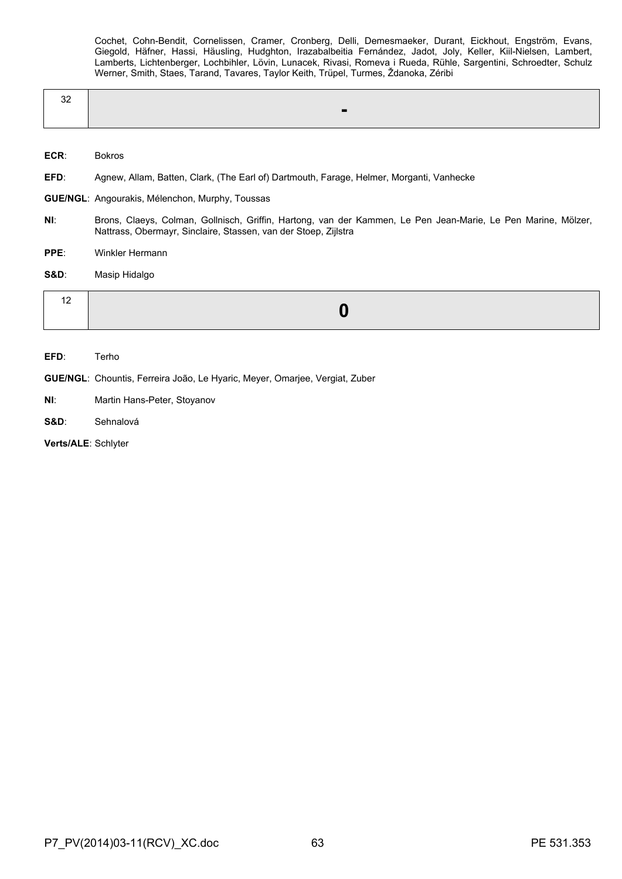Cochet, Cohn-Bendit, Cornelissen, Cramer, Cronberg, Delli, Demesmaeker, Durant, Eickhout, Engström, Evans, Giegold, Häfner, Hassi, Häusling, Hudghton, Irazabalbeitia Fernández, Jadot, Joly, Keller, Kiil-Nielsen, Lambert, Lamberts, Lichtenberger, Lochbihler, Lövin, Lunacek, Rivasi, Romeva i Rueda, Rühle, Sargentini, Schroedter, Schulz Werner, Smith, Staes, Tarand, Tavares, Taylor Keith, Trüpel, Turmes, Ždanoka, Zéribi

| 32 |  |
|----|--|
|    |  |

**ECR**: Bokros

- **EFD**: Agnew, Allam, Batten, Clark, (The Earl of) Dartmouth, Farage, Helmer, Morganti, Vanhecke
- **GUE/NGL**: Angourakis, Mélenchon, Murphy, Toussas
- **NI**: Brons, Claeys, Colman, Gollnisch, Griffin, Hartong, van der Kammen, Le Pen Jean-Marie, Le Pen Marine, Mölzer, Nattrass, Obermayr, Sinclaire, Stassen, van der Stoep, Zijlstra
- **PPE**: Winkler Hermann
- **S&D**: Masip Hidalgo

|--|--|

- **EFD**: Terho
- **GUE/NGL**: Chountis, Ferreira João, Le Hyaric, Meyer, Omarjee, Vergiat, Zuber
- **NI:** Martin Hans-Peter, Stoyanov
- **S&D**: Sehnalová
- **Verts/ALE**: Schlyter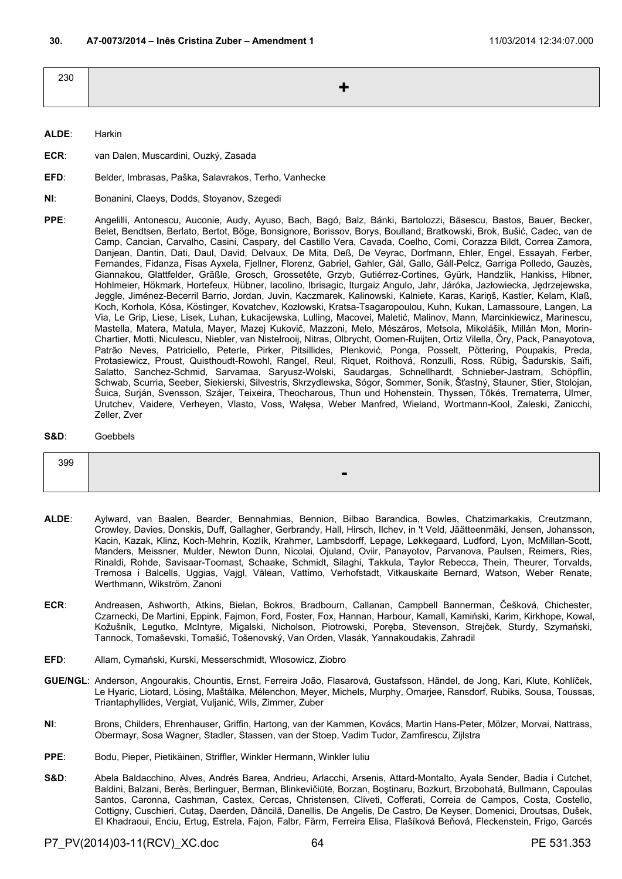| חמר<br>∠ວບ |  |
|------------|--|
|            |  |

- **ALDE**: Harkin
- **ECR**: van Dalen, Muscardini, Ouzký, Zasada
- **EFD**: Belder, Imbrasas, Paška, Salavrakos, Terho, Vanhecke
- **NI**: Bonanini, Claeys, Dodds, Stoyanov, Szegedi
- **PPE**: Angelilli, Antonescu, Auconie, Audy, Ayuso, Bach, Bagó, Balz, Bánki, Bartolozzi, Băsescu, Bastos, Bauer, Becker, Belet, Bendtsen, Berlato, Bertot, Böge, Bonsignore, Borissov, Borys, Boulland, Bratkowski, Brok, Bušić, Cadec, van de Camp, Cancian, Carvalho, Casini, Caspary, del Castillo Vera, Cavada, Coelho, Comi, Corazza Bildt, Correa Zamora, Danjean, Dantin, Dati, Daul, David, Delvaux, De Mita, Deß, De Veyrac, Dorfmann, Ehler, Engel, Essayah, Ferber, Fernandes, Fidanza, Fisas Ayxela, Fjellner, Florenz, Gabriel, Gahler, Gál, Gallo, Gáll-Pelcz, Garriga Polledo, Gauzès, Giannakou, Glattfelder, Gräßle, Grosch, Grossetête, Grzyb, Gutiérrez-Cortines, Gyürk, Handzlik, Hankiss, Hibner, Hohlmeier, Hökmark, Hortefeux, Hübner, Iacolino, Ibrisagic, Iturgaiz Angulo, Jahr, Járóka, Jazłowiecka, Jędrzejewska, Jeggle, Jiménez-Becerril Barrio, Jordan, Juvin, Kaczmarek, Kalinowski, Kalniete, Karas, Kariņš, Kastler, Kelam, Klaß, Koch, Korhola, Kósa, Köstinger, Kovatchev, Kozłowski, Kratsa-Tsagaropoulou, Kuhn, Kukan, Lamassoure, Langen, La Via, Le Grip, Liese, Lisek, Luhan, Łukacijewska, Lulling, Macovei, Maletić, Malinov, Mann, Marcinkiewicz, Marinescu, Mastella, Matera, Matula, Mayer, Mazej Kukovič, Mazzoni, Melo, Mészáros, Metsola, Mikolášik, Millán Mon, Morin-Chartier, Motti, Niculescu, Niebler, van Nistelrooij, Nitras, Olbrycht, Oomen-Ruijten, Ortiz Vilella, Őry, Pack, Panayotova, Patrão Neves, Patriciello, Peterle, Pirker, Pitsillides, Plenković, Ponga, Posselt, Pöttering, Poupakis, Preda, Protasiewicz, Proust, Quisthoudt-Rowohl, Rangel, Reul, Riquet, Roithová, Ronzulli, Ross, Rübig, Šadurskis, Saïfi, Salatto, Sanchez-Schmid, Sarvamaa, Saryusz-Wolski, Saudargas, Schnellhardt, Schnieber-Jastram, Schöpflin, Schwab, Scurria, Seeber, Siekierski, Silvestris, Skrzydlewska, Sógor, Sommer, Sonik, Šťastný, Stauner, Stier, Stolojan, Šuica, Surján, Svensson, Szájer, Teixeira, Theocharous, Thun und Hohenstein, Thyssen, Tőkés, Trematerra, Ulmer, Urutchev, Vaidere, Verheyen, Vlasto, Voss, Wałęsa, Weber Manfred, Wieland, Wortmann-Kool, Zaleski, Zanicchi, Zeller, Zver

### **S&D**: Goebbels

| 399 |     |
|-----|-----|
|     | . . |

- **ALDE**: Aylward, van Baalen, Bearder, Bennahmias, Bennion, Bilbao Barandica, Bowles, Chatzimarkakis, Creutzmann, Crowley, Davies, Donskis, Duff, Gallagher, Gerbrandy, Hall, Hirsch, Ilchev, in 't Veld, Jäätteenmäki, Jensen, Johansson, Kacin, Kazak, Klinz, Koch-Mehrin, Kozlík, Krahmer, Lambsdorff, Lepage, Løkkegaard, Ludford, Lyon, McMillan-Scott, Manders, Meissner, Mulder, Newton Dunn, Nicolai, Ojuland, Oviir, Panayotov, Parvanova, Paulsen, Reimers, Ries, Rinaldi, Rohde, Savisaar-Toomast, Schaake, Schmidt, Silaghi, Takkula, Taylor Rebecca, Thein, Theurer, Torvalds, Tremosa i Balcells, Uggias, Vajgl, Vălean, Vattimo, Verhofstadt, Vitkauskaite Bernard, Watson, Weber Renate, Werthmann, Wikström, Zanoni
- **ECR**: Andreasen, Ashworth, Atkins, Bielan, Bokros, Bradbourn, Callanan, Campbell Bannerman, Češková, Chichester, Czarnecki, De Martini, Eppink, Fajmon, Ford, Foster, Fox, Hannan, Harbour, Kamall, Kamiński, Karim, Kirkhope, Kowal, Kožušník, Legutko, McIntyre, Migalski, Nicholson, Piotrowski, Poręba, Stevenson, Strejček, Sturdy, Szymański, Tannock, Tomaševski, Tomašić, Tošenovský, Van Orden, Vlasák, Yannakoudakis, Zahradil
- **EFD**: Allam, Cymański, Kurski, Messerschmidt, Włosowicz, Ziobro
- **GUE/NGL**: Anderson, Angourakis, Chountis, Ernst, Ferreira João, Flasarová, Gustafsson, Händel, de Jong, Kari, Klute, Kohlíček, Le Hyaric, Liotard, Lösing, Maštálka, Mélenchon, Meyer, Michels, Murphy, Omarjee, Ransdorf, Rubiks, Sousa, Toussas, Triantaphyllides, Vergiat, Vuljanić, Wils, Zimmer, Zuber
- **NI**: Brons, Childers, Ehrenhauser, Griffin, Hartong, van der Kammen, Kovács, Martin Hans-Peter, Mölzer, Morvai, Nattrass, Obermayr, Sosa Wagner, Stadler, Stassen, van der Stoep, Vadim Tudor, Zamfirescu, Zijlstra
- **PPE**: Bodu, Pieper, Pietikäinen, Striffler, Winkler Hermann, Winkler Iuliu
- **S&D**: Abela Baldacchino, Alves, Andrés Barea, Andrieu, Arlacchi, Arsenis, Attard-Montalto, Ayala Sender, Badia i Cutchet, Baldini, Balzani, Berès, Berlinguer, Berman, Blinkevičiūtė, Borzan, Boştinaru, Bozkurt, Brzobohatá, Bullmann, Capoulas Santos, Caronna, Cashman, Castex, Cercas, Christensen, Cliveti, Cofferati, Correia de Campos, Costa, Costello, Cottigny, Cuschieri, Cutaş, Daerden, Dăncilă, Danellis, De Angelis, De Castro, De Keyser, Domenici, Droutsas, Dušek, El Khadraoui, Enciu, Ertug, Estrela, Fajon, Falbr, Färm, Ferreira Elisa, Flašíková Beňová, Fleckenstein, Frigo, Garcés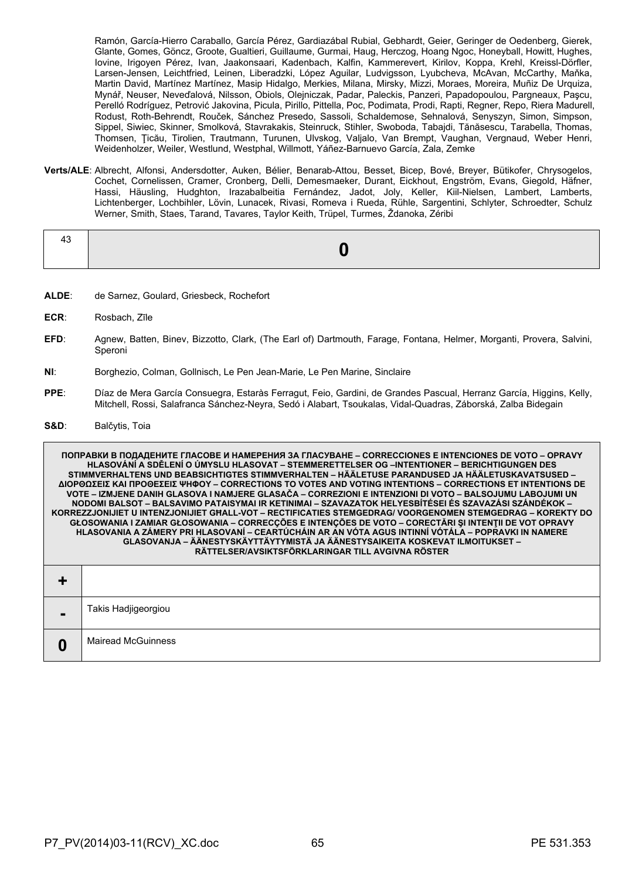Ramón, García-Hierro Caraballo, García Pérez, Gardiazábal Rubial, Gebhardt, Geier, Geringer de Oedenberg, Gierek, Glante, Gomes, Göncz, Groote, Gualtieri, Guillaume, Gurmai, Haug, Herczog, Hoang Ngoc, Honeyball, Howitt, Hughes, Iovine, Irigoyen Pérez, Ivan, Jaakonsaari, Kadenbach, Kalfin, Kammerevert, Kirilov, Koppa, Krehl, Kreissl-Dörfler, Larsen-Jensen, Leichtfried, Leinen, Liberadzki, López Aguilar, Ludvigsson, Lyubcheva, McAvan, McCarthy, Maňka, Martin David, Martínez Martínez, Masip Hidalgo, Merkies, Milana, Mirsky, Mizzi, Moraes, Moreira, Muñiz De Urquiza, Mynář, Neuser, Neveďalová, Nilsson, Obiols, Olejniczak, Padar, Paleckis, Panzeri, Papadopoulou, Pargneaux, Paşcu, Perelló Rodríguez, Petrović Jakovina, Picula, Pirillo, Pittella, Poc, Podimata, Prodi, Rapti, Regner, Repo, Riera Madurell, Rodust, Roth-Behrendt, Rouček, Sánchez Presedo, Sassoli, Schaldemose, Sehnalová, Senyszyn, Simon, Simpson, Sippel, Siwiec, Skinner, Smolková, Stavrakakis, Steinruck, Stihler, Swoboda, Tabajdi, Tănăsescu, Tarabella, Thomas, Thomsen, Ţicău, Tirolien, Trautmann, Turunen, Ulvskog, Valjalo, Van Brempt, Vaughan, Vergnaud, Weber Henri, Weidenholzer, Weiler, Westlund, Westphal, Willmott, Yáñez-Barnuevo García, Zala, Zemke

**Verts/ALE**: Albrecht, Alfonsi, Andersdotter, Auken, Bélier, Benarab-Attou, Besset, Bicep, Bové, Breyer, Bütikofer, Chrysogelos, Cochet, Cornelissen, Cramer, Cronberg, Delli, Demesmaeker, Durant, Eickhout, Engström, Evans, Giegold, Häfner, Hassi, Häusling, Hudghton, Irazabalbeitia Fernández, Jadot, Joly, Keller, Kiil-Nielsen, Lambert, Lamberts, Lichtenberger, Lochbihler, Lövin, Lunacek, Rivasi, Romeva i Rueda, Rühle, Sargentini, Schlyter, Schroedter, Schulz Werner, Smith, Staes, Tarand, Tavares, Taylor Keith, Trüpel, Turmes, Ždanoka, Zéribi

| $\begin{vmatrix} 43 \end{vmatrix}$ |  |
|------------------------------------|--|
|                                    |  |

- **ALDE**: de Sarnez, Goulard, Griesbeck, Rochefort
- **ECR**: Rosbach, Zīle
- **EFD**: Agnew, Batten, Binev, Bizzotto, Clark, (The Earl of) Dartmouth, Farage, Fontana, Helmer, Morganti, Provera, Salvini, Speroni
- **NI**: Borghezio, Colman, Gollnisch, Le Pen Jean-Marie, Le Pen Marine, Sinclaire
- **PPE**: Díaz de Mera García Consuegra, Estaràs Ferragut, Feio, Gardini, de Grandes Pascual, Herranz García, Higgins, Kelly, Mitchell, Rossi, Salafranca Sánchez-Neyra, Sedó i Alabart, Tsoukalas, Vidal-Quadras, Záborská, Zalba Bidegain
- **S&D**: Balčytis, Toia

**ПОПРАВКИ В ПОДАДЕНИТЕ ГЛАСОВЕ И НАМЕРЕНИЯ ЗА ГЛАСУВАНЕ – CORRECCIONES E INTENCIONES DE VOTO – OPRAVY HLASOVÁNÍ A SDĚLENÍ O ÚMYSLU HLASOVAT – STEMMERETTELSER OG –INTENTIONER – BERICHTIGUNGEN DES STIMMVERHALTENS UND BEABSICHTIGTES STIMMVERHALTEN – HÄÄLETUSE PARANDUSED JA HÄÄLETUSKAVATSUSED – ΔΙΟΡΘΩΣΕΙΣ ΚΑΙ ΠΡΟΘΕΣΕΙΣ ΨΗΦΟΥ – CORRECTIONS TO VOTES AND VOTING INTENTIONS – CORRECTIONS ET INTENTIONS DE VOTE – IZMJENE DANIH GLASOVA I NAMJERE GLASAČA – CORREZIONI E INTENZIONI DI VOTO – BALSOJUMU LABOJUMI UN NODOMI BALSOT – BALSAVIMO PATAISYMAI IR KETINIMAI – SZAVAZATOK HELYESBÍTÉSEI ÉS SZAVAZÁSI SZÁNDÉKOK – KORREZZJONIJIET U INTENZJONIJIET GĦALL-VOT – RECTIFICATIES STEMGEDRAG/ VOORGENOMEN STEMGEDRAG – KOREKTY DO GŁOSOWANIA I ZAMIAR GŁOSOWANIA – CORRECÇÕES E INTENÇÕES DE VOTO – CORECTĂRI ŞI INTENŢII DE VOT OPRAVY HLASOVANIA A ZÁMERY PRI HLASOVANÍ – CEARTÚCHÁIN AR AN VÓTA AGUS INTINNÍ VÓTÁLA – POPRAVKI IN NAMERE GLASOVANJA – ÄÄNESTYSKÄYTTÄYTYMISTÄ JA ÄÄNESTYSAIKEITA KOSKEVAT ILMOITUKSET – RÄTTELSER/AVSIKTSFÖRKLARINGAR TILL AVGIVNA RÖSTER**

| $\blacksquare$ | Takis Hadjigeorgiou       |
|----------------|---------------------------|
| 0              | <b>Mairead McGuinness</b> |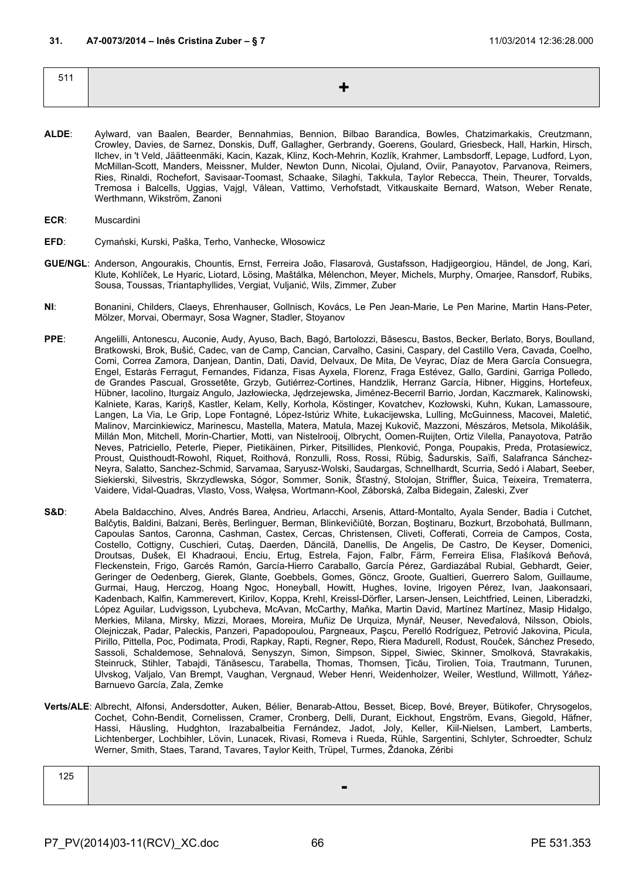| 511 |      |
|-----|------|
|     | N 16 |
|     |      |

- **ALDE**: Aylward, van Baalen, Bearder, Bennahmias, Bennion, Bilbao Barandica, Bowles, Chatzimarkakis, Creutzmann, Crowley, Davies, de Sarnez, Donskis, Duff, Gallagher, Gerbrandy, Goerens, Goulard, Griesbeck, Hall, Harkin, Hirsch, Ilchev, in 't Veld, Jäätteenmäki, Kacin, Kazak, Klinz, Koch-Mehrin, Kozlík, Krahmer, Lambsdorff, Lepage, Ludford, Lyon, McMillan-Scott, Manders, Meissner, Mulder, Newton Dunn, Nicolai, Ojuland, Oviir, Panayotov, Parvanova, Reimers, Ries, Rinaldi, Rochefort, Savisaar-Toomast, Schaake, Silaghi, Takkula, Taylor Rebecca, Thein, Theurer, Torvalds, Tremosa i Balcells, Uggias, Vajgl, Vălean, Vattimo, Verhofstadt, Vitkauskaite Bernard, Watson, Weber Renate, Werthmann, Wikström, Zanoni
- **ECR**: Muscardini
- **EFD**: Cymański, Kurski, Paška, Terho, Vanhecke, Włosowicz
- **GUE/NGL**: Anderson, Angourakis, Chountis, Ernst, Ferreira João, Flasarová, Gustafsson, Hadjigeorgiou, Händel, de Jong, Kari, Klute, Kohlíček, Le Hyaric, Liotard, Lösing, Maštálka, Mélenchon, Meyer, Michels, Murphy, Omarjee, Ransdorf, Rubiks, Sousa, Toussas, Triantaphyllides, Vergiat, Vuljanić, Wils, Zimmer, Zuber
- **NI**: Bonanini, Childers, Claeys, Ehrenhauser, Gollnisch, Kovács, Le Pen Jean-Marie, Le Pen Marine, Martin Hans-Peter, Mölzer, Morvai, Obermayr, Sosa Wagner, Stadler, Stoyanov
- **PPE**: Angelilli, Antonescu, Auconie, Audy, Ayuso, Bach, Bagó, Bartolozzi, Băsescu, Bastos, Becker, Berlato, Borys, Boulland, Bratkowski, Brok, Bušić, Cadec, van de Camp, Cancian, Carvalho, Casini, Caspary, del Castillo Vera, Cavada, Coelho, Comi, Correa Zamora, Danjean, Dantin, Dati, David, Delvaux, De Mita, De Veyrac, Díaz de Mera García Consuegra, Engel, Estaràs Ferragut, Fernandes, Fidanza, Fisas Ayxela, Florenz, Fraga Estévez, Gallo, Gardini, Garriga Polledo, de Grandes Pascual, Grossetête, Grzyb, Gutiérrez-Cortines, Handzlik, Herranz García, Hibner, Higgins, Hortefeux, Hübner, Iacolino, Iturgaiz Angulo, Jazłowiecka, Jędrzejewska, Jiménez-Becerril Barrio, Jordan, Kaczmarek, Kalinowski, Kalniete, Karas, Kariņš, Kastler, Kelam, Kelly, Korhola, Köstinger, Kovatchev, Kozłowski, Kuhn, Kukan, Lamassoure, Langen, La Via, Le Grip, Lope Fontagné, López-Istúriz White, Łukacijewska, Lulling, McGuinness, Macovei, Maletić, Malinov, Marcinkiewicz, Marinescu, Mastella, Matera, Matula, Mazej Kukovič, Mazzoni, Mészáros, Metsola, Mikolášik, Millán Mon, Mitchell, Morin-Chartier, Motti, van Nistelrooij, Olbrycht, Oomen-Ruijten, Ortiz Vilella, Panayotova, Patrão Neves, Patriciello, Peterle, Pieper, Pietikäinen, Pirker, Pitsillides, Plenković, Ponga, Poupakis, Preda, Protasiewicz, Proust, Quisthoudt-Rowohl, Riquet, Roithová, Ronzulli, Ross, Rossi, Rübig, Šadurskis, Saïfi, Salafranca Sánchez-Neyra, Salatto, Sanchez-Schmid, Sarvamaa, Saryusz-Wolski, Saudargas, Schnellhardt, Scurria, Sedó i Alabart, Seeber, Siekierski, Silvestris, Skrzydlewska, Sógor, Sommer, Sonik, Šťastný, Stolojan, Striffler, Šuica, Teixeira, Trematerra, Vaidere, Vidal-Quadras, Vlasto, Voss, Wałęsa, Wortmann-Kool, Záborská, Zalba Bidegain, Zaleski, Zver
- **S&D**: Abela Baldacchino, Alves, Andrés Barea, Andrieu, Arlacchi, Arsenis, Attard-Montalto, Ayala Sender, Badia i Cutchet, Balčytis, Baldini, Balzani, Berès, Berlinguer, Berman, Blinkevičiūtė, Borzan, Boştinaru, Bozkurt, Brzobohatá, Bullmann, Capoulas Santos, Caronna, Cashman, Castex, Cercas, Christensen, Cliveti, Cofferati, Correia de Campos, Costa, Costello, Cottigny, Cuschieri, Cutaş, Daerden, Dăncilă, Danellis, De Angelis, De Castro, De Keyser, Domenici, Droutsas, Dušek, El Khadraoui, Enciu, Ertug, Estrela, Fajon, Falbr, Färm, Ferreira Elisa, Flašíková Beňová, Fleckenstein, Frigo, Garcés Ramón, García-Hierro Caraballo, García Pérez, Gardiazábal Rubial, Gebhardt, Geier, Geringer de Oedenberg, Gierek, Glante, Goebbels, Gomes, Göncz, Groote, Gualtieri, Guerrero Salom, Guillaume, Gurmai, Haug, Herczog, Hoang Ngoc, Honeyball, Howitt, Hughes, Iovine, Irigoyen Pérez, Ivan, Jaakonsaari, Kadenbach, Kalfin, Kammerevert, Kirilov, Koppa, Krehl, Kreissl-Dörfler, Larsen-Jensen, Leichtfried, Leinen, Liberadzki, López Aguilar, Ludvigsson, Lyubcheva, McAvan, McCarthy, Maňka, Martin David, Martínez Martínez, Masip Hidalgo, Merkies, Milana, Mirsky, Mizzi, Moraes, Moreira, Muñiz De Urquiza, Mynář, Neuser, Neveďalová, Nilsson, Obiols, Olejniczak, Padar, Paleckis, Panzeri, Papadopoulou, Pargneaux, Paşcu, Perelló Rodríguez, Petrović Jakovina, Picula, Pirillo, Pittella, Poc, Podimata, Prodi, Rapkay, Rapti, Regner, Repo, Riera Madurell, Rodust, Rouček, Sánchez Presedo, Sassoli, Schaldemose, Sehnalová, Senyszyn, Simon, Simpson, Sippel, Siwiec, Skinner, Smolková, Stavrakakis, Steinruck, Stihler, Tabajdi, Tănăsescu, Tarabella, Thomas, Thomsen, Ţicău, Tirolien, Toia, Trautmann, Turunen, Ulvskog, Valjalo, Van Brempt, Vaughan, Vergnaud, Weber Henri, Weidenholzer, Weiler, Westlund, Willmott, Yáñez-Barnuevo García, Zala, Zemke
- **Verts/ALE**: Albrecht, Alfonsi, Andersdotter, Auken, Bélier, Benarab-Attou, Besset, Bicep, Bové, Breyer, Bütikofer, Chrysogelos, Cochet, Cohn-Bendit, Cornelissen, Cramer, Cronberg, Delli, Durant, Eickhout, Engström, Evans, Giegold, Häfner, Hassi, Häusling, Hudghton, Irazabalbeitia Fernández, Jadot, Joly, Keller, Kiil-Nielsen, Lambert, Lamberts, Lichtenberger, Lochbihler, Lövin, Lunacek, Rivasi, Romeva i Rueda, Rühle, Sargentini, Schlyter, Schroedter, Schulz Werner, Smith, Staes, Tarand, Tavares, Taylor Keith, Trüpel, Turmes, Ždanoka, Zéribi

| 125 |                |  |
|-----|----------------|--|
|     | $\blacksquare$ |  |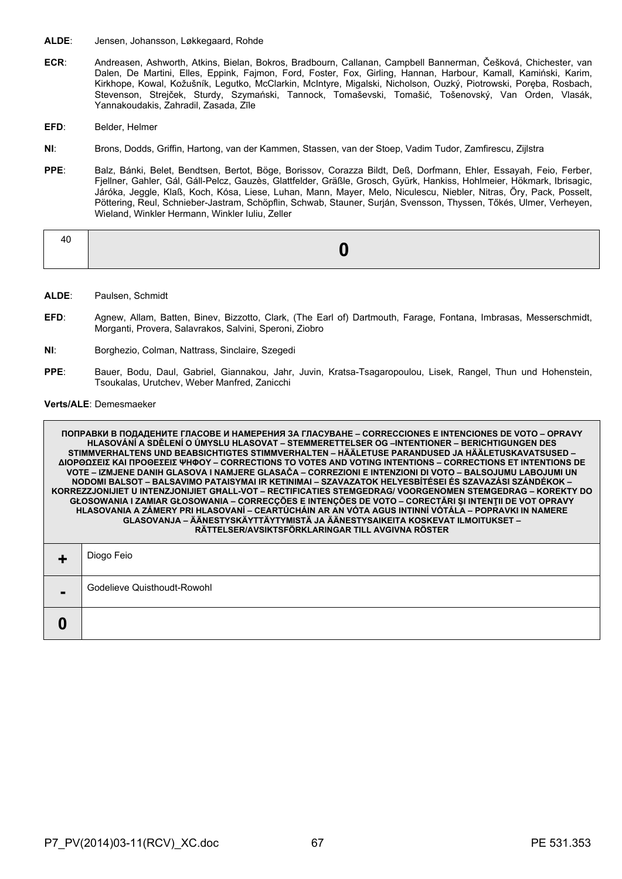- **ALDE**: Jensen, Johansson, Løkkegaard, Rohde
- **ECR**: Andreasen, Ashworth, Atkins, Bielan, Bokros, Bradbourn, Callanan, Campbell Bannerman, Češková, Chichester, van Dalen, De Martini, Elles, Eppink, Fajmon, Ford, Foster, Fox, Girling, Hannan, Harbour, Kamall, Kamiński, Karim, Kirkhope, Kowal, Kožušník, Legutko, McClarkin, McIntyre, Migalski, Nicholson, Ouzký, Piotrowski, Poręba, Rosbach, Stevenson, Strejček, Sturdy, Szymański, Tannock, Tomaševski, Tomašić, Tošenovský, Van Orden, Vlasák, Yannakoudakis, Zahradil, Zasada, Zīle
- **EFD**: Belder, Helmer
- **NI**: Brons, Dodds, Griffin, Hartong, van der Kammen, Stassen, van der Stoep, Vadim Tudor, Zamfirescu, Zijlstra
- **PPE**: Balz, Bánki, Belet, Bendtsen, Bertot, Böge, Borissov, Corazza Bildt, Deß, Dorfmann, Ehler, Essayah, Feio, Ferber, Fjellner, Gahler, Gál, Gáll-Pelcz, Gauzès, Glattfelder, Gräßle, Grosch, Gyürk, Hankiss, Hohlmeier, Hökmark, Ibrisagic, Járóka, Jeggle, Klaß, Koch, Kósa, Liese, Luhan, Mann, Mayer, Melo, Niculescu, Niebler, Nitras, Őry, Pack, Posselt, Pöttering, Reul, Schnieber-Jastram, Schöpflin, Schwab, Stauner, Surján, Svensson, Thyssen, Tőkés, Ulmer, Verheyen, Wieland, Winkler Hermann, Winkler Iuliu, Zeller

| 40 |                  |
|----|------------------|
|    | $\boldsymbol{0}$ |

- **ALDE**: Paulsen, Schmidt
- **EFD**: Agnew, Allam, Batten, Binev, Bizzotto, Clark, (The Earl of) Dartmouth, Farage, Fontana, Imbrasas, Messerschmidt, Morganti, Provera, Salavrakos, Salvini, Speroni, Ziobro
- **NI**: Borghezio, Colman, Nattrass, Sinclaire, Szegedi
- **PPE**: Bauer, Bodu, Daul, Gabriel, Giannakou, Jahr, Juvin, Kratsa-Tsagaropoulou, Lisek, Rangel, Thun und Hohenstein, Tsoukalas, Urutchev, Weber Manfred, Zanicchi

**Verts/ALE**: Demesmaeker

**ПОПРАВКИ В ПОДАДЕНИТЕ ГЛАСОВЕ И НАМЕРЕНИЯ ЗА ГЛАСУВАНЕ – CORRECCIONES E INTENCIONES DE VOTO – OPRAVY HLASOVÁNÍ A SDĚLENÍ O ÚMYSLU HLASOVAT – STEMMERETTELSER OG –INTENTIONER – BERICHTIGUNGEN DES STIMMVERHALTENS UND BEABSICHTIGTES STIMMVERHALTEN – HÄÄLETUSE PARANDUSED JA HÄÄLETUSKAVATSUSED – ΔΙΟΡΘΩΣΕΙΣ ΚΑΙ ΠΡΟΘΕΣΕΙΣ ΨΗΦΟΥ – CORRECTIONS TO VOTES AND VOTING INTENTIONS – CORRECTIONS ET INTENTIONS DE VOTE – IZMJENE DANIH GLASOVA I NAMJERE GLASAČA – CORREZIONI E INTENZIONI DI VOTO – BALSOJUMU LABOJUMI UN NODOMI BALSOT – BALSAVIMO PATAISYMAI IR KETINIMAI – SZAVAZATOK HELYESBÍTÉSEI ÉS SZAVAZÁSI SZÁNDÉKOK – KORREZZJONIJIET U INTENZJONIJIET GĦALL-VOT – RECTIFICATIES STEMGEDRAG/ VOORGENOMEN STEMGEDRAG – KOREKTY DO GŁOSOWANIA I ZAMIAR GŁOSOWANIA – CORRECÇÕES E INTENÇÕES DE VOTO – CORECTĂRI ŞI INTENŢII DE VOT OPRAVY HLASOVANIA A ZÁMERY PRI HLASOVANÍ – CEARTÚCHÁIN AR AN VÓTA AGUS INTINNÍ VÓTÁLA – POPRAVKI IN NAMERE GLASOVANJA – ÄÄNESTYSKÄYTTÄYTYMISTÄ JA ÄÄNESTYSAIKEITA KOSKEVAT ILMOITUKSET – RÄTTELSER/AVSIKTSFÖRKLARINGAR TILL AVGIVNA RÖSTER +** Diogo Feio **-** Godelieve Quisthoudt-Rowohl **0**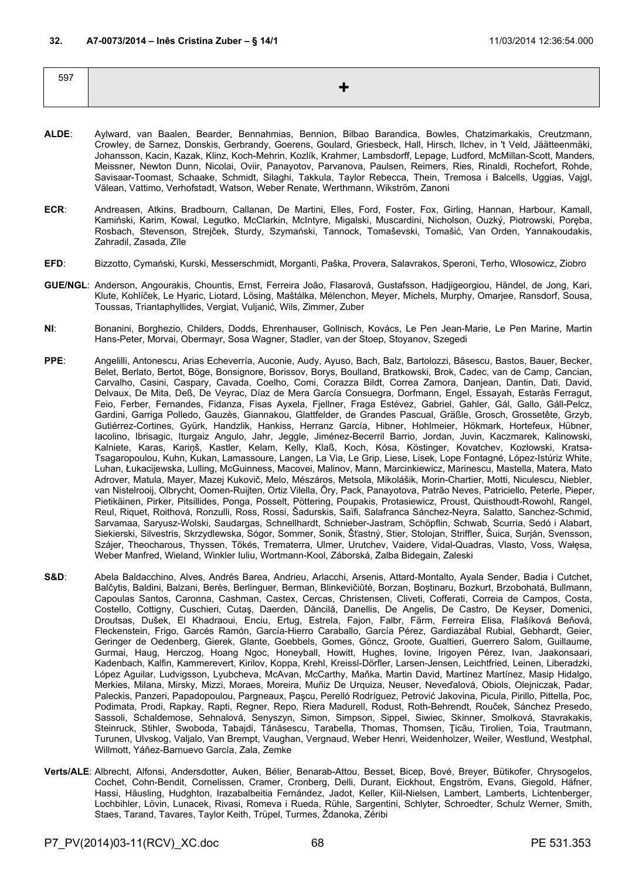| 597 |  |
|-----|--|
|     |  |
|     |  |

- **ALDE**: Aylward, van Baalen, Bearder, Bennahmias, Bennion, Bilbao Barandica, Bowles, Chatzimarkakis, Creutzmann, Crowley, de Sarnez, Donskis, Gerbrandy, Goerens, Goulard, Griesbeck, Hall, Hirsch, Ilchev, in 't Veld, Jäätteenmäki, Johansson, Kacin, Kazak, Klinz, Koch-Mehrin, Kozlík, Krahmer, Lambsdorff, Lepage, Ludford, McMillan-Scott, Manders, Meissner, Newton Dunn, Nicolai, Oviir, Panayotov, Parvanova, Paulsen, Reimers, Ries, Rinaldi, Rochefort, Rohde, Savisaar-Toomast, Schaake, Schmidt, Silaghi, Takkula, Taylor Rebecca, Thein, Tremosa i Balcells, Uggias, Vajgl, Vălean, Vattimo, Verhofstadt, Watson, Weber Renate, Werthmann, Wikström, Zanoni
- **ECR**: Andreasen, Atkins, Bradbourn, Callanan, De Martini, Elles, Ford, Foster, Fox, Girling, Hannan, Harbour, Kamall, Kamiński, Karim, Kowal, Legutko, McClarkin, McIntyre, Migalski, Muscardini, Nicholson, Ouzký, Piotrowski, Poręba, Rosbach, Stevenson, Strejček, Sturdy, Szymański, Tannock, Tomaševski, Tomašić, Van Orden, Yannakoudakis, Zahradil, Zasada, Zīle
- **EFD**: Bizzotto, Cymański, Kurski, Messerschmidt, Morganti, Paška, Provera, Salavrakos, Speroni, Terho, Włosowicz, Ziobro
- **GUE/NGL**: Anderson, Angourakis, Chountis, Ernst, Ferreira João, Flasarová, Gustafsson, Hadjigeorgiou, Händel, de Jong, Kari, Klute, Kohlíček, Le Hyaric, Liotard, Lösing, Maštálka, Mélenchon, Meyer, Michels, Murphy, Omarjee, Ransdorf, Sousa, Toussas, Triantaphyllides, Vergiat, Vuljanić, Wils, Zimmer, Zuber
- **NI**: Bonanini, Borghezio, Childers, Dodds, Ehrenhauser, Gollnisch, Kovács, Le Pen Jean-Marie, Le Pen Marine, Martin Hans-Peter, Morvai, Obermayr, Sosa Wagner, Stadler, van der Stoep, Stoyanov, Szegedi
- **PPE**: Angelilli, Antonescu, Arias Echeverría, Auconie, Audy, Ayuso, Bach, Balz, Bartolozzi, Băsescu, Bastos, Bauer, Becker, Belet, Berlato, Bertot, Böge, Bonsignore, Borissov, Borys, Boulland, Bratkowski, Brok, Cadec, van de Camp, Cancian, Carvalho, Casini, Caspary, Cavada, Coelho, Comi, Corazza Bildt, Correa Zamora, Danjean, Dantin, Dati, David, Delvaux, De Mita, Deß, De Veyrac, Díaz de Mera García Consuegra, Dorfmann, Engel, Essayah, Estaràs Ferragut, Feio, Ferber, Fernandes, Fidanza, Fisas Ayxela, Fjellner, Fraga Estévez, Gabriel, Gahler, Gál, Gallo, Gáll-Pelcz, Gardini, Garriga Polledo, Gauzès, Giannakou, Glattfelder, de Grandes Pascual, Gräßle, Grosch, Grossetête, Grzyb, Gutiérrez-Cortines, Gyürk, Handzlik, Hankiss, Herranz García, Hibner, Hohlmeier, Hökmark, Hortefeux, Hübner, Iacolino, Ibrisagic, Iturgaiz Angulo, Jahr, Jeggle, Jiménez-Becerril Barrio, Jordan, Juvin, Kaczmarek, Kalinowski, Kalniete, Karas, Kariņš, Kastler, Kelam, Kelly, Klaß, Koch, Kósa, Köstinger, Kovatchev, Kozłowski, Kratsa-Tsagaropoulou, Kuhn, Kukan, Lamassoure, Langen, La Via, Le Grip, Liese, Lisek, Lope Fontagné, López-Istúriz White, Luhan, Łukacijewska, Lulling, McGuinness, Macovei, Malinov, Mann, Marcinkiewicz, Marinescu, Mastella, Matera, Mato Adrover, Matula, Mayer, Mazej Kukovič, Melo, Mészáros, Metsola, Mikolášik, Morin-Chartier, Motti, Niculescu, Niebler, van Nistelrooij, Olbrycht, Oomen-Ruijten, Ortiz Vilella, Őry, Pack, Panayotova, Patrão Neves, Patriciello, Peterle, Pieper, Pietikäinen, Pirker, Pitsillides, Ponga, Posselt, Pöttering, Poupakis, Protasiewicz, Proust, Quisthoudt-Rowohl, Rangel, Reul, Riquet, Roithová, Ronzulli, Ross, Rossi, Šadurskis, Saïfi, Salafranca Sánchez-Neyra, Salatto, Sanchez-Schmid, Sarvamaa, Saryusz-Wolski, Saudargas, Schnellhardt, Schnieber-Jastram, Schöpflin, Schwab, Scurria, Sedó i Alabart, Siekierski, Silvestris, Skrzydlewska, Sógor, Sommer, Sonik, Šťastný, Stier, Stolojan, Striffler, Šuica, Surján, Svensson, Szájer, Theocharous, Thyssen, Tőkés, Trematerra, Ulmer, Urutchev, Vaidere, Vidal-Quadras, Vlasto, Voss, Wałęsa, Weber Manfred, Wieland, Winkler Iuliu, Wortmann-Kool, Záborská, Zalba Bidegain, Zaleski
- **S&D**: Abela Baldacchino, Alves, Andrés Barea, Andrieu, Arlacchi, Arsenis, Attard-Montalto, Ayala Sender, Badia i Cutchet, Balčytis, Baldini, Balzani, Berès, Berlinguer, Berman, Blinkevičiūtė, Borzan, Boştinaru, Bozkurt, Brzobohatá, Bullmann, Capoulas Santos, Caronna, Cashman, Castex, Cercas, Christensen, Cliveti, Cofferati, Correia de Campos, Costa, Costello, Cottigny, Cuschieri, Cutaş, Daerden, Dăncilă, Danellis, De Angelis, De Castro, De Keyser, Domenici, Droutsas, Dušek, El Khadraoui, Enciu, Ertug, Estrela, Fajon, Falbr, Färm, Ferreira Elisa, Flašíková Beňová, Fleckenstein, Frigo, Garcés Ramón, García-Hierro Caraballo, García Pérez, Gardiazábal Rubial, Gebhardt, Geier, Geringer de Oedenberg, Gierek, Glante, Goebbels, Gomes, Göncz, Groote, Gualtieri, Guerrero Salom, Guillaume, Gurmai, Haug, Herczog, Hoang Ngoc, Honeyball, Howitt, Hughes, Iovine, Irigoyen Pérez, Ivan, Jaakonsaari, Kadenbach, Kalfin, Kammerevert, Kirilov, Koppa, Krehl, Kreissl-Dörfler, Larsen-Jensen, Leichtfried, Leinen, Liberadzki, López Aguilar, Ludvigsson, Lyubcheva, McAvan, McCarthy, Maňka, Martin David, Martínez Martínez, Masip Hidalgo, Merkies, Milana, Mirsky, Mizzi, Moraes, Moreira, Muñiz De Urquiza, Neuser, Neveďalová, Obiols, Olejniczak, Padar, Paleckis, Panzeri, Papadopoulou, Pargneaux, Paşcu, Perelló Rodríguez, Petrović Jakovina, Picula, Pirillo, Pittella, Poc, Podimata, Prodi, Rapkay, Rapti, Regner, Repo, Riera Madurell, Rodust, Roth-Behrendt, Rouček, Sánchez Presedo, Sassoli, Schaldemose, Sehnalová, Senyszyn, Simon, Simpson, Sippel, Siwiec, Skinner, Smolková, Stavrakakis, Steinruck, Stihler, Swoboda, Tabajdi, Tănăsescu, Tarabella, Thomas, Thomsen, Ţicău, Tirolien, Toia, Trautmann, Turunen, Ulvskog, Valjalo, Van Brempt, Vaughan, Vergnaud, Weber Henri, Weidenholzer, Weiler, Westlund, Westphal, Willmott, Yáñez-Barnuevo García, Zala, Zemke
- **Verts/ALE**: Albrecht, Alfonsi, Andersdotter, Auken, Bélier, Benarab-Attou, Besset, Bicep, Bové, Breyer, Bütikofer, Chrysogelos, Cochet, Cohn-Bendit, Cornelissen, Cramer, Cronberg, Delli, Durant, Eickhout, Engström, Evans, Giegold, Häfner, Hassi, Häusling, Hudghton, Irazabalbeitia Fernández, Jadot, Keller, Kiil-Nielsen, Lambert, Lamberts, Lichtenberger, Lochbihler, Lövin, Lunacek, Rivasi, Romeva i Rueda, Rühle, Sargentini, Schlyter, Schroedter, Schulz Werner, Smith, Staes, Tarand, Tavares, Taylor Keith, Trüpel, Turmes, Ždanoka, Zéribi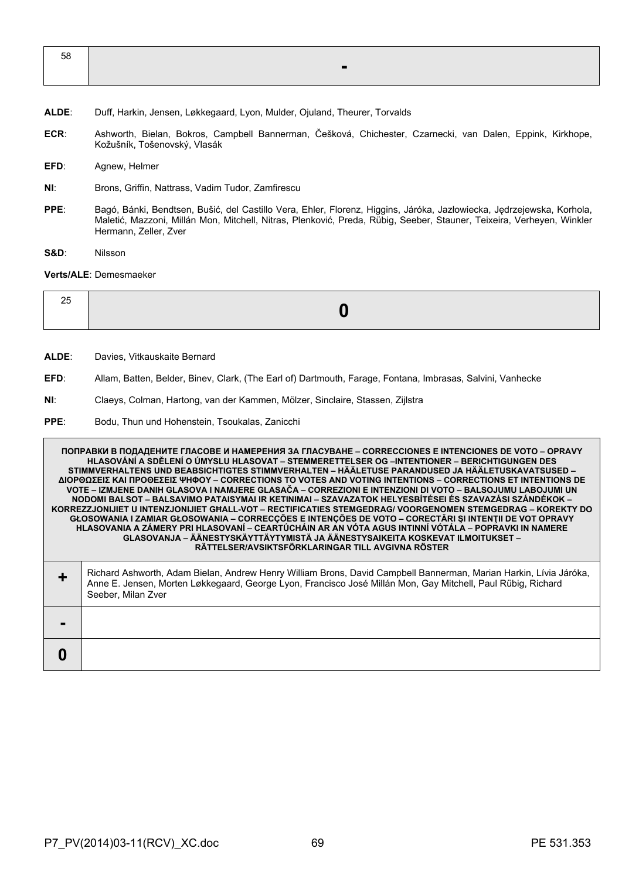| 58 |  |
|----|--|
|    |  |

- ALDE: Duff, Harkin, Jensen, Løkkegaard, Lyon, Mulder, Ojuland, Theurer, Torvalds
- ECR: Ashworth, Bielan, Bokros, Campbell Bannerman, Češková, Chichester, Czarnecki, van Dalen, Eppink, Kirkhope, Kožušník. Tošenovský. Vlasák
- EFD: Agnew, Helmer
- $NI:$ Brons, Griffin, Nattrass, Vadim Tudor, Zamfirescu
- **PPF** Bagó, Bánki, Bendtsen, Bušić, del Castillo Vera, Ehler, Florenz, Higgins, Járóka, Jazłowiecka, Jędrzejewska, Korhola, Maletić, Mazzoni, Millán Mon, Mitchell, Nitras, Plenković, Preda, Rübig, Seeber, Stauner, Teixeira, Verheyen, Winkler Hermann, Zeller, Zver
- **S&D:** Nilsson

### Verts/ALE: Demesmaeker

| - |  |
|---|--|
|   |  |

- ALDE: Davies, Vitkauskaite Bernard
- EFD: Allam, Batten, Belder, Binev, Clark, (The Earl of) Dartmouth, Farage, Fontana, Imbrasas, Salvini, Vanhecke
- $NI:$ Claeys, Colman, Hartong, van der Kammen, Mölzer, Sinclaire, Stassen, Zijlstra
- PPE: Bodu, Thun und Hohenstein, Tsoukalas, Zanicchi

ПОПРАВКИ В ПОДАДЕНИТЕ ГЛАСОВЕ И НАМЕРЕНИЯ ЗА ГЛАСУВАНЕ – CORRECCIONES Е INTENCIONES DE VOTO – OPRAVY<br>HLASOVÁNÍ A SDĚLENÍ O ÚMYSLU HLASOVAT – STEMMERETTELSER OG –INTENTIONER – BERICHTIGUNGEN DES STIMMVERHALTENS UND BEABSICHTIGTES STIMMVERHALTEN - HÄÄLETUSE PARANDUSED JA HÄÄLETUSKAVATSUSED -ΔΙΟΡΘΩΣΕΙΣ ΚΑΙ ΠΡΟΘΕΣΕΙΣ ΨΗΦΟΥ - CORRECTIONS TO VOTES AND VOTING INTENTIONS - CORRECTIONS ET INTENTIONS DE VOTE – IZMJENE DANIH GLASOVA I NAMJERE GLASAČA – CORREZIONI E INTENZIONI DI VOTO – BALSOJUMU LABOJUMI UN NODOMI BALSOT – BALSAVIMO PATAISYMAI IR KETINIMAI – SZAVAZATOK HELYESBÍTÉSEI ÉS SZAVAZÁSI SZÁNDÉKOK -KORREZZJONIJIET U INTENZJONIJIET GHALL-VOT - RECTIFICATIES STEMGEDRAG/ VOORGENOMEN STEMGEDRAG - KOREKTY DO GŁOSOWANIA I ZAMIAR GŁOSOWANIA – CORRECÇÕES E INTENÇÕES DE VOTO – CORECTĂRI ȘI INTENȚII DE VOT OPRAVY HLASOVANIA A ZÁMERY PRI HLASOVANÍ – CEARTÚCHÁIN AR AN VÓTA AGUS INTINNÍ VÓTÁLA – POPRAVKI IN NAMERE GLASOVANJA – ÄÄNESTYSKÄYTTÄYTYMISTÄ JA ÄÄNESTYSAIKEITA KOSKEVAT ILMOITUKSET – RÄTTELSER/AVSIKTSFÖRKLARINGAR TILL AVGIVNA RÖSTER

| Richard Ashworth, Adam Bielan, Andrew Henry William Brons, David Campbell Bannerman, Marian Harkin, Lívia Járóka,<br>Anne E. Jensen, Morten Løkkegaard, George Lyon, Francisco José Millán Mon, Gay Mitchell, Paul Rübig, Richard<br>Seeber, Milan Zver |
|---------------------------------------------------------------------------------------------------------------------------------------------------------------------------------------------------------------------------------------------------------|
|                                                                                                                                                                                                                                                         |
|                                                                                                                                                                                                                                                         |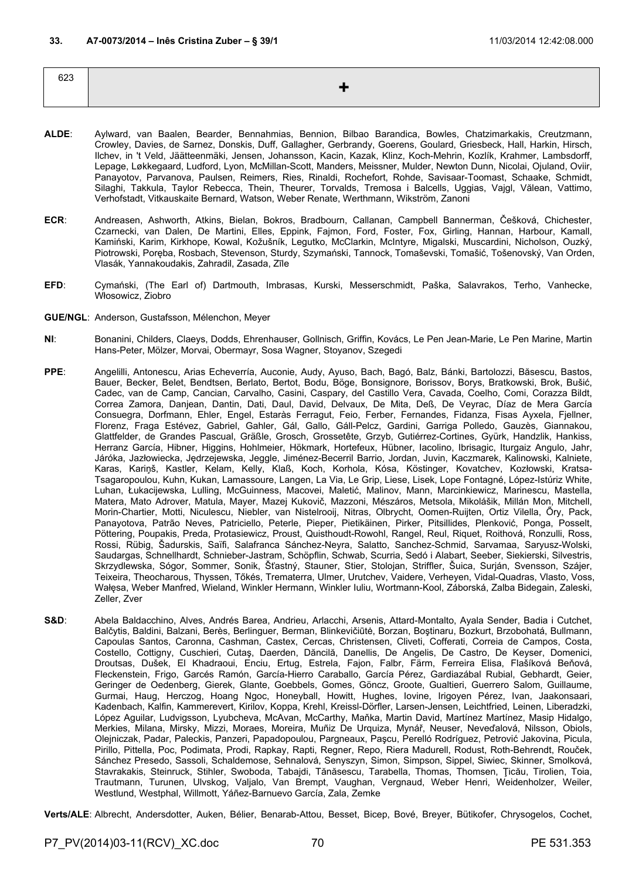623 **+**

- **ALDE**: Aylward, van Baalen, Bearder, Bennahmias, Bennion, Bilbao Barandica, Bowles, Chatzimarkakis, Creutzmann, Crowley, Davies, de Sarnez, Donskis, Duff, Gallagher, Gerbrandy, Goerens, Goulard, Griesbeck, Hall, Harkin, Hirsch, Ilchev, in 't Veld, Jäätteenmäki, Jensen, Johansson, Kacin, Kazak, Klinz, Koch-Mehrin, Kozlík, Krahmer, Lambsdorff, Lepage, Løkkegaard, Ludford, Lyon, McMillan-Scott, Manders, Meissner, Mulder, Newton Dunn, Nicolai, Ojuland, Oviir, Panayotov, Parvanova, Paulsen, Reimers, Ries, Rinaldi, Rochefort, Rohde, Savisaar-Toomast, Schaake, Schmidt, Silaghi, Takkula, Taylor Rebecca, Thein, Theurer, Torvalds, Tremosa i Balcells, Uggias, Vajgl, Vălean, Vattimo, Verhofstadt, Vitkauskaite Bernard, Watson, Weber Renate, Werthmann, Wikström, Zanoni
- **ECR**: Andreasen, Ashworth, Atkins, Bielan, Bokros, Bradbourn, Callanan, Campbell Bannerman, Češková, Chichester, Czarnecki, van Dalen, De Martini, Elles, Eppink, Fajmon, Ford, Foster, Fox, Girling, Hannan, Harbour, Kamall, Kamiński, Karim, Kirkhope, Kowal, Kožušník, Legutko, McClarkin, McIntyre, Migalski, Muscardini, Nicholson, Ouzký, Piotrowski, Poręba, Rosbach, Stevenson, Sturdy, Szymański, Tannock, Tomaševski, Tomašić, Tošenovský, Van Orden, Vlasák, Yannakoudakis, Zahradil, Zasada, Zīle
- **EFD**: Cymański, (The Earl of) Dartmouth, Imbrasas, Kurski, Messerschmidt, Paška, Salavrakos, Terho, Vanhecke, Włosowicz, Ziobro
- **GUE/NGL**: Anderson, Gustafsson, Mélenchon, Meyer
- **NI**: Bonanini, Childers, Claeys, Dodds, Ehrenhauser, Gollnisch, Griffin, Kovács, Le Pen Jean-Marie, Le Pen Marine, Martin Hans-Peter, Mölzer, Morvai, Obermayr, Sosa Wagner, Stoyanov, Szegedi
- **PPE**: Angelilli, Antonescu, Arias Echeverría, Auconie, Audy, Ayuso, Bach, Bagó, Balz, Bánki, Bartolozzi, Băsescu, Bastos, Bauer, Becker, Belet, Bendtsen, Berlato, Bertot, Bodu, Böge, Bonsignore, Borissov, Borys, Bratkowski, Brok, Bušić, Cadec, van de Camp, Cancian, Carvalho, Casini, Caspary, del Castillo Vera, Cavada, Coelho, Comi, Corazza Bildt, Correa Zamora, Danjean, Dantin, Dati, Daul, David, Delvaux, De Mita, Deß, De Veyrac, Díaz de Mera García Consuegra, Dorfmann, Ehler, Engel, Estaràs Ferragut, Feio, Ferber, Fernandes, Fidanza, Fisas Ayxela, Fjellner, Florenz, Fraga Estévez, Gabriel, Gahler, Gál, Gallo, Gáll-Pelcz, Gardini, Garriga Polledo, Gauzès, Giannakou, Glattfelder, de Grandes Pascual, Gräßle, Grosch, Grossetête, Grzyb, Gutiérrez-Cortines, Gyürk, Handzlik, Hankiss, Herranz García, Hibner, Higgins, Hohlmeier, Hökmark, Hortefeux, Hübner, Iacolino, Ibrisagic, Iturgaiz Angulo, Jahr, Járóka, Jazłowiecka, Jędrzejewska, Jeggle, Jiménez-Becerril Barrio, Jordan, Juvin, Kaczmarek, Kalinowski, Kalniete, Karas, Kariņš, Kastler, Kelam, Kelly, Klaß, Koch, Korhola, Kósa, Köstinger, Kovatchev, Kozłowski, Kratsa-Tsagaropoulou, Kuhn, Kukan, Lamassoure, Langen, La Via, Le Grip, Liese, Lisek, Lope Fontagné, López-Istúriz White, Luhan, Łukacijewska, Lulling, McGuinness, Macovei, Maletić, Malinov, Mann, Marcinkiewicz, Marinescu, Mastella, Matera, Mato Adrover, Matula, Mayer, Mazej Kukovič, Mazzoni, Mészáros, Metsola, Mikolášik, Millán Mon, Mitchell, Morin-Chartier, Motti, Niculescu, Niebler, van Nistelrooij, Nitras, Olbrycht, Oomen-Ruijten, Ortiz Vilella, Őry, Pack, Panayotova, Patrão Neves, Patriciello, Peterle, Pieper, Pietikäinen, Pirker, Pitsillides, Plenković, Ponga, Posselt, Pöttering, Poupakis, Preda, Protasiewicz, Proust, Quisthoudt-Rowohl, Rangel, Reul, Riquet, Roithová, Ronzulli, Ross, Rossi, Rübig, Šadurskis, Saïfi, Salafranca Sánchez-Neyra, Salatto, Sanchez-Schmid, Sarvamaa, Saryusz-Wolski, Saudargas, Schnellhardt, Schnieber-Jastram, Schöpflin, Schwab, Scurria, Sedó i Alabart, Seeber, Siekierski, Silvestris, Skrzydlewska, Sógor, Sommer, Sonik, Šťastný, Stauner, Stier, Stolojan, Striffler, Šuica, Surján, Svensson, Szájer, Teixeira, Theocharous, Thyssen, Tőkés, Trematerra, Ulmer, Urutchev, Vaidere, Verheyen, Vidal-Quadras, Vlasto, Voss, Wałęsa, Weber Manfred, Wieland, Winkler Hermann, Winkler Iuliu, Wortmann-Kool, Záborská, Zalba Bidegain, Zaleski, Zeller, Zver
- **S&D**: Abela Baldacchino, Alves, Andrés Barea, Andrieu, Arlacchi, Arsenis, Attard-Montalto, Ayala Sender, Badia i Cutchet, Balčytis, Baldini, Balzani, Berès, Berlinguer, Berman, Blinkevičiūtė, Borzan, Boştinaru, Bozkurt, Brzobohatá, Bullmann, Capoulas Santos, Caronna, Cashman, Castex, Cercas, Christensen, Cliveti, Cofferati, Correia de Campos, Costa, Costello, Cottigny, Cuschieri, Cutaş, Daerden, Dăncilă, Danellis, De Angelis, De Castro, De Keyser, Domenici, Droutsas, Dušek, El Khadraoui, Enciu, Ertug, Estrela, Fajon, Falbr, Färm, Ferreira Elisa, Flašíková Beňová, Fleckenstein, Frigo, Garcés Ramón, García-Hierro Caraballo, García Pérez, Gardiazábal Rubial, Gebhardt, Geier, Geringer de Oedenberg, Gierek, Glante, Goebbels, Gomes, Göncz, Groote, Gualtieri, Guerrero Salom, Guillaume, Gurmai, Haug, Herczog, Hoang Ngoc, Honeyball, Howitt, Hughes, Iovine, Irigoyen Pérez, Ivan, Jaakonsaari, Kadenbach, Kalfin, Kammerevert, Kirilov, Koppa, Krehl, Kreissl-Dörfler, Larsen-Jensen, Leichtfried, Leinen, Liberadzki, López Aguilar, Ludvigsson, Lyubcheva, McAvan, McCarthy, Maňka, Martin David, Martínez Martínez, Masip Hidalgo, Merkies, Milana, Mirsky, Mizzi, Moraes, Moreira, Muñiz De Urquiza, Mynář, Neuser, Neveďalová, Nilsson, Obiols, Olejniczak, Padar, Paleckis, Panzeri, Papadopoulou, Pargneaux, Paşcu, Perelló Rodríguez, Petrović Jakovina, Picula, Pirillo, Pittella, Poc, Podimata, Prodi, Rapkay, Rapti, Regner, Repo, Riera Madurell, Rodust, Roth-Behrendt, Rouček, Sánchez Presedo, Sassoli, Schaldemose, Sehnalová, Senyszyn, Simon, Simpson, Sippel, Siwiec, Skinner, Smolková, Stavrakakis, Steinruck, Stihler, Swoboda, Tabajdi, Tănăsescu, Tarabella, Thomas, Thomsen, Ţicău, Tirolien, Toia, Trautmann, Turunen, Ulvskog, Valjalo, Van Brempt, Vaughan, Vergnaud, Weber Henri, Weidenholzer, Weiler, Westlund, Westphal, Willmott, Yáñez-Barnuevo García, Zala, Zemke

**Verts/ALE**: Albrecht, Andersdotter, Auken, Bélier, Benarab-Attou, Besset, Bicep, Bové, Breyer, Bütikofer, Chrysogelos, Cochet,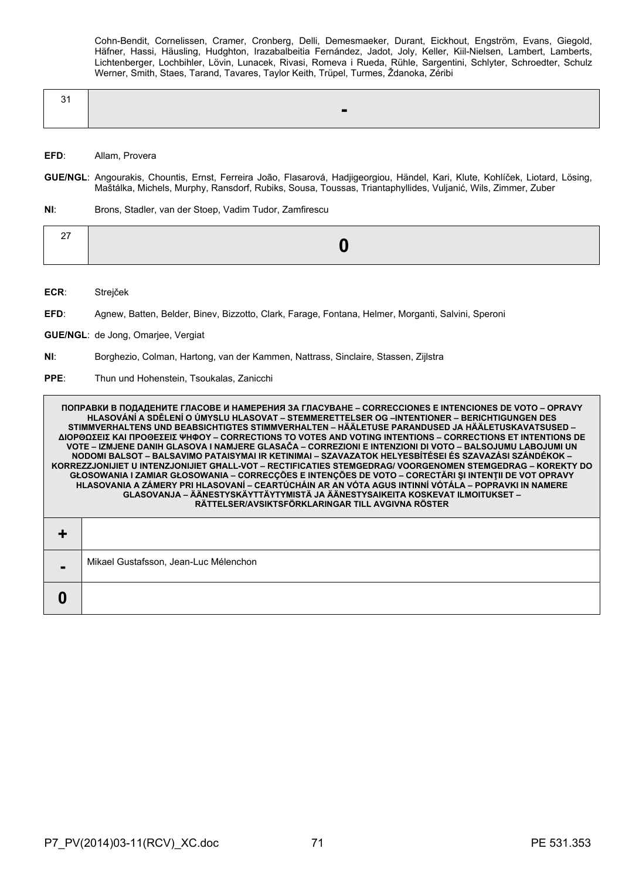Cohn-Bendit, Cornelissen, Cramer, Cronberg, Delli, Demesmaeker, Durant, Eickhout, Engström, Evans, Giegold, Häfner, Hassi, Häusling, Hudghton, Irazabalbeitia Fernández, Jadot, Joly, Keller, Kiil-Nielsen, Lambert, Lamberts, Lichtenberger, Lochbihler, Lövin, Lunacek, Rivasi, Romeva i Rueda, Rühle, Sargentini, Schlyter, Schroedter, Schulz Werner, Smith, Staes, Tarand, Tavares, Taylor Keith, Trüpel, Turmes, Ždanoka, Zéribi

#### EFD: Allam, Provera

GUE/NGL: Angourakis, Chountis, Ernst, Ferreira João, Flasarová, Hadjigeorgiou, Händel, Kari, Klute, Kohlíček, Liotard, Lösing, Maštálka, Michels, Murphy, Ransdorf, Rubiks, Sousa, Toussas, Triantaphyllides, Vuljanić, Wils, Zimmer, Zuber

#### NI: Brons, Stadler, van der Stoep, Vadim Tudor, Zamfirescu

- ECR: Strejček
- Agnew, Batten, Belder, Binev, Bizzotto, Clark, Farage, Fontana, Helmer, Morganti, Salvini, Speroni EFD:
- GUE/NGL: de Jong, Omarjee, Vergiat
- $NI:$ Borghezio, Colman, Hartong, van der Kammen, Nattrass, Sinclaire, Stassen, Zijlstra
- PPE: Thun und Hohenstein, Tsoukalas, Zanicchi

ПОПРАВКИ В ПОДАДЕНИТЕ ГЛАСОВЕ И НАМЕРЕНИЯ ЗА ГЛАСУВАНЕ - CORRECCIONES E INTENCIONES DE VOTO - OPRAVY HLASOVÁNÍ A SDĚLENÍ O ÚMYSLU HLASOVAT – STEMMERETTELSER OG –INTENTIONER – BERICHTIGUNGEN DES STIMMVERHALTENS UND BEABSICHTIGTES STIMMVERHALTEN - HÄÄLETUSE PARANDUSED JA HÄÄLETUSKAVATSUSED · ΔΙΟΡΘΩΣΕΙΣ ΚΑΙ ΠΡΟΘΕΣΕΙΣ ΨΗΦΟΥ – CORRECTIONS TO VOTES AND VOTING INTENTIONS – CORRECTIONS ET INTENTIONS DE VOTE – IZMJENE DANIH GLASOVA I NAMJERE GLASAČA – CORREZIONI E INTENZIONI DI VOTO – BALSOJUMU LABOJUMI UN NODOMI BALSOT – BALSAVIMO PATAISYMAI IR KETINIMAI – SZAVAZATOK HELYESBÍTÉSEI ÉS SZAVAZÁSI SZÁNDÉKOK – KORREZZJONIJIET U INTENZJONIJIET GHALL-VOT - RECTIFICATIES STEMGEDRAG/ VOORGENOMEN STEMGEDRAG - KOREKTY DO GŁOSOWANIA I ZAMIAR GŁOSOWANIA – CORRECÇÕES E INTENÇÕES DE VOTO – CORECTĂRI ȘI INTENȚII DE VOT OPRAVY HLASOVANIA A ZÁMERY PRI HLASOVANÍ – CEARTÚCHÁIN AR AN VÓTA AGUS INTINNÍ VÓTÁLA – POPRAVKI IN NAMERE GLASOVANJA – ÄÄNESTYSKÄYTTÄYTYMISTÄ JA ÄÄNESTYSAIKEITA KOSKEVAT ILMOITUKSET – RÄTTELSER/AVSIKTSFÖRKLARINGAR TILL AVGIVNA RÖSTER

| $\blacksquare$ | Mikael Gustafsson, Jean-Luc Mélenchon |
|----------------|---------------------------------------|
|                |                                       |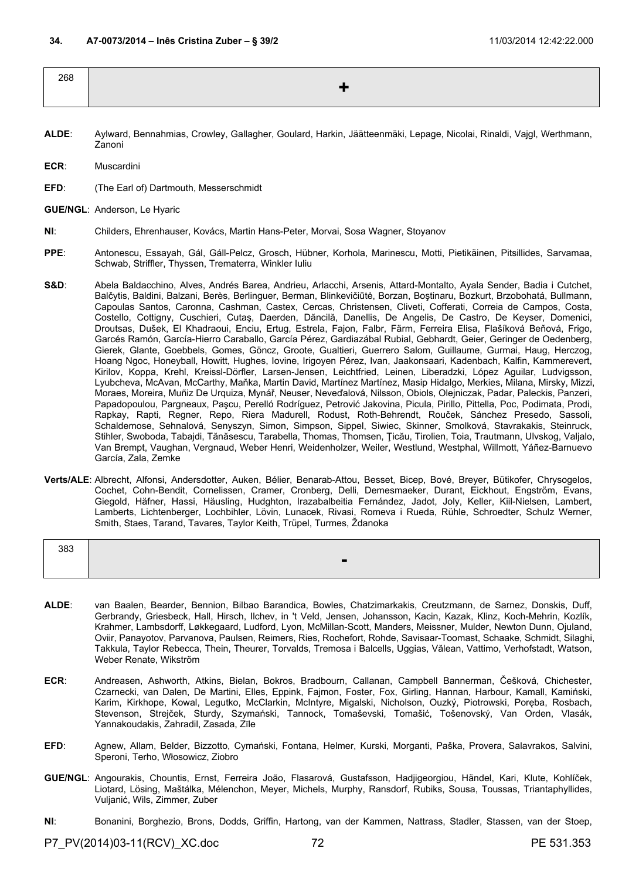| 268 |   |
|-----|---|
|     | - |
|     |   |

- **ALDE**: Aylward, Bennahmias, Crowley, Gallagher, Goulard, Harkin, Jäätteenmäki, Lepage, Nicolai, Rinaldi, Vajgl, Werthmann, Zanoni
- **ECR**: Muscardini
- **EFD**: (The Earl of) Dartmouth, Messerschmidt
- **GUE/NGL**: Anderson, Le Hyaric
- **NI**: Childers, Ehrenhauser, Kovács, Martin Hans-Peter, Morvai, Sosa Wagner, Stoyanov
- **PPE**: Antonescu, Essayah, Gál, Gáll-Pelcz, Grosch, Hübner, Korhola, Marinescu, Motti, Pietikäinen, Pitsillides, Sarvamaa, Schwab, Striffler, Thyssen, Trematerra, Winkler Iuliu
- **S&D**: Abela Baldacchino, Alves, Andrés Barea, Andrieu, Arlacchi, Arsenis, Attard-Montalto, Ayala Sender, Badia i Cutchet, Balčytis, Baldini, Balzani, Berès, Berlinguer, Berman, Blinkevičiūtė, Borzan, Boştinaru, Bozkurt, Brzobohatá, Bullmann, Capoulas Santos, Caronna, Cashman, Castex, Cercas, Christensen, Cliveti, Cofferati, Correia de Campos, Costa, Costello, Cottigny, Cuschieri, Cutaş, Daerden, Dăncilă, Danellis, De Angelis, De Castro, De Keyser, Domenici, Droutsas, Dušek, El Khadraoui, Enciu, Ertug, Estrela, Fajon, Falbr, Färm, Ferreira Elisa, Flašíková Beňová, Frigo, Garcés Ramón, García-Hierro Caraballo, García Pérez, Gardiazábal Rubial, Gebhardt, Geier, Geringer de Oedenberg, Gierek, Glante, Goebbels, Gomes, Göncz, Groote, Gualtieri, Guerrero Salom, Guillaume, Gurmai, Haug, Herczog, Hoang Ngoc, Honeyball, Howitt, Hughes, Iovine, Irigoyen Pérez, Ivan, Jaakonsaari, Kadenbach, Kalfin, Kammerevert, Kirilov, Koppa, Krehl, Kreissl-Dörfler, Larsen-Jensen, Leichtfried, Leinen, Liberadzki, López Aguilar, Ludvigsson, Lyubcheva, McAvan, McCarthy, Maňka, Martin David, Martínez Martínez, Masip Hidalgo, Merkies, Milana, Mirsky, Mizzi, Moraes, Moreira, Muñiz De Urquiza, Mynář, Neuser, Neveďalová, Nilsson, Obiols, Olejniczak, Padar, Paleckis, Panzeri, Papadopoulou, Pargneaux, Paşcu, Perelló Rodríguez, Petrović Jakovina, Picula, Pirillo, Pittella, Poc, Podimata, Prodi, Rapkay, Rapti, Regner, Repo, Riera Madurell, Rodust, Roth-Behrendt, Rouček, Sánchez Presedo, Sassoli, Schaldemose, Sehnalová, Senyszyn, Simon, Simpson, Sippel, Siwiec, Skinner, Smolková, Stavrakakis, Steinruck, Stihler, Swoboda, Tabajdi, Tănăsescu, Tarabella, Thomas, Thomsen, Ţicău, Tirolien, Toia, Trautmann, Ulvskog, Valjalo, Van Brempt, Vaughan, Vergnaud, Weber Henri, Weidenholzer, Weiler, Westlund, Westphal, Willmott, Yáñez-Barnuevo García, Zala, Zemke
- **Verts/ALE**: Albrecht, Alfonsi, Andersdotter, Auken, Bélier, Benarab-Attou, Besset, Bicep, Bové, Breyer, Bütikofer, Chrysogelos, Cochet, Cohn-Bendit, Cornelissen, Cramer, Cronberg, Delli, Demesmaeker, Durant, Eickhout, Engström, Evans, Giegold, Häfner, Hassi, Häusling, Hudghton, Irazabalbeitia Fernández, Jadot, Joly, Keller, Kiil-Nielsen, Lambert, Lamberts, Lichtenberger, Lochbihler, Lövin, Lunacek, Rivasi, Romeva i Rueda, Rühle, Schroedter, Schulz Werner, Smith, Staes, Tarand, Tavares, Taylor Keith, Trüpel, Turmes, Ždanoka

| 383 |  |
|-----|--|
|     |  |

- **ALDE**: van Baalen, Bearder, Bennion, Bilbao Barandica, Bowles, Chatzimarkakis, Creutzmann, de Sarnez, Donskis, Duff, Gerbrandy, Griesbeck, Hall, Hirsch, Ilchev, in 't Veld, Jensen, Johansson, Kacin, Kazak, Klinz, Koch-Mehrin, Kozlík, Krahmer, Lambsdorff, Løkkegaard, Ludford, Lyon, McMillan-Scott, Manders, Meissner, Mulder, Newton Dunn, Ojuland, Oviir, Panayotov, Parvanova, Paulsen, Reimers, Ries, Rochefort, Rohde, Savisaar-Toomast, Schaake, Schmidt, Silaghi, Takkula, Taylor Rebecca, Thein, Theurer, Torvalds, Tremosa i Balcells, Uggias, Vălean, Vattimo, Verhofstadt, Watson, Weber Renate, Wikström
- **ECR**: Andreasen, Ashworth, Atkins, Bielan, Bokros, Bradbourn, Callanan, Campbell Bannerman, Češková, Chichester, Czarnecki, van Dalen, De Martini, Elles, Eppink, Fajmon, Foster, Fox, Girling, Hannan, Harbour, Kamall, Kamiński, Karim, Kirkhope, Kowal, Legutko, McClarkin, McIntyre, Migalski, Nicholson, Ouzký, Piotrowski, Poręba, Rosbach, Stevenson, Strejček, Sturdy, Szymański, Tannock, Tomaševski, Tomašić, Tošenovský, Van Orden, Vlasák, Yannakoudakis, Zahradil, Zasada, Zīle
- **EFD**: Agnew, Allam, Belder, Bizzotto, Cymański, Fontana, Helmer, Kurski, Morganti, Paška, Provera, Salavrakos, Salvini, Speroni, Terho, Włosowicz, Ziobro
- **GUE/NGL**: Angourakis, Chountis, Ernst, Ferreira João, Flasarová, Gustafsson, Hadjigeorgiou, Händel, Kari, Klute, Kohlíček, Liotard, Lösing, Maštálka, Mélenchon, Meyer, Michels, Murphy, Ransdorf, Rubiks, Sousa, Toussas, Triantaphyllides, Vuljanić, Wils, Zimmer, Zuber
- **NI**: Bonanini, Borghezio, Brons, Dodds, Griffin, Hartong, van der Kammen, Nattrass, Stadler, Stassen, van der Stoep,

P7\_PV(2014)03-11(RCV)\_XC.doc 72 PE 531.353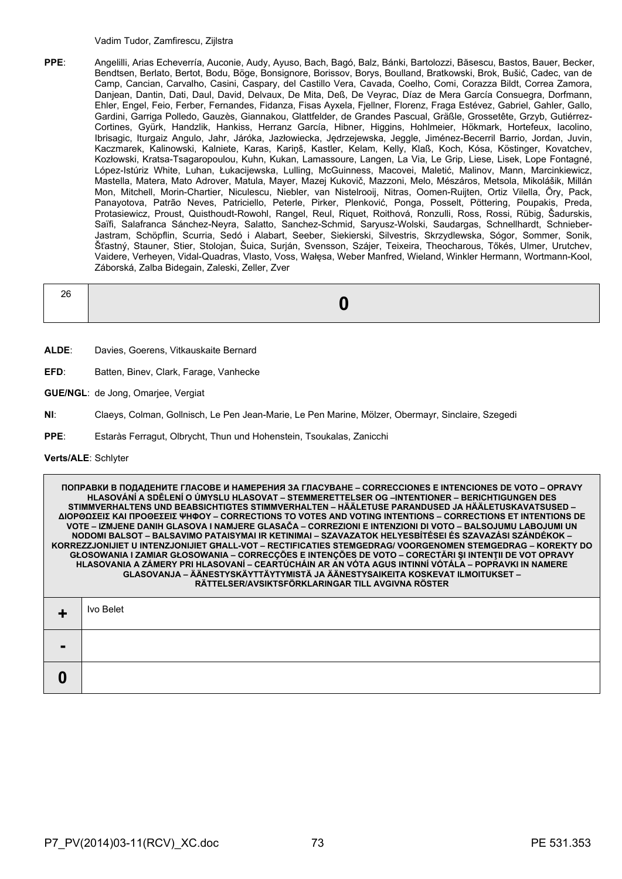**PPE**: Angelilli, Arias Echeverría, Auconie, Audy, Ayuso, Bach, Bagó, Balz, Bánki, Bartolozzi, Băsescu, Bastos, Bauer, Becker, Bendtsen, Berlato, Bertot, Bodu, Böge, Bonsignore, Borissov, Borys, Boulland, Bratkowski, Brok, Bušić, Cadec, van de Camp, Cancian, Carvalho, Casini, Caspary, del Castillo Vera, Cavada, Coelho, Comi, Corazza Bildt, Correa Zamora, Daniean, Dantin, Dati, Daul, David, Delvaux, De Mita, Deß, De Veyrac, Díaz de Mera García Consuegra, Dorfmann, Ehler, Engel, Feio, Ferber, Fernandes, Fidanza, Fisas Ayxela, Fjellner, Florenz, Fraga Estévez, Gabriel, Gahler, Gallo, Gardini, Garriga Polledo, Gauzès, Giannakou, Glattfelder, de Grandes Pascual, Gräßle, Grossetête, Grzyb, Gutiérrez-Cortines, Gyürk, Handzlik, Hankiss, Herranz García, Hibner, Higgins, Hohlmeier, Hökmark, Hortefeux, Iacolino, Ibrisagic, Iturgaiz Angulo, Jahr, Járóka, Jazłowiecka, Jędrzejewska, Jeggle, Jiménez-Becerril Barrio, Jordan, Juvin, Kaczmarek, Kalinowski, Kalniete, Karas, Kariņš, Kastler, Kelam, Kelly, Klaß, Koch, Kósa, Köstinger, Kovatchev, Kozłowski, Kratsa-Tsagaropoulou, Kuhn, Kukan, Lamassoure, Langen, La Via, Le Grip, Liese, Lisek, Lope Fontagné, López-Istúriz White, Luhan, Łukacijewska, Lulling, McGuinness, Macovei, Maletić, Malinov, Mann, Marcinkiewicz, Mastella, Matera, Mato Adrover, Matula, Mayer, Mazej Kukovič, Mazzoni, Melo, Mészáros, Metsola, Mikolášik, Millán Mon, Mitchell, Morin-Chartier, Niculescu, Niebler, van Nistelrooij, Nitras, Oomen-Ruijten, Ortiz Vilella, Őry, Pack, Panayotova, Patrão Neves, Patriciello, Peterle, Pirker, Plenković, Ponga, Posselt, Pöttering, Poupakis, Preda, Protasiewicz, Proust, Quisthoudt-Rowohl, Rangel, Reul, Riquet, Roithová, Ronzulli, Ross, Rossi, Rübig, Šadurskis, Saïfi, Salafranca Sánchez-Neyra, Salatto, Sanchez-Schmid, Saryusz-Wolski, Saudargas, Schnellhardt, Schnieber-Jastram, Schöpflin, Scurria, Sedó i Alabart, Seeber, Siekierski, Silvestris, Skrzydlewska, Sógor, Sommer, Sonik, Šťastný, Stauner, Stier, Stolojan, Šuica, Surján, Svensson, Szájer, Teixeira, Theocharous, Tőkés, Ulmer, Urutchev, Vaidere, Verheyen, Vidal-Quadras, Vlasto, Voss, Wałęsa, Weber Manfred, Wieland, Winkler Hermann, Wortmann-Kool, Záborská, Zalba Bidegain, Zaleski, Zeller, Zver

**ALDE**: Davies, Goerens, Vitkauskaite Bernard

- **EFD**: Batten, Binev, Clark, Farage, Vanhecke
- **GUE/NGL**: de Jong, Omarjee, Vergiat
- **NI**: Claeys, Colman, Gollnisch, Le Pen Jean-Marie, Le Pen Marine, Mölzer, Obermayr, Sinclaire, Szegedi
- **PPE**: Estaràs Ferragut, Olbrycht, Thun und Hohenstein, Tsoukalas, Zanicchi

**Verts/ALE**: Schlyter

**0**

**ПОПРАВКИ В ПОДАДЕНИТЕ ГЛАСОВЕ И НАМЕРЕНИЯ ЗА ГЛАСУВАНЕ – CORRECCIONES E INTENCIONES DE VOTO – OPRAVY HLASOVÁNÍ A SDĚLENÍ O ÚMYSLU HLASOVAT – STEMMERETTELSER OG –INTENTIONER – BERICHTIGUNGEN DES STIMMVERHALTENS UND BEABSICHTIGTES STIMMVERHALTEN – HÄÄLETUSE PARANDUSED JA HÄÄLETUSKAVATSUSED – ΔΙΟΡΘΩΣΕΙΣ ΚΑΙ ΠΡΟΘΕΣΕΙΣ ΨΗΦΟΥ – CORRECTIONS TO VOTES AND VOTING INTENTIONS – CORRECTIONS ET INTENTIONS DE VOTE – IZMJENE DANIH GLASOVA I NAMJERE GLASAČA – CORREZIONI E INTENZIONI DI VOTO – BALSOJUMU LABOJUMI UN NODOMI BALSOT – BALSAVIMO PATAISYMAI IR KETINIMAI – SZAVAZATOK HELYESBÍTÉSEI ÉS SZAVAZÁSI SZÁNDÉKOK – KORREZZJONIJIET U INTENZJONIJIET GĦALL-VOT – RECTIFICATIES STEMGEDRAG/ VOORGENOMEN STEMGEDRAG – KOREKTY DO GŁOSOWANIA I ZAMIAR GŁOSOWANIA – CORRECÇÕES E INTENÇÕES DE VOTO – CORECTĂRI ŞI INTENŢII DE VOT OPRAVY HLASOVANIA A ZÁMERY PRI HLASOVANÍ – CEARTÚCHÁIN AR AN VÓTA AGUS INTINNÍ VÓTÁLA – POPRAVKI IN NAMERE GLASOVANJA – ÄÄNESTYSKÄYTTÄYTYMISTÄ JA ÄÄNESTYSAIKEITA KOSKEVAT ILMOITUKSET – RÄTTELSER/AVSIKTSFÖRKLARINGAR TILL AVGIVNA RÖSTER +** Ivo Belet **-**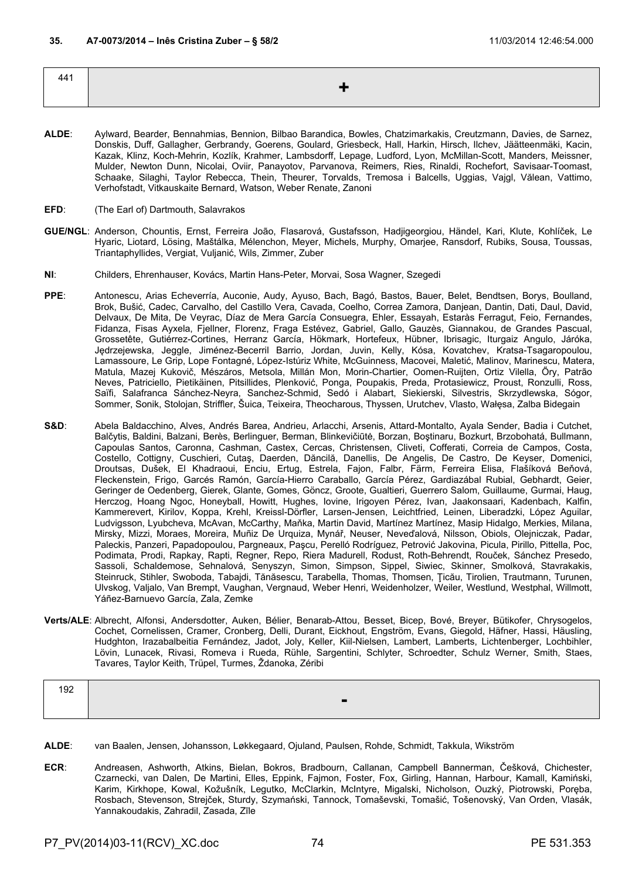| 441 |     |
|-----|-----|
|     | ▔▟▞ |
|     |     |

- **ALDE**: Aylward, Bearder, Bennahmias, Bennion, Bilbao Barandica, Bowles, Chatzimarkakis, Creutzmann, Davies, de Sarnez, Donskis, Duff, Gallagher, Gerbrandy, Goerens, Goulard, Griesbeck, Hall, Harkin, Hirsch, Ilchev, Jäätteenmäki, Kacin, Kazak, Klinz, Koch-Mehrin, Kozlík, Krahmer, Lambsdorff, Lepage, Ludford, Lyon, McMillan-Scott, Manders, Meissner, Mulder, Newton Dunn, Nicolai, Oviir, Panayotov, Parvanova, Reimers, Ries, Rinaldi, Rochefort, Savisaar-Toomast, Schaake, Silaghi, Taylor Rebecca, Thein, Theurer, Torvalds, Tremosa i Balcells, Uggias, Vajgl, Vălean, Vattimo, Verhofstadt, Vitkauskaite Bernard, Watson, Weber Renate, Zanoni
- **EFD:** (The Earl of) Dartmouth, Salavrakos
- **GUE/NGL**: Anderson, Chountis, Ernst, Ferreira João, Flasarová, Gustafsson, Hadjigeorgiou, Händel, Kari, Klute, Kohlíček, Le Hyaric, Liotard, Lösing, Maštálka, Mélenchon, Meyer, Michels, Murphy, Omarjee, Ransdorf, Rubiks, Sousa, Toussas, Triantaphyllides, Vergiat, Vuljanić, Wils, Zimmer, Zuber
- **NI**: Childers, Ehrenhauser, Kovács, Martin Hans-Peter, Morvai, Sosa Wagner, Szegedi
- **PPE**: Antonescu, Arias Echeverría, Auconie, Audy, Ayuso, Bach, Bagó, Bastos, Bauer, Belet, Bendtsen, Borys, Boulland, Brok, Bušić, Cadec, Carvalho, del Castillo Vera, Cavada, Coelho, Correa Zamora, Danjean, Dantin, Dati, Daul, David, Delvaux, De Mita, De Veyrac, Díaz de Mera García Consuegra, Ehler, Essayah, Estaràs Ferragut, Feio, Fernandes, Fidanza, Fisas Ayxela, Fjellner, Florenz, Fraga Estévez, Gabriel, Gallo, Gauzès, Giannakou, de Grandes Pascual, Grossetête, Gutiérrez-Cortines, Herranz García, Hökmark, Hortefeux, Hübner, Ibrisagic, Iturgaiz Angulo, Járóka, Jędrzejewska, Jeggle, Jiménez-Becerril Barrio, Jordan, Juvin, Kelly, Kósa, Kovatchev, Kratsa-Tsagaropoulou, Lamassoure, Le Grip, Lope Fontagné, López-Istúriz White, McGuinness, Macovei, Maletić, Malinov, Marinescu, Matera, Matula, Mazej Kukovič, Mészáros, Metsola, Millán Mon, Morin-Chartier, Oomen-Ruijten, Ortiz Vilella, Őry, Patrão Neves, Patriciello, Pietikäinen, Pitsillides, Plenković, Ponga, Poupakis, Preda, Protasiewicz, Proust, Ronzulli, Ross, Saïfi, Salafranca Sánchez-Neyra, Sanchez-Schmid, Sedó i Alabart, Siekierski, Silvestris, Skrzydlewska, Sógor, Sommer, Sonik, Stolojan, Striffler, Šuica, Teixeira, Theocharous, Thyssen, Urutchev, Vlasto, Wałęsa, Zalba Bidegain
- **S&D**: Abela Baldacchino, Alves, Andrés Barea, Andrieu, Arlacchi, Arsenis, Attard-Montalto, Ayala Sender, Badia i Cutchet, Balčytis, Baldini, Balzani, Berès, Berlinguer, Berman, Blinkevičiūtė, Borzan, Boştinaru, Bozkurt, Brzobohatá, Bullmann, Capoulas Santos, Caronna, Cashman, Castex, Cercas, Christensen, Cliveti, Cofferati, Correia de Campos, Costa, Costello, Cottigny, Cuschieri, Cutaş, Daerden, Dăncilă, Danellis, De Angelis, De Castro, De Keyser, Domenici, Droutsas, Dušek, El Khadraoui, Enciu, Ertug, Estrela, Fajon, Falbr, Färm, Ferreira Elisa, Flašíková Beňová, Fleckenstein, Frigo, Garcés Ramón, García-Hierro Caraballo, García Pérez, Gardiazábal Rubial, Gebhardt, Geier, Geringer de Oedenberg, Gierek, Glante, Gomes, Göncz, Groote, Gualtieri, Guerrero Salom, Guillaume, Gurmai, Haug, Herczog, Hoang Ngoc, Honeyball, Howitt, Hughes, Iovine, Irigoyen Pérez, Ivan, Jaakonsaari, Kadenbach, Kalfin, Kammerevert, Kirilov, Koppa, Krehl, Kreissl-Dörfler, Larsen-Jensen, Leichtfried, Leinen, Liberadzki, López Aguilar, Ludvigsson, Lyubcheva, McAvan, McCarthy, Maňka, Martin David, Martínez Martínez, Masip Hidalgo, Merkies, Milana, Mirsky, Mizzi, Moraes, Moreira, Muñiz De Urquiza, Mynář, Neuser, Neveďalová, Nilsson, Obiols, Olejniczak, Padar, Paleckis, Panzeri, Papadopoulou, Pargneaux, Paşcu, Perelló Rodríguez, Petrović Jakovina, Picula, Pirillo, Pittella, Poc, Podimata, Prodi, Rapkay, Rapti, Regner, Repo, Riera Madurell, Rodust, Roth-Behrendt, Rouček, Sánchez Presedo, Sassoli, Schaldemose, Sehnalová, Senyszyn, Simon, Simpson, Sippel, Siwiec, Skinner, Smolková, Stavrakakis, Steinruck, Stihler, Swoboda, Tabajdi, Tănăsescu, Tarabella, Thomas, Thomsen, Ţicău, Tirolien, Trautmann, Turunen, Ulvskog, Valjalo, Van Brempt, Vaughan, Vergnaud, Weber Henri, Weidenholzer, Weiler, Westlund, Westphal, Willmott, Yáñez-Barnuevo García, Zala, Zemke
- **Verts/ALE**: Albrecht, Alfonsi, Andersdotter, Auken, Bélier, Benarab-Attou, Besset, Bicep, Bové, Breyer, Bütikofer, Chrysogelos, Cochet, Cornelissen, Cramer, Cronberg, Delli, Durant, Eickhout, Engström, Evans, Giegold, Häfner, Hassi, Häusling, Hudghton, Irazabalbeitia Fernández, Jadot, Joly, Keller, Kiil-Nielsen, Lambert, Lamberts, Lichtenberger, Lochbihler, Lövin, Lunacek, Rivasi, Romeva i Rueda, Rühle, Sargentini, Schlyter, Schroedter, Schulz Werner, Smith, Staes, Tavares, Taylor Keith, Trüpel, Turmes, Ždanoka, Zéribi

| $\sim$<br>19Z |   |
|---------------|---|
|               | ш |

- **ALDE**: van Baalen, Jensen, Johansson, Løkkegaard, Ojuland, Paulsen, Rohde, Schmidt, Takkula, Wikström
- **ECR**: Andreasen, Ashworth, Atkins, Bielan, Bokros, Bradbourn, Callanan, Campbell Bannerman, Češková, Chichester, Czarnecki, van Dalen, De Martini, Elles, Eppink, Fajmon, Foster, Fox, Girling, Hannan, Harbour, Kamall, Kamiński, Karim, Kirkhope, Kowal, Kožušník, Legutko, McClarkin, McIntyre, Migalski, Nicholson, Ouzký, Piotrowski, Poręba, Rosbach, Stevenson, Strejček, Sturdy, Szymański, Tannock, Tomaševski, Tomašić, Tošenovský, Van Orden, Vlasák, Yannakoudakis, Zahradil, Zasada, Zīle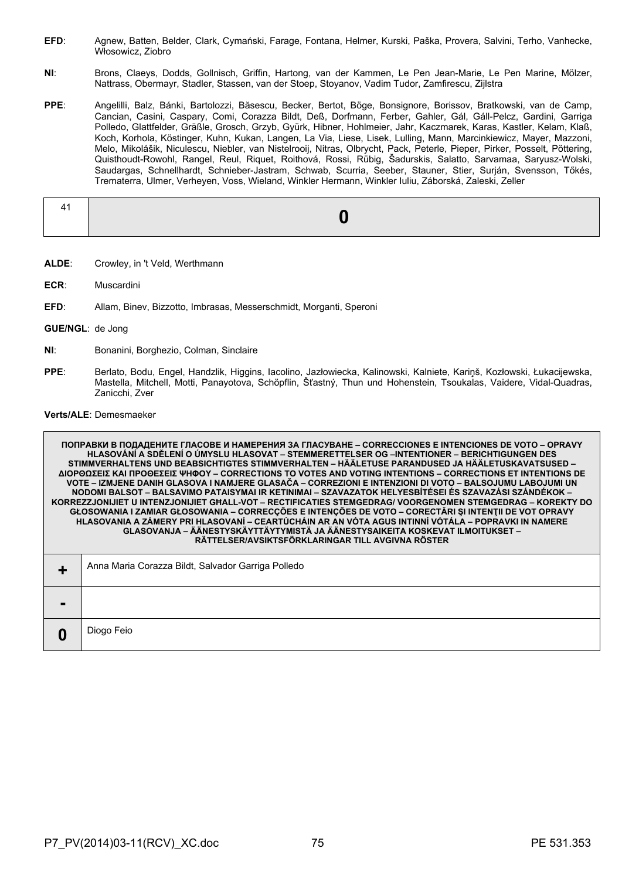- **EFD**: Agnew, Batten, Belder, Clark, Cymański, Farage, Fontana, Helmer, Kurski, Paška, Provera, Salvini, Terho, Vanhecke, Włosowicz, Ziobro
- **NI**: Brons, Claeys, Dodds, Gollnisch, Griffin, Hartong, van der Kammen, Le Pen Jean-Marie, Le Pen Marine, Mölzer, Nattrass, Obermayr, Stadler, Stassen, van der Stoep, Stoyanov, Vadim Tudor, Zamfirescu, Zijlstra
- **PPE**: Angelilli, Balz, Bánki, Bartolozzi, Băsescu, Becker, Bertot, Böge, Bonsignore, Borissov, Bratkowski, van de Camp, Cancian, Casini, Caspary, Comi, Corazza Bildt, Deß, Dorfmann, Ferber, Gahler, Gál, Gáll-Pelcz, Gardini, Garriga Polledo, Glattfelder, Gräßle, Grosch, Grzyb, Gyürk, Hibner, Hohlmeier, Jahr, Kaczmarek, Karas, Kastler, Kelam, Klaß, Koch, Korhola, Köstinger, Kuhn, Kukan, Langen, La Via, Liese, Lisek, Lulling, Mann, Marcinkiewicz, Mayer, Mazzoni, Melo, Mikolášik, Niculescu, Niebler, van Nistelrooij, Nitras, Olbrycht, Pack, Peterle, Pieper, Pirker, Posselt, Pöttering, Quisthoudt-Rowohl, Rangel, Reul, Riquet, Roithová, Rossi, Rübig, Šadurskis, Salatto, Sarvamaa, Saryusz-Wolski, Saudargas, Schnellhardt, Schnieber-Jastram, Schwab, Scurria, Seeber, Stauner, Stier, Surján, Svensson, Tőkés, Trematerra, Ulmer, Verheyen, Voss, Wieland, Winkler Hermann, Winkler Iuliu, Záborská, Zaleski, Zeller

- **ALDE**: Crowley, in 't Veld, Werthmann
- **ECR**: Muscardini
- **EFD**: Allam, Binev, Bizzotto, Imbrasas, Messerschmidt, Morganti, Speroni
- **GUE/NGL**: de Jong
- **NI**: Bonanini, Borghezio, Colman, Sinclaire
- **PPE**: Berlato, Bodu, Engel, Handzlik, Higgins, Iacolino, Jazłowiecka, Kalinowski, Kalniete, Kariņš, Kozłowski, Łukacijewska, Mastella, Mitchell, Motti, Panayotova, Schöpflin, Šťastný, Thun und Hohenstein, Tsoukalas, Vaidere, Vidal-Quadras, Zanicchi, Zver

#### **Verts/ALE**: Demesmaeker

| ПОПРАВКИ В ПОДАДЕНИТЕ ГЛАСОВЕ И НАМЕРЕНИЯ ЗА ГЛАСУВАНЕ – CORRECCIONES Е INTENCIONES DE VOTO – OPRAVY<br>HLASOVÁNÍ A SDĚLENÍ O ÚMYSLU HLASOVAT – STEMMERETTELSER OG –INTENTIONER – BERICHTIGUNGEN DES<br>STIMMVERHALTENS UND BEABSICHTIGTES STIMMVERHALTEN – HÄÄLETUSE PARANDUSED JA HÄÄLETUSKAVATSUSED –<br>ΔΙΟΡΘΩΣΕΙΣ ΚΑΙ ΠΡΟΘΕΣΕΙΣ ΨΗΦΟΥ – CORRECTIONS TO VOTES AND VOTING INTENTIONS – CORRECTIONS ET INTENTIONS DE<br>VOTE – IZMJENE DANIH GLASOVA I NAMJERE GLASAČA – CORREZIONI E INTENZIONI DI VOTO – BALSOJUMU LABOJUMI UN<br><u>NODOMI BALSOT – BALSAVIMO PATAISYMAI IR KETINIMAI – SZAVAZATOK HELYESBÍTÉSEI ÉS SZAVAZÁSI SZÁNDÉKOK –</u><br>KORREZZJONIJIET U INTENZJONIJIET GHALL-VOT – RECTIFICATIES STEMGEDRAG/ VOORGENOMEN STEMGEDRAG – KOREKTY DO<br>GŁOSOWANIA I ZAMIAR GŁOSOWANIA – CORRECÇÕES E INTENÇÕES DE VOTO – CORECTĂRI ȘI INTENȚII DE VOT OPRAVY<br><u> HLASOVANIA A ZÁMERY PRI HLASOVANÍ – CEARTÚCHÁIN AR AN VÓTA AGUS INTINNÍ VÓTÁLA – POPRAVKI IN NAMERE</u><br>GLASOVANJA – ÄÄNESTYSKÄYTTÄYTYMISTÄ JA ÄÄNESTYSAIKEITA KOSKEVAT ILMOITUKSET –<br>RÄTTELSER/AVSIKTSFÖRKLARINGAR TILL AVGIVNA RÖSTER |                                                    |
|--------------------------------------------------------------------------------------------------------------------------------------------------------------------------------------------------------------------------------------------------------------------------------------------------------------------------------------------------------------------------------------------------------------------------------------------------------------------------------------------------------------------------------------------------------------------------------------------------------------------------------------------------------------------------------------------------------------------------------------------------------------------------------------------------------------------------------------------------------------------------------------------------------------------------------------------------------------------------------------------------------------------------------------------------------------------------------------------------------------------------------|----------------------------------------------------|
|                                                                                                                                                                                                                                                                                                                                                                                                                                                                                                                                                                                                                                                                                                                                                                                                                                                                                                                                                                                                                                                                                                                                | Anna Maria Corazza Bildt, Salvador Garriga Polledo |
|                                                                                                                                                                                                                                                                                                                                                                                                                                                                                                                                                                                                                                                                                                                                                                                                                                                                                                                                                                                                                                                                                                                                |                                                    |
|                                                                                                                                                                                                                                                                                                                                                                                                                                                                                                                                                                                                                                                                                                                                                                                                                                                                                                                                                                                                                                                                                                                                | Diogo Feio                                         |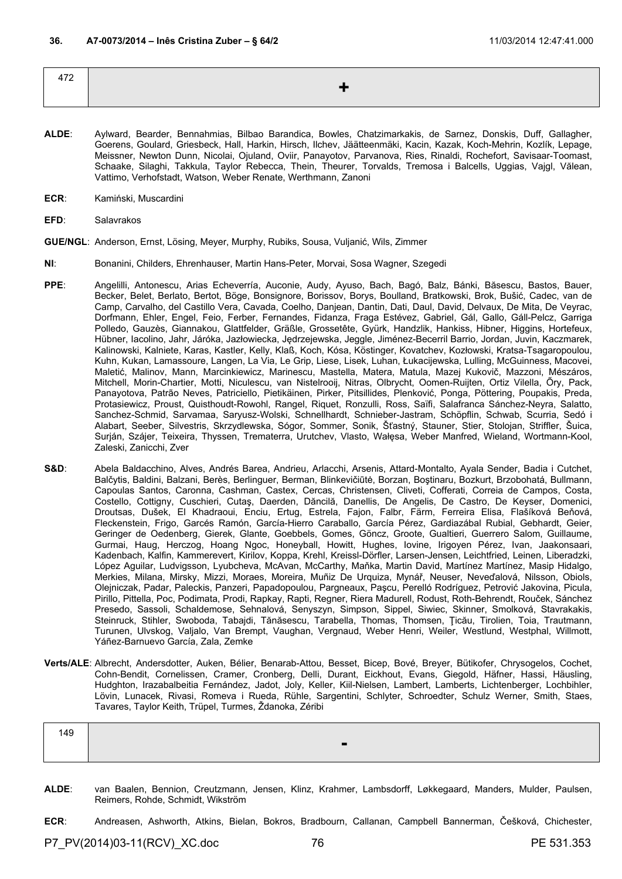| $\cdot$ $ \cdot$ |  |
|------------------|--|
|                  |  |
|                  |  |

- **ALDE**: Aylward, Bearder, Bennahmias, Bilbao Barandica, Bowles, Chatzimarkakis, de Sarnez, Donskis, Duff, Gallagher, Goerens, Goulard, Griesbeck, Hall, Harkin, Hirsch, Ilchev, Jäätteenmäki, Kacin, Kazak, Koch-Mehrin, Kozlík, Lepage, Meissner, Newton Dunn, Nicolai, Ojuland, Oviir, Panayotov, Parvanova, Ries, Rinaldi, Rochefort, Savisaar-Toomast, Schaake, Silaghi, Takkula, Taylor Rebecca, Thein, Theurer, Torvalds, Tremosa i Balcells, Uggias, Vajgl, Vălean, Vattimo, Verhofstadt, Watson, Weber Renate, Werthmann, Zanoni
- **ECR**: Kamiński, Muscardini
- **EFD**: Salavrakos
- **GUE/NGL**: Anderson, Ernst, Lösing, Meyer, Murphy, Rubiks, Sousa, Vuljanić, Wils, Zimmer
- **NI**: Bonanini, Childers, Ehrenhauser, Martin Hans-Peter, Morvai, Sosa Wagner, Szegedi
- **PPE**: Angelilli, Antonescu, Arias Echeverría, Auconie, Audy, Ayuso, Bach, Bagó, Balz, Bánki, Băsescu, Bastos, Bauer, Becker, Belet, Berlato, Bertot, Böge, Bonsignore, Borissov, Borys, Boulland, Bratkowski, Brok, Bušić, Cadec, van de Camp, Carvalho, del Castillo Vera, Cavada, Coelho, Danjean, Dantin, Dati, Daul, David, Delvaux, De Mita, De Veyrac, Dorfmann, Ehler, Engel, Feio, Ferber, Fernandes, Fidanza, Fraga Estévez, Gabriel, Gál, Gallo, Gáll-Pelcz, Garriga Polledo, Gauzès, Giannakou, Glattfelder, Gräßle, Grossetête, Gyürk, Handzlik, Hankiss, Hibner, Higgins, Hortefeux, Hübner, Iacolino, Jahr, Járóka, Jazłowiecka, Jędrzejewska, Jeggle, Jiménez-Becerril Barrio, Jordan, Juvin, Kaczmarek, Kalinowski, Kalniete, Karas, Kastler, Kelly, Klaß, Koch, Kósa, Köstinger, Kovatchev, Kozłowski, Kratsa-Tsagaropoulou, Kuhn, Kukan, Lamassoure, Langen, La Via, Le Grip, Liese, Lisek, Luhan, Łukacijewska, Lulling, McGuinness, Macovei, Maletić, Malinov, Mann, Marcinkiewicz, Marinescu, Mastella, Matera, Matula, Mazej Kukovič, Mazzoni, Mészáros, Mitchell, Morin-Chartier, Motti, Niculescu, van Nistelrooij, Nitras, Olbrycht, Oomen-Ruijten, Ortiz Vilella, Őry, Pack, Panayotova, Patrão Neves, Patriciello, Pietikäinen, Pirker, Pitsillides, Plenković, Ponga, Pöttering, Poupakis, Preda, Protasiewicz, Proust, Quisthoudt-Rowohl, Rangel, Riquet, Ronzulli, Ross, Saïfi, Salafranca Sánchez-Neyra, Salatto, Sanchez-Schmid, Sarvamaa, Saryusz-Wolski, Schnellhardt, Schnieber-Jastram, Schöpflin, Schwab, Scurria, Sedó i Alabart, Seeber, Silvestris, Skrzydlewska, Sógor, Sommer, Sonik, Šťastný, Stauner, Stier, Stolojan, Striffler, Šuica, Surján, Szájer, Teixeira, Thyssen, Trematerra, Urutchev, Vlasto, Wałęsa, Weber Manfred, Wieland, Wortmann-Kool, Zaleski, Zanicchi, Zver
- **S&D**: Abela Baldacchino, Alves, Andrés Barea, Andrieu, Arlacchi, Arsenis, Attard-Montalto, Ayala Sender, Badia i Cutchet, Balčytis, Baldini, Balzani, Berès, Berlinguer, Berman, Blinkevičiūtė, Borzan, Boştinaru, Bozkurt, Brzobohatá, Bullmann, Capoulas Santos, Caronna, Cashman, Castex, Cercas, Christensen, Cliveti, Cofferati, Correia de Campos, Costa, Costello, Cottigny, Cuschieri, Cutaş, Daerden, Dăncilă, Danellis, De Angelis, De Castro, De Keyser, Domenici, Droutsas, Dušek, El Khadraoui, Enciu, Ertug, Estrela, Fajon, Falbr, Färm, Ferreira Elisa, Flašíková Beňová, Fleckenstein, Frigo, Garcés Ramón, García-Hierro Caraballo, García Pérez, Gardiazábal Rubial, Gebhardt, Geier, Geringer de Oedenberg, Gierek, Glante, Goebbels, Gomes, Göncz, Groote, Gualtieri, Guerrero Salom, Guillaume, Gurmai, Haug, Herczog, Hoang Ngoc, Honeyball, Howitt, Hughes, Iovine, Irigoyen Pérez, Ivan, Jaakonsaari, Kadenbach, Kalfin, Kammerevert, Kirilov, Koppa, Krehl, Kreissl-Dörfler, Larsen-Jensen, Leichtfried, Leinen, Liberadzki, López Aguilar, Ludvigsson, Lyubcheva, McAvan, McCarthy, Maňka, Martin David, Martínez Martínez, Masip Hidalgo, Merkies, Milana, Mirsky, Mizzi, Moraes, Moreira, Muñiz De Urquiza, Mynář, Neuser, Neveďalová, Nilsson, Obiols, Olejniczak, Padar, Paleckis, Panzeri, Papadopoulou, Pargneaux, Paşcu, Perelló Rodríguez, Petrović Jakovina, Picula, Pirillo, Pittella, Poc, Podimata, Prodi, Rapkay, Rapti, Regner, Riera Madurell, Rodust, Roth-Behrendt, Rouček, Sánchez Presedo, Sassoli, Schaldemose, Sehnalová, Senyszyn, Simpson, Sippel, Siwiec, Skinner, Smolková, Stavrakakis, Steinruck, Stihler, Swoboda, Tabajdi, Tănăsescu, Tarabella, Thomas, Thomsen, Ţicău, Tirolien, Toia, Trautmann, Turunen, Ulvskog, Valjalo, Van Brempt, Vaughan, Vergnaud, Weber Henri, Weiler, Westlund, Westphal, Willmott, Yáñez-Barnuevo García, Zala, Zemke
- **Verts/ALE**: Albrecht, Andersdotter, Auken, Bélier, Benarab-Attou, Besset, Bicep, Bové, Breyer, Bütikofer, Chrysogelos, Cochet, Cohn-Bendit, Cornelissen, Cramer, Cronberg, Delli, Durant, Eickhout, Evans, Giegold, Häfner, Hassi, Häusling, Hudghton, Irazabalbeitia Fernández, Jadot, Joly, Keller, Kiil-Nielsen, Lambert, Lamberts, Lichtenberger, Lochbihler, Lövin, Lunacek, Rivasi, Romeva i Rueda, Rühle, Sargentini, Schlyter, Schroedter, Schulz Werner, Smith, Staes, Tavares, Taylor Keith, Trüpel, Turmes, Ždanoka, Zéribi

| 149 |                |
|-----|----------------|
|     | $\blacksquare$ |
|     |                |

- **ALDE**: van Baalen, Bennion, Creutzmann, Jensen, Klinz, Krahmer, Lambsdorff, Løkkegaard, Manders, Mulder, Paulsen, Reimers, Rohde, Schmidt, Wikström
- **ECR**: Andreasen, Ashworth, Atkins, Bielan, Bokros, Bradbourn, Callanan, Campbell Bannerman, Češková, Chichester,

P7\_PV(2014)03-11(RCV)\_XC.doc 76 PE 531.353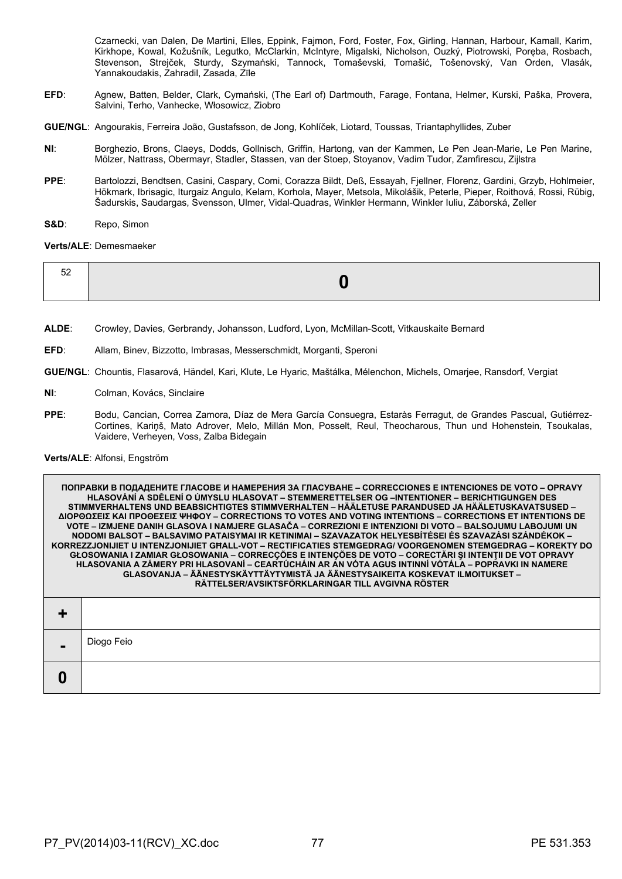Czarnecki, van Dalen, De Martini, Elles, Eppink, Fajmon, Ford, Foster, Fox, Girling, Hannan, Harbour, Kamall, Karim, Kirkhope, Kowal, Kožušník, Legutko, McClarkin, McIntyre, Migalski, Nicholson, Ouzký, Piotrowski, Poręba, Rosbach, Stevenson, Strejček, Sturdy, Szymański, Tannock, Tomaševski, Tomašić, Tošenovský, Van Orden, Vlasák, Yannakoudakis, Zahradil, Zasada, Zīle

- **EFD**: Agnew, Batten, Belder, Clark, Cymański, (The Earl of) Dartmouth, Farage, Fontana, Helmer, Kurski, Paška, Provera, Salvini, Terho, Vanhecke, Włosowicz, Ziobro
- **GUE/NGL**: Angourakis, Ferreira João, Gustafsson, de Jong, Kohlíček, Liotard, Toussas, Triantaphyllides, Zuber
- **NI**: Borghezio, Brons, Claeys, Dodds, Gollnisch, Griffin, Hartong, van der Kammen, Le Pen Jean-Marie, Le Pen Marine, Mölzer, Nattrass, Obermayr, Stadler, Stassen, van der Stoep, Stoyanov, Vadim Tudor, Zamfirescu, Zijlstra
- **PPE**: Bartolozzi, Bendtsen, Casini, Caspary, Comi, Corazza Bildt, Deß, Essayah, Fjellner, Florenz, Gardini, Grzyb, Hohlmeier, Hökmark, Ibrisagic, Iturgaiz Angulo, Kelam, Korhola, Mayer, Metsola, Mikolášik, Peterle, Pieper, Roithová, Rossi, Rübig, Šadurskis, Saudargas, Svensson, Ulmer, Vidal-Quadras, Winkler Hermann, Winkler Iuliu, Záborská, Zeller
- S&D: Repo, Simon

# **Verts/ALE**: Demesmaeker

|--|--|

- **ALDE**: Crowley, Davies, Gerbrandy, Johansson, Ludford, Lyon, McMillan-Scott, Vitkauskaite Bernard
- **EFD**: Allam, Binev, Bizzotto, Imbrasas, Messerschmidt, Morganti, Speroni
- **GUE/NGL**: Chountis, Flasarová, Händel, Kari, Klute, Le Hyaric, Maštálka, Mélenchon, Michels, Omarjee, Ransdorf, Vergiat
- **NI**: Colman, Kovács, Sinclaire
- **PPE**: Bodu, Cancian, Correa Zamora, Díaz de Mera García Consuegra, Estaràs Ferragut, de Grandes Pascual, Gutiérrez-Cortines, Kariņš, Mato Adrover, Melo, Millán Mon, Posselt, Reul, Theocharous, Thun und Hohenstein, Tsoukalas, Vaidere, Verheyen, Voss, Zalba Bidegain

# **Verts/ALE**: Alfonsi, Engström

**ПОПРАВКИ В ПОДАДЕНИТЕ ГЛАСОВЕ И НАМЕРЕНИЯ ЗА ГЛАСУВАНЕ – CORRECCIONES E INTENCIONES DE VOTO – OPRAVY HLASOVÁNÍ A SDĚLENÍ O ÚMYSLU HLASOVAT – STEMMERETTELSER OG –INTENTIONER – BERICHTIGUNGEN DES STIMMVERHALTENS UND BEABSICHTIGTES STIMMVERHALTEN – HÄÄLETUSE PARANDUSED JA HÄÄLETUSKAVATSUSED – ΔΙΟΡΘΩΣΕΙΣ ΚΑΙ ΠΡΟΘΕΣΕΙΣ ΨΗΦΟΥ – CORRECTIONS TO VOTES AND VOTING INTENTIONS – CORRECTIONS ET INTENTIONS DE VOTE – IZMJENE DANIH GLASOVA I NAMJERE GLASAČA – CORREZIONI E INTENZIONI DI VOTO – BALSOJUMU LABOJUMI UN NODOMI BALSOT – BALSAVIMO PATAISYMAI IR KETINIMAI – SZAVAZATOK HELYESBÍTÉSEI ÉS SZAVAZÁSI SZÁNDÉKOK – KORREZZJONIJIET U INTENZJONIJIET GĦALL-VOT – RECTIFICATIES STEMGEDRAG/ VOORGENOMEN STEMGEDRAG – KOREKTY DO GŁOSOWANIA I ZAMIAR GŁOSOWANIA – CORRECÇÕES E INTENÇÕES DE VOTO – CORECTĂRI ŞI INTENŢII DE VOT OPRAVY HLASOVANIA A ZÁMERY PRI HLASOVANÍ – CEARTÚCHÁIN AR AN VÓTA AGUS INTINNÍ VÓTÁLA – POPRAVKI IN NAMERE GLASOVANJA – ÄÄNESTYSKÄYTTÄYTYMISTÄ JA ÄÄNESTYSAIKEITA KOSKEVAT ILMOITUKSET – RÄTTELSER/AVSIKTSFÖRKLARINGAR TILL AVGIVNA RÖSTER**

| $\blacksquare$ | Diogo Feio |
|----------------|------------|
| 0              |            |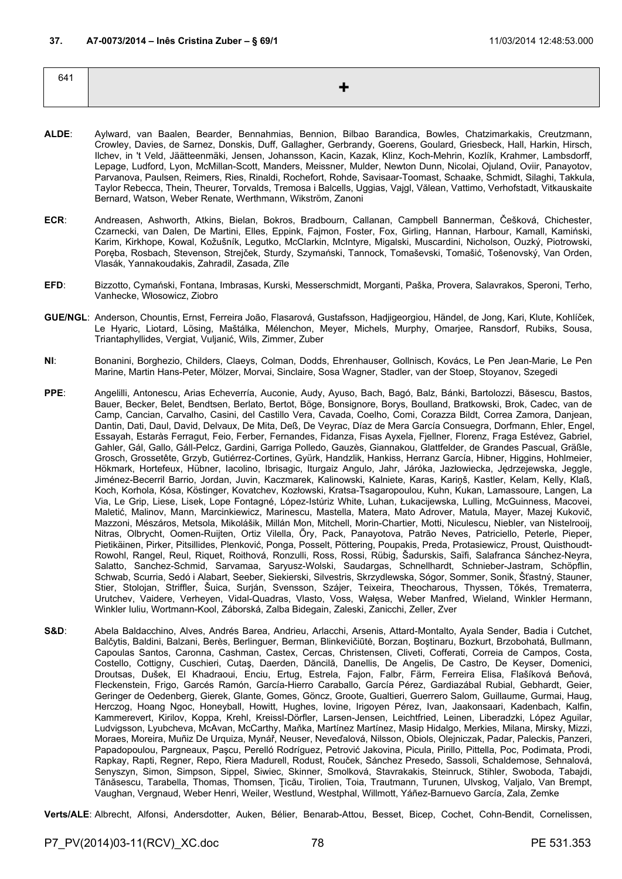641 **+**

- **ALDE**: Aylward, van Baalen, Bearder, Bennahmias, Bennion, Bilbao Barandica, Bowles, Chatzimarkakis, Creutzmann, Crowley, Davies, de Sarnez, Donskis, Duff, Gallagher, Gerbrandy, Goerens, Goulard, Griesbeck, Hall, Harkin, Hirsch, Ilchev, in 't Veld, Jäätteenmäki, Jensen, Johansson, Kacin, Kazak, Klinz, Koch-Mehrin, Kozlík, Krahmer, Lambsdorff, Lepage, Ludford, Lyon, McMillan-Scott, Manders, Meissner, Mulder, Newton Dunn, Nicolai, Ojuland, Oviir, Panayotov, Parvanova, Paulsen, Reimers, Ries, Rinaldi, Rochefort, Rohde, Savisaar-Toomast, Schaake, Schmidt, Silaghi, Takkula, Taylor Rebecca, Thein, Theurer, Torvalds, Tremosa i Balcells, Uggias, Vajgl, Vălean, Vattimo, Verhofstadt, Vitkauskaite Bernard, Watson, Weber Renate, Werthmann, Wikström, Zanoni
- **ECR**: Andreasen, Ashworth, Atkins, Bielan, Bokros, Bradbourn, Callanan, Campbell Bannerman, Češková, Chichester, Czarnecki, van Dalen, De Martini, Elles, Eppink, Fajmon, Foster, Fox, Girling, Hannan, Harbour, Kamall, Kamiński, Karim, Kirkhope, Kowal, Kožušník, Legutko, McClarkin, McIntyre, Migalski, Muscardini, Nicholson, Ouzký, Piotrowski, Poręba, Rosbach, Stevenson, Strejček, Sturdy, Szymański, Tannock, Tomaševski, Tomašić, Tošenovský, Van Orden, Vlasák, Yannakoudakis, Zahradil, Zasada, Zīle
- **EFD**: Bizzotto, Cymański, Fontana, Imbrasas, Kurski, Messerschmidt, Morganti, Paška, Provera, Salavrakos, Speroni, Terho, Vanhecke, Włosowicz, Ziobro
- **GUE/NGL**: Anderson, Chountis, Ernst, Ferreira João, Flasarová, Gustafsson, Hadjigeorgiou, Händel, de Jong, Kari, Klute, Kohlíček, Le Hyaric, Liotard, Lösing, Maštálka, Mélenchon, Meyer, Michels, Murphy, Omarjee, Ransdorf, Rubiks, Sousa, Triantaphyllides, Vergiat, Vuljanić, Wils, Zimmer, Zuber
- **NI**: Bonanini, Borghezio, Childers, Claeys, Colman, Dodds, Ehrenhauser, Gollnisch, Kovács, Le Pen Jean-Marie, Le Pen Marine, Martin Hans-Peter, Mölzer, Morvai, Sinclaire, Sosa Wagner, Stadler, van der Stoep, Stoyanov, Szegedi
- **PPE**: Angelilli, Antonescu, Arias Echeverría, Auconie, Audy, Ayuso, Bach, Bagó, Balz, Bánki, Bartolozzi, Băsescu, Bastos, Bauer, Becker, Belet, Bendtsen, Berlato, Bertot, Böge, Bonsignore, Borys, Boulland, Bratkowski, Brok, Cadec, van de Camp, Cancian, Carvalho, Casini, del Castillo Vera, Cavada, Coelho, Comi, Corazza Bildt, Correa Zamora, Danjean, Dantin, Dati, Daul, David, Delvaux, De Mita, Deß, De Veyrac, Díaz de Mera García Consuegra, Dorfmann, Ehler, Engel, Essayah, Estaràs Ferragut, Feio, Ferber, Fernandes, Fidanza, Fisas Ayxela, Fjellner, Florenz, Fraga Estévez, Gabriel, Gahler, Gál, Gallo, Gáll-Pelcz, Gardini, Garriga Polledo, Gauzès, Giannakou, Glattfelder, de Grandes Pascual, Gräßle, Grosch, Grossetête, Grzyb, Gutiérrez-Cortines, Gyürk, Handzlik, Hankiss, Herranz García, Hibner, Higgins, Hohlmeier, Hökmark, Hortefeux, Hübner, Iacolino, Ibrisagic, Iturgaiz Angulo, Jahr, Járóka, Jazłowiecka, Jędrzejewska, Jeggle, Jiménez-Becerril Barrio, Jordan, Juvin, Kaczmarek, Kalinowski, Kalniete, Karas, Kariņš, Kastler, Kelam, Kelly, Klaß, Koch, Korhola, Kósa, Köstinger, Kovatchev, Kozłowski, Kratsa-Tsagaropoulou, Kuhn, Kukan, Lamassoure, Langen, La Via, Le Grip, Liese, Lisek, Lope Fontagné, López-Istúriz White, Luhan, Łukacijewska, Lulling, McGuinness, Macovei, Maletić, Malinov, Mann, Marcinkiewicz, Marinescu, Mastella, Matera, Mato Adrover, Matula, Mayer, Mazej Kukovič, Mazzoni, Mészáros, Metsola, Mikolášik, Millán Mon, Mitchell, Morin-Chartier, Motti, Niculescu, Niebler, van Nistelrooij, Nitras, Olbrycht, Oomen-Ruijten, Ortiz Vilella, Őry, Pack, Panayotova, Patrão Neves, Patriciello, Peterle, Pieper, Pietikäinen, Pirker, Pitsillides, Plenković, Ponga, Posselt, Pöttering, Poupakis, Preda, Protasiewicz, Proust, Quisthoudt-Rowohl, Rangel, Reul, Riquet, Roithová, Ronzulli, Ross, Rossi, Rübig, Šadurskis, Saïfi, Salafranca Sánchez-Neyra, Salatto, Sanchez-Schmid, Sarvamaa, Saryusz-Wolski, Saudargas, Schnellhardt, Schnieber-Jastram, Schöpflin, Schwab, Scurria, Sedó i Alabart, Seeber, Siekierski, Silvestris, Skrzydlewska, Sógor, Sommer, Sonik, Šťastný, Stauner, Stier, Stolojan, Striffler, Šuica, Surján, Svensson, Szájer, Teixeira, Theocharous, Thyssen, Tőkés, Trematerra, Urutchev, Vaidere, Verheyen, Vidal-Quadras, Vlasto, Voss, Wałęsa, Weber Manfred, Wieland, Winkler Hermann, Winkler Iuliu, Wortmann-Kool, Záborská, Zalba Bidegain, Zaleski, Zanicchi, Zeller, Zver
- **S&D**: Abela Baldacchino, Alves, Andrés Barea, Andrieu, Arlacchi, Arsenis, Attard-Montalto, Ayala Sender, Badia i Cutchet, Balčytis, Baldini, Balzani, Berès, Berlinguer, Berman, Blinkevičiūtė, Borzan, Boştinaru, Bozkurt, Brzobohatá, Bullmann, Capoulas Santos, Caronna, Cashman, Castex, Cercas, Christensen, Cliveti, Cofferati, Correia de Campos, Costa, Costello, Cottigny, Cuschieri, Cutaş, Daerden, Dăncilă, Danellis, De Angelis, De Castro, De Keyser, Domenici, Droutsas, Dušek, El Khadraoui, Enciu, Ertug, Estrela, Fajon, Falbr, Färm, Ferreira Elisa, Flašíková Beňová, Fleckenstein, Frigo, Garcés Ramón, García-Hierro Caraballo, García Pérez, Gardiazábal Rubial, Gebhardt, Geier, Geringer de Oedenberg, Gierek, Glante, Gomes, Göncz, Groote, Gualtieri, Guerrero Salom, Guillaume, Gurmai, Haug, Herczog, Hoang Ngoc, Honeyball, Howitt, Hughes, Iovine, Irigoyen Pérez, Ivan, Jaakonsaari, Kadenbach, Kalfin, Kammerevert, Kirilov, Koppa, Krehl, Kreissl-Dörfler, Larsen-Jensen, Leichtfried, Leinen, Liberadzki, López Aguilar, Ludvigsson, Lyubcheva, McAvan, McCarthy, Maňka, Martínez Martínez, Masip Hidalgo, Merkies, Milana, Mirsky, Mizzi, Moraes, Moreira, Muñiz De Urquiza, Mynář, Neuser, Neveďalová, Nilsson, Obiols, Olejniczak, Padar, Paleckis, Panzeri, Papadopoulou, Pargneaux, Pascu, Perelló Rodríguez, Petrović Jakovina, Picula, Pirillo, Pittella, Poc, Podimata, Prodi, Rapkay, Rapti, Regner, Repo, Riera Madurell, Rodust, Rouček, Sánchez Presedo, Sassoli, Schaldemose, Sehnalová, Senyszyn, Simon, Simpson, Sippel, Siwiec, Skinner, Smolková, Stavrakakis, Steinruck, Stihler, Swoboda, Tabajdi, Tănăsescu, Tarabella, Thomas, Thomsen, Ţicău, Tirolien, Toia, Trautmann, Turunen, Ulvskog, Valjalo, Van Brempt, Vaughan, Vergnaud, Weber Henri, Weiler, Westlund, Westphal, Willmott, Yáñez-Barnuevo García, Zala, Zemke

**Verts/ALE**: Albrecht, Alfonsi, Andersdotter, Auken, Bélier, Benarab-Attou, Besset, Bicep, Cochet, Cohn-Bendit, Cornelissen,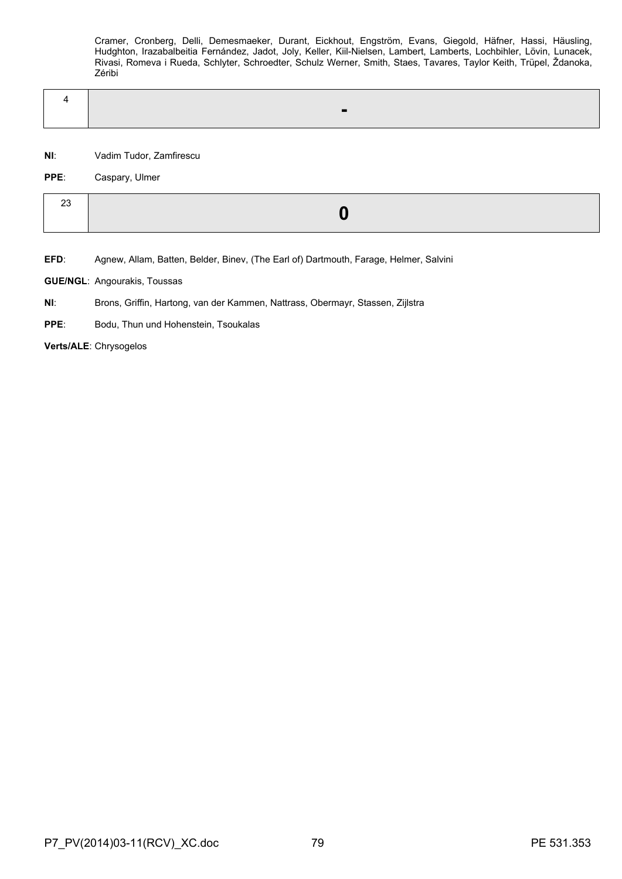Cramer, Cronberg, Delli, Demesmaeker, Durant, Eickhout, Engström, Evans, Giegold, Häfner, Hassi, Häusling, Hudghton, Irazabalbeitia Fernández, Jadot, Joly, Keller, Kiil-Nielsen, Lambert, Lamberts, Lochbihler, Lövin, Lunacek, Rivasi, Romeva i Rueda, Schlyter, Schroedter, Schulz Werner, Smith, Staes, Tavares, Taylor Keith, Trüpel, Ždanoka, Zéribi

**NI**: Vadim Tudor, Zamfirescu

**PPE**: Caspary, Ulmer

|--|--|

- **EFD**: Agnew, Allam, Batten, Belder, Binev, (The Earl of) Dartmouth, Farage, Helmer, Salvini
- **GUE/NGL**: Angourakis, Toussas
- **NI**: Brons, Griffin, Hartong, van der Kammen, Nattrass, Obermayr, Stassen, Zijlstra
- **PPE**: Bodu, Thun und Hohenstein, Tsoukalas

**Verts/ALE**: Chrysogelos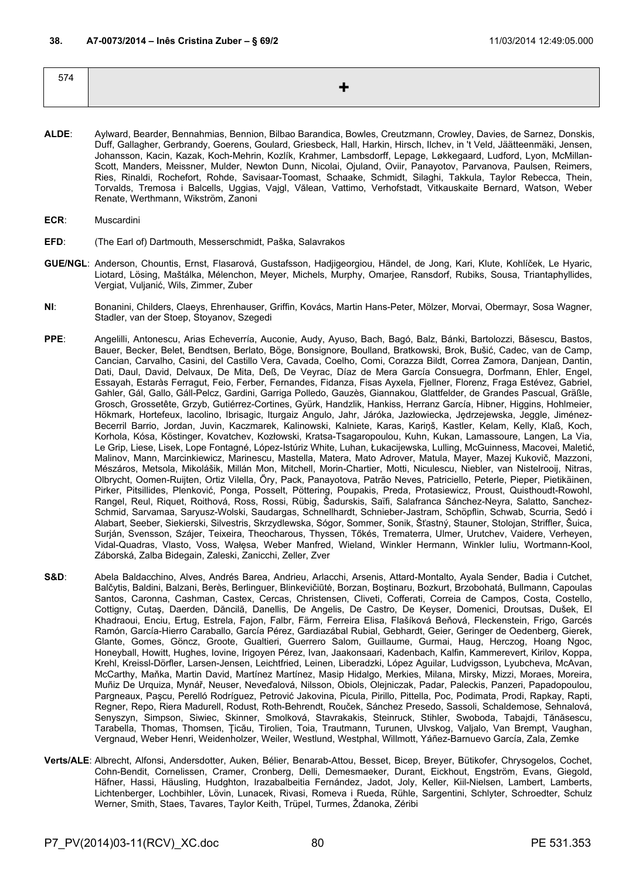| 574 |  |
|-----|--|
|     |  |
|     |  |

- **ALDE**: Aylward, Bearder, Bennahmias, Bennion, Bilbao Barandica, Bowles, Creutzmann, Crowley, Davies, de Sarnez, Donskis, Duff, Gallagher, Gerbrandy, Goerens, Goulard, Griesbeck, Hall, Harkin, Hirsch, Ilchev, in 't Veld, Jäätteenmäki, Jensen, Johansson, Kacin, Kazak, Koch-Mehrin, Kozlík, Krahmer, Lambsdorff, Lepage, Løkkegaard, Ludford, Lyon, McMillan-Scott, Manders, Meissner, Mulder, Newton Dunn, Nicolai, Ojuland, Oviir, Panayotov, Parvanova, Paulsen, Reimers, Ries, Rinaldi, Rochefort, Rohde, Savisaar-Toomast, Schaake, Schmidt, Silaghi, Takkula, Taylor Rebecca, Thein, Torvalds, Tremosa i Balcells, Uggias, Vajgl, Vălean, Vattimo, Verhofstadt, Vitkauskaite Bernard, Watson, Weber Renate, Werthmann, Wikström, Zanoni
- **ECR**: Muscardini
- **EFD**: (The Earl of) Dartmouth, Messerschmidt, Paška, Salavrakos
- **GUE/NGL**: Anderson, Chountis, Ernst, Flasarová, Gustafsson, Hadjigeorgiou, Händel, de Jong, Kari, Klute, Kohlíček, Le Hyaric, Liotard, Lösing, Maštálka, Mélenchon, Meyer, Michels, Murphy, Omarjee, Ransdorf, Rubiks, Sousa, Triantaphyllides, Vergiat, Vuljanić, Wils, Zimmer, Zuber
- **NI**: Bonanini, Childers, Claeys, Ehrenhauser, Griffin, Kovács, Martin Hans-Peter, Mölzer, Morvai, Obermayr, Sosa Wagner, Stadler, van der Stoep, Stoyanov, Szegedi
- **PPE**: Angelilli, Antonescu, Arias Echeverría, Auconie, Audy, Ayuso, Bach, Bagó, Balz, Bánki, Bartolozzi, Băsescu, Bastos, Bauer, Becker, Belet, Bendtsen, Berlato, Böge, Bonsignore, Boulland, Bratkowski, Brok, Bušić, Cadec, van de Camp, Cancian, Carvalho, Casini, del Castillo Vera, Cavada, Coelho, Comi, Corazza Bildt, Correa Zamora, Danjean, Dantin, Dati, Daul, David, Delvaux, De Mita, Deß, De Veyrac, Díaz de Mera García Consuegra, Dorfmann, Ehler, Engel, Essayah, Estaràs Ferragut, Feio, Ferber, Fernandes, Fidanza, Fisas Ayxela, Fjellner, Florenz, Fraga Estévez, Gabriel, Gahler, Gál, Gallo, Gáll-Pelcz, Gardini, Garriga Polledo, Gauzès, Giannakou, Glattfelder, de Grandes Pascual, Gräßle, Grosch, Grossetête, Grzyb, Gutiérrez-Cortines, Gyürk, Handzlik, Hankiss, Herranz García, Hibner, Higgins, Hohlmeier, Hökmark, Hortefeux, Iacolino, Ibrisagic, Iturgaiz Angulo, Jahr, Járóka, Jazłowiecka, Jędrzejewska, Jeggle, Jiménez-Becerril Barrio, Jordan, Juvin, Kaczmarek, Kalinowski, Kalniete, Karas, Kariņš, Kastler, Kelam, Kelly, Klaß, Koch, Korhola, Kósa, Köstinger, Kovatchev, Kozłowski, Kratsa-Tsagaropoulou, Kuhn, Kukan, Lamassoure, Langen, La Via, Le Grip, Liese, Lisek, Lope Fontagné, López-Istúriz White, Luhan, Łukacijewska, Lulling, McGuinness, Macovei, Maletić, Malinov, Mann, Marcinkiewicz, Marinescu, Mastella, Matera, Mato Adrover, Matula, Mayer, Mazej Kukovič, Mazzoni, Mészáros, Metsola, Mikolášik, Millán Mon, Mitchell, Morin-Chartier, Motti, Niculescu, Niebler, van Nistelrooij, Nitras, Olbrycht, Oomen-Ruijten, Ortiz Vilella, Őry, Pack, Panayotova, Patrão Neves, Patriciello, Peterle, Pieper, Pietikäinen, Pirker, Pitsillides, Plenković, Ponga, Posselt, Pöttering, Poupakis, Preda, Protasiewicz, Proust, Quisthoudt-Rowohl, Rangel, Reul, Riquet, Roithová, Ross, Rossi, Rübig, Šadurskis, Saïfi, Salafranca Sánchez-Neyra, Salatto, Sanchez-Schmid, Sarvamaa, Saryusz-Wolski, Saudargas, Schnellhardt, Schnieber-Jastram, Schöpflin, Schwab, Scurria, Sedó i Alabart, Seeber, Siekierski, Silvestris, Skrzydlewska, Sógor, Sommer, Sonik, Šťastný, Stauner, Stolojan, Striffler, Šuica, Surján, Svensson, Szájer, Teixeira, Theocharous, Thyssen, Tőkés, Trematerra, Ulmer, Urutchev, Vaidere, Verheyen, Vidal-Quadras, Vlasto, Voss, Wałęsa, Weber Manfred, Wieland, Winkler Hermann, Winkler Iuliu, Wortmann-Kool, Záborská, Zalba Bidegain, Zaleski, Zanicchi, Zeller, Zver
- **S&D**: Abela Baldacchino, Alves, Andrés Barea, Andrieu, Arlacchi, Arsenis, Attard-Montalto, Ayala Sender, Badia i Cutchet, Balčytis, Baldini, Balzani, Berès, Berlinguer, Blinkevičiūtė, Borzan, Boştinaru, Bozkurt, Brzobohatá, Bullmann, Capoulas Santos, Caronna, Cashman, Castex, Cercas, Christensen, Cliveti, Cofferati, Correia de Campos, Costa, Costello, Cottigny, Cutaş, Daerden, Dăncilă, Danellis, De Angelis, De Castro, De Keyser, Domenici, Droutsas, Dušek, El Khadraoui, Enciu, Ertug, Estrela, Fajon, Falbr, Färm, Ferreira Elisa, Flašíková Beňová, Fleckenstein, Frigo, Garcés Ramón, García-Hierro Caraballo, García Pérez, Gardiazábal Rubial, Gebhardt, Geier, Geringer de Oedenberg, Gierek, Glante, Gomes, Göncz, Groote, Gualtieri, Guerrero Salom, Guillaume, Gurmai, Haug, Herczog, Hoang Ngoc, Honeyball, Howitt, Hughes, Iovine, Irigoyen Pérez, Ivan, Jaakonsaari, Kadenbach, Kalfin, Kammerevert, Kirilov, Koppa, Krehl, Kreissl-Dörfler, Larsen-Jensen, Leichtfried, Leinen, Liberadzki, López Aguilar, Ludvigsson, Lyubcheva, McAvan, McCarthy, Maňka, Martin David, Martínez Martínez, Masip Hidalgo, Merkies, Milana, Mirsky, Mizzi, Moraes, Moreira, Muñiz De Urquiza, Mynář, Neuser, Neveďalová, Nilsson, Obiols, Olejniczak, Padar, Paleckis, Panzeri, Papadopoulou, Pargneaux, Paşcu, Perelló Rodríguez, Petrović Jakovina, Picula, Pirillo, Pittella, Poc, Podimata, Prodi, Rapkay, Rapti, Regner, Repo, Riera Madurell, Rodust, Roth-Behrendt, Rouček, Sánchez Presedo, Sassoli, Schaldemose, Sehnalová, Senyszyn, Simpson, Siwiec, Skinner, Smolková, Stavrakakis, Steinruck, Stihler, Swoboda, Tabajdi, Tănăsescu, Tarabella, Thomas, Thomsen, Ţicău, Tirolien, Toia, Trautmann, Turunen, Ulvskog, Valjalo, Van Brempt, Vaughan, Vergnaud, Weber Henri, Weidenholzer, Weiler, Westlund, Westphal, Willmott, Yáñez-Barnuevo García, Zala, Zemke
- **Verts/ALE**: Albrecht, Alfonsi, Andersdotter, Auken, Bélier, Benarab-Attou, Besset, Bicep, Breyer, Bütikofer, Chrysogelos, Cochet, Cohn-Bendit, Cornelissen, Cramer, Cronberg, Delli, Demesmaeker, Durant, Eickhout, Engström, Evans, Giegold, Häfner, Hassi, Häusling, Hudghton, Irazabalbeitia Fernández, Jadot, Joly, Keller, Kiil-Nielsen, Lambert, Lamberts, Lichtenberger, Lochbihler, Lövin, Lunacek, Rivasi, Romeva i Rueda, Rühle, Sargentini, Schlyter, Schroedter, Schulz Werner, Smith, Staes, Tavares, Taylor Keith, Trüpel, Turmes, Ždanoka, Zéribi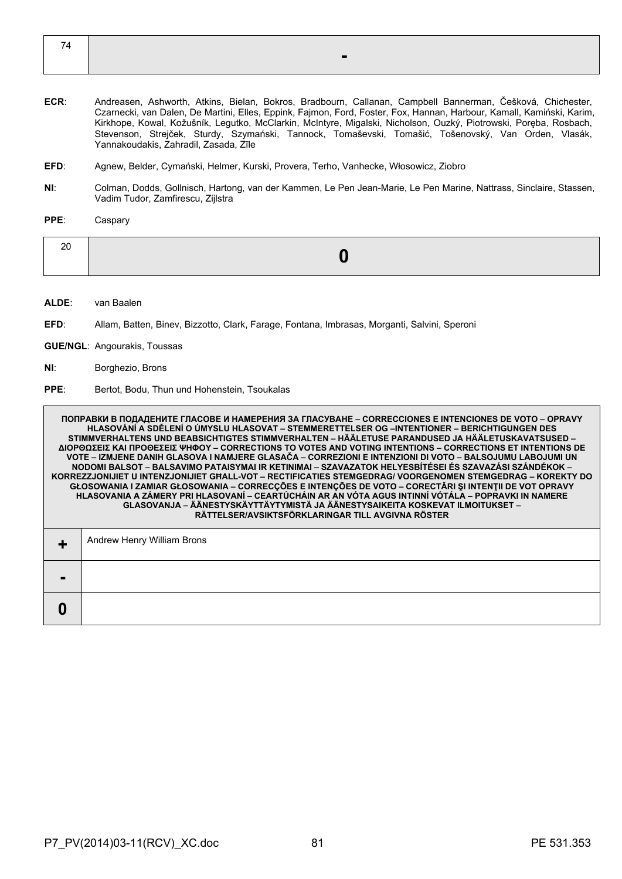| 74 |     |  |
|----|-----|--|
|    | . . |  |

- **ECR**: Andreasen, Ashworth, Atkins, Bielan, Bokros, Bradbourn, Callanan, Campbell Bannerman, Češková, Chichester, Czarnecki, van Dalen, De Martini, Elles, Eppink, Fajmon, Ford, Foster, Fox, Hannan, Harbour, Kamall, Kamiński, Karim, Kirkhope, Kowal, Kožušník, Legutko, McClarkin, McIntyre, Migalski, Nicholson, Ouzký, Piotrowski, Poręba, Rosbach, Stevenson, Strejček, Sturdy, Szymański, Tannock, Tomaševski, Tomašić, Tošenovský, Van Orden, Vlasák, Yannakoudakis, Zahradil, Zasada, Zīle
- **EFD**: Agnew, Belder, Cymański, Helmer, Kurski, Provera, Terho, Vanhecke, Włosowicz, Ziobro
- **NI**: Colman, Dodds, Gollnisch, Hartong, van der Kammen, Le Pen Jean-Marie, Le Pen Marine, Nattrass, Sinclaire, Stassen, Vadim Tudor, Zamfirescu, Zijlstra

**PPE**: Caspary

| ∠∪ |  |  |  |
|----|--|--|--|
|----|--|--|--|

**ALDE**: van Baalen

**0**

- **EFD**: Allam, Batten, Binev, Bizzotto, Clark, Farage, Fontana, Imbrasas, Morganti, Salvini, Speroni
- **GUE/NGL**: Angourakis, Toussas
- **NI**: Borghezio, Brons
- PPE: Bertot, Bodu, Thun und Hohenstein, Tsoukalas

**ПОПРАВКИ В ПОДАДЕНИТЕ ГЛАСОВЕ И НАМЕРЕНИЯ ЗА ГЛАСУВАНЕ – CORRECCIONES E INTENCIONES DE VOTO – OPRAVY HLASOVÁNÍ A SDĚLENÍ O ÚMYSLU HLASOVAT – STEMMERETTELSER OG –INTENTIONER – BERICHTIGUNGEN DES STIMMVERHALTENS UND BEABSICHTIGTES STIMMVERHALTEN – HÄÄLETUSE PARANDUSED JA HÄÄLETUSKAVATSUSED – ΔΙΟΡΘΩΣΕΙΣ ΚΑΙ ΠΡΟΘΕΣΕΙΣ ΨΗΦΟΥ – CORRECTIONS TO VOTES AND VOTING INTENTIONS – CORRECTIONS ET INTENTIONS DE VOTE – IZMJENE DANIH GLASOVA I NAMJERE GLASAČA – CORREZIONI E INTENZIONI DI VOTO – BALSOJUMU LABOJUMI UN NODOMI BALSOT – BALSAVIMO PATAISYMAI IR KETINIMAI – SZAVAZATOK HELYESBÍTÉSEI ÉS SZAVAZÁSI SZÁNDÉKOK – KORREZZJONIJIET U INTENZJONIJIET GĦALL-VOT – RECTIFICATIES STEMGEDRAG/ VOORGENOMEN STEMGEDRAG – KOREKTY DO GŁOSOWANIA I ZAMIAR GŁOSOWANIA – CORRECÇÕES E INTENÇÕES DE VOTO – CORECTĂRI ŞI INTENŢII DE VOT OPRAVY HLASOVANIA A ZÁMERY PRI HLASOVANÍ – CEARTÚCHÁIN AR AN VÓTA AGUS INTINNÍ VÓTÁLA – POPRAVKI IN NAMERE GLASOVANJA – ÄÄNESTYSKÄYTTÄYTYMISTÄ JA ÄÄNESTYSAIKEITA KOSKEVAT ILMOITUKSET – RÄTTELSER/AVSIKTSFÖRKLARINGAR TILL AVGIVNA RÖSTER +** Andrew Henry William Brons **-**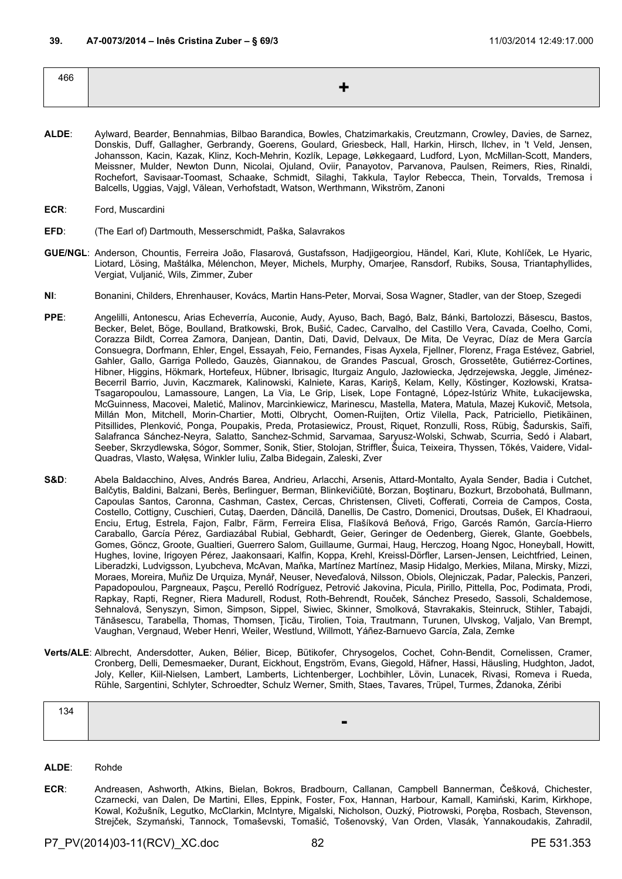| 466 |   |
|-----|---|
|     | - |
|     |   |

- **ALDE**: Aylward, Bearder, Bennahmias, Bilbao Barandica, Bowles, Chatzimarkakis, Creutzmann, Crowley, Davies, de Sarnez, Donskis, Duff, Gallagher, Gerbrandy, Goerens, Goulard, Griesbeck, Hall, Harkin, Hirsch, Ilchev, in 't Veld, Jensen, Johansson, Kacin, Kazak, Klinz, Koch-Mehrin, Kozlík, Lepage, Løkkegaard, Ludford, Lyon, McMillan-Scott, Manders, Meissner, Mulder, Newton Dunn, Nicolai, Ojuland, Oviir, Panayotov, Parvanova, Paulsen, Reimers, Ries, Rinaldi, Rochefort, Savisaar-Toomast, Schaake, Schmidt, Silaghi, Takkula, Taylor Rebecca, Thein, Torvalds, Tremosa i Balcells, Uggias, Vajgl, Vălean, Verhofstadt, Watson, Werthmann, Wikström, Zanoni
- **ECR**: Ford, Muscardini
- **EFD**: (The Earl of) Dartmouth, Messerschmidt, Paška, Salavrakos
- **GUE/NGL**: Anderson, Chountis, Ferreira João, Flasarová, Gustafsson, Hadjigeorgiou, Händel, Kari, Klute, Kohlíček, Le Hyaric, Liotard, Lösing, Maštálka, Mélenchon, Meyer, Michels, Murphy, Omarjee, Ransdorf, Rubiks, Sousa, Triantaphyllides, Vergiat, Vuljanić, Wils, Zimmer, Zuber
- **NI**: Bonanini, Childers, Ehrenhauser, Kovács, Martin Hans-Peter, Morvai, Sosa Wagner, Stadler, van der Stoep, Szegedi
- PPE: Angelilli, Antonescu, Arias Echeverría, Auconie, Audy, Ayuso, Bach, Bagó, Balz, Bánki, Bartolozzi, Băsescu, Bastos, Becker, Belet, Böge, Boulland, Bratkowski, Brok, Bušić, Cadec, Carvalho, del Castillo Vera, Cavada, Coelho, Comi, Corazza Bildt, Correa Zamora, Danjean, Dantin, Dati, David, Delvaux, De Mita, De Veyrac, Díaz de Mera García Consuegra, Dorfmann, Ehler, Engel, Essayah, Feio, Fernandes, Fisas Ayxela, Fjellner, Florenz, Fraga Estévez, Gabriel, Gahler, Gallo, Garriga Polledo, Gauzès, Giannakou, de Grandes Pascual, Grosch, Grossetête, Gutiérrez-Cortines, Hibner, Higgins, Hökmark, Hortefeux, Hübner, Ibrisagic, Iturgaiz Angulo, Jazłowiecka, Jędrzejewska, Jeggle, Jiménez-Becerril Barrio, Juvin, Kaczmarek, Kalinowski, Kalniete, Karas, Kariņš, Kelam, Kelly, Köstinger, Kozłowski, Kratsa-Tsagaropoulou, Lamassoure, Langen, La Via, Le Grip, Lisek, Lope Fontagné, López-Istúriz White, Łukacijewska, McGuinness, Macovei, Maletić, Malinov, Marcinkiewicz, Marinescu, Mastella, Matera, Matula, Mazej Kukovič, Metsola, Millán Mon, Mitchell, Morin-Chartier, Motti, Olbrycht, Oomen-Ruijten, Ortiz Vilella, Pack, Patriciello, Pietikäinen, Pitsillides, Plenković, Ponga, Poupakis, Preda, Protasiewicz, Proust, Riquet, Ronzulli, Ross, Rübig, Šadurskis, Saïfi, Salafranca Sánchez-Neyra, Salatto, Sanchez-Schmid, Sarvamaa, Saryusz-Wolski, Schwab, Scurria, Sedó i Alabart, Seeber, Skrzydlewska, Sógor, Sommer, Sonik, Stier, Stolojan, Striffler, Šuica, Teixeira, Thyssen, Tőkés, Vaidere, Vidal-Quadras, Vlasto, Wałęsa, Winkler Iuliu, Zalba Bidegain, Zaleski, Zver
- **S&D**: Abela Baldacchino, Alves, Andrés Barea, Andrieu, Arlacchi, Arsenis, Attard-Montalto, Ayala Sender, Badia i Cutchet, Balčytis, Baldini, Balzani, Berès, Berlinguer, Berman, Blinkevičiūtė, Borzan, Boştinaru, Bozkurt, Brzobohatá, Bullmann, Capoulas Santos, Caronna, Cashman, Castex, Cercas, Christensen, Cliveti, Cofferati, Correia de Campos, Costa, Costello, Cottigny, Cuschieri, Cutaş, Daerden, Dăncilă, Danellis, De Castro, Domenici, Droutsas, Dušek, El Khadraoui, Enciu, Ertug, Estrela, Fajon, Falbr, Färm, Ferreira Elisa, Flašíková Beňová, Frigo, Garcés Ramón, García-Hierro Caraballo, García Pérez, Gardiazábal Rubial, Gebhardt, Geier, Geringer de Oedenberg, Gierek, Glante, Goebbels, Gomes, Göncz, Groote, Gualtieri, Guerrero Salom, Guillaume, Gurmai, Haug, Herczog, Hoang Ngoc, Honeyball, Howitt, Hughes, Iovine, Irigoyen Pérez, Jaakonsaari, Kalfin, Koppa, Krehl, Kreissl-Dörfler, Larsen-Jensen, Leichtfried, Leinen, Liberadzki, Ludvigsson, Lyubcheva, McAvan, Maňka, Martínez Martínez, Masip Hidalgo, Merkies, Milana, Mirsky, Mizzi, Moraes, Moreira, Muñiz De Urquiza, Mynář, Neuser, Neveďalová, Nilsson, Obiols, Olejniczak, Padar, Paleckis, Panzeri, Papadopoulou, Pargneaux, Paşcu, Perelló Rodríguez, Petrović Jakovina, Picula, Pirillo, Pittella, Poc, Podimata, Prodi, Rapkay, Rapti, Regner, Riera Madurell, Rodust, Roth-Behrendt, Rouček, Sánchez Presedo, Sassoli, Schaldemose, Sehnalová, Senyszyn, Simon, Simpson, Sippel, Siwiec, Skinner, Smolková, Stavrakakis, Steinruck, Stihler, Tabajdi, Tănăsescu, Tarabella, Thomas, Thomsen, Ţicău, Tirolien, Toia, Trautmann, Turunen, Ulvskog, Valjalo, Van Brempt, Vaughan, Vergnaud, Weber Henri, Weiler, Westlund, Willmott, Yáñez-Barnuevo García, Zala, Zemke
- **Verts/ALE**: Albrecht, Andersdotter, Auken, Bélier, Bicep, Bütikofer, Chrysogelos, Cochet, Cohn-Bendit, Cornelissen, Cramer, Cronberg, Delli, Demesmaeker, Durant, Eickhout, Engström, Evans, Giegold, Häfner, Hassi, Häusling, Hudghton, Jadot, Joly, Keller, Kiil-Nielsen, Lambert, Lamberts, Lichtenberger, Lochbihler, Lövin, Lunacek, Rivasi, Romeva i Rueda, Rühle, Sargentini, Schlyter, Schroedter, Schulz Werner, Smith, Staes, Tavares, Trüpel, Turmes, Ždanoka, Zéribi

| 134 |  |
|-----|--|
|     |  |
|     |  |

- **ALDE**: Rohde
- **ECR**: Andreasen, Ashworth, Atkins, Bielan, Bokros, Bradbourn, Callanan, Campbell Bannerman, Češková, Chichester, Czarnecki, van Dalen, De Martini, Elles, Eppink, Foster, Fox, Hannan, Harbour, Kamall, Kamiński, Karim, Kirkhope, Kowal, Kožušník, Legutko, McClarkin, McIntyre, Migalski, Nicholson, Ouzký, Piotrowski, Poręba, Rosbach, Stevenson, Strejček, Szymański, Tannock, Tomaševski, Tomašić, Tošenovský, Van Orden, Vlasák, Yannakoudakis, Zahradil,

P7\_PV(2014)03-11(RCV)\_XC.doc 82 82 PE 531.353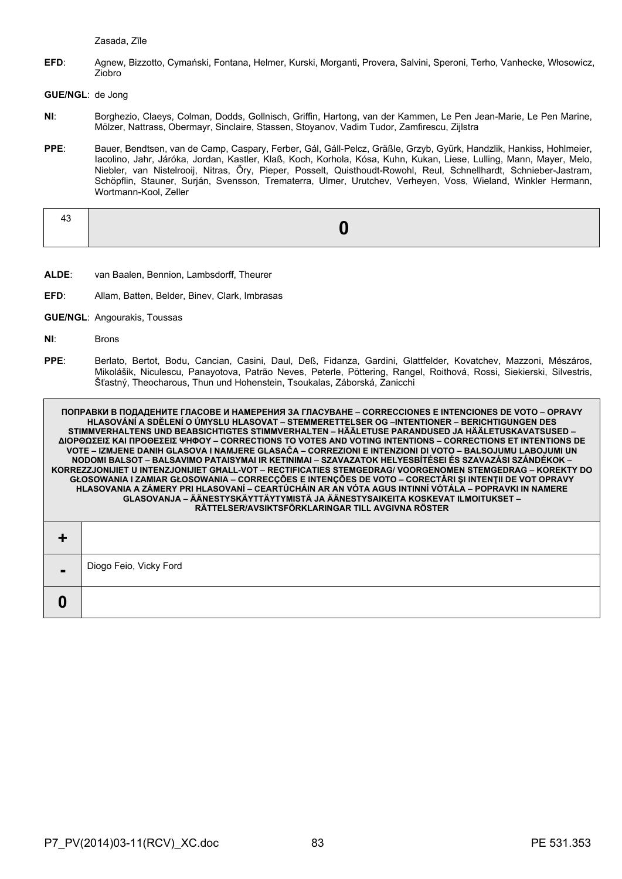Zasada, Zīle

- **EFD**: Agnew, Bizzotto, Cymański, Fontana, Helmer, Kurski, Morganti, Provera, Salvini, Speroni, Terho, Vanhecke, Włosowicz, Ziobro
- **GUE/NGL**: de Jong
- **NI**: Borghezio, Claeys, Colman, Dodds, Gollnisch, Griffin, Hartong, van der Kammen, Le Pen Jean-Marie, Le Pen Marine, Mölzer, Nattrass, Obermayr, Sinclaire, Stassen, Stoyanov, Vadim Tudor, Zamfirescu, Zijlstra
- **PPE**: Bauer, Bendtsen, van de Camp, Caspary, Ferber, Gál, Gáll-Pelcz, Gräßle, Grzyb, Gyürk, Handzlik, Hankiss, Hohlmeier, Iacolino, Jahr, Járóka, Jordan, Kastler, Klaß, Koch, Korhola, Kósa, Kuhn, Kukan, Liese, Lulling, Mann, Mayer, Melo, Niebler, van Nistelrooij, Nitras, Őry, Pieper, Posselt, Quisthoudt-Rowohl, Reul, Schnellhardt, Schnieber-Jastram, Schöpflin, Stauner, Surján, Svensson, Trematerra, Ulmer, Urutchev, Verheyen, Voss, Wieland, Winkler Hermann, Wortmann-Kool, Zeller

- **ALDE**: van Baalen, Bennion, Lambsdorff, Theurer
- **EFD**: Allam, Batten, Belder, Binev, Clark, Imbrasas
- **GUE/NGL**: Angourakis, Toussas
- **NI**: Brons
- **PPE**: Berlato, Bertot, Bodu, Cancian, Casini, Daul, Deß, Fidanza, Gardini, Glattfelder, Kovatchev, Mazzoni, Mészáros, Mikolášik, Niculescu, Panayotova, Patrão Neves, Peterle, Pöttering, Rangel, Roithová, Rossi, Siekierski, Silvestris, Šťastný, Theocharous, Thun und Hohenstein, Tsoukalas, Záborská, Zanicchi

**ПОПРАВКИ В ПОДАДЕНИТЕ ГЛАСОВЕ И НАМЕРЕНИЯ ЗА ГЛАСУВАНЕ – CORRECCIONES E INTENCIONES DE VOTO – OPRAVY HLASOVÁNÍ A SDĚLENÍ O ÚMYSLU HLASOVAT – STEMMERETTELSER OG –INTENTIONER – BERICHTIGUNGEN DES STIMMVERHALTENS UND BEABSICHTIGTES STIMMVERHALTEN – HÄÄLETUSE PARANDUSED JA HÄÄLETUSKAVATSUSED – ΔΙΟΡΘΩΣΕΙΣ ΚΑΙ ΠΡΟΘΕΣΕΙΣ ΨΗΦΟΥ – CORRECTIONS TO VOTES AND VOTING INTENTIONS – CORRECTIONS ET INTENTIONS DE VOTE – IZMJENE DANIH GLASOVA I NAMJERE GLASAČA – CORREZIONI E INTENZIONI DI VOTO – BALSOJUMU LABOJUMI UN NODOMI BALSOT – BALSAVIMO PATAISYMAI IR KETINIMAI – SZAVAZATOK HELYESBÍTÉSEI ÉS SZAVAZÁSI SZÁNDÉKOK – KORREZZJONIJIET U INTENZJONIJIET GĦALL-VOT – RECTIFICATIES STEMGEDRAG/ VOORGENOMEN STEMGEDRAG – KOREKTY DO GŁOSOWANIA I ZAMIAR GŁOSOWANIA – CORRECÇÕES E INTENÇÕES DE VOTO – CORECTĂRI ŞI INTENŢII DE VOT OPRAVY HLASOVANIA A ZÁMERY PRI HLASOVANÍ – CEARTÚCHÁIN AR AN VÓTA AGUS INTINNÍ VÓTÁLA – POPRAVKI IN NAMERE GLASOVANJA – ÄÄNESTYSKÄYTTÄYTYMISTÄ JA ÄÄNESTYSAIKEITA KOSKEVAT ILMOITUKSET – RÄTTELSER/AVSIKTSFÖRKLARINGAR TILL AVGIVNA RÖSTER +**

| $\blacksquare$ | Diogo Feio, Vicky Ford |
|----------------|------------------------|
|                |                        |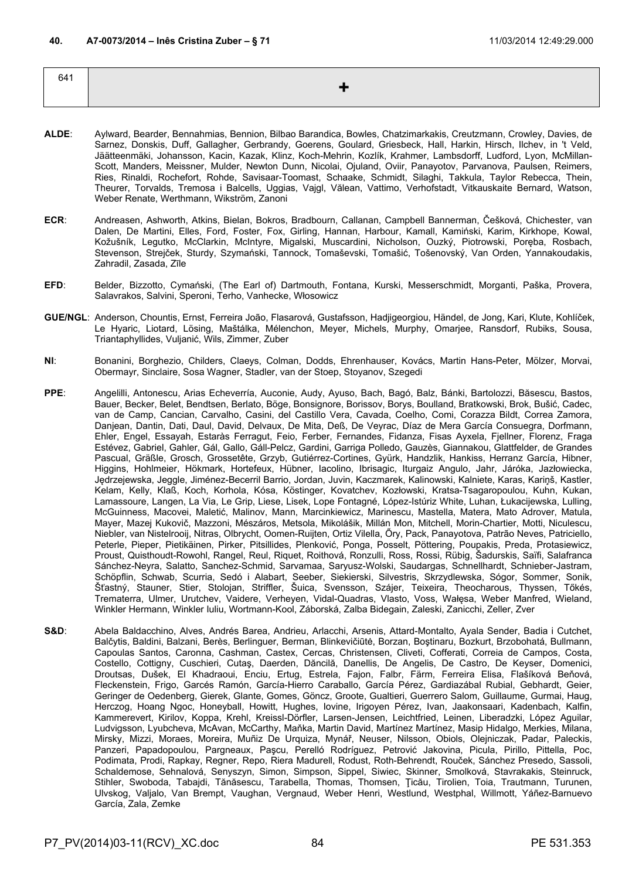641 **+**

- **ALDE**: Aylward, Bearder, Bennahmias, Bennion, Bilbao Barandica, Bowles, Chatzimarkakis, Creutzmann, Crowley, Davies, de Sarnez, Donskis, Duff, Gallagher, Gerbrandy, Goerens, Goulard, Griesbeck, Hall, Harkin, Hirsch, Ilchev, in 't Veld, Jäätteenmäki, Johansson, Kacin, Kazak, Klinz, Koch-Mehrin, Kozlík, Krahmer, Lambsdorff, Ludford, Lyon, McMillan-Scott, Manders, Meissner, Mulder, Newton Dunn, Nicolai, Ojuland, Oviir, Panayotov, Parvanova, Paulsen, Reimers, Ries, Rinaldi, Rochefort, Rohde, Savisaar-Toomast, Schaake, Schmidt, Silaghi, Takkula, Taylor Rebecca, Thein, Theurer, Torvalds, Tremosa i Balcells, Uggias, Vajgl, Vălean, Vattimo, Verhofstadt, Vitkauskaite Bernard, Watson, Weber Renate, Werthmann, Wikström, Zanoni
- **ECR**: Andreasen, Ashworth, Atkins, Bielan, Bokros, Bradbourn, Callanan, Campbell Bannerman, Češková, Chichester, van Dalen, De Martini, Elles, Ford, Foster, Fox, Girling, Hannan, Harbour, Kamall, Kamiński, Karim, Kirkhope, Kowal, Kožušník, Legutko, McClarkin, McIntyre, Migalski, Muscardini, Nicholson, Ouzký, Piotrowski, Poręba, Rosbach, Stevenson, Strejček, Sturdy, Szymański, Tannock, Tomaševski, Tomašić, Tošenovský, Van Orden, Yannakoudakis, Zahradil, Zasada, Zīle
- **EFD**: Belder, Bizzotto, Cymański, (The Earl of) Dartmouth, Fontana, Kurski, Messerschmidt, Morganti, Paška, Provera, Salavrakos, Salvini, Speroni, Terho, Vanhecke, Włosowicz
- **GUE/NGL**: Anderson, Chountis, Ernst, Ferreira João, Flasarová, Gustafsson, Hadjigeorgiou, Händel, de Jong, Kari, Klute, Kohlíček, Le Hyaric, Liotard, Lösing, Maštálka, Mélenchon, Meyer, Michels, Murphy, Omarjee, Ransdorf, Rubiks, Sousa, Triantaphyllides, Vuljanić, Wils, Zimmer, Zuber
- **NI**: Bonanini, Borghezio, Childers, Claeys, Colman, Dodds, Ehrenhauser, Kovács, Martin Hans-Peter, Mölzer, Morvai, Obermayr, Sinclaire, Sosa Wagner, Stadler, van der Stoep, Stoyanov, Szegedi
- PPE: Angelilli, Antonescu, Arias Echeverría, Auconie, Audy, Ayuso, Bach, Bagó, Balz, Bánki, Bartolozzi, Băsescu, Bastos, Bauer, Becker, Belet, Bendtsen, Berlato, Böge, Bonsignore, Borissov, Borys, Boulland, Bratkowski, Brok, Bušić, Cadec, van de Camp, Cancian, Carvalho, Casini, del Castillo Vera, Cavada, Coelho, Comi, Corazza Bildt, Correa Zamora, Danjean, Dantin, Dati, Daul, David, Delvaux, De Mita, Deß, De Veyrac, Díaz de Mera García Consuegra, Dorfmann, Ehler, Engel, Essayah, Estaràs Ferragut, Feio, Ferber, Fernandes, Fidanza, Fisas Ayxela, Fjellner, Florenz, Fraga Estévez, Gabriel, Gahler, Gál, Gallo, Gáll-Pelcz, Gardini, Garriga Polledo, Gauzès, Giannakou, Glattfelder, de Grandes Pascual, Gräßle, Grosch, Grossetête, Grzyb, Gutiérrez-Cortines, Gyürk, Handzlik, Hankiss, Herranz García, Hibner, Higgins, Hohlmeier, Hökmark, Hortefeux, Hübner, Iacolino, Ibrisagic, Iturgaiz Angulo, Jahr, Járóka, Jazłowiecka, Jędrzejewska, Jeggle, Jiménez-Becerril Barrio, Jordan, Juvin, Kaczmarek, Kalinowski, Kalniete, Karas, Kariņš, Kastler, Kelam, Kelly, Klaß, Koch, Korhola, Kósa, Köstinger, Kovatchev, Kozłowski, Kratsa-Tsagaropoulou, Kuhn, Kukan, Lamassoure, Langen, La Via, Le Grip, Liese, Lisek, Lope Fontagné, López-Istúriz White, Luhan, Łukacijewska, Lulling, McGuinness, Macovei, Maletić, Malinov, Mann, Marcinkiewicz, Marinescu, Mastella, Matera, Mato Adrover, Matula, Mayer, Mazej Kukovič, Mazzoni, Mészáros, Metsola, Mikolášik, Millán Mon, Mitchell, Morin-Chartier, Motti, Niculescu, Niebler, van Nistelrooij, Nitras, Olbrycht, Oomen-Ruijten, Ortiz Vilella, Őry, Pack, Panayotova, Patrão Neves, Patriciello, Peterle, Pieper, Pietikäinen, Pirker, Pitsillides, Plenković, Ponga, Posselt, Pöttering, Poupakis, Preda, Protasiewicz, Proust, Quisthoudt-Rowohl, Rangel, Reul, Riquet, Roithová, Ronzulli, Ross, Rossi, Rübig, Šadurskis, Saïfi, Salafranca Sánchez-Neyra, Salatto, Sanchez-Schmid, Sarvamaa, Saryusz-Wolski, Saudargas, Schnellhardt, Schnieber-Jastram, Schöpflin, Schwab, Scurria, Sedó i Alabart, Seeber, Siekierski, Silvestris, Skrzydlewska, Sógor, Sommer, Sonik, Šťastný, Stauner, Stier, Stolojan, Striffler, Šuica, Svensson, Szájer, Teixeira, Theocharous, Thyssen, Tőkés, Trematerra, Ulmer, Urutchev, Vaidere, Verheyen, Vidal-Quadras, Vlasto, Voss, Wałęsa, Weber Manfred, Wieland, Winkler Hermann, Winkler Iuliu, Wortmann-Kool, Záborská, Zalba Bidegain, Zaleski, Zanicchi, Zeller, Zver
- **S&D**: Abela Baldacchino, Alves, Andrés Barea, Andrieu, Arlacchi, Arsenis, Attard-Montalto, Ayala Sender, Badia i Cutchet, Balčytis, Baldini, Balzani, Berès, Berlinguer, Berman, Blinkevičiūtė, Borzan, Boştinaru, Bozkurt, Brzobohatá, Bullmann, Capoulas Santos, Caronna, Cashman, Castex, Cercas, Christensen, Cliveti, Cofferati, Correia de Campos, Costa, Costello, Cottigny, Cuschieri, Cutaş, Daerden, Dăncilă, Danellis, De Angelis, De Castro, De Keyser, Domenici, Droutsas, Dušek, El Khadraoui, Enciu, Ertug, Estrela, Fajon, Falbr, Färm, Ferreira Elisa, Flašíková Beňová, Fleckenstein, Frigo, Garcés Ramón, García-Hierro Caraballo, García Pérez, Gardiazábal Rubial, Gebhardt, Geier, Geringer de Oedenberg, Gierek, Glante, Gomes, Göncz, Groote, Gualtieri, Guerrero Salom, Guillaume, Gurmai, Haug, Herczog, Hoang Ngoc, Honeyball, Howitt, Hughes, Iovine, Irigoyen Pérez, Ivan, Jaakonsaari, Kadenbach, Kalfin, Kammerevert, Kirilov, Koppa, Krehl, Kreissl-Dörfler, Larsen-Jensen, Leichtfried, Leinen, Liberadzki, López Aguilar, Ludvigsson, Lyubcheva, McAvan, McCarthy, Maňka, Martin David, Martínez Martínez, Masip Hidalgo, Merkies, Milana, Mirsky, Mizzi, Moraes, Moreira, Muñiz De Urquiza, Mynář, Neuser, Nilsson, Obiols, Olejniczak, Padar, Paleckis, Panzeri, Papadopoulou, Pargneaux, Paşcu, Perelló Rodríguez, Petrović Jakovina, Picula, Pirillo, Pittella, Poc, Podimata, Prodi, Rapkay, Regner, Repo, Riera Madurell, Rodust, Roth-Behrendt, Rouček, Sánchez Presedo, Sassoli, Schaldemose, Sehnalová, Senyszyn, Simon, Simpson, Sippel, Siwiec, Skinner, Smolková, Stavrakakis, Steinruck, Stihler, Swoboda, Tabajdi, Tănăsescu, Tarabella, Thomas, Thomsen, Ţicău, Tirolien, Toia, Trautmann, Turunen, Ulvskog, Valjalo, Van Brempt, Vaughan, Vergnaud, Weber Henri, Westlund, Westphal, Willmott, Yáñez-Barnuevo García, Zala, Zemke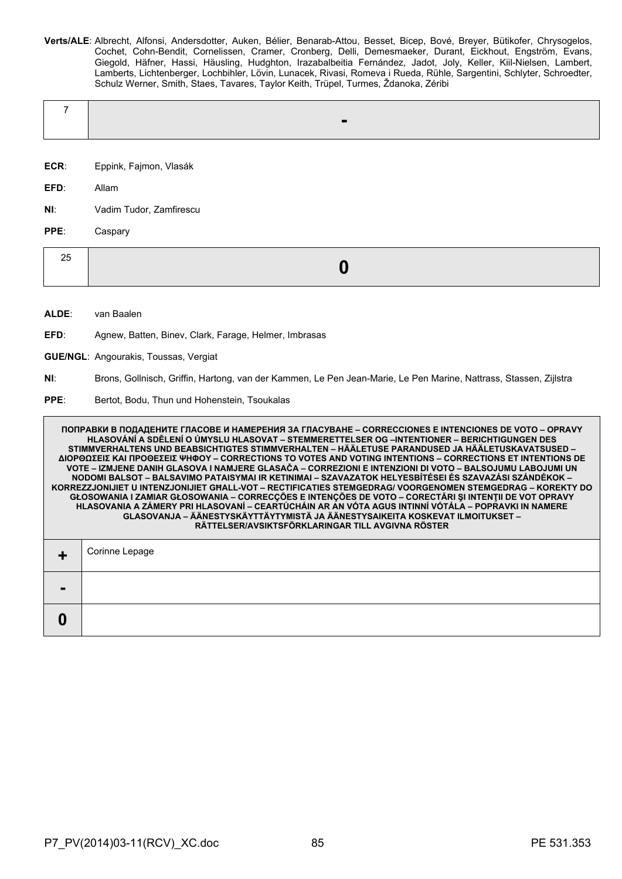**Verts/ALE**: Albrecht, Alfonsi, Andersdotter, Auken, Bélier, Benarab-Attou, Besset, Bicep, Bové, Breyer, Bütikofer, Chrysogelos, Cochet, Cohn-Bendit, Cornelissen, Cramer, Cronberg, Delli, Demesmaeker, Durant, Eickhout, Engström, Evans, Giegold, Häfner, Hassi, Häusling, Hudghton, Irazabalbeitia Fernández, Jadot, Joly, Keller, Kiil-Nielsen, Lambert, Lamberts, Lichtenberger, Lochbihler, Lövin, Lunacek, Rivasi, Romeva i Rueda, Rühle, Sargentini, Schlyter, Schroedter, Schulz Werner, Smith, Staes, Tavares, Taylor Keith, Trüpel, Turmes, Ždanoka, Zéribi

- **ECR**: Eppink, Fajmon, Vlasák
- **EFD**: Allam

**NI**: Vadim Tudor, Zamfirescu

**PPE**: Caspary

| Z. |  |
|----|--|
|    |  |

- **ALDE**: van Baalen
- **EFD**: Agnew, Batten, Binev, Clark, Farage, Helmer, Imbrasas
- **GUE/NGL**: Angourakis, Toussas, Vergiat
- **NI**: Brons, Gollnisch, Griffin, Hartong, van der Kammen, Le Pen Jean-Marie, Le Pen Marine, Nattrass, Stassen, Zijlstra
- **PPE**: Bertot, Bodu, Thun und Hohenstein, Tsoukalas

| ПОПРАВКИ В ПОДАДЕНИТЕ ГЛАСОВЕ И НАМЕРЕНИЯ ЗА ГЛАСУВАНЕ - CORRECCIONES E INTENCIONES DE VOTO - OPRAVY<br>HLASOVÁNÍ A SDĚLENÍ O ÚMYSLU HLASOVAT – STEMMERETTELSER OG –INTENTIONER – BERICHTIGUNGEN DES<br>STIMMVERHALTENS UND BEABSICHTIGTES STIMMVERHALTEN – HÄÄLETUSE PARANDUSED JA HÄÄLETUSKAVATSUSED –<br>ΔΙΟΡΘΩΣΕΙΣ ΚΑΙ ΠΡΟΘΕΣΕΙΣ ΨΗΦΟΥ – CORRECTIONS TO VOTES AND VOTING INTENTIONS – CORRECTIONS ET INTENTIONS DE<br>VOTE – IZMJENE DANIH GLASOVA I NAMJERE GLASAČA – CORREZIONI E INTENZIONI DI VOTO – BALSOJUMU LABOJUMI UN<br>NODOMI BALSOT – BALSAVIMO PATAISYMAI IR KETINIMAI – SZAVAZATOK HELYESBÍTÉSEI ÉS SZAVAZÁSI SZÁNDÉKOK –<br>KORREZZJONIJIET U INTENZJONIJIET GHALL-VOT – RECTIFICATIES STEMGEDRAG/ VOORGENOMEN STEMGEDRAG – KOREKTY DO<br>GŁOSOWANIA I ZAMIAR GŁOSOWANIA – CORRECÇÕES E INTENÇÕES DE VOTO – CORECTĂRI ȘI INTENȚII DE VOT OPRAVY<br>HLASOVANIA A ZÁMERY PRI HLASOVANÍ – CEARTÚCHÁIN AR AN VÓTA AGUS INTINNÍ VÓTÁLA – POPRAVKI IN NAMERE<br>GLASOVANJA – ÄÄNESTYSKÄYTTÄYTYMISTÄ JA ÄÄNESTYSAIKEITA KOSKEVAT ILMOITUKSET –<br>RÄTTELSER/AVSIKTSFÖRKLARINGAR TILL AVGIVNA RÖSTER |
|-----------------------------------------------------------------------------------------------------------------------------------------------------------------------------------------------------------------------------------------------------------------------------------------------------------------------------------------------------------------------------------------------------------------------------------------------------------------------------------------------------------------------------------------------------------------------------------------------------------------------------------------------------------------------------------------------------------------------------------------------------------------------------------------------------------------------------------------------------------------------------------------------------------------------------------------------------------------------------------------------------------------------------------------------------------------------------------------------------------------|
| Corinne Lepage                                                                                                                                                                                                                                                                                                                                                                                                                                                                                                                                                                                                                                                                                                                                                                                                                                                                                                                                                                                                                                                                                                  |
|                                                                                                                                                                                                                                                                                                                                                                                                                                                                                                                                                                                                                                                                                                                                                                                                                                                                                                                                                                                                                                                                                                                 |
|                                                                                                                                                                                                                                                                                                                                                                                                                                                                                                                                                                                                                                                                                                                                                                                                                                                                                                                                                                                                                                                                                                                 |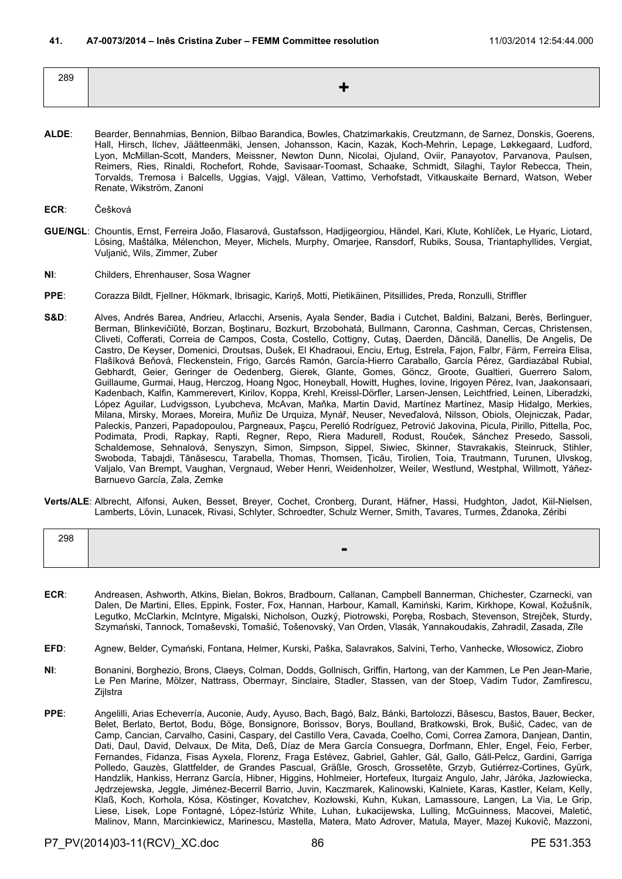| 289 |  |
|-----|--|
|     |  |

- **ALDE**: Bearder, Bennahmias, Bennion, Bilbao Barandica, Bowles, Chatzimarkakis, Creutzmann, de Sarnez, Donskis, Goerens, Hall, Hirsch, Ilchev, Jäätteenmäki, Jensen, Johansson, Kacin, Kazak, Koch-Mehrin, Lepage, Løkkegaard, Ludford, Lyon, McMillan-Scott, Manders, Meissner, Newton Dunn, Nicolai, Ojuland, Oviir, Panayotov, Parvanova, Paulsen, Reimers, Ries, Rinaldi, Rochefort, Rohde, Savisaar-Toomast, Schaake, Schmidt, Silaghi, Taylor Rebecca, Thein, Torvalds, Tremosa i Balcells, Uggias, Vajgl, Vălean, Vattimo, Verhofstadt, Vitkauskaite Bernard, Watson, Weber Renate, Wikström, Zanoni
- **ECR**: Češková
- **GUE/NGL**: Chountis, Ernst, Ferreira João, Flasarová, Gustafsson, Hadjigeorgiou, Händel, Kari, Klute, Kohlíček, Le Hyaric, Liotard, Lösing, Maštálka, Mélenchon, Meyer, Michels, Murphy, Omarjee, Ransdorf, Rubiks, Sousa, Triantaphyllides, Vergiat, Vuljanić, Wils, Zimmer, Zuber
- **NI**: Childers, Ehrenhauser, Sosa Wagner
- **PPE**: Corazza Bildt, Fjellner, Hökmark, Ibrisagic, Kariņš, Motti, Pietikäinen, Pitsillides, Preda, Ronzulli, Striffler
- **S&D**: Alves, Andrés Barea, Andrieu, Arlacchi, Arsenis, Ayala Sender, Badia i Cutchet, Baldini, Balzani, Berès, Berlinguer, Berman, Blinkevičiūtė, Borzan, Boştinaru, Bozkurt, Brzobohatá, Bullmann, Caronna, Cashman, Cercas, Christensen, Cliveti, Cofferati, Correia de Campos, Costa, Costello, Cottigny, Cutaş, Daerden, Dăncilă, Danellis, De Angelis, De Castro, De Keyser, Domenici, Droutsas, Dušek, El Khadraoui, Enciu, Ertug, Estrela, Fajon, Falbr, Färm, Ferreira Elisa, Flašíková Beňová, Fleckenstein, Frigo, Garcés Ramón, García-Hierro Caraballo, García Pérez, Gardiazábal Rubial, Gebhardt, Geier, Geringer de Oedenberg, Gierek, Glante, Gomes, Göncz, Groote, Gualtieri, Guerrero Salom, Guillaume, Gurmai, Haug, Herczog, Hoang Ngoc, Honeyball, Howitt, Hughes, Iovine, Irigoyen Pérez, Ivan, Jaakonsaari, Kadenbach, Kalfin, Kammerevert, Kirilov, Koppa, Krehl, Kreissl-Dörfler, Larsen-Jensen, Leichtfried, Leinen, Liberadzki, López Aguilar, Ludvigsson, Lyubcheva, McAvan, Maňka, Martin David, Martínez Martínez, Masip Hidalgo, Merkies, Milana, Mirsky, Moraes, Moreira, Muñiz De Urquiza, Mynář, Neuser, Neveďalová, Nilsson, Obiols, Olejniczak, Padar, Paleckis, Panzeri, Papadopoulou, Pargneaux, Paşcu, Perelló Rodríguez, Petrović Jakovina, Picula, Pirillo, Pittella, Poc, Podimata, Prodi, Rapkay, Rapti, Regner, Repo, Riera Madurell, Rodust, Rouček, Sánchez Presedo, Sassoli, Schaldemose, Sehnalová, Senyszyn, Simon, Simpson, Sippel, Siwiec, Skinner, Stavrakakis, Steinruck, Stihler, Swoboda, Tabajdi, Tănăsescu, Tarabella, Thomas, Thomsen, Ţicău, Tirolien, Toia, Trautmann, Turunen, Ulvskog, Valjalo, Van Brempt, Vaughan, Vergnaud, Weber Henri, Weidenholzer, Weiler, Westlund, Westphal, Willmott, Yáñez-Barnuevo García, Zala, Zemke
- **Verts/ALE**: Albrecht, Alfonsi, Auken, Besset, Breyer, Cochet, Cronberg, Durant, Häfner, Hassi, Hudghton, Jadot, Kiil-Nielsen, Lamberts, Lövin, Lunacek, Rivasi, Schlyter, Schroedter, Schulz Werner, Smith, Tavares, Turmes, Ždanoka, Zéribi

| 298 |                |
|-----|----------------|
|     | $\blacksquare$ |

- **ECR**: Andreasen, Ashworth, Atkins, Bielan, Bokros, Bradbourn, Callanan, Campbell Bannerman, Chichester, Czarnecki, van Dalen, De Martini, Elles, Eppink, Foster, Fox, Hannan, Harbour, Kamall, Kamiński, Karim, Kirkhope, Kowal, Kožušník, Legutko, McClarkin, McIntyre, Migalski, Nicholson, Ouzký, Piotrowski, Poręba, Rosbach, Stevenson, Strejček, Sturdy, Szymański, Tannock, Tomaševski, Tomašić, Tošenovský, Van Orden, Vlasák, Yannakoudakis, Zahradil, Zasada, Zīle
- **EFD**: Agnew, Belder, Cymański, Fontana, Helmer, Kurski, Paška, Salavrakos, Salvini, Terho, Vanhecke, Włosowicz, Ziobro
- **NI**: Bonanini, Borghezio, Brons, Claeys, Colman, Dodds, Gollnisch, Griffin, Hartong, van der Kammen, Le Pen Jean-Marie, Le Pen Marine, Mölzer, Nattrass, Obermayr, Sinclaire, Stadler, Stassen, van der Stoep, Vadim Tudor, Zamfirescu, Zijlstra
- **PPE**: Angelilli, Arias Echeverría, Auconie, Audy, Ayuso, Bach, Bagó, Balz, Bánki, Bartolozzi, Băsescu, Bastos, Bauer, Becker, Belet, Berlato, Bertot, Bodu, Böge, Bonsignore, Borissov, Borys, Boulland, Bratkowski, Brok, Bušić, Cadec, van de Camp, Cancian, Carvalho, Casini, Caspary, del Castillo Vera, Cavada, Coelho, Comi, Correa Zamora, Danjean, Dantin, Dati, Daul, David, Delvaux, De Mita, Deß, Díaz de Mera García Consuegra, Dorfmann, Ehler, Engel, Feio, Ferber, Fernandes, Fidanza, Fisas Ayxela, Florenz, Fraga Estévez, Gabriel, Gahler, Gál, Gallo, Gáll-Pelcz, Gardini, Garriga Polledo, Gauzès, Glattfelder, de Grandes Pascual, Gräßle, Grosch, Grossetête, Grzyb, Gutiérrez-Cortines, Gyürk, Handzlik, Hankiss, Herranz García, Hibner, Higgins, Hohlmeier, Hortefeux, Iturgaiz Angulo, Jahr, Járóka, Jazłowiecka, Jędrzejewska, Jeggle, Jiménez-Becerril Barrio, Juvin, Kaczmarek, Kalinowski, Kalniete, Karas, Kastler, Kelam, Kelly, Klaß, Koch, Korhola, Kósa, Köstinger, Kovatchev, Kozłowski, Kuhn, Kukan, Lamassoure, Langen, La Via, Le Grip, Liese, Lisek, Lope Fontagné, López-Istúriz White, Luhan, Łukacijewska, Lulling, McGuinness, Macovei, Maletić, Malinov, Mann, Marcinkiewicz, Marinescu, Mastella, Matera, Mato Adrover, Matula, Mayer, Mazej Kukovič, Mazzoni,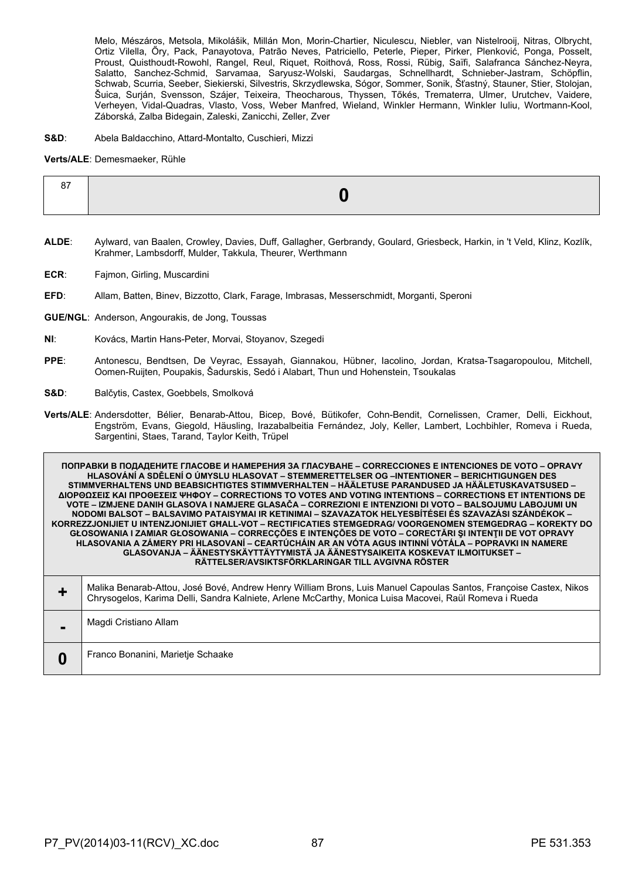Melo, Mészáros, Metsola, Mikolášik, Millán Mon, Morin-Chartier, Niculescu, Niebler, van Nistelrooij, Nitras, Olbrycht, Ortiz Vilella, Őry, Pack, Panayotova, Patrão Neves, Patriciello, Peterle, Pieper, Pirker, Plenković, Ponga, Posselt, Proust, Quisthoudt-Rowohl, Rangel, Reul, Riquet, Roithová, Ross, Rossi, Rübig, Saïfi, Salafranca Sánchez-Neyra, Salatto, Sanchez-Schmid, Sarvamaa, Saryusz-Wolski, Saudargas, Schnellhardt, Schnieber-Jastram, Schöpflin, Schwab, Scurria, Seeber, Siekierski, Silvestris, Skrzydlewska, Sógor, Sommer, Sonik, Šťastný, Stauner, Stier, Stolojan, Šuica, Surján, Svensson, Szájer, Teixeira, Theocharous, Thyssen, Tőkés, Trematerra, Ulmer, Urutchev, Vaidere, Verheyen, Vidal-Quadras, Vlasto, Voss, Weber Manfred, Wieland, Winkler Hermann, Winkler Iuliu, Wortmann-Kool, Záborská, Zalba Bidegain, Zaleski, Zanicchi, Zeller, Zver

### **S&D**: Abela Baldacchino, Attard-Montalto, Cuschieri, Mizzi

#### **Verts/ALE**: Demesmaeker, Rühle

|--|

- **ALDE**: Aylward, van Baalen, Crowley, Davies, Duff, Gallagher, Gerbrandy, Goulard, Griesbeck, Harkin, in 't Veld, Klinz, Kozlík, Krahmer, Lambsdorff, Mulder, Takkula, Theurer, Werthmann
- **ECR:** Fajmon, Girling, Muscardini
- **EFD**: Allam, Batten, Binev, Bizzotto, Clark, Farage, Imbrasas, Messerschmidt, Morganti, Speroni
- **GUE/NGL**: Anderson, Angourakis, de Jong, Toussas
- **NI**: Kovács, Martin Hans-Peter, Morvai, Stoyanov, Szegedi
- **PPE**: Antonescu, Bendtsen, De Veyrac, Essayah, Giannakou, Hübner, Iacolino, Jordan, Kratsa-Tsagaropoulou, Mitchell, Oomen-Ruijten, Poupakis, Šadurskis, Sedó i Alabart, Thun und Hohenstein, Tsoukalas
- **S&D**: Balčytis, Castex, Goebbels, Smolková
- **Verts/ALE**: Andersdotter, Bélier, Benarab-Attou, Bicep, Bové, Bütikofer, Cohn-Bendit, Cornelissen, Cramer, Delli, Eickhout, Engström, Evans, Giegold, Häusling, Irazabalbeitia Fernández, Joly, Keller, Lambert, Lochbihler, Romeva i Rueda, Sargentini, Staes, Tarand, Taylor Keith, Trüpel

| ПОПРАВКИ В ПОДАДЕНИТЕ ГЛАСОВЕ И НАМЕРЕНИЯ ЗА ГЛАСУВАНЕ – CORRECCIONES E INTENCIONES DE VOTO – OPRAVY<br><u> HLASOVÁNÍ A SDĚLENÍ O ÚMYSLU HLASOVAT – STEMMERETTELSER OG –INTENTIONER – BERICHTIGUNGEN DES</u><br>STIMMVERHALTENS UND BEABSICHTIGTES STIMMVERHALTEN – HÄÄLETUSE PARANDUSED JA HÄÄLETUSKAVATSUSED –<br>ΔΙΟΡΘΩΣΕΙΣ ΚΑΙ ΠΡΟΘΕΣΕΙΣ ΨΗΦΟΥ – CORRECTIONS TO VOTES AND VOTING INTENTIONS – CORRECTIONS ET INTENTIONS DE<br>VOTE – IZMJENE DANIH GLASOVA I NAMJERE GLASAČA – CORREZIONI E INTENZIONI DI VOTO – BALSOJUMU LABOJUMI UN<br>NODOMI BALSOT – BALSAVIMO PATAISYMAI IR KETINIMAI – SZAVAZATOK HELYESBÍTÉSEI ÉS SZAVAZÁSI SZÁNDÉKOK –<br>KORREZZJONIJIET U INTENZJONIJIET GHALL-VOT – RECTIFICATIES STEMGEDRAG/ VOORGENOMEN STEMGEDRAG – KOREKTY DO<br>GŁOSOWANIA I ZAMIAR GŁOSOWANIA – CORRECÇÕES E INTENÇÕES DE VOTO – CORECTĂRI ȘI INTENȚII DE VOT OPRAVY<br>HLASOVANIA A ZÁMERY PRI HLASOVANÍ – CEARTÚCHÁIN AR AN VÓTA AGUS INTINNÍ VÓTÁLA – POPRAVKI IN NAMERE<br>GLASOVANJA – ÄÄNESTYSKÄYTTÄYTYMISTÄ JA ÄÄNESTYSAIKEITA KOSKEVAT ILMOITUKSET –<br>RÄTTELSER/AVSIKTSFÖRKLARINGAR TILL AVGIVNA RÖSTER |                                                                                                                                                                                                                             |
|-------------------------------------------------------------------------------------------------------------------------------------------------------------------------------------------------------------------------------------------------------------------------------------------------------------------------------------------------------------------------------------------------------------------------------------------------------------------------------------------------------------------------------------------------------------------------------------------------------------------------------------------------------------------------------------------------------------------------------------------------------------------------------------------------------------------------------------------------------------------------------------------------------------------------------------------------------------------------------------------------------------------------------------------------------------------------------------------------------------------------|-----------------------------------------------------------------------------------------------------------------------------------------------------------------------------------------------------------------------------|
|                                                                                                                                                                                                                                                                                                                                                                                                                                                                                                                                                                                                                                                                                                                                                                                                                                                                                                                                                                                                                                                                                                                         | Malika Benarab-Attou, José Bové, Andrew Henry William Brons, Luis Manuel Capoulas Santos, Françoise Castex, Nikos<br>Chrysogelos, Karima Delli, Sandra Kalniete, Arlene McCarthy, Monica Luisa Macovei, Raül Romeva i Rueda |
|                                                                                                                                                                                                                                                                                                                                                                                                                                                                                                                                                                                                                                                                                                                                                                                                                                                                                                                                                                                                                                                                                                                         | Magdi Cristiano Allam                                                                                                                                                                                                       |
| 0                                                                                                                                                                                                                                                                                                                                                                                                                                                                                                                                                                                                                                                                                                                                                                                                                                                                                                                                                                                                                                                                                                                       | Franco Bonanini, Marietje Schaake                                                                                                                                                                                           |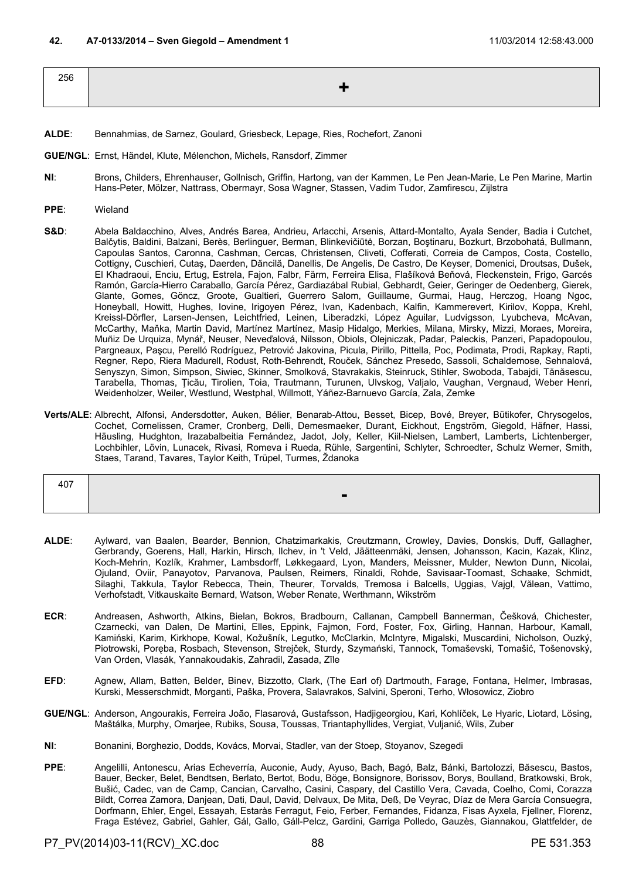| 256 |  |
|-----|--|
|     |  |
|     |  |

**ALDE**: Bennahmias, de Sarnez, Goulard, Griesbeck, Lepage, Ries, Rochefort, Zanoni

**GUE/NGL**: Ernst, Händel, Klute, Mélenchon, Michels, Ransdorf, Zimmer

- **NI**: Brons, Childers, Ehrenhauser, Gollnisch, Griffin, Hartong, van der Kammen, Le Pen Jean-Marie, Le Pen Marine, Martin Hans-Peter, Mölzer, Nattrass, Obermayr, Sosa Wagner, Stassen, Vadim Tudor, Zamfirescu, Zijlstra
- **PPE**: Wieland
- **S&D**: Abela Baldacchino, Alves, Andrés Barea, Andrieu, Arlacchi, Arsenis, Attard-Montalto, Ayala Sender, Badia i Cutchet, Balčytis, Baldini, Balzani, Berès, Berlinguer, Berman, Blinkevičiūtė, Borzan, Boştinaru, Bozkurt, Brzobohatá, Bullmann, Capoulas Santos, Caronna, Cashman, Cercas, Christensen, Cliveti, Cofferati, Correia de Campos, Costa, Costello, Cottigny, Cuschieri, Cutaş, Daerden, Dăncilă, Danellis, De Angelis, De Castro, De Keyser, Domenici, Droutsas, Dušek, El Khadraoui, Enciu, Ertug, Estrela, Fajon, Falbr, Färm, Ferreira Elisa, Flašíková Beňová, Fleckenstein, Frigo, Garcés Ramón, García-Hierro Caraballo, García Pérez, Gardiazábal Rubial, Gebhardt, Geier, Geringer de Oedenberg, Gierek, Glante, Gomes, Göncz, Groote, Gualtieri, Guerrero Salom, Guillaume, Gurmai, Haug, Herczog, Hoang Ngoc, Honeyball, Howitt, Hughes, Iovine, Irigoyen Pérez, Ivan, Kadenbach, Kalfin, Kammerevert, Kirilov, Koppa, Krehl, Kreissl-Dörfler, Larsen-Jensen, Leichtfried, Leinen, Liberadzki, López Aguilar, Ludvigsson, Lyubcheva, McAvan, McCarthy, Maňka, Martin David, Martínez Martínez, Masip Hidalgo, Merkies, Milana, Mirsky, Mizzi, Moraes, Moreira, Muñiz De Urquiza, Mynář, Neuser, Neveďalová, Nilsson, Obiols, Olejniczak, Padar, Paleckis, Panzeri, Papadopoulou, Pargneaux, Paşcu, Perelló Rodríguez, Petrović Jakovina, Picula, Pirillo, Pittella, Poc, Podimata, Prodi, Rapkay, Rapti, Regner, Repo, Riera Madurell, Rodust, Roth-Behrendt, Rouček, Sánchez Presedo, Sassoli, Schaldemose, Sehnalová, Senyszyn, Simon, Simpson, Siwiec, Skinner, Smolková, Stavrakakis, Steinruck, Stihler, Swoboda, Tabajdi, Tănăsescu, Tarabella, Thomas, Ţicău, Tirolien, Toia, Trautmann, Turunen, Ulvskog, Valjalo, Vaughan, Vergnaud, Weber Henri, Weidenholzer, Weiler, Westlund, Westphal, Willmott, Yáñez-Barnuevo García, Zala, Zemke
- **Verts/ALE**: Albrecht, Alfonsi, Andersdotter, Auken, Bélier, Benarab-Attou, Besset, Bicep, Bové, Breyer, Bütikofer, Chrysogelos, Cochet, Cornelissen, Cramer, Cronberg, Delli, Demesmaeker, Durant, Eickhout, Engström, Giegold, Häfner, Hassi, Häusling, Hudghton, Irazabalbeitia Fernández, Jadot, Joly, Keller, Kiil-Nielsen, Lambert, Lamberts, Lichtenberger, Lochbihler, Lövin, Lunacek, Rivasi, Romeva i Rueda, Rühle, Sargentini, Schlyter, Schroedter, Schulz Werner, Smith, Staes, Tarand, Tavares, Taylor Keith, Trüpel, Turmes, Ždanoka

| 407 |                |
|-----|----------------|
|     | $\blacksquare$ |

- **ALDE**: Aylward, van Baalen, Bearder, Bennion, Chatzimarkakis, Creutzmann, Crowley, Davies, Donskis, Duff, Gallagher, Gerbrandy, Goerens, Hall, Harkin, Hirsch, Ilchev, in 't Veld, Jäätteenmäki, Jensen, Johansson, Kacin, Kazak, Klinz, Koch-Mehrin, Kozlík, Krahmer, Lambsdorff, Løkkegaard, Lyon, Manders, Meissner, Mulder, Newton Dunn, Nicolai, Ojuland, Oviir, Panayotov, Parvanova, Paulsen, Reimers, Rinaldi, Rohde, Savisaar-Toomast, Schaake, Schmidt, Silaghi, Takkula, Taylor Rebecca, Thein, Theurer, Torvalds, Tremosa i Balcells, Uggias, Vajgl, Vălean, Vattimo, Verhofstadt, Vitkauskaite Bernard, Watson, Weber Renate, Werthmann, Wikström
- **ECR**: Andreasen, Ashworth, Atkins, Bielan, Bokros, Bradbourn, Callanan, Campbell Bannerman, Češková, Chichester, Czarnecki, van Dalen, De Martini, Elles, Eppink, Fajmon, Ford, Foster, Fox, Girling, Hannan, Harbour, Kamall, Kamiński, Karim, Kirkhope, Kowal, Kožušník, Legutko, McClarkin, McIntyre, Migalski, Muscardini, Nicholson, Ouzký, Piotrowski, Poręba, Rosbach, Stevenson, Strejček, Sturdy, Szymański, Tannock, Tomaševski, Tomašić, Tošenovský, Van Orden, Vlasák, Yannakoudakis, Zahradil, Zasada, Zīle
- **EFD**: Agnew, Allam, Batten, Belder, Binev, Bizzotto, Clark, (The Earl of) Dartmouth, Farage, Fontana, Helmer, Imbrasas, Kurski, Messerschmidt, Morganti, Paška, Provera, Salavrakos, Salvini, Speroni, Terho, Włosowicz, Ziobro
- **GUE/NGL**: Anderson, Angourakis, Ferreira João, Flasarová, Gustafsson, Hadjigeorgiou, Kari, Kohlíček, Le Hyaric, Liotard, Lösing, Maštálka, Murphy, Omarjee, Rubiks, Sousa, Toussas, Triantaphyllides, Vergiat, Vuljanić, Wils, Zuber
- **NI**: Bonanini, Borghezio, Dodds, Kovács, Morvai, Stadler, van der Stoep, Stoyanov, Szegedi
- **PPE**: Angelilli, Antonescu, Arias Echeverría, Auconie, Audy, Ayuso, Bach, Bagó, Balz, Bánki, Bartolozzi, Băsescu, Bastos, Bauer, Becker, Belet, Bendtsen, Berlato, Bertot, Bodu, Böge, Bonsignore, Borissov, Borys, Boulland, Bratkowski, Brok, Bušić, Cadec, van de Camp, Cancian, Carvalho, Casini, Caspary, del Castillo Vera, Cavada, Coelho, Comi, Corazza Bildt, Correa Zamora, Danjean, Dati, Daul, David, Delvaux, De Mita, Deß, De Veyrac, Díaz de Mera García Consuegra, Dorfmann, Ehler, Engel, Essayah, Estaràs Ferragut, Feio, Ferber, Fernandes, Fidanza, Fisas Ayxela, Fjellner, Florenz, Fraga Estévez, Gabriel, Gahler, Gál, Gallo, Gáll-Pelcz, Gardini, Garriga Polledo, Gauzès, Giannakou, Glattfelder, de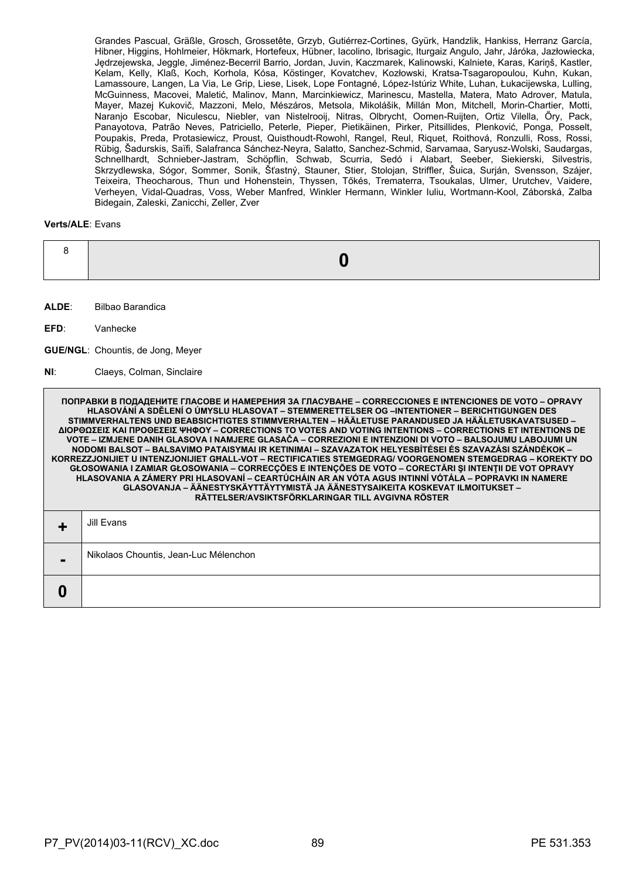Grandes Pascual, Gräßle, Grosch, Grossetête, Grzyb, Gutiérrez-Cortines, Gyürk, Handzlik, Hankiss, Herranz García, Hibner, Higgins, Hohlmeier, Hökmark, Hortefeux, Hübner, Iacolino, Ibrisagic, Iturgaiz Angulo, Jahr, Járóka, Jazłowiecka, Jędrzejewska, Jeggle, Jiménez-Becerril Barrio, Jordan, Juvin, Kaczmarek, Kalinowski, Kalniete, Karas, Kariņš, Kastler, Kelam, Kelly, Klaß, Koch, Korhola, Kósa, Köstinger, Kovatchev, Kozłowski, Kratsa-Tsagaropoulou, Kuhn, Kukan, Lamassoure, Langen, La Via, Le Grip, Liese, Lisek, Lope Fontagné, López-Istúriz White, Luhan, Łukacijewska, Lulling, McGuinness, Macovei, Maletić, Malinov, Mann, Marcinkiewicz, Marinescu, Mastella, Matera, Mato Adrover, Matula, Mayer, Mazej Kukovič, Mazzoni, Melo, Mészáros, Metsola, Mikolášik, Millán Mon, Mitchell, Morin-Chartier, Motti, Naranjo Escobar, Niculescu, Niebler, van Nistelrooij, Nitras, Olbrycht, Oomen-Ruijten, Ortiz Vilella, Őry, Pack, Panayotova, Patrão Neves, Patriciello, Peterle, Pieper, Pietikäinen, Pirker, Pitsillides, Plenković, Ponga, Posselt, Poupakis, Preda, Protasiewicz, Proust, Quisthoudt-Rowohl, Rangel, Reul, Riquet, Roithová, Ronzulli, Ross, Rossi, Rübig, Šadurskis, Saïfi, Salafranca Sánchez-Neyra, Salatto, Sanchez-Schmid, Sarvamaa, Saryusz-Wolski, Saudargas, Schnellhardt, Schnieber-Jastram, Schöpflin, Schwab, Scurria, Sedó i Alabart, Seeber, Siekierski, Silvestris, Skrzydlewska, Sógor, Sommer, Sonik, Šťastný, Stauner, Stier, Stolojan, Striffler, Šuica, Surján, Svensson, Szájer, Teixeira, Theocharous, Thun und Hohenstein, Thyssen, Tőkés, Trematerra, Tsoukalas, Ulmer, Urutchev, Vaidere, Verheyen, Vidal-Quadras, Voss, Weber Manfred, Winkler Hermann, Winkler Iuliu, Wortmann-Kool, Záborská, Zalba Bidegain, Zaleski, Zanicchi, Zeller, Zver

## **Verts/ALE**: Evans

**ALDE**: Bilbao Barandica

- **EFD**: Vanhecke
- **GUE/NGL**: Chountis, de Jong, Meyer
- **NI**: Claeys, Colman, Sinclaire

**ПОПРАВКИ В ПОДАДЕНИТЕ ГЛАСОВЕ И НАМЕРЕНИЯ ЗА ГЛАСУВАНЕ – CORRECCIONES E INTENCIONES DE VOTO – OPRAVY HLASOVÁNÍ A SDĚLENÍ O ÚMYSLU HLASOVAT – STEMMERETTELSER OG –INTENTIONER – BERICHTIGUNGEN DES STIMMVERHALTENS UND BEABSICHTIGTES STIMMVERHALTEN – HÄÄLETUSE PARANDUSED JA HÄÄLETUSKAVATSUSED – ΔΙΟΡΘΩΣΕΙΣ ΚΑΙ ΠΡΟΘΕΣΕΙΣ ΨΗΦΟΥ – CORRECTIONS TO VOTES AND VOTING INTENTIONS – CORRECTIONS ET INTENTIONS DE VOTE – IZMJENE DANIH GLASOVA I NAMJERE GLASAČA – CORREZIONI E INTENZIONI DI VOTO – BALSOJUMU LABOJUMI UN NODOMI BALSOT – BALSAVIMO PATAISYMAI IR KETINIMAI – SZAVAZATOK HELYESBÍTÉSEI ÉS SZAVAZÁSI SZÁNDÉKOK – KORREZZJONIJIET U INTENZJONIJIET GĦALL-VOT – RECTIFICATIES STEMGEDRAG/ VOORGENOMEN STEMGEDRAG – KOREKTY DO GŁOSOWANIA I ZAMIAR GŁOSOWANIA – CORRECÇÕES E INTENÇÕES DE VOTO – CORECTĂRI ŞI INTENŢII DE VOT OPRAVY HLASOVANIA A ZÁMERY PRI HLASOVANÍ – CEARTÚCHÁIN AR AN VÓTA AGUS INTINNÍ VÓTÁLA – POPRAVKI IN NAMERE GLASOVANJA – ÄÄNESTYSKÄYTTÄYTYMISTÄ JA ÄÄNESTYSAIKEITA KOSKEVAT ILMOITUKSET – RÄTTELSER/AVSIKTSFÖRKLARINGAR TILL AVGIVNA RÖSTER**

|                | Jill Evans                            |
|----------------|---------------------------------------|
| $\blacksquare$ | Nikolaos Chountis, Jean-Luc Mélenchon |
| O              |                                       |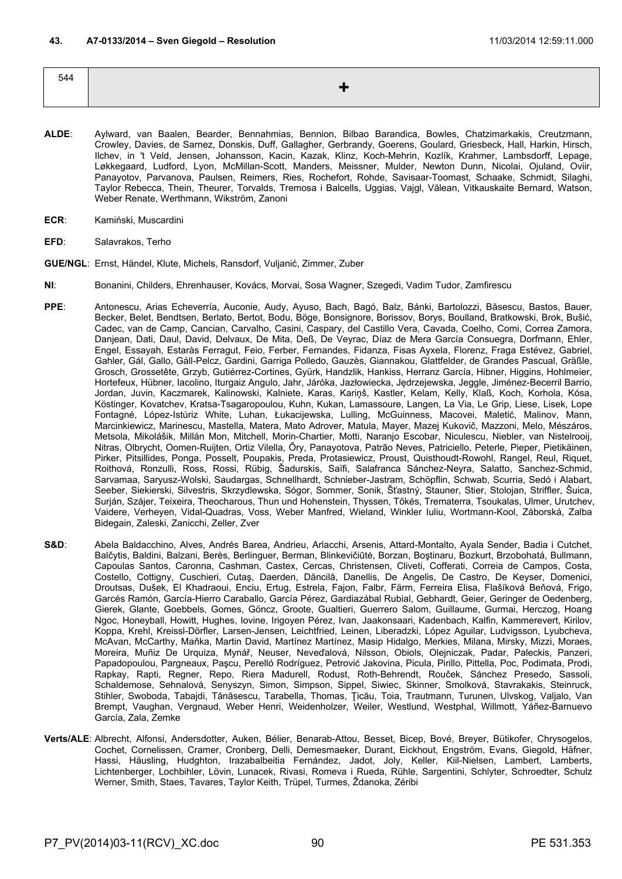| 544 |  |
|-----|--|
|     |  |
|     |  |

- **ALDE**: Aylward, van Baalen, Bearder, Bennahmias, Bennion, Bilbao Barandica, Bowles, Chatzimarkakis, Creutzmann, Crowley, Davies, de Sarnez, Donskis, Duff, Gallagher, Gerbrandy, Goerens, Goulard, Griesbeck, Hall, Harkin, Hirsch, Ilchev, in 't Veld, Jensen, Johansson, Kacin, Kazak, Klinz, Koch-Mehrin, Kozlík, Krahmer, Lambsdorff, Lepage, Løkkegaard, Ludford, Lyon, McMillan-Scott, Manders, Meissner, Mulder, Newton Dunn, Nicolai, Ojuland, Oviir, Panayotov, Parvanova, Paulsen, Reimers, Ries, Rochefort, Rohde, Savisaar-Toomast, Schaake, Schmidt, Silaghi, Taylor Rebecca, Thein, Theurer, Torvalds, Tremosa i Balcells, Uggias, Vajgl, Vălean, Vitkauskaite Bernard, Watson, Weber Renate, Werthmann, Wikström, Zanoni
- **ECR**: Kamiński, Muscardini
- **EFD**: Salavrakos, Terho
- **GUE/NGL**: Ernst, Händel, Klute, Michels, Ransdorf, Vuljanić, Zimmer, Zuber
- **NI**: Bonanini, Childers, Ehrenhauser, Kovács, Morvai, Sosa Wagner, Szegedi, Vadim Tudor, Zamfirescu
- **PPE**: Antonescu, Arias Echeverría, Auconie, Audy, Ayuso, Bach, Bagó, Balz, Bánki, Bartolozzi, Băsescu, Bastos, Bauer, Becker, Belet, Bendtsen, Berlato, Bertot, Bodu, Böge, Bonsignore, Borissov, Borys, Boulland, Bratkowski, Brok, Bušić, Cadec, van de Camp, Cancian, Carvalho, Casini, Caspary, del Castillo Vera, Cavada, Coelho, Comi, Correa Zamora, Danjean, Dati, Daul, David, Delvaux, De Mita, Deß, De Veyrac, Díaz de Mera García Consuegra, Dorfmann, Ehler, Engel, Essayah, Estaràs Ferragut, Feio, Ferber, Fernandes, Fidanza, Fisas Ayxela, Florenz, Fraga Estévez, Gabriel, Gahler, Gál, Gallo, Gáll-Pelcz, Gardini, Garriga Polledo, Gauzès, Giannakou, Glattfelder, de Grandes Pascual, Gräßle, Grosch, Grossetête, Grzyb, Gutiérrez-Cortines, Gyürk, Handzlik, Hankiss, Herranz García, Hibner, Higgins, Hohlmeier, Hortefeux, Hübner, Iacolino, Iturgaiz Angulo, Jahr, Járóka, Jazłowiecka, Jędrzejewska, Jeggle, Jiménez-Becerril Barrio, Jordan, Juvin, Kaczmarek, Kalinowski, Kalniete, Karas, Kariņš, Kastler, Kelam, Kelly, Klaß, Koch, Korhola, Kósa, Köstinger, Kovatchev, Kratsa-Tsagaropoulou, Kuhn, Kukan, Lamassoure, Langen, La Via, Le Grip, Liese, Lisek, Lope Fontagné, López-Istúriz White, Luhan, Łukacijewska, Lulling, McGuinness, Macovei, Maletić, Malinov, Mann, Marcinkiewicz, Marinescu, Mastella, Matera, Mato Adrover, Matula, Mayer, Mazej Kukovič, Mazzoni, Melo, Mészáros, Metsola, Mikolášik, Millán Mon, Mitchell, Morin-Chartier, Motti, Naranjo Escobar, Niculescu, Niebler, van Nistelrooij, Nitras, Olbrycht, Oomen-Ruijten, Ortiz Vilella, Őry, Panayotova, Patrão Neves, Patriciello, Peterle, Pieper, Pietikäinen, Pirker, Pitsillides, Ponga, Posselt, Poupakis, Preda, Protasiewicz, Proust, Quisthoudt-Rowohl, Rangel, Reul, Riquet, Roithová, Ronzulli, Ross, Rossi, Rübig, Šadurskis, Saïfi, Salafranca Sánchez-Neyra, Salatto, Sanchez-Schmid, Sarvamaa, Saryusz-Wolski, Saudargas, Schnellhardt, Schnieber-Jastram, Schöpflin, Schwab, Scurria, Sedó i Alabart, Seeber, Siekierski, Silvestris, Skrzydlewska, Sógor, Sommer, Sonik, Šťastný, Stauner, Stier, Stolojan, Striffler, Šuica, Surján, Szájer, Teixeira, Theocharous, Thun und Hohenstein, Thyssen, Tőkés, Trematerra, Tsoukalas, Ulmer, Urutchev, Vaidere, Verheyen, Vidal-Quadras, Voss, Weber Manfred, Wieland, Winkler Iuliu, Wortmann-Kool, Záborská, Zalba Bidegain, Zaleski, Zanicchi, Zeller, Zver
- **S&D**: Abela Baldacchino, Alves, Andrés Barea, Andrieu, Arlacchi, Arsenis, Attard-Montalto, Ayala Sender, Badia i Cutchet, Balčytis, Baldini, Balzani, Berès, Berlinguer, Berman, Blinkevičiūtė, Borzan, Boştinaru, Bozkurt, Brzobohatá, Bullmann, Capoulas Santos, Caronna, Cashman, Castex, Cercas, Christensen, Cliveti, Cofferati, Correia de Campos, Costa, Costello, Cottigny, Cuschieri, Cutaş, Daerden, Dăncilă, Danellis, De Angelis, De Castro, De Keyser, Domenici, Droutsas, Dušek, El Khadraoui, Enciu, Ertug, Estrela, Fajon, Falbr, Färm, Ferreira Elisa, Flašíková Beňová, Frigo, Garcés Ramón, García-Hierro Caraballo, García Pérez, Gardiazábal Rubial, Gebhardt, Geier, Geringer de Oedenberg, Gierek, Glante, Goebbels, Gomes, Göncz, Groote, Gualtieri, Guerrero Salom, Guillaume, Gurmai, Herczog, Hoang Ngoc, Honeyball, Howitt, Hughes, Iovine, Irigoyen Pérez, Ivan, Jaakonsaari, Kadenbach, Kalfin, Kammerevert, Kirilov, Koppa, Krehl, Kreissl-Dörfler, Larsen-Jensen, Leichtfried, Leinen, Liberadzki, López Aguilar, Ludvigsson, Lyubcheva, McAvan, McCarthy, Maňka, Martin David, Martínez Martínez, Masip Hidalgo, Merkies, Milana, Mirsky, Mizzi, Moraes, Moreira, Muñiz De Urquiza, Mynář, Neuser, Neveďalová, Nilsson, Obiols, Olejniczak, Padar, Paleckis, Panzeri, Papadopoulou, Pargneaux, Paşcu, Perelló Rodríguez, Petrović Jakovina, Picula, Pirillo, Pittella, Poc, Podimata, Prodi, Rapkay, Rapti, Regner, Repo, Riera Madurell, Rodust, Roth-Behrendt, Rouček, Sánchez Presedo, Sassoli, Schaldemose, Sehnalová, Senyszyn, Simon, Simpson, Sippel, Siwiec, Skinner, Smolková, Stavrakakis, Steinruck, Stihler, Swoboda, Tabajdi, Tănăsescu, Tarabella, Thomas, Ticău, Toia, Trautmann, Turunen, Ulvskog, Valjalo, Van Brempt, Vaughan, Vergnaud, Weber Henri, Weidenholzer, Weiler, Westlund, Westphal, Willmott, Yáñez-Barnuevo García, Zala, Zemke
- **Verts/ALE**: Albrecht, Alfonsi, Andersdotter, Auken, Bélier, Benarab-Attou, Besset, Bicep, Bové, Breyer, Bütikofer, Chrysogelos, Cochet, Cornelissen, Cramer, Cronberg, Delli, Demesmaeker, Durant, Eickhout, Engström, Evans, Giegold, Häfner, Hassi, Häusling, Hudghton, Irazabalbeitia Fernández, Jadot, Joly, Keller, Kiil-Nielsen, Lambert, Lamberts, Lichtenberger, Lochbihler, Lövin, Lunacek, Rivasi, Romeva i Rueda, Rühle, Sargentini, Schlyter, Schroedter, Schulz Werner, Smith, Staes, Tavares, Taylor Keith, Trüpel, Turmes, Ždanoka, Zéribi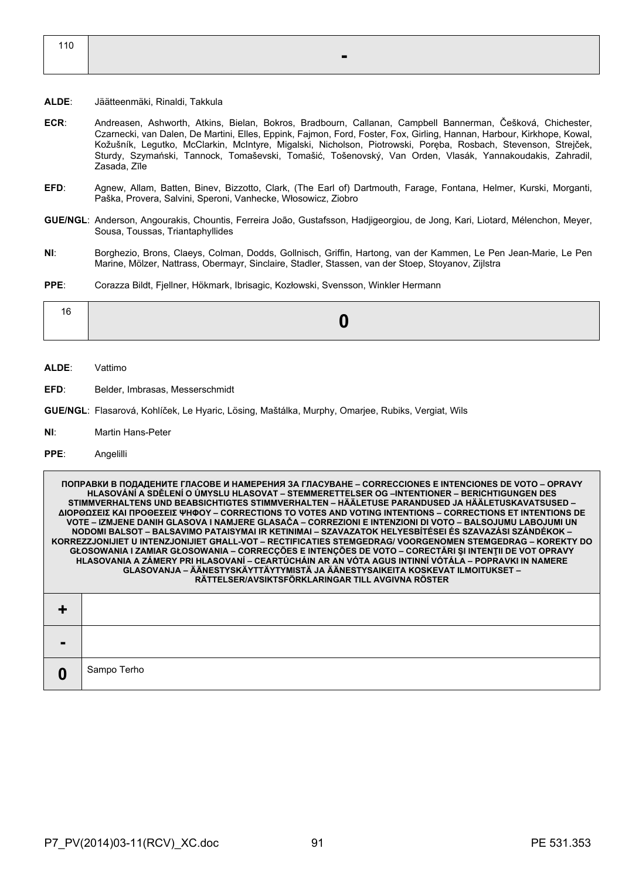110 **-**

### **ALDE**: Jäätteenmäki, Rinaldi, Takkula

- **ECR**: Andreasen, Ashworth, Atkins, Bielan, Bokros, Bradbourn, Callanan, Campbell Bannerman, Češková, Chichester, Czarnecki, van Dalen, De Martini, Elles, Eppink, Fajmon, Ford, Foster, Fox, Girling, Hannan, Harbour, Kirkhope, Kowal, Kožušník, Legutko, McClarkin, McIntyre, Migalski, Nicholson, Piotrowski, Poręba, Rosbach, Stevenson, Strejček, Sturdy, Szymański, Tannock, Tomaševski, Tomašić, Tošenovský, Van Orden, Vlasák, Yannakoudakis, Zahradil, Zasada, Zīle
- **EFD**: Agnew, Allam, Batten, Binev, Bizzotto, Clark, (The Earl of) Dartmouth, Farage, Fontana, Helmer, Kurski, Morganti, Paška, Provera, Salvini, Speroni, Vanhecke, Włosowicz, Ziobro
- **GUE/NGL**: Anderson, Angourakis, Chountis, Ferreira João, Gustafsson, Hadjigeorgiou, de Jong, Kari, Liotard, Mélenchon, Meyer, Sousa, Toussas, Triantaphyllides
- **NI**: Borghezio, Brons, Claeys, Colman, Dodds, Gollnisch, Griffin, Hartong, van der Kammen, Le Pen Jean-Marie, Le Pen Marine, Mölzer, Nattrass, Obermayr, Sinclaire, Stadler, Stassen, van der Stoep, Stoyanov, Zijlstra
- **PPE**: Corazza Bildt, Fjellner, Hökmark, Ibrisagic, Kozłowski, Svensson, Winkler Hermann

- **ALDE**: Vattimo
- **EFD**: Belder, Imbrasas, Messerschmidt
- **GUE/NGL**: Flasarová, Kohlíček, Le Hyaric, Lösing, Maštálka, Murphy, Omarjee, Rubiks, Vergiat, Wils
- **NI**: Martin Hans-Peter

# **PPE**: Angelilli

| ПОПРАВКИ В ПОДАДЕНИТЕ ГЛАСОВЕ И НАМЕРЕНИЯ ЗА ГЛАСУВАНЕ - CORRECCIONES E INTENCIONES DE VOTO - OPRAVY<br>HLASOVÁNÍ A SDĚLENÍ O ÚMYSLU HLASOVAT – STEMMERETTELSER OG –INTENTIONER – BERICHTIGUNGEN DES<br>STIMMVERHALTENS UND BEABSICHTIGTES STIMMVERHALTEN - HÄÄLETUSE PARANDUSED JA HÄÄLETUSKAVATSUSED -<br>ΔΙΟΡΘΩΣΕΙΣ ΚΑΙ ΠΡΟΘΕΣΕΙΣ ΨΗΦΟΥ – CORRECTIONS TO VOTES AND VOTING INTENTIONS – CORRECTIONS ET INTENTIONS DE<br>VOTE - IZMJENE DANIH GLASOVA I NAMJERE GLASAČA - CORREZIONI E INTENZIONI DI VOTO - BALSOJUMU LABOJUMI UN<br>NODOMI BALSOT – BALSAVIMO PATAISYMAI IR KETINIMAI – SZAVAZATOK HELYESBÍTÉSEI ÉS SZAVAZÁSI SZÁNDÉKOK –<br>KORREZZJONIJIET U INTENZJONIJIET GHALL-VOT – RECTIFICATIES STEMGEDRAG/ VOORGENOMEN STEMGEDRAG – KOREKTY DO<br>GŁOSOWANIA I ZAMIAR GŁOSOWANIA – CORRECÇÕES E INTENÇÕES DE VOTO – CORECTĂRI ȘI INTENȚII DE VOT OPRAVY<br>HLASOVANIA A ZÁMERY PRI HLASOVANÍ – CEARTÚCHÁIN AR AN VÓTA AGUS INTINNÍ VÓTÁLA – POPRAVKI IN NAMERE<br>GLASOVANJA – ÄÄNESTYSKÄYTTÄYTYMISTÄ JA ÄÄNESTYSAIKEITA KOSKEVAT ILMOITUKSET –<br>RÄTTELSER/AVSIKTSFÖRKLARINGAR TILL AVGIVNA RÖSTER |             |
|-----------------------------------------------------------------------------------------------------------------------------------------------------------------------------------------------------------------------------------------------------------------------------------------------------------------------------------------------------------------------------------------------------------------------------------------------------------------------------------------------------------------------------------------------------------------------------------------------------------------------------------------------------------------------------------------------------------------------------------------------------------------------------------------------------------------------------------------------------------------------------------------------------------------------------------------------------------------------------------------------------------------------------------------------------------------------------------------------------------------|-------------|
|                                                                                                                                                                                                                                                                                                                                                                                                                                                                                                                                                                                                                                                                                                                                                                                                                                                                                                                                                                                                                                                                                                                 |             |
|                                                                                                                                                                                                                                                                                                                                                                                                                                                                                                                                                                                                                                                                                                                                                                                                                                                                                                                                                                                                                                                                                                                 |             |
|                                                                                                                                                                                                                                                                                                                                                                                                                                                                                                                                                                                                                                                                                                                                                                                                                                                                                                                                                                                                                                                                                                                 | Sampo Terho |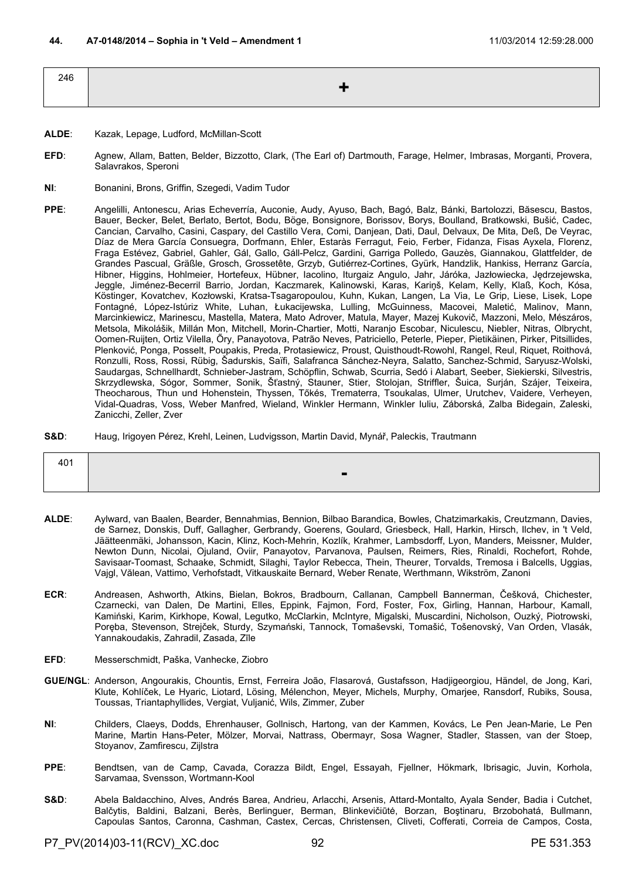| 246 |  |
|-----|--|
|     |  |

- **ALDE**: Kazak, Lepage, Ludford, McMillan-Scott
- **EFD**: Agnew, Allam, Batten, Belder, Bizzotto, Clark, (The Earl of) Dartmouth, Farage, Helmer, Imbrasas, Morganti, Provera, Salavrakos, Speroni
- **NI**: Bonanini, Brons, Griffin, Szegedi, Vadim Tudor
- **PPE**: Angelilli, Antonescu, Arias Echeverría, Auconie, Audy, Ayuso, Bach, Bagó, Balz, Bánki, Bartolozzi, Băsescu, Bastos, Bauer, Becker, Belet, Berlato, Bertot, Bodu, Böge, Bonsignore, Borissov, Borys, Boulland, Bratkowski, Bušić, Cadec, Cancian, Carvalho, Casini, Caspary, del Castillo Vera, Comi, Danjean, Dati, Daul, Delvaux, De Mita, Deß, De Veyrac, Díaz de Mera García Consuegra, Dorfmann, Ehler, Estaràs Ferragut, Feio, Ferber, Fidanza, Fisas Ayxela, Florenz, Fraga Estévez, Gabriel, Gahler, Gál, Gallo, Gáll-Pelcz, Gardini, Garriga Polledo, Gauzès, Giannakou, Glattfelder, de Grandes Pascual, Gräßle, Grosch, Grossetête, Grzyb, Gutiérrez-Cortines, Gyürk, Handzlik, Hankiss, Herranz García, Hibner, Higgins, Hohlmeier, Hortefeux, Hübner, Iacolino, Iturgaiz Angulo, Jahr, Járóka, Jazłowiecka, Jędrzejewska, Jeggle, Jiménez-Becerril Barrio, Jordan, Kaczmarek, Kalinowski, Karas, Kariņš, Kelam, Kelly, Klaß, Koch, Kósa, Köstinger, Kovatchev, Kozłowski, Kratsa-Tsagaropoulou, Kuhn, Kukan, Langen, La Via, Le Grip, Liese, Lisek, Lope Fontagné, López-Istúriz White, Luhan, Łukacijewska, Lulling, McGuinness, Macovei, Maletić, Malinov, Mann, Marcinkiewicz, Marinescu, Mastella, Matera, Mato Adrover, Matula, Mayer, Mazej Kukovič, Mazzoni, Melo, Mészáros, Metsola, Mikolášik, Millán Mon, Mitchell, Morin-Chartier, Motti, Naranjo Escobar, Niculescu, Niebler, Nitras, Olbrycht, Oomen-Ruijten, Ortiz Vilella, Őry, Panayotova, Patrão Neves, Patriciello, Peterle, Pieper, Pietikäinen, Pirker, Pitsillides, Plenković, Ponga, Posselt, Poupakis, Preda, Protasiewicz, Proust, Quisthoudt-Rowohl, Rangel, Reul, Riquet, Roithová, Ronzulli, Ross, Rossi, Rübig, Šadurskis, Saïfi, Salafranca Sánchez-Neyra, Salatto, Sanchez-Schmid, Saryusz-Wolski, Saudargas, Schnellhardt, Schnieber-Jastram, Schöpflin, Schwab, Scurria, Sedó i Alabart, Seeber, Siekierski, Silvestris, Skrzydlewska, Sógor, Sommer, Sonik, Šťastný, Stauner, Stier, Stolojan, Striffler, Šuica, Surján, Szájer, Teixeira, Theocharous, Thun und Hohenstein, Thyssen, Tőkés, Trematerra, Tsoukalas, Ulmer, Urutchev, Vaidere, Verheyen, Vidal-Quadras, Voss, Weber Manfred, Wieland, Winkler Hermann, Winkler Iuliu, Záborská, Zalba Bidegain, Zaleski, Zanicchi, Zeller, Zver
- **S&D**: Haug, Irigoyen Pérez, Krehl, Leinen, Ludvigsson, Martin David, Mynář, Paleckis, Trautmann

| 401 |                |
|-----|----------------|
|     | $\blacksquare$ |
|     |                |

- **ALDE**: Aylward, van Baalen, Bearder, Bennahmias, Bennion, Bilbao Barandica, Bowles, Chatzimarkakis, Creutzmann, Davies, de Sarnez, Donskis, Duff, Gallagher, Gerbrandy, Goerens, Goulard, Griesbeck, Hall, Harkin, Hirsch, Ilchev, in 't Veld, Jäätteenmäki, Johansson, Kacin, Klinz, Koch-Mehrin, Kozlík, Krahmer, Lambsdorff, Lyon, Manders, Meissner, Mulder, Newton Dunn, Nicolai, Ojuland, Oviir, Panayotov, Parvanova, Paulsen, Reimers, Ries, Rinaldi, Rochefort, Rohde, Savisaar-Toomast, Schaake, Schmidt, Silaghi, Taylor Rebecca, Thein, Theurer, Torvalds, Tremosa i Balcells, Uggias, Vajgl, Vălean, Vattimo, Verhofstadt, Vitkauskaite Bernard, Weber Renate, Werthmann, Wikström, Zanoni
- **ECR**: Andreasen, Ashworth, Atkins, Bielan, Bokros, Bradbourn, Callanan, Campbell Bannerman, Češková, Chichester, Czarnecki, van Dalen, De Martini, Elles, Eppink, Fajmon, Ford, Foster, Fox, Girling, Hannan, Harbour, Kamall, Kamiński, Karim, Kirkhope, Kowal, Legutko, McClarkin, McIntyre, Migalski, Muscardini, Nicholson, Ouzký, Piotrowski, Poręba, Stevenson, Strejček, Sturdy, Szymański, Tannock, Tomaševski, Tomašić, Tošenovský, Van Orden, Vlasák, Yannakoudakis, Zahradil, Zasada, Zīle
- **EFD**: Messerschmidt, Paška, Vanhecke, Ziobro
- **GUE/NGL**: Anderson, Angourakis, Chountis, Ernst, Ferreira João, Flasarová, Gustafsson, Hadjigeorgiou, Händel, de Jong, Kari, Klute, Kohlíček, Le Hyaric, Liotard, Lösing, Mélenchon, Meyer, Michels, Murphy, Omarjee, Ransdorf, Rubiks, Sousa, Toussas, Triantaphyllides, Vergiat, Vuljanić, Wils, Zimmer, Zuber
- **NI**: Childers, Claeys, Dodds, Ehrenhauser, Gollnisch, Hartong, van der Kammen, Kovács, Le Pen Jean-Marie, Le Pen Marine, Martin Hans-Peter, Mölzer, Morvai, Nattrass, Obermayr, Sosa Wagner, Stadler, Stassen, van der Stoep, Stoyanov, Zamfirescu, Zijlstra
- **PPE**: Bendtsen, van de Camp, Cavada, Corazza Bildt, Engel, Essayah, Fjellner, Hökmark, Ibrisagic, Juvin, Korhola, Sarvamaa, Svensson, Wortmann-Kool
- **S&D**: Abela Baldacchino, Alves, Andrés Barea, Andrieu, Arlacchi, Arsenis, Attard-Montalto, Ayala Sender, Badia i Cutchet, Balčytis, Baldini, Balzani, Berès, Berlinguer, Berman, Blinkevičiūtė, Borzan, Boştinaru, Brzobohatá, Bullmann, Capoulas Santos, Caronna, Cashman, Castex, Cercas, Christensen, Cliveti, Cofferati, Correia de Campos, Costa,

P7\_PV(2014)03-11(RCV)\_XC.doc 92 PE 531.353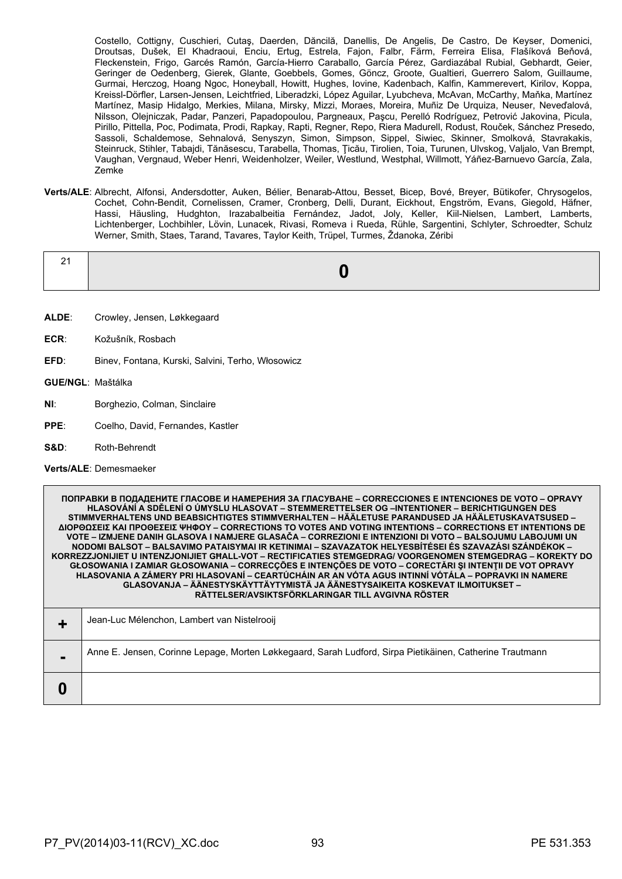Costello, Cottigny, Cuschieri, Cutaş, Daerden, Dăncilă, Danellis, De Angelis, De Castro, De Keyser, Domenici, Droutsas, Dušek, El Khadraoui, Enciu, Ertug, Estrela, Fajon, Falbr, Färm, Ferreira Elisa, Flašíková Beňová, Fleckenstein, Frigo, Garcés Ramón, García-Hierro Caraballo, García Pérez, Gardiazábal Rubial, Gebhardt, Geier, Geringer de Oedenberg, Gierek, Glante, Goebbels, Gomes, Göncz, Groote, Gualtieri, Guerrero Salom, Guillaume, Gurmai, Herczog, Hoang Ngoc, Honeyball, Howitt, Hughes, Iovine, Kadenbach, Kalfin, Kammerevert, Kirilov, Koppa, Kreissl-Dörfler, Larsen-Jensen, Leichtfried, Liberadzki, López Aguilar, Lyubcheva, McAvan, McCarthy, Maňka, Martínez Martínez, Masip Hidalgo, Merkies, Milana, Mirsky, Mizzi, Moraes, Moreira, Muñiz De Urquiza, Neuser, Neveďalová, Nilsson, Olejniczak, Padar, Panzeri, Papadopoulou, Pargneaux, Paşcu, Perelló Rodríguez, Petrović Jakovina, Picula, Pirillo, Pittella, Poc, Podimata, Prodi, Rapkay, Rapti, Regner, Repo, Riera Madurell, Rodust, Rouček, Sánchez Presedo, Sassoli, Schaldemose, Sehnalová, Senyszyn, Simon, Simpson, Sippel, Siwiec, Skinner, Smolková, Stavrakakis, Steinruck, Stihler, Tabajdi, Tănăsescu, Tarabella, Thomas, Ţicău, Tirolien, Toia, Turunen, Ulvskog, Valjalo, Van Brempt, Vaughan, Vergnaud, Weber Henri, Weidenholzer, Weiler, Westlund, Westphal, Willmott, Yáñez-Barnuevo García, Zala, Zemke

**Verts/ALE**: Albrecht, Alfonsi, Andersdotter, Auken, Bélier, Benarab-Attou, Besset, Bicep, Bové, Breyer, Bütikofer, Chrysogelos, Cochet, Cohn-Bendit, Cornelissen, Cramer, Cronberg, Delli, Durant, Eickhout, Engström, Evans, Giegold, Häfner, Hassi, Häusling, Hudghton, Irazabalbeitia Fernández, Jadot, Joly, Keller, Kiil-Nielsen, Lambert, Lamberts, Lichtenberger, Lochbihler, Lövin, Lunacek, Rivasi, Romeva i Rueda, Rühle, Sargentini, Schlyter, Schroedter, Schulz Werner, Smith, Staes, Tarand, Tavares, Taylor Keith, Trüpel, Turmes, Ždanoka, Zéribi

| - - |  |
|-----|--|
|     |  |

- **ALDE**: Crowley, Jensen, Løkkegaard
- **ECR**: Kožušník, Rosbach
- **EFD**: Binev, Fontana, Kurski, Salvini, Terho, Włosowicz
- **GUE/NGL**: Maštálka
- **NI**: Borghezio, Colman, Sinclaire
- **PPE**: Coelho, David, Fernandes, Kastler
- **S&D**: Roth-Behrendt

**Verts/ALE**: Demesmaeker

**0**

**ПОПРАВКИ В ПОДАДЕНИТЕ ГЛАСОВЕ И НАМЕРЕНИЯ ЗА ГЛАСУВАНЕ – CORRECCIONES E INTENCIONES DE VOTO – OPRAVY HLASOVÁNÍ A SDĚLENÍ O ÚMYSLU HLASOVAT – STEMMERETTELSER OG –INTENTIONER – BERICHTIGUNGEN DES STIMMVERHALTENS UND BEABSICHTIGTES STIMMVERHALTEN – HÄÄLETUSE PARANDUSED JA HÄÄLETUSKAVATSUSED – ΔΙΟΡΘΩΣΕΙΣ ΚΑΙ ΠΡΟΘΕΣΕΙΣ ΨΗΦΟΥ – CORRECTIONS TO VOTES AND VOTING INTENTIONS – CORRECTIONS ET INTENTIONS DE VOTE – IZMJENE DANIH GLASOVA I NAMJERE GLASAČA – CORREZIONI E INTENZIONI DI VOTO – BALSOJUMU LABOJUMI UN NODOMI BALSOT – BALSAVIMO PATAISYMAI IR KETINIMAI – SZAVAZATOK HELYESBÍTÉSEI ÉS SZAVAZÁSI SZÁNDÉKOK – KORREZZJONIJIET U INTENZJONIJIET GĦALL-VOT – RECTIFICATIES STEMGEDRAG/ VOORGENOMEN STEMGEDRAG – KOREKTY DO GŁOSOWANIA I ZAMIAR GŁOSOWANIA – CORRECÇÕES E INTENÇÕES DE VOTO – CORECTĂRI ŞI INTENŢII DE VOT OPRAVY HLASOVANIA A ZÁMERY PRI HLASOVANÍ – CEARTÚCHÁIN AR AN VÓTA AGUS INTINNÍ VÓTÁLA – POPRAVKI IN NAMERE GLASOVANJA – ÄÄNESTYSKÄYTTÄYTYMISTÄ JA ÄÄNESTYSAIKEITA KOSKEVAT ILMOITUKSET – RÄTTELSER/AVSIKTSFÖRKLARINGAR TILL AVGIVNA RÖSTER +** Jean-Luc Mélenchon, Lambert van Nistelrooij **-** Anne E. Jensen, Corinne Lepage, Morten Løkkegaard, Sarah Ludford, Sirpa Pietikäinen, Catherine Trautmann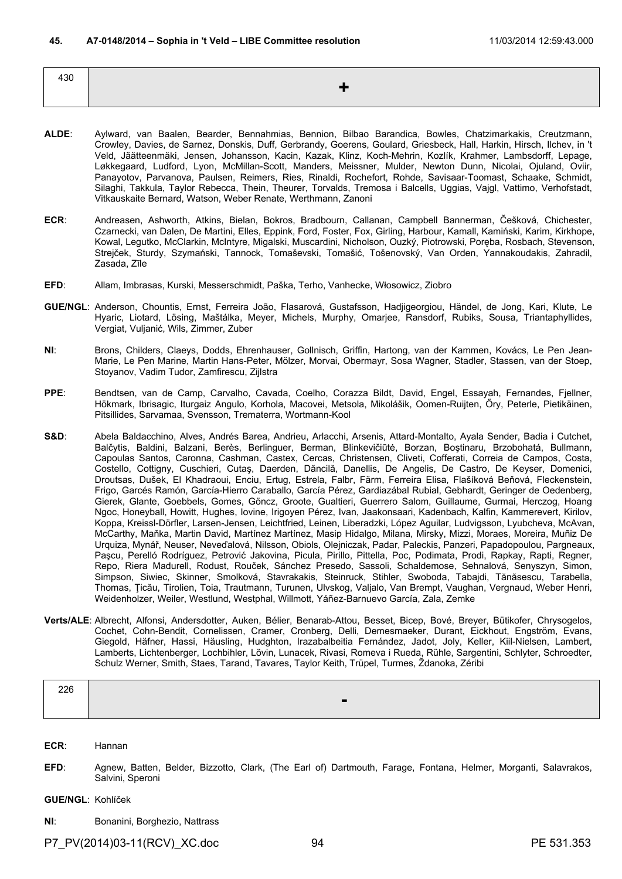| 430 |                                   |
|-----|-----------------------------------|
|     | <b>Contract Contract Contract</b> |
|     |                                   |

- **ALDE**: Aylward, van Baalen, Bearder, Bennahmias, Bennion, Bilbao Barandica, Bowles, Chatzimarkakis, Creutzmann, Crowley, Davies, de Sarnez, Donskis, Duff, Gerbrandy, Goerens, Goulard, Griesbeck, Hall, Harkin, Hirsch, Ilchev, in 't Veld, Jäätteenmäki, Jensen, Johansson, Kacin, Kazak, Klinz, Koch-Mehrin, Kozlík, Krahmer, Lambsdorff, Lepage, Løkkegaard, Ludford, Lyon, McMillan-Scott, Manders, Meissner, Mulder, Newton Dunn, Nicolai, Ojuland, Oviir, Panayotov, Parvanova, Paulsen, Reimers, Ries, Rinaldi, Rochefort, Rohde, Savisaar-Toomast, Schaake, Schmidt, Silaghi, Takkula, Taylor Rebecca, Thein, Theurer, Torvalds, Tremosa i Balcells, Uggias, Vajgl, Vattimo, Verhofstadt, Vitkauskaite Bernard, Watson, Weber Renate, Werthmann, Zanoni
- **ECR**: Andreasen, Ashworth, Atkins, Bielan, Bokros, Bradbourn, Callanan, Campbell Bannerman, Češková, Chichester, Czarnecki, van Dalen, De Martini, Elles, Eppink, Ford, Foster, Fox, Girling, Harbour, Kamall, Kamiński, Karim, Kirkhope, Kowal, Legutko, McClarkin, McIntyre, Migalski, Muscardini, Nicholson, Ouzký, Piotrowski, Poręba, Rosbach, Stevenson, Strejček, Sturdy, Szymański, Tannock, Tomaševski, Tomašić, Tošenovský, Van Orden, Yannakoudakis, Zahradil, Zasada, Zīle
- **EFD**: Allam, Imbrasas, Kurski, Messerschmidt, Paška, Terho, Vanhecke, Włosowicz, Ziobro
- **GUE/NGL**: Anderson, Chountis, Ernst, Ferreira João, Flasarová, Gustafsson, Hadjigeorgiou, Händel, de Jong, Kari, Klute, Le Hyaric, Liotard, Lösing, Maštálka, Meyer, Michels, Murphy, Omarjee, Ransdorf, Rubiks, Sousa, Triantaphyllides, Vergiat, Vuljanić, Wils, Zimmer, Zuber
- **NI**: Brons, Childers, Claeys, Dodds, Ehrenhauser, Gollnisch, Griffin, Hartong, van der Kammen, Kovács, Le Pen Jean-Marie, Le Pen Marine, Martin Hans-Peter, Mölzer, Morvai, Obermayr, Sosa Wagner, Stadler, Stassen, van der Stoep, Stoyanov, Vadim Tudor, Zamfirescu, Zijlstra
- **PPE**: Bendtsen, van de Camp, Carvalho, Cavada, Coelho, Corazza Bildt, David, Engel, Essayah, Fernandes, Fjellner, Hökmark, Ibrisagic, Iturgaiz Angulo, Korhola, Macovei, Metsola, Mikolášik, Oomen-Ruijten, Őry, Peterle, Pietikäinen, Pitsillides, Sarvamaa, Svensson, Trematerra, Wortmann-Kool
- **S&D**: Abela Baldacchino, Alves, Andrés Barea, Andrieu, Arlacchi, Arsenis, Attard-Montalto, Ayala Sender, Badia i Cutchet, Balčytis, Baldini, Balzani, Berès, Berlinguer, Berman, Blinkevičiūtė, Borzan, Boştinaru, Brzobohatá, Bullmann, Capoulas Santos, Caronna, Cashman, Castex, Cercas, Christensen, Cliveti, Cofferati, Correia de Campos, Costa, Costello, Cottigny, Cuschieri, Cutaş, Daerden, Dăncilă, Danellis, De Angelis, De Castro, De Keyser, Domenici, Droutsas, Dušek, El Khadraoui, Enciu, Ertug, Estrela, Falbr, Färm, Ferreira Elisa, Flašíková Beňová, Fleckenstein, Frigo, Garcés Ramón, García-Hierro Caraballo, García Pérez, Gardiazábal Rubial, Gebhardt, Geringer de Oedenberg, Gierek, Glante, Goebbels, Gomes, Göncz, Groote, Gualtieri, Guerrero Salom, Guillaume, Gurmai, Herczog, Hoang Ngoc, Honeyball, Howitt, Hughes, Iovine, Irigoyen Pérez, Ivan, Jaakonsaari, Kadenbach, Kalfin, Kammerevert, Kirilov, Koppa, Kreissl-Dörfler, Larsen-Jensen, Leichtfried, Leinen, Liberadzki, López Aguilar, Ludvigsson, Lyubcheva, McAvan, McCarthy, Maňka, Martin David, Martínez Martínez, Masip Hidalgo, Milana, Mirsky, Mizzi, Moraes, Moreira, Muñiz De Urquiza, Mynář, Neuser, Neveďalová, Nilsson, Obiols, Olejniczak, Padar, Paleckis, Panzeri, Papadopoulou, Pargneaux, Paşcu, Perelló Rodríguez, Petrović Jakovina, Picula, Pirillo, Pittella, Poc, Podimata, Prodi, Rapkay, Rapti, Regner, Repo, Riera Madurell, Rodust, Rouček, Sánchez Presedo, Sassoli, Schaldemose, Sehnalová, Senyszyn, Simon, Simpson, Siwiec, Skinner, Smolková, Stavrakakis, Steinruck, Stihler, Swoboda, Tabajdi, Tănăsescu, Tarabella, Thomas, Ţicău, Tirolien, Toia, Trautmann, Turunen, Ulvskog, Valjalo, Van Brempt, Vaughan, Vergnaud, Weber Henri, Weidenholzer, Weiler, Westlund, Westphal, Willmott, Yáñez-Barnuevo García, Zala, Zemke
- **Verts/ALE**: Albrecht, Alfonsi, Andersdotter, Auken, Bélier, Benarab-Attou, Besset, Bicep, Bové, Breyer, Bütikofer, Chrysogelos, Cochet, Cohn-Bendit, Cornelissen, Cramer, Cronberg, Delli, Demesmaeker, Durant, Eickhout, Engström, Evans, Giegold, Häfner, Hassi, Häusling, Hudghton, Irazabalbeitia Fernández, Jadot, Joly, Keller, Kiil-Nielsen, Lambert, Lamberts, Lichtenberger, Lochbihler, Lövin, Lunacek, Rivasi, Romeva i Rueda, Rühle, Sargentini, Schlyter, Schroedter, Schulz Werner, Smith, Staes, Tarand, Tavares, Taylor Keith, Trüpel, Turmes, Ždanoka, Zéribi

| າາຂ<br>ZZU |                |
|------------|----------------|
|            | $\blacksquare$ |

## **ECR**: Hannan

**EFD**: Agnew, Batten, Belder, Bizzotto, Clark, (The Earl of) Dartmouth, Farage, Fontana, Helmer, Morganti, Salavrakos, Salvini, Speroni

# **GUE/NGL**: Kohlíček

**NI**: Bonanini, Borghezio, Nattrass

P7\_PV(2014)03-11(RCV)\_XC.doc 94 PE 531.353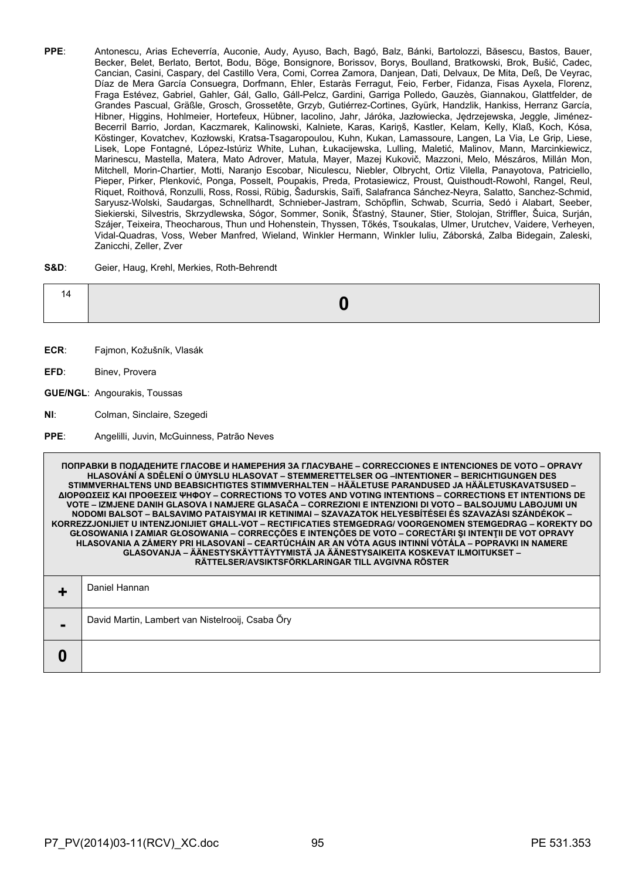**PPE**: Antonescu, Arias Echeverría, Auconie, Audy, Ayuso, Bach, Bagó, Balz, Bánki, Bartolozzi, Băsescu, Bastos, Bauer, Becker, Belet, Berlato, Bertot, Bodu, Böge, Bonsignore, Borissov, Borys, Boulland, Bratkowski, Brok, Bušić, Cadec, Cancian, Casini, Caspary, del Castillo Vera, Comi, Correa Zamora, Danjean, Dati, Delvaux, De Mita, Deß, De Veyrac, Díaz de Mera García Consuegra, Dorfmann, Ehler, Estaràs Ferragut, Feio, Ferber, Fidanza, Fisas Ayxela, Florenz, Fraga Estévez, Gabriel, Gahler, Gál, Gallo, Gáll-Pelcz, Gardini, Garriga Polledo, Gauzès, Giannakou, Glattfelder, de Grandes Pascual, Gräßle, Grosch, Grossetête, Grzyb, Gutiérrez-Cortines, Gyürk, Handzlik, Hankiss, Herranz García, Hibner, Higgins, Hohlmeier, Hortefeux, Hübner, Iacolino, Jahr, Járóka, Jazłowiecka, Jędrzejewska, Jeggle, Jiménez-Becerril Barrio, Jordan, Kaczmarek, Kalinowski, Kalniete, Karas, Kariņš, Kastler, Kelam, Kelly, Klaß, Koch, Kósa, Köstinger, Kovatchev, Kozłowski, Kratsa-Tsagaropoulou, Kuhn, Kukan, Lamassoure, Langen, La Via, Le Grip, Liese, Lisek, Lope Fontagné, López-Istúriz White, Luhan, Łukacijewska, Lulling, Maletić, Malinov, Mann, Marcinkiewicz, Marinescu, Mastella, Matera, Mato Adrover, Matula, Mayer, Mazej Kukovič, Mazzoni, Melo, Mészáros, Millán Mon, Mitchell, Morin-Chartier, Motti, Naranjo Escobar, Niculescu, Niebler, Olbrycht, Ortiz Vilella, Panayotova, Patriciello, Pieper, Pirker, Plenković, Ponga, Posselt, Poupakis, Preda, Protasiewicz, Proust, Quisthoudt-Rowohl, Rangel, Reul, Riquet, Roithová, Ronzulli, Ross, Rossi, Rübig, Šadurskis, Saïfi, Salafranca Sánchez-Neyra, Salatto, Sanchez-Schmid, Saryusz-Wolski, Saudargas, Schnellhardt, Schnieber-Jastram, Schöpflin, Schwab, Scurria, Sedó i Alabart, Seeber, Siekierski, Silvestris, Skrzydlewska, Sógor, Sommer, Sonik, Šťastný, Stauner, Stier, Stolojan, Striffler, Šuica, Surján, Szájer, Teixeira, Theocharous, Thun und Hohenstein, Thyssen, Tőkés, Tsoukalas, Ulmer, Urutchev, Vaidere, Verheyen, Vidal-Quadras, Voss, Weber Manfred, Wieland, Winkler Hermann, Winkler Iuliu, Záborská, Zalba Bidegain, Zaleski, Zanicchi, Zeller, Zver

# **S&D**: Geier, Haug, Krehl, Merkies, Roth-Behrendt

|--|--|--|

- **ECR**: Fajmon, Kožušník, Vlasák
- **EFD**: Binev, Provera
- **GUE/NGL**: Angourakis, Toussas
- **NI**: Colman, Sinclaire, Szegedi
- **PPE**: Angelilli, Juvin, McGuinness, Patrão Neves

| ПОПРАВКИ В ПОДАДЕНИТЕ ГЛАСОВЕ И НАМЕРЕНИЯ ЗА ГЛАСУВАНЕ – CORRECCIONES E INTENCIONES DE VOTO – OPRAVY<br><u> HLASOVÁNÍ A SDĚLENÍ O ÚMYSLU HLASOVAT – STEMMERETTELSER OG –INTENTIONER – BERICHTIGUNGEN DES</u><br>STIMMVERHALTENS UND BEABSICHTIGTES STIMMVERHALTEN – HÄÄLETUSE PARANDUSED JA HÄÄLETUSKAVATSUSED –<br>ΔΙΟΡΘΩΣΕΙΣ ΚΑΙ ΠΡΟΘΕΣΕΙΣ ΨΗΦΟΥ – CORRECTIONS TO VOTES AND VOTING INTENTIONS – CORRECTIONS ET INTENTIONS DE<br>VOTE – IZMJENE DANIH GLASOVA I NAMJERE GLASAČA – CORREZIONI E INTENZIONI DI VOTO – BALSOJUMU LABOJUMI UN<br>NODOMI BALSOT – BALSAVIMO PATAISYMAI IR KETINIMAI – SZAVAZATOK HELYESBÍTÉSEI ÉS SZAVAZÁSI SZÁNDÉKOK –<br>KORREZZJONIJIET U INTENZJONIJIET GHALL-VOT – RECTIFICATIES STEMGEDRAG/ VOORGENOMEN STEMGEDRAG – KOREKTY DO<br>GŁOSOWANIA I ZAMIAR GŁOSOWANIA – CORRECÇÕES E INTENÇÕES DE VOTO – CORECTĂRI ȘI INTENȚII DE VOT OPRAVY<br>HLASOVANIA A ZÁMERY PRI HLASOVANÍ – CEARTÚCHÁIN AR AN VÓTA AGUS INTINNÍ VÓTÁLA – POPRAVKI IN NAMERE<br>GLASOVANJA - ÄÄNESTYSKÄYTTÄYTYMISTÄ JA ÄÄNESTYSAIKEITA KOSKEVAT ILMOITUKSET -<br>RÄTTELSER/AVSIKTSFÖRKLARINGAR TILL AVGIVNA RÖSTER |                                                  |
|-------------------------------------------------------------------------------------------------------------------------------------------------------------------------------------------------------------------------------------------------------------------------------------------------------------------------------------------------------------------------------------------------------------------------------------------------------------------------------------------------------------------------------------------------------------------------------------------------------------------------------------------------------------------------------------------------------------------------------------------------------------------------------------------------------------------------------------------------------------------------------------------------------------------------------------------------------------------------------------------------------------------------------------------------------------------------------------------------------------------------|--------------------------------------------------|
|                                                                                                                                                                                                                                                                                                                                                                                                                                                                                                                                                                                                                                                                                                                                                                                                                                                                                                                                                                                                                                                                                                                         | Daniel Hannan                                    |
|                                                                                                                                                                                                                                                                                                                                                                                                                                                                                                                                                                                                                                                                                                                                                                                                                                                                                                                                                                                                                                                                                                                         | David Martin, Lambert van Nistelrooij, Csaba Őry |
|                                                                                                                                                                                                                                                                                                                                                                                                                                                                                                                                                                                                                                                                                                                                                                                                                                                                                                                                                                                                                                                                                                                         |                                                  |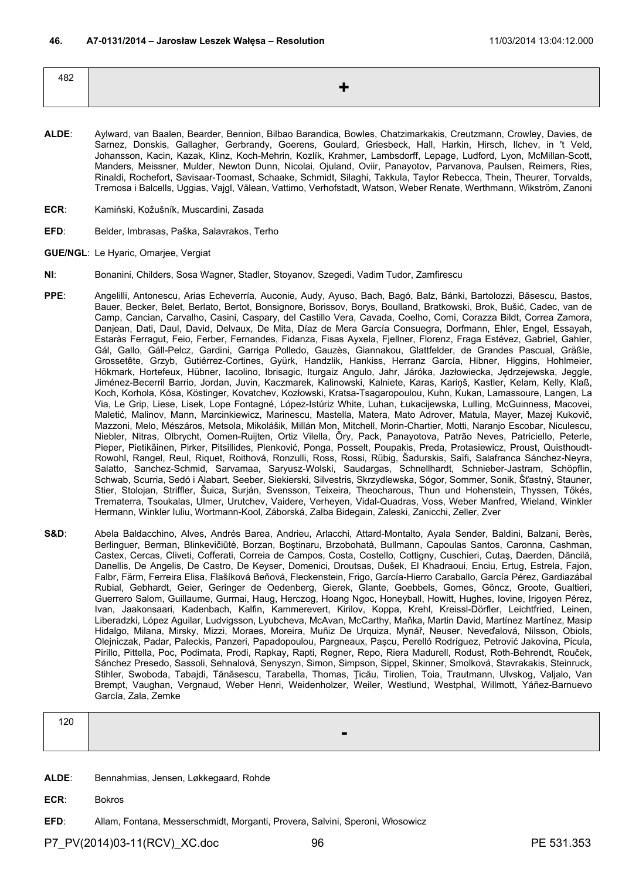| 482 |     |
|-----|-----|
|     | ___ |
|     |     |

- **ALDE**: Aylward, van Baalen, Bearder, Bennion, Bilbao Barandica, Bowles, Chatzimarkakis, Creutzmann, Crowley, Davies, de Sarnez, Donskis, Gallagher, Gerbrandy, Goerens, Goulard, Griesbeck, Hall, Harkin, Hirsch, Ilchev, in 't Veld, Johansson, Kacin, Kazak, Klinz, Koch-Mehrin, Kozlík, Krahmer, Lambsdorff, Lepage, Ludford, Lyon, McMillan-Scott, Manders, Meissner, Mulder, Newton Dunn, Nicolai, Ojuland, Oviir, Panayotov, Parvanova, Paulsen, Reimers, Ries, Rinaldi, Rochefort, Savisaar-Toomast, Schaake, Schmidt, Silaghi, Takkula, Taylor Rebecca, Thein, Theurer, Torvalds, Tremosa i Balcells, Uggias, Vajgl, Vălean, Vattimo, Verhofstadt, Watson, Weber Renate, Werthmann, Wikström, Zanoni
- **ECR**: Kamiński, Kožušník, Muscardini, Zasada
- **EFD**: Belder, Imbrasas, Paška, Salavrakos, Terho
- **GUE/NGL**: Le Hyaric, Omarjee, Vergiat
- **NI**: Bonanini, Childers, Sosa Wagner, Stadler, Stoyanov, Szegedi, Vadim Tudor, Zamfirescu
- **PPE**: Angelilli, Antonescu, Arias Echeverría, Auconie, Audy, Ayuso, Bach, Bagó, Balz, Bánki, Bartolozzi, Băsescu, Bastos, Bauer, Becker, Belet, Berlato, Bertot, Bonsignore, Borissov, Borys, Boulland, Bratkowski, Brok, Bušić, Cadec, van de Camp, Cancian, Carvalho, Casini, Caspary, del Castillo Vera, Cavada, Coelho, Comi, Corazza Bildt, Correa Zamora, Danjean, Dati, Daul, David, Delvaux, De Mita, Díaz de Mera García Consuegra, Dorfmann, Ehler, Engel, Essayah, Estaràs Ferragut, Feio, Ferber, Fernandes, Fidanza, Fisas Ayxela, Fjellner, Florenz, Fraga Estévez, Gabriel, Gahler, Gál, Gallo, Gáll-Pelcz, Gardini, Garriga Polledo, Gauzès, Giannakou, Glattfelder, de Grandes Pascual, Gräßle, Grossetête, Grzyb, Gutiérrez-Cortines, Gyürk, Handzlik, Hankiss, Herranz García, Hibner, Higgins, Hohlmeier, Hökmark, Hortefeux, Hübner, Iacolino, Ibrisagic, Iturgaiz Angulo, Jahr, Járóka, Jazłowiecka, Jędrzejewska, Jeggle, Jiménez-Becerril Barrio, Jordan, Juvin, Kaczmarek, Kalinowski, Kalniete, Karas, Kariņš, Kastler, Kelam, Kelly, Klaß, Koch, Korhola, Kósa, Köstinger, Kovatchev, Kozłowski, Kratsa-Tsagaropoulou, Kuhn, Kukan, Lamassoure, Langen, La Via, Le Grip, Liese, Lisek, Lope Fontagné, López-Istúriz White, Luhan, Łukacijewska, Lulling, McGuinness, Macovei, Maletić, Malinov, Mann, Marcinkiewicz, Marinescu, Mastella, Matera, Mato Adrover, Matula, Mayer, Mazej Kukovič, Mazzoni, Melo, Mészáros, Metsola, Mikolášik, Millán Mon, Mitchell, Morin-Chartier, Motti, Naranjo Escobar, Niculescu, Niebler, Nitras, Olbrycht, Oomen-Ruijten, Ortiz Vilella, Őry, Pack, Panayotova, Patrão Neves, Patriciello, Peterle, Pieper, Pietikäinen, Pirker, Pitsillides, Plenković, Ponga, Posselt, Poupakis, Preda, Protasiewicz, Proust, Quisthoudt-Rowohl, Rangel, Reul, Riquet, Roithová, Ronzulli, Ross, Rossi, Rübig, Šadurskis, Saïfi, Salafranca Sánchez-Neyra, Salatto, Sanchez-Schmid, Sarvamaa, Saryusz-Wolski, Saudargas, Schnellhardt, Schnieber-Jastram, Schöpflin, Schwab, Scurria, Sedó i Alabart, Seeber, Siekierski, Silvestris, Skrzydlewska, Sógor, Sommer, Sonik, Šťastný, Stauner, Stier, Stolojan, Striffler, Šuica, Surján, Svensson, Teixeira, Theocharous, Thun und Hohenstein, Thyssen, Tőkés, Trematerra, Tsoukalas, Ulmer, Urutchev, Vaidere, Verheyen, Vidal-Quadras, Voss, Weber Manfred, Wieland, Winkler Hermann, Winkler Iuliu, Wortmann-Kool, Záborská, Zalba Bidegain, Zaleski, Zanicchi, Zeller, Zver
- **S&D**: Abela Baldacchino, Alves, Andrés Barea, Andrieu, Arlacchi, Attard-Montalto, Ayala Sender, Baldini, Balzani, Berès, Berlinguer, Berman, Blinkevičiūtė, Borzan, Boştinaru, Brzobohatá, Bullmann, Capoulas Santos, Caronna, Cashman, Castex, Cercas, Cliveti, Cofferati, Correia de Campos, Costa, Costello, Cottigny, Cuschieri, Cutaş, Daerden, Dăncilă, Danellis, De Angelis, De Castro, De Keyser, Domenici, Droutsas, Dušek, El Khadraoui, Enciu, Ertug, Estrela, Fajon, Falbr, Färm, Ferreira Elisa, Flašíková Beňová, Fleckenstein, Frigo, García-Hierro Caraballo, García Pérez, Gardiazábal Rubial, Gebhardt, Geier, Geringer de Oedenberg, Gierek, Glante, Goebbels, Gomes, Göncz, Groote, Gualtieri, Guerrero Salom, Guillaume, Gurmai, Haug, Herczog, Hoang Ngoc, Honeyball, Howitt, Hughes, Iovine, Irigoyen Pérez, Ivan, Jaakonsaari, Kadenbach, Kalfin, Kammerevert, Kirilov, Koppa, Krehl, Kreissl-Dörfler, Leichtfried, Leinen, Liberadzki, López Aguilar, Ludvigsson, Lyubcheva, McAvan, McCarthy, Maňka, Martin David, Martínez Martínez, Masip Hidalgo, Milana, Mirsky, Mizzi, Moraes, Moreira, Muñiz De Urquiza, Mynář, Neuser, Neveďalová, Nilsson, Obiols, Olejniczak, Padar, Paleckis, Panzeri, Papadopoulou, Pargneaux, Paşcu, Perelló Rodríguez, Petrović Jakovina, Picula, Pirillo, Pittella, Poc, Podimata, Prodi, Rapkay, Rapti, Regner, Repo, Riera Madurell, Rodust, Roth-Behrendt, Rouček, Sánchez Presedo, Sassoli, Sehnalová, Senyszyn, Simon, Simpson, Sippel, Skinner, Smolková, Stavrakakis, Steinruck, Stihler, Swoboda, Tabajdi, Tănăsescu, Tarabella, Thomas, Ţicău, Tirolien, Toia, Trautmann, Ulvskog, Valjalo, Van Brempt, Vaughan, Vergnaud, Weber Henri, Weidenholzer, Weiler, Westlund, Westphal, Willmott, Yáñez-Barnuevo García, Zala, Zemke

| $\overline{\phantom{a}}$<br>14 U |  |
|----------------------------------|--|
|                                  |  |

- **ALDE**: Bennahmias, Jensen, Løkkegaard, Rohde
- **ECR**: Bokros

**EFD**: Allam, Fontana, Messerschmidt, Morganti, Provera, Salvini, Speroni, Włosowicz

P7\_PV(2014)03-11(RCV)\_XC.doc 96 PE 531.353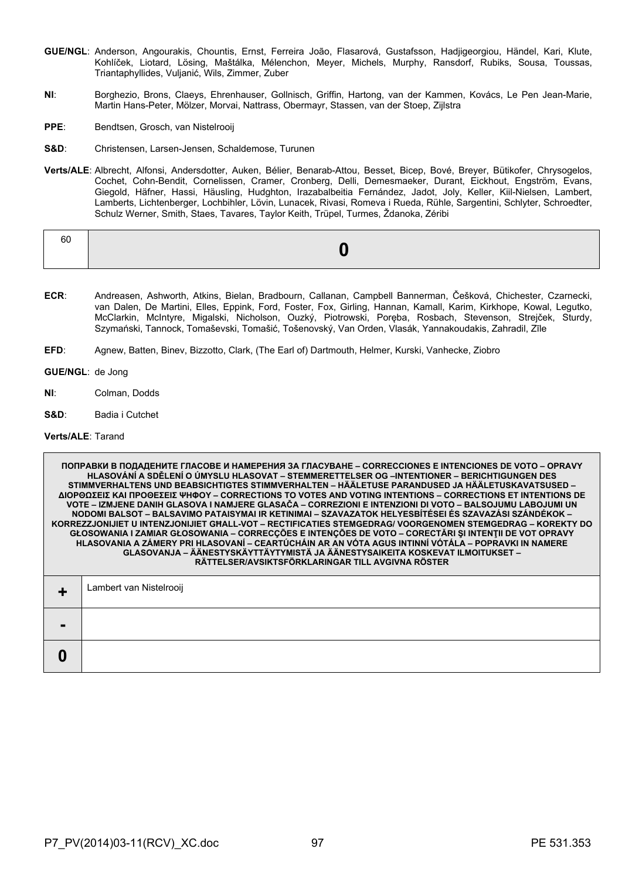- **GUE/NGL**: Anderson, Angourakis, Chountis, Ernst, Ferreira João, Flasarová, Gustafsson, Hadjigeorgiou, Händel, Kari, Klute, Kohlíček, Liotard, Lösing, Maštálka, Mélenchon, Meyer, Michels, Murphy, Ransdorf, Rubiks, Sousa, Toussas, Triantaphyllides, Vuljanić, Wils, Zimmer, Zuber
- **NI**: Borghezio, Brons, Claeys, Ehrenhauser, Gollnisch, Griffin, Hartong, van der Kammen, Kovács, Le Pen Jean-Marie, Martin Hans-Peter, Mölzer, Morvai, Nattrass, Obermayr, Stassen, van der Stoep, Zijlstra
- **PPE**: Bendtsen, Grosch, van Nistelrooij
- **S&D**: Christensen, Larsen-Jensen, Schaldemose, Turunen
- **Verts/ALE**: Albrecht, Alfonsi, Andersdotter, Auken, Bélier, Benarab-Attou, Besset, Bicep, Bové, Breyer, Bütikofer, Chrysogelos, Cochet, Cohn-Bendit, Cornelissen, Cramer, Cronberg, Delli, Demesmaeker, Durant, Eickhout, Engström, Evans, Giegold, Häfner, Hassi, Häusling, Hudghton, Irazabalbeitia Fernández, Jadot, Joly, Keller, Kiil-Nielsen, Lambert, Lamberts, Lichtenberger, Lochbihler, Lövin, Lunacek, Rivasi, Romeva i Rueda, Rühle, Sargentini, Schlyter, Schroedter, Schulz Werner, Smith, Staes, Tavares, Taylor Keith, Trüpel, Turmes, Ždanoka, Zéribi

| 60 |          |
|----|----------|
|    | <b>U</b> |

- **ECR**: Andreasen, Ashworth, Atkins, Bielan, Bradbourn, Callanan, Campbell Bannerman, Češková, Chichester, Czarnecki, van Dalen, De Martini, Elles, Eppink, Ford, Foster, Fox, Girling, Hannan, Kamall, Karim, Kirkhope, Kowal, Legutko, McClarkin, McIntyre, Migalski, Nicholson, Ouzký, Piotrowski, Poręba, Rosbach, Stevenson, Strejček, Sturdy, Szymański, Tannock, Tomaševski, Tomašić, Tošenovský, Van Orden, Vlasák, Yannakoudakis, Zahradil, Zīle
- **EFD**: Agnew, Batten, Binev, Bizzotto, Clark, (The Earl of) Dartmouth, Helmer, Kurski, Vanhecke, Ziobro

**GUE/NGL**: de Jong

- **NI**: Colman, Dodds
- **S&D**: Badia i Cutchet

#### **Verts/ALE**: Tarand

|   | ПОПРАВКИ В ПОДАДЕНИТЕ ГЛАСОВЕ И НАМЕРЕНИЯ ЗА ГЛАСУВАНЕ – CORRECCIONES Е INTENCIONES DE VOTO – OPRAVY<br>HLASOVÁNÍ A SDĚLENÍ O ÚMYSLU HLASOVAT – STEMMERETTELSER OG –INTENTIONER – BERICHTIGUNGEN DES<br>STIMMVERHALTENS UND BEABSICHTIGTES STIMMVERHALTEN – HÄÄLETUSE PARANDUSED JA HÄÄLETUSKAVATSUSED –<br>ΔΙΟΡΘΩΣΕΙΣ ΚΑΙ ΠΡΟΘΕΣΕΙΣ ΨΗΦΟΥ – CORRECTIONS TO VOTES AND VOTING INTENTIONS – CORRECTIONS ET INTENTIONS DE<br>VOTE – IZMJENE DANIH GLASOVA I NAMJERE GLASAČA – CORREZIONI E INTENZIONI DI VOTO – BALSOJUMU LABOJUMI UN<br>NODOMI BALSOT – BALSAVIMO PATAISYMAI IR KETINIMAI – SZAVAZATOK HELYESBÍTÉSEI ÉS SZAVAZÁSI SZÁNDÉKOK –<br>KORREZZJONIJIET U INTENZJONIJIET GHALL-VOT – RECTIFICATIES STEMGEDRAG/ VOORGENOMEN STEMGEDRAG – KOREKTY DO<br>GŁOSOWANIA I ZAMIAR GŁOSOWANIA – CORRECÇÕES E INTENÇÕES DE VOTO – CORECTĂRI ȘI INTENȚII DE VOT OPRAVY<br>HLASOVANIA A ZÁMERY PRI HLASOVANÍ – CEARTÚCHÁIN AR AN VÓTA AGUS INTINNÍ VÓTÁLA – POPRAVKI IN NAMERE<br>GLASOVANJA – ÄÄNESTYSKÄYTTÄYTYMISTÄ JA ÄÄNESTYSAIKEITA KOSKEVAT ILMOITUKSET –<br>RÄTTELSER/AVSIKTSFÖRKLARINGAR TILL AVGIVNA RÖSTER |
|---|-----------------------------------------------------------------------------------------------------------------------------------------------------------------------------------------------------------------------------------------------------------------------------------------------------------------------------------------------------------------------------------------------------------------------------------------------------------------------------------------------------------------------------------------------------------------------------------------------------------------------------------------------------------------------------------------------------------------------------------------------------------------------------------------------------------------------------------------------------------------------------------------------------------------------------------------------------------------------------------------------------------------------------------------------------------------------------------------------------------------|
|   | Lambert van Nistelrooij                                                                                                                                                                                                                                                                                                                                                                                                                                                                                                                                                                                                                                                                                                                                                                                                                                                                                                                                                                                                                                                                                         |
|   |                                                                                                                                                                                                                                                                                                                                                                                                                                                                                                                                                                                                                                                                                                                                                                                                                                                                                                                                                                                                                                                                                                                 |
| 0 |                                                                                                                                                                                                                                                                                                                                                                                                                                                                                                                                                                                                                                                                                                                                                                                                                                                                                                                                                                                                                                                                                                                 |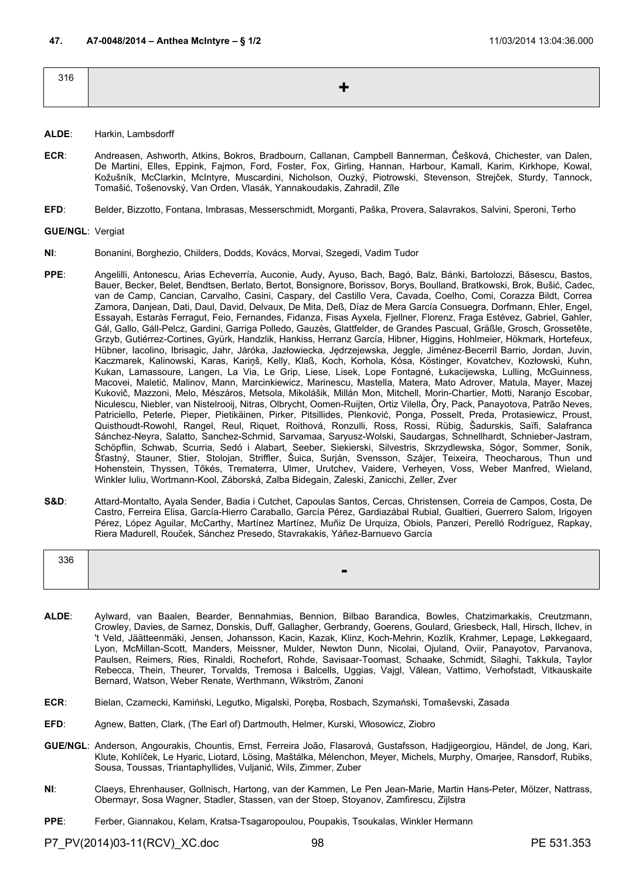| 316 |      |
|-----|------|
|     | - 15 |
|     |      |

# **ALDE**: Harkin, Lambsdorff

- **ECR**: Andreasen, Ashworth, Atkins, Bokros, Bradbourn, Callanan, Campbell Bannerman, Češková, Chichester, van Dalen, De Martini, Elles, Eppink, Fajmon, Ford, Foster, Fox, Girling, Hannan, Harbour, Kamall, Karim, Kirkhope, Kowal, Kožušník, McClarkin, McIntyre, Muscardini, Nicholson, Ouzký, Piotrowski, Stevenson, Strejček, Sturdy, Tannock, Tomašić, Tošenovský, Van Orden, Vlasák, Yannakoudakis, Zahradil, Zīle
- **EFD**: Belder, Bizzotto, Fontana, Imbrasas, Messerschmidt, Morganti, Paška, Provera, Salavrakos, Salvini, Speroni, Terho

#### **GUE/NGL**: Vergiat

- **NI**: Bonanini, Borghezio, Childers, Dodds, Kovács, Morvai, Szegedi, Vadim Tudor
- **PPE**: Angelilli, Antonescu, Arias Echeverría, Auconie, Audy, Ayuso, Bach, Bagó, Balz, Bánki, Bartolozzi, Băsescu, Bastos, Bauer, Becker, Belet, Bendtsen, Berlato, Bertot, Bonsignore, Borissov, Borys, Boulland, Bratkowski, Brok, Bušić, Cadec, van de Camp, Cancian, Carvalho, Casini, Caspary, del Castillo Vera, Cavada, Coelho, Comi, Corazza Bildt, Correa Zamora, Danjean, Dati, Daul, David, Delvaux, De Mita, Deß, Díaz de Mera García Consuegra, Dorfmann, Ehler, Engel, Essayah, Estaràs Ferragut, Feio, Fernandes, Fidanza, Fisas Ayxela, Fjellner, Florenz, Fraga Estévez, Gabriel, Gahler, Gál, Gallo, Gáll-Pelcz, Gardini, Garriga Polledo, Gauzès, Glattfelder, de Grandes Pascual, Gräßle, Grosch, Grossetête, Grzyb, Gutiérrez-Cortines, Gyürk, Handzlik, Hankiss, Herranz García, Hibner, Higgins, Hohlmeier, Hökmark, Hortefeux, Hübner, Iacolino, Ibrisagic, Jahr, Járóka, Jazłowiecka, Jędrzejewska, Jeggle, Jiménez-Becerril Barrio, Jordan, Juvin, Kaczmarek, Kalinowski, Karas, Kariņš, Kelly, Klaß, Koch, Korhola, Kósa, Köstinger, Kovatchev, Kozłowski, Kuhn, Kukan, Lamassoure, Langen, La Via, Le Grip, Liese, Lisek, Lope Fontagné, Łukacijewska, Lulling, McGuinness, Macovei, Maletić, Malinov, Mann, Marcinkiewicz, Marinescu, Mastella, Matera, Mato Adrover, Matula, Mayer, Mazej Kukovič, Mazzoni, Melo, Mészáros, Metsola, Mikolášik, Millán Mon, Mitchell, Morin-Chartier, Motti, Naranjo Escobar, Niculescu, Niebler, van Nistelrooij, Nitras, Olbrycht, Oomen-Ruijten, Ortiz Vilella, Őry, Pack, Panayotova, Patrão Neves, Patriciello, Peterle, Pieper, Pietikäinen, Pirker, Pitsillides, Plenković, Ponga, Posselt, Preda, Protasiewicz, Proust, Quisthoudt-Rowohl, Rangel, Reul, Riquet, Roithová, Ronzulli, Ross, Rossi, Rübig, Šadurskis, Saïfi, Salafranca Sánchez-Neyra, Salatto, Sanchez-Schmid, Sarvamaa, Saryusz-Wolski, Saudargas, Schnellhardt, Schnieber-Jastram, Schöpflin, Schwab, Scurria, Sedó i Alabart, Seeber, Siekierski, Silvestris, Skrzydlewska, Sógor, Sommer, Sonik, Šťastný, Stauner, Stier, Stolojan, Striffler, Šuica, Surján, Svensson, Szájer, Teixeira, Theocharous, Thun und Hohenstein, Thyssen, Tőkés, Trematerra, Ulmer, Urutchev, Vaidere, Verheyen, Voss, Weber Manfred, Wieland, Winkler Iuliu, Wortmann-Kool, Záborská, Zalba Bidegain, Zaleski, Zanicchi, Zeller, Zver
- **S&D**: Attard-Montalto, Ayala Sender, Badia i Cutchet, Capoulas Santos, Cercas, Christensen, Correia de Campos, Costa, De Castro, Ferreira Elisa, García-Hierro Caraballo, García Pérez, Gardiazábal Rubial, Gualtieri, Guerrero Salom, Irigoyen Pérez, López Aguilar, McCarthy, Martínez Martínez, Muñiz De Urquiza, Obiols, Panzeri, Perelló Rodríguez, Rapkay, Riera Madurell, Rouček, Sánchez Presedo, Stavrakakis, Yáñez-Barnuevo García

| $\sim$ $\sim$<br>336 |   |
|----------------------|---|
|                      | ш |
|                      |   |

- **ALDE**: Aylward, van Baalen, Bearder, Bennahmias, Bennion, Bilbao Barandica, Bowles, Chatzimarkakis, Creutzmann, Crowley, Davies, de Sarnez, Donskis, Duff, Gallagher, Gerbrandy, Goerens, Goulard, Griesbeck, Hall, Hirsch, Ilchev, in 't Veld, Jäätteenmäki, Jensen, Johansson, Kacin, Kazak, Klinz, Koch-Mehrin, Kozlík, Krahmer, Lepage, Løkkegaard, Lyon, McMillan-Scott, Manders, Meissner, Mulder, Newton Dunn, Nicolai, Ojuland, Oviir, Panayotov, Parvanova, Paulsen, Reimers, Ries, Rinaldi, Rochefort, Rohde, Savisaar-Toomast, Schaake, Schmidt, Silaghi, Takkula, Taylor Rebecca, Thein, Theurer, Torvalds, Tremosa i Balcells, Uggias, Vajgl, Vălean, Vattimo, Verhofstadt, Vitkauskaite Bernard, Watson, Weber Renate, Werthmann, Wikström, Zanoni
- **ECR**: Bielan, Czarnecki, Kamiński, Legutko, Migalski, Poręba, Rosbach, Szymański, Tomaševski, Zasada
- **EFD**: Agnew, Batten, Clark, (The Earl of) Dartmouth, Helmer, Kurski, Włosowicz, Ziobro
- **GUE/NGL**: Anderson, Angourakis, Chountis, Ernst, Ferreira João, Flasarová, Gustafsson, Hadjigeorgiou, Händel, de Jong, Kari, Klute, Kohlíček, Le Hyaric, Liotard, Lösing, Maštálka, Mélenchon, Meyer, Michels, Murphy, Omarjee, Ransdorf, Rubiks, Sousa, Toussas, Triantaphyllides, Vuljanić, Wils, Zimmer, Zuber
- **NI**: Claeys, Ehrenhauser, Gollnisch, Hartong, van der Kammen, Le Pen Jean-Marie, Martin Hans-Peter, Mölzer, Nattrass, Obermayr, Sosa Wagner, Stadler, Stassen, van der Stoep, Stoyanov, Zamfirescu, Zijlstra
- **PPE**: Ferber, Giannakou, Kelam, Kratsa-Tsagaropoulou, Poupakis, Tsoukalas, Winkler Hermann

P7\_PV(2014)03-11(RCV)\_XC.doc 98 PE 531.353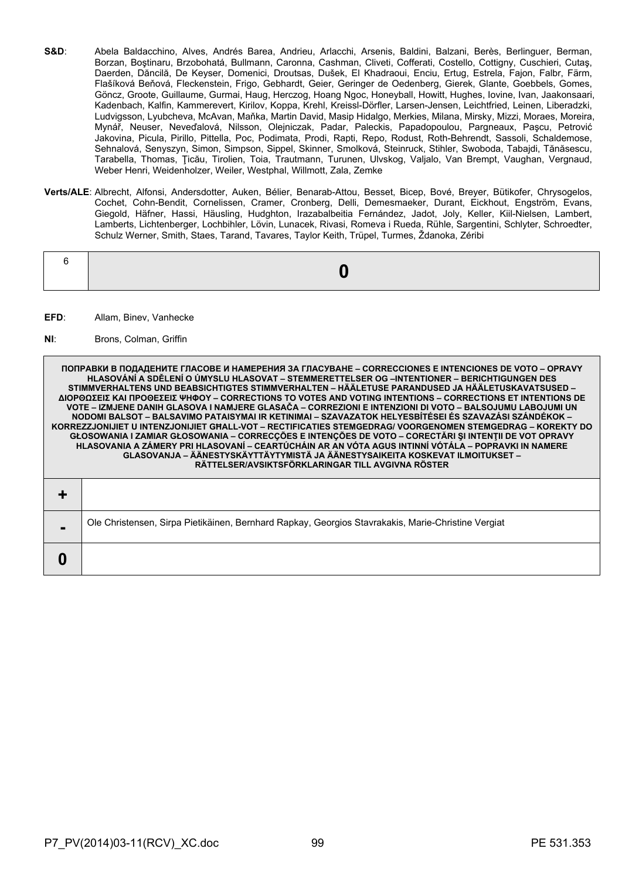- **S&D**: Abela Baldacchino, Alves, Andrés Barea, Andrieu, Arlacchi, Arsenis, Baldini, Balzani, Berès, Berlinguer, Berman, Borzan, Boştinaru, Brzobohatá, Bullmann, Caronna, Cashman, Cliveti, Cofferati, Costello, Cottigny, Cuschieri, Cutaş, Daerden, Dăncilă, De Keyser, Domenici, Droutsas, Dušek, El Khadraoui, Enciu, Ertug, Estrela, Fajon, Falbr, Färm, Flašíková Beňová, Fleckenstein, Frigo, Gebhardt, Geier, Geringer de Oedenberg, Gierek, Glante, Goebbels, Gomes, Göncz, Groote, Guillaume, Gurmai, Haug, Herczog, Hoang Ngoc, Honeyball, Howitt, Hughes, Iovine, Ivan, Jaakonsaari, Kadenbach, Kalfin, Kammerevert, Kirilov, Koppa, Krehl, Kreissl-Dörfler, Larsen-Jensen, Leichtfried, Leinen, Liberadzki, Ludvigsson, Lyubcheva, McAvan, Maňka, Martin David, Masip Hidalgo, Merkies, Milana, Mirsky, Mizzi, Moraes, Moreira, Mynář, Neuser, Neveďalová, Nilsson, Olejniczak, Padar, Paleckis, Papadopoulou, Pargneaux, Paşcu, Petrović Jakovina, Picula, Pirillo, Pittella, Poc, Podimata, Prodi, Rapti, Repo, Rodust, Roth-Behrendt, Sassoli, Schaldemose, Sehnalová, Senyszyn, Simon, Simpson, Sippel, Skinner, Smolková, Steinruck, Stihler, Swoboda, Tabajdi, Tănăsescu, Tarabella, Thomas, Ţicău, Tirolien, Toia, Trautmann, Turunen, Ulvskog, Valjalo, Van Brempt, Vaughan, Vergnaud, Weber Henri, Weidenholzer, Weiler, Westphal, Willmott, Zala, Zemke
- **Verts/ALE**: Albrecht, Alfonsi, Andersdotter, Auken, Bélier, Benarab-Attou, Besset, Bicep, Bové, Breyer, Bütikofer, Chrysogelos, Cochet, Cohn-Bendit, Cornelissen, Cramer, Cronberg, Delli, Demesmaeker, Durant, Eickhout, Engström, Evans, Giegold, Häfner, Hassi, Häusling, Hudghton, Irazabalbeitia Fernández, Jadot, Joly, Keller, Kiil-Nielsen, Lambert, Lamberts, Lichtenberger, Lochbihler, Lövin, Lunacek, Rivasi, Romeva i Rueda, Rühle, Sargentini, Schlyter, Schroedter, Schulz Werner, Smith, Staes, Tarand, Tavares, Taylor Keith, Trüpel, Turmes, Ždanoka, Zéribi

**EFD**: Allam, Binev, Vanhecke

**NI**: Brons, Colman, Griffin

**ПОПРАВКИ В ПОДАДЕНИТЕ ГЛАСОВЕ И НАМЕРЕНИЯ ЗА ГЛАСУВАНЕ – CORRECCIONES E INTENCIONES DE VOTO – OPRAVY HLASOVÁNÍ A SDĚLENÍ O ÚMYSLU HLASOVAT – STEMMERETTELSER OG –INTENTIONER – BERICHTIGUNGEN DES STIMMVERHALTENS UND BEABSICHTIGTES STIMMVERHALTEN – HÄÄLETUSE PARANDUSED JA HÄÄLETUSKAVATSUSED – ΔΙΟΡΘΩΣΕΙΣ ΚΑΙ ΠΡΟΘΕΣΕΙΣ ΨΗΦΟΥ – CORRECTIONS TO VOTES AND VOTING INTENTIONS – CORRECTIONS ET INTENTIONS DE VOTE – IZMJENE DANIH GLASOVA I NAMJERE GLASAČA – CORREZIONI E INTENZIONI DI VOTO – BALSOJUMU LABOJUMI UN NODOMI BALSOT – BALSAVIMO PATAISYMAI IR KETINIMAI – SZAVAZATOK HELYESBÍTÉSEI ÉS SZAVAZÁSI SZÁNDÉKOK – KORREZZJONIJIET U INTENZJONIJIET GĦALL-VOT – RECTIFICATIES STEMGEDRAG/ VOORGENOMEN STEMGEDRAG – KOREKTY DO GŁOSOWANIA I ZAMIAR GŁOSOWANIA – CORRECÇÕES E INTENÇÕES DE VOTO – CORECTĂRI ŞI INTENŢII DE VOT OPRAVY HLASOVANIA A ZÁMERY PRI HLASOVANÍ – CEARTÚCHÁIN AR AN VÓTA AGUS INTINNÍ VÓTÁLA – POPRAVKI IN NAMERE GLASOVANJA – ÄÄNESTYSKÄYTTÄYTYMISTÄ JA ÄÄNESTYSAIKEITA KOSKEVAT ILMOITUKSET – RÄTTELSER/AVSIKTSFÖRKLARINGAR TILL AVGIVNA RÖSTER**

| $\blacksquare$ | Ole Christensen, Sirpa Pietikäinen, Bernhard Rapkay, Georgios Stavrakakis, Marie-Christine Vergiat |
|----------------|----------------------------------------------------------------------------------------------------|
|                |                                                                                                    |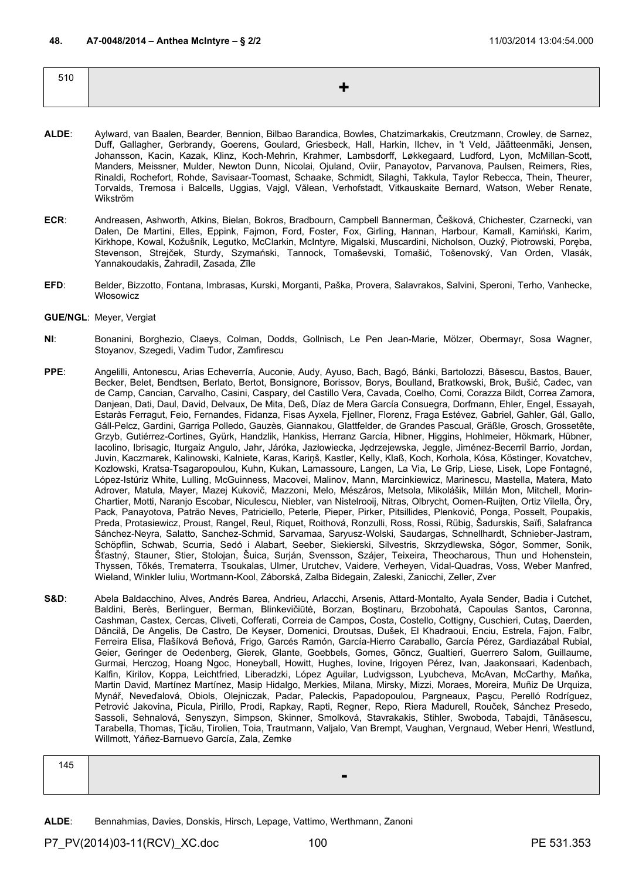| 510 |  |
|-----|--|
|     |  |
|     |  |

- **ALDE**: Aylward, van Baalen, Bearder, Bennion, Bilbao Barandica, Bowles, Chatzimarkakis, Creutzmann, Crowley, de Sarnez, Duff, Gallagher, Gerbrandy, Goerens, Goulard, Griesbeck, Hall, Harkin, Ilchev, in 't Veld, Jäätteenmäki, Jensen, Johansson, Kacin, Kazak, Klinz, Koch-Mehrin, Krahmer, Lambsdorff, Løkkegaard, Ludford, Lyon, McMillan-Scott, Manders, Meissner, Mulder, Newton Dunn, Nicolai, Ojuland, Oviir, Panayotov, Parvanova, Paulsen, Reimers, Ries, Rinaldi, Rochefort, Rohde, Savisaar-Toomast, Schaake, Schmidt, Silaghi, Takkula, Taylor Rebecca, Thein, Theurer, Torvalds, Tremosa i Balcells, Uggias, Vajgl, Vălean, Verhofstadt, Vitkauskaite Bernard, Watson, Weber Renate, Wikström
- **ECR**: Andreasen, Ashworth, Atkins, Bielan, Bokros, Bradbourn, Campbell Bannerman, Češková, Chichester, Czarnecki, van Dalen, De Martini, Elles, Eppink, Fajmon, Ford, Foster, Fox, Girling, Hannan, Harbour, Kamall, Kamiński, Karim, Kirkhope, Kowal, Kožušník, Legutko, McClarkin, McIntyre, Migalski, Muscardini, Nicholson, Ouzký, Piotrowski, Poręba, Stevenson, Strejček, Sturdy, Szymański, Tannock, Tomaševski, Tomašić, Tošenovský, Van Orden, Vlasák, Yannakoudakis, Zahradil, Zasada, Zīle
- **EFD**: Belder, Bizzotto, Fontana, Imbrasas, Kurski, Morganti, Paška, Provera, Salavrakos, Salvini, Speroni, Terho, Vanhecke, Włosowicz
- **GUE/NGL**: Meyer, Vergiat
- **NI**: Bonanini, Borghezio, Claeys, Colman, Dodds, Gollnisch, Le Pen Jean-Marie, Mölzer, Obermayr, Sosa Wagner, Stoyanov, Szegedi, Vadim Tudor, Zamfirescu
- **PPE**: Angelilli, Antonescu, Arias Echeverría, Auconie, Audy, Ayuso, Bach, Bagó, Bánki, Bartolozzi, Băsescu, Bastos, Bauer, Becker, Belet, Bendtsen, Berlato, Bertot, Bonsignore, Borissov, Borys, Boulland, Bratkowski, Brok, Bušić, Cadec, van de Camp, Cancian, Carvalho, Casini, Caspary, del Castillo Vera, Cavada, Coelho, Comi, Corazza Bildt, Correa Zamora, Danjean, Dati, Daul, David, Delvaux, De Mita, Deß, Díaz de Mera García Consuegra, Dorfmann, Ehler, Engel, Essayah, Estaràs Ferragut, Feio, Fernandes, Fidanza, Fisas Ayxela, Fjellner, Florenz, Fraga Estévez, Gabriel, Gahler, Gál, Gallo, Gáll-Pelcz, Gardini, Garriga Polledo, Gauzès, Giannakou, Glattfelder, de Grandes Pascual, Gräßle, Grosch, Grossetête, Grzyb, Gutiérrez-Cortines, Gyürk, Handzlik, Hankiss, Herranz García, Hibner, Higgins, Hohlmeier, Hökmark, Hübner, Iacolino, Ibrisagic, Iturgaiz Angulo, Jahr, Járóka, Jazłowiecka, Jędrzejewska, Jeggle, Jiménez-Becerril Barrio, Jordan, Juvin, Kaczmarek, Kalinowski, Kalniete, Karas, Kariņš, Kastler, Kelly, Klaß, Koch, Korhola, Kósa, Köstinger, Kovatchev, Kozłowski, Kratsa-Tsagaropoulou, Kuhn, Kukan, Lamassoure, Langen, La Via, Le Grip, Liese, Lisek, Lope Fontagné, López-Istúriz White, Lulling, McGuinness, Macovei, Malinov, Mann, Marcinkiewicz, Marinescu, Mastella, Matera, Mato Adrover, Matula, Mayer, Mazej Kukovič, Mazzoni, Melo, Mészáros, Metsola, Mikolášik, Millán Mon, Mitchell, Morin-Chartier, Motti, Naranjo Escobar, Niculescu, Niebler, van Nistelrooij, Nitras, Olbrycht, Oomen-Ruijten, Ortiz Vilella, Őry, Pack, Panayotova, Patrão Neves, Patriciello, Peterle, Pieper, Pirker, Pitsillides, Plenković, Ponga, Posselt, Poupakis, Preda, Protasiewicz, Proust, Rangel, Reul, Riquet, Roithová, Ronzulli, Ross, Rossi, Rübig, Šadurskis, Saïfi, Salafranca Sánchez-Neyra, Salatto, Sanchez-Schmid, Sarvamaa, Saryusz-Wolski, Saudargas, Schnellhardt, Schnieber-Jastram, Schöpflin, Schwab, Scurria, Sedó i Alabart, Seeber, Siekierski, Silvestris, Skrzydlewska, Sógor, Sommer, Sonik, Šťastný, Stauner, Stier, Stolojan, Šuica, Surján, Svensson, Szájer, Teixeira, Theocharous, Thun und Hohenstein, Thyssen, Tőkés, Trematerra, Tsoukalas, Ulmer, Urutchev, Vaidere, Verheyen, Vidal-Quadras, Voss, Weber Manfred, Wieland, Winkler Iuliu, Wortmann-Kool, Záborská, Zalba Bidegain, Zaleski, Zanicchi, Zeller, Zver
- **S&D**: Abela Baldacchino, Alves, Andrés Barea, Andrieu, Arlacchi, Arsenis, Attard-Montalto, Ayala Sender, Badia i Cutchet, Baldini, Berès, Berlinguer, Berman, Blinkevičiūtė, Borzan, Boştinaru, Brzobohatá, Capoulas Santos, Caronna, Cashman, Castex, Cercas, Cliveti, Cofferati, Correia de Campos, Costa, Costello, Cottigny, Cuschieri, Cutaş, Daerden, Dăncilă, De Angelis, De Castro, De Keyser, Domenici, Droutsas, Dušek, El Khadraoui, Enciu, Estrela, Fajon, Falbr, Ferreira Elisa, Flašíková Beňová, Frigo, Garcés Ramón, García-Hierro Caraballo, García Pérez, Gardiazábal Rubial, Geier, Geringer de Oedenberg, Gierek, Glante, Goebbels, Gomes, Göncz, Gualtieri, Guerrero Salom, Guillaume, Gurmai, Herczog, Hoang Ngoc, Honeyball, Howitt, Hughes, Iovine, Irigoyen Pérez, Ivan, Jaakonsaari, Kadenbach, Kalfin, Kirilov, Koppa, Leichtfried, Liberadzki, López Aguilar, Ludvigsson, Lyubcheva, McAvan, McCarthy, Maňka, Martin David, Martínez Martínez, Masip Hidalgo, Merkies, Milana, Mirsky, Mizzi, Moraes, Moreira, Muñiz De Urquiza, Mynář, Neveďalová, Obiols, Olejniczak, Padar, Paleckis, Papadopoulou, Pargneaux, Paşcu, Perelló Rodríguez, Petrović Jakovina, Picula, Pirillo, Prodi, Rapkay, Rapti, Regner, Repo, Riera Madurell, Rouček, Sánchez Presedo, Sassoli, Sehnalová, Senyszyn, Simpson, Skinner, Smolková, Stavrakakis, Stihler, Swoboda, Tabajdi, Tănăsescu, Tarabella, Thomas, Ţicău, Tirolien, Toia, Trautmann, Valjalo, Van Brempt, Vaughan, Vergnaud, Weber Henri, Westlund, Willmott, Yáñez-Barnuevo García, Zala, Zemke

| 145 |   |
|-----|---|
|     | ш |

**ALDE**: Bennahmias, Davies, Donskis, Hirsch, Lepage, Vattimo, Werthmann, Zanoni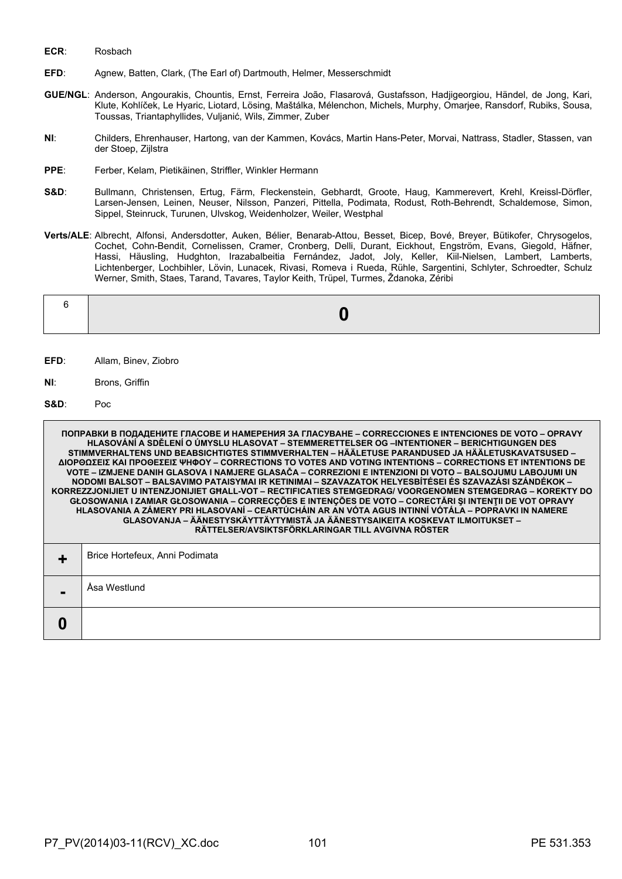- **ECR**: Rosbach
- **EFD**: Agnew, Batten, Clark, (The Earl of) Dartmouth, Helmer, Messerschmidt
- **GUE/NGL**: Anderson, Angourakis, Chountis, Ernst, Ferreira João, Flasarová, Gustafsson, Hadjigeorgiou, Händel, de Jong, Kari, Klute, Kohlíček, Le Hyaric, Liotard, Lösing, Maštálka, Mélenchon, Michels, Murphy, Omarjee, Ransdorf, Rubiks, Sousa, Toussas, Triantaphyllides, Vuljanić, Wils, Zimmer, Zuber
- **NI**: Childers, Ehrenhauser, Hartong, van der Kammen, Kovács, Martin Hans-Peter, Morvai, Nattrass, Stadler, Stassen, van der Stoep, Zijlstra
- **PPE**: Ferber, Kelam, Pietikäinen, Striffler, Winkler Hermann
- **S&D**: Bullmann, Christensen, Ertug, Färm, Fleckenstein, Gebhardt, Groote, Haug, Kammerevert, Krehl, Kreissl-Dörfler, Larsen-Jensen, Leinen, Neuser, Nilsson, Panzeri, Pittella, Podimata, Rodust, Roth-Behrendt, Schaldemose, Simon, Sippel, Steinruck, Turunen, Ulvskog, Weidenholzer, Weiler, Westphal
- **Verts/ALE**: Albrecht, Alfonsi, Andersdotter, Auken, Bélier, Benarab-Attou, Besset, Bicep, Bové, Breyer, Bütikofer, Chrysogelos, Cochet, Cohn-Bendit, Cornelissen, Cramer, Cronberg, Delli, Durant, Eickhout, Engström, Evans, Giegold, Häfner, Hassi, Häusling, Hudghton, Irazabalbeitia Fernández, Jadot, Joly, Keller, Kiil-Nielsen, Lambert, Lamberts, Lichtenberger, Lochbihler, Lövin, Lunacek, Rivasi, Romeva i Rueda, Rühle, Sargentini, Schlyter, Schroedter, Schulz Werner, Smith, Staes, Tarand, Tavares, Taylor Keith, Trüpel, Turmes, Ždanoka, Zéribi

- **EFD**: Allam, Binev, Ziobro
- **NI**: Brons, Griffin
- **S&D**: Poc

**ПОПРАВКИ В ПОДАДЕНИТЕ ГЛАСОВЕ И НАМЕРЕНИЯ ЗА ГЛАСУВАНЕ – CORRECCIONES E INTENCIONES DE VOTO – OPRAVY HLASOVÁNÍ A SDĚLENÍ O ÚMYSLU HLASOVAT – STEMMERETTELSER OG –INTENTIONER – BERICHTIGUNGEN DES STIMMVERHALTENS UND BEABSICHTIGTES STIMMVERHALTEN – HÄÄLETUSE PARANDUSED JA HÄÄLETUSKAVATSUSED – ΔΙΟΡΘΩΣΕΙΣ ΚΑΙ ΠΡΟΘΕΣΕΙΣ ΨΗΦΟΥ – CORRECTIONS TO VOTES AND VOTING INTENTIONS – CORRECTIONS ET INTENTIONS DE VOTE – IZMJENE DANIH GLASOVA I NAMJERE GLASAČA – CORREZIONI E INTENZIONI DI VOTO – BALSOJUMU LABOJUMI UN NODOMI BALSOT – BALSAVIMO PATAISYMAI IR KETINIMAI – SZAVAZATOK HELYESBÍTÉSEI ÉS SZAVAZÁSI SZÁNDÉKOK – KORREZZJONIJIET U INTENZJONIJIET GĦALL-VOT – RECTIFICATIES STEMGEDRAG/ VOORGENOMEN STEMGEDRAG – KOREKTY DO GŁOSOWANIA I ZAMIAR GŁOSOWANIA – CORRECÇÕES E INTENÇÕES DE VOTO – CORECTĂRI ŞI INTENŢII DE VOT OPRAVY HLASOVANIA A ZÁMERY PRI HLASOVANÍ – CEARTÚCHÁIN AR AN VÓTA AGUS INTINNÍ VÓTÁLA – POPRAVKI IN NAMERE GLASOVANJA – ÄÄNESTYSKÄYTTÄYTYMISTÄ JA ÄÄNESTYSAIKEITA KOSKEVAT ILMOITUKSET – RÄTTELSER/AVSIKTSFÖRKLARINGAR TILL AVGIVNA RÖSTER +** Brice Hortefeux, Anni Podimata **-** Åsa Westlund **0**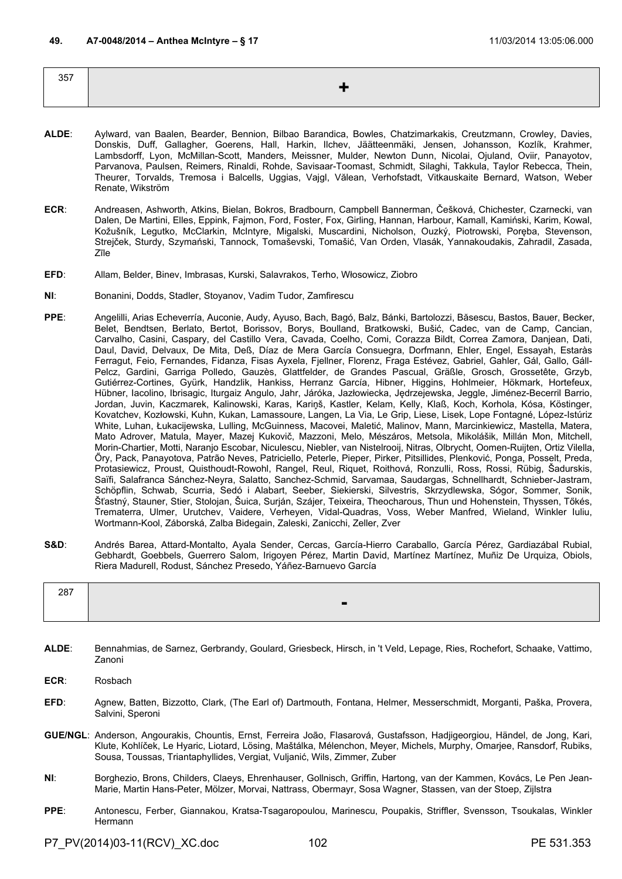| 357 |    |
|-----|----|
|     | __ |
|     |    |

- **ALDE**: Aylward, van Baalen, Bearder, Bennion, Bilbao Barandica, Bowles, Chatzimarkakis, Creutzmann, Crowley, Davies, Donskis, Duff, Gallagher, Goerens, Hall, Harkin, Ilchev, Jäätteenmäki, Jensen, Johansson, Kozlík, Krahmer, Lambsdorff, Lyon, McMillan-Scott, Manders, Meissner, Mulder, Newton Dunn, Nicolai, Ojuland, Oviir, Panayotov, Parvanova, Paulsen, Reimers, Rinaldi, Rohde, Savisaar-Toomast, Schmidt, Silaghi, Takkula, Taylor Rebecca, Thein, Theurer, Torvalds, Tremosa i Balcells, Uggias, Vajgl, Vălean, Verhofstadt, Vitkauskaite Bernard, Watson, Weber Renate, Wikström
- **ECR**: Andreasen, Ashworth, Atkins, Bielan, Bokros, Bradbourn, Campbell Bannerman, Češková, Chichester, Czarnecki, van Dalen, De Martini, Elles, Eppink, Fajmon, Ford, Foster, Fox, Girling, Hannan, Harbour, Kamall, Kamiński, Karim, Kowal, Kožušník, Legutko, McClarkin, McIntyre, Migalski, Muscardini, Nicholson, Ouzký, Piotrowski, Poręba, Stevenson, Strejček, Sturdy, Szymański, Tannock, Tomaševski, Tomašić, Van Orden, Vlasák, Yannakoudakis, Zahradil, Zasada, Zīle
- **EFD**: Allam, Belder, Binev, Imbrasas, Kurski, Salavrakos, Terho, Włosowicz, Ziobro
- **NI**: Bonanini, Dodds, Stadler, Stoyanov, Vadim Tudor, Zamfirescu
- **PPE**: Angelilli, Arias Echeverría, Auconie, Audy, Ayuso, Bach, Bagó, Balz, Bánki, Bartolozzi, Băsescu, Bastos, Bauer, Becker, Belet, Bendtsen, Berlato, Bertot, Borissov, Borys, Boulland, Bratkowski, Bušić, Cadec, van de Camp, Cancian, Carvalho, Casini, Caspary, del Castillo Vera, Cavada, Coelho, Comi, Corazza Bildt, Correa Zamora, Danjean, Dati, Daul, David, Delvaux, De Mita, Deß, Díaz de Mera García Consuegra, Dorfmann, Ehler, Engel, Essayah, Estaràs Ferragut, Feio, Fernandes, Fidanza, Fisas Ayxela, Fjellner, Florenz, Fraga Estévez, Gabriel, Gahler, Gál, Gallo, Gáll-Pelcz, Gardini, Garriga Polledo, Gauzès, Glattfelder, de Grandes Pascual, Gräßle, Grosch, Grossetête, Grzyb, Gutiérrez-Cortines, Gyürk, Handzlik, Hankiss, Herranz García, Hibner, Higgins, Hohlmeier, Hökmark, Hortefeux, Hübner, Iacolino, Ibrisagic, Iturgaiz Angulo, Jahr, Járóka, Jazłowiecka, Jędrzejewska, Jeggle, Jiménez-Becerril Barrio, Jordan, Juvin, Kaczmarek, Kalinowski, Karas, Kariņš, Kastler, Kelam, Kelly, Klaß, Koch, Korhola, Kósa, Köstinger, Kovatchev, Kozłowski, Kuhn, Kukan, Lamassoure, Langen, La Via, Le Grip, Liese, Lisek, Lope Fontagné, López-Istúriz White, Luhan, Łukacijewska, Lulling, McGuinness, Macovei, Maletić, Malinov, Mann, Marcinkiewicz, Mastella, Matera, Mato Adrover, Matula, Mayer, Mazej Kukovič, Mazzoni, Melo, Mészáros, Metsola, Mikolášik, Millán Mon, Mitchell, Morin-Chartier, Motti, Naranjo Escobar, Niculescu, Niebler, van Nistelrooij, Nitras, Olbrycht, Oomen-Ruijten, Ortiz Vilella, Őry, Pack, Panayotova, Patrão Neves, Patriciello, Peterle, Pieper, Pirker, Pitsillides, Plenković, Ponga, Posselt, Preda, Protasiewicz, Proust, Quisthoudt-Rowohl, Rangel, Reul, Riquet, Roithová, Ronzulli, Ross, Rossi, Rübig, Šadurskis, Saïfi, Salafranca Sánchez-Neyra, Salatto, Sanchez-Schmid, Sarvamaa, Saudargas, Schnellhardt, Schnieber-Jastram, Schöpflin, Schwab, Scurria, Sedó i Alabart, Seeber, Siekierski, Silvestris, Skrzydlewska, Sógor, Sommer, Sonik, Šťastný, Stauner, Stier, Stolojan, Šuica, Surján, Szájer, Teixeira, Theocharous, Thun und Hohenstein, Thyssen, Tőkés, Trematerra, Ulmer, Urutchev, Vaidere, Verheyen, Vidal-Quadras, Voss, Weber Manfred, Wieland, Winkler Iuliu, Wortmann-Kool, Záborská, Zalba Bidegain, Zaleski, Zanicchi, Zeller, Zver
- **S&D**: Andrés Barea, Attard-Montalto, Ayala Sender, Cercas, García-Hierro Caraballo, García Pérez, Gardiazábal Rubial, Gebhardt, Goebbels, Guerrero Salom, Irigoyen Pérez, Martin David, Martínez Martínez, Muñiz De Urquiza, Obiols, Riera Madurell, Rodust, Sánchez Presedo, Yáñez-Barnuevo García

| 287 |                |
|-----|----------------|
|     | $\blacksquare$ |

- **ALDE**: Bennahmias, de Sarnez, Gerbrandy, Goulard, Griesbeck, Hirsch, in 't Veld, Lepage, Ries, Rochefort, Schaake, Vattimo, Zanoni
- **ECR**: Rosbach
- **EFD**: Agnew, Batten, Bizzotto, Clark, (The Earl of) Dartmouth, Fontana, Helmer, Messerschmidt, Morganti, Paška, Provera, Salvini, Speroni
- **GUE/NGL**: Anderson, Angourakis, Chountis, Ernst, Ferreira João, Flasarová, Gustafsson, Hadjigeorgiou, Händel, de Jong, Kari, Klute, Kohlíček, Le Hyaric, Liotard, Lösing, Maštálka, Mélenchon, Meyer, Michels, Murphy, Omarjee, Ransdorf, Rubiks, Sousa, Toussas, Triantaphyllides, Vergiat, Vuljanić, Wils, Zimmer, Zuber
- **NI**: Borghezio, Brons, Childers, Claeys, Ehrenhauser, Gollnisch, Griffin, Hartong, van der Kammen, Kovács, Le Pen Jean-Marie, Martin Hans-Peter, Mölzer, Morvai, Nattrass, Obermayr, Sosa Wagner, Stassen, van der Stoep, Zijlstra
- **PPE**: Antonescu, Ferber, Giannakou, Kratsa-Tsagaropoulou, Marinescu, Poupakis, Striffler, Svensson, Tsoukalas, Winkler Hermann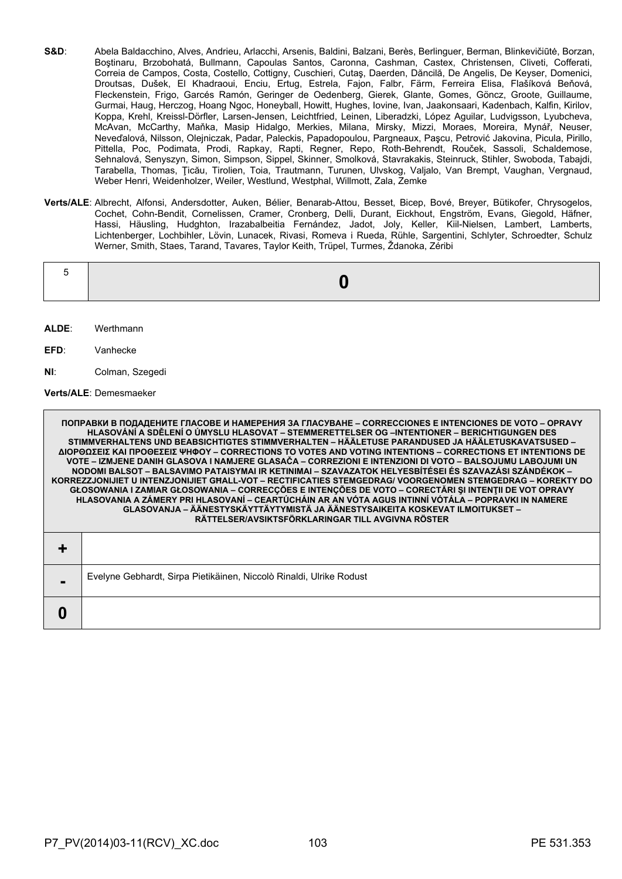- **S&D**: Abela Baldacchino, Alves, Andrieu, Arlacchi, Arsenis, Baldini, Balzani, Berès, Berlinguer, Berman, Blinkevičiūtė, Borzan, Boştinaru, Brzobohatá, Bullmann, Capoulas Santos, Caronna, Cashman, Castex, Christensen, Cliveti, Cofferati, Correia de Campos, Costa, Costello, Cottigny, Cuschieri, Cutaş, Daerden, Dăncilă, De Angelis, De Keyser, Domenici, Droutsas, Dušek, El Khadraoui, Enciu, Ertug, Estrela, Fajon, Falbr, Färm, Ferreira Elisa, Flašíková Beňová, Fleckenstein, Frigo, Garcés Ramón, Geringer de Oedenberg, Gierek, Glante, Gomes, Göncz, Groote, Guillaume, Gurmai, Haug, Herczog, Hoang Ngoc, Honeyball, Howitt, Hughes, Iovine, Ivan, Jaakonsaari, Kadenbach, Kalfin, Kirilov, Koppa, Krehl, Kreissl-Dörfler, Larsen-Jensen, Leichtfried, Leinen, Liberadzki, López Aguilar, Ludvigsson, Lyubcheva, McAvan, McCarthy, Maňka, Masip Hidalgo, Merkies, Milana, Mirsky, Mizzi, Moraes, Moreira, Mynář, Neuser, Neveďalová, Nilsson, Olejniczak, Padar, Paleckis, Papadopoulou, Pargneaux, Paşcu, Petrović Jakovina, Picula, Pirillo, Pittella, Poc, Podimata, Prodi, Rapkay, Rapti, Regner, Repo, Roth-Behrendt, Rouček, Sassoli, Schaldemose, Sehnalová, Senyszyn, Simon, Simpson, Sippel, Skinner, Smolková, Stavrakakis, Steinruck, Stihler, Swoboda, Tabajdi, Tarabella, Thomas, Ţicău, Tirolien, Toia, Trautmann, Turunen, Ulvskog, Valjalo, Van Brempt, Vaughan, Vergnaud, Weber Henri, Weidenholzer, Weiler, Westlund, Westphal, Willmott, Zala, Zemke
- **Verts/ALE**: Albrecht, Alfonsi, Andersdotter, Auken, Bélier, Benarab-Attou, Besset, Bicep, Bové, Breyer, Bütikofer, Chrysogelos, Cochet, Cohn-Bendit, Cornelissen, Cramer, Cronberg, Delli, Durant, Eickhout, Engström, Evans, Giegold, Häfner, Hassi, Häusling, Hudghton, Irazabalbeitia Fernández, Jadot, Joly, Keller, Kiil-Nielsen, Lambert, Lamberts, Lichtenberger, Lochbihler, Lövin, Lunacek, Rivasi, Romeva i Rueda, Rühle, Sargentini, Schlyter, Schroedter, Schulz Werner, Smith, Staes, Tarand, Tavares, Taylor Keith, Trüpel, Turmes, Ždanoka, Zéribi

**ALDE**: Werthmann

- **EFD**: Vanhecke
- **NI**: Colman, Szegedi

**Verts/ALE**: Demesmaeker

**0**

**ПОПРАВКИ В ПОДАДЕНИТЕ ГЛАСОВЕ И НАМЕРЕНИЯ ЗА ГЛАСУВАНЕ – CORRECCIONES E INTENCIONES DE VOTO – OPRAVY HLASOVÁNÍ A SDĚLENÍ O ÚMYSLU HLASOVAT – STEMMERETTELSER OG –INTENTIONER – BERICHTIGUNGEN DES STIMMVERHALTENS UND BEABSICHTIGTES STIMMVERHALTEN – HÄÄLETUSE PARANDUSED JA HÄÄLETUSKAVATSUSED – ΔΙΟΡΘΩΣΕΙΣ ΚΑΙ ΠΡΟΘΕΣΕΙΣ ΨΗΦΟΥ – CORRECTIONS TO VOTES AND VOTING INTENTIONS – CORRECTIONS ET INTENTIONS DE VOTE – IZMJENE DANIH GLASOVA I NAMJERE GLASAČA – CORREZIONI E INTENZIONI DI VOTO – BALSOJUMU LABOJUMI UN NODOMI BALSOT – BALSAVIMO PATAISYMAI IR KETINIMAI – SZAVAZATOK HELYESBÍTÉSEI ÉS SZAVAZÁSI SZÁNDÉKOK – KORREZZJONIJIET U INTENZJONIJIET GĦALL-VOT – RECTIFICATIES STEMGEDRAG/ VOORGENOMEN STEMGEDRAG – KOREKTY DO GŁOSOWANIA I ZAMIAR GŁOSOWANIA – CORRECÇÕES E INTENÇÕES DE VOTO – CORECTĂRI ŞI INTENŢII DE VOT OPRAVY HLASOVANIA A ZÁMERY PRI HLASOVANÍ – CEARTÚCHÁIN AR AN VÓTA AGUS INTINNÍ VÓTÁLA – POPRAVKI IN NAMERE GLASOVANJA – ÄÄNESTYSKÄYTTÄYTYMISTÄ JA ÄÄNESTYSAIKEITA KOSKEVAT ILMOITUKSET – RÄTTELSER/AVSIKTSFÖRKLARINGAR TILL AVGIVNA RÖSTER + -** Evelyne Gebhardt, Sirpa Pietikäinen, Niccolò Rinaldi, Ulrike Rodust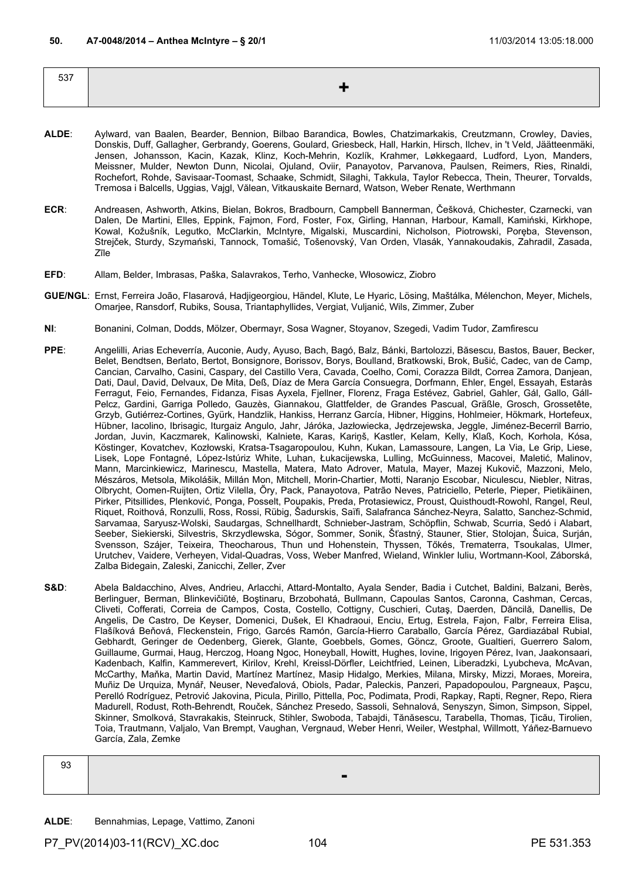| 537 |  |
|-----|--|
|     |  |

- **ALDE**: Aylward, van Baalen, Bearder, Bennion, Bilbao Barandica, Bowles, Chatzimarkakis, Creutzmann, Crowley, Davies, Donskis, Duff, Gallagher, Gerbrandy, Goerens, Goulard, Griesbeck, Hall, Harkin, Hirsch, Ilchev, in 't Veld, Jäätteenmäki, Jensen, Johansson, Kacin, Kazak, Klinz, Koch-Mehrin, Kozlík, Krahmer, Løkkegaard, Ludford, Lyon, Manders, Meissner, Mulder, Newton Dunn, Nicolai, Ojuland, Oviir, Panayotov, Parvanova, Paulsen, Reimers, Ries, Rinaldi, Rochefort, Rohde, Savisaar-Toomast, Schaake, Schmidt, Silaghi, Takkula, Taylor Rebecca, Thein, Theurer, Torvalds, Tremosa i Balcells, Uggias, Vajgl, Vălean, Vitkauskaite Bernard, Watson, Weber Renate, Werthmann
- **ECR**: Andreasen, Ashworth, Atkins, Bielan, Bokros, Bradbourn, Campbell Bannerman, Češková, Chichester, Czarnecki, van Dalen, De Martini, Elles, Eppink, Fajmon, Ford, Foster, Fox, Girling, Hannan, Harbour, Kamall, Kamiński, Kirkhope, Kowal, Kožušník, Legutko, McClarkin, McIntyre, Migalski, Muscardini, Nicholson, Piotrowski, Poręba, Stevenson, Strejček, Sturdy, Szymański, Tannock, Tomašić, Tošenovský, Van Orden, Vlasák, Yannakoudakis, Zahradil, Zasada, Zīle
- **EFD**: Allam, Belder, Imbrasas, Paška, Salavrakos, Terho, Vanhecke, Włosowicz, Ziobro
- **GUE/NGL**: Ernst, Ferreira João, Flasarová, Hadjigeorgiou, Händel, Klute, Le Hyaric, Lösing, Maštálka, Mélenchon, Meyer, Michels, Omarjee, Ransdorf, Rubiks, Sousa, Triantaphyllides, Vergiat, Vuljanić, Wils, Zimmer, Zuber
- **NI**: Bonanini, Colman, Dodds, Mölzer, Obermayr, Sosa Wagner, Stoyanov, Szegedi, Vadim Tudor, Zamfirescu
- **PPE**: Angelilli, Arias Echeverría, Auconie, Audy, Ayuso, Bach, Bagó, Balz, Bánki, Bartolozzi, Băsescu, Bastos, Bauer, Becker, Belet, Bendtsen, Berlato, Bertot, Bonsignore, Borissov, Borys, Boulland, Bratkowski, Brok, Bušić, Cadec, van de Camp, Cancian, Carvalho, Casini, Caspary, del Castillo Vera, Cavada, Coelho, Comi, Corazza Bildt, Correa Zamora, Danjean, Dati, Daul, David, Delvaux, De Mita, Deß, Díaz de Mera García Consuegra, Dorfmann, Ehler, Engel, Essayah, Estaràs Ferragut, Feio, Fernandes, Fidanza, Fisas Ayxela, Fjellner, Florenz, Fraga Estévez, Gabriel, Gahler, Gál, Gallo, Gáll-Pelcz, Gardini, Garriga Polledo, Gauzès, Giannakou, Glattfelder, de Grandes Pascual, Gräßle, Grosch, Grossetête, Grzyb, Gutiérrez-Cortines, Gyürk, Handzlik, Hankiss, Herranz García, Hibner, Higgins, Hohlmeier, Hökmark, Hortefeux, Hübner, Iacolino, Ibrisagic, Iturgaiz Angulo, Jahr, Járóka, Jazłowiecka, Jędrzejewska, Jeggle, Jiménez-Becerril Barrio, Jordan, Juvin, Kaczmarek, Kalinowski, Kalniete, Karas, Kariņš, Kastler, Kelam, Kelly, Klaß, Koch, Korhola, Kósa, Köstinger, Kovatchev, Kozłowski, Kratsa-Tsagaropoulou, Kuhn, Kukan, Lamassoure, Langen, La Via, Le Grip, Liese, Lisek, Lope Fontagné, López-Istúriz White, Luhan, Łukacijewska, Lulling, McGuinness, Macovei, Maletić, Malinov, Mann, Marcinkiewicz, Marinescu, Mastella, Matera, Mato Adrover, Matula, Mayer, Mazej Kukovič, Mazzoni, Melo, Mészáros, Metsola, Mikolášik, Millán Mon, Mitchell, Morin-Chartier, Motti, Naranjo Escobar, Niculescu, Niebler, Nitras, Olbrycht, Oomen-Ruijten, Ortiz Vilella, Őry, Pack, Panayotova, Patrão Neves, Patriciello, Peterle, Pieper, Pietikäinen, Pirker, Pitsillides, Plenković, Ponga, Posselt, Poupakis, Preda, Protasiewicz, Proust, Quisthoudt-Rowohl, Rangel, Reul, Riquet, Roithová, Ronzulli, Ross, Rossi, Rübig, Šadurskis, Saïfi, Salafranca Sánchez-Neyra, Salatto, Sanchez-Schmid, Sarvamaa, Saryusz-Wolski, Saudargas, Schnellhardt, Schnieber-Jastram, Schöpflin, Schwab, Scurria, Sedó i Alabart, Seeber, Siekierski, Silvestris, Skrzydlewska, Sógor, Sommer, Sonik, Šťastný, Stauner, Stier, Stolojan, Šuica, Surján, Svensson, Szájer, Teixeira, Theocharous, Thun und Hohenstein, Thyssen, Tőkés, Trematerra, Tsoukalas, Ulmer, Urutchev, Vaidere, Verheyen, Vidal-Quadras, Voss, Weber Manfred, Wieland, Winkler Iuliu, Wortmann-Kool, Záborská, Zalba Bidegain, Zaleski, Zanicchi, Zeller, Zver
- **S&D**: Abela Baldacchino, Alves, Andrieu, Arlacchi, Attard-Montalto, Ayala Sender, Badia i Cutchet, Baldini, Balzani, Berès, Berlinguer, Berman, Blinkevičiūtė, Boştinaru, Brzobohatá, Bullmann, Capoulas Santos, Caronna, Cashman, Cercas, Cliveti, Cofferati, Correia de Campos, Costa, Costello, Cottigny, Cuschieri, Cutaş, Daerden, Dăncilă, Danellis, De Angelis, De Castro, De Keyser, Domenici, Dušek, El Khadraoui, Enciu, Ertug, Estrela, Fajon, Falbr, Ferreira Elisa, Flašíková Beňová, Fleckenstein, Frigo, Garcés Ramón, García-Hierro Caraballo, García Pérez, Gardiazábal Rubial, Gebhardt, Geringer de Oedenberg, Gierek, Glante, Goebbels, Gomes, Göncz, Groote, Gualtieri, Guerrero Salom, Guillaume, Gurmai, Haug, Herczog, Hoang Ngoc, Honeyball, Howitt, Hughes, Iovine, Irigoyen Pérez, Ivan, Jaakonsaari, Kadenbach, Kalfin, Kammerevert, Kirilov, Krehl, Kreissl-Dörfler, Leichtfried, Leinen, Liberadzki, Lyubcheva, McAvan, McCarthy, Maňka, Martin David, Martínez Martínez, Masip Hidalgo, Merkies, Milana, Mirsky, Mizzi, Moraes, Moreira, Muñiz De Urquiza, Mynář, Neuser, Neveďalová, Obiols, Padar, Paleckis, Panzeri, Papadopoulou, Pargneaux, Paşcu, Perelló Rodríguez, Petrović Jakovina, Picula, Pirillo, Pittella, Poc, Podimata, Prodi, Rapkay, Rapti, Regner, Repo, Riera Madurell, Rodust, Roth-Behrendt, Rouček, Sánchez Presedo, Sassoli, Sehnalová, Senyszyn, Simon, Simpson, Sippel, Skinner, Smolková, Stavrakakis, Steinruck, Stihler, Swoboda, Tabajdi, Tănăsescu, Tarabella, Thomas, Ţicău, Tirolien, Toia, Trautmann, Valjalo, Van Brempt, Vaughan, Vergnaud, Weber Henri, Weiler, Westphal, Willmott, Yáñez-Barnuevo García, Zala, Zemke

| 93 |  |  |  |
|----|--|--|--|
|    |  |  |  |

**ALDE**: Bennahmias, Lepage, Vattimo, Zanoni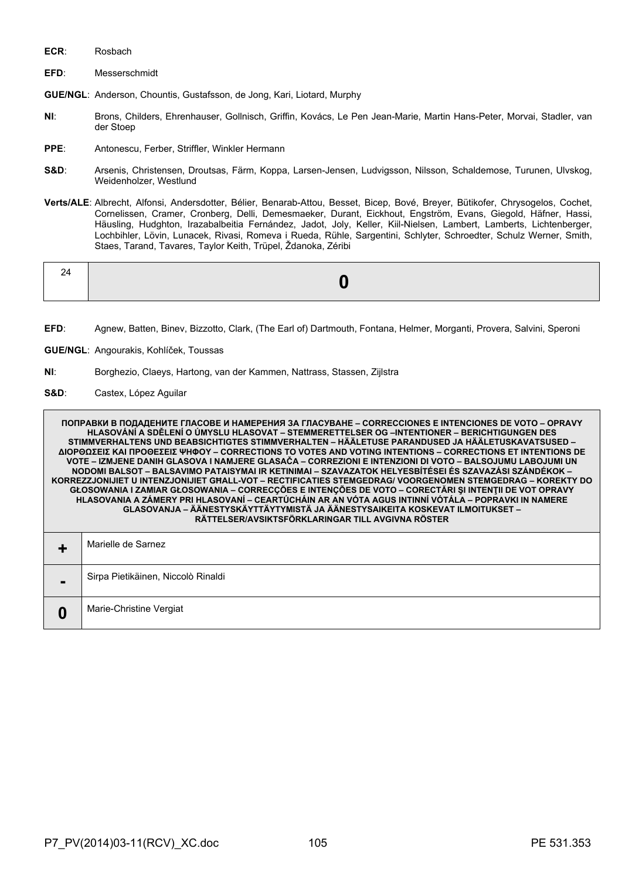- **ECR**: Rosbach
- **EFD**: Messerschmidt
- **GUE/NGL**: Anderson, Chountis, Gustafsson, de Jong, Kari, Liotard, Murphy
- **NI**: Brons, Childers, Ehrenhauser, Gollnisch, Griffin, Kovács, Le Pen Jean-Marie, Martin Hans-Peter, Morvai, Stadler, van der Stoep
- **PPE**: Antonescu, Ferber, Striffler, Winkler Hermann
- **S&D**: Arsenis, Christensen, Droutsas, Färm, Koppa, Larsen-Jensen, Ludvigsson, Nilsson, Schaldemose, Turunen, Ulvskog, Weidenholzer, Westlund
- **Verts/ALE**: Albrecht, Alfonsi, Andersdotter, Bélier, Benarab-Attou, Besset, Bicep, Bové, Breyer, Bütikofer, Chrysogelos, Cochet, Cornelissen, Cramer, Cronberg, Delli, Demesmaeker, Durant, Eickhout, Engström, Evans, Giegold, Häfner, Hassi, Häusling, Hudghton, Irazabalbeitia Fernández, Jadot, Joly, Keller, Kiil-Nielsen, Lambert, Lamberts, Lichtenberger, Lochbihler, Lövin, Lunacek, Rivasi, Romeva i Rueda, Rühle, Sargentini, Schlyter, Schroedter, Schulz Werner, Smith, Staes, Tarand, Tavares, Taylor Keith, Trüpel, Ždanoka, Zéribi

- **EFD**: Agnew, Batten, Binev, Bizzotto, Clark, (The Earl of) Dartmouth, Fontana, Helmer, Morganti, Provera, Salvini, Speroni
- **GUE/NGL**: Angourakis, Kohlíček, Toussas
- **NI**: Borghezio, Claeys, Hartong, van der Kammen, Nattrass, Stassen, Zijlstra
- **S&D**: Castex, López Aguilar

**ПОПРАВКИ В ПОДАДЕНИТЕ ГЛАСОВЕ И НАМЕРЕНИЯ ЗА ГЛАСУВАНЕ – CORRECCIONES E INTENCIONES DE VOTO – OPRAVY HLASOVÁNÍ A SDĚLENÍ O ÚMYSLU HLASOVAT – STEMMERETTELSER OG –INTENTIONER – BERICHTIGUNGEN DES STIMMVERHALTENS UND BEABSICHTIGTES STIMMVERHALTEN – HÄÄLETUSE PARANDUSED JA HÄÄLETUSKAVATSUSED – ΔΙΟΡΘΩΣΕΙΣ ΚΑΙ ΠΡΟΘΕΣΕΙΣ ΨΗΦΟΥ – CORRECTIONS TO VOTES AND VOTING INTENTIONS – CORRECTIONS ET INTENTIONS DE VOTE – IZMJENE DANIH GLASOVA I NAMJERE GLASAČA – CORREZIONI E INTENZIONI DI VOTO – BALSOJUMU LABOJUMI UN NODOMI BALSOT – BALSAVIMO PATAISYMAI IR KETINIMAI – SZAVAZATOK HELYESBÍTÉSEI ÉS SZAVAZÁSI SZÁNDÉKOK – KORREZZJONIJIET U INTENZJONIJIET GĦALL-VOT – RECTIFICATIES STEMGEDRAG/ VOORGENOMEN STEMGEDRAG – KOREKTY DO GŁOSOWANIA I ZAMIAR GŁOSOWANIA – CORRECÇÕES E INTENÇÕES DE VOTO – CORECTĂRI ŞI INTENŢII DE VOT OPRAVY HLASOVANIA A ZÁMERY PRI HLASOVANÍ – CEARTÚCHÁIN AR AN VÓTA AGUS INTINNÍ VÓTÁLA – POPRAVKI IN NAMERE GLASOVANJA – ÄÄNESTYSKÄYTTÄYTYMISTÄ JA ÄÄNESTYSAIKEITA KOSKEVAT ILMOITUKSET – RÄTTELSER/AVSIKTSFÖRKLARINGAR TILL AVGIVNA RÖSTER**

|                | Marielle de Sarnez                 |
|----------------|------------------------------------|
| $\blacksquare$ | Sirpa Pietikäinen, Niccolò Rinaldi |
|                | Marie-Christine Vergiat            |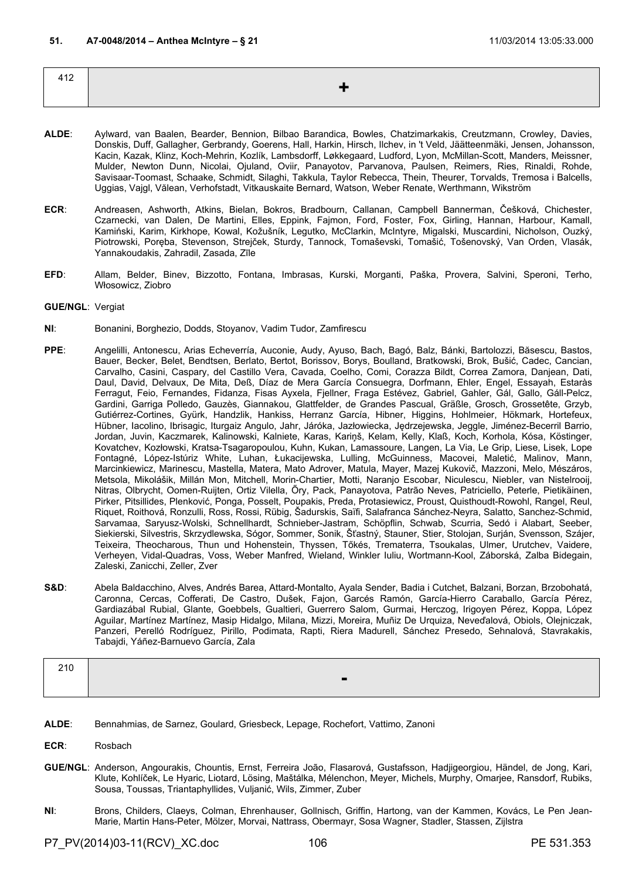| 412 |  |
|-----|--|
|     |  |
|     |  |

- **ALDE**: Aylward, van Baalen, Bearder, Bennion, Bilbao Barandica, Bowles, Chatzimarkakis, Creutzmann, Crowley, Davies, Donskis, Duff, Gallagher, Gerbrandy, Goerens, Hall, Harkin, Hirsch, Ilchev, in 't Veld, Jäätteenmäki, Jensen, Johansson, Kacin, Kazak, Klinz, Koch-Mehrin, Kozlík, Lambsdorff, Løkkegaard, Ludford, Lyon, McMillan-Scott, Manders, Meissner, Mulder, Newton Dunn, Nicolai, Ojuland, Oviir, Panayotov, Parvanova, Paulsen, Reimers, Ries, Rinaldi, Rohde, Savisaar-Toomast, Schaake, Schmidt, Silaghi, Takkula, Taylor Rebecca, Thein, Theurer, Torvalds, Tremosa i Balcells, Uggias, Vajgl, Vălean, Verhofstadt, Vitkauskaite Bernard, Watson, Weber Renate, Werthmann, Wikström
- **ECR**: Andreasen, Ashworth, Atkins, Bielan, Bokros, Bradbourn, Callanan, Campbell Bannerman, Češková, Chichester, Czarnecki, van Dalen, De Martini, Elles, Eppink, Fajmon, Ford, Foster, Fox, Girling, Hannan, Harbour, Kamall, Kamiński, Karim, Kirkhope, Kowal, Kožušník, Legutko, McClarkin, McIntyre, Migalski, Muscardini, Nicholson, Ouzký, Piotrowski, Poręba, Stevenson, Strejček, Sturdy, Tannock, Tomaševski, Tomašić, Tošenovský, Van Orden, Vlasák, Yannakoudakis, Zahradil, Zasada, Zīle
- **EFD**: Allam, Belder, Binev, Bizzotto, Fontana, Imbrasas, Kurski, Morganti, Paška, Provera, Salvini, Speroni, Terho, Włosowicz, Ziobro

### **GUE/NGL**: Vergiat

- **NI**: Bonanini, Borghezio, Dodds, Stoyanov, Vadim Tudor, Zamfirescu
- **PPE**: Angelilli, Antonescu, Arias Echeverría, Auconie, Audy, Ayuso, Bach, Bagó, Balz, Bánki, Bartolozzi, Băsescu, Bastos, Bauer, Becker, Belet, Bendtsen, Berlato, Bertot, Borissov, Borys, Boulland, Bratkowski, Brok, Bušić, Cadec, Cancian, Carvalho, Casini, Caspary, del Castillo Vera, Cavada, Coelho, Comi, Corazza Bildt, Correa Zamora, Danjean, Dati, Daul, David, Delvaux, De Mita, Deß, Díaz de Mera García Consuegra, Dorfmann, Ehler, Engel, Essayah, Estaràs Ferragut, Feio, Fernandes, Fidanza, Fisas Ayxela, Fjellner, Fraga Estévez, Gabriel, Gahler, Gál, Gallo, Gáll-Pelcz, Gardini, Garriga Polledo, Gauzès, Giannakou, Glattfelder, de Grandes Pascual, Gräßle, Grosch, Grossetête, Grzyb, Gutiérrez-Cortines, Gyürk, Handzlik, Hankiss, Herranz García, Hibner, Higgins, Hohlmeier, Hökmark, Hortefeux, Hübner, Iacolino, Ibrisagic, Iturgaiz Angulo, Jahr, Járóka, Jazłowiecka, Jędrzejewska, Jeggle, Jiménez-Becerril Barrio, Jordan, Juvin, Kaczmarek, Kalinowski, Kalniete, Karas, Kariņš, Kelam, Kelly, Klaß, Koch, Korhola, Kósa, Köstinger, Kovatchev, Kozłowski, Kratsa-Tsagaropoulou, Kuhn, Kukan, Lamassoure, Langen, La Via, Le Grip, Liese, Lisek, Lope Fontagné, López-Istúriz White, Luhan, Łukacijewska, Lulling, McGuinness, Macovei, Maletić, Malinov, Mann, Marcinkiewicz, Marinescu, Mastella, Matera, Mato Adrover, Matula, Mayer, Mazej Kukovič, Mazzoni, Melo, Mészáros, Metsola, Mikolášik, Millán Mon, Mitchell, Morin-Chartier, Motti, Naranjo Escobar, Niculescu, Niebler, van Nistelrooij, Nitras, Olbrycht, Oomen-Ruijten, Ortiz Vilella, Őry, Pack, Panayotova, Patrão Neves, Patriciello, Peterle, Pietikäinen, Pirker, Pitsillides, Plenković, Ponga, Posselt, Poupakis, Preda, Protasiewicz, Proust, Quisthoudt-Rowohl, Rangel, Reul, Riquet, Roithová, Ronzulli, Ross, Rossi, Rübig, Šadurskis, Saïfi, Salafranca Sánchez-Neyra, Salatto, Sanchez-Schmid, Sarvamaa, Saryusz-Wolski, Schnellhardt, Schnieber-Jastram, Schöpflin, Schwab, Scurria, Sedó i Alabart, Seeber, Siekierski, Silvestris, Skrzydlewska, Sógor, Sommer, Sonik, Šťastný, Stauner, Stier, Stolojan, Surján, Svensson, Szájer, Teixeira, Theocharous, Thun und Hohenstein, Thyssen, Tőkés, Trematerra, Tsoukalas, Ulmer, Urutchev, Vaidere, Verheyen, Vidal-Quadras, Voss, Weber Manfred, Wieland, Winkler Iuliu, Wortmann-Kool, Záborská, Zalba Bidegain, Zaleski, Zanicchi, Zeller, Zver
- **S&D**: Abela Baldacchino, Alves, Andrés Barea, Attard-Montalto, Ayala Sender, Badia i Cutchet, Balzani, Borzan, Brzobohatá, Caronna, Cercas, Cofferati, De Castro, Dušek, Fajon, Garcés Ramón, García-Hierro Caraballo, García Pérez, Gardiazábal Rubial, Glante, Goebbels, Gualtieri, Guerrero Salom, Gurmai, Herczog, Irigoyen Pérez, Koppa, López Aguilar, Martínez Martínez, Masip Hidalgo, Milana, Mizzi, Moreira, Muñiz De Urquiza, Neveďalová, Obiols, Olejniczak, Panzeri, Perelló Rodríguez, Pirillo, Podimata, Rapti, Riera Madurell, Sánchez Presedo, Sehnalová, Stavrakakis, Tabajdi, Yáñez-Barnuevo García, Zala

| 210 |   |
|-----|---|
|     | - |

- **ALDE**: Bennahmias, de Sarnez, Goulard, Griesbeck, Lepage, Rochefort, Vattimo, Zanoni
- **ECR**: Rosbach
- **GUE/NGL**: Anderson, Angourakis, Chountis, Ernst, Ferreira João, Flasarová, Gustafsson, Hadjigeorgiou, Händel, de Jong, Kari, Klute, Kohlíček, Le Hyaric, Liotard, Lösing, Maštálka, Mélenchon, Meyer, Michels, Murphy, Omarjee, Ransdorf, Rubiks, Sousa, Toussas, Triantaphyllides, Vuljanić, Wils, Zimmer, Zuber
- **NI**: Brons, Childers, Claeys, Colman, Ehrenhauser, Gollnisch, Griffin, Hartong, van der Kammen, Kovács, Le Pen Jean-Marie, Martin Hans-Peter, Mölzer, Morvai, Nattrass, Obermayr, Sosa Wagner, Stadler, Stassen, Zijlstra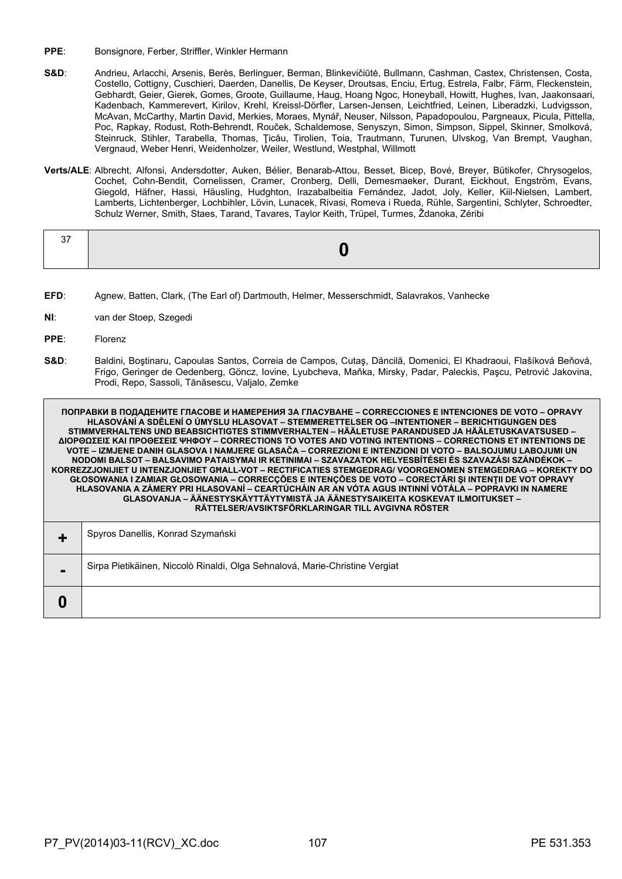- **PPE**: Bonsignore, Ferber, Striffler, Winkler Hermann
- **S&D**: Andrieu, Arlacchi, Arsenis, Berès, Berlinguer, Berman, Blinkevičiūtė, Bullmann, Cashman, Castex, Christensen, Costa, Costello, Cottigny, Cuschieri, Daerden, Danellis, De Keyser, Droutsas, Enciu, Ertug, Estrela, Falbr, Färm, Fleckenstein, Gebhardt, Geier, Gierek, Gomes, Groote, Guillaume, Haug, Hoang Ngoc, Honeyball, Howitt, Hughes, Ivan, Jaakonsaari, Kadenbach, Kammerevert, Kirilov, Krehl, Kreissl-Dörfler, Larsen-Jensen, Leichtfried, Leinen, Liberadzki, Ludvigsson, McAvan, McCarthy, Martin David, Merkies, Moraes, Mynář, Neuser, Nilsson, Papadopoulou, Pargneaux, Picula, Pittella, Poc, Rapkay, Rodust, Roth-Behrendt, Rouček, Schaldemose, Senyszyn, Simon, Simpson, Sippel, Skinner, Smolková, Steinruck, Stihler, Tarabella, Thomas, Ţicău, Tirolien, Toia, Trautmann, Turunen, Ulvskog, Van Brempt, Vaughan, Vergnaud, Weber Henri, Weidenholzer, Weiler, Westlund, Westphal, Willmott
- **Verts/ALE**: Albrecht, Alfonsi, Andersdotter, Auken, Bélier, Benarab-Attou, Besset, Bicep, Bové, Breyer, Bütikofer, Chrysogelos, Cochet, Cohn-Bendit, Cornelissen, Cramer, Cronberg, Delli, Demesmaeker, Durant, Eickhout, Engström, Evans, Giegold, Häfner, Hassi, Häusling, Hudghton, Irazabalbeitia Fernández, Jadot, Joly, Keller, Kiil-Nielsen, Lambert, Lamberts, Lichtenberger, Lochbihler, Lövin, Lunacek, Rivasi, Romeva i Rueda, Rühle, Sargentini, Schlyter, Schroedter, Schulz Werner, Smith, Staes, Tarand, Tavares, Taylor Keith, Trüpel, Turmes, Ždanoka, Zéribi

| $\boldsymbol{0}$ |
|------------------|
|                  |

- **EFD**: Agnew, Batten, Clark, (The Earl of) Dartmouth, Helmer, Messerschmidt, Salavrakos, Vanhecke
- **NI**: van der Stoep, Szegedi
- **PPE**: Florenz
- **S&D**: Baldini, Boştinaru, Capoulas Santos, Correia de Campos, Cutaş, Dăncilă, Domenici, El Khadraoui, Flašíková Beňová, Frigo, Geringer de Oedenberg, Göncz, Iovine, Lyubcheva, Maňka, Mirsky, Padar, Paleckis, Paşcu, Petrović Jakovina, Prodi, Repo, Sassoli, Tănăsescu, Valjalo, Zemke

**ПОПРАВКИ В ПОДАДЕНИТЕ ГЛАСОВЕ И НАМЕРЕНИЯ ЗА ГЛАСУВАНЕ – CORRECCIONES E INTENCIONES DE VOTO – OPRAVY HLASOVÁNÍ A SDĚLENÍ O ÚMYSLU HLASOVAT – STEMMERETTELSER OG –INTENTIONER – BERICHTIGUNGEN DES STIMMVERHALTENS UND BEABSICHTIGTES STIMMVERHALTEN – HÄÄLETUSE PARANDUSED JA HÄÄLETUSKAVATSUSED – ΔΙΟΡΘΩΣΕΙΣ ΚΑΙ ΠΡΟΘΕΣΕΙΣ ΨΗΦΟΥ – CORRECTIONS TO VOTES AND VOTING INTENTIONS – CORRECTIONS ET INTENTIONS DE VOTE – IZMJENE DANIH GLASOVA I NAMJERE GLASAČA – CORREZIONI E INTENZIONI DI VOTO – BALSOJUMU LABOJUMI UN NODOMI BALSOT – BALSAVIMO PATAISYMAI IR KETINIMAI – SZAVAZATOK HELYESBÍTÉSEI ÉS SZAVAZÁSI SZÁNDÉKOK – KORREZZJONIJIET U INTENZJONIJIET GĦALL-VOT – RECTIFICATIES STEMGEDRAG/ VOORGENOMEN STEMGEDRAG – KOREKTY DO GŁOSOWANIA I ZAMIAR GŁOSOWANIA – CORRECÇÕES E INTENÇÕES DE VOTO – CORECTĂRI ŞI INTENŢII DE VOT OPRAVY HLASOVANIA A ZÁMERY PRI HLASOVANÍ – CEARTÚCHÁIN AR AN VÓTA AGUS INTINNÍ VÓTÁLA – POPRAVKI IN NAMERE GLASOVANJA – ÄÄNESTYSKÄYTTÄYTYMISTÄ JA ÄÄNESTYSAIKEITA KOSKEVAT ILMOITUKSET – RÄTTELSER/AVSIKTSFÖRKLARINGAR TILL AVGIVNA RÖSTER**

|   | Spyros Danellis, Konrad Szymański                                           |
|---|-----------------------------------------------------------------------------|
| - | Sirpa Pietikäinen, Niccolò Rinaldi, Olga Sehnalová, Marie-Christine Vergiat |
|   |                                                                             |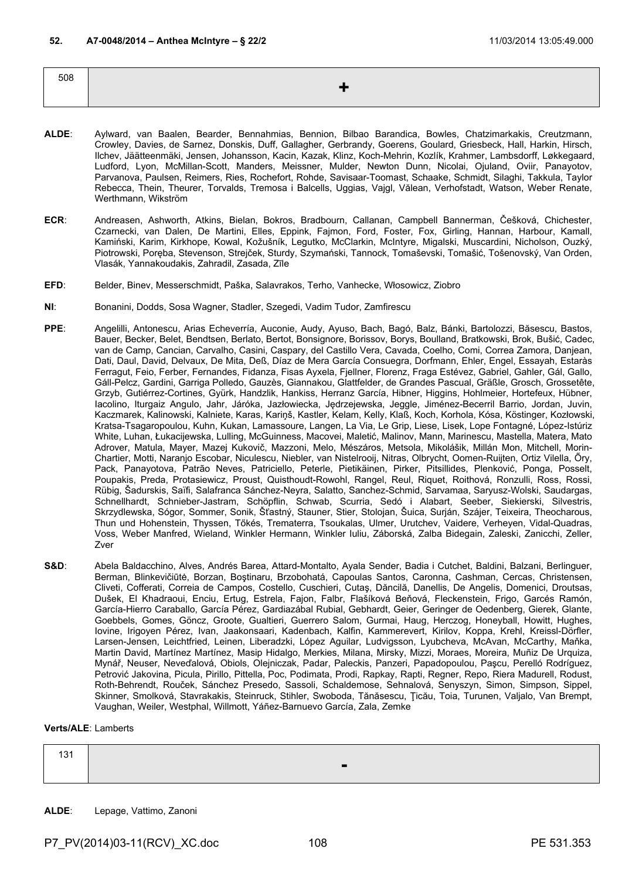508 **+**

- **ALDE**: Aylward, van Baalen, Bearder, Bennahmias, Bennion, Bilbao Barandica, Bowles, Chatzimarkakis, Creutzmann, Crowley, Davies, de Sarnez, Donskis, Duff, Gallagher, Gerbrandy, Goerens, Goulard, Griesbeck, Hall, Harkin, Hirsch, Ilchev, Jäätteenmäki, Jensen, Johansson, Kacin, Kazak, Klinz, Koch-Mehrin, Kozlík, Krahmer, Lambsdorff, Løkkegaard, Ludford, Lyon, McMillan-Scott, Manders, Meissner, Mulder, Newton Dunn, Nicolai, Ojuland, Oviir, Panayotov, Parvanova, Paulsen, Reimers, Ries, Rochefort, Rohde, Savisaar-Toomast, Schaake, Schmidt, Silaghi, Takkula, Taylor Rebecca, Thein, Theurer, Torvalds, Tremosa i Balcells, Uggias, Vajgl, Vălean, Verhofstadt, Watson, Weber Renate, Werthmann, Wikström
- **ECR**: Andreasen, Ashworth, Atkins, Bielan, Bokros, Bradbourn, Callanan, Campbell Bannerman, Češková, Chichester, Czarnecki, van Dalen, De Martini, Elles, Eppink, Fajmon, Ford, Foster, Fox, Girling, Hannan, Harbour, Kamall, Kamiński, Karim, Kirkhope, Kowal, Kožušník, Legutko, McClarkin, McIntyre, Migalski, Muscardini, Nicholson, Ouzký, Piotrowski, Poręba, Stevenson, Strejček, Sturdy, Szymański, Tannock, Tomaševski, Tomašić, Tošenovský, Van Orden, Vlasák, Yannakoudakis, Zahradil, Zasada, Zīle
- **EFD**: Belder, Binev, Messerschmidt, Paška, Salavrakos, Terho, Vanhecke, Włosowicz, Ziobro
- **NI**: Bonanini, Dodds, Sosa Wagner, Stadler, Szegedi, Vadim Tudor, Zamfirescu
- **PPE**: Angelilli, Antonescu, Arias Echeverría, Auconie, Audy, Ayuso, Bach, Bagó, Balz, Bánki, Bartolozzi, Băsescu, Bastos, Bauer, Becker, Belet, Bendtsen, Berlato, Bertot, Bonsignore, Borissov, Borys, Boulland, Bratkowski, Brok, Bušić, Cadec, van de Camp, Cancian, Carvalho, Casini, Caspary, del Castillo Vera, Cavada, Coelho, Comi, Correa Zamora, Danjean, Dati, Daul, David, Delvaux, De Mita, Deß, Díaz de Mera García Consuegra, Dorfmann, Ehler, Engel, Essayah, Estaràs Ferragut, Feio, Ferber, Fernandes, Fidanza, Fisas Ayxela, Fjellner, Florenz, Fraga Estévez, Gabriel, Gahler, Gál, Gallo, Gáll-Pelcz, Gardini, Garriga Polledo, Gauzès, Giannakou, Glattfelder, de Grandes Pascual, Gräßle, Grosch, Grossetête, Grzyb, Gutiérrez-Cortines, Gyürk, Handzlik, Hankiss, Herranz García, Hibner, Higgins, Hohlmeier, Hortefeux, Hübner, Iacolino, Iturgaiz Angulo, Jahr, Járóka, Jazłowiecka, Jędrzejewska, Jeggle, Jiménez-Becerril Barrio, Jordan, Juvin, Kaczmarek, Kalinowski, Kalniete, Karas, Kariņš, Kastler, Kelam, Kelly, Klaß, Koch, Korhola, Kósa, Köstinger, Kozłowski, Kratsa-Tsagaropoulou, Kuhn, Kukan, Lamassoure, Langen, La Via, Le Grip, Liese, Lisek, Lope Fontagné, López-Istúriz White, Luhan, Łukacijewska, Lulling, McGuinness, Macovei, Maletić, Malinov, Mann, Marinescu, Mastella, Matera, Mato Adrover, Matula, Mayer, Mazej Kukovič, Mazzoni, Melo, Mészáros, Metsola, Mikolášik, Millán Mon, Mitchell, Morin-Chartier, Motti, Naranjo Escobar, Niculescu, Niebler, van Nistelrooij, Nitras, Olbrycht, Oomen-Ruijten, Ortiz Vilella, Őry, Pack, Panayotova, Patrão Neves, Patriciello, Peterle, Pietikäinen, Pirker, Pitsillides, Plenković, Ponga, Posselt, Poupakis, Preda, Protasiewicz, Proust, Quisthoudt-Rowohl, Rangel, Reul, Riquet, Roithová, Ronzulli, Ross, Rossi, Rübig, Šadurskis, Saïfi, Salafranca Sánchez-Neyra, Salatto, Sanchez-Schmid, Sarvamaa, Saryusz-Wolski, Saudargas, Schnellhardt, Schnieber-Jastram, Schöpflin, Schwab, Scurria, Sedó i Alabart, Seeber, Siekierski, Silvestris, Skrzydlewska, Sógor, Sommer, Sonik, Šťastný, Stauner, Stier, Stolojan, Šuica, Surján, Szájer, Teixeira, Theocharous, Thun und Hohenstein, Thyssen, Tőkés, Trematerra, Tsoukalas, Ulmer, Urutchev, Vaidere, Verheyen, Vidal-Quadras, Voss, Weber Manfred, Wieland, Winkler Hermann, Winkler Iuliu, Záborská, Zalba Bidegain, Zaleski, Zanicchi, Zeller, Zver
- **S&D**: Abela Baldacchino, Alves, Andrés Barea, Attard-Montalto, Ayala Sender, Badia i Cutchet, Baldini, Balzani, Berlinguer, Berman, Blinkevičiūtė, Borzan, Boştinaru, Brzobohatá, Capoulas Santos, Caronna, Cashman, Cercas, Christensen, Cliveti, Cofferati, Correia de Campos, Costello, Cuschieri, Cutaş, Dăncilă, Danellis, De Angelis, Domenici, Droutsas, Dušek, El Khadraoui, Enciu, Ertug, Estrela, Fajon, Falbr, Flašíková Beňová, Fleckenstein, Frigo, Garcés Ramón, García-Hierro Caraballo, García Pérez, Gardiazábal Rubial, Gebhardt, Geier, Geringer de Oedenberg, Gierek, Glante, Goebbels, Gomes, Göncz, Groote, Gualtieri, Guerrero Salom, Gurmai, Haug, Herczog, Honeyball, Howitt, Hughes, Iovine, Irigoyen Pérez, Ivan, Jaakonsaari, Kadenbach, Kalfin, Kammerevert, Kirilov, Koppa, Krehl, Kreissl-Dörfler, Larsen-Jensen, Leichtfried, Leinen, Liberadzki, López Aguilar, Ludvigsson, Lyubcheva, McAvan, McCarthy, Maňka, Martin David, Martínez Martínez, Masip Hidalgo, Merkies, Milana, Mirsky, Mizzi, Moraes, Moreira, Muñiz De Urquiza, Mynář, Neuser, Neveďalová, Obiols, Olejniczak, Padar, Paleckis, Panzeri, Papadopoulou, Paşcu, Perelló Rodríguez, Petrović Jakovina, Picula, Pirillo, Pittella, Poc, Podimata, Prodi, Rapkay, Rapti, Regner, Repo, Riera Madurell, Rodust, Roth-Behrendt, Rouček, Sánchez Presedo, Sassoli, Schaldemose, Sehnalová, Senyszyn, Simon, Simpson, Sippel, Skinner, Smolková, Stavrakakis, Steinruck, Stihler, Swoboda, Tănăsescu, Ţicău, Toia, Turunen, Valjalo, Van Brempt, Vaughan, Weiler, Westphal, Willmott, Yáñez-Barnuevo García, Zala, Zemke

### **Verts/ALE**: Lamberts

| 101<br>ا 10 |  |
|-------------|--|
|             |  |

**ALDE**: Lepage, Vattimo, Zanoni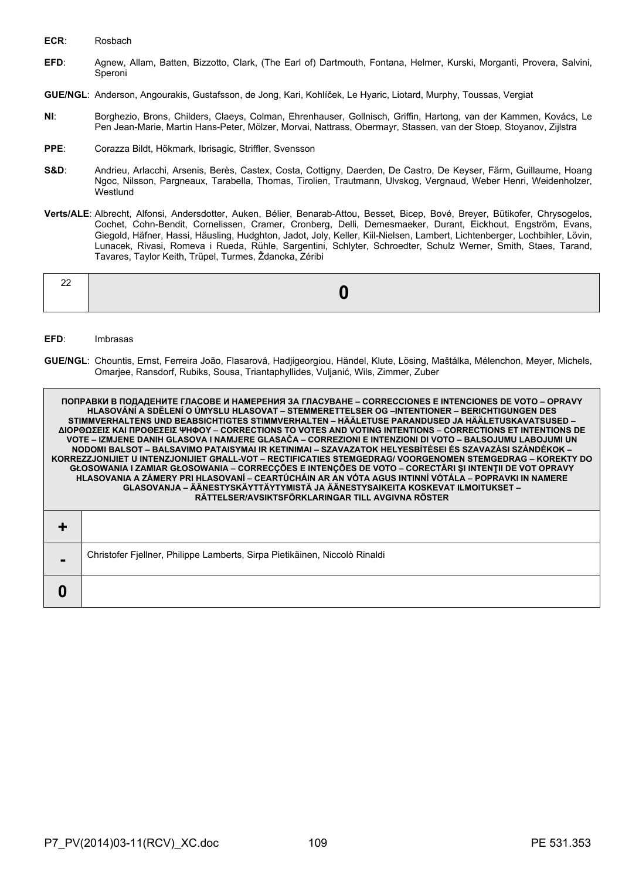- **ECR**: Rosbach
- **EFD**: Agnew, Allam, Batten, Bizzotto, Clark, (The Earl of) Dartmouth, Fontana, Helmer, Kurski, Morganti, Provera, Salvini, Speroni
- **GUE/NGL**: Anderson, Angourakis, Gustafsson, de Jong, Kari, Kohlíček, Le Hyaric, Liotard, Murphy, Toussas, Vergiat
- **NI**: Borghezio, Brons, Childers, Claeys, Colman, Ehrenhauser, Gollnisch, Griffin, Hartong, van der Kammen, Kovács, Le Pen Jean-Marie, Martin Hans-Peter, Mölzer, Morvai, Nattrass, Obermayr, Stassen, van der Stoep, Stoyanov, Zijlstra
- **PPE**: Corazza Bildt, Hökmark, Ibrisagic, Striffler, Svensson
- **S&D**: Andrieu, Arlacchi, Arsenis, Berès, Castex, Costa, Cottigny, Daerden, De Castro, De Keyser, Färm, Guillaume, Hoang Ngoc, Nilsson, Pargneaux, Tarabella, Thomas, Tirolien, Trautmann, Ulvskog, Vergnaud, Weber Henri, Weidenholzer, **Westlund**
- **Verts/ALE**: Albrecht, Alfonsi, Andersdotter, Auken, Bélier, Benarab-Attou, Besset, Bicep, Bové, Breyer, Bütikofer, Chrysogelos, Cochet, Cohn-Bendit, Cornelissen, Cramer, Cronberg, Delli, Demesmaeker, Durant, Eickhout, Engström, Evans, Giegold, Häfner, Hassi, Häusling, Hudghton, Jadot, Joly, Keller, Kiil-Nielsen, Lambert, Lichtenberger, Lochbihler, Lövin, Lunacek, Rivasi, Romeva i Rueda, Rühle, Sargentini, Schlyter, Schroedter, Schulz Werner, Smith, Staes, Tarand, Tavares, Taylor Keith, Trüpel, Turmes, Ždanoka, Zéribi

| -- |  |
|----|--|
|    |  |

#### **EFD**: Imbrasas

**GUE/NGL**: Chountis, Ernst, Ferreira João, Flasarová, Hadjigeorgiou, Händel, Klute, Lösing, Maštálka, Mélenchon, Meyer, Michels, Omarjee, Ransdorf, Rubiks, Sousa, Triantaphyllides, Vuljanić, Wils, Zimmer, Zuber

**ПОПРАВКИ В ПОДАДЕНИТЕ ГЛАСОВЕ И НАМЕРЕНИЯ ЗА ГЛАСУВАНЕ – CORRECCIONES E INTENCIONES DE VOTO – OPRAVY HLASOVÁNÍ A SDĚLENÍ O ÚMYSLU HLASOVAT – STEMMERETTELSER OG –INTENTIONER – BERICHTIGUNGEN DES STIMMVERHALTENS UND BEABSICHTIGTES STIMMVERHALTEN – HÄÄLETUSE PARANDUSED JA HÄÄLETUSKAVATSUSED – ΔΙΟΡΘΩΣΕΙΣ ΚΑΙ ΠΡΟΘΕΣΕΙΣ ΨΗΦΟΥ – CORRECTIONS TO VOTES AND VOTING INTENTIONS – CORRECTIONS ET INTENTIONS DE VOTE – IZMJENE DANIH GLASOVA I NAMJERE GLASAČA – CORREZIONI E INTENZIONI DI VOTO – BALSOJUMU LABOJUMI UN NODOMI BALSOT – BALSAVIMO PATAISYMAI IR KETINIMAI – SZAVAZATOK HELYESBÍTÉSEI ÉS SZAVAZÁSI SZÁNDÉKOK – KORREZZJONIJIET U INTENZJONIJIET GĦALL-VOT – RECTIFICATIES STEMGEDRAG/ VOORGENOMEN STEMGEDRAG – KOREKTY DO GŁOSOWANIA I ZAMIAR GŁOSOWANIA – CORRECÇÕES E INTENÇÕES DE VOTO – CORECTĂRI ŞI INTENŢII DE VOT OPRAVY HLASOVANIA A ZÁMERY PRI HLASOVANÍ – CEARTÚCHÁIN AR AN VÓTA AGUS INTINNÍ VÓTÁLA – POPRAVKI IN NAMERE GLASOVANJA – ÄÄNESTYSKÄYTTÄYTYMISTÄ JA ÄÄNESTYSAIKEITA KOSKEVAT ILMOITUKSET – RÄTTELSER/AVSIKTSFÖRKLARINGAR TILL AVGIVNA RÖSTER**

| $\blacksquare$ | Christofer Fjellner, Philippe Lamberts, Sirpa Pietikäinen, Niccolò Rinaldi |
|----------------|----------------------------------------------------------------------------|
|                |                                                                            |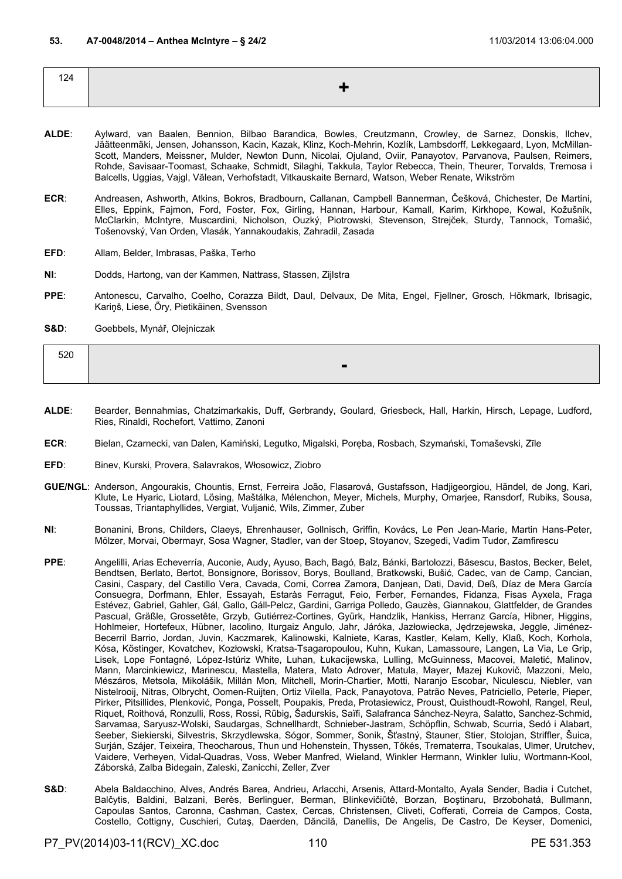| 124 | ᅩ |
|-----|---|
|     |   |

- **ALDE**: Aylward, van Baalen, Bennion, Bilbao Barandica, Bowles, Creutzmann, Crowley, de Sarnez, Donskis, Ilchev, Jäätteenmäki, Jensen, Johansson, Kacin, Kazak, Klinz, Koch-Mehrin, Kozlík, Lambsdorff, Løkkegaard, Lyon, McMillan-Scott, Manders, Meissner, Mulder, Newton Dunn, Nicolai, Ojuland, Oviir, Panayotov, Parvanova, Paulsen, Reimers, Rohde, Savisaar-Toomast, Schaake, Schmidt, Silaghi, Takkula, Taylor Rebecca, Thein, Theurer, Torvalds, Tremosa i Balcells, Uggias, Vajgl, Vălean, Verhofstadt, Vitkauskaite Bernard, Watson, Weber Renate, Wikström
- **ECR**: Andreasen, Ashworth, Atkins, Bokros, Bradbourn, Callanan, Campbell Bannerman, Češková, Chichester, De Martini, Elles, Eppink, Fajmon, Ford, Foster, Fox, Girling, Hannan, Harbour, Kamall, Karim, Kirkhope, Kowal, Kožušník, McClarkin, McIntyre, Muscardini, Nicholson, Ouzký, Piotrowski, Stevenson, Strejček, Sturdy, Tannock, Tomašić, Tošenovský, Van Orden, Vlasák, Yannakoudakis, Zahradil, Zasada
- **EFD**: Allam, Belder, Imbrasas, Paška, Terho
- **NI**: Dodds, Hartong, van der Kammen, Nattrass, Stassen, Zijlstra
- **PPE**: Antonescu, Carvalho, Coelho, Corazza Bildt, Daul, Delvaux, De Mita, Engel, Fjellner, Grosch, Hökmark, Ibrisagic, Kariņš, Liese, Őry, Pietikäinen, Svensson
- **S&D**: Goebbels, Mynář, Olejniczak

| 500<br>ັບ∠ບ |   |
|-------------|---|
|             | - |
|             |   |

- **ALDE**: Bearder, Bennahmias, Chatzimarkakis, Duff, Gerbrandy, Goulard, Griesbeck, Hall, Harkin, Hirsch, Lepage, Ludford, Ries, Rinaldi, Rochefort, Vattimo, Zanoni
- **ECR**: Bielan, Czarnecki, van Dalen, Kamiński, Legutko, Migalski, Poręba, Rosbach, Szymański, Tomaševski, Zīle
- **EFD**: Binev, Kurski, Provera, Salavrakos, Włosowicz, Ziobro
- **GUE/NGL**: Anderson, Angourakis, Chountis, Ernst, Ferreira João, Flasarová, Gustafsson, Hadjigeorgiou, Händel, de Jong, Kari, Klute, Le Hyaric, Liotard, Lösing, Maštálka, Mélenchon, Meyer, Michels, Murphy, Omarjee, Ransdorf, Rubiks, Sousa, Toussas, Triantaphyllides, Vergiat, Vuljanić, Wils, Zimmer, Zuber
- **NI**: Bonanini, Brons, Childers, Claeys, Ehrenhauser, Gollnisch, Griffin, Kovács, Le Pen Jean-Marie, Martin Hans-Peter, Mölzer, Morvai, Obermayr, Sosa Wagner, Stadler, van der Stoep, Stoyanov, Szegedi, Vadim Tudor, Zamfirescu
- **PPE**: Angelilli, Arias Echeverría, Auconie, Audy, Ayuso, Bach, Bagó, Balz, Bánki, Bartolozzi, Băsescu, Bastos, Becker, Belet, Bendtsen, Berlato, Bertot, Bonsignore, Borissov, Borys, Boulland, Bratkowski, Bušić, Cadec, van de Camp, Cancian, Casini, Caspary, del Castillo Vera, Cavada, Comi, Correa Zamora, Danjean, Dati, David, Deß, Díaz de Mera García Consuegra, Dorfmann, Ehler, Essayah, Estaràs Ferragut, Feio, Ferber, Fernandes, Fidanza, Fisas Ayxela, Fraga Estévez, Gabriel, Gahler, Gál, Gallo, Gáll-Pelcz, Gardini, Garriga Polledo, Gauzès, Giannakou, Glattfelder, de Grandes Pascual, Gräßle, Grossetête, Grzyb, Gutiérrez-Cortines, Gyürk, Handzlik, Hankiss, Herranz García, Hibner, Higgins, Hohlmeier, Hortefeux, Hübner, Iacolino, Iturgaiz Angulo, Jahr, Járóka, Jazłowiecka, Jędrzejewska, Jeggle, Jiménez-Becerril Barrio, Jordan, Juvin, Kaczmarek, Kalinowski, Kalniete, Karas, Kastler, Kelam, Kelly, Klaß, Koch, Korhola, Kósa, Köstinger, Kovatchev, Kozłowski, Kratsa-Tsagaropoulou, Kuhn, Kukan, Lamassoure, Langen, La Via, Le Grip, Lisek, Lope Fontagné, López-Istúriz White, Luhan, Łukacijewska, Lulling, McGuinness, Macovei, Maletić, Malinov, Mann, Marcinkiewicz, Marinescu, Mastella, Matera, Mato Adrover, Matula, Mayer, Mazej Kukovič, Mazzoni, Melo, Mészáros, Metsola, Mikolášik, Millán Mon, Mitchell, Morin-Chartier, Motti, Naranjo Escobar, Niculescu, Niebler, van Nistelrooij, Nitras, Olbrycht, Oomen-Ruijten, Ortiz Vilella, Pack, Panayotova, Patrão Neves, Patriciello, Peterle, Pieper, Pirker, Pitsillides, Plenković, Ponga, Posselt, Poupakis, Preda, Protasiewicz, Proust, Quisthoudt-Rowohl, Rangel, Reul, Riquet, Roithová, Ronzulli, Ross, Rossi, Rübig, Šadurskis, Saïfi, Salafranca Sánchez-Neyra, Salatto, Sanchez-Schmid, Sarvamaa, Saryusz-Wolski, Saudargas, Schnellhardt, Schnieber-Jastram, Schöpflin, Schwab, Scurria, Sedó i Alabart, Seeber, Siekierski, Silvestris, Skrzydlewska, Sógor, Sommer, Sonik, Šťastný, Stauner, Stier, Stolojan, Striffler, Šuica, Surján, Szájer, Teixeira, Theocharous, Thun und Hohenstein, Thyssen, Tőkés, Trematerra, Tsoukalas, Ulmer, Urutchev, Vaidere, Verheyen, Vidal-Quadras, Voss, Weber Manfred, Wieland, Winkler Hermann, Winkler Iuliu, Wortmann-Kool, Záborská, Zalba Bidegain, Zaleski, Zanicchi, Zeller, Zver
- **S&D**: Abela Baldacchino, Alves, Andrés Barea, Andrieu, Arlacchi, Arsenis, Attard-Montalto, Ayala Sender, Badia i Cutchet, Balčytis, Baldini, Balzani, Berès, Berlinguer, Berman, Blinkevičiūtė, Borzan, Boştinaru, Brzobohatá, Bullmann, Capoulas Santos, Caronna, Cashman, Castex, Cercas, Christensen, Cliveti, Cofferati, Correia de Campos, Costa, Costello, Cottigny, Cuschieri, Cutaş, Daerden, Dăncilă, Danellis, De Angelis, De Castro, De Keyser, Domenici,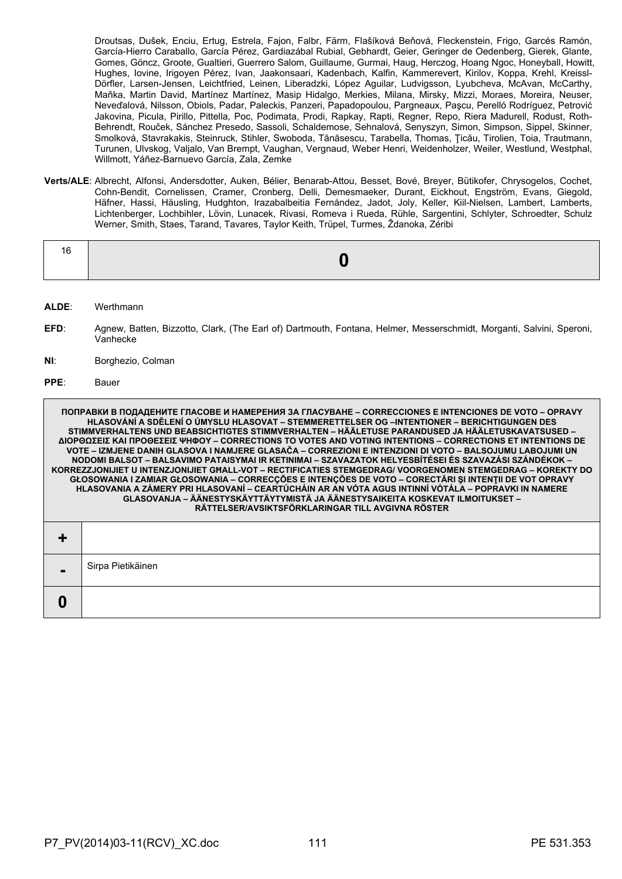Droutsas, Dušek, Enciu, Ertug, Estrela, Fajon, Falbr, Färm, Flašíková Beňová, Fleckenstein, Frigo, Garcés Ramón, García-Hierro Caraballo, García Pérez, Gardiazábal Rubial, Gebhardt, Geier, Geringer de Oedenberg, Gierek, Glante, Gomes, Göncz, Groote, Gualtieri, Guerrero Salom, Guillaume, Gurmai, Haug, Herczog, Hoang Ngoc, Honeyball, Howitt, Hughes, Iovine, Irigoyen Pérez, Ivan, Jaakonsaari, Kadenbach, Kalfin, Kammerevert, Kirilov, Koppa, Krehl, Kreissl-Dörfler, Larsen-Jensen, Leichtfried, Leinen, Liberadzki, López Aguilar, Ludvigsson, Lyubcheva, McAvan, McCarthy, Maňka, Martin David, Martínez Martínez, Masip Hidalgo, Merkies, Milana, Mirsky, Mizzi, Moraes, Moreira, Neuser, Neveďalová, Nilsson, Obiols, Padar, Paleckis, Panzeri, Papadopoulou, Pargneaux, Paşcu, Perelló Rodríguez, Petrović Jakovina, Picula, Pirillo, Pittella, Poc, Podimata, Prodi, Rapkay, Rapti, Regner, Repo, Riera Madurell, Rodust, Roth-Behrendt, Rouček, Sánchez Presedo, Sassoli, Schaldemose, Sehnalová, Senyszyn, Simon, Simpson, Sippel, Skinner, Smolková, Stavrakakis, Steinruck, Stihler, Swoboda, Tănăsescu, Tarabella, Thomas, Ţicău, Tirolien, Toia, Trautmann, Turunen, Ulvskog, Valjalo, Van Brempt, Vaughan, Vergnaud, Weber Henri, Weidenholzer, Weiler, Westlund, Westphal, Willmott, Yáñez-Barnuevo García, Zala, Zemke

**Verts/ALE**: Albrecht, Alfonsi, Andersdotter, Auken, Bélier, Benarab-Attou, Besset, Bové, Breyer, Bütikofer, Chrysogelos, Cochet, Cohn-Bendit, Cornelissen, Cramer, Cronberg, Delli, Demesmaeker, Durant, Eickhout, Engström, Evans, Giegold, Häfner, Hassi, Häusling, Hudghton, Irazabalbeitia Fernández, Jadot, Joly, Keller, Kiil-Nielsen, Lambert, Lamberts, Lichtenberger, Lochbihler, Lövin, Lunacek, Rivasi, Romeva i Rueda, Rühle, Sargentini, Schlyter, Schroedter, Schulz Werner, Smith, Staes, Tarand, Tavares, Taylor Keith, Trüpel, Turmes, Ždanoka, Zéribi

## **ALDE**: Werthmann

- **EFD**: Agnew, Batten, Bizzotto, Clark, (The Earl of) Dartmouth, Fontana, Helmer, Messerschmidt, Morganti, Salvini, Speroni, Vanhecke
- **NI**: Borghezio, Colman

# **PPE**: Bauer

**ПОПРАВКИ В ПОДАДЕНИТЕ ГЛАСОВЕ И НАМЕРЕНИЯ ЗА ГЛАСУВАНЕ – CORRECCIONES E INTENCIONES DE VOTO – OPRAVY HLASOVÁNÍ A SDĚLENÍ O ÚMYSLU HLASOVAT – STEMMERETTELSER OG –INTENTIONER – BERICHTIGUNGEN DES STIMMVERHALTENS UND BEABSICHTIGTES STIMMVERHALTEN – HÄÄLETUSE PARANDUSED JA HÄÄLETUSKAVATSUSED – ΔΙΟΡΘΩΣΕΙΣ ΚΑΙ ΠΡΟΘΕΣΕΙΣ ΨΗΦΟΥ – CORRECTIONS TO VOTES AND VOTING INTENTIONS – CORRECTIONS ET INTENTIONS DE VOTE – IZMJENE DANIH GLASOVA I NAMJERE GLASAČA – CORREZIONI E INTENZIONI DI VOTO – BALSOJUMU LABOJUMI UN NODOMI BALSOT – BALSAVIMO PATAISYMAI IR KETINIMAI – SZAVAZATOK HELYESBÍTÉSEI ÉS SZAVAZÁSI SZÁNDÉKOK – KORREZZJONIJIET U INTENZJONIJIET GĦALL-VOT – RECTIFICATIES STEMGEDRAG/ VOORGENOMEN STEMGEDRAG – KOREKTY DO GŁOSOWANIA I ZAMIAR GŁOSOWANIA – CORRECÇÕES E INTENÇÕES DE VOTO – CORECTĂRI ŞI INTENŢII DE VOT OPRAVY HLASOVANIA A ZÁMERY PRI HLASOVANÍ – CEARTÚCHÁIN AR AN VÓTA AGUS INTINNÍ VÓTÁLA – POPRAVKI IN NAMERE GLASOVANJA – ÄÄNESTYSKÄYTTÄYTYMISTÄ JA ÄÄNESTYSAIKEITA KOSKEVAT ILMOITUKSET – RÄTTELSER/AVSIKTSFÖRKLARINGAR TILL AVGIVNA RÖSTER + -** Sirpa Pietikäinen **0**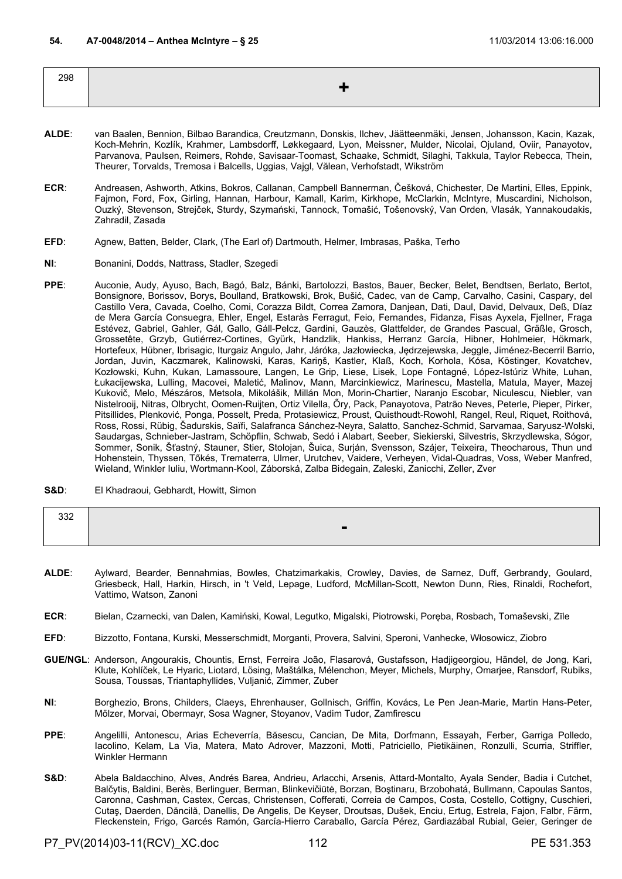| 298 |  |
|-----|--|
|     |  |

- **ALDE**: van Baalen, Bennion, Bilbao Barandica, Creutzmann, Donskis, Ilchev, Jäätteenmäki, Jensen, Johansson, Kacin, Kazak, Koch-Mehrin, Kozlík, Krahmer, Lambsdorff, Løkkegaard, Lyon, Meissner, Mulder, Nicolai, Ojuland, Oviir, Panayotov, Parvanova, Paulsen, Reimers, Rohde, Savisaar-Toomast, Schaake, Schmidt, Silaghi, Takkula, Taylor Rebecca, Thein, Theurer, Torvalds, Tremosa i Balcells, Uggias, Vajgl, Vălean, Verhofstadt, Wikström
- **ECR**: Andreasen, Ashworth, Atkins, Bokros, Callanan, Campbell Bannerman, Češková, Chichester, De Martini, Elles, Eppink, Fajmon, Ford, Fox, Girling, Hannan, Harbour, Kamall, Karim, Kirkhope, McClarkin, McIntyre, Muscardini, Nicholson, Ouzký, Stevenson, Strejček, Sturdy, Szymański, Tannock, Tomašić, Tošenovský, Van Orden, Vlasák, Yannakoudakis, Zahradil, Zasada
- **EFD**: Agnew, Batten, Belder, Clark, (The Earl of) Dartmouth, Helmer, Imbrasas, Paška, Terho
- **NI**: Bonanini, Dodds, Nattrass, Stadler, Szegedi
- **PPE**: Auconie, Audy, Ayuso, Bach, Bagó, Balz, Bánki, Bartolozzi, Bastos, Bauer, Becker, Belet, Bendtsen, Berlato, Bertot, Bonsignore, Borissov, Borys, Boulland, Bratkowski, Brok, Bušić, Cadec, van de Camp, Carvalho, Casini, Caspary, del Castillo Vera, Cavada, Coelho, Comi, Corazza Bildt, Correa Zamora, Danjean, Dati, Daul, David, Delvaux, Deß, Díaz de Mera García Consuegra, Ehler, Engel, Estaràs Ferragut, Feio, Fernandes, Fidanza, Fisas Ayxela, Fjellner, Fraga Estévez, Gabriel, Gahler, Gál, Gallo, Gáll-Pelcz, Gardini, Gauzès, Glattfelder, de Grandes Pascual, Gräßle, Grosch, Grossetête, Grzyb, Gutiérrez-Cortines, Gyürk, Handzlik, Hankiss, Herranz García, Hibner, Hohlmeier, Hökmark, Hortefeux, Hübner, Ibrisagic, Iturgaiz Angulo, Jahr, Járóka, Jazłowiecka, Jędrzejewska, Jeggle, Jiménez-Becerril Barrio, Jordan, Juvin, Kaczmarek, Kalinowski, Karas, Kariņš, Kastler, Klaß, Koch, Korhola, Kósa, Köstinger, Kovatchev, Kozłowski, Kuhn, Kukan, Lamassoure, Langen, Le Grip, Liese, Lisek, Lope Fontagné, López-Istúriz White, Luhan, Łukacijewska, Lulling, Macovei, Maletić, Malinov, Mann, Marcinkiewicz, Marinescu, Mastella, Matula, Mayer, Mazej Kukovič, Melo, Mészáros, Metsola, Mikolášik, Millán Mon, Morin-Chartier, Naranjo Escobar, Niculescu, Niebler, van Nistelrooij, Nitras, Olbrycht, Oomen-Ruijten, Ortiz Vilella, Őry, Pack, Panayotova, Patrão Neves, Peterle, Pieper, Pirker, Pitsillides, Plenković, Ponga, Posselt, Preda, Protasiewicz, Proust, Quisthoudt-Rowohl, Rangel, Reul, Riquet, Roithová, Ross, Rossi, Rübig, Šadurskis, Saïfi, Salafranca Sánchez-Neyra, Salatto, Sanchez-Schmid, Sarvamaa, Saryusz-Wolski, Saudargas, Schnieber-Jastram, Schöpflin, Schwab, Sedó i Alabart, Seeber, Siekierski, Silvestris, Skrzydlewska, Sógor, Sommer, Sonik, Šťastný, Stauner, Stier, Stolojan, Šuica, Surján, Svensson, Szájer, Teixeira, Theocharous, Thun und Hohenstein, Thyssen, Tőkés, Trematerra, Ulmer, Urutchev, Vaidere, Verheyen, Vidal-Quadras, Voss, Weber Manfred, Wieland, Winkler Iuliu, Wortmann-Kool, Záborská, Zalba Bidegain, Zaleski, Zanicchi, Zeller, Zver
- **S&D**: El Khadraoui, Gebhardt, Howitt, Simon

| $\sim$<br>33Z |                |
|---------------|----------------|
|               | $\blacksquare$ |
|               |                |

- **ALDE**: Aylward, Bearder, Bennahmias, Bowles, Chatzimarkakis, Crowley, Davies, de Sarnez, Duff, Gerbrandy, Goulard, Griesbeck, Hall, Harkin, Hirsch, in 't Veld, Lepage, Ludford, McMillan-Scott, Newton Dunn, Ries, Rinaldi, Rochefort, Vattimo, Watson, Zanoni
- **ECR**: Bielan, Czarnecki, van Dalen, Kamiński, Kowal, Legutko, Migalski, Piotrowski, Poręba, Rosbach, Tomaševski, Zīle
- **EFD**: Bizzotto, Fontana, Kurski, Messerschmidt, Morganti, Provera, Salvini, Speroni, Vanhecke, Włosowicz, Ziobro
- **GUE/NGL**: Anderson, Angourakis, Chountis, Ernst, Ferreira João, Flasarová, Gustafsson, Hadjigeorgiou, Händel, de Jong, Kari, Klute, Kohlíček, Le Hyaric, Liotard, Lösing, Maštálka, Mélenchon, Meyer, Michels, Murphy, Omarjee, Ransdorf, Rubiks, Sousa, Toussas, Triantaphyllides, Vuljanić, Zimmer, Zuber
- **NI**: Borghezio, Brons, Childers, Claeys, Ehrenhauser, Gollnisch, Griffin, Kovács, Le Pen Jean-Marie, Martin Hans-Peter, Mölzer, Morvai, Obermayr, Sosa Wagner, Stoyanov, Vadim Tudor, Zamfirescu
- **PPE**: Angelilli, Antonescu, Arias Echeverría, Băsescu, Cancian, De Mita, Dorfmann, Essayah, Ferber, Garriga Polledo, Iacolino, Kelam, La Via, Matera, Mato Adrover, Mazzoni, Motti, Patriciello, Pietikäinen, Ronzulli, Scurria, Striffler, Winkler Hermann
- **S&D**: Abela Baldacchino, Alves, Andrés Barea, Andrieu, Arlacchi, Arsenis, Attard-Montalto, Ayala Sender, Badia i Cutchet, Balčytis, Baldini, Berès, Berlinguer, Berman, Blinkevičiūtė, Borzan, Boştinaru, Brzobohatá, Bullmann, Capoulas Santos, Caronna, Cashman, Castex, Cercas, Christensen, Cofferati, Correia de Campos, Costa, Costello, Cottigny, Cuschieri, Cutaş, Daerden, Dăncilă, Danellis, De Angelis, De Keyser, Droutsas, Dušek, Enciu, Ertug, Estrela, Fajon, Falbr, Färm, Fleckenstein, Frigo, Garcés Ramón, García-Hierro Caraballo, García Pérez, Gardiazábal Rubial, Geier, Geringer de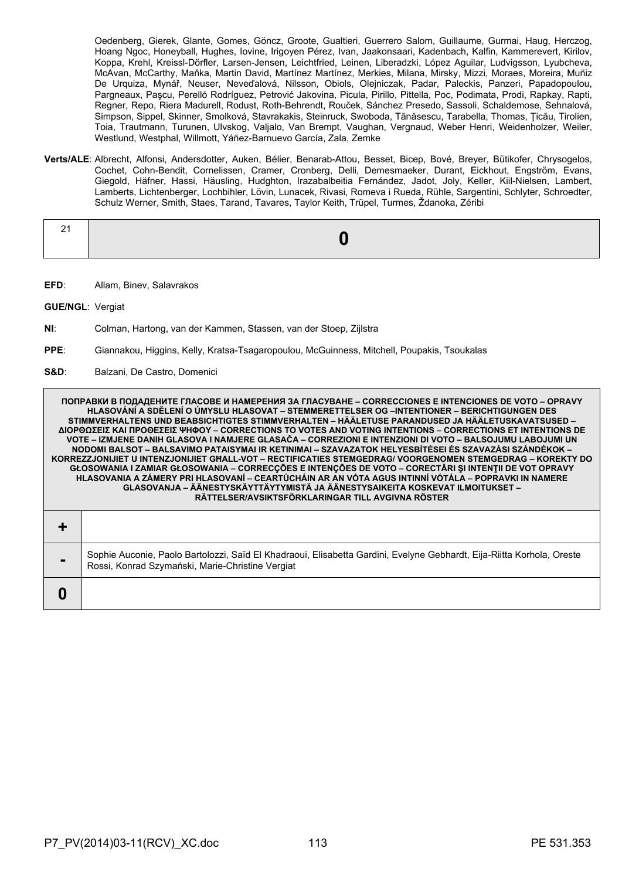Oedenberg, Gierek, Glante, Gomes, Göncz, Groote, Gualtieri, Guerrero Salom, Guillaume, Gurmai, Haug, Herczog, Hoang Ngoc, Honeyball, Hughes, Iovine, Irigoyen Pérez, Ivan, Jaakonsaari, Kadenbach, Kalfin, Kammerevert, Kirilov, Koppa, Krehl, Kreissl-Dörfler, Larsen-Jensen, Leichtfried, Leinen, Liberadzki, López Aguilar, Ludvigsson, Lyubcheva, McAvan, McCarthy, Maňka, Martin David, Martínez Martínez, Merkies, Milana, Mirsky, Mizzi, Moraes, Moreira, Muñiz De Urquiza, Mynář, Neuser, Neveďalová, Nilsson, Obiols, Olejniczak, Padar, Paleckis, Panzeri, Papadopoulou, Pargneaux, Paşcu, Perelló Rodríguez, Petrović Jakovina, Picula, Pirillo, Pittella, Poc, Podimata, Prodi, Rapkay, Rapti, Regner, Repo, Riera Madurell, Rodust, Roth-Behrendt, Rouček, Sánchez Presedo, Sassoli, Schaldemose, Sehnalová, Simpson, Sippel, Skinner, Smolková, Stavrakakis, Steinruck, Swoboda, Tănăsescu, Tarabella, Thomas, Ţicău, Tirolien, Toia, Trautmann, Turunen, Ulvskog, Valjalo, Van Brempt, Vaughan, Vergnaud, Weber Henri, Weidenholzer, Weiler, Westlund, Westphal, Willmott, Yáñez-Barnuevo García, Zala, Zemke

**Verts/ALE**: Albrecht, Alfonsi, Andersdotter, Auken, Bélier, Benarab-Attou, Besset, Bicep, Bové, Breyer, Bütikofer, Chrysogelos, Cochet, Cohn-Bendit, Cornelissen, Cramer, Cronberg, Delli, Demesmaeker, Durant, Eickhout, Engström, Evans, Giegold, Häfner, Hassi, Häusling, Hudghton, Irazabalbeitia Fernández, Jadot, Joly, Keller, Kiil-Nielsen, Lambert, Lamberts, Lichtenberger, Lochbihler, Lövin, Lunacek, Rivasi, Romeva i Rueda, Rühle, Sargentini, Schlyter, Schroedter, Schulz Werner, Smith, Staes, Tarand, Tavares, Taylor Keith, Trüpel, Turmes, Ždanoka, Zéribi

- **EFD**: Allam, Binev, Salavrakos
- **GUE/NGL**: Vergiat
- **NI**: Colman, Hartong, van der Kammen, Stassen, van der Stoep, Zijlstra
- **PPE**: Giannakou, Higgins, Kelly, Kratsa-Tsagaropoulou, McGuinness, Mitchell, Poupakis, Tsoukalas
- **S&D**: Balzani, De Castro, Domenici

**ПОПРАВКИ В ПОДАДЕНИТЕ ГЛАСОВЕ И НАМЕРЕНИЯ ЗА ГЛАСУВАНЕ – CORRECCIONES E INTENCIONES DE VOTO – OPRAVY HLASOVÁNÍ A SDĚLENÍ O ÚMYSLU HLASOVAT – STEMMERETTELSER OG –INTENTIONER – BERICHTIGUNGEN DES STIMMVERHALTENS UND BEABSICHTIGTES STIMMVERHALTEN – HÄÄLETUSE PARANDUSED JA HÄÄLETUSKAVATSUSED – ΔΙΟΡΘΩΣΕΙΣ ΚΑΙ ΠΡΟΘΕΣΕΙΣ ΨΗΦΟΥ – CORRECTIONS TO VOTES AND VOTING INTENTIONS – CORRECTIONS ET INTENTIONS DE VOTE – IZMJENE DANIH GLASOVA I NAMJERE GLASAČA – CORREZIONI E INTENZIONI DI VOTO – BALSOJUMU LABOJUMI UN NODOMI BALSOT – BALSAVIMO PATAISYMAI IR KETINIMAI – SZAVAZATOK HELYESBÍTÉSEI ÉS SZAVAZÁSI SZÁNDÉKOK – KORREZZJONIJIET U INTENZJONIJIET GĦALL-VOT – RECTIFICATIES STEMGEDRAG/ VOORGENOMEN STEMGEDRAG – KOREKTY DO GŁOSOWANIA I ZAMIAR GŁOSOWANIA – CORRECÇÕES E INTENÇÕES DE VOTO – CORECTĂRI ŞI INTENŢII DE VOT OPRAVY HLASOVANIA A ZÁMERY PRI HLASOVANÍ – CEARTÚCHÁIN AR AN VÓTA AGUS INTINNÍ VÓTÁLA – POPRAVKI IN NAMERE GLASOVANJA – ÄÄNESTYSKÄYTTÄYTYMISTÄ JA ÄÄNESTYSAIKEITA KOSKEVAT ILMOITUKSET – RÄTTELSER/AVSIKTSFÖRKLARINGAR TILL AVGIVNA RÖSTER**

| - | <sup>l</sup> Sophie Auconie, Paolo Bartolozzi, Saïd El Khadraoui, Elisabetta Gardini, Evelyne Gebhardt, Eija-Riitta Korhola, Oreste<br>Rossi, Konrad Szymański, Marie-Christine Vergiat |
|---|-----------------------------------------------------------------------------------------------------------------------------------------------------------------------------------------|
|   |                                                                                                                                                                                         |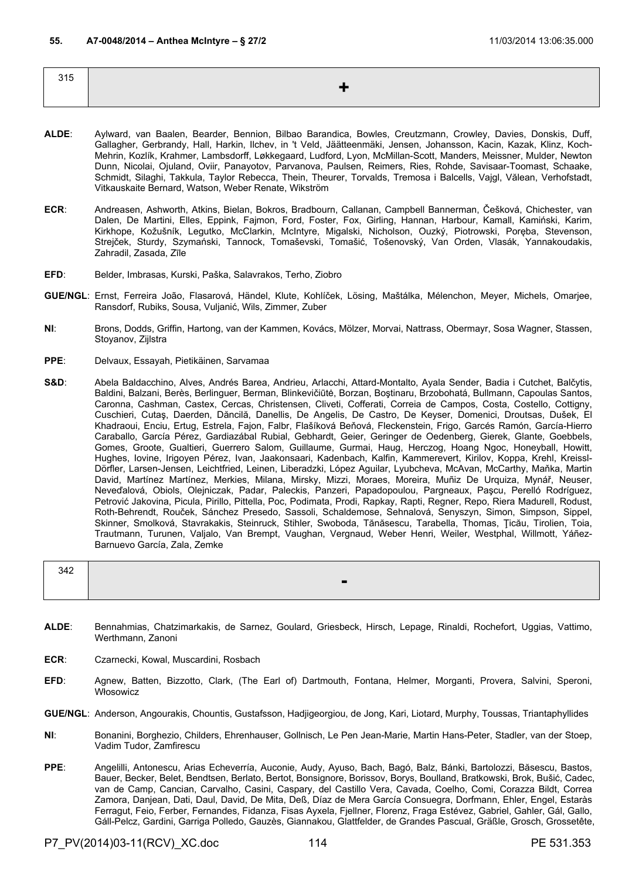| 315 | __ |  |
|-----|----|--|
|     |    |  |

- **ALDE**: Aylward, van Baalen, Bearder, Bennion, Bilbao Barandica, Bowles, Creutzmann, Crowley, Davies, Donskis, Duff, Gallagher, Gerbrandy, Hall, Harkin, Ilchev, in 't Veld, Jäätteenmäki, Jensen, Johansson, Kacin, Kazak, Klinz, Koch-Mehrin, Kozlík, Krahmer, Lambsdorff, Løkkegaard, Ludford, Lyon, McMillan-Scott, Manders, Meissner, Mulder, Newton Dunn, Nicolai, Ojuland, Oviir, Panayotov, Parvanova, Paulsen, Reimers, Ries, Rohde, Savisaar-Toomast, Schaake, Schmidt, Silaghi, Takkula, Taylor Rebecca, Thein, Theurer, Torvalds, Tremosa i Balcells, Vajgl, Vălean, Verhofstadt, Vitkauskaite Bernard, Watson, Weber Renate, Wikström
- **ECR**: Andreasen, Ashworth, Atkins, Bielan, Bokros, Bradbourn, Callanan, Campbell Bannerman, Češková, Chichester, van Dalen, De Martini, Elles, Eppink, Fajmon, Ford, Foster, Fox, Girling, Hannan, Harbour, Kamall, Kamiński, Karim, Kirkhope, Kožušník, Legutko, McClarkin, McIntyre, Migalski, Nicholson, Ouzký, Piotrowski, Poręba, Stevenson, Strejček, Sturdy, Szymański, Tannock, Tomaševski, Tomašić, Tošenovský, Van Orden, Vlasák, Yannakoudakis, Zahradil, Zasada, Zīle
- **EFD**: Belder, Imbrasas, Kurski, Paška, Salavrakos, Terho, Ziobro
- **GUE/NGL**: Ernst, Ferreira João, Flasarová, Händel, Klute, Kohlíček, Lösing, Maštálka, Mélenchon, Meyer, Michels, Omarjee, Ransdorf, Rubiks, Sousa, Vuljanić, Wils, Zimmer, Zuber
- **NI**: Brons, Dodds, Griffin, Hartong, van der Kammen, Kovács, Mölzer, Morvai, Nattrass, Obermayr, Sosa Wagner, Stassen, Stoyanov, Zijlstra
- **PPE**: Delvaux, Essayah, Pietikäinen, Sarvamaa
- **S&D**: Abela Baldacchino, Alves, Andrés Barea, Andrieu, Arlacchi, Attard-Montalto, Ayala Sender, Badia i Cutchet, Balčytis, Baldini, Balzani, Berès, Berlinguer, Berman, Blinkevičiūtė, Borzan, Boştinaru, Brzobohatá, Bullmann, Capoulas Santos, Caronna, Cashman, Castex, Cercas, Christensen, Cliveti, Cofferati, Correia de Campos, Costa, Costello, Cottigny, Cuschieri, Cutaş, Daerden, Dăncilă, Danellis, De Angelis, De Castro, De Keyser, Domenici, Droutsas, Dušek, El Khadraoui, Enciu, Ertug, Estrela, Fajon, Falbr, Flašíková Beňová, Fleckenstein, Frigo, Garcés Ramón, García-Hierro Caraballo, García Pérez, Gardiazábal Rubial, Gebhardt, Geier, Geringer de Oedenberg, Gierek, Glante, Goebbels, Gomes, Groote, Gualtieri, Guerrero Salom, Guillaume, Gurmai, Haug, Herczog, Hoang Ngoc, Honeyball, Howitt, Hughes, Iovine, Irigoyen Pérez, Ivan, Jaakonsaari, Kadenbach, Kalfin, Kammerevert, Kirilov, Koppa, Krehl, Kreissl-Dörfler, Larsen-Jensen, Leichtfried, Leinen, Liberadzki, López Aguilar, Lyubcheva, McAvan, McCarthy, Maňka, Martin David, Martínez Martínez, Merkies, Milana, Mirsky, Mizzi, Moraes, Moreira, Muñiz De Urquiza, Mynář, Neuser, Neveďalová, Obiols, Olejniczak, Padar, Paleckis, Panzeri, Papadopoulou, Pargneaux, Paşcu, Perelló Rodríguez, Petrović Jakovina, Picula, Pirillo, Pittella, Poc, Podimata, Prodi, Rapkay, Rapti, Regner, Repo, Riera Madurell, Rodust, Roth-Behrendt, Rouček, Sánchez Presedo, Sassoli, Schaldemose, Sehnalová, Senyszyn, Simon, Simpson, Sippel, Skinner, Smolková, Stavrakakis, Steinruck, Stihler, Swoboda, Tănăsescu, Tarabella, Thomas, Ţicău, Tirolien, Toia, Trautmann, Turunen, Valjalo, Van Brempt, Vaughan, Vergnaud, Weber Henri, Weiler, Westphal, Willmott, Yáñez-Barnuevo García, Zala, Zemke

| 342 |  |
|-----|--|
|     |  |

- **ALDE**: Bennahmias, Chatzimarkakis, de Sarnez, Goulard, Griesbeck, Hirsch, Lepage, Rinaldi, Rochefort, Uggias, Vattimo, Werthmann, Zanoni
- **ECR**: Czarnecki, Kowal, Muscardini, Rosbach
- **EFD**: Agnew, Batten, Bizzotto, Clark, (The Earl of) Dartmouth, Fontana, Helmer, Morganti, Provera, Salvini, Speroni, Włosowicz
- **GUE/NGL**: Anderson, Angourakis, Chountis, Gustafsson, Hadjigeorgiou, de Jong, Kari, Liotard, Murphy, Toussas, Triantaphyllides
- **NI**: Bonanini, Borghezio, Childers, Ehrenhauser, Gollnisch, Le Pen Jean-Marie, Martin Hans-Peter, Stadler, van der Stoep, Vadim Tudor, Zamfirescu
- PPE: Angelilli, Antonescu, Arias Echeverría, Auconie, Audy, Ayuso, Bach, Bagó, Balz, Bánki, Bartolozzi, Băsescu, Bastos, Bauer, Becker, Belet, Bendtsen, Berlato, Bertot, Bonsignore, Borissov, Borys, Boulland, Bratkowski, Brok, Bušić, Cadec, van de Camp, Cancian, Carvalho, Casini, Caspary, del Castillo Vera, Cavada, Coelho, Comi, Corazza Bildt, Correa Zamora, Danjean, Dati, Daul, David, De Mita, Deß, Díaz de Mera García Consuegra, Dorfmann, Ehler, Engel, Estaràs Ferragut, Feio, Ferber, Fernandes, Fidanza, Fisas Ayxela, Fjellner, Florenz, Fraga Estévez, Gabriel, Gahler, Gál, Gallo, Gáll-Pelcz, Gardini, Garriga Polledo, Gauzès, Giannakou, Glattfelder, de Grandes Pascual, Gräßle, Grosch, Grossetête,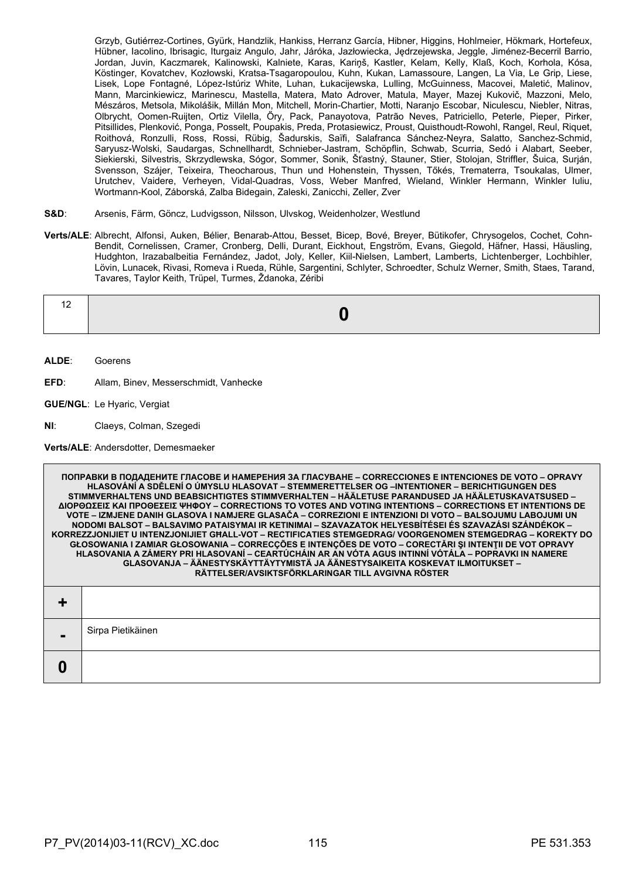Grzyb, Gutiérrez-Cortines, Gyürk, Handzlik, Hankiss, Herranz García, Hibner, Higgins, Hohlmeier, Hökmark, Hortefeux, Hübner, Iacolino, Ibrisagic, Iturgaiz Angulo, Jahr, Járóka, Jazłowiecka, Jędrzejewska, Jeggle, Jiménez-Becerril Barrio, Jordan, Juvin, Kaczmarek, Kalinowski, Kalniete, Karas, Kariņš, Kastler, Kelam, Kelly, Klaß, Koch, Korhola, Kósa, Köstinger, Kovatchev, Kozłowski, Kratsa-Tsagaropoulou, Kuhn, Kukan, Lamassoure, Langen, La Via, Le Grip, Liese, Lisek, Lope Fontagné, López-Istúriz White, Luhan, Łukacijewska, Lulling, McGuinness, Macovei, Maletić, Malinov, Mann, Marcinkiewicz, Marinescu, Mastella, Matera, Mato Adrover, Matula, Mayer, Mazej Kukovič, Mazzoni, Melo, Mészáros, Metsola, Mikolášik, Millán Mon, Mitchell, Morin-Chartier, Motti, Naranjo Escobar, Niculescu, Niebler, Nitras, Olbrycht, Oomen-Ruijten, Ortiz Vilella, Őry, Pack, Panayotova, Patrão Neves, Patriciello, Peterle, Pieper, Pirker, Pitsillides, Plenković, Ponga, Posselt, Poupakis, Preda, Protasiewicz, Proust, Quisthoudt-Rowohl, Rangel, Reul, Riquet, Roithová, Ronzulli, Ross, Rossi, Rübig, Šadurskis, Saïfi, Salafranca Sánchez-Neyra, Salatto, Sanchez-Schmid, Saryusz-Wolski, Saudargas, Schnellhardt, Schnieber-Jastram, Schöpflin, Schwab, Scurria, Sedó i Alabart, Seeber, Siekierski, Silvestris, Skrzydlewska, Sógor, Sommer, Sonik, Šťastný, Stauner, Stier, Stolojan, Striffler, Šuica, Surján, Svensson, Szájer, Teixeira, Theocharous, Thun und Hohenstein, Thyssen, Tőkés, Trematerra, Tsoukalas, Ulmer, Urutchev, Vaidere, Verheyen, Vidal-Quadras, Voss, Weber Manfred, Wieland, Winkler Hermann, Winkler Iuliu, Wortmann-Kool, Záborská, Zalba Bidegain, Zaleski, Zanicchi, Zeller, Zver

- **S&D**: Arsenis, Färm, Göncz, Ludvigsson, Nilsson, Ulvskog, Weidenholzer, Westlund
- **Verts/ALE**: Albrecht, Alfonsi, Auken, Bélier, Benarab-Attou, Besset, Bicep, Bové, Breyer, Bütikofer, Chrysogelos, Cochet, Cohn-Bendit, Cornelissen, Cramer, Cronberg, Delli, Durant, Eickhout, Engström, Evans, Giegold, Häfner, Hassi, Häusling, Hudghton, Irazabalbeitia Fernández, Jadot, Joly, Keller, Kiil-Nielsen, Lambert, Lamberts, Lichtenberger, Lochbihler, Lövin, Lunacek, Rivasi, Romeva i Rueda, Rühle, Sargentini, Schlyter, Schroedter, Schulz Werner, Smith, Staes, Tarand, Tavares, Taylor Keith, Trüpel, Turmes, Ždanoka, Zéribi

| . . |  |
|-----|--|

**ALDE**: Goerens

**0**

**EFD**: Allam, Binev, Messerschmidt, Vanhecke

**GUE/NGL**: Le Hyaric, Vergiat

**NI**: Claeys, Colman, Szegedi

**Verts/ALE**: Andersdotter, Demesmaeker

**ПОПРАВКИ В ПОДАДЕНИТЕ ГЛАСОВЕ И НАМЕРЕНИЯ ЗА ГЛАСУВАНЕ – CORRECCIONES E INTENCIONES DE VOTO – OPRAVY HLASOVÁNÍ A SDĚLENÍ O ÚMYSLU HLASOVAT – STEMMERETTELSER OG –INTENTIONER – BERICHTIGUNGEN DES STIMMVERHALTENS UND BEABSICHTIGTES STIMMVERHALTEN – HÄÄLETUSE PARANDUSED JA HÄÄLETUSKAVATSUSED – ΔΙΟΡΘΩΣΕΙΣ ΚΑΙ ΠΡΟΘΕΣΕΙΣ ΨΗΦΟΥ – CORRECTIONS TO VOTES AND VOTING INTENTIONS – CORRECTIONS ET INTENTIONS DE VOTE – IZMJENE DANIH GLASOVA I NAMJERE GLASAČA – CORREZIONI E INTENZIONI DI VOTO – BALSOJUMU LABOJUMI UN NODOMI BALSOT – BALSAVIMO PATAISYMAI IR KETINIMAI – SZAVAZATOK HELYESBÍTÉSEI ÉS SZAVAZÁSI SZÁNDÉKOK – KORREZZJONIJIET U INTENZJONIJIET GĦALL-VOT – RECTIFICATIES STEMGEDRAG/ VOORGENOMEN STEMGEDRAG – KOREKTY DO GŁOSOWANIA I ZAMIAR GŁOSOWANIA – CORRECÇÕES E INTENÇÕES DE VOTO – CORECTĂRI ŞI INTENŢII DE VOT OPRAVY HLASOVANIA A ZÁMERY PRI HLASOVANÍ – CEARTÚCHÁIN AR AN VÓTA AGUS INTINNÍ VÓTÁLA – POPRAVKI IN NAMERE GLASOVANJA – ÄÄNESTYSKÄYTTÄYTYMISTÄ JA ÄÄNESTYSAIKEITA KOSKEVAT ILMOITUKSET – RÄTTELSER/AVSIKTSFÖRKLARINGAR TILL AVGIVNA RÖSTER + -** Sirpa Pietikäinen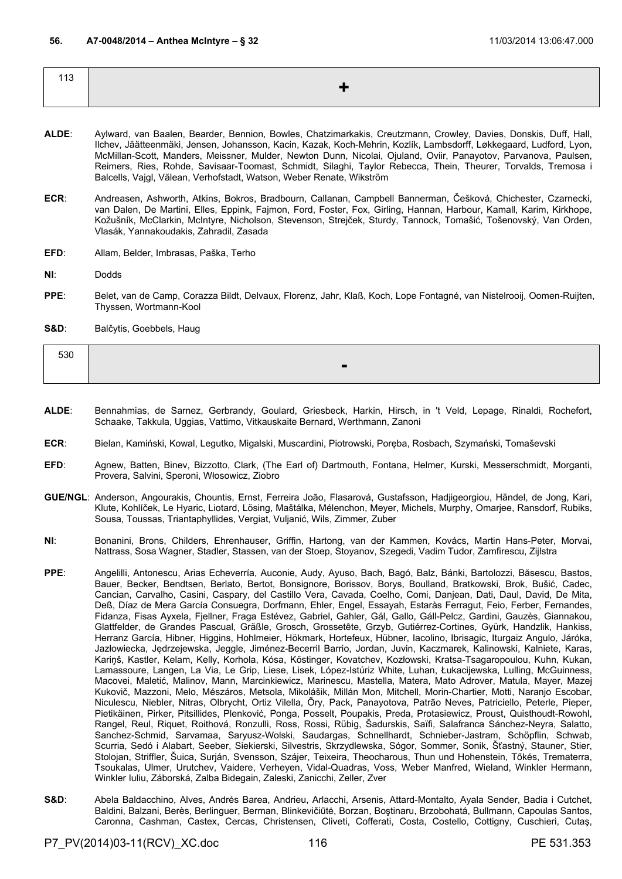| 113 |      |
|-----|------|
|     | ▚▗▙▚ |
|     |      |

- **ALDE**: Aylward, van Baalen, Bearder, Bennion, Bowles, Chatzimarkakis, Creutzmann, Crowley, Davies, Donskis, Duff, Hall, Ilchev, Jäätteenmäki, Jensen, Johansson, Kacin, Kazak, Koch-Mehrin, Kozlík, Lambsdorff, Løkkegaard, Ludford, Lyon, McMillan-Scott, Manders, Meissner, Mulder, Newton Dunn, Nicolai, Ojuland, Oviir, Panayotov, Parvanova, Paulsen, Reimers, Ries, Rohde, Savisaar-Toomast, Schmidt, Silaghi, Taylor Rebecca, Thein, Theurer, Torvalds, Tremosa i Balcells, Vajgl, Vălean, Verhofstadt, Watson, Weber Renate, Wikström
- **ECR**: Andreasen, Ashworth, Atkins, Bokros, Bradbourn, Callanan, Campbell Bannerman, Češková, Chichester, Czarnecki, van Dalen, De Martini, Elles, Eppink, Fajmon, Ford, Foster, Fox, Girling, Hannan, Harbour, Kamall, Karim, Kirkhope, Kožušník, McClarkin, McIntyre, Nicholson, Stevenson, Strejček, Sturdy, Tannock, Tomašić, Tošenovský, Van Orden, Vlasák, Yannakoudakis, Zahradil, Zasada
- **EFD**: Allam, Belder, Imbrasas, Paška, Terho
- **NI**: Dodds
- **PPE**: Belet, van de Camp, Corazza Bildt, Delvaux, Florenz, Jahr, Klaß, Koch, Lope Fontagné, van Nistelrooij, Oomen-Ruijten, Thyssen, Wortmann-Kool
- **S&D**: Balčytis, Goebbels, Haug

| $\sim$ $\sim$<br>ນວບ |  |
|----------------------|--|
|                      |  |
|                      |  |
|                      |  |

- **ALDE**: Bennahmias, de Sarnez, Gerbrandy, Goulard, Griesbeck, Harkin, Hirsch, in 't Veld, Lepage, Rinaldi, Rochefort, Schaake, Takkula, Uggias, Vattimo, Vitkauskaite Bernard, Werthmann, Zanoni
- **ECR**: Bielan, Kamiński, Kowal, Legutko, Migalski, Muscardini, Piotrowski, Poręba, Rosbach, Szymański, Tomaševski
- **EFD**: Agnew, Batten, Binev, Bizzotto, Clark, (The Earl of) Dartmouth, Fontana, Helmer, Kurski, Messerschmidt, Morganti, Provera, Salvini, Speroni, Włosowicz, Ziobro
- **GUE/NGL**: Anderson, Angourakis, Chountis, Ernst, Ferreira João, Flasarová, Gustafsson, Hadjigeorgiou, Händel, de Jong, Kari, Klute, Kohlíček, Le Hyaric, Liotard, Lösing, Maštálka, Mélenchon, Meyer, Michels, Murphy, Omarjee, Ransdorf, Rubiks, Sousa, Toussas, Triantaphyllides, Vergiat, Vuljanić, Wils, Zimmer, Zuber
- **NI**: Bonanini, Brons, Childers, Ehrenhauser, Griffin, Hartong, van der Kammen, Kovács, Martin Hans-Peter, Morvai, Nattrass, Sosa Wagner, Stadler, Stassen, van der Stoep, Stoyanov, Szegedi, Vadim Tudor, Zamfirescu, Zijlstra
- PPE: Angelilli, Antonescu, Arias Echeverría, Auconie, Audy, Ayuso, Bach, Bagó, Balz, Bánki, Bartolozzi, Băsescu, Bastos, Bauer, Becker, Bendtsen, Berlato, Bertot, Bonsignore, Borissov, Borys, Boulland, Bratkowski, Brok, Bušić, Cadec, Cancian, Carvalho, Casini, Caspary, del Castillo Vera, Cavada, Coelho, Comi, Danjean, Dati, Daul, David, De Mita, Deß, Díaz de Mera García Consuegra, Dorfmann, Ehler, Engel, Essayah, Estaràs Ferragut, Feio, Ferber, Fernandes, Fidanza, Fisas Ayxela, Fjellner, Fraga Estévez, Gabriel, Gahler, Gál, Gallo, Gáll-Pelcz, Gardini, Gauzès, Giannakou, Glattfelder, de Grandes Pascual, Gräßle, Grosch, Grossetête, Grzyb, Gutiérrez-Cortines, Gyürk, Handzlik, Hankiss, Herranz García, Hibner, Higgins, Hohlmeier, Hökmark, Hortefeux, Hübner, Iacolino, Ibrisagic, Iturgaiz Angulo, Járóka, Jazłowiecka, Jędrzejewska, Jeggle, Jiménez-Becerril Barrio, Jordan, Juvin, Kaczmarek, Kalinowski, Kalniete, Karas, Kariņš, Kastler, Kelam, Kelly, Korhola, Kósa, Köstinger, Kovatchev, Kozłowski, Kratsa-Tsagaropoulou, Kuhn, Kukan, Lamassoure, Langen, La Via, Le Grip, Liese, Lisek, López-Istúriz White, Luhan, Łukacijewska, Lulling, McGuinness, Macovei, Maletić, Malinov, Mann, Marcinkiewicz, Marinescu, Mastella, Matera, Mato Adrover, Matula, Mayer, Mazej Kukovič, Mazzoni, Melo, Mészáros, Metsola, Mikolášik, Millán Mon, Mitchell, Morin-Chartier, Motti, Naranjo Escobar, Niculescu, Niebler, Nitras, Olbrycht, Ortiz Vilella, Őry, Pack, Panayotova, Patrão Neves, Patriciello, Peterle, Pieper, Pietikäinen, Pirker, Pitsillides, Plenković, Ponga, Posselt, Poupakis, Preda, Protasiewicz, Proust, Quisthoudt-Rowohl, Rangel, Reul, Riquet, Roithová, Ronzulli, Ross, Rossi, Rübig, Šadurskis, Saïfi, Salafranca Sánchez-Neyra, Salatto, Sanchez-Schmid, Sarvamaa, Saryusz-Wolski, Saudargas, Schnellhardt, Schnieber-Jastram, Schöpflin, Schwab, Scurria, Sedó i Alabart, Seeber, Siekierski, Silvestris, Skrzydlewska, Sógor, Sommer, Sonik, Šťastný, Stauner, Stier, Stolojan, Striffler, Šuica, Surján, Svensson, Szájer, Teixeira, Theocharous, Thun und Hohenstein, Tőkés, Trematerra, Tsoukalas, Ulmer, Urutchev, Vaidere, Verheyen, Vidal-Quadras, Voss, Weber Manfred, Wieland, Winkler Hermann, Winkler Iuliu, Záborská, Zalba Bidegain, Zaleski, Zanicchi, Zeller, Zver
- **S&D**: Abela Baldacchino, Alves, Andrés Barea, Andrieu, Arlacchi, Arsenis, Attard-Montalto, Ayala Sender, Badia i Cutchet, Baldini, Balzani, Berès, Berlinguer, Berman, Blinkevičiūtė, Borzan, Boştinaru, Brzobohatá, Bullmann, Capoulas Santos, Caronna, Cashman, Castex, Cercas, Christensen, Cliveti, Cofferati, Costa, Costello, Cottigny, Cuschieri, Cutaş,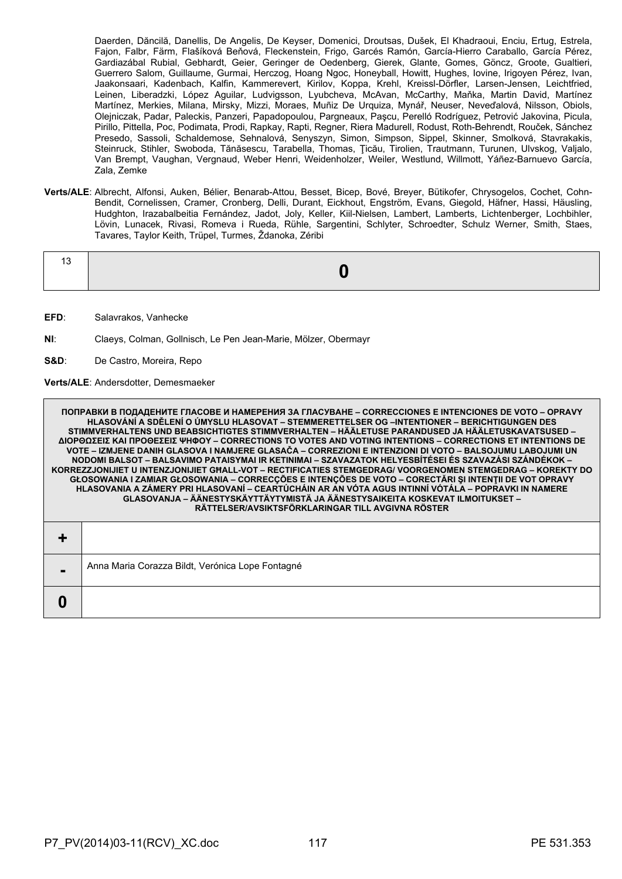Daerden, Dăncilă, Danellis, De Angelis, De Keyser, Domenici, Droutsas, Dušek, El Khadraoui, Enciu, Ertug, Estrela, Fajon, Falbr, Färm, Flašíková Beňová, Fleckenstein, Frigo, Garcés Ramón, García-Hierro Caraballo, García Pérez, Gardiazábal Rubial, Gebhardt, Geier, Geringer de Oedenberg, Gierek, Glante, Gomes, Göncz, Groote, Gualtieri, Guerrero Salom, Guillaume, Gurmai, Herczog, Hoang Ngoc, Honeyball, Howitt, Hughes, Iovine, Irigoyen Pérez, Ivan, Jaakonsaari, Kadenbach, Kalfin, Kammerevert, Kirilov, Koppa, Krehl, Kreissl-Dörfler, Larsen-Jensen, Leichtfried, Leinen, Liberadzki, López Aguilar, Ludvigsson, Lyubcheva, McAvan, McCarthy, Maňka, Martin David, Martínez Martínez, Merkies, Milana, Mirsky, Mizzi, Moraes, Muñiz De Urquiza, Mynář, Neuser, Neveďalová, Nilsson, Obiols, Olejniczak, Padar, Paleckis, Panzeri, Papadopoulou, Pargneaux, Paşcu, Perelló Rodríguez, Petrović Jakovina, Picula, Pirillo, Pittella, Poc, Podimata, Prodi, Rapkay, Rapti, Regner, Riera Madurell, Rodust, Roth-Behrendt, Rouček, Sánchez Presedo, Sassoli, Schaldemose, Sehnalová, Senyszyn, Simon, Simpson, Sippel, Skinner, Smolková, Stavrakakis, Steinruck, Stihler, Swoboda, Tănăsescu, Tarabella, Thomas, Ţicău, Tirolien, Trautmann, Turunen, Ulvskog, Valjalo, Van Brempt, Vaughan, Vergnaud, Weber Henri, Weidenholzer, Weiler, Westlund, Willmott, Yáñez-Barnuevo García, Zala, Zemke

**Verts/ALE**: Albrecht, Alfonsi, Auken, Bélier, Benarab-Attou, Besset, Bicep, Bové, Breyer, Bütikofer, Chrysogelos, Cochet, Cohn-Bendit, Cornelissen, Cramer, Cronberg, Delli, Durant, Eickhout, Engström, Evans, Giegold, Häfner, Hassi, Häusling, Hudghton, Irazabalbeitia Fernández, Jadot, Joly, Keller, Kiil-Nielsen, Lambert, Lamberts, Lichtenberger, Lochbihler, Lövin, Lunacek, Rivasi, Romeva i Rueda, Rühle, Sargentini, Schlyter, Schroedter, Schulz Werner, Smith, Staes, Tavares, Taylor Keith, Trüpel, Turmes, Ždanoka, Zéribi

- **EFD**: Salavrakos, Vanhecke
- **NI**: Claeys, Colman, Gollnisch, Le Pen Jean-Marie, Mölzer, Obermayr
- **S&D**: De Castro, Moreira, Repo

**Verts/ALE**: Andersdotter, Demesmaeker

**ПОПРАВКИ В ПОДАДЕНИТЕ ГЛАСОВЕ И НАМЕРЕНИЯ ЗА ГЛАСУВАНЕ – CORRECCIONES E INTENCIONES DE VOTO – OPRAVY HLASOVÁNÍ A SDĚLENÍ O ÚMYSLU HLASOVAT – STEMMERETTELSER OG –INTENTIONER – BERICHTIGUNGEN DES STIMMVERHALTENS UND BEABSICHTIGTES STIMMVERHALTEN – HÄÄLETUSE PARANDUSED JA HÄÄLETUSKAVATSUSED – ΔΙΟΡΘΩΣΕΙΣ ΚΑΙ ΠΡΟΘΕΣΕΙΣ ΨΗΦΟΥ – CORRECTIONS TO VOTES AND VOTING INTENTIONS – CORRECTIONS ET INTENTIONS DE VOTE – IZMJENE DANIH GLASOVA I NAMJERE GLASAČA – CORREZIONI E INTENZIONI DI VOTO – BALSOJUMU LABOJUMI UN NODOMI BALSOT – BALSAVIMO PATAISYMAI IR KETINIMAI – SZAVAZATOK HELYESBÍTÉSEI ÉS SZAVAZÁSI SZÁNDÉKOK – KORREZZJONIJIET U INTENZJONIJIET GĦALL-VOT – RECTIFICATIES STEMGEDRAG/ VOORGENOMEN STEMGEDRAG – KOREKTY DO GŁOSOWANIA I ZAMIAR GŁOSOWANIA – CORRECÇÕES E INTENÇÕES DE VOTO – CORECTĂRI ŞI INTENŢII DE VOT OPRAVY HLASOVANIA A ZÁMERY PRI HLASOVANÍ – CEARTÚCHÁIN AR AN VÓTA AGUS INTINNÍ VÓTÁLA – POPRAVKI IN NAMERE GLASOVANJA – ÄÄNESTYSKÄYTTÄYTYMISTÄ JA ÄÄNESTYSAIKEITA KOSKEVAT ILMOITUKSET – RÄTTELSER/AVSIKTSFÖRKLARINGAR TILL AVGIVNA RÖSTER**

| Anna Maria Corazza Bildt, Verónica Lope Fontagné |
|--------------------------------------------------|
|                                                  |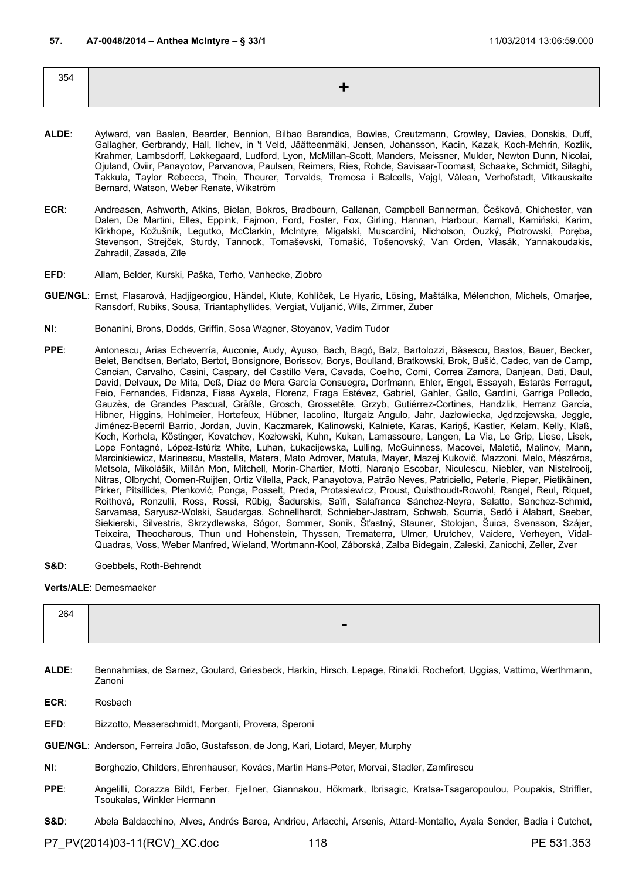| 354 | $\sim$ |
|-----|--------|
|     |        |

- **ALDE**: Aylward, van Baalen, Bearder, Bennion, Bilbao Barandica, Bowles, Creutzmann, Crowley, Davies, Donskis, Duff, Gallagher, Gerbrandy, Hall, Ilchev, in 't Veld, Jäätteenmäki, Jensen, Johansson, Kacin, Kazak, Koch-Mehrin, Kozlík, Krahmer, Lambsdorff, Løkkegaard, Ludford, Lyon, McMillan-Scott, Manders, Meissner, Mulder, Newton Dunn, Nicolai, Ojuland, Oviir, Panayotov, Parvanova, Paulsen, Reimers, Ries, Rohde, Savisaar-Toomast, Schaake, Schmidt, Silaghi, Takkula, Taylor Rebecca, Thein, Theurer, Torvalds, Tremosa i Balcells, Vajgl, Vălean, Verhofstadt, Vitkauskaite Bernard, Watson, Weber Renate, Wikström
- **ECR**: Andreasen, Ashworth, Atkins, Bielan, Bokros, Bradbourn, Callanan, Campbell Bannerman, Češková, Chichester, van Dalen, De Martini, Elles, Eppink, Fajmon, Ford, Foster, Fox, Girling, Hannan, Harbour, Kamall, Kamiński, Karim, Kirkhope, Kožušník, Legutko, McClarkin, McIntyre, Migalski, Muscardini, Nicholson, Ouzký, Piotrowski, Poręba, Stevenson, Strejček, Sturdy, Tannock, Tomaševski, Tomašić, Tošenovský, Van Orden, Vlasák, Yannakoudakis, Zahradil, Zasada, Zīle
- **EFD**: Allam, Belder, Kurski, Paška, Terho, Vanhecke, Ziobro
- **GUE/NGL**: Ernst, Flasarová, Hadjigeorgiou, Händel, Klute, Kohlíček, Le Hyaric, Lösing, Maštálka, Mélenchon, Michels, Omarjee, Ransdorf, Rubiks, Sousa, Triantaphyllides, Vergiat, Vuljanić, Wils, Zimmer, Zuber
- **NI**: Bonanini, Brons, Dodds, Griffin, Sosa Wagner, Stoyanov, Vadim Tudor
- **PPE**: Antonescu, Arias Echeverría, Auconie, Audy, Ayuso, Bach, Bagó, Balz, Bartolozzi, Băsescu, Bastos, Bauer, Becker, Belet, Bendtsen, Berlato, Bertot, Bonsignore, Borissov, Borys, Boulland, Bratkowski, Brok, Bušić, Cadec, van de Camp, Cancian, Carvalho, Casini, Caspary, del Castillo Vera, Cavada, Coelho, Comi, Correa Zamora, Danjean, Dati, Daul, David, Delvaux, De Mita, Deß, Díaz de Mera García Consuegra, Dorfmann, Ehler, Engel, Essayah, Estaràs Ferragut, Feio, Fernandes, Fidanza, Fisas Ayxela, Florenz, Fraga Estévez, Gabriel, Gahler, Gallo, Gardini, Garriga Polledo, Gauzès, de Grandes Pascual, Gräßle, Grosch, Grossetête, Grzyb, Gutiérrez-Cortines, Handzlik, Herranz García, Hibner, Higgins, Hohlmeier, Hortefeux, Hübner, Iacolino, Iturgaiz Angulo, Jahr, Jazłowiecka, Jędrzejewska, Jeggle, Jiménez-Becerril Barrio, Jordan, Juvin, Kaczmarek, Kalinowski, Kalniete, Karas, Kariņš, Kastler, Kelam, Kelly, Klaß, Koch, Korhola, Köstinger, Kovatchev, Kozłowski, Kuhn, Kukan, Lamassoure, Langen, La Via, Le Grip, Liese, Lisek, Lope Fontagné, López-Istúriz White, Luhan, Łukacijewska, Lulling, McGuinness, Macovei, Maletić, Malinov, Mann, Marcinkiewicz, Marinescu, Mastella, Matera, Mato Adrover, Matula, Mayer, Mazej Kukovič, Mazzoni, Melo, Mészáros, Metsola, Mikolášik, Millán Mon, Mitchell, Morin-Chartier, Motti, Naranjo Escobar, Niculescu, Niebler, van Nistelrooij, Nitras, Olbrycht, Oomen-Ruijten, Ortiz Vilella, Pack, Panayotova, Patrão Neves, Patriciello, Peterle, Pieper, Pietikäinen, Pirker, Pitsillides, Plenković, Ponga, Posselt, Preda, Protasiewicz, Proust, Quisthoudt-Rowohl, Rangel, Reul, Riquet, Roithová, Ronzulli, Ross, Rossi, Rübig, Šadurskis, Saïfi, Salafranca Sánchez-Neyra, Salatto, Sanchez-Schmid, Sarvamaa, Saryusz-Wolski, Saudargas, Schnellhardt, Schnieber-Jastram, Schwab, Scurria, Sedó i Alabart, Seeber, Siekierski, Silvestris, Skrzydlewska, Sógor, Sommer, Sonik, Šťastný, Stauner, Stolojan, Šuica, Svensson, Szájer, Teixeira, Theocharous, Thun und Hohenstein, Thyssen, Trematerra, Ulmer, Urutchev, Vaidere, Verheyen, Vidal-Quadras, Voss, Weber Manfred, Wieland, Wortmann-Kool, Záborská, Zalba Bidegain, Zaleski, Zanicchi, Zeller, Zver

## **S&D**: Goebbels, Roth-Behrendt

#### **Verts/ALE**: Demesmaeker

| 264 |                                                      |
|-----|------------------------------------------------------|
|     | $\overline{\phantom{0}}$<br>$\overline{\phantom{0}}$ |

- **ALDE**: Bennahmias, de Sarnez, Goulard, Griesbeck, Harkin, Hirsch, Lepage, Rinaldi, Rochefort, Uggias, Vattimo, Werthmann, Zanoni
- **ECR**: Rosbach

**EFD**: Bizzotto, Messerschmidt, Morganti, Provera, Speroni

- **GUE/NGL**: Anderson, Ferreira João, Gustafsson, de Jong, Kari, Liotard, Meyer, Murphy
- **NI**: Borghezio, Childers, Ehrenhauser, Kovács, Martin Hans-Peter, Morvai, Stadler, Zamfirescu
- **PPE**: Angelilli, Corazza Bildt, Ferber, Fjellner, Giannakou, Hökmark, Ibrisagic, Kratsa-Tsagaropoulou, Poupakis, Striffler, Tsoukalas, Winkler Hermann
- **S&D**: Abela Baldacchino, Alves, Andrés Barea, Andrieu, Arlacchi, Arsenis, Attard-Montalto, Ayala Sender, Badia i Cutchet,

P7\_PV(2014)03-11(RCV)\_XC.doc 118 118 PE 531.353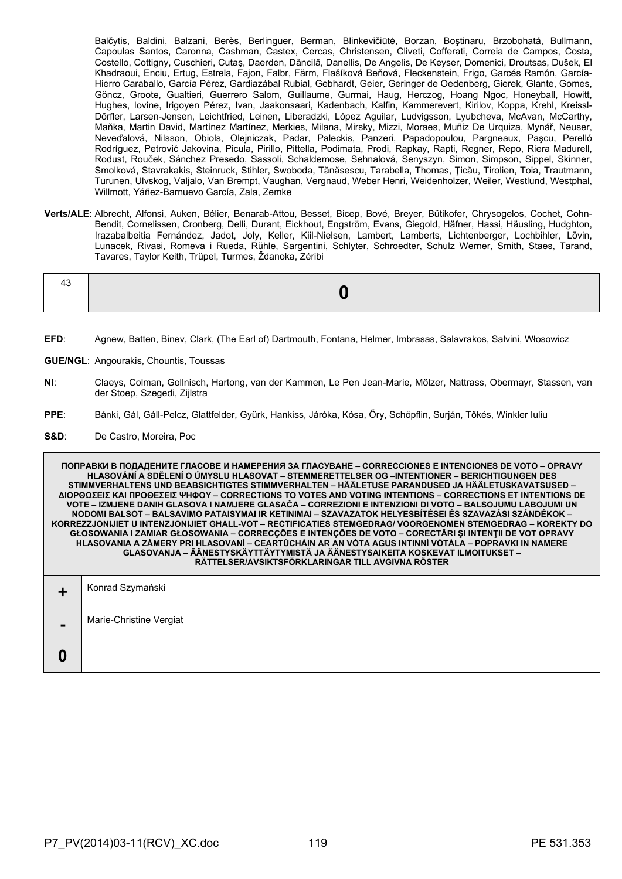Balčytis, Baldini, Balzani, Berès, Berlinguer, Berman, Blinkevičiūtė, Borzan, Boştinaru, Brzobohatá, Bullmann, Capoulas Santos, Caronna, Cashman, Castex, Cercas, Christensen, Cliveti, Cofferati, Correia de Campos, Costa, Costello, Cottigny, Cuschieri, Cutaş, Daerden, Dăncilă, Danellis, De Angelis, De Keyser, Domenici, Droutsas, Dušek, El Khadraoui, Enciu, Ertug, Estrela, Fajon, Falbr, Färm, Flašíková Beňová, Fleckenstein, Frigo, Garcés Ramón, García-Hierro Caraballo, García Pérez, Gardiazábal Rubial, Gebhardt, Geier, Geringer de Oedenberg, Gierek, Glante, Gomes, Göncz, Groote, Gualtieri, Guerrero Salom, Guillaume, Gurmai, Haug, Herczog, Hoang Ngoc, Honeyball, Howitt, Hughes, Iovine, Irigoyen Pérez, Ivan, Jaakonsaari, Kadenbach, Kalfin, Kammerevert, Kirilov, Koppa, Krehl, Kreissl-Dörfler, Larsen-Jensen, Leichtfried, Leinen, Liberadzki, López Aguilar, Ludvigsson, Lyubcheva, McAvan, McCarthy, Maňka, Martin David, Martínez Martínez, Merkies, Milana, Mirsky, Mizzi, Moraes, Muñiz De Urquiza, Mynář, Neuser, Neveďalová, Nilsson, Obiols, Olejniczak, Padar, Paleckis, Panzeri, Papadopoulou, Pargneaux, Paşcu, Perelló Rodríguez, Petrović Jakovina, Picula, Pirillo, Pittella, Podimata, Prodi, Rapkay, Rapti, Regner, Repo, Riera Madurell, Rodust, Rouček, Sánchez Presedo, Sassoli, Schaldemose, Sehnalová, Senyszyn, Simon, Simpson, Sippel, Skinner, Smolková, Stavrakakis, Steinruck, Stihler, Swoboda, Tănăsescu, Tarabella, Thomas, Ţicău, Tirolien, Toia, Trautmann, Turunen, Ulvskog, Valjalo, Van Brempt, Vaughan, Vergnaud, Weber Henri, Weidenholzer, Weiler, Westlund, Westphal, Willmott, Yáñez-Barnuevo García, Zala, Zemke

**Verts/ALE**: Albrecht, Alfonsi, Auken, Bélier, Benarab-Attou, Besset, Bicep, Bové, Breyer, Bütikofer, Chrysogelos, Cochet, Cohn-Bendit, Cornelissen, Cronberg, Delli, Durant, Eickhout, Engström, Evans, Giegold, Häfner, Hassi, Häusling, Hudghton, Irazabalbeitia Fernández, Jadot, Joly, Keller, Kiil-Nielsen, Lambert, Lamberts, Lichtenberger, Lochbihler, Lövin, Lunacek, Rivasi, Romeva i Rueda, Rühle, Sargentini, Schlyter, Schroedter, Schulz Werner, Smith, Staes, Tarand, Tavares, Taylor Keith, Trüpel, Turmes, Ždanoka, Zéribi

- **EFD**: Agnew, Batten, Binev, Clark, (The Earl of) Dartmouth, Fontana, Helmer, Imbrasas, Salavrakos, Salvini, Włosowicz
- **GUE/NGL**: Angourakis, Chountis, Toussas
- **NI**: Claeys, Colman, Gollnisch, Hartong, van der Kammen, Le Pen Jean-Marie, Mölzer, Nattrass, Obermayr, Stassen, van der Stoep, Szegedi, Zijlstra
- **PPE**: Bánki, Gál, Gáll-Pelcz, Glattfelder, Gyürk, Hankiss, Járóka, Kósa, Őry, Schöpflin, Surján, Tőkés, Winkler Iuliu
- **S&D**: De Castro, Moreira, Poc

**ПОПРАВКИ В ПОДАДЕНИТЕ ГЛАСОВЕ И НАМЕРЕНИЯ ЗА ГЛАСУВАНЕ – CORRECCIONES E INTENCIONES DE VOTO – OPRAVY HLASOVÁNÍ A SDĚLENÍ O ÚMYSLU HLASOVAT – STEMMERETTELSER OG –INTENTIONER – BERICHTIGUNGEN DES STIMMVERHALTENS UND BEABSICHTIGTES STIMMVERHALTEN – HÄÄLETUSE PARANDUSED JA HÄÄLETUSKAVATSUSED – ΔΙΟΡΘΩΣΕΙΣ ΚΑΙ ΠΡΟΘΕΣΕΙΣ ΨΗΦΟΥ – CORRECTIONS TO VOTES AND VOTING INTENTIONS – CORRECTIONS ET INTENTIONS DE VOTE – IZMJENE DANIH GLASOVA I NAMJERE GLASAČA – CORREZIONI E INTENZIONI DI VOTO – BALSOJUMU LABOJUMI UN NODOMI BALSOT – BALSAVIMO PATAISYMAI IR KETINIMAI – SZAVAZATOK HELYESBÍTÉSEI ÉS SZAVAZÁSI SZÁNDÉKOK – KORREZZJONIJIET U INTENZJONIJIET GĦALL-VOT – RECTIFICATIES STEMGEDRAG/ VOORGENOMEN STEMGEDRAG – KOREKTY DO GŁOSOWANIA I ZAMIAR GŁOSOWANIA – CORRECÇÕES E INTENÇÕES DE VOTO – CORECTĂRI ŞI INTENŢII DE VOT OPRAVY HLASOVANIA A ZÁMERY PRI HLASOVANÍ – CEARTÚCHÁIN AR AN VÓTA AGUS INTINNÍ VÓTÁLA – POPRAVKI IN NAMERE GLASOVANJA – ÄÄNESTYSKÄYTTÄYTYMISTÄ JA ÄÄNESTYSAIKEITA KOSKEVAT ILMOITUKSET – RÄTTELSER/AVSIKTSFÖRKLARINGAR TILL AVGIVNA RÖSTER +** Konrad Szymański

| л. | Marie-Christine Vergiat |
|----|-------------------------|
|    |                         |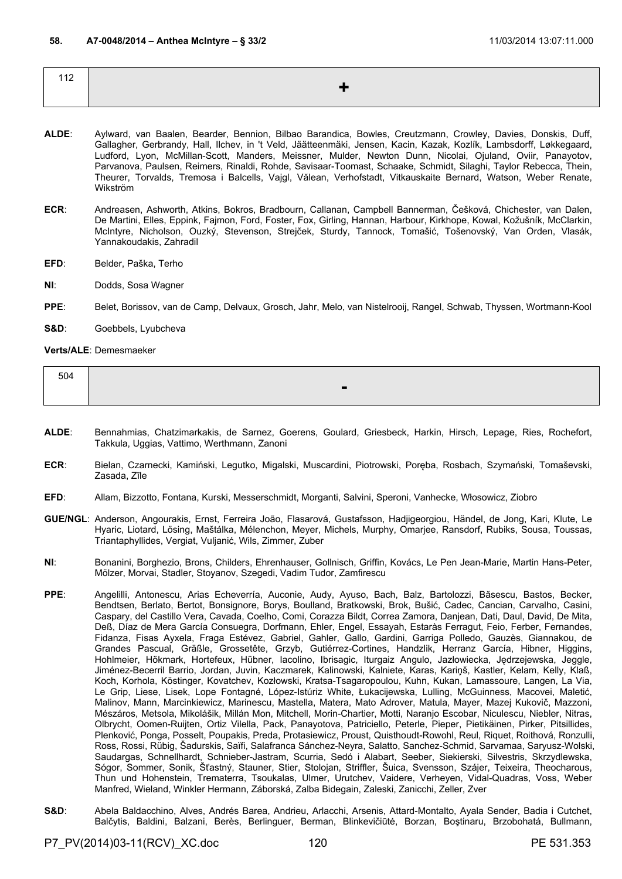| 112 |                           |
|-----|---------------------------|
|     | and the state of the con- |
|     |                           |

- **ALDE**: Aylward, van Baalen, Bearder, Bennion, Bilbao Barandica, Bowles, Creutzmann, Crowley, Davies, Donskis, Duff, Gallagher, Gerbrandy, Hall, Ilchev, in 't Veld, Jäätteenmäki, Jensen, Kacin, Kazak, Kozlík, Lambsdorff, Løkkegaard, Ludford, Lyon, McMillan-Scott, Manders, Meissner, Mulder, Newton Dunn, Nicolai, Ojuland, Oviir, Panayotov, Parvanova, Paulsen, Reimers, Rinaldi, Rohde, Savisaar-Toomast, Schaake, Schmidt, Silaghi, Taylor Rebecca, Thein, Theurer, Torvalds, Tremosa i Balcells, Vajgl, Vălean, Verhofstadt, Vitkauskaite Bernard, Watson, Weber Renate, Wikström
- **ECR**: Andreasen, Ashworth, Atkins, Bokros, Bradbourn, Callanan, Campbell Bannerman, Češková, Chichester, van Dalen, De Martini, Elles, Eppink, Fajmon, Ford, Foster, Fox, Girling, Hannan, Harbour, Kirkhope, Kowal, Kožušník, McClarkin, McIntyre, Nicholson, Ouzký, Stevenson, Strejček, Sturdy, Tannock, Tomašić, Tošenovský, Van Orden, Vlasák, Yannakoudakis, Zahradil
- **EFD**: Belder, Paška, Terho
- **NI**: Dodds, Sosa Wagner
- **PPE**: Belet, Borissov, van de Camp, Delvaux, Grosch, Jahr, Melo, van Nistelrooij, Rangel, Schwab, Thyssen, Wortmann-Kool
- **S&D**: Goebbels, Lyubcheva

**Verts/ALE**: Demesmaeker

| 504 |                |
|-----|----------------|
|     | $\blacksquare$ |

- **ALDE**: Bennahmias, Chatzimarkakis, de Sarnez, Goerens, Goulard, Griesbeck, Harkin, Hirsch, Lepage, Ries, Rochefort, Takkula, Uggias, Vattimo, Werthmann, Zanoni
- **ECR**: Bielan, Czarnecki, Kamiński, Legutko, Migalski, Muscardini, Piotrowski, Poręba, Rosbach, Szymański, Tomaševski, Zasada, Zīle
- **EFD**: Allam, Bizzotto, Fontana, Kurski, Messerschmidt, Morganti, Salvini, Speroni, Vanhecke, Włosowicz, Ziobro
- **GUE/NGL**: Anderson, Angourakis, Ernst, Ferreira João, Flasarová, Gustafsson, Hadjigeorgiou, Händel, de Jong, Kari, Klute, Le Hyaric, Liotard, Lösing, Maštálka, Mélenchon, Meyer, Michels, Murphy, Omarjee, Ransdorf, Rubiks, Sousa, Toussas, Triantaphyllides, Vergiat, Vuljanić, Wils, Zimmer, Zuber
- **NI**: Bonanini, Borghezio, Brons, Childers, Ehrenhauser, Gollnisch, Griffin, Kovács, Le Pen Jean-Marie, Martin Hans-Peter, Mölzer, Morvai, Stadler, Stoyanov, Szegedi, Vadim Tudor, Zamfirescu
- **PPE**: Angelilli, Antonescu, Arias Echeverría, Auconie, Audy, Ayuso, Bach, Balz, Bartolozzi, Băsescu, Bastos, Becker, Bendtsen, Berlato, Bertot, Bonsignore, Borys, Boulland, Bratkowski, Brok, Bušić, Cadec, Cancian, Carvalho, Casini, Caspary, del Castillo Vera, Cavada, Coelho, Comi, Corazza Bildt, Correa Zamora, Danjean, Dati, Daul, David, De Mita, Deß, Díaz de Mera García Consuegra, Dorfmann, Ehler, Engel, Essayah, Estaràs Ferragut, Feio, Ferber, Fernandes, Fidanza, Fisas Ayxela, Fraga Estévez, Gabriel, Gahler, Gallo, Gardini, Garriga Polledo, Gauzès, Giannakou, de Grandes Pascual, Gräßle, Grossetête, Grzyb, Gutiérrez-Cortines, Handzlik, Herranz García, Hibner, Higgins, Hohlmeier, Hökmark, Hortefeux, Hübner, Iacolino, Ibrisagic, Iturgaiz Angulo, Jazłowiecka, Jędrzejewska, Jeggle, Jiménez-Becerril Barrio, Jordan, Juvin, Kaczmarek, Kalinowski, Kalniete, Karas, Kariņš, Kastler, Kelam, Kelly, Klaß, Koch, Korhola, Köstinger, Kovatchev, Kozłowski, Kratsa-Tsagaropoulou, Kuhn, Kukan, Lamassoure, Langen, La Via, Le Grip, Liese, Lisek, Lope Fontagné, López-Istúriz White, Łukacijewska, Lulling, McGuinness, Macovei, Maletić, Malinov, Mann, Marcinkiewicz, Marinescu, Mastella, Matera, Mato Adrover, Matula, Mayer, Mazej Kukovič, Mazzoni, Mészáros, Metsola, Mikolášik, Millán Mon, Mitchell, Morin-Chartier, Motti, Naranjo Escobar, Niculescu, Niebler, Nitras, Olbrycht, Oomen-Ruijten, Ortiz Vilella, Pack, Panayotova, Patriciello, Peterle, Pieper, Pietikäinen, Pirker, Pitsillides, Plenković, Ponga, Posselt, Poupakis, Preda, Protasiewicz, Proust, Quisthoudt-Rowohl, Reul, Riquet, Roithová, Ronzulli, Ross, Rossi, Rübig, Šadurskis, Saïfi, Salafranca Sánchez-Neyra, Salatto, Sanchez-Schmid, Sarvamaa, Saryusz-Wolski, Saudargas, Schnellhardt, Schnieber-Jastram, Scurria, Sedó i Alabart, Seeber, Siekierski, Silvestris, Skrzydlewska, Sógor, Sommer, Sonik, Šťastný, Stauner, Stier, Stolojan, Striffler, Šuica, Svensson, Szájer, Teixeira, Theocharous, Thun und Hohenstein, Trematerra, Tsoukalas, Ulmer, Urutchev, Vaidere, Verheyen, Vidal-Quadras, Voss, Weber Manfred, Wieland, Winkler Hermann, Záborská, Zalba Bidegain, Zaleski, Zanicchi, Zeller, Zver
- **S&D**: Abela Baldacchino, Alves, Andrés Barea, Andrieu, Arlacchi, Arsenis, Attard-Montalto, Ayala Sender, Badia i Cutchet, Balčytis, Baldini, Balzani, Berès, Berlinguer, Berman, Blinkevičiūtė, Borzan, Boştinaru, Brzobohatá, Bullmann,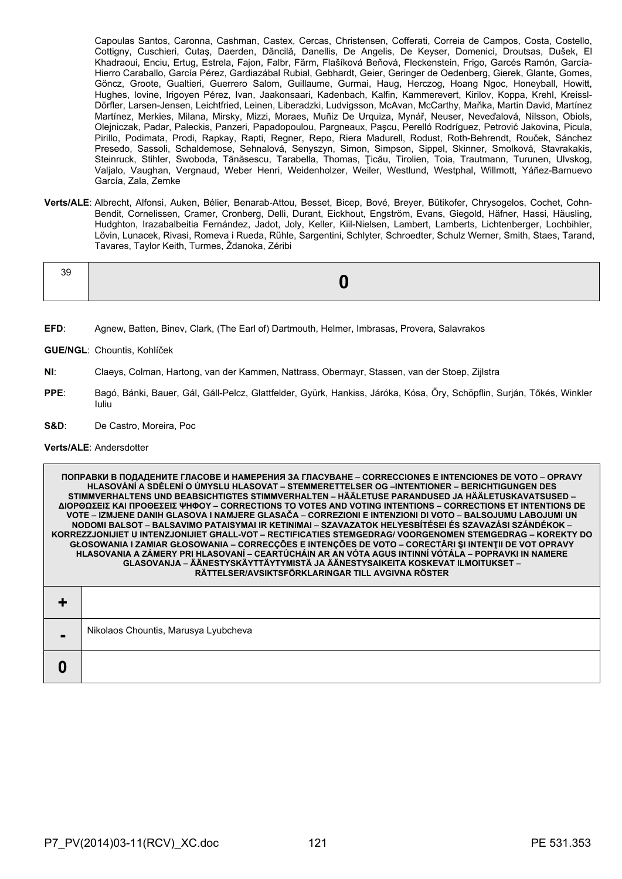Capoulas Santos, Caronna, Cashman, Castex, Cercas, Christensen, Cofferati, Correia de Campos, Costa, Costello, Cottigny, Cuschieri, Cutaş, Daerden, Dăncilă, Danellis, De Angelis, De Keyser, Domenici, Droutsas, Dušek, El Khadraoui, Enciu, Ertug, Estrela, Fajon, Falbr, Färm, Flašíková Beňová, Fleckenstein, Frigo, Garcés Ramón, García-Hierro Caraballo, García Pérez, Gardiazábal Rubial, Gebhardt, Geier, Geringer de Oedenberg, Gierek, Glante, Gomes, Göncz, Groote, Gualtieri, Guerrero Salom, Guillaume, Gurmai, Haug, Herczog, Hoang Ngoc, Honeyball, Howitt, Hughes, Iovine, Irigoyen Pérez, Ivan, Jaakonsaari, Kadenbach, Kalfin, Kammerevert, Kirilov, Koppa, Krehl, Kreissl-Dörfler, Larsen-Jensen, Leichtfried, Leinen, Liberadzki, Ludvigsson, McAvan, McCarthy, Maňka, Martin David, Martínez Martínez, Merkies, Milana, Mirsky, Mizzi, Moraes, Muñiz De Urquiza, Mynář, Neuser, Neveďalová, Nilsson, Obiols, Olejniczak, Padar, Paleckis, Panzeri, Papadopoulou, Pargneaux, Paşcu, Perelló Rodríguez, Petrović Jakovina, Picula, Pirillo, Podimata, Prodi, Rapkay, Rapti, Regner, Repo, Riera Madurell, Rodust, Roth-Behrendt, Rouček, Sánchez Presedo, Sassoli, Schaldemose, Sehnalová, Senyszyn, Simon, Simpson, Sippel, Skinner, Smolková, Stavrakakis, Steinruck, Stihler, Swoboda, Tănăsescu, Tarabella, Thomas, Ţicău, Tirolien, Toia, Trautmann, Turunen, Ulvskog, Valjalo, Vaughan, Vergnaud, Weber Henri, Weidenholzer, Weiler, Westlund, Westphal, Willmott, Yáñez-Barnuevo García, Zala, Zemke

**Verts/ALE**: Albrecht, Alfonsi, Auken, Bélier, Benarab-Attou, Besset, Bicep, Bové, Breyer, Bütikofer, Chrysogelos, Cochet, Cohn-Bendit, Cornelissen, Cramer, Cronberg, Delli, Durant, Eickhout, Engström, Evans, Giegold, Häfner, Hassi, Häusling, Hudghton, Irazabalbeitia Fernández, Jadot, Joly, Keller, Kiil-Nielsen, Lambert, Lamberts, Lichtenberger, Lochbihler, Lövin, Lunacek, Rivasi, Romeva i Rueda, Rühle, Sargentini, Schlyter, Schroedter, Schulz Werner, Smith, Staes, Tarand, Tavares, Taylor Keith, Turmes, Ždanoka, Zéribi

- **EFD**: Agnew, Batten, Binev, Clark, (The Earl of) Dartmouth, Helmer, Imbrasas, Provera, Salavrakos
- **GUE/NGL**: Chountis, Kohlíček
- **NI**: Claeys, Colman, Hartong, van der Kammen, Nattrass, Obermayr, Stassen, van der Stoep, Zijlstra
- **PPE**: Bagó, Bánki, Bauer, Gál, Gáll-Pelcz, Glattfelder, Gyürk, Hankiss, Járóka, Kósa, Őry, Schöpflin, Surján, Tőkés, Winkler Iuliu
- **S&D**: De Castro, Moreira, Poc

## **Verts/ALE**: Andersdotter

|   | ПОПРАВКИ В ПОДАДЕНИТЕ ГЛАСОВЕ И НАМЕРЕНИЯ ЗА ГЛАСУВАНЕ – CORRECCIONES Е INTENCIONES DE VOTO – OPRAVY<br>HLASOVÁNÍ A SDĚLENÍ O ÚMYSLU HLASOVAT – STEMMERETTELSER OG –INTENTIONER – BERICHTIGUNGEN DES<br>STIMMVERHALTENS UND BEABSICHTIGTES STIMMVERHALTEN – HÄÄLETUSE PARANDUSED JA HÄÄLETUSKAVATSUSED –<br>ΔΙΟΡΘΩΣΕΙΣ ΚΑΙ ΠΡΟΘΕΣΕΙΣ ΨΗΦΟΥ – CORRECTIONS TO VOTES AND VOTING INTENTIONS – CORRECTIONS ET INTENTIONS DE<br>VOTE – IZMJENE DANIH GLASOVA I NAMJERE GLASAČA – CORREZIONI E INTENZIONI DI VOTO – BALSOJUMU LABOJUMI UN<br><u>NODOMI BALSOT – BALSAVIMO PATAISYMAI IR KETINIMAI – SZAVAZATOK HELYESBÍTÉSEI ÉS SZAVAZÁSI SZÁNDÉKOK –</u><br>KORREZZJONIJIET U INTENZJONIJIET GHALL-VOT – RECTIFICATIES STEMGEDRAG/ VOORGENOMEN STEMGEDRAG – KOREKTY DO<br>GŁOSOWANIA I ZAMIAR GŁOSOWANIA – CORRECÇÕES E INTENÇÕES DE VOTO – CORECTĂRI ȘI INTENȚII DE VOT OPRAVY<br>HLASOVANIA A ZÁMERY PRI HLASOVANÍ – CEARTÚCHÁIN AR AN VÓTA AGUS INTINNÍ VÓTÁLA – POPRAVKI IN NAMERE<br>GLASOVANJA - ÄÄNESTYSKÄYTTÄYTYMISTÄ JA ÄÄNESTYSAIKEITA KOSKEVAT ILMOITUKSET -<br>RÄTTELSER/AVSIKTSFÖRKLARINGAR TILL AVGIVNA RÖSTER |  |
|---|------------------------------------------------------------------------------------------------------------------------------------------------------------------------------------------------------------------------------------------------------------------------------------------------------------------------------------------------------------------------------------------------------------------------------------------------------------------------------------------------------------------------------------------------------------------------------------------------------------------------------------------------------------------------------------------------------------------------------------------------------------------------------------------------------------------------------------------------------------------------------------------------------------------------------------------------------------------------------------------------------------------------------------------------------------------------------------------------------------------------|--|
|   |                                                                                                                                                                                                                                                                                                                                                                                                                                                                                                                                                                                                                                                                                                                                                                                                                                                                                                                                                                                                                                                                                                                        |  |
|   | Nikolaos Chountis, Marusya Lyubcheva                                                                                                                                                                                                                                                                                                                                                                                                                                                                                                                                                                                                                                                                                                                                                                                                                                                                                                                                                                                                                                                                                   |  |
| 0 |                                                                                                                                                                                                                                                                                                                                                                                                                                                                                                                                                                                                                                                                                                                                                                                                                                                                                                                                                                                                                                                                                                                        |  |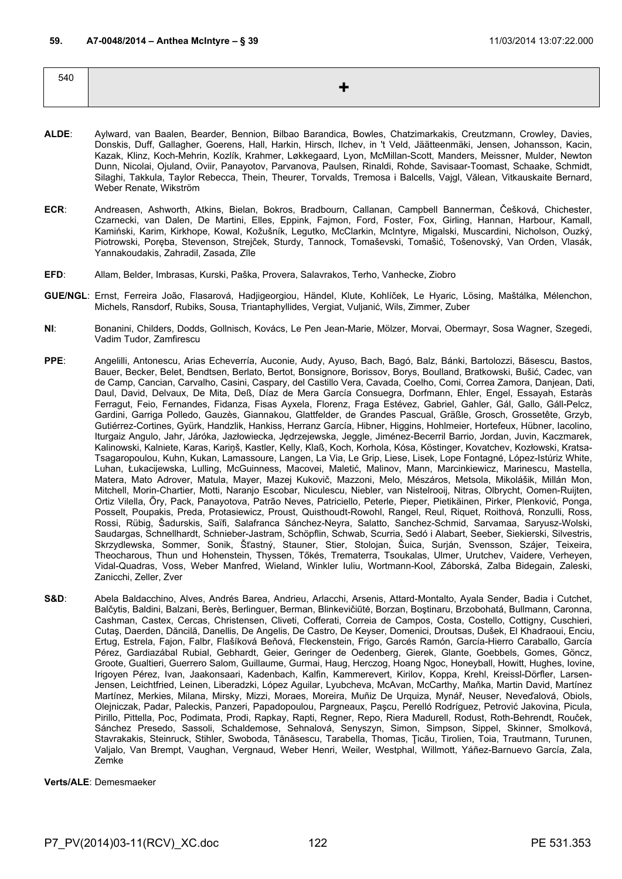| 540 | __ |
|-----|----|
|     |    |

- **ALDE**: Aylward, van Baalen, Bearder, Bennion, Bilbao Barandica, Bowles, Chatzimarkakis, Creutzmann, Crowley, Davies, Donskis, Duff, Gallagher, Goerens, Hall, Harkin, Hirsch, Ilchev, in 't Veld, Jäätteenmäki, Jensen, Johansson, Kacin, Kazak, Klinz, Koch-Mehrin, Kozlík, Krahmer, Løkkegaard, Lyon, McMillan-Scott, Manders, Meissner, Mulder, Newton Dunn, Nicolai, Ojuland, Oviir, Panayotov, Parvanova, Paulsen, Rinaldi, Rohde, Savisaar-Toomast, Schaake, Schmidt, Silaghi, Takkula, Taylor Rebecca, Thein, Theurer, Torvalds, Tremosa i Balcells, Vajgl, Vălean, Vitkauskaite Bernard, Weber Renate, Wikström
- **ECR**: Andreasen, Ashworth, Atkins, Bielan, Bokros, Bradbourn, Callanan, Campbell Bannerman, Češková, Chichester, Czarnecki, van Dalen, De Martini, Elles, Eppink, Fajmon, Ford, Foster, Fox, Girling, Hannan, Harbour, Kamall, Kamiński, Karim, Kirkhope, Kowal, Kožušník, Legutko, McClarkin, McIntyre, Migalski, Muscardini, Nicholson, Ouzký, Piotrowski, Poręba, Stevenson, Strejček, Sturdy, Tannock, Tomaševski, Tomašić, Tošenovský, Van Orden, Vlasák, Yannakoudakis, Zahradil, Zasada, Zīle
- **EFD**: Allam, Belder, Imbrasas, Kurski, Paška, Provera, Salavrakos, Terho, Vanhecke, Ziobro
- **GUE/NGL**: Ernst, Ferreira João, Flasarová, Hadjigeorgiou, Händel, Klute, Kohlíček, Le Hyaric, Lösing, Maštálka, Mélenchon, Michels, Ransdorf, Rubiks, Sousa, Triantaphyllides, Vergiat, Vuljanić, Wils, Zimmer, Zuber
- **NI**: Bonanini, Childers, Dodds, Gollnisch, Kovács, Le Pen Jean-Marie, Mölzer, Morvai, Obermayr, Sosa Wagner, Szegedi, Vadim Tudor, Zamfirescu
- **PPE**: Angelilli, Antonescu, Arias Echeverría, Auconie, Audy, Ayuso, Bach, Bagó, Balz, Bánki, Bartolozzi, Băsescu, Bastos, Bauer, Becker, Belet, Bendtsen, Berlato, Bertot, Bonsignore, Borissov, Borys, Boulland, Bratkowski, Bušić, Cadec, van de Camp, Cancian, Carvalho, Casini, Caspary, del Castillo Vera, Cavada, Coelho, Comi, Correa Zamora, Danjean, Dati, Daul, David, Delvaux, De Mita, Deß, Díaz de Mera García Consuegra, Dorfmann, Ehler, Engel, Essayah, Estaràs Ferragut, Feio, Fernandes, Fidanza, Fisas Ayxela, Florenz, Fraga Estévez, Gabriel, Gahler, Gál, Gallo, Gáll-Pelcz, Gardini, Garriga Polledo, Gauzès, Giannakou, Glattfelder, de Grandes Pascual, Gräßle, Grosch, Grossetête, Grzyb, Gutiérrez-Cortines, Gyürk, Handzlik, Hankiss, Herranz García, Hibner, Higgins, Hohlmeier, Hortefeux, Hübner, Iacolino, Iturgaiz Angulo, Jahr, Járóka, Jazłowiecka, Jędrzejewska, Jeggle, Jiménez-Becerril Barrio, Jordan, Juvin, Kaczmarek, Kalinowski, Kalniete, Karas, Kariņš, Kastler, Kelly, Klaß, Koch, Korhola, Kósa, Köstinger, Kovatchev, Kozłowski, Kratsa-Tsagaropoulou, Kuhn, Kukan, Lamassoure, Langen, La Via, Le Grip, Liese, Lisek, Lope Fontagné, López-Istúriz White, Luhan, Łukacijewska, Lulling, McGuinness, Macovei, Maletić, Malinov, Mann, Marcinkiewicz, Marinescu, Mastella, Matera, Mato Adrover, Matula, Mayer, Mazej Kukovič, Mazzoni, Melo, Mészáros, Metsola, Mikolášik, Millán Mon, Mitchell, Morin-Chartier, Motti, Naranjo Escobar, Niculescu, Niebler, van Nistelrooij, Nitras, Olbrycht, Oomen-Ruijten, Ortiz Vilella, Őry, Pack, Panayotova, Patrão Neves, Patriciello, Peterle, Pieper, Pietikäinen, Pirker, Plenković, Ponga, Posselt, Poupakis, Preda, Protasiewicz, Proust, Quisthoudt-Rowohl, Rangel, Reul, Riquet, Roithová, Ronzulli, Ross, Rossi, Rübig, Šadurskis, Saïfi, Salafranca Sánchez-Neyra, Salatto, Sanchez-Schmid, Sarvamaa, Saryusz-Wolski, Saudargas, Schnellhardt, Schnieber-Jastram, Schöpflin, Schwab, Scurria, Sedó i Alabart, Seeber, Siekierski, Silvestris, Skrzydlewska, Sommer, Sonik, Šťastný, Stauner, Stier, Stolojan, Šuica, Surján, Svensson, Szájer, Teixeira, Theocharous, Thun und Hohenstein, Thyssen, Tőkés, Trematerra, Tsoukalas, Ulmer, Urutchev, Vaidere, Verheyen, Vidal-Quadras, Voss, Weber Manfred, Wieland, Winkler Iuliu, Wortmann-Kool, Záborská, Zalba Bidegain, Zaleski, Zanicchi, Zeller, Zver
- **S&D**: Abela Baldacchino, Alves, Andrés Barea, Andrieu, Arlacchi, Arsenis, Attard-Montalto, Ayala Sender, Badia i Cutchet, Balčytis, Baldini, Balzani, Berès, Berlinguer, Berman, Blinkevičiūtė, Borzan, Boştinaru, Brzobohatá, Bullmann, Caronna, Cashman, Castex, Cercas, Christensen, Cliveti, Cofferati, Correia de Campos, Costa, Costello, Cottigny, Cuschieri, Cutaş, Daerden, Dăncilă, Danellis, De Angelis, De Castro, De Keyser, Domenici, Droutsas, Dušek, El Khadraoui, Enciu, Ertug, Estrela, Fajon, Falbr, Flašíková Beňová, Fleckenstein, Frigo, Garcés Ramón, García-Hierro Caraballo, García Pérez, Gardiazábal Rubial, Gebhardt, Geier, Geringer de Oedenberg, Gierek, Glante, Goebbels, Gomes, Göncz, Groote, Gualtieri, Guerrero Salom, Guillaume, Gurmai, Haug, Herczog, Hoang Ngoc, Honeyball, Howitt, Hughes, Iovine, Irigoyen Pérez, Ivan, Jaakonsaari, Kadenbach, Kalfin, Kammerevert, Kirilov, Koppa, Krehl, Kreissl-Dörfler, Larsen-Jensen, Leichtfried, Leinen, Liberadzki, López Aguilar, Lyubcheva, McAvan, McCarthy, Maňka, Martin David, Martínez Martínez, Merkies, Milana, Mirsky, Mizzi, Moraes, Moreira, Muñiz De Urquiza, Mynář, Neuser, Neveďalová, Obiols, Olejniczak, Padar, Paleckis, Panzeri, Papadopoulou, Pargneaux, Paşcu, Perelló Rodríguez, Petrović Jakovina, Picula, Pirillo, Pittella, Poc, Podimata, Prodi, Rapkay, Rapti, Regner, Repo, Riera Madurell, Rodust, Roth-Behrendt, Rouček, Sánchez Presedo, Sassoli, Schaldemose, Sehnalová, Senyszyn, Simon, Simpson, Sippel, Skinner, Smolková, Stavrakakis, Steinruck, Stihler, Swoboda, Tănăsescu, Tarabella, Thomas, Ţicău, Tirolien, Toia, Trautmann, Turunen, Valjalo, Van Brempt, Vaughan, Vergnaud, Weber Henri, Weiler, Westphal, Willmott, Yáñez-Barnuevo García, Zala, Zemke

## **Verts/ALE**: Demesmaeker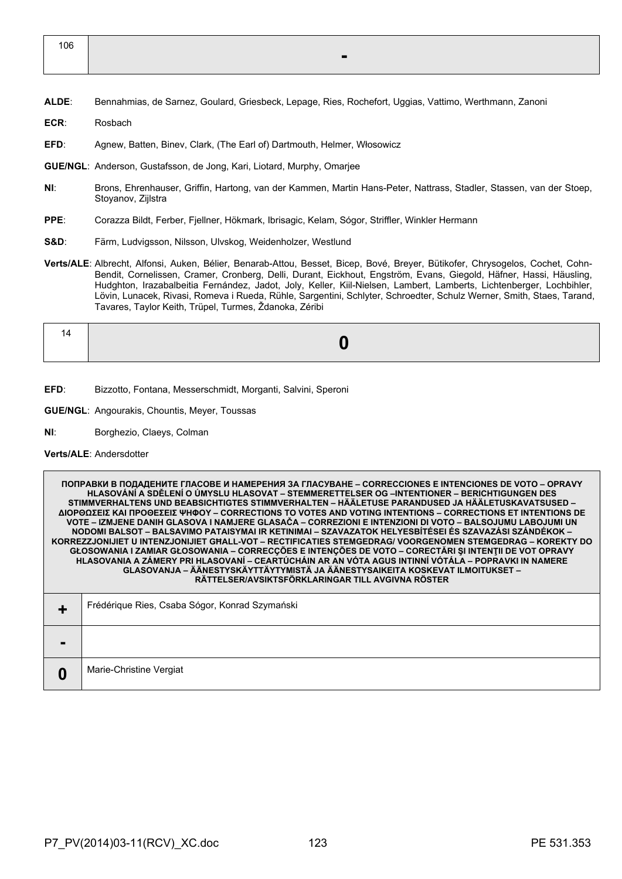- **ALDE**: Bennahmias, de Sarnez, Goulard, Griesbeck, Lepage, Ries, Rochefort, Uggias, Vattimo, Werthmann, Zanoni
- **ECR**: Rosbach
- **EFD**: Agnew, Batten, Binev, Clark, (The Earl of) Dartmouth, Helmer, Włosowicz
- **GUE/NGL**: Anderson, Gustafsson, de Jong, Kari, Liotard, Murphy, Omarjee
- **NI**: Brons, Ehrenhauser, Griffin, Hartong, van der Kammen, Martin Hans-Peter, Nattrass, Stadler, Stassen, van der Stoep, Stoyanov, Zijlstra

**-**

- **PPE**: Corazza Bildt, Ferber, Fjellner, Hökmark, Ibrisagic, Kelam, Sógor, Striffler, Winkler Hermann
- **S&D**: Färm, Ludvigsson, Nilsson, Ulvskog, Weidenholzer, Westlund
- **Verts/ALE**: Albrecht, Alfonsi, Auken, Bélier, Benarab-Attou, Besset, Bicep, Bové, Breyer, Bütikofer, Chrysogelos, Cochet, Cohn-Bendit, Cornelissen, Cramer, Cronberg, Delli, Durant, Eickhout, Engström, Evans, Giegold, Häfner, Hassi, Häusling, Hudghton, Irazabalbeitia Fernández, Jadot, Joly, Keller, Kiil-Nielsen, Lambert, Lamberts, Lichtenberger, Lochbihler, Lövin, Lunacek, Rivasi, Romeva i Rueda, Rühle, Sargentini, Schlyter, Schroedter, Schulz Werner, Smith, Staes, Tarand, Tavares, Taylor Keith, Trüpel, Turmes, Ždanoka, Zéribi

- **EFD**: Bizzotto, Fontana, Messerschmidt, Morganti, Salvini, Speroni
- **GUE/NGL**: Angourakis, Chountis, Meyer, Toussas
- **NI**: Borghezio, Claeys, Colman

### **Verts/ALE**: Andersdotter

**0**

**ПОПРАВКИ В ПОДАДЕНИТЕ ГЛАСОВЕ И НАМЕРЕНИЯ ЗА ГЛАСУВАНЕ – CORRECCIONES E INTENCIONES DE VOTO – OPRAVY HLASOVÁNÍ A SDĚLENÍ O ÚMYSLU HLASOVAT – STEMMERETTELSER OG –INTENTIONER – BERICHTIGUNGEN DES STIMMVERHALTENS UND BEABSICHTIGTES STIMMVERHALTEN – HÄÄLETUSE PARANDUSED JA HÄÄLETUSKAVATSUSED – ΔΙΟΡΘΩΣΕΙΣ ΚΑΙ ΠΡΟΘΕΣΕΙΣ ΨΗΦΟΥ – CORRECTIONS TO VOTES AND VOTING INTENTIONS – CORRECTIONS ET INTENTIONS DE VOTE – IZMJENE DANIH GLASOVA I NAMJERE GLASAČA – CORREZIONI E INTENZIONI DI VOTO – BALSOJUMU LABOJUMI UN NODOMI BALSOT – BALSAVIMO PATAISYMAI IR KETINIMAI – SZAVAZATOK HELYESBÍTÉSEI ÉS SZAVAZÁSI SZÁNDÉKOK – KORREZZJONIJIET U INTENZJONIJIET GĦALL-VOT – RECTIFICATIES STEMGEDRAG/ VOORGENOMEN STEMGEDRAG – KOREKTY DO GŁOSOWANIA I ZAMIAR GŁOSOWANIA – CORRECÇÕES E INTENÇÕES DE VOTO – CORECTĂRI ŞI INTENŢII DE VOT OPRAVY HLASOVANIA A ZÁMERY PRI HLASOVANÍ – CEARTÚCHÁIN AR AN VÓTA AGUS INTINNÍ VÓTÁLA – POPRAVKI IN NAMERE GLASOVANJA – ÄÄNESTYSKÄYTTÄYTYMISTÄ JA ÄÄNESTYSAIKEITA KOSKEVAT ILMOITUKSET – RÄTTELSER/AVSIKTSFÖRKLARINGAR TILL AVGIVNA RÖSTER +** Frédérique Ries, Csaba Sógor, Konrad Szymański **-** Marie-Christine Vergiat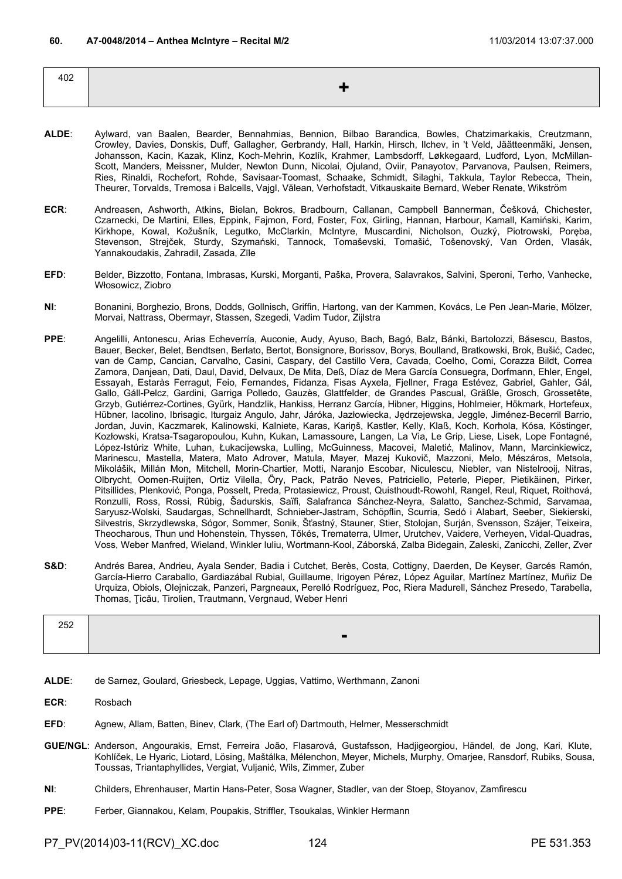| 402 |      |
|-----|------|
|     | alar |
|     |      |

- **ALDE**: Aylward, van Baalen, Bearder, Bennahmias, Bennion, Bilbao Barandica, Bowles, Chatzimarkakis, Creutzmann, Crowley, Davies, Donskis, Duff, Gallagher, Gerbrandy, Hall, Harkin, Hirsch, Ilchev, in 't Veld, Jäätteenmäki, Jensen, Johansson, Kacin, Kazak, Klinz, Koch-Mehrin, Kozlík, Krahmer, Lambsdorff, Løkkegaard, Ludford, Lyon, McMillan-Scott, Manders, Meissner, Mulder, Newton Dunn, Nicolai, Ojuland, Oviir, Panayotov, Parvanova, Paulsen, Reimers, Ries, Rinaldi, Rochefort, Rohde, Savisaar-Toomast, Schaake, Schmidt, Silaghi, Takkula, Taylor Rebecca, Thein, Theurer, Torvalds, Tremosa i Balcells, Vajgl, Vălean, Verhofstadt, Vitkauskaite Bernard, Weber Renate, Wikström
- **ECR**: Andreasen, Ashworth, Atkins, Bielan, Bokros, Bradbourn, Callanan, Campbell Bannerman, Češková, Chichester, Czarnecki, De Martini, Elles, Eppink, Fajmon, Ford, Foster, Fox, Girling, Hannan, Harbour, Kamall, Kamiński, Karim, Kirkhope, Kowal, Kožušník, Legutko, McClarkin, McIntyre, Muscardini, Nicholson, Ouzký, Piotrowski, Poręba, Stevenson, Strejček, Sturdy, Szymański, Tannock, Tomaševski, Tomašić, Tošenovský, Van Orden, Vlasák, Yannakoudakis, Zahradil, Zasada, Zīle
- **EFD**: Belder, Bizzotto, Fontana, Imbrasas, Kurski, Morganti, Paška, Provera, Salavrakos, Salvini, Speroni, Terho, Vanhecke, Włosowicz, Ziobro
- **NI**: Bonanini, Borghezio, Brons, Dodds, Gollnisch, Griffin, Hartong, van der Kammen, Kovács, Le Pen Jean-Marie, Mölzer, Morvai, Nattrass, Obermayr, Stassen, Szegedi, Vadim Tudor, Zijlstra
- **PPE**: Angelilli, Antonescu, Arias Echeverría, Auconie, Audy, Ayuso, Bach, Bagó, Balz, Bánki, Bartolozzi, Băsescu, Bastos, Bauer, Becker, Belet, Bendtsen, Berlato, Bertot, Bonsignore, Borissov, Borys, Boulland, Bratkowski, Brok, Bušić, Cadec, van de Camp, Cancian, Carvalho, Casini, Caspary, del Castillo Vera, Cavada, Coelho, Comi, Corazza Bildt, Correa Zamora, Danjean, Dati, Daul, David, Delvaux, De Mita, Deß, Díaz de Mera García Consuegra, Dorfmann, Ehler, Engel, Essayah, Estaràs Ferragut, Feio, Fernandes, Fidanza, Fisas Ayxela, Fjellner, Fraga Estévez, Gabriel, Gahler, Gál, Gallo, Gáll-Pelcz, Gardini, Garriga Polledo, Gauzès, Glattfelder, de Grandes Pascual, Gräßle, Grosch, Grossetête, Grzyb, Gutiérrez-Cortines, Gyürk, Handzlik, Hankiss, Herranz García, Hibner, Higgins, Hohlmeier, Hökmark, Hortefeux, Hübner, Iacolino, Ibrisagic, Iturgaiz Angulo, Jahr, Járóka, Jazłowiecka, Jędrzejewska, Jeggle, Jiménez-Becerril Barrio, Jordan, Juvin, Kaczmarek, Kalinowski, Kalniete, Karas, Kariņš, Kastler, Kelly, Klaß, Koch, Korhola, Kósa, Köstinger, Kozłowski, Kratsa-Tsagaropoulou, Kuhn, Kukan, Lamassoure, Langen, La Via, Le Grip, Liese, Lisek, Lope Fontagné, López-Istúriz White, Luhan, Łukacijewska, Lulling, McGuinness, Macovei, Maletić, Malinov, Mann, Marcinkiewicz, Marinescu, Mastella, Matera, Mato Adrover, Matula, Mayer, Mazej Kukovič, Mazzoni, Melo, Mészáros, Metsola, Mikolášik, Millán Mon, Mitchell, Morin-Chartier, Motti, Naranjo Escobar, Niculescu, Niebler, van Nistelrooij, Nitras, Olbrycht, Oomen-Ruijten, Ortiz Vilella, Őry, Pack, Patrão Neves, Patriciello, Peterle, Pieper, Pietikäinen, Pirker, Pitsillides, Plenković, Ponga, Posselt, Preda, Protasiewicz, Proust, Quisthoudt-Rowohl, Rangel, Reul, Riquet, Roithová, Ronzulli, Ross, Rossi, Rübig, Šadurskis, Saïfi, Salafranca Sánchez-Neyra, Salatto, Sanchez-Schmid, Sarvamaa, Saryusz-Wolski, Saudargas, Schnellhardt, Schnieber-Jastram, Schöpflin, Scurria, Sedó i Alabart, Seeber, Siekierski, Silvestris, Skrzydlewska, Sógor, Sommer, Sonik, Šťastný, Stauner, Stier, Stolojan, Surján, Svensson, Szájer, Teixeira, Theocharous, Thun und Hohenstein, Thyssen, Tőkés, Trematerra, Ulmer, Urutchev, Vaidere, Verheyen, Vidal-Quadras, Voss, Weber Manfred, Wieland, Winkler Iuliu, Wortmann-Kool, Záborská, Zalba Bidegain, Zaleski, Zanicchi, Zeller, Zver
- **S&D**: Andrés Barea, Andrieu, Ayala Sender, Badia i Cutchet, Berès, Costa, Cottigny, Daerden, De Keyser, Garcés Ramón, García-Hierro Caraballo, Gardiazábal Rubial, Guillaume, Irigoyen Pérez, López Aguilar, Martínez Martínez, Muñiz De Urquiza, Obiols, Olejniczak, Panzeri, Pargneaux, Perelló Rodríguez, Poc, Riera Madurell, Sánchez Presedo, Tarabella, Thomas, Ţicău, Tirolien, Trautmann, Vergnaud, Weber Henri

| $- -$<br>∼∽ |                |
|-------------|----------------|
|             | $\blacksquare$ |
|             |                |

- **ALDE**: de Sarnez, Goulard, Griesbeck, Lepage, Uggias, Vattimo, Werthmann, Zanoni
- **ECR**: Rosbach
- **EFD**: Agnew, Allam, Batten, Binev, Clark, (The Earl of) Dartmouth, Helmer, Messerschmidt
- **GUE/NGL**: Anderson, Angourakis, Ernst, Ferreira João, Flasarová, Gustafsson, Hadjigeorgiou, Händel, de Jong, Kari, Klute, Kohlíček, Le Hyaric, Liotard, Lösing, Maštálka, Mélenchon, Meyer, Michels, Murphy, Omarjee, Ransdorf, Rubiks, Sousa, Toussas, Triantaphyllides, Vergiat, Vuljanić, Wils, Zimmer, Zuber
- **NI**: Childers, Ehrenhauser, Martin Hans-Peter, Sosa Wagner, Stadler, van der Stoep, Stoyanov, Zamfirescu
- **PPE**: Ferber, Giannakou, Kelam, Poupakis, Striffler, Tsoukalas, Winkler Hermann

P7\_PV(2014)03-11(RCV)\_XC.doc 124 124 PE 531.353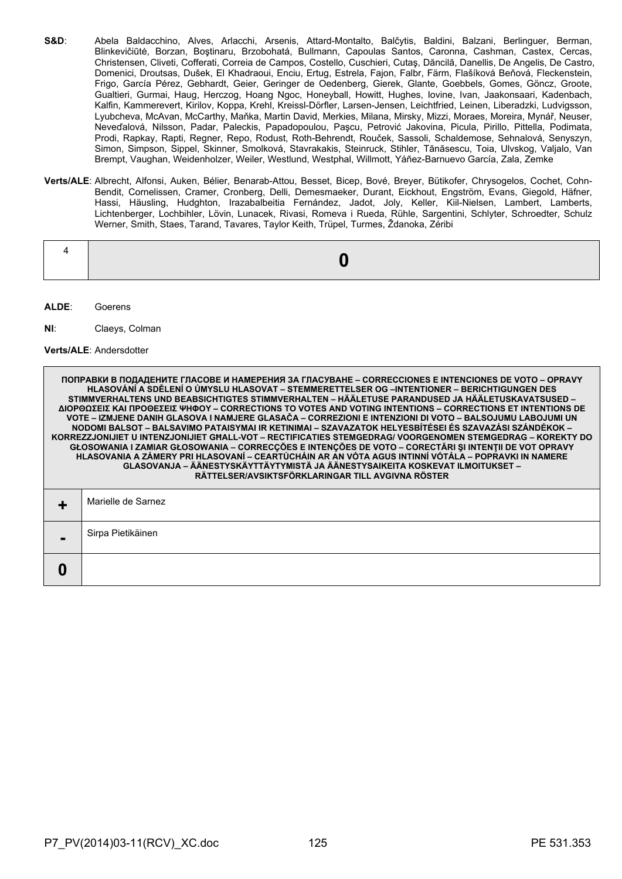- **S&D**: Abela Baldacchino, Alves, Arlacchi, Arsenis, Attard-Montalto, Balčytis, Baldini, Balzani, Berlinguer, Berman, Blinkevičiūtė, Borzan, Boştinaru, Brzobohatá, Bullmann, Capoulas Santos, Caronna, Cashman, Castex, Cercas, Christensen, Cliveti, Cofferati, Correia de Campos, Costello, Cuschieri, Cutaş, Dăncilă, Danellis, De Angelis, De Castro, Domenici, Droutsas, Dušek, El Khadraoui, Enciu, Ertug, Estrela, Fajon, Falbr, Färm, Flašíková Beňová, Fleckenstein, Frigo, García Pérez, Gebhardt, Geier, Geringer de Oedenberg, Gierek, Glante, Goebbels, Gomes, Göncz, Groote, Gualtieri, Gurmai, Haug, Herczog, Hoang Ngoc, Honeyball, Howitt, Hughes, Iovine, Ivan, Jaakonsaari, Kadenbach, Kalfin, Kammerevert, Kirilov, Koppa, Krehl, Kreissl-Dörfler, Larsen-Jensen, Leichtfried, Leinen, Liberadzki, Ludvigsson, Lyubcheva, McAvan, McCarthy, Maňka, Martin David, Merkies, Milana, Mirsky, Mizzi, Moraes, Moreira, Mynář, Neuser, Neveďalová, Nilsson, Padar, Paleckis, Papadopoulou, Paşcu, Petrović Jakovina, Picula, Pirillo, Pittella, Podimata, Prodi, Rapkay, Rapti, Regner, Repo, Rodust, Roth-Behrendt, Rouček, Sassoli, Schaldemose, Sehnalová, Senyszyn, Simon, Simpson, Sippel, Skinner, Smolková, Stavrakakis, Steinruck, Stihler, Tănăsescu, Toia, Ulvskog, Valjalo, Van Brempt, Vaughan, Weidenholzer, Weiler, Westlund, Westphal, Willmott, Yáñez-Barnuevo García, Zala, Zemke
- **Verts/ALE**: Albrecht, Alfonsi, Auken, Bélier, Benarab-Attou, Besset, Bicep, Bové, Breyer, Bütikofer, Chrysogelos, Cochet, Cohn-Bendit, Cornelissen, Cramer, Cronberg, Delli, Demesmaeker, Durant, Eickhout, Engström, Evans, Giegold, Häfner, Hassi, Häusling, Hudghton, Irazabalbeitia Fernández, Jadot, Joly, Keller, Kiil-Nielsen, Lambert, Lamberts, Lichtenberger, Lochbihler, Lövin, Lunacek, Rivasi, Romeva i Rueda, Rühle, Sargentini, Schlyter, Schroedter, Schulz Werner, Smith, Staes, Tarand, Tavares, Taylor Keith, Trüpel, Turmes, Ždanoka, Zéribi

**ALDE**: Goerens

**NI**: Claeys, Colman

**Verts/ALE**: Andersdotter

|   | ПОПРАВКИ В ПОДАДЕНИТЕ ГЛАСОВЕ И НАМЕРЕНИЯ ЗА ГЛАСУВАНЕ – CORRECCIONES E INTENCIONES DE VOTO – OPRAVY<br>HLASOVÁNÍ A SDĚLENÍ O ÚMYSLU HLASOVAT – STEMMERETTELSER OG –INTENTIONER – BERICHTIGUNGEN DES<br>STIMMVERHALTENS UND BEABSICHTIGTES STIMMVERHALTEN – HÄÄLETUSE PARANDUSED JA HÄÄLETUSKAVATSUSED –<br>ΔΙΟΡΘΩΣΕΙΣ ΚΑΙ ΠΡΟΘΕΣΕΙΣ ΨΗΦΟΥ – CORRECTIONS TO VOTES AND VOTING INTENTIONS – CORRECTIONS ET INTENTIONS DE<br>VOTE - IZMJENE DANIH GLASOVA I NAMJERE GLASAČA - CORREZIONI E INTENZIONI DI VOTO - BALSOJUMU LABOJUMI UN<br><u>NODOMI BALSOT – BALSAVIMO PATAISYMAI IR KETINIMAI – SZAVAZATOK HELYESBÍTÉSEI ÉS SZAVAZÁSI SZÁNDÉKOK –</u><br>KORREZZJONIJIET U INTENZJONIJIET GHALL-VOT – RECTIFICATIES STEMGEDRAG/ VOORGENOMEN STEMGEDRAG – KOREKTY DO<br>GŁOSOWANIA I ZAMIAR GŁOSOWANIA – CORRECÇÕES E INTENÇÕES DE VOTO – CORECTĂRI ȘI INTENȚII DE VOT OPRAVY<br>HLASOVANIA A ZÁMERY PRI HLASOVANÍ – CEARTÚCHÁIN AR AN VÓTA AGUS INTINNÍ VÓTÁLA – POPRAVKI IN NAMERE<br>GLASOVANJA – ÄÄNESTYSKÄYTTÄYTYMISTÄ JA ÄÄNESTYSAIKEITA KOSKEVAT ILMOITUKSET –<br>RÄTTELSER/AVSIKTSFÖRKLARINGAR TILL AVGIVNA RÖSTER |
|---|------------------------------------------------------------------------------------------------------------------------------------------------------------------------------------------------------------------------------------------------------------------------------------------------------------------------------------------------------------------------------------------------------------------------------------------------------------------------------------------------------------------------------------------------------------------------------------------------------------------------------------------------------------------------------------------------------------------------------------------------------------------------------------------------------------------------------------------------------------------------------------------------------------------------------------------------------------------------------------------------------------------------------------------------------------------------------------------------------------------------|
|   | Marielle de Sarnez                                                                                                                                                                                                                                                                                                                                                                                                                                                                                                                                                                                                                                                                                                                                                                                                                                                                                                                                                                                                                                                                                                     |
| - | Sirpa Pietikäinen                                                                                                                                                                                                                                                                                                                                                                                                                                                                                                                                                                                                                                                                                                                                                                                                                                                                                                                                                                                                                                                                                                      |
| O |                                                                                                                                                                                                                                                                                                                                                                                                                                                                                                                                                                                                                                                                                                                                                                                                                                                                                                                                                                                                                                                                                                                        |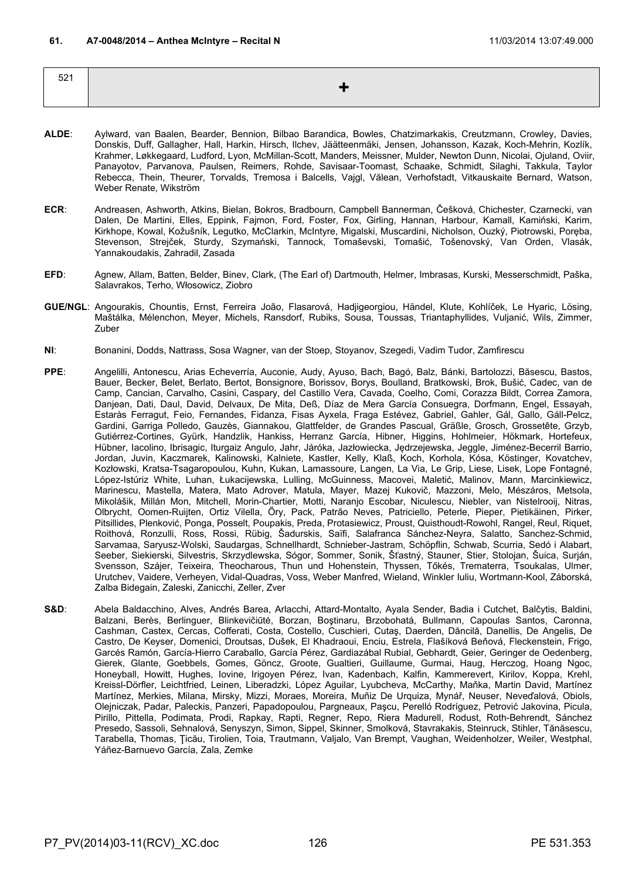| 521 |    |
|-----|----|
|     | -- |
|     |    |

- **ALDE**: Aylward, van Baalen, Bearder, Bennion, Bilbao Barandica, Bowles, Chatzimarkakis, Creutzmann, Crowley, Davies, Donskis, Duff, Gallagher, Hall, Harkin, Hirsch, Ilchev, Jäätteenmäki, Jensen, Johansson, Kazak, Koch-Mehrin, Kozlík, Krahmer, Løkkegaard, Ludford, Lyon, McMillan-Scott, Manders, Meissner, Mulder, Newton Dunn, Nicolai, Ojuland, Oviir, Panayotov, Parvanova, Paulsen, Reimers, Rohde, Savisaar-Toomast, Schaake, Schmidt, Silaghi, Takkula, Taylor Rebecca, Thein, Theurer, Torvalds, Tremosa i Balcells, Vajgl, Vălean, Verhofstadt, Vitkauskaite Bernard, Watson, Weber Renate, Wikström
- **ECR**: Andreasen, Ashworth, Atkins, Bielan, Bokros, Bradbourn, Campbell Bannerman, Češková, Chichester, Czarnecki, van Dalen, De Martini, Elles, Eppink, Fajmon, Ford, Foster, Fox, Girling, Hannan, Harbour, Kamall, Kamiński, Karim, Kirkhope, Kowal, Kožušník, Legutko, McClarkin, McIntyre, Migalski, Muscardini, Nicholson, Ouzký, Piotrowski, Poręba, Stevenson, Strejček, Sturdy, Szymański, Tannock, Tomaševski, Tomašić, Tošenovský, Van Orden, Vlasák, Yannakoudakis, Zahradil, Zasada
- **EFD**: Agnew, Allam, Batten, Belder, Binev, Clark, (The Earl of) Dartmouth, Helmer, Imbrasas, Kurski, Messerschmidt, Paška, Salavrakos, Terho, Włosowicz, Ziobro
- **GUE/NGL**: Angourakis, Chountis, Ernst, Ferreira João, Flasarová, Hadjigeorgiou, Händel, Klute, Kohlíček, Le Hyaric, Lösing, Maštálka, Mélenchon, Meyer, Michels, Ransdorf, Rubiks, Sousa, Toussas, Triantaphyllides, Vuljanić, Wils, Zimmer, Zuber
- **NI**: Bonanini, Dodds, Nattrass, Sosa Wagner, van der Stoep, Stoyanov, Szegedi, Vadim Tudor, Zamfirescu
- PPE: Angelilli, Antonescu, Arias Echeverría, Auconie, Audy, Ayuso, Bach, Bagó, Balz, Bánki, Bartolozzi, Băsescu, Bastos, Bauer, Becker, Belet, Berlato, Bertot, Bonsignore, Borissov, Borys, Boulland, Bratkowski, Brok, Bušić, Cadec, van de Camp, Cancian, Carvalho, Casini, Caspary, del Castillo Vera, Cavada, Coelho, Comi, Corazza Bildt, Correa Zamora, Danjean, Dati, Daul, David, Delvaux, De Mita, Deß, Díaz de Mera García Consuegra, Dorfmann, Engel, Essayah, Estaràs Ferragut, Feio, Fernandes, Fidanza, Fisas Ayxela, Fraga Estévez, Gabriel, Gahler, Gál, Gallo, Gáll-Pelcz, Gardini, Garriga Polledo, Gauzès, Giannakou, Glattfelder, de Grandes Pascual, Gräßle, Grosch, Grossetête, Grzyb, Gutiérrez-Cortines, Gyürk, Handzlik, Hankiss, Herranz García, Hibner, Higgins, Hohlmeier, Hökmark, Hortefeux, Hübner, Iacolino, Ibrisagic, Iturgaiz Angulo, Jahr, Járóka, Jazłowiecka, Jędrzejewska, Jeggle, Jiménez-Becerril Barrio, Jordan, Juvin, Kaczmarek, Kalinowski, Kalniete, Kastler, Kelly, Klaß, Koch, Korhola, Kósa, Köstinger, Kovatchev, Kozłowski, Kratsa-Tsagaropoulou, Kuhn, Kukan, Lamassoure, Langen, La Via, Le Grip, Liese, Lisek, Lope Fontagné, López-Istúriz White, Luhan, Łukacijewska, Lulling, McGuinness, Macovei, Maletić, Malinov, Mann, Marcinkiewicz, Marinescu, Mastella, Matera, Mato Adrover, Matula, Mayer, Mazej Kukovič, Mazzoni, Melo, Mészáros, Metsola, Mikolášik, Millán Mon, Mitchell, Morin-Chartier, Motti, Naranjo Escobar, Niculescu, Niebler, van Nistelrooij, Nitras, Olbrycht, Oomen-Ruijten, Ortiz Vilella, Őry, Pack, Patrão Neves, Patriciello, Peterle, Pieper, Pietikäinen, Pirker, Pitsillides, Plenković, Ponga, Posselt, Poupakis, Preda, Protasiewicz, Proust, Quisthoudt-Rowohl, Rangel, Reul, Riquet, Roithová, Ronzulli, Ross, Rossi, Rübig, Šadurskis, Saïfi, Salafranca Sánchez-Neyra, Salatto, Sanchez-Schmid, Sarvamaa, Saryusz-Wolski, Saudargas, Schnellhardt, Schnieber-Jastram, Schöpflin, Schwab, Scurria, Sedó i Alabart, Seeber, Siekierski, Silvestris, Skrzydlewska, Sógor, Sommer, Sonik, Šťastný, Stauner, Stier, Stolojan, Šuica, Surján, Svensson, Szájer, Teixeira, Theocharous, Thun und Hohenstein, Thyssen, Tőkés, Trematerra, Tsoukalas, Ulmer, Urutchev, Vaidere, Verheyen, Vidal-Quadras, Voss, Weber Manfred, Wieland, Winkler Iuliu, Wortmann-Kool, Záborská, Zalba Bidegain, Zaleski, Zanicchi, Zeller, Zver
- **S&D**: Abela Baldacchino, Alves, Andrés Barea, Arlacchi, Attard-Montalto, Ayala Sender, Badia i Cutchet, Balčytis, Baldini, Balzani, Berès, Berlinguer, Blinkevičiūtė, Borzan, Boştinaru, Brzobohatá, Bullmann, Capoulas Santos, Caronna, Cashman, Castex, Cercas, Cofferati, Costa, Costello, Cuschieri, Cutaş, Daerden, Dăncilă, Danellis, De Angelis, De Castro, De Keyser, Domenici, Droutsas, Dušek, El Khadraoui, Enciu, Estrela, Flašíková Beňová, Fleckenstein, Frigo, Garcés Ramón, García-Hierro Caraballo, García Pérez, Gardiazábal Rubial, Gebhardt, Geier, Geringer de Oedenberg, Gierek, Glante, Goebbels, Gomes, Göncz, Groote, Gualtieri, Guillaume, Gurmai, Haug, Herczog, Hoang Ngoc, Honeyball, Howitt, Hughes, Iovine, Irigoyen Pérez, Ivan, Kadenbach, Kalfin, Kammerevert, Kirilov, Koppa, Krehl, Kreissl-Dörfler, Leichtfried, Leinen, Liberadzki, López Aguilar, Lyubcheva, McCarthy, Maňka, Martin David, Martínez Martínez, Merkies, Milana, Mirsky, Mizzi, Moraes, Moreira, Muñiz De Urquiza, Mynář, Neuser, Neveďalová, Obiols, Olejniczak, Padar, Paleckis, Panzeri, Papadopoulou, Pargneaux, Paşcu, Perelló Rodríguez, Petrović Jakovina, Picula, Pirillo, Pittella, Podimata, Prodi, Rapkay, Rapti, Regner, Repo, Riera Madurell, Rodust, Roth-Behrendt, Sánchez Presedo, Sassoli, Sehnalová, Senyszyn, Simon, Sippel, Skinner, Smolková, Stavrakakis, Steinruck, Stihler, Tănăsescu, Tarabella, Thomas, Ţicău, Tirolien, Toia, Trautmann, Valjalo, Van Brempt, Vaughan, Weidenholzer, Weiler, Westphal, Yáñez-Barnuevo García, Zala, Zemke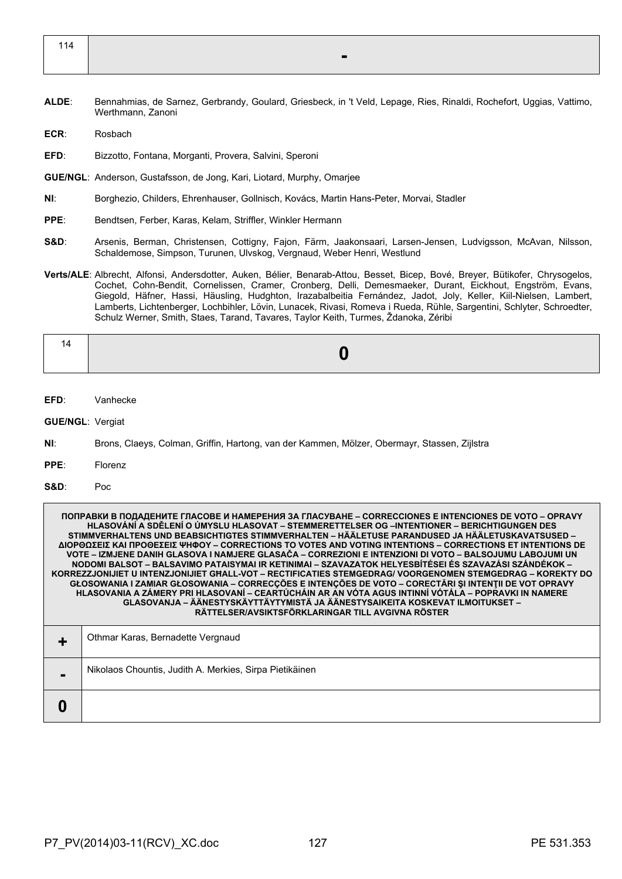| 114 |  |  |  |
|-----|--|--|--|
|     |  |  |  |

- **ALDE**: Bennahmias, de Sarnez, Gerbrandy, Goulard, Griesbeck, in 't Veld, Lepage, Ries, Rinaldi, Rochefort, Uggias, Vattimo, Werthmann, Zanoni
- **ECR**: Rosbach

**EFD**: Bizzotto, Fontana, Morganti, Provera, Salvini, Speroni

- **GUE/NGL**: Anderson, Gustafsson, de Jong, Kari, Liotard, Murphy, Omarjee
- **NI**: Borghezio, Childers, Ehrenhauser, Gollnisch, Kovács, Martin Hans-Peter, Morvai, Stadler
- **PPE**: Bendtsen, Ferber, Karas, Kelam, Striffler, Winkler Hermann
- **S&D**: Arsenis, Berman, Christensen, Cottigny, Fajon, Färm, Jaakonsaari, Larsen-Jensen, Ludvigsson, McAvan, Nilsson, Schaldemose, Simpson, Turunen, Ulvskog, Vergnaud, Weber Henri, Westlund
- **Verts/ALE**: Albrecht, Alfonsi, Andersdotter, Auken, Bélier, Benarab-Attou, Besset, Bicep, Bové, Breyer, Bütikofer, Chrysogelos, Cochet, Cohn-Bendit, Cornelissen, Cramer, Cronberg, Delli, Demesmaeker, Durant, Eickhout, Engström, Evans, Giegold, Häfner, Hassi, Häusling, Hudghton, Irazabalbeitia Fernández, Jadot, Joly, Keller, Kiil-Nielsen, Lambert, Lamberts, Lichtenberger, Lochbihler, Lövin, Lunacek, Rivasi, Romeva i Rueda, Rühle, Sargentini, Schlyter, Schroedter, Schulz Werner, Smith, Staes, Tarand, Tavares, Taylor Keith, Turmes, Ždanoka, Zéribi

- **EFD**: Vanhecke
- **GUE/NGL**: Vergiat
- **NI**: Brons, Claeys, Colman, Griffin, Hartong, van der Kammen, Mölzer, Obermayr, Stassen, Zijlstra
- **PPE**: Florenz
- **S&D**: Poc

|   | ПОПРАВКИ В ПОДАДЕНИТЕ ГЛАСОВЕ И НАМЕРЕНИЯ ЗА ГЛАСУВАНЕ – CORRECCIONES Е INTENCIONES DE VOTO – OPRAVY<br><u> HLASOVÁNÍ A SDĚLENÍ O ÚMYSLU HLASOVAT – STEMMERETTELSER OG –INTENTIONER – BERICHTIGUNGEN DES</u><br>STIMMVERHALTENS UND BEABSICHTIGTES STIMMVERHALTEN – HÄÄLETUSE PARANDUSED JA HÄÄLETUSKAVATSUSED –<br>ΔΙΟΡΘΩΣΕΙΣ ΚΑΙ ΠΡΟΘΕΣΕΙΣ ΨΗΦΟΥ – CORRECTIONS TO VOTES AND VOTING INTENTIONS – CORRECTIONS ET INTENTIONS DE<br>VOTE – IZMJENE DANIH GLASOVA I NAMJERE GLASAČA – CORREZIONI E INTENZIONI DI VOTO – BALSOJUMU LABOJUMI UN<br>NODOMI BALSOT – BALSAVIMO PATAISYMAI IR KETINIMAI – SZAVAZATOK HELYESBÍTÉSEI ÉS SZAVAZÁSI SZÁNDÉKOK –<br>KORREZZJONIJIET U INTENZJONIJIET GHALL-VOT – RECTIFICATIES STEMGEDRAG/ VOORGENOMEN STEMGEDRAG – KOREKTY DO<br>GŁOSOWANIA I ZAMIAR GŁOSOWANIA – CORRECÇÕES E INTENÇÕES DE VOTO – CORECTĂRI ȘI INTENȚII DE VOT OPRAVY<br>HLASOVANIA A ZÁMERY PRI HLASOVANÍ – CEARTÚCHÁIN AR AN VÓTA AGUS INTINNÍ VÓTÁLA – POPRAVKI IN NAMERE<br>GLASOVANJA – ÄÄNESTYSKÄYTTÄYTYMISTÄ JA ÄÄNESTYSAIKEITA KOSKEVAT ILMOITUKSET –<br>RÄTTELSER/AVSIKTSFÖRKLARINGAR TILL AVGIVNA RÖSTER |
|---|-------------------------------------------------------------------------------------------------------------------------------------------------------------------------------------------------------------------------------------------------------------------------------------------------------------------------------------------------------------------------------------------------------------------------------------------------------------------------------------------------------------------------------------------------------------------------------------------------------------------------------------------------------------------------------------------------------------------------------------------------------------------------------------------------------------------------------------------------------------------------------------------------------------------------------------------------------------------------------------------------------------------------------------------------------------------------------------------------------------------------|
| ٠ | Othmar Karas, Bernadette Vergnaud                                                                                                                                                                                                                                                                                                                                                                                                                                                                                                                                                                                                                                                                                                                                                                                                                                                                                                                                                                                                                                                                                       |
|   | Nikolaos Chountis, Judith A. Merkies, Sirpa Pietikäinen                                                                                                                                                                                                                                                                                                                                                                                                                                                                                                                                                                                                                                                                                                                                                                                                                                                                                                                                                                                                                                                                 |
|   |                                                                                                                                                                                                                                                                                                                                                                                                                                                                                                                                                                                                                                                                                                                                                                                                                                                                                                                                                                                                                                                                                                                         |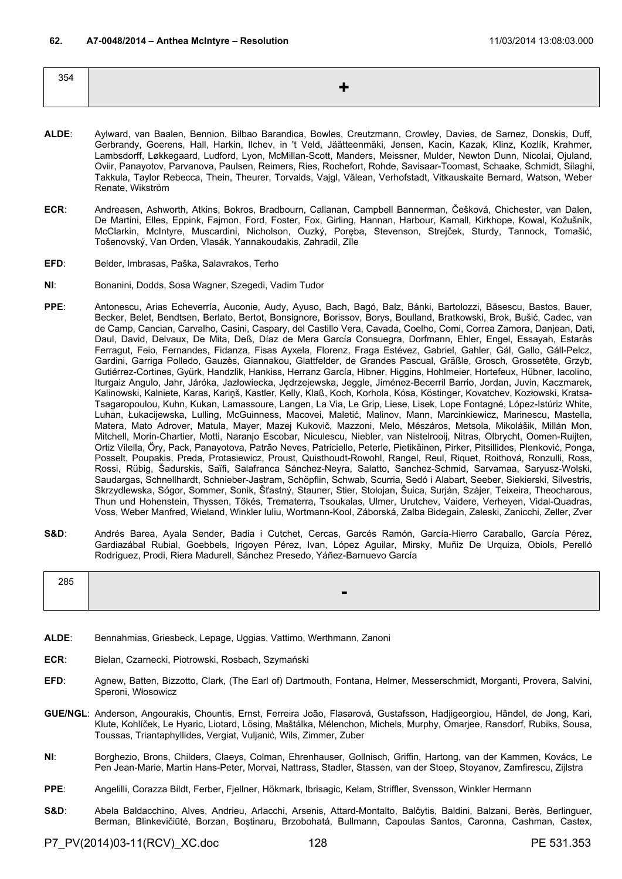| 354 | __ |
|-----|----|
|     |    |

- **ALDE**: Aylward, van Baalen, Bennion, Bilbao Barandica, Bowles, Creutzmann, Crowley, Davies, de Sarnez, Donskis, Duff, Gerbrandy, Goerens, Hall, Harkin, Ilchev, in 't Veld, Jäätteenmäki, Jensen, Kacin, Kazak, Klinz, Kozlík, Krahmer, Lambsdorff, Løkkegaard, Ludford, Lyon, McMillan-Scott, Manders, Meissner, Mulder, Newton Dunn, Nicolai, Ojuland, Oviir, Panayotov, Parvanova, Paulsen, Reimers, Ries, Rochefort, Rohde, Savisaar-Toomast, Schaake, Schmidt, Silaghi, Takkula, Taylor Rebecca, Thein, Theurer, Torvalds, Vajgl, Vălean, Verhofstadt, Vitkauskaite Bernard, Watson, Weber Renate, Wikström
- **ECR**: Andreasen, Ashworth, Atkins, Bokros, Bradbourn, Callanan, Campbell Bannerman, Češková, Chichester, van Dalen, De Martini, Elles, Eppink, Fajmon, Ford, Foster, Fox, Girling, Hannan, Harbour, Kamall, Kirkhope, Kowal, Kožušník, McClarkin, McIntyre, Muscardini, Nicholson, Ouzký, Poręba, Stevenson, Strejček, Sturdy, Tannock, Tomašić, Tošenovský, Van Orden, Vlasák, Yannakoudakis, Zahradil, Zīle
- **EFD**: Belder, Imbrasas, Paška, Salavrakos, Terho
- **NI**: Bonanini, Dodds, Sosa Wagner, Szegedi, Vadim Tudor
- **PPE**: Antonescu, Arias Echeverría, Auconie, Audy, Ayuso, Bach, Bagó, Balz, Bánki, Bartolozzi, Băsescu, Bastos, Bauer, Becker, Belet, Bendtsen, Berlato, Bertot, Bonsignore, Borissov, Borys, Boulland, Bratkowski, Brok, Bušić, Cadec, van de Camp, Cancian, Carvalho, Casini, Caspary, del Castillo Vera, Cavada, Coelho, Comi, Correa Zamora, Danjean, Dati, Daul, David, Delvaux, De Mita, Deß, Díaz de Mera García Consuegra, Dorfmann, Ehler, Engel, Essayah, Estaràs Ferragut, Feio, Fernandes, Fidanza, Fisas Ayxela, Florenz, Fraga Estévez, Gabriel, Gahler, Gál, Gallo, Gáll-Pelcz, Gardini, Garriga Polledo, Gauzès, Giannakou, Glattfelder, de Grandes Pascual, Gräßle, Grosch, Grossetête, Grzyb, Gutiérrez-Cortines, Gyürk, Handzlik, Hankiss, Herranz García, Hibner, Higgins, Hohlmeier, Hortefeux, Hübner, Iacolino, Iturgaiz Angulo, Jahr, Járóka, Jazłowiecka, Jędrzejewska, Jeggle, Jiménez-Becerril Barrio, Jordan, Juvin, Kaczmarek, Kalinowski, Kalniete, Karas, Kariņš, Kastler, Kelly, Klaß, Koch, Korhola, Kósa, Köstinger, Kovatchev, Kozłowski, Kratsa-Tsagaropoulou, Kuhn, Kukan, Lamassoure, Langen, La Via, Le Grip, Liese, Lisek, Lope Fontagné, López-Istúriz White, Luhan, Łukacijewska, Lulling, McGuinness, Macovei, Maletić, Malinov, Mann, Marcinkiewicz, Marinescu, Mastella, Matera, Mato Adrover, Matula, Mayer, Mazej Kukovič, Mazzoni, Melo, Mészáros, Metsola, Mikolášik, Millán Mon, Mitchell, Morin-Chartier, Motti, Naranjo Escobar, Niculescu, Niebler, van Nistelrooij, Nitras, Olbrycht, Oomen-Ruijten, Ortiz Vilella, Őry, Pack, Panayotova, Patrão Neves, Patriciello, Peterle, Pietikäinen, Pirker, Pitsillides, Plenković, Ponga, Posselt, Poupakis, Preda, Protasiewicz, Proust, Quisthoudt-Rowohl, Rangel, Reul, Riquet, Roithová, Ronzulli, Ross, Rossi, Rübig, Šadurskis, Saïfi, Salafranca Sánchez-Neyra, Salatto, Sanchez-Schmid, Sarvamaa, Saryusz-Wolski, Saudargas, Schnellhardt, Schnieber-Jastram, Schöpflin, Schwab, Scurria, Sedó i Alabart, Seeber, Siekierski, Silvestris, Skrzydlewska, Sógor, Sommer, Sonik, Šťastný, Stauner, Stier, Stolojan, Šuica, Surján, Szájer, Teixeira, Theocharous, Thun und Hohenstein, Thyssen, Tőkés, Trematerra, Tsoukalas, Ulmer, Urutchev, Vaidere, Verheyen, Vidal-Quadras, Voss, Weber Manfred, Wieland, Winkler Iuliu, Wortmann-Kool, Záborská, Zalba Bidegain, Zaleski, Zanicchi, Zeller, Zver
- **S&D**: Andrés Barea, Ayala Sender, Badia i Cutchet, Cercas, Garcés Ramón, García-Hierro Caraballo, García Pérez, Gardiazábal Rubial, Goebbels, Irigoyen Pérez, Ivan, López Aguilar, Mirsky, Muñiz De Urquiza, Obiols, Perelló Rodríguez, Prodi, Riera Madurell, Sánchez Presedo, Yáñez-Barnuevo García

| 285 |  |
|-----|--|
|     |  |

- **ALDE**: Bennahmias, Griesbeck, Lepage, Uggias, Vattimo, Werthmann, Zanoni
- **ECR**: Bielan, Czarnecki, Piotrowski, Rosbach, Szymański
- **EFD**: Agnew, Batten, Bizzotto, Clark, (The Earl of) Dartmouth, Fontana, Helmer, Messerschmidt, Morganti, Provera, Salvini, Speroni, Włosowicz
- **GUE/NGL**: Anderson, Angourakis, Chountis, Ernst, Ferreira João, Flasarová, Gustafsson, Hadjigeorgiou, Händel, de Jong, Kari, Klute, Kohlíček, Le Hyaric, Liotard, Lösing, Maštálka, Mélenchon, Michels, Murphy, Omarjee, Ransdorf, Rubiks, Sousa, Toussas, Triantaphyllides, Vergiat, Vuljanić, Wils, Zimmer, Zuber
- **NI**: Borghezio, Brons, Childers, Claeys, Colman, Ehrenhauser, Gollnisch, Griffin, Hartong, van der Kammen, Kovács, Le Pen Jean-Marie, Martin Hans-Peter, Morvai, Nattrass, Stadler, Stassen, van der Stoep, Stoyanov, Zamfirescu, Zijlstra
- **PPE**: Angelilli, Corazza Bildt, Ferber, Fjellner, Hökmark, Ibrisagic, Kelam, Striffler, Svensson, Winkler Hermann
- **S&D**: Abela Baldacchino, Alves, Andrieu, Arlacchi, Arsenis, Attard-Montalto, Balčytis, Baldini, Balzani, Berès, Berlinguer, Berman, Blinkevičiūtė, Borzan, Boştinaru, Brzobohatá, Bullmann, Capoulas Santos, Caronna, Cashman, Castex,

P7\_PV(2014)03-11(RCV)\_XC.doc 128 128 PE 531.353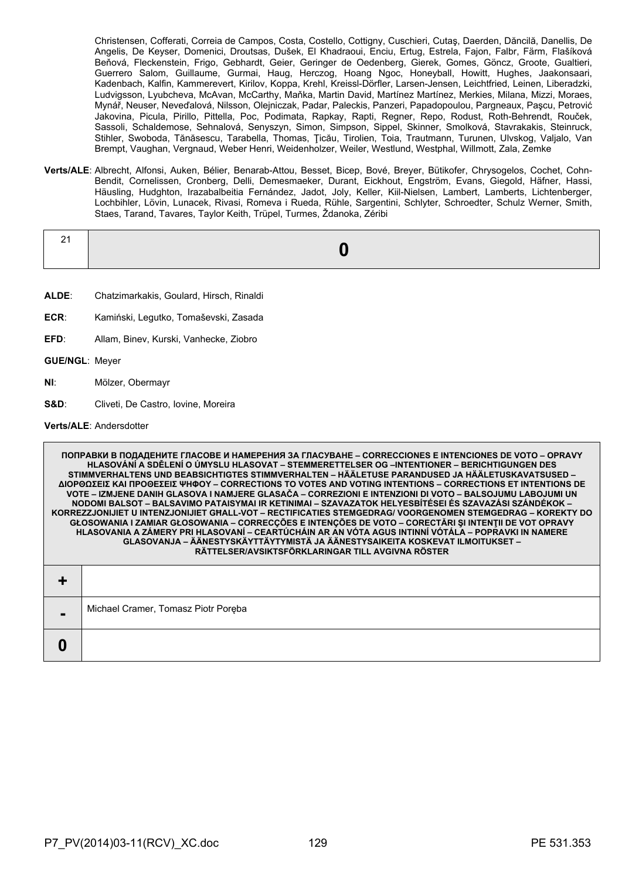Christensen, Cofferati, Correia de Campos, Costa, Costello, Cottigny, Cuschieri, Cutaş, Daerden, Dăncilă, Danellis, De Angelis, De Keyser, Domenici, Droutsas, Dušek, El Khadraoui, Enciu, Ertug, Estrela, Fajon, Falbr, Färm, Flašíková Beňová, Fleckenstein, Frigo, Gebhardt, Geier, Geringer de Oedenberg, Gierek, Gomes, Göncz, Groote, Gualtieri, Guerrero Salom, Guillaume, Gurmai, Haug, Herczog, Hoang Ngoc, Honeyball, Howitt, Hughes, Jaakonsaari, Kadenbach, Kalfin, Kammerevert, Kirilov, Koppa, Krehl, Kreissl-Dörfler, Larsen-Jensen, Leichtfried, Leinen, Liberadzki, Ludvigsson, Lyubcheva, McAvan, McCarthy, Maňka, Martin David, Martínez Martínez, Merkies, Milana, Mizzi, Moraes, Mynář, Neuser, Neveďalová, Nilsson, Olejniczak, Padar, Paleckis, Panzeri, Papadopoulou, Pargneaux, Paşcu, Petrović Jakovina, Picula, Pirillo, Pittella, Poc, Podimata, Rapkay, Rapti, Regner, Repo, Rodust, Roth-Behrendt, Rouček, Sassoli, Schaldemose, Sehnalová, Senyszyn, Simon, Simpson, Sippel, Skinner, Smolková, Stavrakakis, Steinruck, Stihler, Swoboda, Tănăsescu, Tarabella, Thomas, Ţicău, Tirolien, Toia, Trautmann, Turunen, Ulvskog, Valjalo, Van Brempt, Vaughan, Vergnaud, Weber Henri, Weidenholzer, Weiler, Westlund, Westphal, Willmott, Zala, Zemke

**Verts/ALE**: Albrecht, Alfonsi, Auken, Bélier, Benarab-Attou, Besset, Bicep, Bové, Breyer, Bütikofer, Chrysogelos, Cochet, Cohn-Bendit, Cornelissen, Cronberg, Delli, Demesmaeker, Durant, Eickhout, Engström, Evans, Giegold, Häfner, Hassi, Häusling, Hudghton, Irazabalbeitia Fernández, Jadot, Joly, Keller, Kiil-Nielsen, Lambert, Lamberts, Lichtenberger, Lochbihler, Lövin, Lunacek, Rivasi, Romeva i Rueda, Rühle, Sargentini, Schlyter, Schroedter, Schulz Werner, Smith, Staes, Tarand, Tavares, Taylor Keith, Trüpel, Turmes, Ždanoka, Zéribi

- **ALDE**: Chatzimarkakis, Goulard, Hirsch, Rinaldi
- **ECR**: Kamiński, Legutko, Tomaševski, Zasada
- **EFD**: Allam, Binev, Kurski, Vanhecke, Ziobro
- **GUE/NGL**: Meyer
- **NI**: Mölzer, Obermayr
- **S&D**: Cliveti, De Castro, Iovine, Moreira

## **Verts/ALE**: Andersdotter

| ПОПРАВКИ В ПОДАДЕНИТЕ ГЛАСОВЕ И НАМЕРЕНИЯ ЗА ГЛАСУВАНЕ – CORRECCIONES Е INTENCIONES DE VOTO – OPRAVY<br>HLASOVÁNÍ A SDĚLENÍ O ÚMYSLU HLASOVAT – STEMMERETTELSER OG –INTENTIONER – BERICHTIGUNGEN DES<br>STIMMVERHALTENS UND BEABSICHTIGTES STIMMVERHALTEN – HÄÄLETUSE PARANDUSED JA HÄÄLETUSKAVATSUSED –<br>ΔΙΟΡΘΩΣΕΙΣ ΚΑΙ ΠΡΟΘΕΣΕΙΣ ΨΗΦΟΥ – CORRECTIONS TO VOTES AND VOTING INTENTIONS – CORRECTIONS ET INTENTIONS DE<br>VOTE – IZMJENE DANIH GLASOVA I NAMJERE GLASAČA – CORREZIONI E INTENZIONI DI VOTO – BALSOJUMU LABOJUMI UN<br>NODOMI BALSOT – BALSAVIMO PATAISYMAI IR KETINIMAI – SZAVAZATOK HELYESBÍTÉSEI ÉS SZAVAZÁSI SZÁNDÉKOK –<br>KORREZZJONIJIET U INTENZJONIJIET GHALL-VOT – RECTIFICATIES STEMGEDRAG/ VOORGENOMEN STEMGEDRAG – KOREKTY DO<br>GŁOSOWANIA I ZAMIAR GŁOSOWANIA – CORRECÇÕES E INTENÇÕES DE VOTO – CORECTĂRI ȘI INTENȚII DE VOT OPRAVY<br>HLASOVANIA A ZÁMERY PRI HLASOVANÍ – CEARTÚCHÁIN AR AN VÓTA AGUS INTINNÍ VÓTÁLA – POPRAVKI IN NAMERE<br>GLASOVANJA – ÄÄNESTYSKÄYTTÄYTYMISTÄ JA ÄÄNESTYSAIKEITA KOSKEVAT ILMOITUKSET –<br>RÄTTELSER/AVSIKTSFÖRKLARINGAR TILL AVGIVNA RÖSTER |                                     |
|-----------------------------------------------------------------------------------------------------------------------------------------------------------------------------------------------------------------------------------------------------------------------------------------------------------------------------------------------------------------------------------------------------------------------------------------------------------------------------------------------------------------------------------------------------------------------------------------------------------------------------------------------------------------------------------------------------------------------------------------------------------------------------------------------------------------------------------------------------------------------------------------------------------------------------------------------------------------------------------------------------------------------------------------------------------------------------------------------------------------|-------------------------------------|
|                                                                                                                                                                                                                                                                                                                                                                                                                                                                                                                                                                                                                                                                                                                                                                                                                                                                                                                                                                                                                                                                                                                 |                                     |
| -                                                                                                                                                                                                                                                                                                                                                                                                                                                                                                                                                                                                                                                                                                                                                                                                                                                                                                                                                                                                                                                                                                               | Michael Cramer, Tomasz Piotr Poreba |
|                                                                                                                                                                                                                                                                                                                                                                                                                                                                                                                                                                                                                                                                                                                                                                                                                                                                                                                                                                                                                                                                                                                 |                                     |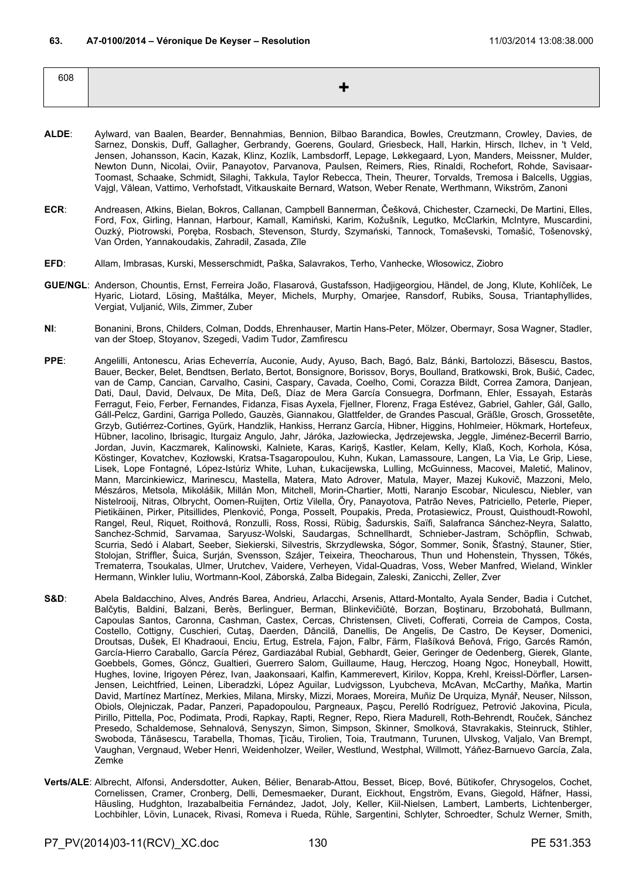| 608 |  |
|-----|--|
|-----|--|

- **ALDE**: Aylward, van Baalen, Bearder, Bennahmias, Bennion, Bilbao Barandica, Bowles, Creutzmann, Crowley, Davies, de Sarnez, Donskis, Duff, Gallagher, Gerbrandy, Goerens, Goulard, Griesbeck, Hall, Harkin, Hirsch, Ilchev, in 't Veld, Jensen, Johansson, Kacin, Kazak, Klinz, Kozlík, Lambsdorff, Lepage, Løkkegaard, Lyon, Manders, Meissner, Mulder, Newton Dunn, Nicolai, Oviir, Panayotov, Parvanova, Paulsen, Reimers, Ries, Rinaldi, Rochefort, Rohde, Savisaar-Toomast, Schaake, Schmidt, Silaghi, Takkula, Taylor Rebecca, Thein, Theurer, Torvalds, Tremosa i Balcells, Uggias, Vajgl, Vălean, Vattimo, Verhofstadt, Vitkauskaite Bernard, Watson, Weber Renate, Werthmann, Wikström, Zanoni
- **ECR**: Andreasen, Atkins, Bielan, Bokros, Callanan, Campbell Bannerman, Češková, Chichester, Czarnecki, De Martini, Elles, Ford, Fox, Girling, Hannan, Harbour, Kamall, Kamiński, Karim, Kožušník, Legutko, McClarkin, McIntyre, Muscardini, Ouzký, Piotrowski, Poręba, Rosbach, Stevenson, Sturdy, Szymański, Tannock, Tomaševski, Tomašić, Tošenovský, Van Orden, Yannakoudakis, Zahradil, Zasada, Zīle
- **EFD**: Allam, Imbrasas, Kurski, Messerschmidt, Paška, Salavrakos, Terho, Vanhecke, Włosowicz, Ziobro
- **GUE/NGL**: Anderson, Chountis, Ernst, Ferreira João, Flasarová, Gustafsson, Hadjigeorgiou, Händel, de Jong, Klute, Kohlíček, Le Hyaric, Liotard, Lösing, Maštálka, Meyer, Michels, Murphy, Omarjee, Ransdorf, Rubiks, Sousa, Triantaphyllides, Vergiat, Vuljanić, Wils, Zimmer, Zuber
- **NI**: Bonanini, Brons, Childers, Colman, Dodds, Ehrenhauser, Martin Hans-Peter, Mölzer, Obermayr, Sosa Wagner, Stadler, van der Stoep, Stoyanov, Szegedi, Vadim Tudor, Zamfirescu
- **PPE**: Angelilli, Antonescu, Arias Echeverría, Auconie, Audy, Ayuso, Bach, Bagó, Balz, Bánki, Bartolozzi, Băsescu, Bastos, Bauer, Becker, Belet, Bendtsen, Berlato, Bertot, Bonsignore, Borissov, Borys, Boulland, Bratkowski, Brok, Bušić, Cadec, van de Camp, Cancian, Carvalho, Casini, Caspary, Cavada, Coelho, Comi, Corazza Bildt, Correa Zamora, Danjean, Dati, Daul, David, Delvaux, De Mita, Deß, Díaz de Mera García Consuegra, Dorfmann, Ehler, Essayah, Estaràs Ferragut, Feio, Ferber, Fernandes, Fidanza, Fisas Ayxela, Fjellner, Florenz, Fraga Estévez, Gabriel, Gahler, Gál, Gallo, Gáll-Pelcz, Gardini, Garriga Polledo, Gauzès, Giannakou, Glattfelder, de Grandes Pascual, Gräßle, Grosch, Grossetête, Grzyb, Gutiérrez-Cortines, Gyürk, Handzlik, Hankiss, Herranz García, Hibner, Higgins, Hohlmeier, Hökmark, Hortefeux, Hübner, Iacolino, Ibrisagic, Iturgaiz Angulo, Jahr, Járóka, Jazłowiecka, Jędrzejewska, Jeggle, Jiménez-Becerril Barrio, Jordan, Juvin, Kaczmarek, Kalinowski, Kalniete, Karas, Kariņš, Kastler, Kelam, Kelly, Klaß, Koch, Korhola, Kósa, Köstinger, Kovatchev, Kozłowski, Kratsa-Tsagaropoulou, Kuhn, Kukan, Lamassoure, Langen, La Via, Le Grip, Liese, Lisek, Lope Fontagné, López-Istúriz White, Luhan, Łukacijewska, Lulling, McGuinness, Macovei, Maletić, Malinov, Mann, Marcinkiewicz, Marinescu, Mastella, Matera, Mato Adrover, Matula, Mayer, Mazej Kukovič, Mazzoni, Melo, Mészáros, Metsola, Mikolášik, Millán Mon, Mitchell, Morin-Chartier, Motti, Naranjo Escobar, Niculescu, Niebler, van Nistelrooij, Nitras, Olbrycht, Oomen-Ruijten, Ortiz Vilella, Őry, Panayotova, Patrão Neves, Patriciello, Peterle, Pieper, Pietikäinen, Pirker, Pitsillides, Plenković, Ponga, Posselt, Poupakis, Preda, Protasiewicz, Proust, Quisthoudt-Rowohl, Rangel, Reul, Riquet, Roithová, Ronzulli, Ross, Rossi, Rübig, Šadurskis, Saïfi, Salafranca Sánchez-Neyra, Salatto, Sanchez-Schmid, Sarvamaa, Saryusz-Wolski, Saudargas, Schnellhardt, Schnieber-Jastram, Schöpflin, Schwab, Scurria, Sedó i Alabart, Seeber, Siekierski, Silvestris, Skrzydlewska, Sógor, Sommer, Sonik, Šťastný, Stauner, Stier, Stolojan, Striffler, Šuica, Surján, Svensson, Szájer, Teixeira, Theocharous, Thun und Hohenstein, Thyssen, Tőkés, Trematerra, Tsoukalas, Ulmer, Urutchev, Vaidere, Verheyen, Vidal-Quadras, Voss, Weber Manfred, Wieland, Winkler Hermann, Winkler Iuliu, Wortmann-Kool, Záborská, Zalba Bidegain, Zaleski, Zanicchi, Zeller, Zver
- **S&D**: Abela Baldacchino, Alves, Andrés Barea, Andrieu, Arlacchi, Arsenis, Attard-Montalto, Ayala Sender, Badia i Cutchet, Balčytis, Baldini, Balzani, Berès, Berlinguer, Berman, Blinkevičiūtė, Borzan, Boştinaru, Brzobohatá, Bullmann, Capoulas Santos, Caronna, Cashman, Castex, Cercas, Christensen, Cliveti, Cofferati, Correia de Campos, Costa, Costello, Cottigny, Cuschieri, Cutaş, Daerden, Dăncilă, Danellis, De Angelis, De Castro, De Keyser, Domenici, Droutsas, Dušek, El Khadraoui, Enciu, Ertug, Estrela, Fajon, Falbr, Färm, Flašíková Beňová, Frigo, Garcés Ramón, García-Hierro Caraballo, García Pérez, Gardiazábal Rubial, Gebhardt, Geier, Geringer de Oedenberg, Gierek, Glante, Goebbels, Gomes, Göncz, Gualtieri, Guerrero Salom, Guillaume, Haug, Herczog, Hoang Ngoc, Honeyball, Howitt, Hughes, Iovine, Irigoyen Pérez, Ivan, Jaakonsaari, Kalfin, Kammerevert, Kirilov, Koppa, Krehl, Kreissl-Dörfler, Larsen-Jensen, Leichtfried, Leinen, Liberadzki, López Aguilar, Ludvigsson, Lyubcheva, McAvan, McCarthy, Maňka, Martin David, Martínez Martínez, Merkies, Milana, Mirsky, Mizzi, Moraes, Moreira, Muñiz De Urquiza, Mynář, Neuser, Nilsson, Obiols, Olejniczak, Padar, Panzeri, Papadopoulou, Pargneaux, Paşcu, Perelló Rodríguez, Petrović Jakovina, Picula, Pirillo, Pittella, Poc, Podimata, Prodi, Rapkay, Rapti, Regner, Repo, Riera Madurell, Roth-Behrendt, Rouček, Sánchez Presedo, Schaldemose, Sehnalová, Senyszyn, Simon, Simpson, Skinner, Smolková, Stavrakakis, Steinruck, Stihler, Swoboda, Tănăsescu, Tarabella, Thomas, Ţicău, Tirolien, Toia, Trautmann, Turunen, Ulvskog, Valjalo, Van Brempt, Vaughan, Vergnaud, Weber Henri, Weidenholzer, Weiler, Westlund, Westphal, Willmott, Yáñez-Barnuevo García, Zala, Zemke
- **Verts/ALE**: Albrecht, Alfonsi, Andersdotter, Auken, Bélier, Benarab-Attou, Besset, Bicep, Bové, Bütikofer, Chrysogelos, Cochet, Cornelissen, Cramer, Cronberg, Delli, Demesmaeker, Durant, Eickhout, Engström, Evans, Giegold, Häfner, Hassi, Häusling, Hudghton, Irazabalbeitia Fernández, Jadot, Joly, Keller, Kiil-Nielsen, Lambert, Lamberts, Lichtenberger, Lochbihler, Lövin, Lunacek, Rivasi, Romeva i Rueda, Rühle, Sargentini, Schlyter, Schroedter, Schulz Werner, Smith,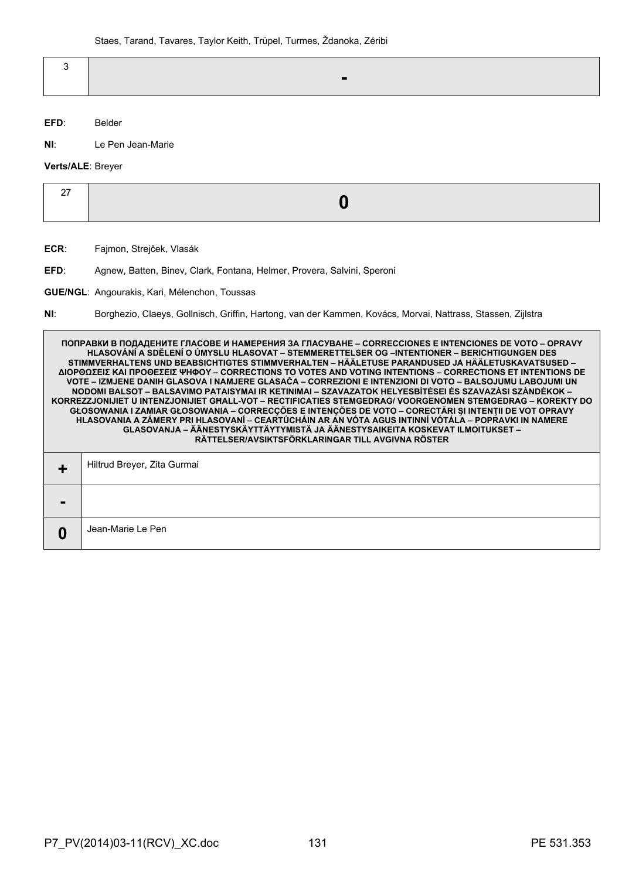**EFD**: Belder

### **NI**: Le Pen Jean-Marie

### **Verts/ALE**: Breyer

**ECR**: Fajmon, Strejček, Vlasák

**EFD**: Agnew, Batten, Binev, Clark, Fontana, Helmer, Provera, Salvini, Speroni

**GUE/NGL**: Angourakis, Kari, Mélenchon, Toussas

**NI**: Borghezio, Claeys, Gollnisch, Griffin, Hartong, van der Kammen, Kovács, Morvai, Nattrass, Stassen, Zijlstra

**ПОПРАВКИ В ПОДАДЕНИТЕ ГЛАСОВЕ И НАМЕРЕНИЯ ЗА ГЛАСУВАНЕ – CORRECCIONES E INTENCIONES DE VOTO – OPRAVY HLASOVÁNÍ A SDĚLENÍ O ÚMYSLU HLASOVAT – STEMMERETTELSER OG –INTENTIONER – BERICHTIGUNGEN DES STIMMVERHALTENS UND BEABSICHTIGTES STIMMVERHALTEN – HÄÄLETUSE PARANDUSED JA HÄÄLETUSKAVATSUSED – ΔΙΟΡΘΩΣΕΙΣ ΚΑΙ ΠΡΟΘΕΣΕΙΣ ΨΗΦΟΥ – CORRECTIONS TO VOTES AND VOTING INTENTIONS – CORRECTIONS ET INTENTIONS DE VOTE – IZMJENE DANIH GLASOVA I NAMJERE GLASAČA – CORREZIONI E INTENZIONI DI VOTO – BALSOJUMU LABOJUMI UN NODOMI BALSOT – BALSAVIMO PATAISYMAI IR KETINIMAI – SZAVAZATOK HELYESBÍTÉSEI ÉS SZAVAZÁSI SZÁNDÉKOK – KORREZZJONIJIET U INTENZJONIJIET GĦALL-VOT – RECTIFICATIES STEMGEDRAG/ VOORGENOMEN STEMGEDRAG – KOREKTY DO GŁOSOWANIA I ZAMIAR GŁOSOWANIA – CORRECÇÕES E INTENÇÕES DE VOTO – CORECTĂRI ŞI INTENŢII DE VOT OPRAVY HLASOVANIA A ZÁMERY PRI HLASOVANÍ – CEARTÚCHÁIN AR AN VÓTA AGUS INTINNÍ VÓTÁLA – POPRAVKI IN NAMERE GLASOVANJA – ÄÄNESTYSKÄYTTÄYTYMISTÄ JA ÄÄNESTYSAIKEITA KOSKEVAT ILMOITUKSET – RÄTTELSER/AVSIKTSFÖRKLARINGAR TILL AVGIVNA RÖSTER +** Hiltrud Breyer, Zita Gurmai **- 0** Jean-Marie Le Pen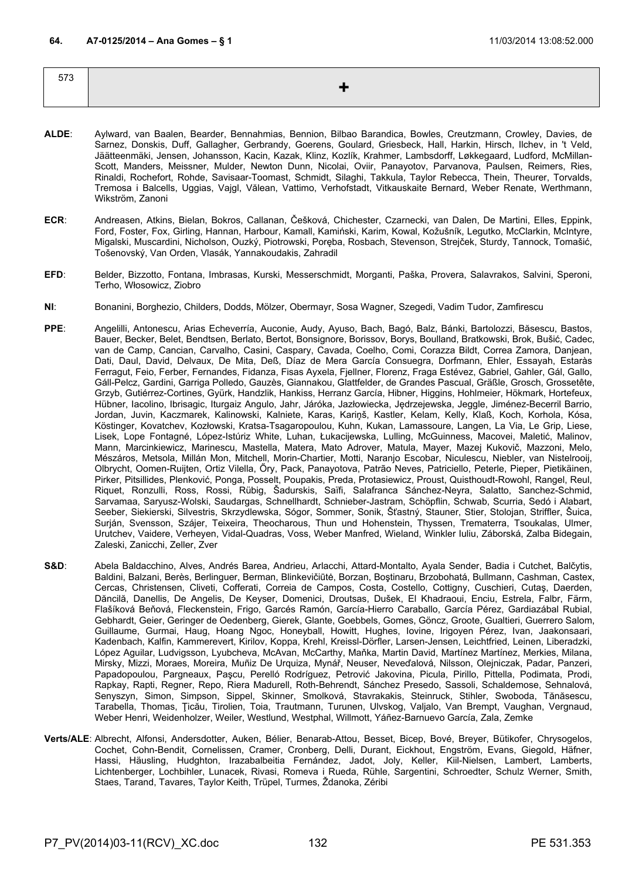| 573 |  |
|-----|--|
|     |  |
|     |  |

- **ALDE**: Aylward, van Baalen, Bearder, Bennahmias, Bennion, Bilbao Barandica, Bowles, Creutzmann, Crowley, Davies, de Sarnez, Donskis, Duff, Gallagher, Gerbrandy, Goerens, Goulard, Griesbeck, Hall, Harkin, Hirsch, Ilchev, in 't Veld, Jäätteenmäki, Jensen, Johansson, Kacin, Kazak, Klinz, Kozlík, Krahmer, Lambsdorff, Løkkegaard, Ludford, McMillan-Scott, Manders, Meissner, Mulder, Newton Dunn, Nicolai, Oviir, Panayotov, Parvanova, Paulsen, Reimers, Ries, Rinaldi, Rochefort, Rohde, Savisaar-Toomast, Schmidt, Silaghi, Takkula, Taylor Rebecca, Thein, Theurer, Torvalds, Tremosa i Balcells, Uggias, Vajgl, Vălean, Vattimo, Verhofstadt, Vitkauskaite Bernard, Weber Renate, Werthmann, Wikström, Zanoni
- **ECR**: Andreasen, Atkins, Bielan, Bokros, Callanan, Češková, Chichester, Czarnecki, van Dalen, De Martini, Elles, Eppink, Ford, Foster, Fox, Girling, Hannan, Harbour, Kamall, Kamiński, Karim, Kowal, Kožušník, Legutko, McClarkin, McIntyre, Migalski, Muscardini, Nicholson, Ouzký, Piotrowski, Poręba, Rosbach, Stevenson, Strejček, Sturdy, Tannock, Tomašić, Tošenovský, Van Orden, Vlasák, Yannakoudakis, Zahradil
- **EFD**: Belder, Bizzotto, Fontana, Imbrasas, Kurski, Messerschmidt, Morganti, Paška, Provera, Salavrakos, Salvini, Speroni, Terho, Włosowicz, Ziobro
- **NI**: Bonanini, Borghezio, Childers, Dodds, Mölzer, Obermayr, Sosa Wagner, Szegedi, Vadim Tudor, Zamfirescu
- **PPE**: Angelilli, Antonescu, Arias Echeverría, Auconie, Audy, Ayuso, Bach, Bagó, Balz, Bánki, Bartolozzi, Băsescu, Bastos, Bauer, Becker, Belet, Bendtsen, Berlato, Bertot, Bonsignore, Borissov, Borys, Boulland, Bratkowski, Brok, Bušić, Cadec, van de Camp, Cancian, Carvalho, Casini, Caspary, Cavada, Coelho, Comi, Corazza Bildt, Correa Zamora, Danjean, Dati, Daul, David, Delvaux, De Mita, Deß, Díaz de Mera García Consuegra, Dorfmann, Ehler, Essayah, Estaràs Ferragut, Feio, Ferber, Fernandes, Fidanza, Fisas Ayxela, Fjellner, Florenz, Fraga Estévez, Gabriel, Gahler, Gál, Gallo, Gáll-Pelcz, Gardini, Garriga Polledo, Gauzès, Giannakou, Glattfelder, de Grandes Pascual, Gräßle, Grosch, Grossetête, Grzyb, Gutiérrez-Cortines, Gyürk, Handzlik, Hankiss, Herranz García, Hibner, Higgins, Hohlmeier, Hökmark, Hortefeux, Hübner, Iacolino, Ibrisagic, Iturgaiz Angulo, Jahr, Járóka, Jazłowiecka, Jędrzejewska, Jeggle, Jiménez-Becerril Barrio, Jordan, Juvin, Kaczmarek, Kalinowski, Kalniete, Karas, Kariņš, Kastler, Kelam, Kelly, Klaß, Koch, Korhola, Kósa, Köstinger, Kovatchev, Kozłowski, Kratsa-Tsagaropoulou, Kuhn, Kukan, Lamassoure, Langen, La Via, Le Grip, Liese, Lisek, Lope Fontagné, López-Istúriz White, Luhan, Łukacijewska, Lulling, McGuinness, Macovei, Maletić, Malinov, Mann, Marcinkiewicz, Marinescu, Mastella, Matera, Mato Adrover, Matula, Mayer, Mazej Kukovič, Mazzoni, Melo, Mészáros, Metsola, Millán Mon, Mitchell, Morin-Chartier, Motti, Naranjo Escobar, Niculescu, Niebler, van Nistelrooij, Olbrycht, Oomen-Ruijten, Ortiz Vilella, Őry, Pack, Panayotova, Patrão Neves, Patriciello, Peterle, Pieper, Pietikäinen, Pirker, Pitsillides, Plenković, Ponga, Posselt, Poupakis, Preda, Protasiewicz, Proust, Quisthoudt-Rowohl, Rangel, Reul, Riquet, Ronzulli, Ross, Rossi, Rübig, Šadurskis, Saïfi, Salafranca Sánchez-Neyra, Salatto, Sanchez-Schmid, Sarvamaa, Saryusz-Wolski, Saudargas, Schnellhardt, Schnieber-Jastram, Schöpflin, Schwab, Scurria, Sedó i Alabart, Seeber, Siekierski, Silvestris, Skrzydlewska, Sógor, Sommer, Sonik, Šťastný, Stauner, Stier, Stolojan, Striffler, Šuica, Surján, Svensson, Szájer, Teixeira, Theocharous, Thun und Hohenstein, Thyssen, Trematerra, Tsoukalas, Ulmer, Urutchev, Vaidere, Verheyen, Vidal-Quadras, Voss, Weber Manfred, Wieland, Winkler Iuliu, Záborská, Zalba Bidegain, Zaleski, Zanicchi, Zeller, Zver
- **S&D**: Abela Baldacchino, Alves, Andrés Barea, Andrieu, Arlacchi, Attard-Montalto, Ayala Sender, Badia i Cutchet, Balčytis, Baldini, Balzani, Berès, Berlinguer, Berman, Blinkevičiūtė, Borzan, Boştinaru, Brzobohatá, Bullmann, Cashman, Castex, Cercas, Christensen, Cliveti, Cofferati, Correia de Campos, Costa, Costello, Cottigny, Cuschieri, Cutaş, Daerden, Dăncilă, Danellis, De Angelis, De Keyser, Domenici, Droutsas, Dušek, El Khadraoui, Enciu, Estrela, Falbr, Färm, Flašíková Beňová, Fleckenstein, Frigo, Garcés Ramón, García-Hierro Caraballo, García Pérez, Gardiazábal Rubial, Gebhardt, Geier, Geringer de Oedenberg, Gierek, Glante, Goebbels, Gomes, Göncz, Groote, Gualtieri, Guerrero Salom, Guillaume, Gurmai, Haug, Hoang Ngoc, Honeyball, Howitt, Hughes, Iovine, Irigoyen Pérez, Ivan, Jaakonsaari, Kadenbach, Kalfin, Kammerevert, Kirilov, Koppa, Krehl, Kreissl-Dörfler, Larsen-Jensen, Leichtfried, Leinen, Liberadzki, López Aguilar, Ludvigsson, Lyubcheva, McAvan, McCarthy, Maňka, Martin David, Martínez Martínez, Merkies, Milana, Mirsky, Mizzi, Moraes, Moreira, Muñiz De Urquiza, Mynář, Neuser, Neveďalová, Nilsson, Olejniczak, Padar, Panzeri, Papadopoulou, Pargneaux, Paşcu, Perelló Rodríguez, Petrović Jakovina, Picula, Pirillo, Pittella, Podimata, Prodi, Rapkay, Rapti, Regner, Repo, Riera Madurell, Roth-Behrendt, Sánchez Presedo, Sassoli, Schaldemose, Sehnalová, Senyszyn, Simon, Simpson, Sippel, Skinner, Smolková, Stavrakakis, Steinruck, Stihler, Swoboda, Tănăsescu, Tarabella, Thomas, Ţicău, Tirolien, Toia, Trautmann, Turunen, Ulvskog, Valjalo, Van Brempt, Vaughan, Vergnaud, Weber Henri, Weidenholzer, Weiler, Westlund, Westphal, Willmott, Yáñez-Barnuevo García, Zala, Zemke
- **Verts/ALE**: Albrecht, Alfonsi, Andersdotter, Auken, Bélier, Benarab-Attou, Besset, Bicep, Bové, Breyer, Bütikofer, Chrysogelos, Cochet, Cohn-Bendit, Cornelissen, Cramer, Cronberg, Delli, Durant, Eickhout, Engström, Evans, Giegold, Häfner, Hassi, Häusling, Hudghton, Irazabalbeitia Fernández, Jadot, Joly, Keller, Kiil-Nielsen, Lambert, Lamberts, Lichtenberger, Lochbihler, Lunacek, Rivasi, Romeva i Rueda, Rühle, Sargentini, Schroedter, Schulz Werner, Smith, Staes, Tarand, Tavares, Taylor Keith, Trüpel, Turmes, Ždanoka, Zéribi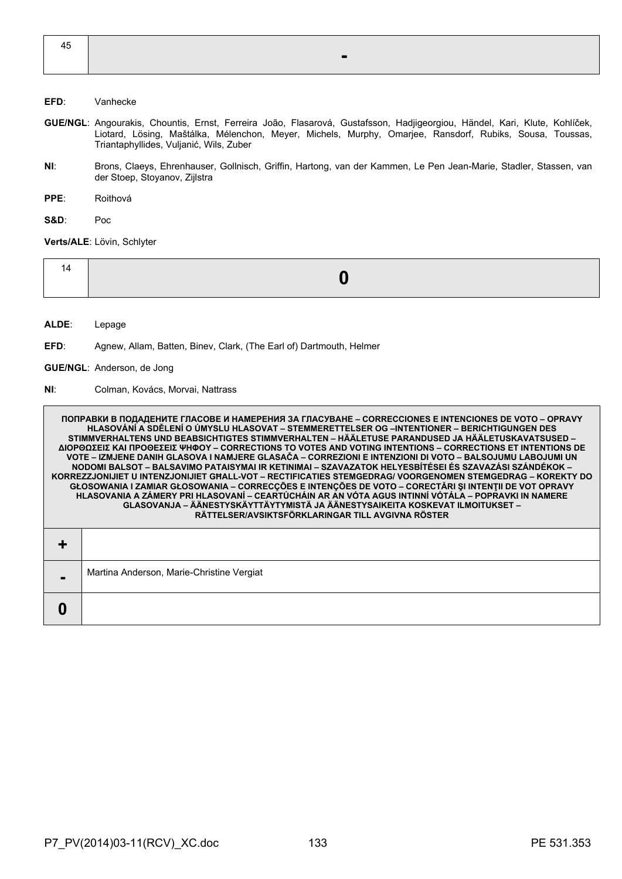45 **-**

# **EFD**: Vanhecke

- **GUE/NGL**: Angourakis, Chountis, Ernst, Ferreira João, Flasarová, Gustafsson, Hadjigeorgiou, Händel, Kari, Klute, Kohlíček, Liotard, Lösing, Maštálka, Mélenchon, Meyer, Michels, Murphy, Omarjee, Ransdorf, Rubiks, Sousa, Toussas, Triantaphyllides, Vuljanić, Wils, Zuber
- **NI**: Brons, Claeys, Ehrenhauser, Gollnisch, Griffin, Hartong, van der Kammen, Le Pen Jean-Marie, Stadler, Stassen, van der Stoep, Stoyanov, Zijlstra
- **PPE**: Roithová
- **S&D**: Poc

**Verts/ALE**: Lövin, Schlyter

**ALDE**: Lepage

**0**

**EFD**: Agnew, Allam, Batten, Binev, Clark, (The Earl of) Dartmouth, Helmer

**GUE/NGL**: Anderson, de Jong

**NI**: Colman, Kovács, Morvai, Nattrass

**ПОПРАВКИ В ПОДАДЕНИТЕ ГЛАСОВЕ И НАМЕРЕНИЯ ЗА ГЛАСУВАНЕ – CORRECCIONES E INTENCIONES DE VOTO – OPRAVY HLASOVÁNÍ A SDĚLENÍ O ÚMYSLU HLASOVAT – STEMMERETTELSER OG –INTENTIONER – BERICHTIGUNGEN DES STIMMVERHALTENS UND BEABSICHTIGTES STIMMVERHALTEN – HÄÄLETUSE PARANDUSED JA HÄÄLETUSKAVATSUSED – ΔΙΟΡΘΩΣΕΙΣ ΚΑΙ ΠΡΟΘΕΣΕΙΣ ΨΗΦΟΥ – CORRECTIONS TO VOTES AND VOTING INTENTIONS – CORRECTIONS ET INTENTIONS DE VOTE – IZMJENE DANIH GLASOVA I NAMJERE GLASAČA – CORREZIONI E INTENZIONI DI VOTO – BALSOJUMU LABOJUMI UN NODOMI BALSOT – BALSAVIMO PATAISYMAI IR KETINIMAI – SZAVAZATOK HELYESBÍTÉSEI ÉS SZAVAZÁSI SZÁNDÉKOK – KORREZZJONIJIET U INTENZJONIJIET GĦALL-VOT – RECTIFICATIES STEMGEDRAG/ VOORGENOMEN STEMGEDRAG – KOREKTY DO GŁOSOWANIA I ZAMIAR GŁOSOWANIA – CORRECÇÕES E INTENÇÕES DE VOTO – CORECTĂRI ŞI INTENŢII DE VOT OPRAVY HLASOVANIA A ZÁMERY PRI HLASOVANÍ – CEARTÚCHÁIN AR AN VÓTA AGUS INTINNÍ VÓTÁLA – POPRAVKI IN NAMERE GLASOVANJA – ÄÄNESTYSKÄYTTÄYTYMISTÄ JA ÄÄNESTYSAIKEITA KOSKEVAT ILMOITUKSET – RÄTTELSER/AVSIKTSFÖRKLARINGAR TILL AVGIVNA RÖSTER + -** Martina Anderson, Marie-Christine Vergiat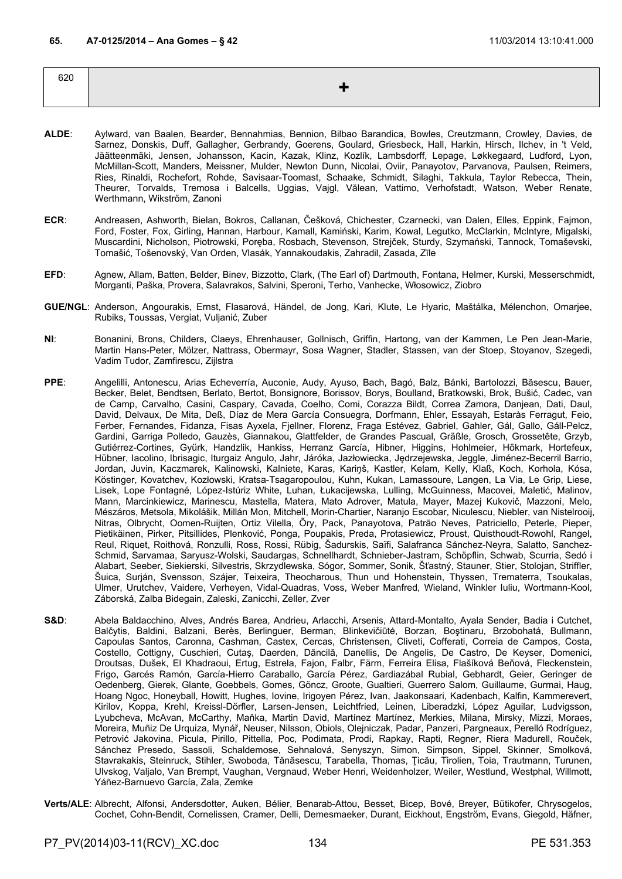| 620 |  |
|-----|--|
|     |  |
|     |  |

- **ALDE**: Aylward, van Baalen, Bearder, Bennahmias, Bennion, Bilbao Barandica, Bowles, Creutzmann, Crowley, Davies, de Sarnez, Donskis, Duff, Gallagher, Gerbrandy, Goerens, Goulard, Griesbeck, Hall, Harkin, Hirsch, Ilchev, in 't Veld, Jäätteenmäki, Jensen, Johansson, Kacin, Kazak, Klinz, Kozlík, Lambsdorff, Lepage, Løkkegaard, Ludford, Lyon, McMillan-Scott, Manders, Meissner, Mulder, Newton Dunn, Nicolai, Oviir, Panayotov, Parvanova, Paulsen, Reimers, Ries, Rinaldi, Rochefort, Rohde, Savisaar-Toomast, Schaake, Schmidt, Silaghi, Takkula, Taylor Rebecca, Thein, Theurer, Torvalds, Tremosa i Balcells, Uggias, Vajgl, Vălean, Vattimo, Verhofstadt, Watson, Weber Renate, Werthmann, Wikström, Zanoni
- **ECR**: Andreasen, Ashworth, Bielan, Bokros, Callanan, Češková, Chichester, Czarnecki, van Dalen, Elles, Eppink, Fajmon, Ford, Foster, Fox, Girling, Hannan, Harbour, Kamall, Kamiński, Karim, Kowal, Legutko, McClarkin, McIntyre, Migalski, Muscardini, Nicholson, Piotrowski, Poręba, Rosbach, Stevenson, Strejček, Sturdy, Szymański, Tannock, Tomaševski, Tomašić, Tošenovský, Van Orden, Vlasák, Yannakoudakis, Zahradil, Zasada, Zīle
- **EFD**: Agnew, Allam, Batten, Belder, Binev, Bizzotto, Clark, (The Earl of) Dartmouth, Fontana, Helmer, Kurski, Messerschmidt, Morganti, Paška, Provera, Salavrakos, Salvini, Speroni, Terho, Vanhecke, Włosowicz, Ziobro
- **GUE/NGL**: Anderson, Angourakis, Ernst, Flasarová, Händel, de Jong, Kari, Klute, Le Hyaric, Maštálka, Mélenchon, Omarjee, Rubiks, Toussas, Vergiat, Vuljanić, Zuber
- **NI**: Bonanini, Brons, Childers, Claeys, Ehrenhauser, Gollnisch, Griffin, Hartong, van der Kammen, Le Pen Jean-Marie, Martin Hans-Peter, Mölzer, Nattrass, Obermayr, Sosa Wagner, Stadler, Stassen, van der Stoep, Stoyanov, Szegedi, Vadim Tudor, Zamfirescu, Zijlstra
- **PPE**: Angelilli, Antonescu, Arias Echeverría, Auconie, Audy, Ayuso, Bach, Bagó, Balz, Bánki, Bartolozzi, Băsescu, Bauer, Becker, Belet, Bendtsen, Berlato, Bertot, Bonsignore, Borissov, Borys, Boulland, Bratkowski, Brok, Bušić, Cadec, van de Camp, Carvalho, Casini, Caspary, Cavada, Coelho, Comi, Corazza Bildt, Correa Zamora, Danjean, Dati, Daul, David, Delvaux, De Mita, Deß, Díaz de Mera García Consuegra, Dorfmann, Ehler, Essayah, Estaràs Ferragut, Feio, Ferber, Fernandes, Fidanza, Fisas Ayxela, Fjellner, Florenz, Fraga Estévez, Gabriel, Gahler, Gál, Gallo, Gáll-Pelcz, Gardini, Garriga Polledo, Gauzès, Giannakou, Glattfelder, de Grandes Pascual, Gräßle, Grosch, Grossetête, Grzyb, Gutiérrez-Cortines, Gyürk, Handzlik, Hankiss, Herranz García, Hibner, Higgins, Hohlmeier, Hökmark, Hortefeux, Hübner, Iacolino, Ibrisagic, Iturgaiz Angulo, Jahr, Járóka, Jazłowiecka, Jędrzejewska, Jeggle, Jiménez-Becerril Barrio, Jordan, Juvin, Kaczmarek, Kalinowski, Kalniete, Karas, Kariņš, Kastler, Kelam, Kelly, Klaß, Koch, Korhola, Kósa, Köstinger, Kovatchev, Kozłowski, Kratsa-Tsagaropoulou, Kuhn, Kukan, Lamassoure, Langen, La Via, Le Grip, Liese, Lisek, Lope Fontagné, López-Istúriz White, Luhan, Łukacijewska, Lulling, McGuinness, Macovei, Maletić, Malinov, Mann, Marcinkiewicz, Marinescu, Mastella, Matera, Mato Adrover, Matula, Mayer, Mazej Kukovič, Mazzoni, Melo, Mészáros, Metsola, Mikolášik, Millán Mon, Mitchell, Morin-Chartier, Naranjo Escobar, Niculescu, Niebler, van Nistelrooij, Nitras, Olbrycht, Oomen-Ruijten, Ortiz Vilella, Őry, Pack, Panayotova, Patrão Neves, Patriciello, Peterle, Pieper, Pietikäinen, Pirker, Pitsillides, Plenković, Ponga, Poupakis, Preda, Protasiewicz, Proust, Quisthoudt-Rowohl, Rangel, Reul, Riquet, Roithová, Ronzulli, Ross, Rossi, Rübig, Šadurskis, Saïfi, Salafranca Sánchez-Neyra, Salatto, Sanchez-Schmid, Sarvamaa, Saryusz-Wolski, Saudargas, Schnellhardt, Schnieber-Jastram, Schöpflin, Schwab, Scurria, Sedó i Alabart, Seeber, Siekierski, Silvestris, Skrzydlewska, Sógor, Sommer, Sonik, Šťastný, Stauner, Stier, Stolojan, Striffler, Šuica, Surján, Svensson, Szájer, Teixeira, Theocharous, Thun und Hohenstein, Thyssen, Trematerra, Tsoukalas, Ulmer, Urutchev, Vaidere, Verheyen, Vidal-Quadras, Voss, Weber Manfred, Wieland, Winkler Iuliu, Wortmann-Kool, Záborská, Zalba Bidegain, Zaleski, Zanicchi, Zeller, Zver
- **S&D**: Abela Baldacchino, Alves, Andrés Barea, Andrieu, Arlacchi, Arsenis, Attard-Montalto, Ayala Sender, Badia i Cutchet, Balčytis, Baldini, Balzani, Berès, Berlinguer, Berman, Blinkevičiūtė, Borzan, Boştinaru, Brzobohatá, Bullmann, Capoulas Santos, Caronna, Cashman, Castex, Cercas, Christensen, Cliveti, Cofferati, Correia de Campos, Costa, Costello, Cottigny, Cuschieri, Cutaş, Daerden, Dăncilă, Danellis, De Angelis, De Castro, De Keyser, Domenici, Droutsas, Dušek, El Khadraoui, Ertug, Estrela, Fajon, Falbr, Färm, Ferreira Elisa, Flašíková Beňová, Fleckenstein, Frigo, Garcés Ramón, García-Hierro Caraballo, García Pérez, Gardiazábal Rubial, Gebhardt, Geier, Geringer de Oedenberg, Gierek, Glante, Goebbels, Gomes, Göncz, Groote, Gualtieri, Guerrero Salom, Guillaume, Gurmai, Haug, Hoang Ngoc, Honeyball, Howitt, Hughes, Iovine, Irigoyen Pérez, Ivan, Jaakonsaari, Kadenbach, Kalfin, Kammerevert, Kirilov, Koppa, Krehl, Kreissl-Dörfler, Larsen-Jensen, Leichtfried, Leinen, Liberadzki, López Aguilar, Ludvigsson, Lyubcheva, McAvan, McCarthy, Maňka, Martin David, Martínez Martínez, Merkies, Milana, Mirsky, Mizzi, Moraes, Moreira, Muñiz De Urquiza, Mynář, Neuser, Nilsson, Obiols, Olejniczak, Padar, Panzeri, Pargneaux, Perelló Rodríguez, Petrović Jakovina, Picula, Pirillo, Pittella, Poc, Podimata, Prodi, Rapkay, Rapti, Regner, Riera Madurell, Rouček, Sánchez Presedo, Sassoli, Schaldemose, Sehnalová, Senyszyn, Simon, Simpson, Sippel, Skinner, Smolková, Stavrakakis, Steinruck, Stihler, Swoboda, Tănăsescu, Tarabella, Thomas, Ţicău, Tirolien, Toia, Trautmann, Turunen, Ulvskog, Valjalo, Van Brempt, Vaughan, Vergnaud, Weber Henri, Weidenholzer, Weiler, Westlund, Westphal, Willmott, Yáñez-Barnuevo García, Zala, Zemke
- **Verts/ALE**: Albrecht, Alfonsi, Andersdotter, Auken, Bélier, Benarab-Attou, Besset, Bicep, Bové, Breyer, Bütikofer, Chrysogelos, Cochet, Cohn-Bendit, Cornelissen, Cramer, Delli, Demesmaeker, Durant, Eickhout, Engström, Evans, Giegold, Häfner,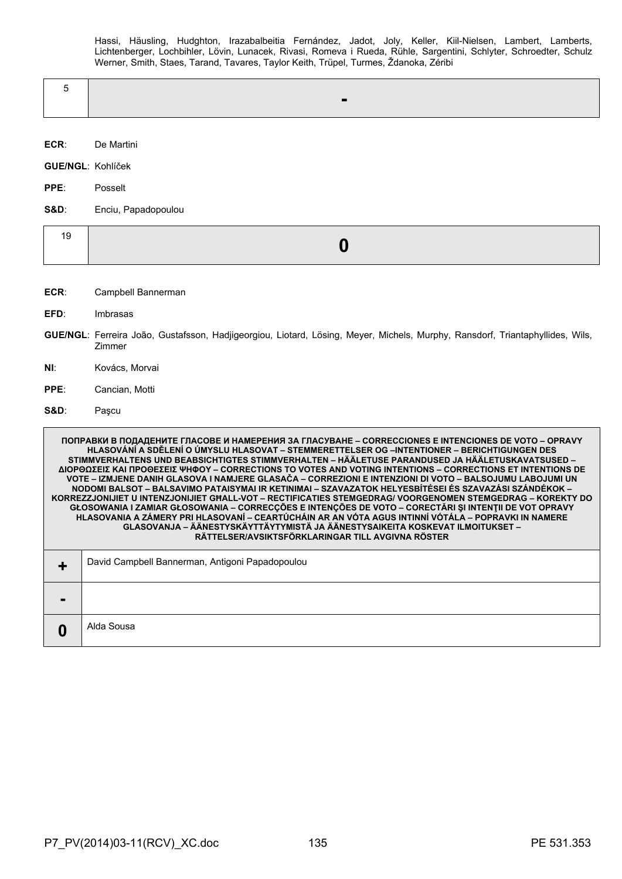Hassi, Häusling, Hudghton, Irazabalbeitia Fernández, Jadot, Joly, Keller, Kiil-Nielsen, Lambert, Lamberts, Lichtenberger, Lochbihler, Lövin, Lunacek, Rivasi, Romeva i Rueda, Rühle, Sargentini, Schlyter, Schroedter, Schulz Werner, Smith, Staes, Tarand, Tavares, Taylor Keith, Trüpel, Turmes, Ždanoka, Zéribi

| $\sqrt{5}$<br>ັ |   |
|-----------------|---|
|                 | . |
|                 |   |

**ECR**: De Martini

**GUE/NGL**: Kohlíček

**PPE**: Posselt

**S&D**: Enciu, Papadopoulou

- **ECR**: Campbell Bannerman
- **EFD**: Imbrasas
- **GUE/NGL**: Ferreira João, Gustafsson, Hadjigeorgiou, Liotard, Lösing, Meyer, Michels, Murphy, Ransdorf, Triantaphyllides, Wils, Zimmer
- **NI**: Kovács, Morvai
- **PPE**: Cancian, Motti
- **S&D**: Paşcu

**0**

Alda Sousa

| ПОПРАВКИ В ПОДАДЕНИТЕ ГЛАСОВЕ И НАМЕРЕНИЯ ЗА ГЛАСУВАНЕ – CORRECCIONES Е INTENCIONES DE VOTO – OPRAVY<br><u> HLASOVÁNÍ A SDĚLENÍ O ÚMYSLU HLASOVAT – STEMMERETTELSER OG –INTENTIONER – BERICHTIGUNGEN DES</u><br>STIMMVERHALTENS UND BEABSICHTIGTES STIMMVERHALTEN - HÄÄLETUSE PARANDUSED JA HÄÄLETUSKAVATSUSED -<br>ΔΙΟΡΘΩΣΕΙΣ ΚΑΙ ΠΡΟΘΕΣΕΙΣ ΨΗΦΟΥ – CORRECTIONS TO VOTES AND VOTING INTENTIONS – CORRECTIONS ET INTENTIONS DE<br>VOTE – IZMJENE DANIH GLASOVA I NAMJERE GLASAČA – CORREZIONI E INTENZIONI DI VOTO – BALSOJUMU LABOJUMI UN<br>NODOMI BALSOT – BALSAVIMO PATAISYMAI IR KETINIMAI – SZAVAZATOK HELYESBÍTÉSEI ÉS SZAVAZÁSI SZÁNDÉKOK –<br>KORREZZJONIJIET U INTENZJONIJIET GHALL-VOT – RECTIFICATIES STEMGEDRAG/ VOORGENOMEN STEMGEDRAG – KOREKTY DO<br>GŁOSOWANIA I ZAMIAR GŁOSOWANIA – CORRECÇÕES E INTENÇÕES DE VOTO – CORECTĂRI ȘI INTENȚII DE VOT OPRAVY<br>HLASOVANIA A ZÁMERY PRI HLASOVANÍ – CEARTÚCHÁIN AR AN VÓTA AGUS INTINNÍ VÓTÁLA – POPRAVKI IN NAMERE<br>GLASOVANJA – ÄÄNESTYSKÄYTTÄYTYMISTÄ JA ÄÄNESTYSAIKEITA KOSKEVAT ILMOITUKSET –<br>RÄTTELSER/AVSIKTSFÖRKLARINGAR TILL AVGIVNA RÖSTER |                                                 |
|-------------------------------------------------------------------------------------------------------------------------------------------------------------------------------------------------------------------------------------------------------------------------------------------------------------------------------------------------------------------------------------------------------------------------------------------------------------------------------------------------------------------------------------------------------------------------------------------------------------------------------------------------------------------------------------------------------------------------------------------------------------------------------------------------------------------------------------------------------------------------------------------------------------------------------------------------------------------------------------------------------------------------------------------------------------------------------------------------------------------------|-------------------------------------------------|
|                                                                                                                                                                                                                                                                                                                                                                                                                                                                                                                                                                                                                                                                                                                                                                                                                                                                                                                                                                                                                                                                                                                         | David Campbell Bannerman, Antigoni Papadopoulou |
|                                                                                                                                                                                                                                                                                                                                                                                                                                                                                                                                                                                                                                                                                                                                                                                                                                                                                                                                                                                                                                                                                                                         |                                                 |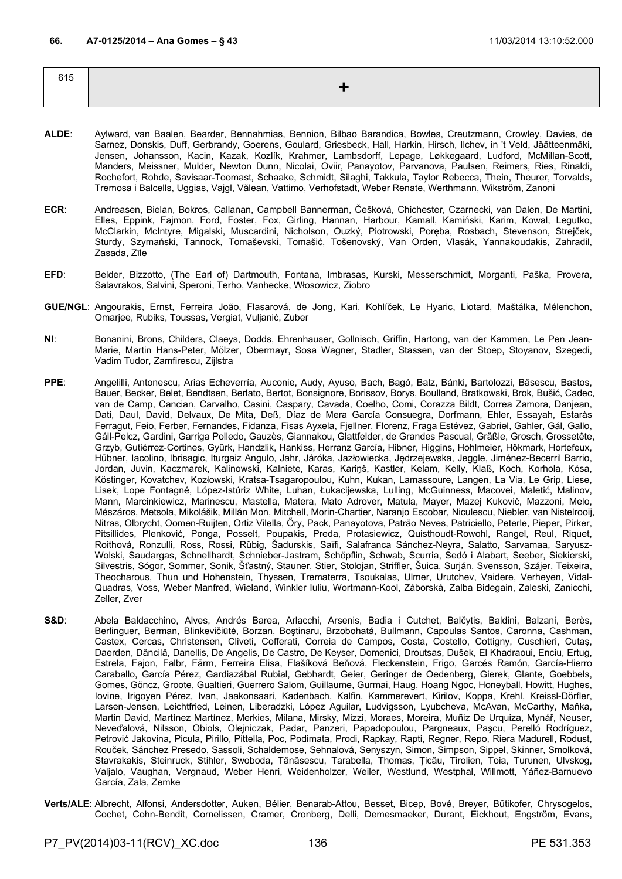| 615 |  |
|-----|--|
|     |  |
|     |  |

- **ALDE**: Aylward, van Baalen, Bearder, Bennahmias, Bennion, Bilbao Barandica, Bowles, Creutzmann, Crowley, Davies, de Sarnez, Donskis, Duff, Gerbrandy, Goerens, Goulard, Griesbeck, Hall, Harkin, Hirsch, Ilchev, in 't Veld, Jäätteenmäki, Jensen, Johansson, Kacin, Kazak, Kozlík, Krahmer, Lambsdorff, Lepage, Løkkegaard, Ludford, McMillan-Scott, Manders, Meissner, Mulder, Newton Dunn, Nicolai, Oviir, Panayotov, Parvanova, Paulsen, Reimers, Ries, Rinaldi, Rochefort, Rohde, Savisaar-Toomast, Schaake, Schmidt, Silaghi, Takkula, Taylor Rebecca, Thein, Theurer, Torvalds, Tremosa i Balcells, Uggias, Vajgl, Vălean, Vattimo, Verhofstadt, Weber Renate, Werthmann, Wikström, Zanoni
- **ECR**: Andreasen, Bielan, Bokros, Callanan, Campbell Bannerman, Češková, Chichester, Czarnecki, van Dalen, De Martini, Elles, Eppink, Fajmon, Ford, Foster, Fox, Girling, Hannan, Harbour, Kamall, Kamiński, Karim, Kowal, Legutko, McClarkin, McIntyre, Migalski, Muscardini, Nicholson, Ouzký, Piotrowski, Poręba, Rosbach, Stevenson, Strejček, Sturdy, Szymański, Tannock, Tomaševski, Tomašić, Tošenovský, Van Orden, Vlasák, Yannakoudakis, Zahradil, Zasada, Zīle
- **EFD**: Belder, Bizzotto, (The Earl of) Dartmouth, Fontana, Imbrasas, Kurski, Messerschmidt, Morganti, Paška, Provera, Salavrakos, Salvini, Speroni, Terho, Vanhecke, Włosowicz, Ziobro
- **GUE/NGL**: Angourakis, Ernst, Ferreira João, Flasarová, de Jong, Kari, Kohlíček, Le Hyaric, Liotard, Maštálka, Mélenchon, Omarjee, Rubiks, Toussas, Vergiat, Vuljanić, Zuber
- **NI**: Bonanini, Brons, Childers, Claeys, Dodds, Ehrenhauser, Gollnisch, Griffin, Hartong, van der Kammen, Le Pen Jean-Marie, Martin Hans-Peter, Mölzer, Obermayr, Sosa Wagner, Stadler, Stassen, van der Stoep, Stoyanov, Szegedi, Vadim Tudor, Zamfirescu, Zijlstra
- **PPE**: Angelilli, Antonescu, Arias Echeverría, Auconie, Audy, Ayuso, Bach, Bagó, Balz, Bánki, Bartolozzi, Băsescu, Bastos, Bauer, Becker, Belet, Bendtsen, Berlato, Bertot, Bonsignore, Borissov, Borys, Boulland, Bratkowski, Brok, Bušić, Cadec, van de Camp, Cancian, Carvalho, Casini, Caspary, Cavada, Coelho, Comi, Corazza Bildt, Correa Zamora, Danjean, Dati, Daul, David, Delvaux, De Mita, Deß, Díaz de Mera García Consuegra, Dorfmann, Ehler, Essayah, Estaràs Ferragut, Feio, Ferber, Fernandes, Fidanza, Fisas Ayxela, Fjellner, Florenz, Fraga Estévez, Gabriel, Gahler, Gál, Gallo, Gáll-Pelcz, Gardini, Garriga Polledo, Gauzès, Giannakou, Glattfelder, de Grandes Pascual, Gräßle, Grosch, Grossetête, Grzyb, Gutiérrez-Cortines, Gyürk, Handzlik, Hankiss, Herranz García, Hibner, Higgins, Hohlmeier, Hökmark, Hortefeux, Hübner, Iacolino, Ibrisagic, Iturgaiz Angulo, Jahr, Járóka, Jazłowiecka, Jędrzejewska, Jeggle, Jiménez-Becerril Barrio, Jordan, Juvin, Kaczmarek, Kalinowski, Kalniete, Karas, Kariņš, Kastler, Kelam, Kelly, Klaß, Koch, Korhola, Kósa, Köstinger, Kovatchev, Kozłowski, Kratsa-Tsagaropoulou, Kuhn, Kukan, Lamassoure, Langen, La Via, Le Grip, Liese, Lisek, Lope Fontagné, López-Istúriz White, Luhan, Łukacijewska, Lulling, McGuinness, Macovei, Maletić, Malinov, Mann, Marcinkiewicz, Marinescu, Mastella, Matera, Mato Adrover, Matula, Mayer, Mazej Kukovič, Mazzoni, Melo, Mészáros, Metsola, Mikolášik, Millán Mon, Mitchell, Morin-Chartier, Naranjo Escobar, Niculescu, Niebler, van Nistelrooij, Nitras, Olbrycht, Oomen-Ruijten, Ortiz Vilella, Őry, Pack, Panayotova, Patrão Neves, Patriciello, Peterle, Pieper, Pirker, Pitsillides, Plenković, Ponga, Posselt, Poupakis, Preda, Protasiewicz, Quisthoudt-Rowohl, Rangel, Reul, Riquet, Roithová, Ronzulli, Ross, Rossi, Rübig, Šadurskis, Saïfi, Salafranca Sánchez-Neyra, Salatto, Sarvamaa, Saryusz-Wolski, Saudargas, Schnellhardt, Schnieber-Jastram, Schöpflin, Schwab, Scurria, Sedó i Alabart, Seeber, Siekierski, Silvestris, Sógor, Sommer, Sonik, Šťastný, Stauner, Stier, Stolojan, Striffler, Šuica, Surján, Svensson, Szájer, Teixeira, Theocharous, Thun und Hohenstein, Thyssen, Trematerra, Tsoukalas, Ulmer, Urutchev, Vaidere, Verheyen, Vidal-Quadras, Voss, Weber Manfred, Wieland, Winkler Iuliu, Wortmann-Kool, Záborská, Zalba Bidegain, Zaleski, Zanicchi, Zeller, Zver
- **S&D**: Abela Baldacchino, Alves, Andrés Barea, Arlacchi, Arsenis, Badia i Cutchet, Balčytis, Baldini, Balzani, Berès, Berlinguer, Berman, Blinkevičiūtė, Borzan, Boştinaru, Brzobohatá, Bullmann, Capoulas Santos, Caronna, Cashman, Castex, Cercas, Christensen, Cliveti, Cofferati, Correia de Campos, Costa, Costello, Cottigny, Cuschieri, Cutaş, Daerden, Dăncilă, Danellis, De Angelis, De Castro, De Keyser, Domenici, Droutsas, Dušek, El Khadraoui, Enciu, Ertug, Estrela, Fajon, Falbr, Färm, Ferreira Elisa, Flašíková Beňová, Fleckenstein, Frigo, Garcés Ramón, García-Hierro Caraballo, García Pérez, Gardiazábal Rubial, Gebhardt, Geier, Geringer de Oedenberg, Gierek, Glante, Goebbels, Gomes, Göncz, Groote, Gualtieri, Guerrero Salom, Guillaume, Gurmai, Haug, Hoang Ngoc, Honeyball, Howitt, Hughes, Iovine, Irigoyen Pérez, Ivan, Jaakonsaari, Kadenbach, Kalfin, Kammerevert, Kirilov, Koppa, Krehl, Kreissl-Dörfler, Larsen-Jensen, Leichtfried, Leinen, Liberadzki, López Aguilar, Ludvigsson, Lyubcheva, McAvan, McCarthy, Maňka, Martin David, Martínez Martínez, Merkies, Milana, Mirsky, Mizzi, Moraes, Moreira, Muñiz De Urquiza, Mynář, Neuser, Neveďalová, Nilsson, Obiols, Olejniczak, Padar, Panzeri, Papadopoulou, Pargneaux, Paşcu, Perelló Rodríguez, Petrović Jakovina, Picula, Pirillo, Pittella, Poc, Podimata, Prodi, Rapkay, Rapti, Regner, Repo, Riera Madurell, Rodust, Rouček, Sánchez Presedo, Sassoli, Schaldemose, Sehnalová, Senyszyn, Simon, Simpson, Sippel, Skinner, Smolková, Stavrakakis, Steinruck, Stihler, Swoboda, Tănăsescu, Tarabella, Thomas, Ţicău, Tirolien, Toia, Turunen, Ulvskog, Valjalo, Vaughan, Vergnaud, Weber Henri, Weidenholzer, Weiler, Westlund, Westphal, Willmott, Yáñez-Barnuevo García, Zala, Zemke
- **Verts/ALE**: Albrecht, Alfonsi, Andersdotter, Auken, Bélier, Benarab-Attou, Besset, Bicep, Bové, Breyer, Bütikofer, Chrysogelos, Cochet, Cohn-Bendit, Cornelissen, Cramer, Cronberg, Delli, Demesmaeker, Durant, Eickhout, Engström, Evans,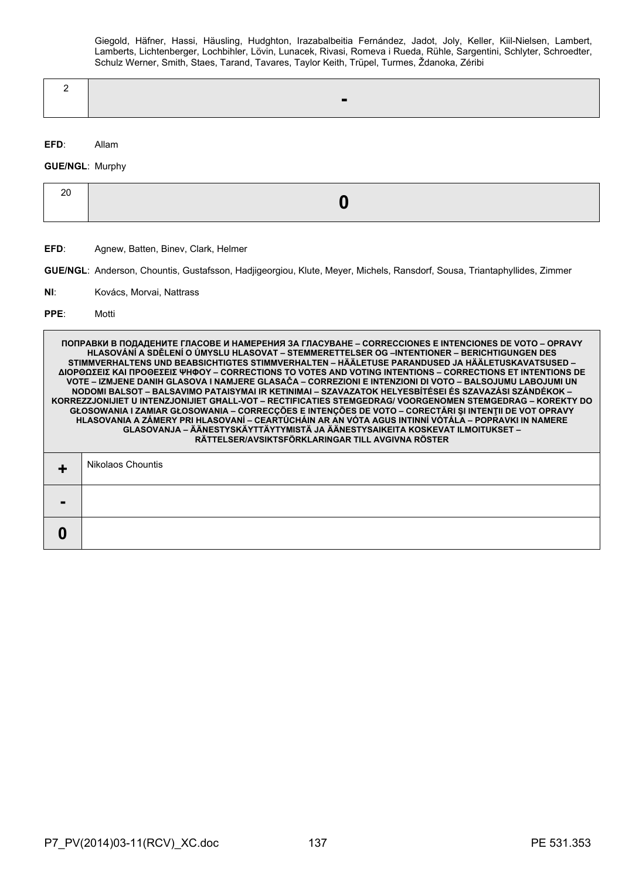Giegold, Häfner, Hassi, Häusling, Hudghton, Irazabalbeitia Fernández, Jadot, Joly, Keller, Kiil-Nielsen, Lambert, Lamberts, Lichtenberger, Lochbihler, Lövin, Lunacek, Rivasi, Romeva i Rueda, Rühle, Sargentini, Schlyter, Schroedter, Schulz Werner, Smith, Staes, Tarand, Tavares, Taylor Keith, Trüpel, Turmes, Ždanoka, Zéribi

**EFD**: Allam

**GUE/NGL**: Murphy

|--|--|

**EFD**: Agnew, Batten, Binev, Clark, Helmer

**GUE/NGL**: Anderson, Chountis, Gustafsson, Hadjigeorgiou, Klute, Meyer, Michels, Ransdorf, Sousa, Triantaphyllides, Zimmer

**NI**: Kovács, Morvai, Nattrass

#### **PPE**: Motti

**ПОПРАВКИ В ПОДАДЕНИТЕ ГЛАСОВЕ И НАМЕРЕНИЯ ЗА ГЛАСУВАНЕ – CORRECCIONES E INTENCIONES DE VOTO – OPRAVY HLASOVÁNÍ A SDĚLENÍ O ÚMYSLU HLASOVAT – STEMMERETTELSER OG –INTENTIONER – BERICHTIGUNGEN DES STIMMVERHALTENS UND BEABSICHTIGTES STIMMVERHALTEN – HÄÄLETUSE PARANDUSED JA HÄÄLETUSKAVATSUSED – ΔΙΟΡΘΩΣΕΙΣ ΚΑΙ ΠΡΟΘΕΣΕΙΣ ΨΗΦΟΥ – CORRECTIONS TO VOTES AND VOTING INTENTIONS – CORRECTIONS ET INTENTIONS DE VOTE – IZMJENE DANIH GLASOVA I NAMJERE GLASAČA – CORREZIONI E INTENZIONI DI VOTO – BALSOJUMU LABOJUMI UN NODOMI BALSOT – BALSAVIMO PATAISYMAI IR KETINIMAI – SZAVAZATOK HELYESBÍTÉSEI ÉS SZAVAZÁSI SZÁNDÉKOK – KORREZZJONIJIET U INTENZJONIJIET GĦALL-VOT – RECTIFICATIES STEMGEDRAG/ VOORGENOMEN STEMGEDRAG – KOREKTY DO GŁOSOWANIA I ZAMIAR GŁOSOWANIA – CORRECÇÕES E INTENÇÕES DE VOTO – CORECTĂRI ŞI INTENŢII DE VOT OPRAVY HLASOVANIA A ZÁMERY PRI HLASOVANÍ – CEARTÚCHÁIN AR AN VÓTA AGUS INTINNÍ VÓTÁLA – POPRAVKI IN NAMERE GLASOVANJA – ÄÄNESTYSKÄYTTÄYTYMISTÄ JA ÄÄNESTYSAIKEITA KOSKEVAT ILMOITUKSET – RÄTTELSER/AVSIKTSFÖRKLARINGAR TILL AVGIVNA RÖSTER +** Nikolaos Chountis **- 0**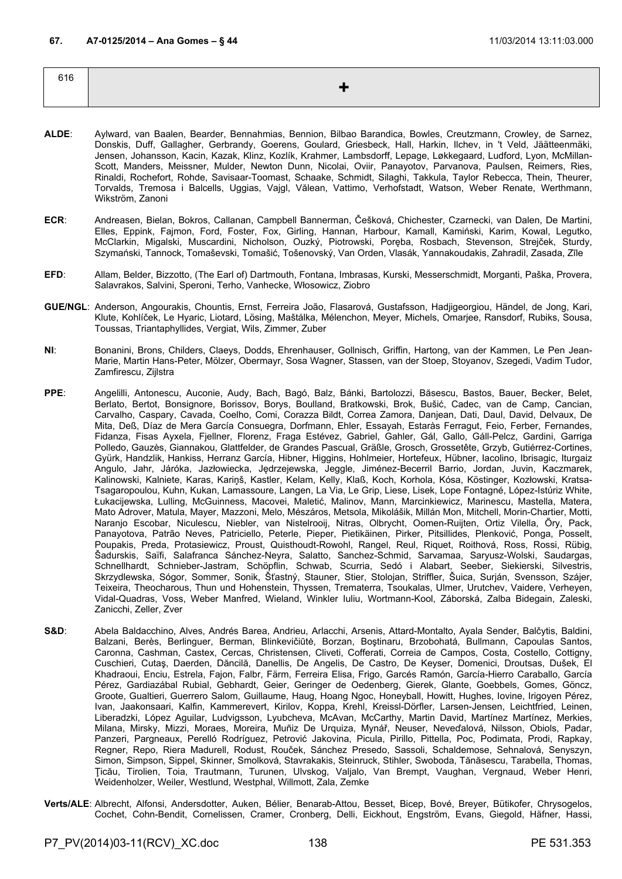| 616 |  |
|-----|--|
|     |  |
|     |  |

- **ALDE**: Aylward, van Baalen, Bearder, Bennahmias, Bennion, Bilbao Barandica, Bowles, Creutzmann, Crowley, de Sarnez, Donskis, Duff, Gallagher, Gerbrandy, Goerens, Goulard, Griesbeck, Hall, Harkin, Ilchev, in 't Veld, Jäätteenmäki, Jensen, Johansson, Kacin, Kazak, Klinz, Kozlík, Krahmer, Lambsdorff, Lepage, Løkkegaard, Ludford, Lyon, McMillan-Scott, Manders, Meissner, Mulder, Newton Dunn, Nicolai, Oviir, Panayotov, Parvanova, Paulsen, Reimers, Ries, Rinaldi, Rochefort, Rohde, Savisaar-Toomast, Schaake, Schmidt, Silaghi, Takkula, Taylor Rebecca, Thein, Theurer, Torvalds, Tremosa i Balcells, Uggias, Vajgl, Vălean, Vattimo, Verhofstadt, Watson, Weber Renate, Werthmann, Wikström, Zanoni
- **ECR**: Andreasen, Bielan, Bokros, Callanan, Campbell Bannerman, Češková, Chichester, Czarnecki, van Dalen, De Martini, Elles, Eppink, Fajmon, Ford, Foster, Fox, Girling, Hannan, Harbour, Kamall, Kamiński, Karim, Kowal, Legutko, McClarkin, Migalski, Muscardini, Nicholson, Ouzký, Piotrowski, Poręba, Rosbach, Stevenson, Strejček, Sturdy, Szymański, Tannock, Tomaševski, Tomašić, Tošenovský, Van Orden, Vlasák, Yannakoudakis, Zahradil, Zasada, Zīle
- **EFD**: Allam, Belder, Bizzotto, (The Earl of) Dartmouth, Fontana, Imbrasas, Kurski, Messerschmidt, Morganti, Paška, Provera, Salavrakos, Salvini, Speroni, Terho, Vanhecke, Włosowicz, Ziobro
- **GUE/NGL**: Anderson, Angourakis, Chountis, Ernst, Ferreira João, Flasarová, Gustafsson, Hadjigeorgiou, Händel, de Jong, Kari, Klute, Kohlíček, Le Hyaric, Liotard, Lösing, Maštálka, Mélenchon, Meyer, Michels, Omarjee, Ransdorf, Rubiks, Sousa, Toussas, Triantaphyllides, Vergiat, Wils, Zimmer, Zuber
- **NI**: Bonanini, Brons, Childers, Claeys, Dodds, Ehrenhauser, Gollnisch, Griffin, Hartong, van der Kammen, Le Pen Jean-Marie, Martin Hans-Peter, Mölzer, Obermayr, Sosa Wagner, Stassen, van der Stoep, Stoyanov, Szegedi, Vadim Tudor, Zamfirescu, Zijlstra
- **PPE**: Angelilli, Antonescu, Auconie, Audy, Bach, Bagó, Balz, Bánki, Bartolozzi, Băsescu, Bastos, Bauer, Becker, Belet, Berlato, Bertot, Bonsignore, Borissov, Borys, Boulland, Bratkowski, Brok, Bušić, Cadec, van de Camp, Cancian, Carvalho, Caspary, Cavada, Coelho, Comi, Corazza Bildt, Correa Zamora, Danjean, Dati, Daul, David, Delvaux, De Mita, Deß, Díaz de Mera García Consuegra, Dorfmann, Ehler, Essayah, Estaràs Ferragut, Feio, Ferber, Fernandes, Fidanza, Fisas Ayxela, Fjellner, Florenz, Fraga Estévez, Gabriel, Gahler, Gál, Gallo, Gáll-Pelcz, Gardini, Garriga Polledo, Gauzès, Giannakou, Glattfelder, de Grandes Pascual, Gräßle, Grosch, Grossetête, Grzyb, Gutiérrez-Cortines, Gyürk, Handzlik, Hankiss, Herranz García, Hibner, Higgins, Hohlmeier, Hortefeux, Hübner, Iacolino, Ibrisagic, Iturgaiz Angulo, Jahr, Járóka, Jazłowiecka, Jędrzejewska, Jeggle, Jiménez-Becerril Barrio, Jordan, Juvin, Kaczmarek, Kalinowski, Kalniete, Karas, Kariņš, Kastler, Kelam, Kelly, Klaß, Koch, Korhola, Kósa, Köstinger, Kozłowski, Kratsa-Tsagaropoulou, Kuhn, Kukan, Lamassoure, Langen, La Via, Le Grip, Liese, Lisek, Lope Fontagné, López-Istúriz White, Łukacijewska, Lulling, McGuinness, Macovei, Maletić, Malinov, Mann, Marcinkiewicz, Marinescu, Mastella, Matera, Mato Adrover, Matula, Mayer, Mazzoni, Melo, Mészáros, Metsola, Mikolášik, Millán Mon, Mitchell, Morin-Chartier, Motti, Naranjo Escobar, Niculescu, Niebler, van Nistelrooij, Nitras, Olbrycht, Oomen-Ruijten, Ortiz Vilella, Őry, Pack, Panayotova, Patrão Neves, Patriciello, Peterle, Pieper, Pietikäinen, Pirker, Pitsillides, Plenković, Ponga, Posselt, Poupakis, Preda, Protasiewicz, Proust, Quisthoudt-Rowohl, Rangel, Reul, Riquet, Roithová, Ross, Rossi, Rübig, Šadurskis, Saïfi, Salafranca Sánchez-Neyra, Salatto, Sanchez-Schmid, Sarvamaa, Saryusz-Wolski, Saudargas, Schnellhardt, Schnieber-Jastram, Schöpflin, Schwab, Scurria, Sedó i Alabart, Seeber, Siekierski, Silvestris, Skrzydlewska, Sógor, Sommer, Sonik, Šťastný, Stauner, Stier, Stolojan, Striffler, Šuica, Surján, Svensson, Szájer, Teixeira, Theocharous, Thun und Hohenstein, Thyssen, Trematerra, Tsoukalas, Ulmer, Urutchev, Vaidere, Verheyen, Vidal-Quadras, Voss, Weber Manfred, Wieland, Winkler Iuliu, Wortmann-Kool, Záborská, Zalba Bidegain, Zaleski, Zanicchi, Zeller, Zver
- **S&D**: Abela Baldacchino, Alves, Andrés Barea, Andrieu, Arlacchi, Arsenis, Attard-Montalto, Ayala Sender, Balčytis, Baldini, Balzani, Berès, Berlinguer, Berman, Blinkevičiūtė, Borzan, Boştinaru, Brzobohatá, Bullmann, Capoulas Santos, Caronna, Cashman, Castex, Cercas, Christensen, Cliveti, Cofferati, Correia de Campos, Costa, Costello, Cottigny, Cuschieri, Cutaş, Daerden, Dăncilă, Danellis, De Angelis, De Castro, De Keyser, Domenici, Droutsas, Dušek, El Khadraoui, Enciu, Estrela, Fajon, Falbr, Färm, Ferreira Elisa, Frigo, Garcés Ramón, García-Hierro Caraballo, García Pérez, Gardiazábal Rubial, Gebhardt, Geier, Geringer de Oedenberg, Gierek, Glante, Goebbels, Gomes, Göncz, Groote, Gualtieri, Guerrero Salom, Guillaume, Haug, Hoang Ngoc, Honeyball, Howitt, Hughes, Iovine, Irigoyen Pérez, Ivan, Jaakonsaari, Kalfin, Kammerevert, Kirilov, Koppa, Krehl, Kreissl-Dörfler, Larsen-Jensen, Leichtfried, Leinen, Liberadzki, López Aguilar, Ludvigsson, Lyubcheva, McAvan, McCarthy, Martin David, Martínez Martínez, Merkies, Milana, Mirsky, Mizzi, Moraes, Moreira, Muñiz De Urquiza, Mynář, Neuser, Neveďalová, Nilsson, Obiols, Padar, Panzeri, Pargneaux, Perelló Rodríguez, Petrović Jakovina, Picula, Pirillo, Pittella, Poc, Podimata, Prodi, Rapkay, Regner, Repo, Riera Madurell, Rodust, Rouček, Sánchez Presedo, Sassoli, Schaldemose, Sehnalová, Senyszyn, Simon, Simpson, Sippel, Skinner, Smolková, Stavrakakis, Steinruck, Stihler, Swoboda, Tănăsescu, Tarabella, Thomas, Ţicău, Tirolien, Toia, Trautmann, Turunen, Ulvskog, Valjalo, Van Brempt, Vaughan, Vergnaud, Weber Henri, Weidenholzer, Weiler, Westlund, Westphal, Willmott, Zala, Zemke
- **Verts/ALE**: Albrecht, Alfonsi, Andersdotter, Auken, Bélier, Benarab-Attou, Besset, Bicep, Bové, Breyer, Bütikofer, Chrysogelos, Cochet, Cohn-Bendit, Cornelissen, Cramer, Cronberg, Delli, Eickhout, Engström, Evans, Giegold, Häfner, Hassi,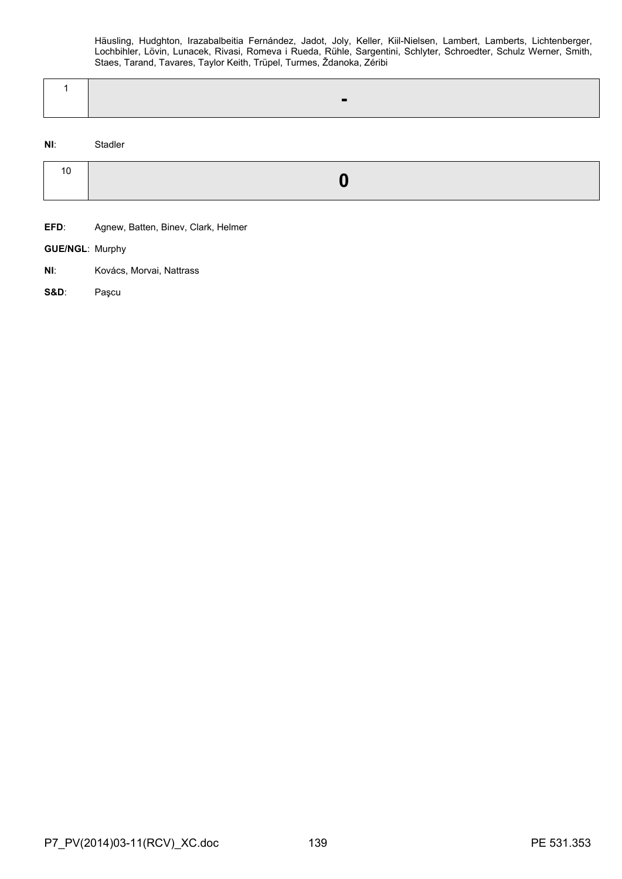Häusling, Hudghton, Irazabalbeitia Fernández, Jadot, Joly, Keller, Kiil-Nielsen, Lambert, Lamberts, Lichtenberger, Lochbihler, Lövin, Lunacek, Rivasi, Romeva i Rueda, Rühle, Sargentini, Schlyter, Schroedter, Schulz Werner, Smith, Staes, Tarand, Tavares, Taylor Keith, Trüpel, Turmes, Ždanoka, Zéribi

| $\overline{\phantom{0}}$ |  |
|--------------------------|--|

**NI**: Stadler

**EFD**: Agnew, Batten, Binev, Clark, Helmer

**GUE/NGL**: Murphy

- **NI:** Kovács, Morvai, Nattrass
- **S&D**: Paşcu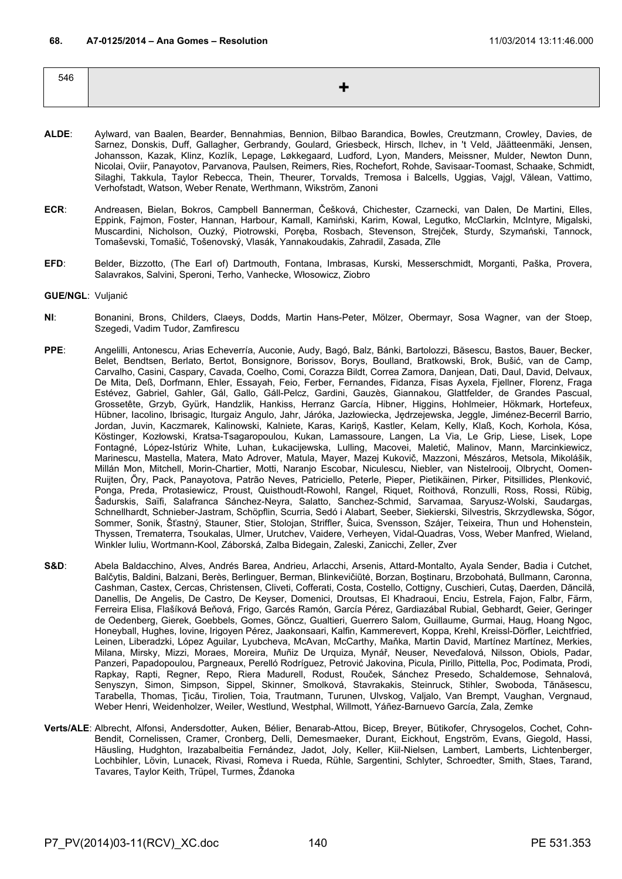| 546 |  |
|-----|--|
|     |  |
|     |  |

- **ALDE**: Aylward, van Baalen, Bearder, Bennahmias, Bennion, Bilbao Barandica, Bowles, Creutzmann, Crowley, Davies, de Sarnez, Donskis, Duff, Gallagher, Gerbrandy, Goulard, Griesbeck, Hirsch, Ilchev, in 't Veld, Jäätteenmäki, Jensen, Johansson, Kazak, Klinz, Kozlík, Lepage, Løkkegaard, Ludford, Lyon, Manders, Meissner, Mulder, Newton Dunn, Nicolai, Oviir, Panayotov, Parvanova, Paulsen, Reimers, Ries, Rochefort, Rohde, Savisaar-Toomast, Schaake, Schmidt, Silaghi, Takkula, Taylor Rebecca, Thein, Theurer, Torvalds, Tremosa i Balcells, Uggias, Vajgl, Vălean, Vattimo, Verhofstadt, Watson, Weber Renate, Werthmann, Wikström, Zanoni
- **ECR**: Andreasen, Bielan, Bokros, Campbell Bannerman, Češková, Chichester, Czarnecki, van Dalen, De Martini, Elles, Eppink, Fajmon, Foster, Hannan, Harbour, Kamall, Kamiński, Karim, Kowal, Legutko, McClarkin, McIntyre, Migalski, Muscardini, Nicholson, Ouzký, Piotrowski, Poręba, Rosbach, Stevenson, Strejček, Sturdy, Szymański, Tannock, Tomaševski, Tomašić, Tošenovský, Vlasák, Yannakoudakis, Zahradil, Zasada, Zīle
- **EFD**: Belder, Bizzotto, (The Earl of) Dartmouth, Fontana, Imbrasas, Kurski, Messerschmidt, Morganti, Paška, Provera, Salavrakos, Salvini, Speroni, Terho, Vanhecke, Włosowicz, Ziobro
- **GUE/NGL**: Vuljanić
- **NI**: Bonanini, Brons, Childers, Claeys, Dodds, Martin Hans-Peter, Mölzer, Obermayr, Sosa Wagner, van der Stoep, Szegedi, Vadim Tudor, Zamfirescu
- **PPE**: Angelilli, Antonescu, Arias Echeverría, Auconie, Audy, Bagó, Balz, Bánki, Bartolozzi, Băsescu, Bastos, Bauer, Becker, Belet, Bendtsen, Berlato, Bertot, Bonsignore, Borissov, Borys, Boulland, Bratkowski, Brok, Bušić, van de Camp, Carvalho, Casini, Caspary, Cavada, Coelho, Comi, Corazza Bildt, Correa Zamora, Danjean, Dati, Daul, David, Delvaux, De Mita, Deß, Dorfmann, Ehler, Essayah, Feio, Ferber, Fernandes, Fidanza, Fisas Ayxela, Fjellner, Florenz, Fraga Estévez, Gabriel, Gahler, Gál, Gallo, Gáll-Pelcz, Gardini, Gauzès, Giannakou, Glattfelder, de Grandes Pascual, Grossetête, Grzyb, Gyürk, Handzlik, Hankiss, Herranz García, Hibner, Higgins, Hohlmeier, Hökmark, Hortefeux, Hübner, Iacolino, Ibrisagic, Iturgaiz Angulo, Jahr, Járóka, Jazłowiecka, Jędrzejewska, Jeggle, Jiménez-Becerril Barrio, Jordan, Juvin, Kaczmarek, Kalinowski, Kalniete, Karas, Kariņš, Kastler, Kelam, Kelly, Klaß, Koch, Korhola, Kósa, Köstinger, Kozłowski, Kratsa-Tsagaropoulou, Kukan, Lamassoure, Langen, La Via, Le Grip, Liese, Lisek, Lope Fontagné, López-Istúriz White, Luhan, Łukacijewska, Lulling, Macovei, Maletić, Malinov, Mann, Marcinkiewicz, Marinescu, Mastella, Matera, Mato Adrover, Matula, Mayer, Mazej Kukovič, Mazzoni, Mészáros, Metsola, Mikolášik, Millán Mon, Mitchell, Morin-Chartier, Motti, Naranjo Escobar, Niculescu, Niebler, van Nistelrooij, Olbrycht, Oomen-Ruijten, Őry, Pack, Panayotova, Patrão Neves, Patriciello, Peterle, Pieper, Pietikäinen, Pirker, Pitsillides, Plenković, Ponga, Preda, Protasiewicz, Proust, Quisthoudt-Rowohl, Rangel, Riquet, Roithová, Ronzulli, Ross, Rossi, Rübig, Šadurskis, Saïfi, Salafranca Sánchez-Neyra, Salatto, Sanchez-Schmid, Sarvamaa, Saryusz-Wolski, Saudargas, Schnellhardt, Schnieber-Jastram, Schöpflin, Scurria, Sedó i Alabart, Seeber, Siekierski, Silvestris, Skrzydlewska, Sógor, Sommer, Sonik, Šťastný, Stauner, Stier, Stolojan, Striffler, Šuica, Svensson, Szájer, Teixeira, Thun und Hohenstein, Thyssen, Trematerra, Tsoukalas, Ulmer, Urutchev, Vaidere, Verheyen, Vidal-Quadras, Voss, Weber Manfred, Wieland, Winkler Iuliu, Wortmann-Kool, Záborská, Zalba Bidegain, Zaleski, Zanicchi, Zeller, Zver
- **S&D**: Abela Baldacchino, Alves, Andrés Barea, Andrieu, Arlacchi, Arsenis, Attard-Montalto, Ayala Sender, Badia i Cutchet, Balčytis, Baldini, Balzani, Berès, Berlinguer, Berman, Blinkevičiūtė, Borzan, Boştinaru, Brzobohatá, Bullmann, Caronna, Cashman, Castex, Cercas, Christensen, Cliveti, Cofferati, Costa, Costello, Cottigny, Cuschieri, Cutaş, Daerden, Dăncilă, Danellis, De Angelis, De Castro, De Keyser, Domenici, Droutsas, El Khadraoui, Enciu, Estrela, Fajon, Falbr, Färm, Ferreira Elisa, Flašíková Beňová, Frigo, Garcés Ramón, García Pérez, Gardiazábal Rubial, Gebhardt, Geier, Geringer de Oedenberg, Gierek, Goebbels, Gomes, Göncz, Gualtieri, Guerrero Salom, Guillaume, Gurmai, Haug, Hoang Ngoc, Honeyball, Hughes, Iovine, Irigoyen Pérez, Jaakonsaari, Kalfin, Kammerevert, Koppa, Krehl, Kreissl-Dörfler, Leichtfried, Leinen, Liberadzki, López Aguilar, Lyubcheva, McAvan, McCarthy, Maňka, Martin David, Martínez Martínez, Merkies, Milana, Mirsky, Mizzi, Moraes, Moreira, Muñiz De Urquiza, Mynář, Neuser, Neveďalová, Nilsson, Obiols, Padar, Panzeri, Papadopoulou, Pargneaux, Perelló Rodríguez, Petrović Jakovina, Picula, Pirillo, Pittella, Poc, Podimata, Prodi, Rapkay, Rapti, Regner, Repo, Riera Madurell, Rodust, Rouček, Sánchez Presedo, Schaldemose, Sehnalová, Senyszyn, Simon, Simpson, Sippel, Skinner, Smolková, Stavrakakis, Steinruck, Stihler, Swoboda, Tănăsescu, Tarabella, Thomas, Ţicău, Tirolien, Toia, Trautmann, Turunen, Ulvskog, Valjalo, Van Brempt, Vaughan, Vergnaud, Weber Henri, Weidenholzer, Weiler, Westlund, Westphal, Willmott, Yáñez-Barnuevo García, Zala, Zemke
- **Verts/ALE**: Albrecht, Alfonsi, Andersdotter, Auken, Bélier, Benarab-Attou, Bicep, Breyer, Bütikofer, Chrysogelos, Cochet, Cohn-Bendit, Cornelissen, Cramer, Cronberg, Delli, Demesmaeker, Durant, Eickhout, Engström, Evans, Giegold, Hassi, Häusling, Hudghton, Irazabalbeitia Fernández, Jadot, Joly, Keller, Kiil-Nielsen, Lambert, Lamberts, Lichtenberger, Lochbihler, Lövin, Lunacek, Rivasi, Romeva i Rueda, Rühle, Sargentini, Schlyter, Schroedter, Smith, Staes, Tarand, Tavares, Taylor Keith, Trüpel, Turmes, Ždanoka